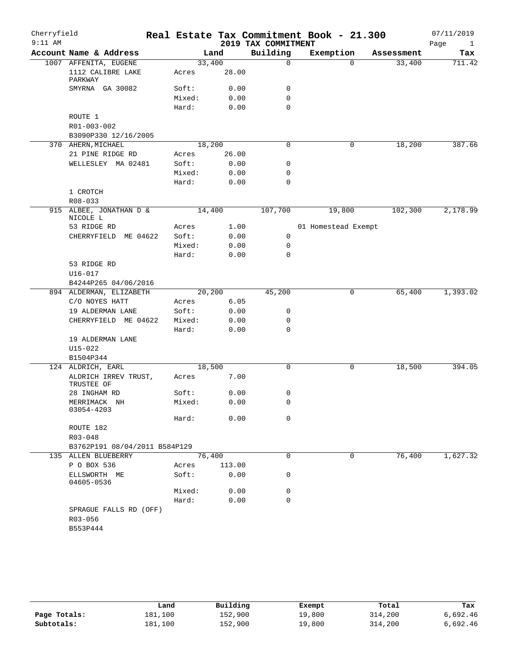| Cherryfield |                                    |        |        |                     | Real Estate Tax Commitment Book - 21.300 |            | 07/11/2019           |
|-------------|------------------------------------|--------|--------|---------------------|------------------------------------------|------------|----------------------|
| $9:11$ AM   |                                    |        |        | 2019 TAX COMMITMENT |                                          |            | Page<br>$\mathbf{1}$ |
|             | Account Name & Address             |        | Land   | Building            | Exemption                                | Assessment | Tax                  |
|             | 1007 AFFENITA, EUGENE              | 33,400 |        | 0                   | $\Omega$                                 | 33,400     | 711.42               |
|             | 1112 CALIBRE LAKE<br>PARKWAY       | Acres  | 28.00  |                     |                                          |            |                      |
|             | SMYRNA GA 30082                    | Soft:  | 0.00   | 0                   |                                          |            |                      |
|             |                                    | Mixed: | 0.00   | $\mathbf 0$         |                                          |            |                      |
|             |                                    | Hard:  | 0.00   | $\mathbf 0$         |                                          |            |                      |
|             | ROUTE 1                            |        |        |                     |                                          |            |                      |
|             | R01-003-002                        |        |        |                     |                                          |            |                      |
|             | B3090P330 12/16/2005               |        |        |                     |                                          |            |                      |
|             | 370 AHERN, MICHAEL                 | 18,200 |        | $\mathbf 0$         | 0                                        | 18,200     | 387.66               |
|             | 21 PINE RIDGE RD                   | Acres  | 26.00  |                     |                                          |            |                      |
|             | WELLESLEY MA 02481                 | Soft:  | 0.00   | 0                   |                                          |            |                      |
|             |                                    | Mixed: | 0.00   | $\mathbf 0$         |                                          |            |                      |
|             |                                    | Hard:  | 0.00   | $\mathbf 0$         |                                          |            |                      |
|             | 1 CROTCH                           |        |        |                     |                                          |            |                      |
|             | $R08 - 033$                        |        |        |                     |                                          |            |                      |
|             | 915 ALBEE, JONATHAN D &            | 14,400 |        | 107,700             | 19,800                                   | 102,300    | 2,178.99             |
|             | NICOLE L                           |        |        |                     |                                          |            |                      |
|             | 53 RIDGE RD                        | Acres  | 1.00   |                     | 01 Homestead Exempt                      |            |                      |
|             | CHERRYFIELD<br>ME 04622            | Soft:  | 0.00   | 0                   |                                          |            |                      |
|             |                                    | Mixed: | 0.00   | 0                   |                                          |            |                      |
|             |                                    | Hard:  | 0.00   | $\mathbf 0$         |                                          |            |                      |
|             | 53 RIDGE RD                        |        |        |                     |                                          |            |                      |
|             | $U16 - 017$                        |        |        |                     |                                          |            |                      |
|             | B4244P265 04/06/2016               |        |        |                     |                                          |            |                      |
|             | 894 ALDERMAN, ELIZABETH            | 20,200 |        | 45,200              | 0                                        | 65,400     | 1,393.02             |
|             | C/O NOYES HATT                     | Acres  | 6.05   |                     |                                          |            |                      |
|             | 19 ALDERMAN LANE                   | Soft:  | 0.00   | 0                   |                                          |            |                      |
|             | CHERRYFIELD ME 04622               | Mixed: | 0.00   | 0                   |                                          |            |                      |
|             |                                    | Hard:  | 0.00   | 0                   |                                          |            |                      |
|             | 19 ALDERMAN LANE                   |        |        |                     |                                          |            |                      |
|             | $U15 - 022$                        |        |        |                     |                                          |            |                      |
|             | B1504P344                          |        |        |                     |                                          |            |                      |
|             | 124 ALDRICH, EARL                  | 18,500 |        | $\mathbf 0$         | 0                                        | 18,500     | 394.05               |
|             | ALDRICH IRREV TRUST,<br>TRUSTEE OF | Acres  | 7.00   |                     |                                          |            |                      |
|             | 28 INGHAM RD                       | Soft:  | 0.00   | 0                   |                                          |            |                      |
|             | MERRIMACK NH                       | Mixed: | 0.00   | 0                   |                                          |            |                      |
|             | 03054-4203                         |        |        |                     |                                          |            |                      |
|             |                                    | Hard:  | 0.00   | $\mathbf 0$         |                                          |            |                      |
|             | ROUTE 182                          |        |        |                     |                                          |            |                      |
|             | R03-048                            |        |        |                     |                                          |            |                      |
|             | B3762P191 08/04/2011 B584P129      |        |        |                     |                                          |            |                      |
|             | 135 ALLEN BLUEBERRY                | 76,400 |        | 0                   | 0                                        | 76,400     | 1,627.32             |
|             | P O BOX 536                        | Acres  | 113.00 |                     |                                          |            |                      |
|             | ELLSWORTH ME<br>04605-0536         | Soft:  | 0.00   | 0                   |                                          |            |                      |
|             |                                    | Mixed: | 0.00   | 0                   |                                          |            |                      |
|             |                                    | Hard:  | 0.00   | $\mathbf 0$         |                                          |            |                      |
|             | SPRAGUE FALLS RD (OFF)             |        |        |                     |                                          |            |                      |
|             | R03-056                            |        |        |                     |                                          |            |                      |
|             | B553P444                           |        |        |                     |                                          |            |                      |
|             |                                    |        |        |                     |                                          |            |                      |

|              | Land    | Building | Exempt | Total   | Tax      |
|--------------|---------|----------|--------|---------|----------|
| Page Totals: | 181,100 | 152,900  | 19,800 | 314,200 | 6,692.46 |
| Subtotals:   | 181,100 | 152,900  | 19,800 | 314,200 | 6,692.46 |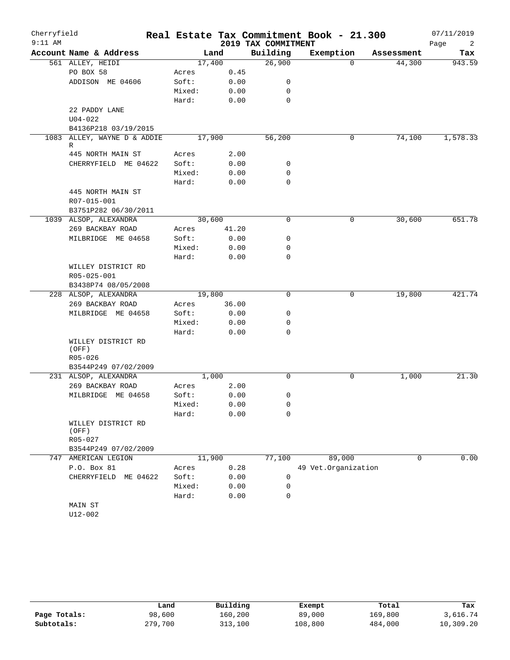| Cherryfield<br>$9:11$ AM |                             |        |        | 2019 TAX COMMITMENT | Real Estate Tax Commitment Book - 21.300 |             | 07/11/2019<br>Page<br>2 |
|--------------------------|-----------------------------|--------|--------|---------------------|------------------------------------------|-------------|-------------------------|
|                          | Account Name & Address      |        | Land   | Building            | Exemption                                | Assessment  | Tax                     |
|                          | 561 ALLEY, HEIDI            |        | 17,400 | 26,900              | $\Omega$                                 | 44,300      | 943.59                  |
|                          | PO BOX 58                   | Acres  | 0.45   |                     |                                          |             |                         |
|                          | ADDISON ME 04606            | Soft:  | 0.00   | 0                   |                                          |             |                         |
|                          |                             | Mixed: | 0.00   | 0                   |                                          |             |                         |
|                          |                             | Hard:  | 0.00   | 0                   |                                          |             |                         |
|                          | 22 PADDY LANE               |        |        |                     |                                          |             |                         |
|                          | $U04 - 022$                 |        |        |                     |                                          |             |                         |
|                          | B4136P218 03/19/2015        |        |        |                     |                                          |             |                         |
| 1083                     | ALLEY, WAYNE D & ADDIE<br>R |        | 17,900 | 56,200              | 0                                        | 74,100      | 1,578.33                |
|                          | 445 NORTH MAIN ST           | Acres  | 2.00   |                     |                                          |             |                         |
|                          | CHERRYFIELD ME 04622        | Soft:  | 0.00   | 0                   |                                          |             |                         |
|                          |                             | Mixed: | 0.00   | 0                   |                                          |             |                         |
|                          |                             | Hard:  | 0.00   | 0                   |                                          |             |                         |
|                          | 445 NORTH MAIN ST           |        |        |                     |                                          |             |                         |
|                          | R07-015-001                 |        |        |                     |                                          |             |                         |
|                          | B3751P282 06/30/2011        |        |        |                     |                                          |             |                         |
|                          | 1039 ALSOP, ALEXANDRA       |        | 30,600 | 0                   | 0                                        | 30,600      | 651.78                  |
|                          | 269 BACKBAY ROAD            | Acres  | 41.20  |                     |                                          |             |                         |
|                          | MILBRIDGE ME 04658          | Soft:  | 0.00   | 0                   |                                          |             |                         |
|                          |                             | Mixed: | 0.00   | 0                   |                                          |             |                         |
|                          |                             | Hard:  | 0.00   | 0                   |                                          |             |                         |
|                          | WILLEY DISTRICT RD          |        |        |                     |                                          |             |                         |
|                          | R05-025-001                 |        |        |                     |                                          |             |                         |
|                          | B3438P74 08/05/2008         |        |        |                     |                                          |             |                         |
|                          | 228 ALSOP, ALEXANDRA        |        | 19,800 | $\Omega$            | 0                                        | 19,800      | 421.74                  |
|                          | 269 BACKBAY ROAD            | Acres  | 36.00  |                     |                                          |             |                         |
|                          | MILBRIDGE ME 04658          | Soft:  | 0.00   | 0                   |                                          |             |                         |
|                          |                             | Mixed: | 0.00   | 0                   |                                          |             |                         |
|                          |                             | Hard:  | 0.00   | 0                   |                                          |             |                         |
|                          | WILLEY DISTRICT RD<br>(OFF) |        |        |                     |                                          |             |                         |
|                          | $R05 - 026$                 |        |        |                     |                                          |             |                         |
|                          | B3544P249 07/02/2009        |        |        |                     |                                          |             |                         |
|                          | 231 ALSOP, ALEXANDRA        |        | 1,000  | $\mathbf 0$         | 0                                        | 1,000       | 21.30                   |
|                          | 269 BACKBAY ROAD            | Acres  | 2.00   |                     |                                          |             |                         |
|                          | MILBRIDGE ME 04658          | Soft:  | 0.00   | 0                   |                                          |             |                         |
|                          |                             | Mixed: | 0.00   | 0                   |                                          |             |                         |
|                          |                             | Hard:  | 0.00   | 0                   |                                          |             |                         |
|                          | WILLEY DISTRICT RD<br>(OFF) |        |        |                     |                                          |             |                         |
|                          | R05-027                     |        |        |                     |                                          |             |                         |
|                          | B3544P249 07/02/2009        |        |        |                     |                                          |             |                         |
| 747                      | AMERICAN LEGION             |        | 11,900 | 77,100              | 89,000                                   | $\mathbf 0$ | 0.00                    |
|                          | P.O. Box 81                 | Acres  | 0.28   |                     | 49 Vet.Organization                      |             |                         |
|                          | CHERRYFIELD ME 04622        | Soft:  | 0.00   | 0                   |                                          |             |                         |
|                          |                             | Mixed: | 0.00   | 0                   |                                          |             |                         |
|                          |                             | Hard:  | 0.00   | 0                   |                                          |             |                         |
|                          | MAIN ST                     |        |        |                     |                                          |             |                         |
|                          | U12-002                     |        |        |                     |                                          |             |                         |

|              | Land    | Building | Exempt  | Total   | Tax       |
|--------------|---------|----------|---------|---------|-----------|
| Page Totals: | 98,600  | 160,200  | 89,000  | 169,800 | 3,616.74  |
| Subtotals:   | 279,700 | 313,100  | 108,800 | 484,000 | 10,309.20 |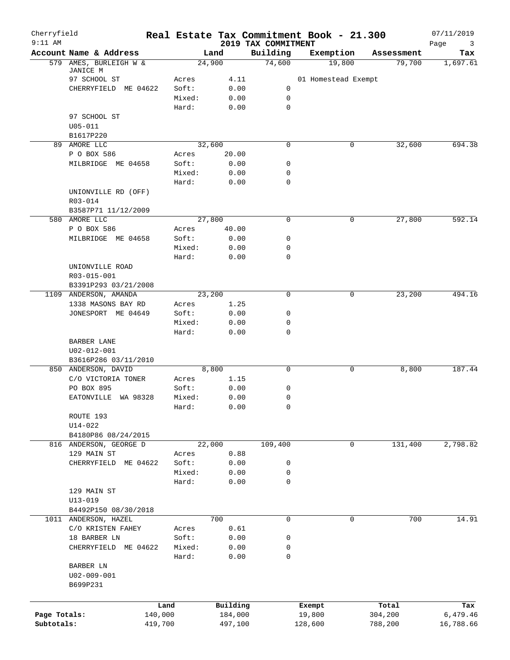| Cherryfield<br>$9:11$ AM |                          |        |          | 2019 TAX COMMITMENT | Real Estate Tax Commitment Book - 21.300 |              | 07/11/2019       |
|--------------------------|--------------------------|--------|----------|---------------------|------------------------------------------|--------------|------------------|
|                          | Account Name & Address   |        | Land     | Building            | Exemption                                | Assessment   | Page<br>3<br>Tax |
|                          | 579 AMES, BURLEIGH W &   |        | 24,900   | 74,600              | 19,800                                   | 79,700       | 1,697.61         |
|                          | JANICE M<br>97 SCHOOL ST | Acres  | 4.11     |                     | 01 Homestead Exempt                      |              |                  |
|                          | CHERRYFIELD ME 04622     | Soft:  | 0.00     | 0                   |                                          |              |                  |
|                          |                          | Mixed: | 0.00     | 0                   |                                          |              |                  |
|                          |                          | Hard:  | 0.00     | 0                   |                                          |              |                  |
|                          | 97 SCHOOL ST             |        |          |                     |                                          |              |                  |
|                          | $U05 - 011$              |        |          |                     |                                          |              |                  |
|                          | B1617P220                |        |          |                     |                                          |              |                  |
|                          | 89 AMORE LLC             |        | 32,600   | $\mathbf 0$         |                                          | 0<br>32,600  | 694.38           |
|                          | P O BOX 586              | Acres  | 20.00    |                     |                                          |              |                  |
|                          | MILBRIDGE ME 04658       | Soft:  | 0.00     | 0                   |                                          |              |                  |
|                          |                          | Mixed: | 0.00     | 0                   |                                          |              |                  |
|                          |                          | Hard:  | 0.00     | $\mathbf 0$         |                                          |              |                  |
|                          | UNIONVILLE RD (OFF)      |        |          |                     |                                          |              |                  |
|                          | R03-014                  |        |          |                     |                                          |              |                  |
|                          | B3587P71 11/12/2009      |        |          |                     |                                          |              |                  |
|                          | 580 AMORE LLC            |        | 27,800   | 0                   |                                          | 0<br>27,800  | 592.14           |
|                          | P O BOX 586              | Acres  | 40.00    |                     |                                          |              |                  |
|                          | MILBRIDGE ME 04658       | Soft:  | 0.00     | 0                   |                                          |              |                  |
|                          |                          | Mixed: | 0.00     | 0                   |                                          |              |                  |
|                          |                          | Hard:  | 0.00     | 0                   |                                          |              |                  |
|                          | UNIONVILLE ROAD          |        |          |                     |                                          |              |                  |
|                          | R03-015-001              |        |          |                     |                                          |              |                  |
|                          | B3391P293 03/21/2008     |        |          |                     |                                          |              |                  |
|                          | 1109 ANDERSON, AMANDA    |        | 23,200   | $\mathbf 0$         |                                          | 23,200<br>0  | 494.16           |
|                          | 1338 MASONS BAY RD       | Acres  | 1.25     |                     |                                          |              |                  |
|                          | JONESPORT ME 04649       | Soft:  | 0.00     | 0                   |                                          |              |                  |
|                          |                          | Mixed: | 0.00     | 0                   |                                          |              |                  |
|                          |                          | Hard:  | 0.00     | $\mathbf 0$         |                                          |              |                  |
|                          | BARBER LANE              |        |          |                     |                                          |              |                  |
|                          | U02-012-001              |        |          |                     |                                          |              |                  |
|                          | B3616P286 03/11/2010     |        |          |                     |                                          |              |                  |
|                          | 850 ANDERSON, DAVID      |        | 8,800    | 0                   |                                          | 0<br>8,800   | 187.44           |
|                          | C/O VICTORIA TONER       | Acres  | 1.15     |                     |                                          |              |                  |
|                          | PO BOX 895               | Soft:  | 0.00     | 0                   |                                          |              |                  |
|                          | EATONVILLE WA 98328      | Mixed: | 0.00     | 0                   |                                          |              |                  |
|                          |                          | Hard:  | 0.00     | 0                   |                                          |              |                  |
|                          | ROUTE 193                |        |          |                     |                                          |              |                  |
|                          | $U14 - 022$              |        |          |                     |                                          |              |                  |
|                          | B4180P86 08/24/2015      |        |          |                     |                                          |              |                  |
|                          | 816 ANDERSON, GEORGE D   |        | 22,000   | 109,400             |                                          | 131,400<br>0 | 2,798.82         |
|                          | 129 MAIN ST              | Acres  | 0.88     |                     |                                          |              |                  |
|                          | CHERRYFIELD<br>ME 04622  | Soft:  | 0.00     | 0                   |                                          |              |                  |
|                          |                          | Mixed: | 0.00     | 0                   |                                          |              |                  |
|                          |                          | Hard:  | 0.00     | $\mathbf 0$         |                                          |              |                  |
|                          | 129 MAIN ST              |        |          |                     |                                          |              |                  |
|                          | $U13 - 019$              |        |          |                     |                                          |              |                  |
|                          | B4492P150 08/30/2018     |        |          |                     |                                          |              |                  |
|                          | 1011 ANDERSON, HAZEL     |        | 700      | $\mathbf 0$         |                                          | 700<br>0     | 14.91            |
|                          | C/O KRISTEN FAHEY        | Acres  | 0.61     |                     |                                          |              |                  |
|                          | 18 BARBER LN             | Soft:  | 0.00     | 0                   |                                          |              |                  |
|                          | CHERRYFIELD ME 04622     | Mixed: | 0.00     | 0                   |                                          |              |                  |
|                          |                          | Hard:  | 0.00     | 0                   |                                          |              |                  |
|                          | BARBER LN                |        |          |                     |                                          |              |                  |
|                          | U02-009-001              |        |          |                     |                                          |              |                  |
|                          | B699P231                 |        |          |                     |                                          |              |                  |
|                          |                          |        |          |                     |                                          |              |                  |
|                          |                          | Land   | Building |                     | Exempt                                   | Total        | Tax              |
| Page Totals:             | 140,000                  |        | 184,000  |                     | 19,800                                   | 304,200      | 6,479.46         |
| Subtotals:               | 419,700                  |        | 497,100  |                     | 128,600                                  | 788,200      | 16,788.66        |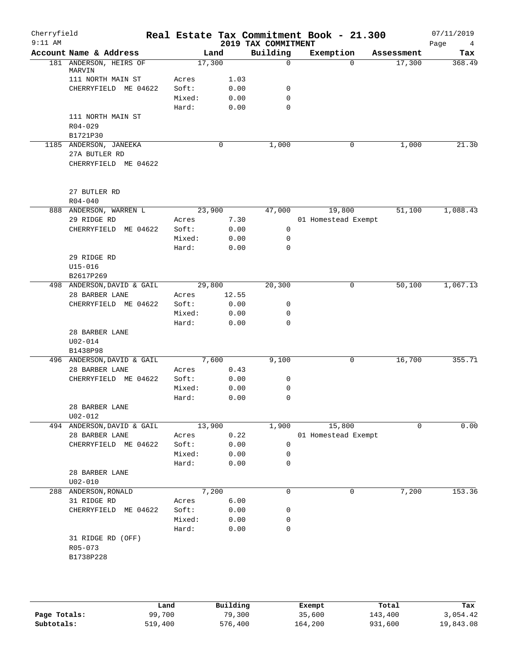| Cherryfield<br>$9:11$ AM |                                  |        |       | 2019 TAX COMMITMENT | Real Estate Tax Commitment Book - 21.300 |             | 07/11/2019<br>Page<br>$\overline{4}$ |
|--------------------------|----------------------------------|--------|-------|---------------------|------------------------------------------|-------------|--------------------------------------|
|                          | Account Name & Address           | Land   |       | Building            | Exemption                                | Assessment  | Tax                                  |
|                          | 181 ANDERSON, HEIRS OF<br>MARVIN | 17,300 |       | $\mathbf 0$         | $\Omega$                                 | 17,300      | 368.49                               |
|                          | 111 NORTH MAIN ST                | Acres  | 1.03  |                     |                                          |             |                                      |
|                          | CHERRYFIELD ME 04622             | Soft:  | 0.00  | 0                   |                                          |             |                                      |
|                          |                                  | Mixed: | 0.00  | 0                   |                                          |             |                                      |
|                          |                                  | Hard:  | 0.00  | 0                   |                                          |             |                                      |
|                          | 111 NORTH MAIN ST                |        |       |                     |                                          |             |                                      |
|                          | R04-029                          |        |       |                     |                                          |             |                                      |
|                          | B1721P30                         |        |       |                     |                                          |             |                                      |
|                          | 1185 ANDERSON, JANEEKA           |        | 0     | 1,000               | 0                                        | 1,000       | 21.30                                |
|                          | 27A BUTLER RD                    |        |       |                     |                                          |             |                                      |
|                          | CHERRYFIELD ME 04622             |        |       |                     |                                          |             |                                      |
|                          | 27 BUTLER RD                     |        |       |                     |                                          |             |                                      |
|                          | $R04 - 040$                      |        |       |                     |                                          |             |                                      |
|                          | 888 ANDERSON, WARREN L           | 23,900 |       | 47,000              | 19,800                                   | 51,100      | 1,088.43                             |
|                          | 29 RIDGE RD                      | Acres  | 7.30  |                     | 01 Homestead Exempt                      |             |                                      |
|                          | CHERRYFIELD ME 04622             | Soft:  | 0.00  | 0                   |                                          |             |                                      |
|                          |                                  | Mixed: | 0.00  | 0                   |                                          |             |                                      |
|                          |                                  | Hard:  | 0.00  | $\mathbf 0$         |                                          |             |                                      |
|                          | 29 RIDGE RD                      |        |       |                     |                                          |             |                                      |
|                          | $U15 - 016$                      |        |       |                     |                                          |             |                                      |
|                          | B2617P269                        |        |       |                     |                                          |             |                                      |
|                          | 498 ANDERSON, DAVID & GAIL       | 29,800 |       | 20,300              | $\mathbf 0$                              | 50,100      | 1,067.13                             |
|                          | 28 BARBER LANE                   | Acres  | 12.55 |                     |                                          |             |                                      |
|                          | CHERRYFIELD ME 04622             | Soft:  | 0.00  | $\mathsf{O}$        |                                          |             |                                      |
|                          |                                  | Mixed: | 0.00  | 0                   |                                          |             |                                      |
|                          |                                  | Hard:  | 0.00  | $\mathbf 0$         |                                          |             |                                      |
|                          | 28 BARBER LANE                   |        |       |                     |                                          |             |                                      |
|                          | $U02 - 014$                      |        |       |                     |                                          |             |                                      |
|                          | B1438P98                         |        |       |                     |                                          |             |                                      |
|                          | 496 ANDERSON, DAVID & GAIL       | 7,600  |       | 9,100               | 0                                        | 16,700      | 355.71                               |
|                          | 28 BARBER LANE                   | Acres  | 0.43  |                     |                                          |             |                                      |
|                          | CHERRYFIELD ME 04622             | Soft:  | 0.00  | 0                   |                                          |             |                                      |
|                          |                                  | Mixed: | 0.00  | 0                   |                                          |             |                                      |
|                          |                                  | Hard:  | 0.00  | 0                   |                                          |             |                                      |
|                          | 28 BARBER LANE                   |        |       |                     |                                          |             |                                      |
|                          | $U02 - 012$                      |        |       |                     |                                          |             |                                      |
|                          | 494 ANDERSON, DAVID & GAIL       | 13,900 |       | 1,900               | 15,800                                   | $\mathbf 0$ | 0.00                                 |
|                          | 28 BARBER LANE                   | Acres  | 0.22  |                     | 01 Homestead Exempt                      |             |                                      |
|                          | CHERRYFIELD ME 04622             | Soft:  | 0.00  | 0                   |                                          |             |                                      |
|                          |                                  | Mixed: | 0.00  | 0                   |                                          |             |                                      |
|                          |                                  | Hard:  | 0.00  | 0                   |                                          |             |                                      |
|                          | 28 BARBER LANE<br>$U02 - 010$    |        |       |                     |                                          |             |                                      |
| 288                      | ANDERSON, RONALD                 | 7,200  |       | 0                   | 0                                        | 7,200       | 153.36                               |
|                          | 31 RIDGE RD                      | Acres  | 6.00  |                     |                                          |             |                                      |
|                          | CHERRYFIELD ME 04622             | Soft:  | 0.00  | 0                   |                                          |             |                                      |
|                          |                                  | Mixed: | 0.00  | 0                   |                                          |             |                                      |
|                          |                                  | Hard:  | 0.00  | 0                   |                                          |             |                                      |
|                          | 31 RIDGE RD (OFF)                |        |       |                     |                                          |             |                                      |
|                          | R05-073                          |        |       |                     |                                          |             |                                      |
|                          | B1738P228                        |        |       |                     |                                          |             |                                      |
|                          |                                  |        |       |                     |                                          |             |                                      |
|                          |                                  |        |       |                     |                                          |             |                                      |

|              | Land    | Building | Exempt  | Total   | Tax       |
|--------------|---------|----------|---------|---------|-----------|
| Page Totals: | 99,700  | 79,300   | 35,600  | 143,400 | 3,054.42  |
| Subtotals:   | 519,400 | 576,400  | 164,200 | 931,600 | 19,843.08 |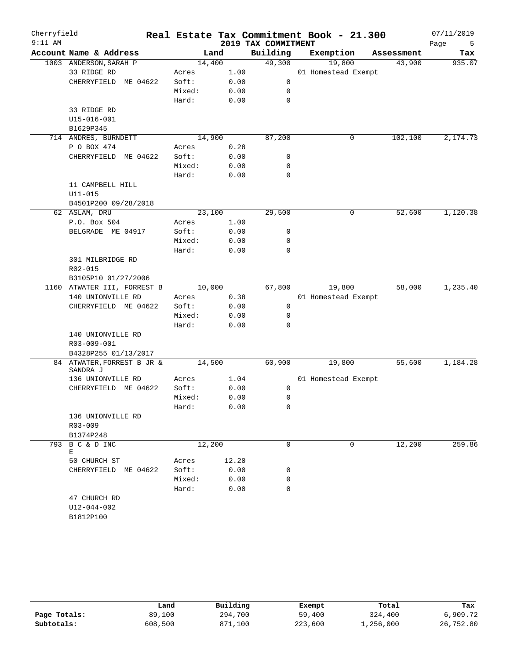| Cherryfield<br>$9:11$ AM |                              |        |       |                                 | Real Estate Tax Commitment Book - 21.300 |            | 07/11/2019       |
|--------------------------|------------------------------|--------|-------|---------------------------------|------------------------------------------|------------|------------------|
|                          | Account Name & Address       |        | Land  | 2019 TAX COMMITMENT<br>Building | Exemption                                | Assessment | Page<br>5<br>Tax |
|                          | 1003 ANDERSON, SARAH P       | 14,400 |       | 49,300                          | 19,800                                   | 43,900     | 935.07           |
|                          | 33 RIDGE RD                  | Acres  | 1.00  |                                 | 01 Homestead Exempt                      |            |                  |
|                          | CHERRYFIELD<br>ME 04622      | Soft:  | 0.00  | 0                               |                                          |            |                  |
|                          |                              | Mixed: | 0.00  | 0                               |                                          |            |                  |
|                          |                              | Hard:  | 0.00  | $\mathbf 0$                     |                                          |            |                  |
|                          | 33 RIDGE RD                  |        |       |                                 |                                          |            |                  |
|                          | U15-016-001                  |        |       |                                 |                                          |            |                  |
|                          | B1629P345                    |        |       |                                 |                                          |            |                  |
|                          | 714 ANDRES, BURNDETT         | 14,900 |       | 87,200                          | $\mathsf{O}$                             | 102,100    | 2,174.73         |
|                          | P O BOX 474                  | Acres  | 0.28  |                                 |                                          |            |                  |
|                          | CHERRYFIELD<br>ME 04622      | Soft:  | 0.00  | 0                               |                                          |            |                  |
|                          |                              | Mixed: | 0.00  | 0                               |                                          |            |                  |
|                          |                              | Hard:  | 0.00  | $\mathbf 0$                     |                                          |            |                  |
|                          | 11 CAMPBELL HILL             |        |       |                                 |                                          |            |                  |
|                          | $U11 - 015$                  |        |       |                                 |                                          |            |                  |
|                          | B4501P200 09/28/2018         |        |       |                                 |                                          |            |                  |
|                          | 62 ASLAM, DRU                | 23,100 |       | 29,500                          | $\mathsf{O}$                             | 52,600     | 1,120.38         |
|                          | P.O. Box 504                 | Acres  | 1.00  |                                 |                                          |            |                  |
|                          | BELGRADE ME 04917            | Soft:  | 0.00  | 0                               |                                          |            |                  |
|                          |                              | Mixed: | 0.00  | 0                               |                                          |            |                  |
|                          |                              | Hard:  | 0.00  | $\mathbf 0$                     |                                          |            |                  |
|                          | 301 MILBRIDGE RD             |        |       |                                 |                                          |            |                  |
|                          | R02-015                      |        |       |                                 |                                          |            |                  |
|                          | B3105P10 01/27/2006          |        |       |                                 |                                          |            |                  |
|                          | 1160 ATWATER III, FORREST B  | 10,000 |       | 67,800                          | 19,800                                   | 58,000     | 1,235.40         |
|                          | 140 UNIONVILLE RD            | Acres  | 0.38  |                                 | 01 Homestead Exempt                      |            |                  |
|                          | CHERRYFIELD ME 04622         | Soft:  | 0.00  | 0                               |                                          |            |                  |
|                          |                              | Mixed: | 0.00  | 0                               |                                          |            |                  |
|                          |                              | Hard:  | 0.00  | $\Omega$                        |                                          |            |                  |
|                          | 140 UNIONVILLE RD            |        |       |                                 |                                          |            |                  |
|                          | R03-009-001                  |        |       |                                 |                                          |            |                  |
|                          | B4328P255 01/13/2017         |        |       |                                 |                                          |            |                  |
|                          | 84 ATWATER, FORREST B JR &   | 14,500 |       | 60,900                          | 19,800                                   | 55,600     | 1,184.28         |
|                          | SANDRA J                     |        |       |                                 |                                          |            |                  |
|                          | 136 UNIONVILLE RD            | Acres  | 1.04  |                                 | 01 Homestead Exempt                      |            |                  |
|                          | ME 04622<br>CHERRYFIELD      | Soft:  | 0.00  | 0                               |                                          |            |                  |
|                          |                              | Mixed: | 0.00  | 0                               |                                          |            |                  |
|                          |                              | Hard:  | 0.00  | 0                               |                                          |            |                  |
|                          | 136 UNIONVILLE RD            |        |       |                                 |                                          |            |                  |
|                          | R03-009                      |        |       |                                 |                                          |            |                  |
|                          | B1374P248<br>793 B C & D INC |        |       | 0                               | $\Omega$                                 |            | 259.86           |
|                          | Е                            | 12,200 |       |                                 |                                          | 12,200     |                  |
|                          | 50 CHURCH ST                 | Acres  | 12.20 |                                 |                                          |            |                  |
|                          | CHERRYFIELD ME 04622         | Soft:  | 0.00  | 0                               |                                          |            |                  |
|                          |                              | Mixed: | 0.00  | 0                               |                                          |            |                  |
|                          |                              | Hard:  | 0.00  | $\Omega$                        |                                          |            |                  |
|                          | 47 CHURCH RD                 |        |       |                                 |                                          |            |                  |
|                          | U12-044-002                  |        |       |                                 |                                          |            |                  |
|                          | B1812P100                    |        |       |                                 |                                          |            |                  |

|              | Land    | Building | Exempt  | Total     | Tax       |
|--------------|---------|----------|---------|-----------|-----------|
| Page Totals: | 89,100  | 294,700  | 59,400  | 324,400   | 6,909.72  |
| Subtotals:   | 608,500 | 871,100  | 223,600 | 1,256,000 | 26,752.80 |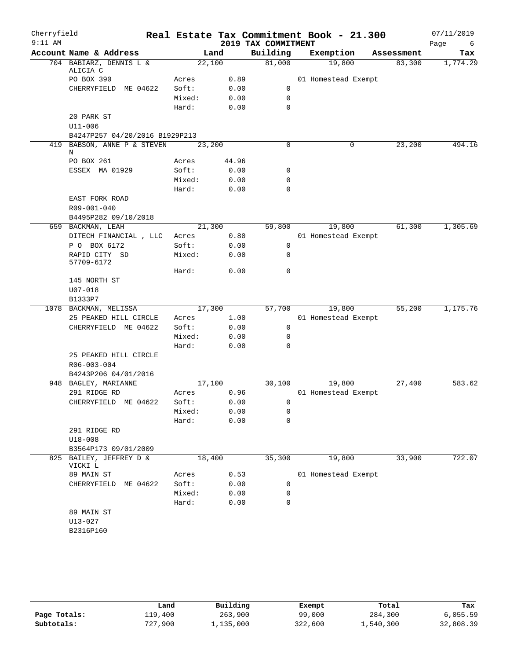| Cherryfield<br>$9:11$ AM |                                                               |        |       | 2019 TAX COMMITMENT | Real Estate Tax Commitment Book - 21.300 |            | 07/11/2019<br>Page<br>6 |
|--------------------------|---------------------------------------------------------------|--------|-------|---------------------|------------------------------------------|------------|-------------------------|
|                          | Account Name & Address                                        |        | Land  | Building            | Exemption                                | Assessment | Tax                     |
|                          | 704 BABIARZ, DENNIS L &                                       | 22,100 |       | 81,000              | 19,800                                   | 83,300     | 1,774.29                |
|                          | ALICIA C                                                      |        |       |                     |                                          |            |                         |
|                          | PO BOX 390                                                    | Acres  | 0.89  |                     | 01 Homestead Exempt                      |            |                         |
|                          | CHERRYFIELD ME 04622                                          | Soft:  | 0.00  | 0                   |                                          |            |                         |
|                          |                                                               | Mixed: | 0.00  | 0                   |                                          |            |                         |
|                          |                                                               | Hard:  | 0.00  | 0                   |                                          |            |                         |
|                          | 20 PARK ST                                                    |        |       |                     |                                          |            |                         |
|                          | $U11 - 006$                                                   |        |       |                     |                                          |            |                         |
|                          | B4247P257 04/20/2016 B1929P213<br>419 BABSON, ANNE P & STEVEN | 23,200 |       | 0                   | 0                                        | 23,200     | 494.16                  |
|                          | Ν                                                             |        |       |                     |                                          |            |                         |
|                          | PO BOX 261                                                    | Acres  | 44.96 |                     |                                          |            |                         |
|                          | ESSEX MA 01929                                                | Soft:  | 0.00  | 0                   |                                          |            |                         |
|                          |                                                               | Mixed: | 0.00  | 0                   |                                          |            |                         |
|                          |                                                               | Hard:  | 0.00  | 0                   |                                          |            |                         |
|                          | EAST FORK ROAD                                                |        |       |                     |                                          |            |                         |
|                          | R09-001-040                                                   |        |       |                     |                                          |            |                         |
|                          | B4495P282 09/10/2018                                          |        |       |                     |                                          |            |                         |
|                          | 659 BACKMAN, LEAH                                             | 21,300 |       | 59,800              | 19,800                                   | 61,300     | 1,305.69                |
|                          | DITECH FINANCIAL, LLC                                         | Acres  | 0.80  |                     | 01 Homestead Exempt                      |            |                         |
|                          | P O BOX 6172                                                  | Soft:  | 0.00  | 0                   |                                          |            |                         |
|                          | RAPID CITY SD<br>57709-6172                                   | Mixed: | 0.00  | 0                   |                                          |            |                         |
|                          |                                                               | Hard:  | 0.00  | $\mathbf 0$         |                                          |            |                         |
|                          | 145 NORTH ST                                                  |        |       |                     |                                          |            |                         |
|                          | $U07 - 018$                                                   |        |       |                     |                                          |            |                         |
|                          | B1333P7                                                       |        |       |                     |                                          |            |                         |
|                          | 1078 BACKMAN, MELISSA                                         | 17,300 |       | 57,700              | 19,800                                   | 55,200     | 1,175.76                |
|                          | 25 PEAKED HILL CIRCLE                                         | Acres  | 1.00  |                     | 01 Homestead Exempt                      |            |                         |
|                          | CHERRYFIELD ME 04622                                          | Soft:  | 0.00  | 0                   |                                          |            |                         |
|                          |                                                               | Mixed: | 0.00  | 0                   |                                          |            |                         |
|                          |                                                               | Hard:  | 0.00  | 0                   |                                          |            |                         |
|                          | 25 PEAKED HILL CIRCLE                                         |        |       |                     |                                          |            |                         |
|                          | R06-003-004                                                   |        |       |                     |                                          |            |                         |
|                          | B4243P206 04/01/2016                                          |        |       |                     |                                          |            |                         |
|                          | 948 BAGLEY, MARIANNE                                          | 17,100 |       | 30,100              | 19,800                                   | 27,400     | 583.62                  |
|                          | 291 RIDGE RD                                                  | Acres  | 0.96  |                     | 01 Homestead Exempt                      |            |                         |
|                          | CHERRYFIELD ME 04622                                          | Soft:  | 0.00  | $\mathbf{0}$        |                                          |            |                         |
|                          |                                                               | Mixed: | 0.00  | 0                   |                                          |            |                         |
|                          |                                                               | Hard:  | 0.00  | 0                   |                                          |            |                         |
|                          | 291 RIDGE RD                                                  |        |       |                     |                                          |            |                         |
|                          | $U18 - 008$                                                   |        |       |                     |                                          |            |                         |
|                          | B3564P173 09/01/2009                                          |        |       |                     |                                          |            |                         |
| 825                      | BAILEY, JEFFREY D &<br>VICKI L                                | 18,400 |       | 35,300              | 19,800                                   | 33,900     | 722.07                  |
|                          | 89 MAIN ST                                                    | Acres  | 0.53  |                     | 01 Homestead Exempt                      |            |                         |
|                          | CHERRYFIELD<br>ME 04622                                       | Soft:  | 0.00  | 0                   |                                          |            |                         |
|                          |                                                               | Mixed: | 0.00  | 0                   |                                          |            |                         |
|                          |                                                               | Hard:  | 0.00  | 0                   |                                          |            |                         |
|                          | 89 MAIN ST                                                    |        |       |                     |                                          |            |                         |
|                          | $U13 - 027$                                                   |        |       |                     |                                          |            |                         |
|                          | B2316P160                                                     |        |       |                     |                                          |            |                         |
|                          |                                                               |        |       |                     |                                          |            |                         |

|              | Land    | Building  | Exempt  | Total     | Tax       |
|--------------|---------|-----------|---------|-----------|-----------|
| Page Totals: | 119,400 | 263,900   | 99,000  | 284,300   | 6,055.59  |
| Subtotals:   | 727,900 | 1,135,000 | 322,600 | 1,540,300 | 32,808.39 |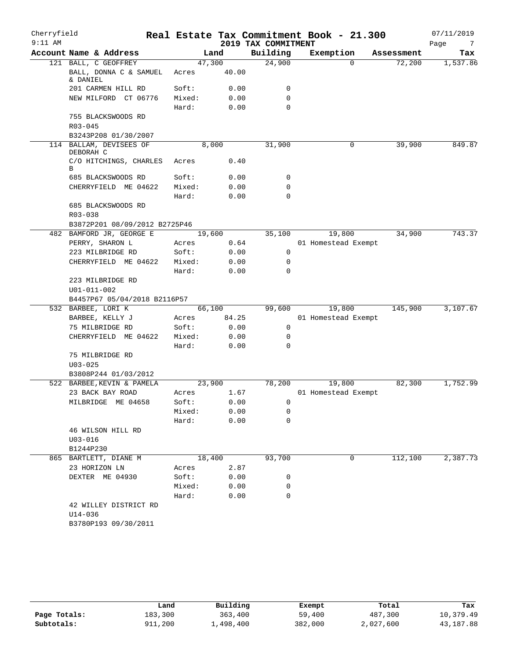| Cherryfield<br>$9:11$ AM |                                      |        |        | 2019 TAX COMMITMENT | Real Estate Tax Commitment Book - 21.300 |            | 07/11/2019<br>Page<br>7 |
|--------------------------|--------------------------------------|--------|--------|---------------------|------------------------------------------|------------|-------------------------|
|                          | Account Name & Address               |        | Land   | Building            | Exemption                                | Assessment | Tax                     |
|                          | 121 BALL, C GEOFFREY                 |        | 47,300 | 24,900              | $\Omega$                                 | 72,200     | 1,537.86                |
|                          | BALL, DONNA C & SAMUEL<br>& DANIEL   | Acres  | 40.00  |                     |                                          |            |                         |
|                          | 201 CARMEN HILL RD                   | Soft:  | 0.00   | 0                   |                                          |            |                         |
|                          | NEW MILFORD CT 06776                 | Mixed: | 0.00   | $\mathbf 0$         |                                          |            |                         |
|                          |                                      | Hard:  | 0.00   | $\mathbf 0$         |                                          |            |                         |
|                          | 755 BLACKSWOODS RD                   |        |        |                     |                                          |            |                         |
|                          | $R03 - 045$                          |        |        |                     |                                          |            |                         |
|                          | B3243P208 01/30/2007                 |        |        |                     |                                          |            |                         |
|                          | 114 BALLAM, DEVISEES OF<br>DEBORAH C |        | 8,000  | 31,900              | 0                                        | 39,900     | 849.87                  |
|                          | C/O HITCHINGS, CHARLES<br>В          | Acres  | 0.40   |                     |                                          |            |                         |
|                          | 685 BLACKSWOODS RD                   | Soft:  | 0.00   | 0                   |                                          |            |                         |
|                          | CHERRYFIELD ME 04622                 | Mixed: | 0.00   | 0                   |                                          |            |                         |
|                          |                                      | Hard:  | 0.00   | 0                   |                                          |            |                         |
|                          | 685 BLACKSWOODS RD<br>R03-038        |        |        |                     |                                          |            |                         |
|                          | B3872P201 08/09/2012 B2725P46        |        |        |                     |                                          |            |                         |
|                          | 482 BAMFORD JR, GEORGE E             |        | 19,600 | 35,100              | 19,800                                   | 34,900     | 743.37                  |
|                          | PERRY, SHARON L                      | Acres  | 0.64   |                     | 01 Homestead Exempt                      |            |                         |
|                          | 223 MILBRIDGE RD                     | Soft:  | 0.00   | $\mathbf 0$         |                                          |            |                         |
|                          | CHERRYFIELD ME 04622                 | Mixed: | 0.00   | 0                   |                                          |            |                         |
|                          |                                      | Hard:  | 0.00   | 0                   |                                          |            |                         |
|                          | 223 MILBRIDGE RD                     |        |        |                     |                                          |            |                         |
|                          | U01-011-002                          |        |        |                     |                                          |            |                         |
|                          | B4457P67 05/04/2018 B2116P57         |        |        |                     |                                          |            |                         |
|                          | 532 BARBEE, LORI K                   |        | 66,100 | 99,600              | 19,800                                   | 145,900    | 3,107.67                |
|                          | BARBEE, KELLY J                      | Acres  | 84.25  |                     | 01 Homestead Exempt                      |            |                         |
|                          | 75 MILBRIDGE RD                      | Soft:  | 0.00   | 0                   |                                          |            |                         |
|                          | CHERRYFIELD ME 04622                 | Mixed: | 0.00   | 0                   |                                          |            |                         |
|                          |                                      | Hard:  | 0.00   | 0                   |                                          |            |                         |
|                          | 75 MILBRIDGE RD                      |        |        |                     |                                          |            |                         |
|                          | $U03 - 025$                          |        |        |                     |                                          |            |                         |
|                          | B3808P244 01/03/2012                 |        |        |                     |                                          |            |                         |
|                          | 522 BARBEE, KEVIN & PAMELA           |        | 23,900 | 78,200              | 19,800                                   | 82,300     | 1,752.99                |
|                          | 23 BACK BAY ROAD                     | Acres  | 1.67   |                     | 01 Homestead Exempt                      |            |                         |
|                          | MILBRIDGE ME 04658                   | Soft:  | 0.00   | 0                   |                                          |            |                         |
|                          |                                      | Mixed: | 0.00   | 0                   |                                          |            |                         |
|                          |                                      | Hard:  | 0.00   | 0                   |                                          |            |                         |
|                          | 46 WILSON HILL RD                    |        |        |                     |                                          |            |                         |
|                          | $U03 - 016$                          |        |        |                     |                                          |            |                         |
|                          | B1244P230                            |        |        |                     |                                          |            |                         |
|                          | 865 BARTLETT, DIANE M                |        | 18,400 | 93,700              | 0                                        | 112,100    | 2,387.73                |
|                          | 23 HORIZON LN                        | Acres  | 2.87   |                     |                                          |            |                         |
|                          | DEXTER ME 04930                      | Soft:  | 0.00   | 0                   |                                          |            |                         |
|                          |                                      | Mixed: | 0.00   | 0                   |                                          |            |                         |
|                          |                                      | Hard:  | 0.00   | 0                   |                                          |            |                         |
|                          | 42 WILLEY DISTRICT RD<br>$U14 - 036$ |        |        |                     |                                          |            |                         |
|                          | B3780P193 09/30/2011                 |        |        |                     |                                          |            |                         |
|                          |                                      |        |        |                     |                                          |            |                         |

|              | Land    | Building  | Exempt  | Total     | Tax       |
|--------------|---------|-----------|---------|-----------|-----------|
| Page Totals: | 183,300 | 363,400   | 59,400  | 487,300   | 10,379.49 |
| Subtotals:   | 911,200 | 1,498,400 | 382,000 | 2,027,600 | 43,187.88 |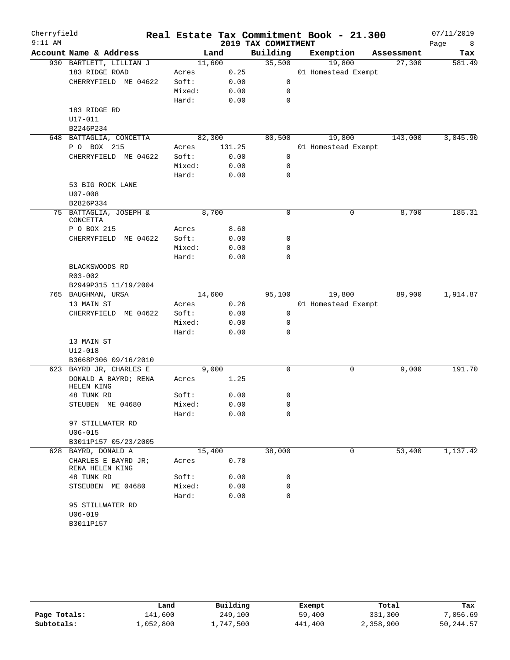| Cherryfield<br>$9:11$ AM |                                        |        |        |                                 | Real Estate Tax Commitment Book - 21.300 |            | 07/11/2019       |
|--------------------------|----------------------------------------|--------|--------|---------------------------------|------------------------------------------|------------|------------------|
|                          | Account Name & Address                 |        | Land   | 2019 TAX COMMITMENT<br>Building | Exemption                                | Assessment | Page<br>8<br>Tax |
|                          | 930 BARTLETT, LILLIAN J                |        | 11,600 | 35,500                          | 19,800                                   | 27,300     | 581.49           |
|                          | 183 RIDGE ROAD                         | Acres  | 0.25   |                                 | 01 Homestead Exempt                      |            |                  |
|                          | CHERRYFIELD ME 04622                   | Soft:  | 0.00   | 0                               |                                          |            |                  |
|                          |                                        | Mixed: | 0.00   | 0                               |                                          |            |                  |
|                          |                                        | Hard:  | 0.00   | $\mathbf 0$                     |                                          |            |                  |
|                          | 183 RIDGE RD                           |        |        |                                 |                                          |            |                  |
|                          | U17-011                                |        |        |                                 |                                          |            |                  |
|                          | B2246P234                              |        |        |                                 |                                          |            |                  |
|                          | 648 BATTAGLIA, CONCETTA                |        | 82,300 | 80,500                          | 19,800                                   | 143,000    | 3,045.90         |
|                          | P O BOX 215                            | Acres  | 131.25 |                                 | 01 Homestead Exempt                      |            |                  |
|                          | CHERRYFIELD ME 04622                   | Soft:  | 0.00   | 0                               |                                          |            |                  |
|                          |                                        | Mixed: | 0.00   | 0                               |                                          |            |                  |
|                          |                                        | Hard:  | 0.00   | 0                               |                                          |            |                  |
|                          | 53 BIG ROCK LANE                       |        |        |                                 |                                          |            |                  |
|                          | $U07 - 008$                            |        |        |                                 |                                          |            |                  |
|                          | B2826P334                              |        |        |                                 |                                          |            |                  |
|                          | 75 BATTAGLIA, JOSEPH &<br>CONCETTA     |        | 8,700  | 0                               | 0                                        | 8,700      | 185.31           |
|                          | P O BOX 215                            | Acres  | 8.60   |                                 |                                          |            |                  |
|                          | CHERRYFIELD ME 04622                   | Soft:  | 0.00   | 0                               |                                          |            |                  |
|                          |                                        | Mixed: | 0.00   | 0                               |                                          |            |                  |
|                          |                                        | Hard:  | 0.00   | 0                               |                                          |            |                  |
|                          | BLACKSWOODS RD                         |        |        |                                 |                                          |            |                  |
|                          | R03-002                                |        |        |                                 |                                          |            |                  |
|                          | B2949P315 11/19/2004                   |        |        |                                 |                                          |            |                  |
|                          | 765 BAUGHMAN, URSA                     |        | 14,600 | 95,100                          | 19,800                                   | 89,900     | 1,914.87         |
|                          | 13 MAIN ST                             | Acres  | 0.26   |                                 | 01 Homestead Exempt                      |            |                  |
|                          | CHERRYFIELD ME 04622                   | Soft:  | 0.00   | $\mathbf 0$                     |                                          |            |                  |
|                          |                                        | Mixed: | 0.00   | 0<br>0                          |                                          |            |                  |
|                          | 13 MAIN ST                             | Hard:  | 0.00   |                                 |                                          |            |                  |
|                          | $U12 - 018$                            |        |        |                                 |                                          |            |                  |
|                          | B3668P306 09/16/2010                   |        |        |                                 |                                          |            |                  |
|                          | 623 BAYRD JR, CHARLES E                |        | 9,000  | $\mathbf 0$                     | 0                                        | 9,000      | 191.70           |
|                          | DONALD A BAYRD; RENA                   | Acres  | 1.25   |                                 |                                          |            |                  |
|                          | HELEN KING                             |        |        |                                 |                                          |            |                  |
|                          | 48 TUNK RD                             | Soft:  | 0.00   | 0                               |                                          |            |                  |
|                          | STEUBEN ME 04680                       | Mixed: | 0.00   | 0                               |                                          |            |                  |
|                          |                                        | Hard:  | 0.00   | 0                               |                                          |            |                  |
|                          | 97 STILLWATER RD                       |        |        |                                 |                                          |            |                  |
|                          | $U06 - 015$                            |        |        |                                 |                                          |            |                  |
|                          | B3011P157 05/23/2005                   |        |        |                                 |                                          |            |                  |
|                          | 628 BAYRD, DONALD A                    |        | 15,400 | 38,000                          | 0                                        | 53,400     | 1,137.42         |
|                          | CHARLES E BAYRD JR;<br>RENA HELEN KING | Acres  | 0.70   |                                 |                                          |            |                  |
|                          | 48 TUNK RD                             | Soft:  | 0.00   | 0                               |                                          |            |                  |
|                          | STSEUBEN ME 04680                      | Mixed: | 0.00   | 0                               |                                          |            |                  |
|                          |                                        | Hard:  | 0.00   | $\mathbf 0$                     |                                          |            |                  |
|                          | 95 STILLWATER RD                       |        |        |                                 |                                          |            |                  |
|                          | $U06 - 019$                            |        |        |                                 |                                          |            |                  |
|                          | B3011P157                              |        |        |                                 |                                          |            |                  |

|              | Land      | Building  | Exempt  | Total     | Tax       |
|--------------|-----------|-----------|---------|-----------|-----------|
| Page Totals: | 141,600   | 249,100   | 59,400  | 331,300   | 7,056.69  |
| Subtotals:   | 1,052,800 | 1,747,500 | 441,400 | 2,358,900 | 50,244.57 |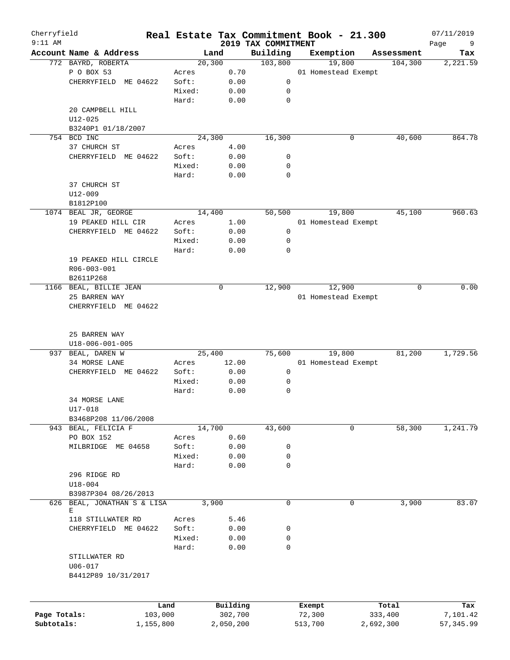| Cherryfield<br>$9:11$ AM |                                          |         |           |                                 | Real Estate Tax Commitment Book - 21.300 |            | 07/11/2019       |
|--------------------------|------------------------------------------|---------|-----------|---------------------------------|------------------------------------------|------------|------------------|
|                          | Account Name & Address                   |         | Land      | 2019 TAX COMMITMENT<br>Building | Exemption                                | Assessment | Page<br>9<br>Tax |
|                          | 772 BAYRD, ROBERTA                       |         | 20, 300   | 103,800                         | 19,800                                   | 104,300    | 2,221.59         |
|                          | P O BOX 53                               | Acres   | 0.70      |                                 | 01 Homestead Exempt                      |            |                  |
|                          | CHERRYFIELD ME 04622                     | Soft:   | 0.00      | 0                               |                                          |            |                  |
|                          |                                          | Mixed:  | 0.00      | 0                               |                                          |            |                  |
|                          |                                          | Hard:   | 0.00      | $\mathbf 0$                     |                                          |            |                  |
|                          | 20 CAMPBELL HILL                         |         |           |                                 |                                          |            |                  |
|                          | $U12 - 025$                              |         |           |                                 |                                          |            |                  |
|                          | B3240P1 01/18/2007                       |         |           |                                 |                                          |            |                  |
|                          | 754 BCD INC                              |         | 24,300    | 16,300                          | 0                                        | 40,600     | 864.78           |
|                          | 37 CHURCH ST                             | Acres   | 4.00      |                                 |                                          |            |                  |
|                          | CHERRYFIELD ME 04622                     | Soft:   | 0.00      | 0                               |                                          |            |                  |
|                          |                                          | Mixed:  | 0.00      | 0                               |                                          |            |                  |
|                          |                                          | Hard:   | 0.00      | 0                               |                                          |            |                  |
|                          | 37 CHURCH ST                             |         |           |                                 |                                          |            |                  |
|                          | $U12 - 009$                              |         |           |                                 |                                          |            |                  |
|                          | B1812P100                                |         |           |                                 |                                          |            |                  |
|                          | 1074 BEAL JR, GEORGE                     |         | 14,400    | 50,500                          | 19,800                                   | 45,100     | 960.63           |
|                          | 19 PEAKED HILL CIR                       | Acres   | 1.00      |                                 | 01 Homestead Exempt                      |            |                  |
|                          | CHERRYFIELD ME 04622                     | Soft:   | 0.00      | 0                               |                                          |            |                  |
|                          |                                          | Mixed:  | 0.00      | 0                               |                                          |            |                  |
|                          |                                          | Hard:   | 0.00      | $\mathbf 0$                     |                                          |            |                  |
|                          | 19 PEAKED HILL CIRCLE                    |         |           |                                 |                                          |            |                  |
|                          | $R06 - 003 - 001$                        |         |           |                                 |                                          |            |                  |
|                          | B2611P268                                |         |           |                                 |                                          |            |                  |
|                          | 1166 BEAL, BILLIE JEAN                   |         | 0         | 12,900                          | 12,900                                   |            | 0.00<br>0        |
|                          | 25 BARREN WAY                            |         |           |                                 | 01 Homestead Exempt                      |            |                  |
|                          | CHERRYFIELD ME 04622                     |         |           |                                 |                                          |            |                  |
|                          |                                          |         |           |                                 |                                          |            |                  |
|                          | 25 BARREN WAY<br>$U18 - 006 - 001 - 005$ |         |           |                                 |                                          |            |                  |
| 937                      | BEAL, DAREN W                            |         | 25,400    | 75,600                          | 19,800                                   | 81,200     | 1,729.56         |
|                          | 34 MORSE LANE                            | Acres   | 12.00     |                                 | 01 Homestead Exempt                      |            |                  |
|                          | CHERRYFIELD ME 04622                     | Soft:   | 0.00      | 0                               |                                          |            |                  |
|                          |                                          | Mixed:  | 0.00      | 0                               |                                          |            |                  |
|                          |                                          | Hard:   | 0.00      | 0                               |                                          |            |                  |
|                          | 34 MORSE LANE                            |         |           |                                 |                                          |            |                  |
|                          | U17-018                                  |         |           |                                 |                                          |            |                  |
|                          | B3468P208 11/06/2008                     |         |           |                                 |                                          |            |                  |
|                          | 943 BEAL, FELICIA F                      |         | 14,700    | 43,600                          | 0                                        | 58,300     | 1,241.79         |
|                          | PO BOX 152                               | Acres   | 0.60      |                                 |                                          |            |                  |
|                          | MILBRIDGE ME 04658                       | Soft:   | 0.00      | 0                               |                                          |            |                  |
|                          |                                          | Mixed:  | 0.00      | 0                               |                                          |            |                  |
|                          |                                          | Hard:   | 0.00      | 0                               |                                          |            |                  |
|                          | 296 RIDGE RD                             |         |           |                                 |                                          |            |                  |
|                          | $U18 - 004$                              |         |           |                                 |                                          |            |                  |
|                          | B3987P304 08/26/2013                     |         |           |                                 |                                          |            |                  |
|                          | 626 BEAL, JONATHAN S & LISA              |         | 3,900     | 0                               | 0                                        | 3,900      | 83.07            |
|                          | Е                                        |         |           |                                 |                                          |            |                  |
|                          | 118 STILLWATER RD                        | Acres   | 5.46      |                                 |                                          |            |                  |
|                          | CHERRYFIELD ME 04622                     | Soft:   | 0.00      | 0                               |                                          |            |                  |
|                          |                                          | Mixed:  | 0.00      | 0                               |                                          |            |                  |
|                          |                                          | Hard:   | 0.00      | 0                               |                                          |            |                  |
|                          | STILLWATER RD                            |         |           |                                 |                                          |            |                  |
|                          | $U06 - 017$                              |         |           |                                 |                                          |            |                  |
|                          | B4412P89 10/31/2017                      |         |           |                                 |                                          |            |                  |
|                          |                                          |         |           |                                 |                                          |            |                  |
|                          |                                          | Land    | Building  |                                 | Exempt                                   | Total      | Tax              |
| Page Totals:             |                                          | 103,000 | 302,700   |                                 | 72,300                                   | 333,400    | 7,101.42         |
| Subtotals:               | 1,155,800                                |         | 2,050,200 |                                 | 513,700                                  | 2,692,300  | 57, 345.99       |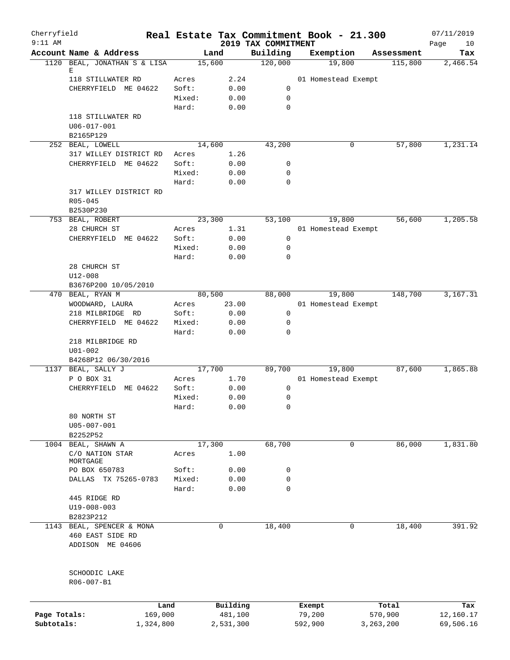| Cherryfield<br>$9:11$ AM |                                           |                |                |                                 | Real Estate Tax Commitment Book - 21.300 |             | 07/11/2019        |
|--------------------------|-------------------------------------------|----------------|----------------|---------------------------------|------------------------------------------|-------------|-------------------|
|                          | Account Name & Address                    |                | Land           | 2019 TAX COMMITMENT<br>Building | Exemption                                | Assessment  | Page<br>10<br>Tax |
|                          | 1120 BEAL, JONATHAN S & LISA              |                | 15,600         | 120,000                         | 19,800                                   | 115,800     | 2,466.54          |
|                          | Е                                         |                | 2.24           |                                 | 01 Homestead Exempt                      |             |                   |
|                          | 118 STILLWATER RD<br>CHERRYFIELD ME 04622 | Acres<br>Soft: | 0.00           | $\mathbf 0$                     |                                          |             |                   |
|                          |                                           | Mixed:         | 0.00           | $\mathbf 0$                     |                                          |             |                   |
|                          |                                           | Hard:          | 0.00           | $\mathbf 0$                     |                                          |             |                   |
|                          | 118 STILLWATER RD                         |                |                |                                 |                                          |             |                   |
|                          | $U06 - 017 - 001$                         |                |                |                                 |                                          |             |                   |
|                          | B2165P129                                 |                |                |                                 |                                          |             |                   |
|                          | 252 BEAL, LOWELL                          |                | 14,600         | 43,200                          | 0                                        | 57,800      | 1,231.14          |
|                          | 317 WILLEY DISTRICT RD                    | Acres          | 1.26           |                                 |                                          |             |                   |
|                          | CHERRYFIELD<br>ME 04622                   | Soft:          | 0.00           | 0                               |                                          |             |                   |
|                          |                                           | Mixed:         | 0.00           | $\mathbf 0$                     |                                          |             |                   |
|                          |                                           | Hard:          | 0.00           | $\mathbf 0$                     |                                          |             |                   |
|                          | 317 WILLEY DISTRICT RD                    |                |                |                                 |                                          |             |                   |
|                          | $R05 - 045$<br>B2530P230                  |                |                |                                 |                                          |             |                   |
|                          | 753 BEAL, ROBERT                          |                | 23,300         | 53,100                          | 19,800                                   | 56,600      | 1,205.58          |
|                          | 28 CHURCH ST                              | Acres          | 1.31           |                                 | 01 Homestead Exempt                      |             |                   |
|                          | CHERRYFIELD ME 04622                      | Soft:          | 0.00           | 0                               |                                          |             |                   |
|                          |                                           | Mixed:         | 0.00           | 0                               |                                          |             |                   |
|                          |                                           | Hard:          | 0.00           | $\mathbf 0$                     |                                          |             |                   |
|                          | 28 CHURCH ST                              |                |                |                                 |                                          |             |                   |
|                          | $U12 - 008$                               |                |                |                                 |                                          |             |                   |
|                          | B3676P200 10/05/2010                      |                |                |                                 |                                          |             |                   |
|                          | 470 BEAL, RYAN M                          |                | 80,500         | 88,000                          | 19,800                                   | 148,700     | 3,167.31          |
|                          | WOODWARD, LAURA                           | Acres          | 23.00          |                                 | 01 Homestead Exempt                      |             |                   |
|                          | 218 MILBRIDGE RD                          | Soft:          | 0.00           | $\mathbf 0$                     |                                          |             |                   |
|                          | CHERRYFIELD ME 04622                      | Mixed:         | 0.00           | $\mathbf 0$                     |                                          |             |                   |
|                          |                                           | Hard:          | 0.00           | $\mathbf 0$                     |                                          |             |                   |
|                          | 218 MILBRIDGE RD                          |                |                |                                 |                                          |             |                   |
|                          | $U01 - 002$                               |                |                |                                 |                                          |             |                   |
|                          | B4268P12 06/30/2016                       |                |                |                                 |                                          |             |                   |
|                          | 1137 BEAL, SALLY J<br>P O BOX 31          | Acres          | 17,700<br>1.70 | 89,700                          | 19,800<br>01 Homestead Exempt            | 87,600      | 1,865.88          |
|                          | CHERRYFIELD ME 04622                      | Soft:          | 0.00           | 0                               |                                          |             |                   |
|                          |                                           | Mixed:         | 0.00           | 0                               |                                          |             |                   |
|                          |                                           | Hard:          | 0.00           | 0                               |                                          |             |                   |
|                          | 80 NORTH ST                               |                |                |                                 |                                          |             |                   |
|                          | U05-007-001                               |                |                |                                 |                                          |             |                   |
|                          | B2252P52                                  |                |                |                                 |                                          |             |                   |
|                          | 1004 BEAL, SHAWN A                        |                | 17,300         | 68,700                          | 0                                        | 86,000      | 1,831.80          |
|                          | C/O NATION STAR                           | Acres          | 1.00           |                                 |                                          |             |                   |
|                          | MORTGAGE                                  |                |                |                                 |                                          |             |                   |
|                          | PO BOX 650783                             | Soft:          | 0.00           | 0                               |                                          |             |                   |
|                          | DALLAS TX 75265-0783                      | Mixed:         | 0.00           | $\mathbf 0$                     |                                          |             |                   |
|                          |                                           | Hard:          | 0.00           | $\mathbf 0$                     |                                          |             |                   |
|                          | 445 RIDGE RD<br>$U19 - 008 - 003$         |                |                |                                 |                                          |             |                   |
|                          | B2823P212                                 |                |                |                                 |                                          |             |                   |
|                          | 1143 BEAL, SPENCER & MONA                 |                | 0              | 18,400                          | 0                                        | 18,400      | 391.92            |
|                          | 460 EAST SIDE RD                          |                |                |                                 |                                          |             |                   |
|                          | ADDISON ME 04606                          |                |                |                                 |                                          |             |                   |
|                          |                                           |                |                |                                 |                                          |             |                   |
|                          |                                           |                |                |                                 |                                          |             |                   |
|                          | SCHOODIC LAKE                             |                |                |                                 |                                          |             |                   |
|                          | R06-007-B1                                |                |                |                                 |                                          |             |                   |
|                          |                                           |                |                |                                 |                                          |             |                   |
|                          |                                           | Land           | Building       |                                 | Exempt                                   | Total       | Tax               |
| Page Totals:             | 169,000                                   |                | 481,100        |                                 | 79,200                                   | 570,900     | 12,160.17         |
| Subtotals:               | 1,324,800                                 |                | 2,531,300      |                                 | 592,900                                  | 3, 263, 200 | 69,506.16         |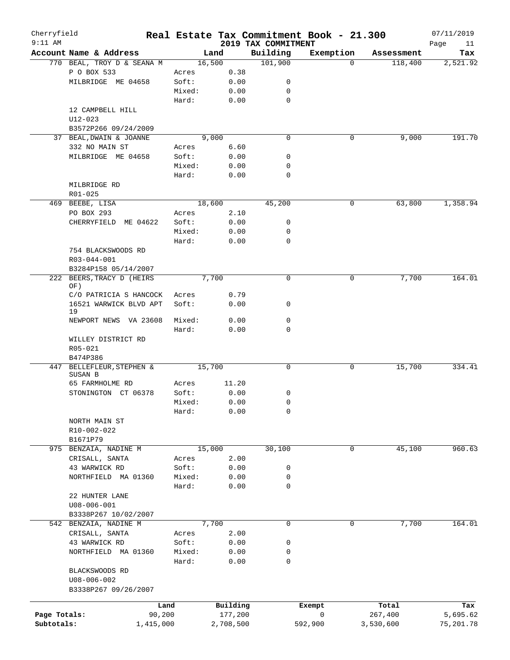| Cherryfield  |                                     |        |           |                                 | Real Estate Tax Commitment Book - 21.300 |            | 07/11/2019        |
|--------------|-------------------------------------|--------|-----------|---------------------------------|------------------------------------------|------------|-------------------|
| $9:11$ AM    | Account Name & Address              |        | Land      | 2019 TAX COMMITMENT<br>Building | Exemption                                | Assessment | Page<br>11<br>Tax |
|              | 770 BEAL, TROY D & SEANA M          |        | 16,500    | 101,900                         | $\Omega$                                 | 118,400    | 2,521.92          |
|              | P O BOX 533                         | Acres  | 0.38      |                                 |                                          |            |                   |
|              | MILBRIDGE ME 04658                  | Soft:  | 0.00      | 0                               |                                          |            |                   |
|              |                                     | Mixed: | 0.00      | 0                               |                                          |            |                   |
|              |                                     | Hard:  | 0.00      | $\mathbf 0$                     |                                          |            |                   |
|              | 12 CAMPBELL HILL                    |        |           |                                 |                                          |            |                   |
|              | $U12 - 023$                         |        |           |                                 |                                          |            |                   |
|              | B3572P266 09/24/2009                |        |           |                                 |                                          |            |                   |
|              | 37 BEAL, DWAIN & JOANNE             |        | 9,000     | $\mathbf 0$                     | 0                                        | 9,000      | 191.70            |
|              | 332 NO MAIN ST                      | Acres  | 6.60      |                                 |                                          |            |                   |
|              | MILBRIDGE ME 04658                  | Soft:  | 0.00      | 0                               |                                          |            |                   |
|              |                                     | Mixed: | 0.00      | 0                               |                                          |            |                   |
|              |                                     | Hard:  | 0.00      | 0                               |                                          |            |                   |
|              | MILBRIDGE RD                        |        |           |                                 |                                          |            |                   |
|              | R01-025                             |        |           |                                 |                                          |            |                   |
|              | 469 BEEBE, LISA                     |        | 18,600    | 45,200                          | 0                                        | 63,800     | 1,358.94          |
|              | PO BOX 293                          | Acres  | 2.10      |                                 |                                          |            |                   |
|              | CHERRYFIELD<br>ME 04622             | Soft:  | 0.00      | 0                               |                                          |            |                   |
|              |                                     | Mixed: | 0.00      | 0                               |                                          |            |                   |
|              |                                     | Hard:  | 0.00      | 0                               |                                          |            |                   |
|              | 754 BLACKSWOODS RD                  |        |           |                                 |                                          |            |                   |
|              | R03-044-001                         |        |           |                                 |                                          |            |                   |
|              | B3284P158 05/14/2007                |        |           |                                 |                                          |            |                   |
|              | 222 BEERS, TRACY D (HEIRS           |        | 7,700     | 0                               | 0                                        | 7,700      | 164.01            |
|              | OF)                                 |        |           |                                 |                                          |            |                   |
|              | C/O PATRICIA S HANCOCK              | Acres  | 0.79      |                                 |                                          |            |                   |
|              | 16521 WARWICK BLVD APT<br>19        | Soft:  | 0.00      | 0                               |                                          |            |                   |
|              | NEWPORT NEWS VA 23608               | Mixed: | 0.00      | 0                               |                                          |            |                   |
|              |                                     | Hard:  | 0.00      | 0                               |                                          |            |                   |
|              | WILLEY DISTRICT RD                  |        |           |                                 |                                          |            |                   |
|              | R05-021                             |        |           |                                 |                                          |            |                   |
|              | B474P386                            |        |           |                                 |                                          |            |                   |
|              | 447 BELLEFLEUR, STEPHEN &           |        | 15,700    | 0                               | 0                                        | 15,700     | 334.41            |
|              | SUSAN B                             |        |           |                                 |                                          |            |                   |
|              | 65 FARMHOLME RD                     | Acres  | 11.20     |                                 |                                          |            |                   |
|              | STONINGTON CT 06378                 | Soft:  | 0.00      | 0                               |                                          |            |                   |
|              |                                     | Mixed: | 0.00      | 0                               |                                          |            |                   |
|              |                                     | Hard:  | 0.00      | 0                               |                                          |            |                   |
|              | NORTH MAIN ST                       |        |           |                                 |                                          |            |                   |
|              | R10-002-022                         |        |           |                                 |                                          |            |                   |
|              | B1671P79                            |        |           |                                 |                                          |            |                   |
|              | 975 BENZAIA, NADINE M               |        | 15,000    | 30,100                          | 0                                        | 45,100     | 960.63            |
|              | CRISALL, SANTA                      | Acres  | 2.00      |                                 |                                          |            |                   |
|              | 43 WARWICK RD                       | Soft:  | 0.00      | 0                               |                                          |            |                   |
|              | NORTHFIELD MA 01360                 | Mixed: | 0.00      | 0                               |                                          |            |                   |
|              |                                     | Hard:  | 0.00      | 0                               |                                          |            |                   |
|              | 22 HUNTER LANE                      |        |           |                                 |                                          |            |                   |
|              | $U08 - 006 - 001$                   |        |           |                                 |                                          |            |                   |
|              | B3338P267 10/02/2007                |        |           |                                 |                                          |            |                   |
| 542          | BENZAIA, NADINE M                   |        | 7,700     | $\mathbf 0$                     | 0                                        | 7,700      | 164.01            |
|              | CRISALL, SANTA                      | Acres  | 2.00      |                                 |                                          |            |                   |
|              | 43 WARWICK RD                       | Soft:  | 0.00      | 0                               |                                          |            |                   |
|              | NORTHFIELD MA 01360                 | Mixed: | 0.00      | 0                               |                                          |            |                   |
|              |                                     | Hard:  | 0.00      | 0                               |                                          |            |                   |
|              | BLACKSWOODS RD<br>$U08 - 006 - 002$ |        |           |                                 |                                          |            |                   |
|              | B3338P267 09/26/2007                |        |           |                                 |                                          |            |                   |
|              |                                     |        |           |                                 |                                          |            |                   |
|              |                                     | Land   | Building  |                                 | Exempt                                   | Total      | Tax               |
| Page Totals: |                                     | 90,200 | 177,200   |                                 | 0                                        | 267,400    | 5,695.62          |
| Subtotals:   | 1,415,000                           |        | 2,708,500 |                                 | 592,900                                  | 3,530,600  | 75, 201.78        |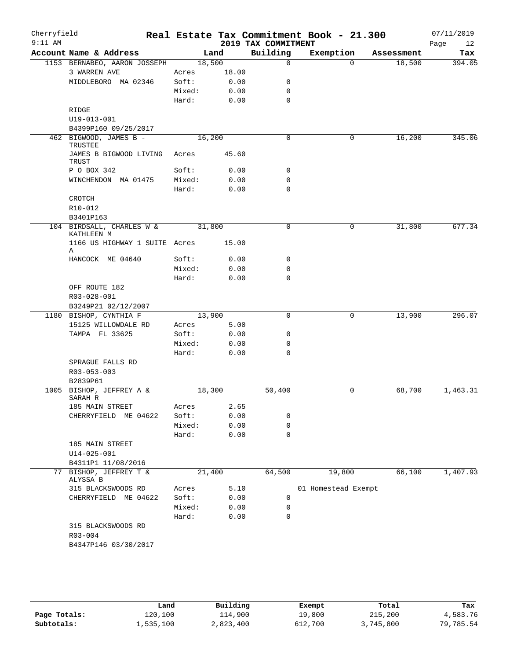| Cherryfield<br>$9:11$ AM |                                         |        |       | 2019 TAX COMMITMENT | Real Estate Tax Commitment Book - 21.300 |            | 07/11/2019<br>Page<br>12 |
|--------------------------|-----------------------------------------|--------|-------|---------------------|------------------------------------------|------------|--------------------------|
|                          | Account Name & Address                  | Land   |       | Building            | Exemption                                | Assessment | Tax                      |
|                          | 1153 BERNABEO, AARON JOSSEPH            | 18,500 |       | $\mathbf 0$         | $\Omega$                                 | 18,500     | 394.05                   |
|                          | 3 WARREN AVE                            | Acres  | 18.00 |                     |                                          |            |                          |
|                          | MIDDLEBORO MA 02346                     | Soft:  | 0.00  | 0                   |                                          |            |                          |
|                          |                                         | Mixed: | 0.00  | 0                   |                                          |            |                          |
|                          |                                         | Hard:  | 0.00  | $\mathbf 0$         |                                          |            |                          |
|                          | RIDGE                                   |        |       |                     |                                          |            |                          |
|                          | U19-013-001                             |        |       |                     |                                          |            |                          |
|                          | B4399P160 09/25/2017                    |        |       |                     |                                          |            |                          |
|                          | 462 BIGWOOD, JAMES B -                  | 16,200 |       | $\mathbf 0$         | 0                                        | 16,200     | 345.06                   |
|                          | TRUSTEE                                 |        |       |                     |                                          |            |                          |
|                          | JAMES B BIGWOOD LIVING<br><b>TRUST</b>  | Acres  | 45.60 |                     |                                          |            |                          |
|                          | P O BOX 342                             | Soft:  | 0.00  | 0                   |                                          |            |                          |
|                          | WINCHENDON MA 01475                     | Mixed: | 0.00  | 0                   |                                          |            |                          |
|                          |                                         | Hard:  | 0.00  | $\mathbf 0$         |                                          |            |                          |
|                          | CROTCH                                  |        |       |                     |                                          |            |                          |
|                          | R10-012                                 |        |       |                     |                                          |            |                          |
|                          | B3401P163                               |        |       |                     |                                          |            |                          |
|                          | 104 BIRDSALL, CHARLES W &<br>KATHLEEN M | 31,800 |       | $\mathbf 0$         | 0                                        | 31,800     | 677.34                   |
|                          | 1166 US HIGHWAY 1 SUITE Acres<br>Α      |        | 15.00 |                     |                                          |            |                          |
|                          | HANCOCK ME 04640                        | Soft:  | 0.00  | 0                   |                                          |            |                          |
|                          |                                         | Mixed: | 0.00  | 0                   |                                          |            |                          |
|                          |                                         | Hard:  | 0.00  | $\mathbf 0$         |                                          |            |                          |
|                          | OFF ROUTE 182                           |        |       |                     |                                          |            |                          |
|                          | R03-028-001                             |        |       |                     |                                          |            |                          |
|                          | B3249P21 02/12/2007                     |        |       |                     |                                          |            |                          |
|                          | 1180 BISHOP, CYNTHIA F                  | 13,900 |       | $\mathbf 0$         | 0                                        | 13,900     | 296.07                   |
|                          | 15125 WILLOWDALE RD                     | Acres  | 5.00  |                     |                                          |            |                          |
|                          | TAMPA FL 33625                          | Soft:  | 0.00  | 0                   |                                          |            |                          |
|                          |                                         | Mixed: | 0.00  | $\mathbf 0$         |                                          |            |                          |
|                          |                                         | Hard:  | 0.00  | $\mathbf 0$         |                                          |            |                          |
|                          | SPRAGUE FALLS RD                        |        |       |                     |                                          |            |                          |
|                          | R03-053-003                             |        |       |                     |                                          |            |                          |
|                          | B2839P61                                |        |       |                     |                                          |            |                          |
|                          | 1005 BISHOP, JEFFREY A &                | 18,300 |       | 50,400              | 0                                        | 68,700     | 1,463.31                 |
|                          | SARAH R                                 |        |       |                     |                                          |            |                          |
|                          | 185 MAIN STREET                         | Acres  | 2.65  |                     |                                          |            |                          |
|                          | CHERRYFIELD ME 04622                    | Soft:  | 0.00  | 0                   |                                          |            |                          |
|                          |                                         | Mixed: | 0.00  | 0                   |                                          |            |                          |
|                          |                                         | Hard:  | 0.00  | $\mathbf 0$         |                                          |            |                          |
|                          | 185 MAIN STREET                         |        |       |                     |                                          |            |                          |
|                          | $U14 - 025 - 001$                       |        |       |                     |                                          |            |                          |
|                          | B4311P1 11/08/2016                      |        |       |                     |                                          |            |                          |
|                          | 77 BISHOP, JEFFREY T &<br>ALYSSA B      | 21,400 |       | 64,500              | 19,800                                   | 66,100     | 1,407.93                 |
|                          | 315 BLACKSWOODS RD                      | Acres  | 5.10  |                     | 01 Homestead Exempt                      |            |                          |
|                          | CHERRYFIELD ME 04622                    | Soft:  | 0.00  | 0                   |                                          |            |                          |
|                          |                                         | Mixed: | 0.00  | 0                   |                                          |            |                          |
|                          |                                         | Hard:  | 0.00  | $\mathbf 0$         |                                          |            |                          |
|                          | 315 BLACKSWOODS RD                      |        |       |                     |                                          |            |                          |
|                          | R03-004                                 |        |       |                     |                                          |            |                          |
|                          | B4347P146 03/30/2017                    |        |       |                     |                                          |            |                          |
|                          |                                         |        |       |                     |                                          |            |                          |

|              | Land      | Building  | Exempt  | Total     | Tax       |
|--------------|-----------|-----------|---------|-----------|-----------|
| Page Totals: | 120,100   | 114,900   | 19,800  | 215,200   | 4,583.76  |
| Subtotals:   | 1,535,100 | 2,823,400 | 612,700 | 3,745,800 | 79,785.54 |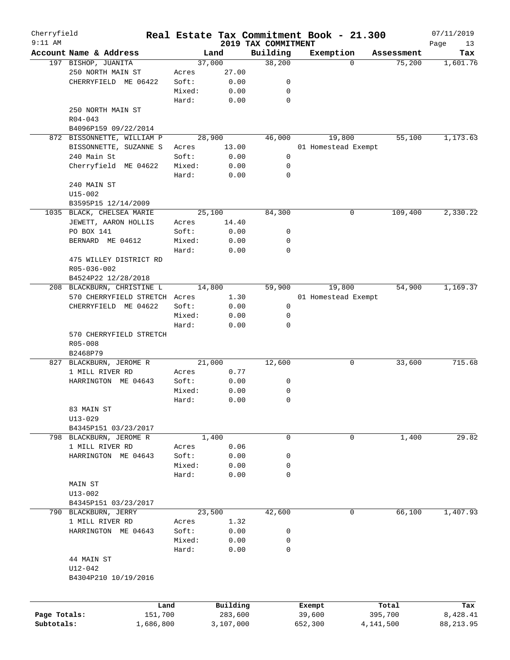| Cherryfield  |                               |        |           |                                 | Real Estate Tax Commitment Book - 21.300 |            | 07/11/2019        |
|--------------|-------------------------------|--------|-----------|---------------------------------|------------------------------------------|------------|-------------------|
| $9:11$ AM    | Account Name & Address        |        | Land      | 2019 TAX COMMITMENT<br>Building | Exemption                                | Assessment | Page<br>13<br>Tax |
|              | 197 BISHOP, JUANITA           |        | 37,000    | 38,200                          | $\Omega$                                 | 75,200     | 1,601.76          |
|              | 250 NORTH MAIN ST             | Acres  | 27.00     |                                 |                                          |            |                   |
|              | CHERRYFIELD ME 06422          | Soft:  | 0.00      | 0                               |                                          |            |                   |
|              |                               | Mixed: | 0.00      | 0                               |                                          |            |                   |
|              |                               | Hard:  | 0.00      | $\mathbf 0$                     |                                          |            |                   |
|              | 250 NORTH MAIN ST             |        |           |                                 |                                          |            |                   |
|              | $R04 - 043$                   |        |           |                                 |                                          |            |                   |
|              | B4096P159 09/22/2014          |        |           |                                 |                                          |            |                   |
|              | 872 BISSONNETTE, WILLIAM P    |        | 28,900    | 46,000                          | 19,800                                   | 55,100     | 1,173.63          |
|              | BISSONNETTE, SUZANNE S        | Acres  | 13.00     |                                 | 01 Homestead Exempt                      |            |                   |
|              | 240 Main St                   | Soft:  | 0.00      | 0                               |                                          |            |                   |
|              | Cherryfield ME 04622          | Mixed: | 0.00      | 0                               |                                          |            |                   |
|              |                               | Hard:  | 0.00      | $\mathbf 0$                     |                                          |            |                   |
|              | 240 MAIN ST                   |        |           |                                 |                                          |            |                   |
|              | $U15 - 002$                   |        |           |                                 |                                          |            |                   |
|              | B3595P15 12/14/2009           |        |           |                                 |                                          |            |                   |
|              | 1035 BLACK, CHELSEA MARIE     |        | 25,100    | 84,300                          | 0                                        | 109,400    | 2,330.22          |
|              | JEWETT, AARON HOLLIS          | Acres  | 14.40     |                                 |                                          |            |                   |
|              | PO BOX 141                    | Soft:  | 0.00      | 0                               |                                          |            |                   |
|              | BERNARD ME 04612              | Mixed: | 0.00      | 0                               |                                          |            |                   |
|              |                               | Hard:  | 0.00      | $\mathbf 0$                     |                                          |            |                   |
|              | 475 WILLEY DISTRICT RD        |        |           |                                 |                                          |            |                   |
|              | R05-036-002                   |        |           |                                 |                                          |            |                   |
|              | B4524P22 12/28/2018           |        |           |                                 |                                          |            |                   |
|              | 208 BLACKBURN, CHRISTINE L    |        | 14,800    | 59,900                          | 19,800                                   | 54,900     | 1,169.37          |
|              | 570 CHERRYFIELD STRETCH Acres |        | 1.30      |                                 | 01 Homestead Exempt                      |            |                   |
|              | CHERRYFIELD ME 04622          | Soft:  | 0.00      | 0                               |                                          |            |                   |
|              |                               | Mixed: | 0.00      | 0                               |                                          |            |                   |
|              |                               | Hard:  | 0.00      | 0                               |                                          |            |                   |
|              | 570 CHERRYFIELD STRETCH       |        |           |                                 |                                          |            |                   |
|              | R05-008                       |        |           |                                 |                                          |            |                   |
|              | B2468P79                      |        |           |                                 |                                          |            |                   |
|              | 827 BLACKBURN, JEROME R       |        | 21,000    | 12,600                          | 0                                        | 33,600     | 715.68            |
|              | 1 MILL RIVER RD               | Acres  | 0.77      |                                 |                                          |            |                   |
|              | HARRINGTON ME 04643           | Soft:  | 0.00      | 0                               |                                          |            |                   |
|              |                               | Mixed: | 0.00      | 0                               |                                          |            |                   |
|              |                               | Hard:  | 0.00      | 0                               |                                          |            |                   |
|              | 83 MAIN ST                    |        |           |                                 |                                          |            |                   |
|              | $U13 - 029$                   |        |           |                                 |                                          |            |                   |
|              | B4345P151 03/23/2017          |        |           |                                 |                                          |            |                   |
|              | 798 BLACKBURN, JEROME R       |        | 1,400     | 0                               | 0                                        | 1,400      | 29.82             |
|              | 1 MILL RIVER RD               | Acres  | 0.06      |                                 |                                          |            |                   |
|              | HARRINGTON ME 04643           | Soft:  | 0.00      | 0                               |                                          |            |                   |
|              |                               | Mixed: | 0.00      | 0                               |                                          |            |                   |
|              |                               | Hard:  | 0.00      | 0                               |                                          |            |                   |
|              | MAIN ST                       |        |           |                                 |                                          |            |                   |
|              | $U13 - 002$                   |        |           |                                 |                                          |            |                   |
|              | B4345P151 03/23/2017          |        |           |                                 |                                          |            |                   |
|              | 790 BLACKBURN, JERRY          |        | 23,500    | 42,600                          | 0                                        | 66,100     | 1,407.93          |
|              | 1 MILL RIVER RD               | Acres  | 1.32      |                                 |                                          |            |                   |
|              | HARRINGTON ME 04643           | Soft:  | 0.00      | 0                               |                                          |            |                   |
|              |                               | Mixed: | 0.00      | 0                               |                                          |            |                   |
|              |                               | Hard:  | 0.00      | 0                               |                                          |            |                   |
|              | 44 MAIN ST                    |        |           |                                 |                                          |            |                   |
|              | $U12 - 042$                   |        |           |                                 |                                          |            |                   |
|              | B4304P210 10/19/2016          |        |           |                                 |                                          |            |                   |
|              |                               |        |           |                                 |                                          |            |                   |
|              |                               |        |           |                                 |                                          |            |                   |
|              | Land                          |        | Building  |                                 | Exempt                                   | Total      | Tax               |
| Page Totals: | 151,700                       |        | 283,600   |                                 | 39,600                                   | 395,700    | 8,428.41          |
| Subtotals:   | 1,686,800                     |        | 3,107,000 |                                 | 652,300                                  | 4,141,500  | 88, 213.95        |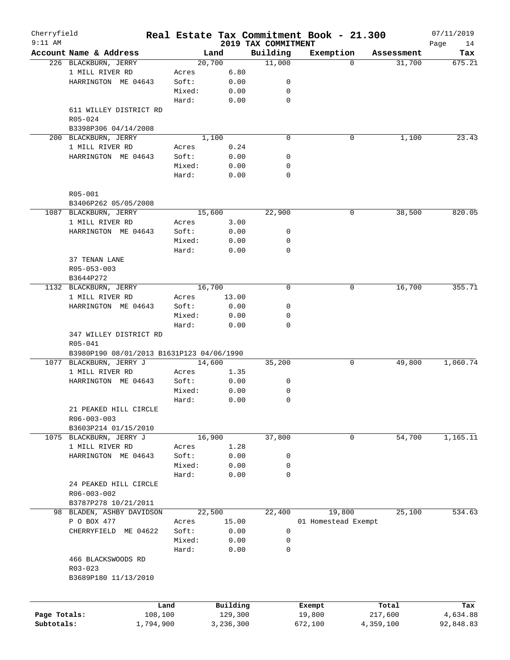| Cherryfield<br>$9:11$ AM |                                           |        |                     |                                 | Real Estate Tax Commitment Book - 21.300 |                  | 07/11/2019        |
|--------------------------|-------------------------------------------|--------|---------------------|---------------------------------|------------------------------------------|------------------|-------------------|
|                          | Account Name & Address                    |        | Land                | 2019 TAX COMMITMENT<br>Building | Exemption                                | Assessment       | Page<br>14<br>Tax |
|                          | 226 BLACKBURN, JERRY                      |        | 20,700              | 11,000                          | $\Omega$                                 | 31,700           | 675.21            |
|                          | 1 MILL RIVER RD                           | Acres  | 6.80                |                                 |                                          |                  |                   |
|                          | HARRINGTON ME 04643                       | Soft:  | 0.00                | 0                               |                                          |                  |                   |
|                          |                                           | Mixed: | 0.00                | 0                               |                                          |                  |                   |
|                          |                                           | Hard:  | 0.00                | $\mathbf 0$                     |                                          |                  |                   |
|                          | 611 WILLEY DISTRICT RD                    |        |                     |                                 |                                          |                  |                   |
|                          | R05-024                                   |        |                     |                                 |                                          |                  |                   |
|                          | B3398P306 04/14/2008                      |        |                     |                                 |                                          |                  |                   |
|                          | 200 BLACKBURN, JERRY                      |        | 1,100               | 0                               | 0                                        | 1,100            | 23.43             |
|                          | 1 MILL RIVER RD                           | Acres  | 0.24                |                                 |                                          |                  |                   |
|                          | HARRINGTON ME 04643                       | Soft:  | 0.00                | 0                               |                                          |                  |                   |
|                          |                                           | Mixed: | 0.00                | 0                               |                                          |                  |                   |
|                          |                                           | Hard:  | 0.00                | 0                               |                                          |                  |                   |
|                          | R05-001                                   |        |                     |                                 |                                          |                  |                   |
|                          | B3406P262 05/05/2008                      |        |                     |                                 |                                          |                  |                   |
|                          | 1087 BLACKBURN, JERRY                     |        | 15,600              | 22,900                          | 0                                        | 38,500           | 820.05            |
|                          | 1 MILL RIVER RD                           | Acres  | 3.00                |                                 |                                          |                  |                   |
|                          | HARRINGTON ME 04643                       | Soft:  | 0.00                | 0                               |                                          |                  |                   |
|                          |                                           | Mixed: | 0.00                | 0                               |                                          |                  |                   |
|                          |                                           | Hard:  | 0.00                | $\mathbf 0$                     |                                          |                  |                   |
|                          | 37 TENAN LANE                             |        |                     |                                 |                                          |                  |                   |
|                          | R05-053-003                               |        |                     |                                 |                                          |                  |                   |
|                          | B3644P272                                 |        |                     |                                 |                                          |                  |                   |
|                          | 1132 BLACKBURN, JERRY                     |        | 16,700              | $\mathbf 0$                     | 0                                        | 16,700           | 355.71            |
|                          | 1 MILL RIVER RD                           | Acres  | 13.00               |                                 |                                          |                  |                   |
|                          | HARRINGTON ME 04643                       | Soft:  | 0.00                | 0                               |                                          |                  |                   |
|                          |                                           | Mixed: | 0.00                | 0                               |                                          |                  |                   |
|                          |                                           | Hard:  | 0.00                | 0                               |                                          |                  |                   |
|                          | 347 WILLEY DISTRICT RD<br>R05-041         |        |                     |                                 |                                          |                  |                   |
|                          | B3980P190 08/01/2013 B1631P123 04/06/1990 |        |                     |                                 |                                          |                  |                   |
| 1077                     | BLACKBURN, JERRY J                        |        | 14,600              | 35,200                          | 0                                        | 49,800           | 1,060.74          |
|                          | 1 MILL RIVER RD                           | Acres  | 1.35                |                                 |                                          |                  |                   |
|                          | HARRINGTON ME 04643                       | Soft:  | 0.00                | 0                               |                                          |                  |                   |
|                          |                                           | Mixed: | 0.00                | 0                               |                                          |                  |                   |
|                          |                                           | Hard:  | 0.00                | 0                               |                                          |                  |                   |
|                          | 21 PEAKED HILL CIRCLE                     |        |                     |                                 |                                          |                  |                   |
|                          | R06-003-003                               |        |                     |                                 |                                          |                  |                   |
|                          | B3603P214 01/15/2010                      |        |                     |                                 |                                          |                  |                   |
| 1075                     | BLACKBURN, JERRY J                        |        | 16,900              | 37,800                          | 0                                        | 54,700           | 1,165.11          |
|                          | 1 MILL RIVER RD                           | Acres  | 1.28                |                                 |                                          |                  |                   |
|                          | HARRINGTON ME 04643                       | Soft:  | 0.00                | 0                               |                                          |                  |                   |
|                          |                                           | Mixed: | 0.00                | 0                               |                                          |                  |                   |
|                          |                                           | Hard:  | 0.00                | 0                               |                                          |                  |                   |
|                          | 24 PEAKED HILL CIRCLE                     |        |                     |                                 |                                          |                  |                   |
|                          | R06-003-002                               |        |                     |                                 |                                          |                  |                   |
|                          | B3787P278 10/21/2011                      |        |                     |                                 |                                          |                  |                   |
|                          | 98 BLADEN, ASHBY DAVIDSON                 |        | 22,500              | 22,400                          | 19,800                                   | 25,100           | 534.63            |
|                          | P O BOX 477                               | Acres  | 15.00               |                                 | 01 Homestead Exempt                      |                  |                   |
|                          | ME 04622<br>CHERRYFIELD                   | Soft:  | 0.00                | 0                               |                                          |                  |                   |
|                          |                                           | Mixed: | 0.00                | 0                               |                                          |                  |                   |
|                          |                                           | Hard:  | 0.00                | 0                               |                                          |                  |                   |
|                          | 466 BLACKSWOODS RD                        |        |                     |                                 |                                          |                  |                   |
|                          | R03-023                                   |        |                     |                                 |                                          |                  |                   |
|                          | B3689P180 11/13/2010                      |        |                     |                                 |                                          |                  |                   |
|                          |                                           |        |                     |                                 |                                          |                  |                   |
| Page Totals:             | 108,100                                   | Land   | Building<br>129,300 |                                 | Exempt<br>19,800                         | Total<br>217,600 | Tax<br>4,634.88   |
| Subtotals:               | 1,794,900                                 |        | 3,236,300           |                                 | 672,100                                  | 4,359,100        | 92,848.83         |
|                          |                                           |        |                     |                                 |                                          |                  |                   |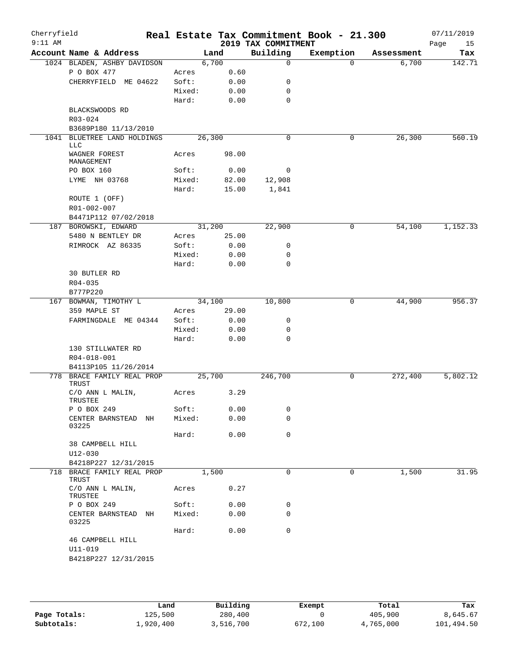| Cherryfield<br>$9:11$ AM |                                            |        |                | 2019 TAX COMMITMENT | Real Estate Tax Commitment Book - 21.300 |            | 07/11/2019<br>15<br>Page |
|--------------------------|--------------------------------------------|--------|----------------|---------------------|------------------------------------------|------------|--------------------------|
|                          | Account Name & Address                     |        | Land           | Building            | Exemption                                | Assessment | Tax                      |
|                          | 1024 BLADEN, ASHBY DAVIDSON                |        | 6,700          | $\mathbf 0$         | $\Omega$                                 | 6,700      | 142.71                   |
|                          | P O BOX 477                                | Acres  | 0.60           |                     |                                          |            |                          |
|                          | CHERRYFIELD ME 04622                       | Soft:  | 0.00           | 0                   |                                          |            |                          |
|                          |                                            | Mixed: | 0.00           | 0                   |                                          |            |                          |
|                          |                                            | Hard:  | 0.00           | $\mathbf 0$         |                                          |            |                          |
|                          | BLACKSWOODS RD                             |        |                |                     |                                          |            |                          |
|                          | R03-024                                    |        |                |                     |                                          |            |                          |
|                          | B3689P180 11/13/2010                       |        |                |                     |                                          |            |                          |
|                          | 1041 BLUETREE LAND HOLDINGS<br><b>LLC</b>  |        | 26, 300        | $\mathbf 0$         | 0                                        | 26,300     | 560.19                   |
|                          | WAGNER FOREST<br>MANAGEMENT                | Acres  | 98.00          |                     |                                          |            |                          |
|                          | PO BOX 160                                 | Soft:  | 0.00           | 0                   |                                          |            |                          |
|                          | LYME NH 03768                              | Mixed: | 82.00          | 12,908              |                                          |            |                          |
|                          |                                            | Hard:  | 15.00          | 1,841               |                                          |            |                          |
|                          | ROUTE 1 (OFF)<br>R01-002-007               |        |                |                     |                                          |            |                          |
|                          | B4471P112 07/02/2018                       |        |                |                     |                                          |            |                          |
|                          | 187 BOROWSKI, EDWARD                       |        | 31,200         | 22,900              | 0                                        | 54,100     | 1,152.33                 |
|                          | 5480 N BENTLEY DR                          | Acres  | 25.00          |                     |                                          |            |                          |
|                          | RIMROCK AZ 86335                           | Soft:  | 0.00           | 0                   |                                          |            |                          |
|                          |                                            | Mixed: | 0.00           | 0                   |                                          |            |                          |
|                          |                                            | Hard:  | 0.00           | $\mathbf 0$         |                                          |            |                          |
|                          | 30 BUTLER RD                               |        |                |                     |                                          |            |                          |
|                          | $R04 - 035$                                |        |                |                     |                                          |            |                          |
|                          | B777P220                                   |        |                |                     |                                          |            |                          |
|                          | 167 BOWMAN, TIMOTHY L                      |        | 34,100         | 10,800              | 0                                        | 44,900     | 956.37                   |
|                          | 359 MAPLE ST                               | Acres  | 29.00          |                     |                                          |            |                          |
|                          | FARMINGDALE ME 04344                       | Soft:  | 0.00           | 0                   |                                          |            |                          |
|                          |                                            | Mixed: | 0.00           | 0                   |                                          |            |                          |
|                          |                                            | Hard:  | 0.00           | $\mathbf 0$         |                                          |            |                          |
|                          | 130 STILLWATER RD                          |        |                |                     |                                          |            |                          |
|                          | R04-018-001                                |        |                |                     |                                          |            |                          |
|                          | B4113P105 11/26/2014                       |        |                |                     |                                          |            |                          |
|                          | 778 BRACE FAMILY REAL PROP<br><b>TRUST</b> |        | 25,700<br>3.29 | 246,700             | 0                                        | 272,400    | 5,802.12                 |
|                          | C/O ANN L MALIN,<br>TRUSTEE                | Acres  |                |                     |                                          |            |                          |
|                          | P O BOX 249                                | Soft:  | 0.00           | 0                   |                                          |            |                          |
|                          | CENTER BARNSTEAD NH<br>03225               | Mixed: | 0.00           | 0                   |                                          |            |                          |
|                          |                                            | Hard:  | 0.00           | 0                   |                                          |            |                          |
|                          | 38 CAMPBELL HILL<br>$U12 - 030$            |        |                |                     |                                          |            |                          |
|                          | B4218P227 12/31/2015                       |        |                |                     |                                          |            |                          |
|                          | 718 BRACE FAMILY REAL PROP<br>TRUST        |        | 1,500          | $\mathbf 0$         | 0                                        | 1,500      | 31.95                    |
|                          | C/O ANN L MALIN,<br>TRUSTEE                | Acres  | 0.27           |                     |                                          |            |                          |
|                          | P O BOX 249                                | Soft:  | 0.00           | 0                   |                                          |            |                          |
|                          | CENTER BARNSTEAD NH<br>03225               | Mixed: | 0.00           | 0                   |                                          |            |                          |
|                          |                                            | Hard:  | 0.00           | 0                   |                                          |            |                          |
|                          | 46 CAMPBELL HILL                           |        |                |                     |                                          |            |                          |
|                          | U11-019                                    |        |                |                     |                                          |            |                          |
|                          | B4218P227 12/31/2015                       |        |                |                     |                                          |            |                          |

|              | Land      | Building  |         | Total     |            |
|--------------|-----------|-----------|---------|-----------|------------|
|              |           |           | Exempt  |           | Tax        |
| Page Totals: | 125,500   | 280,400   |         | 405,900   | 8,645.67   |
| Subtotals:   | ⊥,920,400 | 3,516,700 | 672,100 | 4,765,000 | 101,494.50 |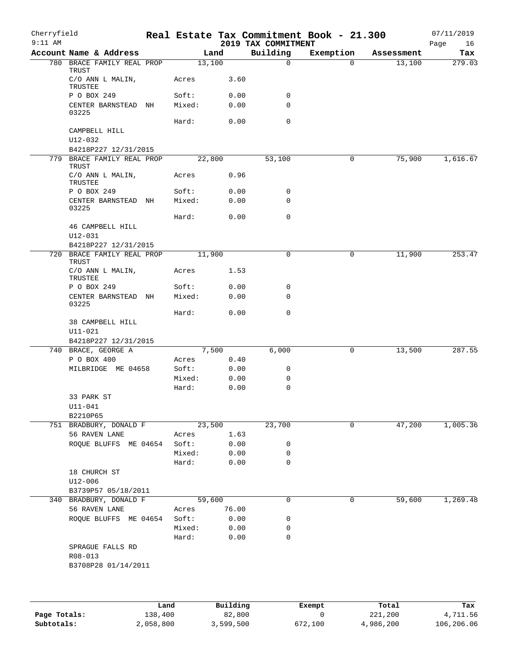| Cherryfield<br>$9:11$ AM |                                             |      |                |              | 2019 TAX COMMITMENT | Real Estate Tax Commitment Book - 21.300 |            | 07/11/2019<br>Page<br>16 |
|--------------------------|---------------------------------------------|------|----------------|--------------|---------------------|------------------------------------------|------------|--------------------------|
|                          | Account Name & Address                      |      |                | Land         | Building            | Exemption                                | Assessment | Tax                      |
|                          | 780 BRACE FAMILY REAL PROP                  |      | 13,100         |              | $\mathbf 0$         | $\Omega$                                 | 13,100     | 279.03                   |
|                          | TRUST<br>C/O ANN L MALIN,<br>TRUSTEE        |      | Acres          | 3.60         |                     |                                          |            |                          |
|                          | P O BOX 249                                 |      | Soft:          | 0.00         | 0                   |                                          |            |                          |
|                          | CENTER BARNSTEAD NH<br>03225                |      | Mixed:         | 0.00         | 0                   |                                          |            |                          |
|                          |                                             |      | Hard:          | 0.00         | $\mathbf 0$         |                                          |            |                          |
|                          | CAMPBELL HILL                               |      |                |              |                     |                                          |            |                          |
|                          | U12-032                                     |      |                |              |                     |                                          |            |                          |
|                          | B4218P227 12/31/2015                        |      |                |              |                     |                                          |            |                          |
|                          | 779 BRACE FAMILY REAL PROP<br><b>TRUST</b>  |      | 22,800         |              | 53,100              | 0                                        | 75,900     | 1,616.67                 |
|                          | C/O ANN L MALIN,<br>TRUSTEE                 |      | Acres          | 0.96         |                     |                                          |            |                          |
|                          | P O BOX 249                                 |      | Soft:          | 0.00         | 0                   |                                          |            |                          |
|                          | CENTER BARNSTEAD NH<br>03225                |      | Mixed:         | 0.00         | 0                   |                                          |            |                          |
|                          |                                             |      | Hard:          | 0.00         | $\mathbf 0$         |                                          |            |                          |
|                          | 46 CAMPBELL HILL                            |      |                |              |                     |                                          |            |                          |
|                          | U12-031                                     |      |                |              |                     |                                          |            |                          |
|                          | B4218P227 12/31/2015                        |      |                |              |                     |                                          |            |                          |
|                          | 720 BRACE FAMILY REAL PROP<br>TRUST         |      | 11,900         |              | $\Omega$            | 0                                        | 11,900     | 253.47                   |
|                          | C/O ANN L MALIN,<br>TRUSTEE                 |      | Acres          | 1.53         |                     |                                          |            |                          |
|                          | P O BOX 249                                 |      | Soft:          | 0.00         | 0                   |                                          |            |                          |
|                          | CENTER BARNSTEAD NH<br>03225                |      | Mixed:         | 0.00         | $\mathbf 0$         |                                          |            |                          |
|                          |                                             |      | Hard:          | 0.00         | $\mathbf 0$         |                                          |            |                          |
|                          | 38 CAMPBELL HILL                            |      |                |              |                     |                                          |            |                          |
|                          | $U11 - 021$                                 |      |                |              |                     |                                          |            |                          |
|                          | B4218P227 12/31/2015<br>740 BRACE, GEORGE A |      |                | 7,500        | 6,000               | 0                                        | 13,500     | 287.55                   |
|                          | P O BOX 400                                 |      | Acres          | 0.40         |                     |                                          |            |                          |
|                          | MILBRIDGE ME 04658                          |      | Soft:          | 0.00         | 0                   |                                          |            |                          |
|                          |                                             |      | Mixed:         | 0.00         | 0                   |                                          |            |                          |
|                          |                                             |      | Hard:          | 0.00         | $\mathbf 0$         |                                          |            |                          |
|                          | 33 PARK ST                                  |      |                |              |                     |                                          |            |                          |
|                          | $U11 - 041$                                 |      |                |              |                     |                                          |            |                          |
|                          | B2210P65                                    |      |                |              |                     |                                          |            |                          |
|                          | 751 BRADBURY, DONALD F                      |      | 23,500         |              | 23,700              | 0                                        | 47,200     | 1,005.36                 |
|                          | 56 RAVEN LANE<br>ROQUE BLUFFS ME 04654      |      | Acres<br>Soft: | 1.63<br>0.00 | 0                   |                                          |            |                          |
|                          |                                             |      | Mixed:         | 0.00         | 0                   |                                          |            |                          |
|                          |                                             |      | Hard:          | 0.00         | $\mathbf 0$         |                                          |            |                          |
|                          | 18 CHURCH ST                                |      |                |              |                     |                                          |            |                          |
|                          | $U12 - 006$                                 |      |                |              |                     |                                          |            |                          |
|                          | B3739P57 05/18/2011                         |      |                |              |                     |                                          |            |                          |
|                          | 340 BRADBURY, DONALD F                      |      | 59,600         |              | $\mathbf 0$         | 0                                        | 59,600     | 1,269.48                 |
|                          | 56 RAVEN LANE                               |      | Acres          | 76.00        |                     |                                          |            |                          |
|                          | ROQUE BLUFFS ME 04654                       |      | Soft:          | 0.00         | 0                   |                                          |            |                          |
|                          |                                             |      | Mixed:         | 0.00         | 0<br>0              |                                          |            |                          |
|                          | SPRAGUE FALLS RD                            |      | Hard:          | 0.00         |                     |                                          |            |                          |
|                          | R08-013                                     |      |                |              |                     |                                          |            |                          |
|                          | B3708P28 01/14/2011                         |      |                |              |                     |                                          |            |                          |
|                          |                                             |      |                |              |                     |                                          |            |                          |
|                          |                                             |      |                |              |                     |                                          |            |                          |
|                          |                                             |      |                |              |                     |                                          |            |                          |
|                          |                                             | Land |                | Building     |                     | Exempt                                   | Total      | Tax                      |

|              | Land      | Building  | Exempt  | Total     | Tax        |
|--------------|-----------|-----------|---------|-----------|------------|
| Page Totals: | 138,400   | 82,800    |         | 221,200   | 4,711.56   |
| Subtotals:   | 2,058,800 | 3,599,500 | 672,100 | 4,986,200 | 106,206.06 |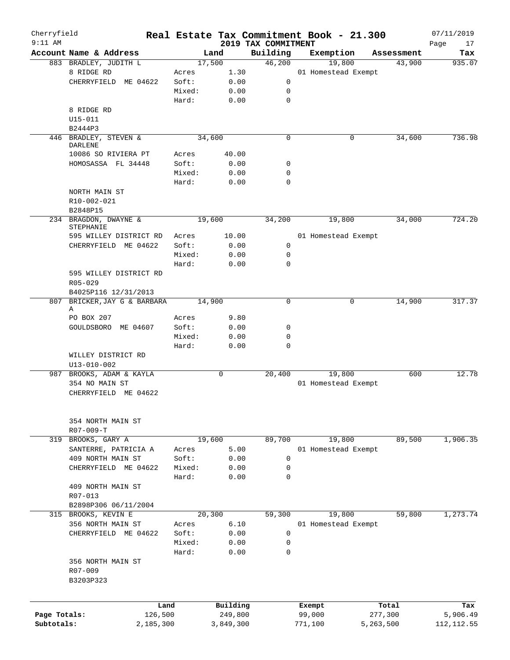| Cherryfield<br>$9:11$ AM |                              |                 |              |                                 | Real Estate Tax Commitment Book - 21.300 |            | 07/11/2019        |
|--------------------------|------------------------------|-----------------|--------------|---------------------------------|------------------------------------------|------------|-------------------|
|                          | Account Name & Address       |                 | Land         | 2019 TAX COMMITMENT<br>Building | Exemption                                | Assessment | Page<br>17<br>Tax |
|                          | 883 BRADLEY, JUDITH L        |                 | 17,500       | 46,200                          | 19,800                                   | 43,900     | 935.07            |
|                          | 8 RIDGE RD                   | Acres           | 1.30         |                                 | 01 Homestead Exempt                      |            |                   |
|                          | CHERRYFIELD ME 04622         | Soft:           | 0.00         | 0                               |                                          |            |                   |
|                          |                              | Mixed:          | 0.00         | 0                               |                                          |            |                   |
|                          |                              | Hard:           | 0.00         | $\mathbf 0$                     |                                          |            |                   |
|                          | 8 RIDGE RD                   |                 |              |                                 |                                          |            |                   |
|                          | U15-011                      |                 |              |                                 |                                          |            |                   |
|                          | B2444P3                      |                 |              |                                 |                                          |            |                   |
|                          | 446 BRADLEY, STEVEN &        |                 | 34,600       | $\mathbf 0$                     | 0                                        | 34,600     | 736.98            |
|                          | DARLENE                      |                 |              |                                 |                                          |            |                   |
|                          | 10086 SO RIVIERA PT          | Acres           | 40.00        |                                 |                                          |            |                   |
|                          | HOMOSASSA FL 34448           | Soft:           | 0.00         | 0                               |                                          |            |                   |
|                          |                              | Mixed:<br>Hard: | 0.00         | 0<br>$\mathbf 0$                |                                          |            |                   |
|                          |                              |                 | 0.00         |                                 |                                          |            |                   |
|                          | NORTH MAIN ST<br>R10-002-021 |                 |              |                                 |                                          |            |                   |
|                          | B2848P15                     |                 |              |                                 |                                          |            |                   |
|                          | 234 BRAGDON, DWAYNE &        |                 | 19,600       | 34,200                          | 19,800                                   | 34,000     | 724.20            |
|                          | STEPHANIE                    |                 |              |                                 |                                          |            |                   |
|                          | 595 WILLEY DISTRICT RD       | Acres           | 10.00        |                                 | 01 Homestead Exempt                      |            |                   |
|                          | CHERRYFIELD ME 04622         | Soft:           | 0.00         | 0                               |                                          |            |                   |
|                          |                              | Mixed:          | 0.00         | $\mathbf 0$                     |                                          |            |                   |
|                          |                              | Hard:           | 0.00         | $\Omega$                        |                                          |            |                   |
|                          | 595 WILLEY DISTRICT RD       |                 |              |                                 |                                          |            |                   |
|                          | $R05 - 029$                  |                 |              |                                 |                                          |            |                   |
|                          | B4025P116 12/31/2013         |                 |              |                                 |                                          |            |                   |
| 807                      | BRICKER, JAY G & BARBARA     |                 | 14,900       | $\mathbf 0$                     | 0                                        | 14,900     | 317.37            |
|                          | Α                            |                 |              |                                 |                                          |            |                   |
|                          | PO BOX 207                   | Acres           | 9.80         |                                 |                                          |            |                   |
|                          | GOULDSBORO ME 04607          | Soft:           | 0.00         | 0<br>$\mathbf 0$                |                                          |            |                   |
|                          |                              | Mixed:<br>Hard: | 0.00<br>0.00 | $\mathbf 0$                     |                                          |            |                   |
|                          | WILLEY DISTRICT RD           |                 |              |                                 |                                          |            |                   |
|                          | U13-010-002                  |                 |              |                                 |                                          |            |                   |
|                          | 987 BROOKS, ADAM & KAYLA     |                 | 0            | 20,400                          | 19,800                                   | 600        | 12.78             |
|                          | 354 NO MAIN ST               |                 |              |                                 | 01 Homestead Exempt                      |            |                   |
|                          | CHERRYFIELD ME 04622         |                 |              |                                 |                                          |            |                   |
|                          |                              |                 |              |                                 |                                          |            |                   |
|                          |                              |                 |              |                                 |                                          |            |                   |
|                          | 354 NORTH MAIN ST            |                 |              |                                 |                                          |            |                   |
|                          | $R07 - 009 - T$              |                 |              |                                 |                                          |            |                   |
|                          | 319 BROOKS, GARY A           |                 | 19,600       | 89,700                          | 19,800                                   | 89,500     | 1,906.35          |
|                          | SANTERRE, PATRICIA A         | Acres           | 5.00         |                                 | 01 Homestead Exempt                      |            |                   |
|                          | 409 NORTH MAIN ST            | Soft:           | 0.00         | $\mathbf 0$                     |                                          |            |                   |
|                          | CHERRYFIELD ME 04622         | Mixed:<br>Hard: | 0.00<br>0.00 | 0<br>$\mathbf 0$                |                                          |            |                   |
|                          | 409 NORTH MAIN ST            |                 |              |                                 |                                          |            |                   |
|                          | R07-013                      |                 |              |                                 |                                          |            |                   |
|                          | B2898P306 06/11/2004         |                 |              |                                 |                                          |            |                   |
|                          | 315 BROOKS, KEVIN E          |                 | 20,300       | 59,300                          | 19,800                                   | 59,800     | 1,273.74          |
|                          | 356 NORTH MAIN ST            | Acres           | 6.10         |                                 | 01 Homestead Exempt                      |            |                   |
|                          | CHERRYFIELD ME 04622         | Soft:           | 0.00         | 0                               |                                          |            |                   |
|                          |                              | Mixed:          | 0.00         | 0                               |                                          |            |                   |
|                          |                              | Hard:           | 0.00         | $\mathbf 0$                     |                                          |            |                   |
|                          | 356 NORTH MAIN ST            |                 |              |                                 |                                          |            |                   |
|                          | R07-009                      |                 |              |                                 |                                          |            |                   |
|                          | B3203P323                    |                 |              |                                 |                                          |            |                   |
|                          |                              |                 |              |                                 |                                          |            |                   |
|                          | Land                         |                 | Building     |                                 | Exempt                                   | Total      | Tax               |
| Page Totals:             | 126,500                      |                 | 249,800      |                                 | 99,000                                   | 277,300    | 5,906.49          |
| Subtotals:               | 2,185,300                    |                 | 3,849,300    |                                 | 771,100                                  | 5,263,500  | 112, 112.55       |
|                          |                              |                 |              |                                 |                                          |            |                   |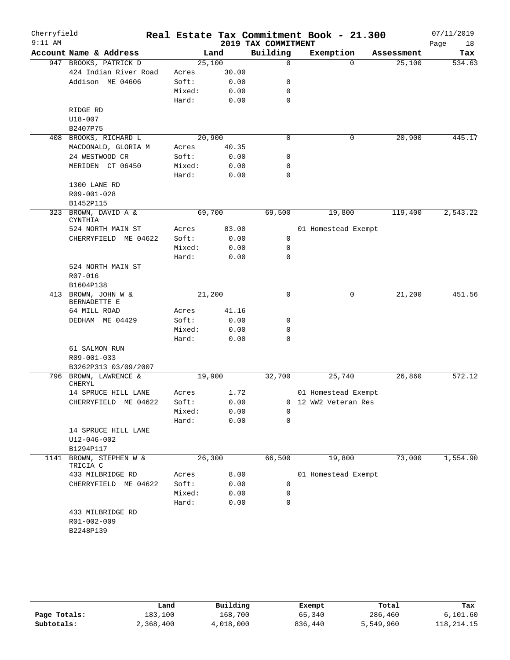| Cherryfield |                                     |        |       |                     | Real Estate Tax Commitment Book - 21.300 |            | 07/11/2019 |
|-------------|-------------------------------------|--------|-------|---------------------|------------------------------------------|------------|------------|
| $9:11$ AM   |                                     |        |       | 2019 TAX COMMITMENT |                                          |            | Page<br>18 |
|             | Account Name & Address              | Land   |       | Building            | Exemption                                | Assessment | Tax        |
|             | 947 BROOKS, PATRICK D               | 25,100 |       | 0                   | $\Omega$                                 | 25,100     | 534.63     |
|             | 424 Indian River Road               | Acres  | 30.00 |                     |                                          |            |            |
|             | Addison ME 04606                    | Soft:  | 0.00  | 0                   |                                          |            |            |
|             |                                     | Mixed: | 0.00  | $\mathbf 0$         |                                          |            |            |
|             |                                     | Hard:  | 0.00  | $\mathbf 0$         |                                          |            |            |
|             | RIDGE RD                            |        |       |                     |                                          |            |            |
|             | $U18 - 007$                         |        |       |                     |                                          |            |            |
|             | B2407P75                            |        |       |                     |                                          |            |            |
|             | 408 BROOKS, RICHARD L               | 20,900 |       | $\mathbf 0$         | 0                                        | 20,900     | 445.17     |
|             | MACDONALD, GLORIA M                 | Acres  | 40.35 |                     |                                          |            |            |
|             | 24 WESTWOOD CR                      | Soft:  | 0.00  | 0                   |                                          |            |            |
|             | MERIDEN CT 06450                    | Mixed: | 0.00  | 0                   |                                          |            |            |
|             |                                     | Hard:  | 0.00  | $\mathbf 0$         |                                          |            |            |
|             | 1300 LANE RD                        |        |       |                     |                                          |            |            |
|             | R09-001-028                         |        |       |                     |                                          |            |            |
|             | B1452P115                           |        |       |                     |                                          |            |            |
| 323         | BROWN, DAVID A &<br><b>CYNTHIA</b>  | 69,700 |       | 69,500              | 19,800                                   | 119,400    | 2,543.22   |
|             | 524 NORTH MAIN ST                   | Acres  | 83.00 |                     | 01 Homestead Exempt                      |            |            |
|             | CHERRYFIELD ME 04622                | Soft:  | 0.00  | $\mathbf 0$         |                                          |            |            |
|             |                                     | Mixed: | 0.00  | $\mathbf 0$         |                                          |            |            |
|             |                                     | Hard:  | 0.00  | 0                   |                                          |            |            |
|             | 524 NORTH MAIN ST                   |        |       |                     |                                          |            |            |
|             | R07-016                             |        |       |                     |                                          |            |            |
|             | B1604P138                           |        |       |                     |                                          |            |            |
|             | 413 BROWN, JOHN W &<br>BERNADETTE E | 21,200 |       | $\mathbf 0$         | 0                                        | 21,200     | 451.56     |
|             | 64 MILL ROAD                        | Acres  | 41.16 |                     |                                          |            |            |
|             | DEDHAM ME 04429                     | Soft:  | 0.00  | 0                   |                                          |            |            |
|             |                                     | Mixed: | 0.00  | 0                   |                                          |            |            |
|             |                                     | Hard:  | 0.00  | $\mathbf 0$         |                                          |            |            |
|             | 61 SALMON RUN                       |        |       |                     |                                          |            |            |
|             | R09-001-033                         |        |       |                     |                                          |            |            |
|             | B3262P313 03/09/2007                |        |       |                     |                                          |            |            |
|             | 796 BROWN, LAWRENCE &<br>CHERYL     | 19,900 |       | 32,700              | 25,740                                   | 26,860     | 572.12     |
|             | 14 SPRUCE HILL LANE                 | Acres  | 1.72  |                     | 01 Homestead Exempt                      |            |            |
|             | CHERRYFIELD ME 04622                | Soft:  | 0.00  |                     | 0 12 WW2 Veteran Res                     |            |            |
|             |                                     | Mixed: | 0.00  | 0                   |                                          |            |            |
|             |                                     | Hard:  | 0.00  | 0                   |                                          |            |            |
|             | 14 SPRUCE HILL LANE                 |        |       |                     |                                          |            |            |
|             | U12-046-002                         |        |       |                     |                                          |            |            |
|             | B1294P117                           |        |       |                     |                                          |            |            |
| 1141        | BROWN, STEPHEN W &<br>TRICIA C      | 26,300 |       | 66,500              | 19,800                                   | 73,000     | 1,554.90   |
|             | 433 MILBRIDGE RD                    | Acres  | 8.00  |                     | 01 Homestead Exempt                      |            |            |
|             | CHERRYFIELD ME 04622                | Soft:  | 0.00  | 0                   |                                          |            |            |
|             |                                     | Mixed: | 0.00  | 0                   |                                          |            |            |
|             |                                     | Hard:  | 0.00  | $\mathbf 0$         |                                          |            |            |
|             | 433 MILBRIDGE RD                    |        |       |                     |                                          |            |            |
|             | R01-002-009                         |        |       |                     |                                          |            |            |
|             | B2248P139                           |        |       |                     |                                          |            |            |
|             |                                     |        |       |                     |                                          |            |            |

|              | Land      | Building  | Exempt  | Total     | Tax        |
|--------------|-----------|-----------|---------|-----------|------------|
| Page Totals: | 183,100   | 168,700   | 65,340  | 286,460   | 6,101.60   |
| Subtotals:   | 2,368,400 | 4,018,000 | 836,440 | 5,549,960 | 118,214.15 |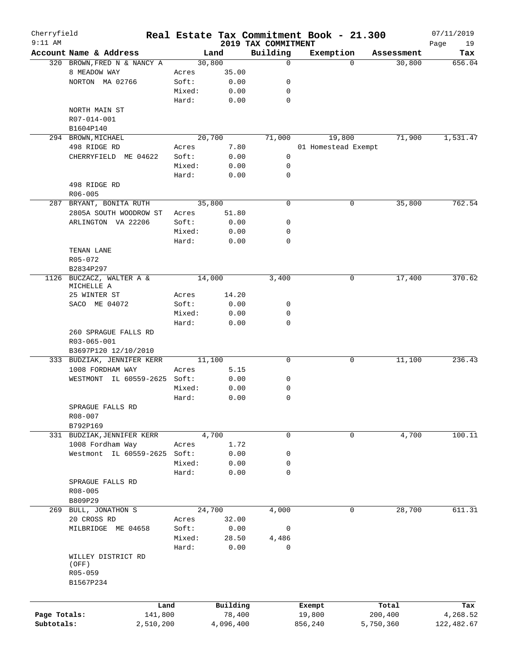| Cherryfield<br>$9:11$ AM |                              |        |           |                                 | Real Estate Tax Commitment Book - 21.300 |             |            | 07/11/2019        |
|--------------------------|------------------------------|--------|-----------|---------------------------------|------------------------------------------|-------------|------------|-------------------|
|                          | Account Name & Address       |        | Land      | 2019 TAX COMMITMENT<br>Building | Exemption                                |             | Assessment | Page<br>19<br>Tax |
|                          | 320 BROWN, FRED N & NANCY A  |        | 30,800    | 0                               |                                          | $\Omega$    | 30,800     | 656.04            |
|                          | 8 MEADOW WAY                 | Acres  | 35.00     |                                 |                                          |             |            |                   |
|                          | NORTON MA 02766              | Soft:  | 0.00      | 0                               |                                          |             |            |                   |
|                          |                              | Mixed: | 0.00      | 0                               |                                          |             |            |                   |
|                          |                              | Hard:  | 0.00      | 0                               |                                          |             |            |                   |
|                          | NORTH MAIN ST                |        |           |                                 |                                          |             |            |                   |
|                          |                              |        |           |                                 |                                          |             |            |                   |
|                          | R07-014-001                  |        |           |                                 |                                          |             |            |                   |
|                          | B1604P140                    |        |           |                                 |                                          |             |            |                   |
|                          | 294 BROWN, MICHAEL           |        | 20,700    | 71,000                          | 19,800                                   |             | 71,900     | 1,531.47          |
|                          | 498 RIDGE RD                 | Acres  | 7.80      |                                 | 01 Homestead Exempt                      |             |            |                   |
|                          | CHERRYFIELD ME 04622         | Soft:  | 0.00      | 0                               |                                          |             |            |                   |
|                          |                              | Mixed: | 0.00      | 0                               |                                          |             |            |                   |
|                          |                              | Hard:  | 0.00      | 0                               |                                          |             |            |                   |
|                          | 498 RIDGE RD                 |        |           |                                 |                                          |             |            |                   |
|                          | R06-005                      |        |           |                                 |                                          |             |            |                   |
|                          | 287 BRYANT, BONITA RUTH      |        | 35,800    | $\mathbf 0$                     |                                          | $\mathbf 0$ | 35,800     | 762.54            |
|                          | 2805A SOUTH WOODROW ST       | Acres  | 51.80     |                                 |                                          |             |            |                   |
|                          | ARLINGTON VA 22206           | Soft:  | 0.00      | 0                               |                                          |             |            |                   |
|                          |                              | Mixed: | 0.00      | 0                               |                                          |             |            |                   |
|                          |                              | Hard:  | 0.00      | 0                               |                                          |             |            |                   |
|                          | TENAN LANE                   |        |           |                                 |                                          |             |            |                   |
|                          | R05-072                      |        |           |                                 |                                          |             |            |                   |
|                          | B2834P297                    |        |           |                                 |                                          |             |            |                   |
| 1126                     | BUCZACZ, WALTER A &          |        | 14,000    | 3,400                           |                                          | 0           | 17,400     | 370.62            |
|                          | MICHELLE A                   |        |           |                                 |                                          |             |            |                   |
|                          | 25 WINTER ST                 | Acres  | 14.20     |                                 |                                          |             |            |                   |
|                          | SACO ME 04072                | Soft:  | 0.00      | 0                               |                                          |             |            |                   |
|                          |                              | Mixed: | 0.00      | 0                               |                                          |             |            |                   |
|                          |                              | Hard:  | 0.00      | 0                               |                                          |             |            |                   |
|                          | 260 SPRAGUE FALLS RD         |        |           |                                 |                                          |             |            |                   |
|                          | R03-065-001                  |        |           |                                 |                                          |             |            |                   |
|                          | B3697P120 12/10/2010         |        |           |                                 |                                          |             |            |                   |
|                          | 333 BUDZIAK, JENNIFER KERR   |        | 11,100    | 0                               |                                          | 0           | 11,100     | 236.43            |
|                          | 1008 FORDHAM WAY             | Acres  | 5.15      |                                 |                                          |             |            |                   |
|                          | WESTMONT IL 60559-2625 Soft: |        | 0.00      | 0                               |                                          |             |            |                   |
|                          |                              | Mixed: | 0.00      | 0                               |                                          |             |            |                   |
|                          |                              |        |           |                                 |                                          |             |            |                   |
|                          |                              | Hard:  | 0.00      | 0                               |                                          |             |            |                   |
|                          | SPRAGUE FALLS RD             |        |           |                                 |                                          |             |            |                   |
|                          | R08-007                      |        |           |                                 |                                          |             |            |                   |
|                          | B792P169                     |        |           |                                 |                                          |             |            |                   |
|                          | 331 BUDZIAK, JENNIFER KERR   |        | 4,700     | 0                               |                                          | 0           | 4,700      | 100.11            |
|                          | 1008 Fordham Way             | Acres  | 1.72      |                                 |                                          |             |            |                   |
|                          | Westmont IL 60559-2625 Soft: |        | 0.00      | 0                               |                                          |             |            |                   |
|                          |                              | Mixed: | 0.00      | 0                               |                                          |             |            |                   |
|                          |                              | Hard:  | 0.00      | 0                               |                                          |             |            |                   |
|                          | SPRAGUE FALLS RD             |        |           |                                 |                                          |             |            |                   |
|                          | R08-005                      |        |           |                                 |                                          |             |            |                   |
|                          | B809P29                      |        |           |                                 |                                          |             |            |                   |
|                          | 269 BULL, JONATHON S         |        | 24,700    | 4,000                           |                                          | $\mathbf 0$ | 28,700     | 611.31            |
|                          | 20 CROSS RD                  | Acres  | 32.00     |                                 |                                          |             |            |                   |
|                          | MILBRIDGE ME 04658           | Soft:  | 0.00      | 0                               |                                          |             |            |                   |
|                          |                              | Mixed: | 28.50     | 4,486                           |                                          |             |            |                   |
|                          |                              | Hard:  | 0.00      | 0                               |                                          |             |            |                   |
|                          | WILLEY DISTRICT RD           |        |           |                                 |                                          |             |            |                   |
|                          | (OFF)                        |        |           |                                 |                                          |             |            |                   |
|                          | R05-059                      |        |           |                                 |                                          |             |            |                   |
|                          | B1567P234                    |        |           |                                 |                                          |             |            |                   |
|                          |                              |        |           |                                 |                                          |             |            |                   |
|                          |                              |        |           |                                 |                                          |             |            |                   |
|                          | Land                         |        | Building  |                                 | Exempt                                   |             | Total      | Tax               |
| Page Totals:             | 141,800                      |        | 78,400    |                                 | 19,800                                   |             | 200,400    | 4,268.52          |
| Subtotals:               | 2,510,200                    |        | 4,096,400 |                                 | 856,240                                  |             | 5,750,360  | 122,482.67        |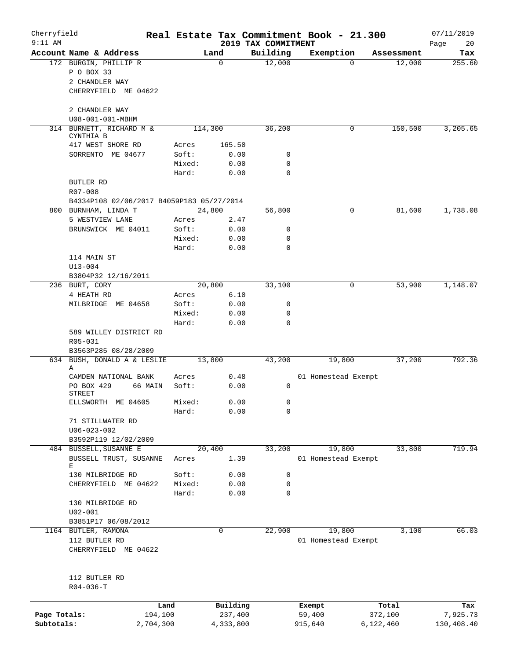| Cherryfield<br>$9:11$ AM |                                           |        |           |                                 | Real Estate Tax Commitment Book - 21.300 |            | 07/11/2019        |
|--------------------------|-------------------------------------------|--------|-----------|---------------------------------|------------------------------------------|------------|-------------------|
|                          | Account Name & Address                    |        | Land      | 2019 TAX COMMITMENT<br>Building | Exemption                                | Assessment | Page<br>20<br>Tax |
|                          | 172 BURGIN, PHILLIP R                     |        | 0         | 12,000                          | $\Omega$                                 | 12,000     | 255.60            |
|                          | P O BOX 33                                |        |           |                                 |                                          |            |                   |
|                          | 2 CHANDLER WAY                            |        |           |                                 |                                          |            |                   |
|                          | CHERRYFIELD ME 04622                      |        |           |                                 |                                          |            |                   |
|                          |                                           |        |           |                                 |                                          |            |                   |
|                          | 2 CHANDLER WAY                            |        |           |                                 |                                          |            |                   |
|                          | U08-001-001-MBHM                          |        |           |                                 |                                          |            |                   |
|                          | 314 BURNETT, RICHARD M &<br>CYNTHIA B     |        | 114,300   | 36,200                          | 0                                        | 150,500    | 3,205.65          |
|                          | 417 WEST SHORE RD                         | Acres  | 165.50    |                                 |                                          |            |                   |
|                          | SORRENTO ME 04677                         | Soft:  | 0.00      | 0                               |                                          |            |                   |
|                          |                                           | Mixed: | 0.00      | 0                               |                                          |            |                   |
|                          |                                           | Hard:  | 0.00      | $\mathbf 0$                     |                                          |            |                   |
|                          | <b>BUTLER RD</b>                          |        |           |                                 |                                          |            |                   |
|                          | R07-008                                   |        |           |                                 |                                          |            |                   |
|                          | B4334P108 02/06/2017 B4059P183 05/27/2014 |        |           |                                 |                                          |            |                   |
|                          | 800 BURNHAM, LINDA T                      |        | 24,800    | 56,800                          | 0                                        | 81,600     | 1,738.08          |
|                          | 5 WESTVIEW LANE                           | Acres  | 2.47      |                                 |                                          |            |                   |
|                          | BRUNSWICK ME 04011                        | Soft:  | 0.00      | 0                               |                                          |            |                   |
|                          |                                           | Mixed: | 0.00      | $\mathbf 0$                     |                                          |            |                   |
|                          |                                           | Hard:  | 0.00      | 0                               |                                          |            |                   |
|                          | 114 MAIN ST                               |        |           |                                 |                                          |            |                   |
|                          | $U13 - 004$                               |        |           |                                 |                                          |            |                   |
|                          | B3804P32 12/16/2011                       |        |           |                                 |                                          |            |                   |
|                          | 236 BURT, CORY                            |        | 20,800    | 33,100                          | 0                                        | 53,900     | 1,148.07          |
|                          | 4 HEATH RD                                | Acres  | 6.10      |                                 |                                          |            |                   |
|                          | MILBRIDGE ME 04658                        | Soft:  | 0.00      | 0                               |                                          |            |                   |
|                          |                                           | Mixed: | 0.00      | $\mathbf 0$                     |                                          |            |                   |
|                          |                                           | Hard:  | 0.00      | $\mathbf 0$                     |                                          |            |                   |
|                          | 589 WILLEY DISTRICT RD<br>R05-031         |        |           |                                 |                                          |            |                   |
|                          | B3563P285 08/28/2009                      |        |           |                                 |                                          |            |                   |
|                          | 634 BUSH, DONALD A & LESLIE<br>Α          |        | 13,800    | 43,200                          | 19,800                                   | 37,200     | 792.36            |
|                          | CAMDEN NATIONAL BANK                      | Acres  | 0.48      |                                 | 01 Homestead Exempt                      |            |                   |
|                          | PO BOX 429<br>66 MAIN<br><b>STREET</b>    | Soft:  | 0.00      | 0                               |                                          |            |                   |
|                          | ELLSWORTH ME 04605                        | Mixed: | 0.00      | 0                               |                                          |            |                   |
|                          |                                           | Hard:  | 0.00      | $\mathbf 0$                     |                                          |            |                   |
|                          | 71 STILLWATER RD                          |        |           |                                 |                                          |            |                   |
|                          | $U06 - 023 - 002$                         |        |           |                                 |                                          |            |                   |
|                          | B3592P119 12/02/2009                      |        |           |                                 |                                          |            |                   |
|                          | 484 BUSSELL, SUSANNE E                    |        | 20,400    | 33,200                          | 19,800                                   | 33,800     | 719.94            |
|                          | BUSSELL TRUST, SUSANNE                    | Acres  | 1.39      |                                 | 01 Homestead Exempt                      |            |                   |
|                          | Е                                         |        |           |                                 |                                          |            |                   |
|                          | 130 MILBRIDGE RD                          | Soft:  | 0.00      | 0                               |                                          |            |                   |
|                          | CHERRYFIELD ME 04622                      | Mixed: | 0.00      | $\mathbf 0$                     |                                          |            |                   |
|                          |                                           | Hard:  | 0.00      | $\mathbf 0$                     |                                          |            |                   |
|                          | 130 MILBRIDGE RD                          |        |           |                                 |                                          |            |                   |
|                          | $U02 - 001$                               |        |           |                                 |                                          |            |                   |
|                          | B3851P17 06/08/2012                       |        |           |                                 |                                          |            |                   |
|                          | 1164 BUTLER, RAMONA                       |        | 0         | 22,900                          | 19,800                                   | 3,100      | 66.03             |
|                          | 112 BUTLER RD<br>CHERRYFIELD ME 04622     |        |           |                                 | 01 Homestead Exempt                      |            |                   |
|                          | 112 BUTLER RD                             |        |           |                                 |                                          |            |                   |
|                          | $R04 - 036 - T$                           |        |           |                                 |                                          |            |                   |
|                          |                                           | Land   | Building  |                                 | Exempt                                   | Total      | Tax               |
| Page Totals:             | 194,100                                   |        | 237,400   |                                 | 59,400                                   | 372,100    | 7,925.73          |
| Subtotals:               | 2,704,300                                 |        | 4,333,800 |                                 | 915,640                                  | 6,122,460  | 130,408.40        |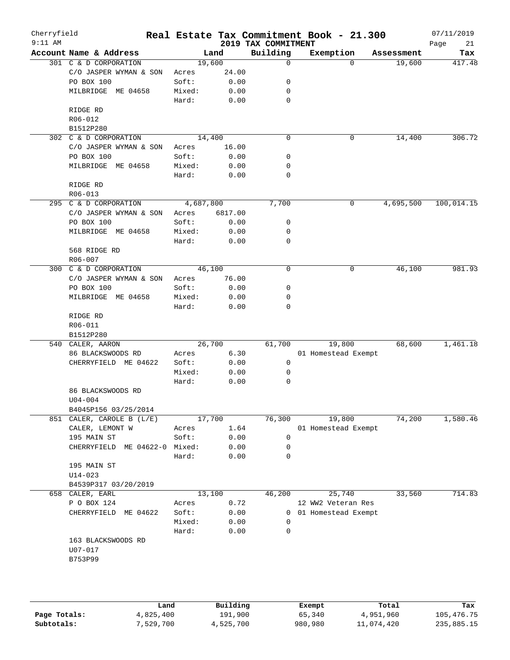| Cherryfield<br>$9:11$ AM |                                      |           |         | 2019 TAX COMMITMENT | Real Estate Tax Commitment Book - 21.300 |             | 07/11/2019        |
|--------------------------|--------------------------------------|-----------|---------|---------------------|------------------------------------------|-------------|-------------------|
|                          | Account Name & Address               |           | Land    | Building            | Exemption                                | Assessment  | Page<br>21<br>Tax |
|                          | 301 C & D CORPORATION                | 19,600    |         | $\mathbf 0$         | $\Omega$                                 | 19,600      | 417.48            |
|                          | C/O JASPER WYMAN & SON               | Acres     | 24.00   |                     |                                          |             |                   |
|                          | PO BOX 100                           | Soft:     | 0.00    | 0                   |                                          |             |                   |
|                          | MILBRIDGE ME 04658                   | Mixed:    | 0.00    | 0                   |                                          |             |                   |
|                          |                                      | Hard:     | 0.00    | 0                   |                                          |             |                   |
|                          | RIDGE RD                             |           |         |                     |                                          |             |                   |
|                          | R06-012                              |           |         |                     |                                          |             |                   |
|                          | B1512P280                            |           |         |                     |                                          |             |                   |
|                          | 302 C & D CORPORATION                | 14,400    |         | $\mathbf 0$         | 0                                        | 14,400      | 306.72            |
|                          | C/O JASPER WYMAN & SON               | Acres     | 16.00   |                     |                                          |             |                   |
|                          | PO BOX 100                           | Soft:     | 0.00    | 0                   |                                          |             |                   |
|                          | MILBRIDGE ME 04658                   | Mixed:    | 0.00    | 0                   |                                          |             |                   |
|                          |                                      | Hard:     | 0.00    | 0                   |                                          |             |                   |
|                          | RIDGE RD                             |           |         |                     |                                          |             |                   |
|                          | $R06 - 013$<br>295 C & D CORPORATION |           |         |                     |                                          |             | 100,014.15        |
|                          |                                      | 4,687,800 |         | 7,700               | $\mathbf 0$                              | 4,695,500   |                   |
|                          | C/O JASPER WYMAN & SON               | Acres     | 6817.00 |                     |                                          |             |                   |
|                          | <b>PO BOX 100</b>                    | Soft:     | 0.00    | 0                   |                                          |             |                   |
|                          | MILBRIDGE ME 04658                   | Mixed:    | 0.00    | 0                   |                                          |             |                   |
|                          | 568 RIDGE RD                         | Hard:     | 0.00    | 0                   |                                          |             |                   |
|                          | R06-007                              |           |         |                     |                                          |             |                   |
| 300                      | C & D CORPORATION                    | 46,100    |         | $\mathbf 0$         | 0                                        | 46,100      | 981.93            |
|                          | C/O JASPER WYMAN & SON               | Acres     | 76.00   |                     |                                          |             |                   |
|                          | PO BOX 100                           | Soft:     | 0.00    | 0                   |                                          |             |                   |
|                          | MILBRIDGE ME 04658                   | Mixed:    | 0.00    | 0                   |                                          |             |                   |
|                          |                                      | Hard:     | 0.00    | 0                   |                                          |             |                   |
|                          | RIDGE RD                             |           |         |                     |                                          |             |                   |
|                          | R06-011                              |           |         |                     |                                          |             |                   |
|                          | B1512P280                            |           |         |                     |                                          |             |                   |
| 540                      | CALER, AARON                         | 26,700    |         | 61,700              | 19,800                                   | 68,600      | 1,461.18          |
|                          | 86 BLACKSWOODS RD                    | Acres     | 6.30    |                     | 01 Homestead Exempt                      |             |                   |
|                          | CHERRYFIELD ME 04622                 | Soft:     | 0.00    | $\mathbf 0$         |                                          |             |                   |
|                          |                                      | Mixed:    | 0.00    | 0                   |                                          |             |                   |
|                          |                                      | Hard:     | 0.00    | 0                   |                                          |             |                   |
|                          | 86 BLACKSWOODS RD                    |           |         |                     |                                          |             |                   |
|                          | $U04 - 004$                          |           |         |                     |                                          |             |                   |
|                          | B4045P156 03/25/2014                 |           |         |                     |                                          |             |                   |
|                          | 851 CALER, CAROLE B (L/E)            | 17,700    |         | 76,300              | 19,800                                   | 74,200      | 1,580.46          |
|                          | CALER, LEMONT W                      | Acres     | 1.64    |                     | 01 Homestead Exempt                      |             |                   |
|                          | 195 MAIN ST                          | Soft:     | 0.00    | 0                   |                                          |             |                   |
|                          | CHERRYFIELD<br>ME 04622-0 Mixed:     |           | 0.00    | 0                   |                                          |             |                   |
|                          |                                      | Hard:     | 0.00    | 0                   |                                          |             |                   |
|                          | 195 MAIN ST                          |           |         |                     |                                          |             |                   |
|                          | $U14 - 023$                          |           |         |                     |                                          |             |                   |
|                          | B4539P317 03/20/2019                 |           |         |                     |                                          |             |                   |
|                          | 658 CALER, EARL                      | 13,100    |         | 46,200              | 25,740                                   | 33,560      | 714.83            |
|                          | P O BOX 124                          | Acres     | 0.72    |                     | 12 WW2 Veteran Res                       |             |                   |
|                          | CHERRYFIELD ME 04622                 | Soft:     | 0.00    | $\mathbf{0}$        | 01 Homestead Exempt                      |             |                   |
|                          |                                      | Mixed:    | 0.00    | 0                   |                                          |             |                   |
|                          |                                      | Hard:     | 0.00    | 0                   |                                          |             |                   |
|                          | 163 BLACKSWOODS RD                   |           |         |                     |                                          |             |                   |
|                          | U07-017                              |           |         |                     |                                          |             |                   |
|                          | B753P99                              |           |         |                     |                                          |             |                   |
|                          |                                      |           |         |                     |                                          |             |                   |
|                          |                                      |           |         |                     |                                          |             |                   |
|                          |                                      |           |         |                     |                                          |             |                   |
|                          | المصط ۳                              |           | P114    |                     | <b>Pucamet</b>                           | $T - F - 1$ | m.,               |

|              | Land      | Building  | Exempt  | Total      | Tax        |
|--------------|-----------|-----------|---------|------------|------------|
| Page Totals: | 4,825,400 | 191,900   | 65,340  | 4,951,960  | 105,476.75 |
| Subtotals:   | 7,529,700 | 4,525,700 | 980,980 | 11,074,420 | 235,885.15 |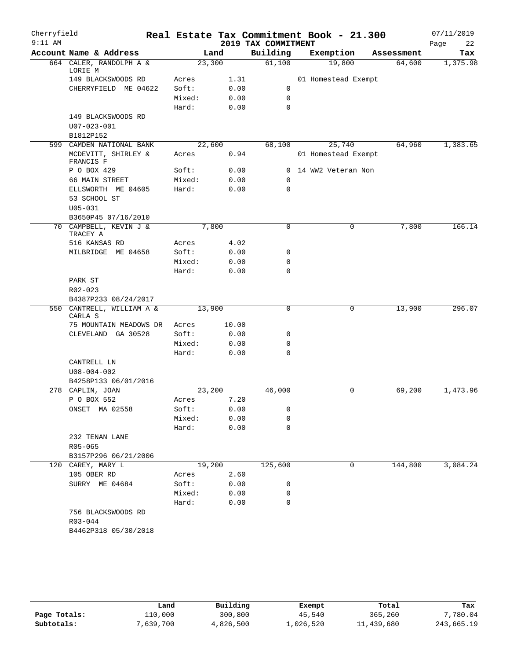| Cherryfield |                                      |        |        |                     | Real Estate Tax Commitment Book - 21.300 |            | 07/11/2019 |
|-------------|--------------------------------------|--------|--------|---------------------|------------------------------------------|------------|------------|
| $9:11$ AM   |                                      |        |        | 2019 TAX COMMITMENT |                                          |            | Page<br>22 |
|             | Account Name & Address               |        | Land   | Building            | Exemption                                | Assessment | Tax        |
|             | 664 CALER, RANDOLPH A &<br>LORIE M   |        | 23,300 | 61,100              | 19,800                                   | 64,600     | 1,375.98   |
|             | 149 BLACKSWOODS RD                   | Acres  | 1.31   |                     | 01 Homestead Exempt                      |            |            |
|             | CHERRYFIELD ME 04622                 | Soft:  | 0.00   | 0                   |                                          |            |            |
|             |                                      | Mixed: | 0.00   | $\mathbf 0$         |                                          |            |            |
|             |                                      | Hard:  | 0.00   | $\mathbf 0$         |                                          |            |            |
|             | 149 BLACKSWOODS RD                   |        |        |                     |                                          |            |            |
|             | $U07 - 023 - 001$                    |        |        |                     |                                          |            |            |
|             | B1812P152                            |        |        |                     |                                          |            |            |
|             | 599 CAMDEN NATIONAL BANK             |        | 22,600 | 68,100              | 25,740                                   | 64,960     | 1,383.65   |
|             | MCDEVITT, SHIRLEY &<br>FRANCIS F     | Acres  | 0.94   |                     | 01 Homestead Exempt                      |            |            |
|             | P O BOX 429                          | Soft:  | 0.00   |                     | 0 14 WW2 Veteran Non                     |            |            |
|             | 66 MAIN STREET                       | Mixed: | 0.00   | 0                   |                                          |            |            |
|             | ELLSWORTH ME 04605                   | Hard:  | 0.00   | 0                   |                                          |            |            |
|             | 53 SCHOOL ST                         |        |        |                     |                                          |            |            |
|             | $U05 - 031$                          |        |        |                     |                                          |            |            |
|             | B3650P45 07/16/2010                  |        |        |                     |                                          |            |            |
|             | 70 CAMPBELL, KEVIN J &<br>TRACEY A   |        | 7,800  | $\mathbf 0$         | 0                                        | 7,800      | 166.14     |
|             | 516 KANSAS RD                        | Acres  | 4.02   |                     |                                          |            |            |
|             | ME 04658<br>MILBRIDGE                | Soft:  | 0.00   | 0                   |                                          |            |            |
|             |                                      | Mixed: | 0.00   | 0                   |                                          |            |            |
|             | PARK ST                              | Hard:  | 0.00   | 0                   |                                          |            |            |
|             | R02-023                              |        |        |                     |                                          |            |            |
|             | B4387P233 08/24/2017                 |        |        |                     |                                          |            |            |
|             | 550 CANTRELL, WILLIAM A &<br>CARLA S |        | 13,900 | $\mathbf 0$         | 0                                        | 13,900     | 296.07     |
|             | 75 MOUNTAIN MEADOWS DR               | Acres  | 10.00  |                     |                                          |            |            |
|             | CLEVELAND GA 30528                   | Soft:  | 0.00   | 0                   |                                          |            |            |
|             |                                      | Mixed: | 0.00   | 0                   |                                          |            |            |
|             |                                      | Hard:  | 0.00   | $\mathbf 0$         |                                          |            |            |
|             | CANTRELL LN                          |        |        |                     |                                          |            |            |
|             | $U08 - 004 - 002$                    |        |        |                     |                                          |            |            |
|             | B4258P133 06/01/2016                 |        |        |                     |                                          |            |            |
|             | 278 CAPLIN, JOAN                     |        | 23,200 | 46,000              | 0                                        | 69,200     | 1,473.96   |
|             | P O BOX 552                          | Acres  | 7.20   |                     |                                          |            |            |
|             | ONSET MA 02558                       | Soft:  | 0.00   | 0                   |                                          |            |            |
|             |                                      | Mixed: | 0.00   | 0                   |                                          |            |            |
|             |                                      | Hard:  | 0.00   | 0                   |                                          |            |            |
|             | 232 TENAN LANE                       |        |        |                     |                                          |            |            |
|             | R05-065<br>B3157P296 06/21/2006      |        |        |                     |                                          |            |            |
|             | 120 CAREY, MARY L                    |        | 19,200 | 125,600             | 0                                        | 144,800    | 3,084.24   |
|             | 105 OBER RD                          | Acres  | 2.60   |                     |                                          |            |            |
|             | SURRY ME 04684                       | Soft:  | 0.00   | 0                   |                                          |            |            |
|             |                                      | Mixed: | 0.00   | 0                   |                                          |            |            |
|             |                                      | Hard:  | 0.00   | 0                   |                                          |            |            |
|             | 756 BLACKSWOODS RD                   |        |        |                     |                                          |            |            |
|             | R03-044                              |        |        |                     |                                          |            |            |
|             | B4462P318 05/30/2018                 |        |        |                     |                                          |            |            |
|             |                                      |        |        |                     |                                          |            |            |

|              | Land      | Building  | Exempt    | Total      | Tax        |
|--------------|-----------|-----------|-----------|------------|------------|
| Page Totals: | 110,000   | 300,800   | 45,540    | 365,260    | 7,780.04   |
| Subtotals:   | 7,639,700 | 4,826,500 | 1,026,520 | 11,439,680 | 243,665.19 |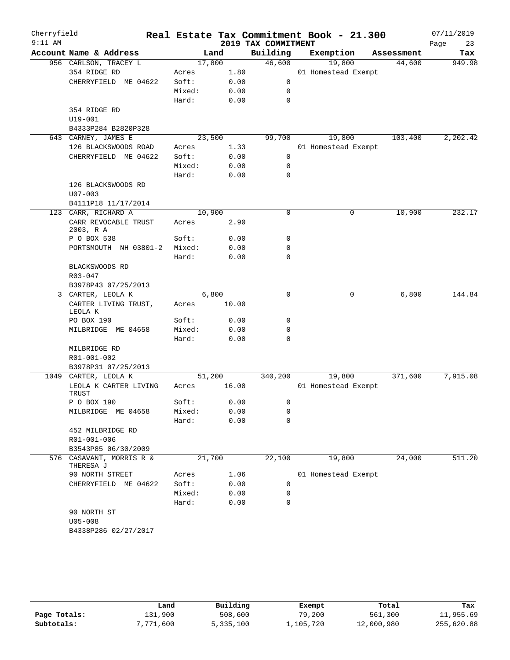| Cherryfield<br>$9:11$ AM |                                   |        |       | 2019 TAX COMMITMENT | Real Estate Tax Commitment Book - 21.300 |            | 07/11/2019<br>Page<br>23 |
|--------------------------|-----------------------------------|--------|-------|---------------------|------------------------------------------|------------|--------------------------|
|                          | Account Name & Address            | Land   |       | Building            | Exemption                                | Assessment | Tax                      |
|                          | 956 CARLSON, TRACEY L             | 17,800 |       | 46,600              | 19,800                                   | 44,600     | 949.98                   |
|                          | 354 RIDGE RD                      | Acres  | 1.80  |                     | 01 Homestead Exempt                      |            |                          |
|                          | CHERRYFIELD ME 04622              | Soft:  | 0.00  | 0                   |                                          |            |                          |
|                          |                                   | Mixed: | 0.00  | 0                   |                                          |            |                          |
|                          |                                   | Hard:  | 0.00  | 0                   |                                          |            |                          |
|                          | 354 RIDGE RD                      |        |       |                     |                                          |            |                          |
|                          | $U19 - 001$                       |        |       |                     |                                          |            |                          |
|                          | B4333P284 B2820P328               |        |       |                     |                                          |            |                          |
|                          | 643 CARNEY, JAMES E               | 23,500 |       | 99,700              | 19,800                                   | 103,400    | 2,202.42                 |
|                          | 126 BLACKSWOODS ROAD              | Acres  | 1.33  |                     | 01 Homestead Exempt                      |            |                          |
|                          | CHERRYFIELD ME 04622              | Soft:  | 0.00  | 0                   |                                          |            |                          |
|                          |                                   | Mixed: | 0.00  | 0                   |                                          |            |                          |
|                          |                                   | Hard:  | 0.00  | 0                   |                                          |            |                          |
|                          | 126 BLACKSWOODS RD                |        |       |                     |                                          |            |                          |
|                          | $U07 - 003$                       |        |       |                     |                                          |            |                          |
|                          | B4111P18 11/17/2014               |        |       |                     |                                          |            |                          |
| 123                      | CARR, RICHARD A                   | 10,900 |       | $\mathbf 0$         | 0                                        | 10,900     | 232.17                   |
|                          | CARR REVOCABLE TRUST<br>2003, R A | Acres  | 2.90  |                     |                                          |            |                          |
|                          | P O BOX 538                       | Soft:  | 0.00  | 0                   |                                          |            |                          |
|                          | PORTSMOUTH NH 03801-2             | Mixed: | 0.00  | 0                   |                                          |            |                          |
|                          |                                   | Hard:  | 0.00  | $\mathbf 0$         |                                          |            |                          |
|                          | BLACKSWOODS RD                    |        |       |                     |                                          |            |                          |
|                          | R03-047                           |        |       |                     |                                          |            |                          |
|                          | B3978P43 07/25/2013               |        |       |                     |                                          |            |                          |
|                          | 3 CARTER, LEOLA K                 | 6,800  |       | $\mathbf 0$         | 0                                        | 6,800      | 144.84                   |
|                          | CARTER LIVING TRUST,<br>LEOLA K   | Acres  | 10.00 |                     |                                          |            |                          |
|                          | PO BOX 190                        | Soft:  | 0.00  | 0                   |                                          |            |                          |
|                          | MILBRIDGE ME 04658                | Mixed: | 0.00  | 0                   |                                          |            |                          |
|                          |                                   | Hard:  | 0.00  | 0                   |                                          |            |                          |
|                          | MILBRIDGE RD                      |        |       |                     |                                          |            |                          |
|                          | R01-001-002                       |        |       |                     |                                          |            |                          |
|                          | B3978P31 07/25/2013               |        |       |                     |                                          |            |                          |
| 1049                     | CARTER, LEOLA K                   | 51,200 |       | 340,200             | 19,800                                   | 371,600    | 7,915.08                 |
|                          | LEOLA K CARTER LIVING<br>TRUST    | Acres  | 16.00 |                     | 01 Homestead Exempt                      |            |                          |
|                          | P O BOX 190                       | Soft:  | 0.00  | 0                   |                                          |            |                          |
|                          | MILBRIDGE ME 04658                | Mixed: | 0.00  | 0                   |                                          |            |                          |
|                          |                                   | Hard:  | 0.00  | $\mathbf 0$         |                                          |            |                          |
|                          | 452 MILBRIDGE RD                  |        |       |                     |                                          |            |                          |
|                          | R01-001-006                       |        |       |                     |                                          |            |                          |
|                          | B3543P85 06/30/2009               |        |       |                     |                                          |            |                          |
| 576                      | CASAVANT, MORRIS R &<br>THERESA J | 21,700 |       | 22,100              | 19,800                                   | 24,000     | 511.20                   |
|                          | 90 NORTH STREET                   | Acres  | 1.06  |                     | 01 Homestead Exempt                      |            |                          |
|                          | CHERRYFIELD ME 04622              | Soft:  | 0.00  | 0                   |                                          |            |                          |
|                          |                                   | Mixed: | 0.00  | 0                   |                                          |            |                          |
|                          |                                   | Hard:  | 0.00  | 0                   |                                          |            |                          |
|                          | 90 NORTH ST                       |        |       |                     |                                          |            |                          |
|                          | $U05 - 008$                       |        |       |                     |                                          |            |                          |
|                          | B4338P286 02/27/2017              |        |       |                     |                                          |            |                          |

|              | Land      | Building  | Exempt    | Total      | Tax        |
|--------------|-----------|-----------|-----------|------------|------------|
| Page Totals: | 131,900   | 508,600   | 79,200    | 561,300    | 11,955.69  |
| Subtotals:   | 7,771,600 | 5,335,100 | 1,105,720 | 12,000,980 | 255,620.88 |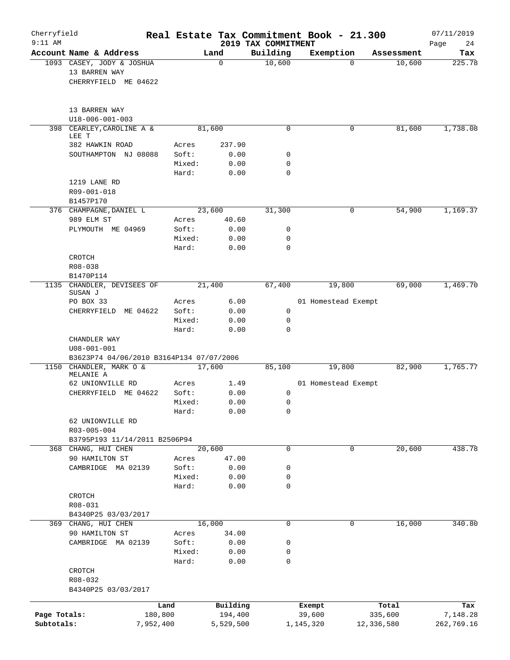| Cherryfield<br>$9:11$ AM |                                                                    |           |                 |                 | 2019 TAX COMMITMENT | Real Estate Tax Commitment Book - 21.300 |            |            | 07/11/2019<br>24 |
|--------------------------|--------------------------------------------------------------------|-----------|-----------------|-----------------|---------------------|------------------------------------------|------------|------------|------------------|
|                          | Account Name & Address                                             |           |                 | Land            | Building            | Exemption                                |            | Assessment | Page<br>Tax      |
|                          | 1093 CASEY, JODY & JOSHUA<br>13 BARREN WAY<br>CHERRYFIELD ME 04622 |           |                 | 0               | 10,600              |                                          | $\Omega$   | 10,600     | 225.78           |
|                          | 13 BARREN WAY<br>U18-006-001-003                                   |           |                 |                 |                     |                                          |            |            |                  |
|                          | 398 CEARLEY, CAROLINE A &<br>LEE T                                 |           |                 | 81,600          | $\mathbf 0$         |                                          | 0          | 81,600     | 1,738.08         |
|                          | 382 HAWKIN ROAD                                                    |           | Acres           | 237.90          |                     |                                          |            |            |                  |
|                          | SOUTHAMPTON NJ 08088                                               |           | Soft:<br>Mixed: | 0.00<br>0.00    | 0<br>0              |                                          |            |            |                  |
|                          |                                                                    |           | Hard:           | 0.00            | 0                   |                                          |            |            |                  |
|                          | 1219 LANE RD<br>R09-001-018                                        |           |                 |                 |                     |                                          |            |            |                  |
|                          | B1457P170<br>376 CHAMPAGNE, DANIEL L                               |           |                 | 23,600          | 31,300              |                                          | 0          | 54,900     | 1,169.37         |
|                          | 989 ELM ST                                                         |           | Acres           | 40.60           |                     |                                          |            |            |                  |
|                          | PLYMOUTH ME 04969                                                  |           | Soft:           | 0.00            | 0                   |                                          |            |            |                  |
|                          |                                                                    |           | Mixed:          | 0.00            | 0                   |                                          |            |            |                  |
|                          |                                                                    |           | Hard:           | 0.00            | $\Omega$            |                                          |            |            |                  |
|                          | CROTCH<br>R08-038                                                  |           |                 |                 |                     |                                          |            |            |                  |
|                          | B1470P114                                                          |           |                 |                 |                     |                                          |            |            |                  |
|                          | 1135 CHANDLER, DEVISEES OF<br>SUSAN J                              |           |                 | 21,400          | 67,400              | 19,800                                   |            | 69,000     | 1,469.70         |
|                          | PO BOX 33                                                          |           | Acres           | 6.00            |                     | 01 Homestead Exempt                      |            |            |                  |
|                          | ME 04622<br>CHERRYFIELD                                            |           | Soft:           | 0.00            | 0                   |                                          |            |            |                  |
|                          |                                                                    |           | Mixed:<br>Hard: | 0.00<br>0.00    | 0<br>$\mathbf 0$    |                                          |            |            |                  |
|                          | CHANDLER WAY                                                       |           |                 |                 |                     |                                          |            |            |                  |
|                          | $U08 - 001 - 001$                                                  |           |                 |                 |                     |                                          |            |            |                  |
|                          | B3623P74 04/06/2010 B3164P134 07/07/2006                           |           |                 |                 |                     |                                          |            |            |                  |
|                          | 1150 CHANDLER, MARK O &<br>MELANIE A                               |           |                 | 17,600          | 85,100              | 19,800                                   |            | 82,900     | 1,765.77         |
|                          | 62 UNIONVILLE RD                                                   |           | Acres           | 1.49            |                     | 01 Homestead Exempt                      |            |            |                  |
|                          | CHERRYFIELD ME 04622                                               |           | Soft:           | 0.00            | 0                   |                                          |            |            |                  |
|                          |                                                                    |           | Mixed:<br>Hard: | 0.00<br>0.00    | 0<br>0              |                                          |            |            |                  |
|                          | 62 UNIONVILLE RD                                                   |           |                 |                 |                     |                                          |            |            |                  |
|                          | R03-005-004                                                        |           |                 |                 |                     |                                          |            |            |                  |
|                          | B3795P193 11/14/2011 B2506P94                                      |           |                 |                 |                     |                                          |            |            |                  |
|                          | 368 CHANG, HUI CHEN<br>90 HAMILTON ST                              |           | Acres           | 20,600<br>47.00 | $\mathbf 0$         |                                          | 0          | 20,600     | 438.78           |
|                          | CAMBRIDGE MA 02139                                                 |           | Soft:           | 0.00            | 0                   |                                          |            |            |                  |
|                          |                                                                    |           | Mixed:          | 0.00            | 0                   |                                          |            |            |                  |
|                          |                                                                    |           | Hard:           | 0.00            | 0                   |                                          |            |            |                  |
|                          | CROTCH<br>R08-031                                                  |           |                 |                 |                     |                                          |            |            |                  |
|                          | B4340P25 03/03/2017                                                |           |                 |                 |                     |                                          |            |            |                  |
|                          | 369 CHANG, HUI CHEN                                                |           |                 | 16,000          | 0                   |                                          | 0          | 16,000     | 340.80           |
|                          | 90 HAMILTON ST                                                     |           | Acres           | 34.00           |                     |                                          |            |            |                  |
|                          | CAMBRIDGE MA 02139                                                 |           | Soft:           | 0.00            | 0                   |                                          |            |            |                  |
|                          |                                                                    |           | Mixed:<br>Hard: | 0.00<br>0.00    | 0<br>0              |                                          |            |            |                  |
|                          | CROTCH                                                             |           |                 |                 |                     |                                          |            |            |                  |
|                          | R08-032                                                            |           |                 |                 |                     |                                          |            |            |                  |
|                          | B4340P25 03/03/2017                                                |           |                 |                 |                     |                                          |            |            |                  |
|                          |                                                                    | Land      |                 | Building        |                     | Exempt                                   | Total      |            | Tax              |
| Page Totals:             |                                                                    | 180,800   |                 | 194,400         |                     | 39,600                                   | 335,600    |            | 7,148.28         |
| Subtotals:               |                                                                    | 7,952,400 |                 | 5,529,500       |                     | 1,145,320                                | 12,336,580 |            | 262,769.16       |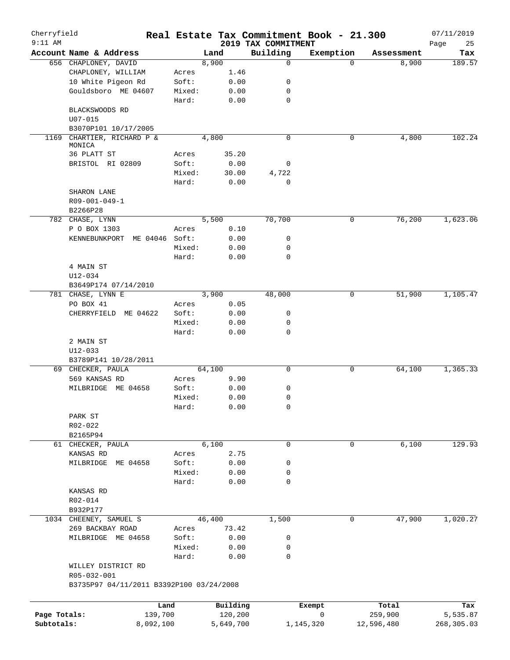| Cherryfield<br>$9:11$ AM |                                          |        |               | 2019 TAX COMMITMENT | Real Estate Tax Commitment Book - 21.300 |            | 07/11/2019        |
|--------------------------|------------------------------------------|--------|---------------|---------------------|------------------------------------------|------------|-------------------|
|                          | Account Name & Address                   |        | Land          | Building            | Exemption                                | Assessment | Page<br>25<br>Tax |
|                          | 656 CHAPLONEY, DAVID                     |        | 8,900         | $\mathbf 0$         | $\Omega$                                 | 8,900      | 189.57            |
|                          | CHAPLONEY, WILLIAM                       | Acres  | 1.46          |                     |                                          |            |                   |
|                          | 10 White Pigeon Rd                       | Soft:  | 0.00          | 0                   |                                          |            |                   |
|                          | Gouldsboro ME 04607                      | Mixed: | 0.00          | 0                   |                                          |            |                   |
|                          |                                          | Hard:  | 0.00          | $\mathbf 0$         |                                          |            |                   |
|                          | BLACKSWOODS RD                           |        |               |                     |                                          |            |                   |
|                          | $U07 - 015$                              |        |               |                     |                                          |            |                   |
|                          | B3070P101 10/17/2005                     |        |               |                     |                                          |            |                   |
| 1169                     | CHARTIER, RICHARD P &                    |        | 4,800         | $\mathbf 0$         | 0                                        | 4,800      | 102.24            |
|                          | MONICA                                   |        |               |                     |                                          |            |                   |
|                          | 36 PLATT ST                              | Acres  | 35.20         |                     |                                          |            |                   |
|                          | BRISTOL RI 02809                         | Soft:  | 0.00          | 0                   |                                          |            |                   |
|                          |                                          | Mixed: | 30.00         | 4,722               |                                          |            |                   |
|                          |                                          | Hard:  | 0.00          | $\mathbf 0$         |                                          |            |                   |
|                          | SHARON LANE                              |        |               |                     |                                          |            |                   |
|                          | R09-001-049-1                            |        |               |                     |                                          |            |                   |
|                          | B2266P28                                 |        |               |                     |                                          |            |                   |
|                          | 782 CHASE, LYNN                          |        | 5,500         | 70,700              | 0                                        | 76,200     | 1,623.06          |
|                          | P O BOX 1303                             | Acres  | 0.10          |                     |                                          |            |                   |
|                          | KENNEBUNKPORT<br>ME 04046 Soft:          |        | 0.00          | 0                   |                                          |            |                   |
|                          |                                          | Mixed: | 0.00          | $\mathbf 0$         |                                          |            |                   |
|                          |                                          | Hard:  | 0.00          | $\mathbf 0$         |                                          |            |                   |
|                          | 4 MAIN ST                                |        |               |                     |                                          |            |                   |
|                          | $U12 - 034$                              |        |               |                     |                                          |            |                   |
|                          | B3649P174 07/14/2010                     |        |               | 48,000              | 0                                        | 51,900     | 1,105.47          |
|                          | 781 CHASE, LYNN E<br>PO BOX 41           | Acres  | 3,900<br>0.05 |                     |                                          |            |                   |
|                          | CHERRYFIELD ME 04622                     | Soft:  | 0.00          | 0                   |                                          |            |                   |
|                          |                                          | Mixed: | 0.00          | 0                   |                                          |            |                   |
|                          |                                          | Hard:  | 0.00          | $\mathbf 0$         |                                          |            |                   |
|                          | 2 MAIN ST                                |        |               |                     |                                          |            |                   |
|                          | U12-033                                  |        |               |                     |                                          |            |                   |
|                          | B3789P141 10/28/2011                     |        |               |                     |                                          |            |                   |
| 69                       | CHECKER, PAULA                           |        | 64,100        | $\mathsf{O}$        | 0                                        | 64,100     | 1,365.33          |
|                          | 569 KANSAS RD                            | Acres  | 9.90          |                     |                                          |            |                   |
|                          | MILBRIDGE ME 04658                       | Soft:  | 0.00          | 0                   |                                          |            |                   |
|                          |                                          | Mixed: | 0.00          | $\mathbf 0$         |                                          |            |                   |
|                          |                                          | Hard:  | 0.00          | 0                   |                                          |            |                   |
|                          | PARK ST                                  |        |               |                     |                                          |            |                   |
|                          | R02-022                                  |        |               |                     |                                          |            |                   |
|                          | B2165P94                                 |        |               |                     |                                          |            |                   |
|                          | 61 CHECKER, PAULA                        |        | 6,100         | $\mathbf 0$         | $\mathbf 0$                              | 6,100      | 129.93            |
|                          | KANSAS RD                                | Acres  | 2.75          |                     |                                          |            |                   |
|                          | MILBRIDGE ME 04658                       | Soft:  | 0.00          | 0                   |                                          |            |                   |
|                          |                                          | Mixed: | 0.00          | 0                   |                                          |            |                   |
|                          |                                          | Hard:  | 0.00          | $\mathbf 0$         |                                          |            |                   |
|                          | KANSAS RD                                |        |               |                     |                                          |            |                   |
|                          | R02-014                                  |        |               |                     |                                          |            |                   |
|                          | B932P177                                 |        |               |                     |                                          |            |                   |
|                          | 1034 CHEENEY, SAMUEL S                   |        | 46,400        | 1,500               | 0                                        | 47,900     | 1,020.27          |
|                          | 269 BACKBAY ROAD                         | Acres  | 73.42         |                     |                                          |            |                   |
|                          | MILBRIDGE ME 04658                       | Soft:  | 0.00          | 0                   |                                          |            |                   |
|                          |                                          | Mixed: | 0.00          | 0                   |                                          |            |                   |
|                          |                                          | Hard:  | 0.00          | $\mathbf 0$         |                                          |            |                   |
|                          | WILLEY DISTRICT RD                       |        |               |                     |                                          |            |                   |
|                          | R05-032-001                              |        |               |                     |                                          |            |                   |
|                          | B3735P97 04/11/2011 B3392P100 03/24/2008 |        |               |                     |                                          |            |                   |
|                          |                                          |        |               |                     |                                          |            |                   |
|                          |                                          | Land   | Building      |                     | Exempt                                   | Total      | Tax               |
| Page Totals:             | 139,700                                  |        | 120,200       |                     | 0                                        | 259,900    | 5,535.87          |
| Subtotals:               | 8,092,100                                |        | 5,649,700     |                     | 1,145,320                                | 12,596,480 | 268,305.03        |
|                          |                                          |        |               |                     |                                          |            |                   |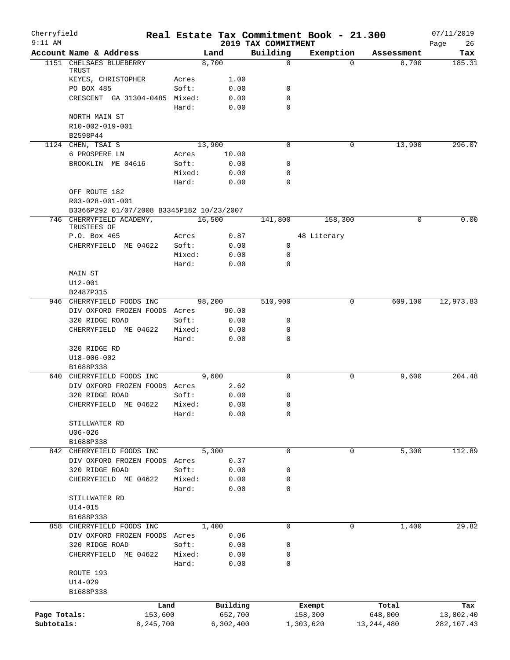| Cherryfield<br>$9:11$ AM |                                                            |                 |                 |                                 | Real Estate Tax Commitment Book - 21.300 |              | 07/11/2019        |
|--------------------------|------------------------------------------------------------|-----------------|-----------------|---------------------------------|------------------------------------------|--------------|-------------------|
|                          | Account Name & Address                                     |                 | Land            | 2019 TAX COMMITMENT<br>Building | Exemption                                | Assessment   | 26<br>Page<br>Tax |
|                          | 1151 CHELSAES BLUEBERRY                                    |                 | 8,700           | 0                               | $\Omega$                                 | 8,700        | 185.31            |
|                          | TRUST                                                      |                 |                 |                                 |                                          |              |                   |
|                          | KEYES, CHRISTOPHER<br>PO BOX 485                           | Acres<br>Soft:  | 1.00            | 0                               |                                          |              |                   |
|                          | CRESCENT GA 31304-0485 Mixed:                              |                 | 0.00<br>0.00    | 0                               |                                          |              |                   |
|                          |                                                            | Hard:           | 0.00            | $\Omega$                        |                                          |              |                   |
|                          | NORTH MAIN ST                                              |                 |                 |                                 |                                          |              |                   |
|                          | R10-002-019-001                                            |                 |                 |                                 |                                          |              |                   |
|                          | B2598P44                                                   |                 |                 |                                 |                                          |              |                   |
|                          | 1124 CHEN, TSAI S                                          |                 | 13,900          | 0                               | 0                                        | 13,900       | 296.07            |
|                          | 6 PROSPERE LN                                              | Acres           | 10.00           |                                 |                                          |              |                   |
|                          | BROOKLIN ME 04616                                          | Soft:           | 0.00            | 0                               |                                          |              |                   |
|                          |                                                            | Mixed:          | 0.00            | 0                               |                                          |              |                   |
|                          |                                                            | Hard:           | 0.00            | $\Omega$                        |                                          |              |                   |
|                          | OFF ROUTE 182<br>R03-028-001-001                           |                 |                 |                                 |                                          |              |                   |
|                          | B3366P292 01/07/2008 B3345P182 10/23/2007                  |                 |                 |                                 |                                          |              |                   |
|                          | 746 CHERRYFIELD ACADEMY,                                   |                 | 16,500          | 141,800                         | 158,300                                  | 0            | 0.00              |
|                          | TRUSTEES OF                                                |                 |                 |                                 |                                          |              |                   |
|                          | P.O. Box 465                                               | Acres           | 0.87            |                                 | 48 Literary                              |              |                   |
|                          | CHERRYFIELD ME 04622                                       | Soft:           | 0.00            | 0                               |                                          |              |                   |
|                          |                                                            | Mixed:          | 0.00            | 0                               |                                          |              |                   |
|                          |                                                            | Hard:           | 0.00            | $\Omega$                        |                                          |              |                   |
|                          | MAIN ST                                                    |                 |                 |                                 |                                          |              |                   |
|                          | $U12 - 001$                                                |                 |                 |                                 |                                          |              |                   |
|                          | B2487P315                                                  |                 |                 |                                 |                                          |              |                   |
|                          | 946 CHERRYFIELD FOODS INC<br>DIV OXFORD FROZEN FOODS Acres |                 | 98,200<br>90.00 | 510,900                         | 0                                        | 609,100      | 12,973.83         |
|                          | 320 RIDGE ROAD                                             | Soft:           | 0.00            | 0                               |                                          |              |                   |
|                          | CHERRYFIELD ME 04622                                       | Mixed:          | 0.00            | 0                               |                                          |              |                   |
|                          |                                                            | Hard:           | 0.00            | 0                               |                                          |              |                   |
|                          | 320 RIDGE RD                                               |                 |                 |                                 |                                          |              |                   |
|                          | $U18 - 006 - 002$                                          |                 |                 |                                 |                                          |              |                   |
|                          | B1688P338                                                  |                 |                 |                                 |                                          |              |                   |
|                          | 640 CHERRYFIELD FOODS INC                                  |                 | 9,600           | $\Omega$                        | 0                                        | 9,600        | 204.48            |
|                          | DIV OXFORD FROZEN FOODS Acres                              |                 | 2.62            |                                 |                                          |              |                   |
|                          | 320 RIDGE ROAD                                             | Soft:           | 0.00            | 0                               |                                          |              |                   |
|                          | CHERRYFIELD ME 04622 Mixed:                                |                 | 0.00            | 0                               |                                          |              |                   |
|                          |                                                            | Hard:           | 0.00            | 0                               |                                          |              |                   |
|                          | STILLWATER RD                                              |                 |                 |                                 |                                          |              |                   |
|                          | $U06 - 026$                                                |                 |                 |                                 |                                          |              |                   |
|                          | B1688P338                                                  |                 |                 |                                 |                                          |              |                   |
|                          | 842 CHERRYFIELD FOODS INC                                  |                 | 5,300           | 0                               | 0                                        | 5,300        | 112.89            |
|                          | DIV OXFORD FROZEN FOODS Acres                              |                 | 0.37            |                                 |                                          |              |                   |
|                          | 320 RIDGE ROAD<br>CHERRYFIELD ME 04622                     | Soft:<br>Mixed: | 0.00<br>0.00    | 0<br>0                          |                                          |              |                   |
|                          |                                                            | Hard:           | 0.00            | $\mathbf 0$                     |                                          |              |                   |
|                          | STILLWATER RD                                              |                 |                 |                                 |                                          |              |                   |
|                          | $U14 - 015$                                                |                 |                 |                                 |                                          |              |                   |
|                          | B1688P338                                                  |                 |                 |                                 |                                          |              |                   |
|                          | 858 CHERRYFIELD FOODS INC                                  |                 | 1,400           | 0                               | 0                                        | 1,400        | 29.82             |
|                          | DIV OXFORD FROZEN FOODS Acres                              |                 | 0.06            |                                 |                                          |              |                   |
|                          | 320 RIDGE ROAD                                             | Soft:           | 0.00            | 0                               |                                          |              |                   |
|                          | CHERRYFIELD<br>ME 04622                                    | Mixed:          | 0.00            | 0                               |                                          |              |                   |
|                          |                                                            | Hard:           | 0.00            | 0                               |                                          |              |                   |
|                          | ROUTE 193                                                  |                 |                 |                                 |                                          |              |                   |
|                          | $U14 - 029$                                                |                 |                 |                                 |                                          |              |                   |
|                          | B1688P338                                                  |                 |                 |                                 |                                          |              |                   |
|                          |                                                            | Land            | Building        |                                 | Exempt                                   | Total        | Tax               |
| Page Totals:             | 153,600                                                    |                 | 652,700         |                                 | 158,300                                  | 648,000      | 13,802.40         |
| Subtotals:               | 8,245,700                                                  |                 | 6,302,400       |                                 | 1,303,620                                | 13, 244, 480 | 282,107.43        |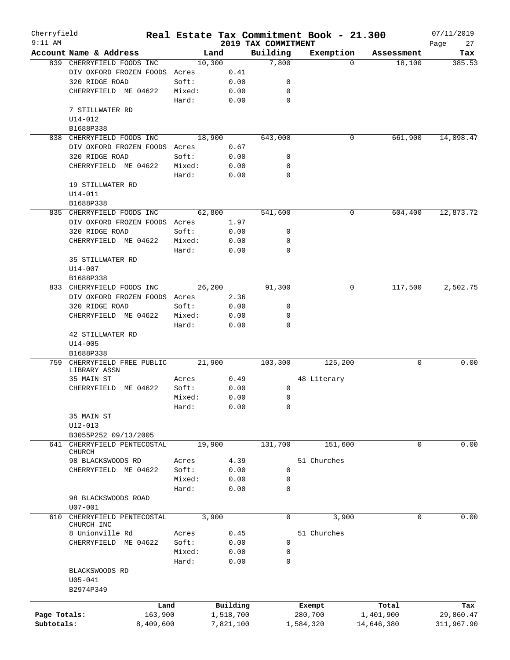| Cherryfield  |                                          |           |                 |        |           |                     | Real Estate Tax Commitment Book - 21.300 |          |            | 07/11/2019 |
|--------------|------------------------------------------|-----------|-----------------|--------|-----------|---------------------|------------------------------------------|----------|------------|------------|
| $9:11$ AM    |                                          |           |                 |        |           | 2019 TAX COMMITMENT |                                          |          |            | Page<br>27 |
|              | Account Name & Address                   |           |                 | Land   |           | Building            | Exemption                                |          | Assessment | Tax        |
|              | 839 CHERRYFIELD FOODS INC                |           |                 | 10,300 |           | 7,800               |                                          | $\Omega$ | 18,100     | 385.53     |
|              | DIV OXFORD FROZEN FOODS Acres            |           |                 |        | 0.41      |                     |                                          |          |            |            |
|              | 320 RIDGE ROAD                           |           | Soft:           |        | 0.00      | 0<br>$\mathbf 0$    |                                          |          |            |            |
|              | CHERRYFIELD ME 04622                     |           | Mixed:<br>Hard: |        | 0.00      | $\mathbf 0$         |                                          |          |            |            |
|              | 7 STILLWATER RD                          |           |                 |        | 0.00      |                     |                                          |          |            |            |
|              |                                          |           |                 |        |           |                     |                                          |          |            |            |
|              | U14-012<br>B1688P338                     |           |                 |        |           |                     |                                          |          |            |            |
|              | 838 CHERRYFIELD FOODS INC                |           |                 | 18,900 |           | 643,000             |                                          | 0        | 661,900    | 14,098.47  |
|              | DIV OXFORD FROZEN FOODS Acres            |           |                 |        | 0.67      |                     |                                          |          |            |            |
|              | 320 RIDGE ROAD                           |           | Soft:           |        | 0.00      | 0                   |                                          |          |            |            |
|              | CHERRYFIELD ME 04622                     |           | Mixed:          |        | 0.00      | $\mathbf 0$         |                                          |          |            |            |
|              |                                          |           | Hard:           |        | 0.00      | $\Omega$            |                                          |          |            |            |
|              | 19 STILLWATER RD                         |           |                 |        |           |                     |                                          |          |            |            |
|              | U14-011                                  |           |                 |        |           |                     |                                          |          |            |            |
|              | B1688P338                                |           |                 |        |           |                     |                                          |          |            |            |
|              | 835 CHERRYFIELD FOODS INC                |           |                 | 62,800 |           | 541,600             |                                          | 0        | 604,400    | 12,873.72  |
|              | DIV OXFORD FROZEN FOODS                  |           | Acres           |        | 1.97      |                     |                                          |          |            |            |
|              | 320 RIDGE ROAD                           |           | Soft:           |        | 0.00      | 0                   |                                          |          |            |            |
|              | CHERRYFIELD ME 04622                     |           | Mixed:          |        | 0.00      | 0                   |                                          |          |            |            |
|              |                                          |           | Hard:           |        | 0.00      | $\mathbf 0$         |                                          |          |            |            |
|              | 35 STILLWATER RD                         |           |                 |        |           |                     |                                          |          |            |            |
|              | $U14 - 007$                              |           |                 |        |           |                     |                                          |          |            |            |
|              | B1688P338                                |           |                 |        |           |                     |                                          |          |            |            |
| 833          | CHERRYFIELD FOODS INC                    |           |                 | 26,200 |           | 91,300              |                                          | 0        | 117,500    | 2,502.75   |
|              | DIV OXFORD FROZEN FOODS Acres            |           |                 |        | 2.36      |                     |                                          |          |            |            |
|              | 320 RIDGE ROAD                           |           | Soft:           |        | 0.00      | 0                   |                                          |          |            |            |
|              | CHERRYFIELD ME 04622                     |           | Mixed:          |        | 0.00      | 0                   |                                          |          |            |            |
|              |                                          |           | Hard:           |        | 0.00      | $\mathbf 0$         |                                          |          |            |            |
|              | 42 STILLWATER RD                         |           |                 |        |           |                     |                                          |          |            |            |
|              | $U14 - 005$                              |           |                 |        |           |                     |                                          |          |            |            |
|              | B1688P338                                |           |                 |        |           |                     |                                          |          |            |            |
| 759          | CHERRYFIELD FREE PUBLIC                  |           |                 | 21,900 |           | 103,300             | 125,200                                  |          | 0          | 0.00       |
|              | LIBRARY ASSN                             |           |                 |        |           |                     |                                          |          |            |            |
|              | 35 MAIN ST                               |           | Acres           |        | 0.49      |                     | 48 Literary                              |          |            |            |
|              | CHERRYFIELD                              | ME 04622  | Soft:           |        | 0.00      | $\mathbf 0$         |                                          |          |            |            |
|              |                                          |           | Mixed:          |        | 0.00      | 0                   |                                          |          |            |            |
|              |                                          |           | Hard:           |        | 0.00      | 0                   |                                          |          |            |            |
|              | 35 MAIN ST                               |           |                 |        |           |                     |                                          |          |            |            |
|              | $U12 - 013$                              |           |                 |        |           |                     |                                          |          |            |            |
|              | B3055P252 09/13/2005                     |           |                 |        |           |                     |                                          |          |            |            |
| 641          | CHERRYFIELD PENTECOSTAL<br><b>CHURCH</b> |           |                 | 19,900 |           | 131,700             | 151,600                                  |          | 0          | 0.00       |
|              | 98 BLACKSWOODS RD                        |           | Acres           |        | 4.39      |                     | 51 Churches                              |          |            |            |
|              | CHERRYFIELD ME 04622                     |           | Soft:           |        | 0.00      | 0                   |                                          |          |            |            |
|              |                                          |           | Mixed:          |        | 0.00      | 0                   |                                          |          |            |            |
|              |                                          |           | Hard:           |        | 0.00      | $\mathbf 0$         |                                          |          |            |            |
|              | 98 BLACKSWOODS ROAD                      |           |                 |        |           |                     |                                          |          |            |            |
|              | $U07 - 001$                              |           |                 |        |           |                     |                                          |          |            |            |
| 610          | CHERRYFIELD PENTECOSTAL                  |           |                 | 3,900  |           | 0                   | 3,900                                    |          | 0          | 0.00       |
|              | CHURCH INC                               |           |                 |        |           |                     |                                          |          |            |            |
|              | 8 Unionville Rd                          |           | Acres           |        | 0.45      |                     | 51 Churches                              |          |            |            |
|              | CHERRYFIELD ME 04622                     |           | Soft:           |        | 0.00      | $\mathbf 0$         |                                          |          |            |            |
|              |                                          |           | Mixed:          |        | 0.00      | 0                   |                                          |          |            |            |
|              |                                          |           | Hard:           |        | 0.00      | $\mathbf 0$         |                                          |          |            |            |
|              | BLACKSWOODS RD                           |           |                 |        |           |                     |                                          |          |            |            |
|              | $U05 - 041$                              |           |                 |        |           |                     |                                          |          |            |            |
|              | B2974P349                                |           |                 |        |           |                     |                                          |          |            |            |
|              |                                          |           |                 |        |           |                     |                                          |          |            |            |
|              |                                          | Land      |                 |        | Building  |                     | Exempt                                   |          | Total      | Tax        |
| Page Totals: |                                          | 163,900   |                 |        | 1,518,700 |                     | 280,700                                  |          | 1,401,900  | 29,860.47  |
| Subtotals:   |                                          | 8,409,600 |                 |        | 7,821,100 |                     | 1,584,320                                |          | 14,646,380 | 311,967.90 |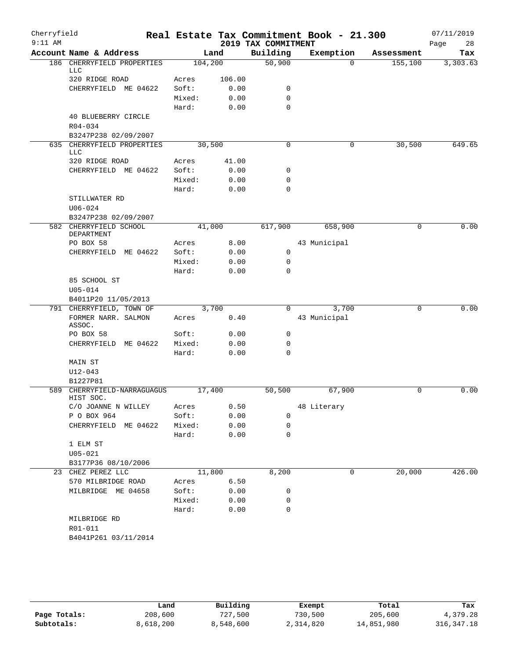| Cherryfield<br>$9:11$ AM |                                          |         |        | 2019 TAX COMMITMENT | Real Estate Tax Commitment Book - 21.300 |            | 07/11/2019<br>Page<br>28 |
|--------------------------|------------------------------------------|---------|--------|---------------------|------------------------------------------|------------|--------------------------|
|                          | Account Name & Address                   |         | Land   | Building            | Exemption                                | Assessment | Tax                      |
|                          | 186 CHERRYFIELD PROPERTIES               | 104,200 |        | 50,900              | $\Omega$                                 | 155,100    | 3,303.63                 |
|                          | LLC                                      |         |        |                     |                                          |            |                          |
|                          | 320 RIDGE ROAD                           | Acres   | 106.00 |                     |                                          |            |                          |
|                          | CHERRYFIELD ME 04622                     | Soft:   | 0.00   | 0                   |                                          |            |                          |
|                          |                                          | Mixed:  | 0.00   | $\mathbf 0$         |                                          |            |                          |
|                          |                                          | Hard:   | 0.00   | $\Omega$            |                                          |            |                          |
|                          | 40 BLUEBERRY CIRCLE                      |         |        |                     |                                          |            |                          |
|                          | $R04 - 034$                              |         |        |                     |                                          |            |                          |
|                          | B3247P238 02/09/2007                     |         |        |                     |                                          |            |                          |
|                          | 635 CHERRYFIELD PROPERTIES<br><b>LLC</b> | 30,500  |        | 0                   | 0                                        | 30,500     | 649.65                   |
|                          | 320 RIDGE ROAD                           | Acres   | 41.00  |                     |                                          |            |                          |
|                          | CHERRYFIELD ME 04622                     | Soft:   | 0.00   | 0                   |                                          |            |                          |
|                          |                                          | Mixed:  | 0.00   | $\mathbf 0$         |                                          |            |                          |
|                          |                                          | Hard:   | 0.00   | $\mathbf 0$         |                                          |            |                          |
|                          | STILLWATER RD                            |         |        |                     |                                          |            |                          |
|                          | $U06 - 024$                              |         |        |                     |                                          |            |                          |
|                          | B3247P238 02/09/2007                     |         |        |                     |                                          |            |                          |
|                          | 582 CHERRYFIELD SCHOOL                   | 41,000  |        | 617,900             | 658,900                                  | 0          | 0.00                     |
|                          | DEPARTMENT<br>PO BOX 58                  | Acres   | 8.00   |                     | 43 Municipal                             |            |                          |
|                          | CHERRYFIELD ME 04622                     | Soft:   | 0.00   | $\mathbf 0$         |                                          |            |                          |
|                          |                                          | Mixed:  | 0.00   | $\mathbf 0$         |                                          |            |                          |
|                          |                                          | Hard:   | 0.00   | $\mathbf 0$         |                                          |            |                          |
|                          | 85 SCHOOL ST                             |         |        |                     |                                          |            |                          |
|                          | $U05 - 014$                              |         |        |                     |                                          |            |                          |
|                          | B4011P20 11/05/2013                      |         |        |                     |                                          |            |                          |
|                          | 791 CHERRYFIELD, TOWN OF                 | 3,700   |        | 0                   | 3,700                                    | 0          | 0.00                     |
|                          | FORMER NARR. SALMON                      | Acres   | 0.40   |                     | 43 Municipal                             |            |                          |
|                          | ASSOC.                                   |         |        |                     |                                          |            |                          |
|                          | PO BOX 58                                | Soft:   | 0.00   | $\mathbf 0$         |                                          |            |                          |
|                          | CHERRYFIELD ME 04622                     | Mixed:  | 0.00   | $\mathbf 0$         |                                          |            |                          |
|                          |                                          | Hard:   | 0.00   | $\Omega$            |                                          |            |                          |
|                          | MAIN ST                                  |         |        |                     |                                          |            |                          |
|                          | $U12 - 043$                              |         |        |                     |                                          |            |                          |
|                          | B1227P81<br>589 CHERRYFIELD-NARRAGUAGUS  | 17,400  |        | 50,500              | 67,900                                   | 0          | 0.00                     |
|                          | HIST SOC.                                |         |        |                     |                                          |            |                          |
|                          | C/O JOANNE N WILLEY                      | Acres   | 0.50   |                     | 48 Literary                              |            |                          |
|                          | P O BOX 964                              | Soft:   | 0.00   | 0                   |                                          |            |                          |
|                          | CHERRYFIELD ME 04622                     | Mixed:  | 0.00   | 0                   |                                          |            |                          |
|                          |                                          | Hard:   | 0.00   | $\mathbf 0$         |                                          |            |                          |
|                          | 1 ELM ST                                 |         |        |                     |                                          |            |                          |
|                          | $U05 - 021$                              |         |        |                     |                                          |            |                          |
|                          | B3177P36 08/10/2006                      |         |        |                     |                                          |            |                          |
| 23                       | CHEZ PEREZ LLC                           | 11,800  |        | 8,200               | 0                                        | 20,000     | 426.00                   |
|                          | 570 MILBRIDGE ROAD                       | Acres   | 6.50   |                     |                                          |            |                          |
|                          | MILBRIDGE ME 04658                       | Soft:   | 0.00   | 0                   |                                          |            |                          |
|                          |                                          | Mixed:  | 0.00   | 0                   |                                          |            |                          |
|                          |                                          | Hard:   | 0.00   | $\mathbf 0$         |                                          |            |                          |
|                          | MILBRIDGE RD                             |         |        |                     |                                          |            |                          |
|                          | R01-011                                  |         |        |                     |                                          |            |                          |
|                          | B4041P261 03/11/2014                     |         |        |                     |                                          |            |                          |

|              | Land      | Building  | Exempt    | Total      | Tax          |
|--------------|-----------|-----------|-----------|------------|--------------|
| Page Totals: | 208,600   | 727,500   | 730,500   | 205,600    | 4,379.28     |
| Subtotals:   | 8,618,200 | 8,548,600 | 2,314,820 | 14,851,980 | 316, 347. 18 |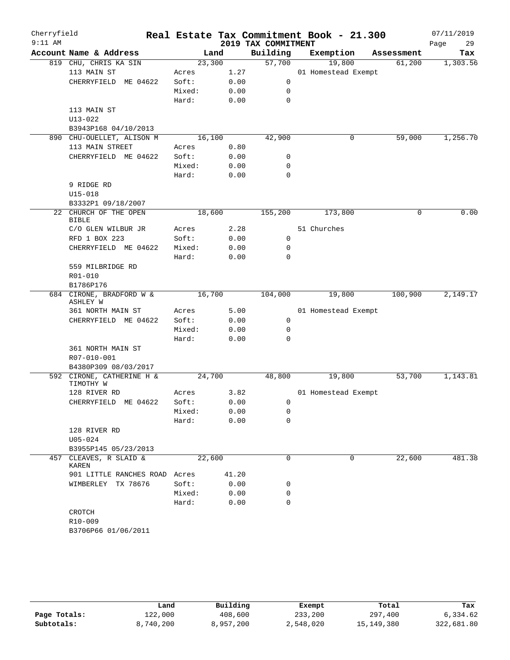| Cherryfield<br>$9:11$ AM |                                        |        |       | 2019 TAX COMMITMENT | Real Estate Tax Commitment Book - 21.300 |            | 07/11/2019<br>29<br>Page |
|--------------------------|----------------------------------------|--------|-------|---------------------|------------------------------------------|------------|--------------------------|
|                          | Account Name & Address                 | Land   |       | Building            | Exemption                                | Assessment | Tax                      |
|                          | 819 CHU, CHRIS KA SIN                  | 23,300 |       | 57,700              | 19,800                                   | 61,200     | 1,303.56                 |
|                          | 113 MAIN ST                            | Acres  | 1.27  |                     | 01 Homestead Exempt                      |            |                          |
|                          | CHERRYFIELD ME 04622                   | Soft:  | 0.00  | 0                   |                                          |            |                          |
|                          |                                        | Mixed: | 0.00  | 0                   |                                          |            |                          |
|                          |                                        | Hard:  | 0.00  | $\mathbf 0$         |                                          |            |                          |
|                          | 113 MAIN ST                            |        |       |                     |                                          |            |                          |
|                          | $U13 - 022$                            |        |       |                     |                                          |            |                          |
|                          | B3943P168 04/10/2013                   |        |       |                     |                                          |            |                          |
|                          | 890 CHU-OUELLET, ALISON M              | 16,100 |       | 42,900              | 0                                        | 59,000     | 1,256.70                 |
|                          | 113 MAIN STREET                        | Acres  | 0.80  |                     |                                          |            |                          |
|                          | CHERRYFIELD ME 04622                   | Soft:  | 0.00  | 0                   |                                          |            |                          |
|                          |                                        | Mixed: | 0.00  | 0                   |                                          |            |                          |
|                          |                                        | Hard:  | 0.00  | 0                   |                                          |            |                          |
|                          | 9 RIDGE RD                             |        |       |                     |                                          |            |                          |
|                          | $U15 - 018$                            |        |       |                     |                                          |            |                          |
|                          | B3332P1 09/18/2007                     |        |       |                     |                                          |            |                          |
| 22                       | CHURCH OF THE OPEN<br><b>BIBLE</b>     | 18,600 |       | 155,200             | 173,800                                  | 0          | 0.00                     |
|                          | C/O GLEN WILBUR JR                     | Acres  | 2.28  |                     | 51 Churches                              |            |                          |
|                          | RFD 1 BOX 223                          | Soft:  | 0.00  | 0                   |                                          |            |                          |
|                          | CHERRYFIELD ME 04622                   | Mixed: | 0.00  | 0                   |                                          |            |                          |
|                          |                                        | Hard:  | 0.00  | 0                   |                                          |            |                          |
|                          | 559 MILBRIDGE RD                       |        |       |                     |                                          |            |                          |
|                          | R01-010                                |        |       |                     |                                          |            |                          |
|                          | B1786P176                              |        |       |                     |                                          |            |                          |
|                          | 684 CIRONE, BRADFORD W &               | 16,700 |       | 104,000             | 19,800                                   | 100,900    | 2,149.17                 |
|                          | ASHLEY W                               |        |       |                     |                                          |            |                          |
|                          | 361 NORTH MAIN ST                      | Acres  | 5.00  |                     | 01 Homestead Exempt                      |            |                          |
|                          | CHERRYFIELD ME 04622                   | Soft:  | 0.00  | 0                   |                                          |            |                          |
|                          |                                        | Mixed: | 0.00  | 0                   |                                          |            |                          |
|                          |                                        | Hard:  | 0.00  | 0                   |                                          |            |                          |
|                          | 361 NORTH MAIN ST                      |        |       |                     |                                          |            |                          |
|                          | R07-010-001                            |        |       |                     |                                          |            |                          |
|                          | B4380P309 08/03/2017                   |        |       |                     |                                          |            |                          |
|                          | 592 CIRONE, CATHERINE H &<br>TIMOTHY W | 24,700 |       | 48,800              | 19,800                                   | 53,700     | 1,143.81                 |
|                          | 128 RIVER RD                           | Acres  | 3.82  |                     | 01 Homestead Exempt                      |            |                          |
|                          | CHERRYFIELD ME 04622                   | Soft:  | 0.00  | $\overline{0}$      |                                          |            |                          |
|                          |                                        | Mixed: | 0.00  | 0                   |                                          |            |                          |
|                          |                                        | Hard:  | 0.00  | 0                   |                                          |            |                          |
|                          | 128 RIVER RD                           |        |       |                     |                                          |            |                          |
|                          | $U05 - 024$                            |        |       |                     |                                          |            |                          |
|                          | B3955P145 05/23/2013                   |        |       |                     |                                          |            |                          |
| 457                      | CLEAVES, R SLAID &<br>KAREN            | 22,600 |       | 0                   | 0                                        | 22,600     | 481.38                   |
|                          | 901 LITTLE RANCHES ROAD Acres          |        | 41.20 |                     |                                          |            |                          |
|                          | WIMBERLEY TX 78676                     | Soft:  | 0.00  | 0                   |                                          |            |                          |
|                          |                                        | Mixed: | 0.00  | 0                   |                                          |            |                          |
|                          |                                        | Hard:  | 0.00  | 0                   |                                          |            |                          |
|                          | CROTCH                                 |        |       |                     |                                          |            |                          |
|                          | R10-009                                |        |       |                     |                                          |            |                          |
|                          |                                        |        |       |                     |                                          |            |                          |

|              | Land      | Building  | Exempt    | Total      | Tax        |
|--------------|-----------|-----------|-----------|------------|------------|
| Page Totals: | 122,000   | 408,600   | 233,200   | 297,400    | 6,334.62   |
| Subtotals:   | 8,740,200 | 8,957,200 | 2,548,020 | 15,149,380 | 322,681.80 |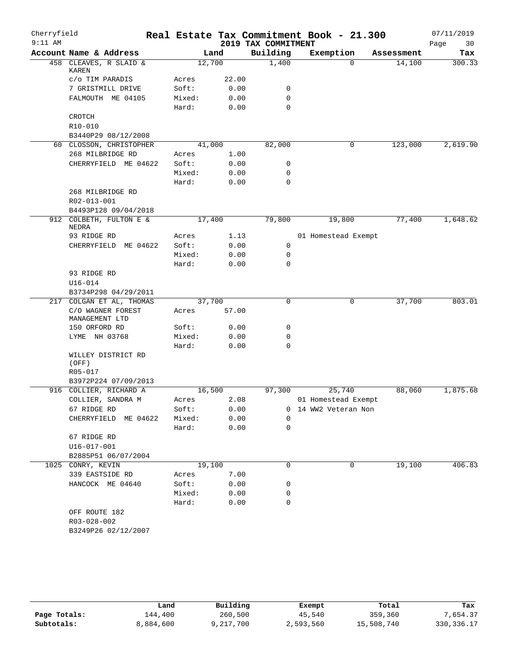| Cherryfield<br>$9:11$ AM |                                             |                 |        |              |                                 | Real Estate Tax Commitment Book - 21.300 |            | 07/11/2019        |
|--------------------------|---------------------------------------------|-----------------|--------|--------------|---------------------------------|------------------------------------------|------------|-------------------|
|                          | Account Name & Address                      |                 | Land   |              | 2019 TAX COMMITMENT<br>Building | Exemption                                | Assessment | 30<br>Page<br>Tax |
|                          | 458 CLEAVES, R SLAID &                      |                 | 12,700 |              | 1,400                           | $\Omega$                                 | 14,100     | 300.33            |
|                          | KAREN                                       |                 |        |              |                                 |                                          |            |                   |
|                          | c/o TIM PARADIS                             | Acres           |        | 22.00        |                                 |                                          |            |                   |
|                          | 7 GRISTMILL DRIVE                           | Soft:           |        | 0.00         | 0                               |                                          |            |                   |
|                          | FALMOUTH ME 04105                           | Mixed:          |        | 0.00         | $\mathbf 0$                     |                                          |            |                   |
|                          |                                             | Hard:           |        | 0.00         | $\mathbf 0$                     |                                          |            |                   |
|                          | CROTCH                                      |                 |        |              |                                 |                                          |            |                   |
|                          | R10-010                                     |                 |        |              |                                 |                                          |            |                   |
|                          | B3440P29 08/12/2008                         |                 |        |              |                                 |                                          |            |                   |
|                          | 60 CLOSSON, CHRISTOPHER                     |                 | 41,000 |              | 82,000                          | 0                                        | 123,000    | 2,619.90          |
|                          | 268 MILBRIDGE RD                            | Acres           |        | 1.00         |                                 |                                          |            |                   |
|                          | CHERRYFIELD ME 04622                        | Soft:           |        | 0.00         | 0                               |                                          |            |                   |
|                          |                                             | Mixed:          |        | 0.00         | $\mathbf 0$                     |                                          |            |                   |
|                          |                                             | Hard:           |        | 0.00         | $\mathbf 0$                     |                                          |            |                   |
|                          | 268 MILBRIDGE RD                            |                 |        |              |                                 |                                          |            |                   |
|                          | R02-013-001                                 |                 |        |              |                                 |                                          |            |                   |
|                          | B4493P128 09/04/2018                        |                 |        |              |                                 |                                          |            |                   |
|                          | 912 COLBETH, FULTON E &<br>NEDRA            |                 | 17,400 |              | 79,800                          | 19,800                                   | 77,400     | 1,648.62          |
|                          | 93 RIDGE RD                                 | Acres           |        | 1.13         |                                 | 01 Homestead Exempt                      |            |                   |
|                          | CHERRYFIELD<br>ME 04622                     | Soft:           |        | 0.00         | 0                               |                                          |            |                   |
|                          |                                             | Mixed:          |        | 0.00         | 0                               |                                          |            |                   |
|                          |                                             | Hard:           |        | 0.00         | $\mathbf 0$                     |                                          |            |                   |
|                          | 93 RIDGE RD                                 |                 |        |              |                                 |                                          |            |                   |
|                          | $U16 - 014$                                 |                 |        |              |                                 |                                          |            |                   |
|                          | B3734P298 04/29/2011                        |                 |        |              |                                 |                                          |            |                   |
| 217                      | COLGAN ET AL, THOMAS                        |                 | 37,700 |              | 0                               | 0                                        | 37,700     | 803.01            |
|                          | C/O WAGNER FOREST<br>MANAGEMENT LTD         | Acres           |        | 57.00        |                                 |                                          |            |                   |
|                          | 150 ORFORD RD                               | Soft:           |        | 0.00         | 0                               |                                          |            |                   |
|                          | LYME NH 03768                               | Mixed:          |        | 0.00         | 0                               |                                          |            |                   |
|                          |                                             | Hard:           |        | 0.00         | $\mathbf 0$                     |                                          |            |                   |
|                          | WILLEY DISTRICT RD                          |                 |        |              |                                 |                                          |            |                   |
|                          | (OFF)                                       |                 |        |              |                                 |                                          |            |                   |
|                          | R05-017                                     |                 |        |              |                                 |                                          |            |                   |
|                          | B3972P224 07/09/2013                        |                 |        |              |                                 |                                          |            |                   |
|                          | 916 COLLIER, RICHARD A<br>COLLIER, SANDRA M |                 | 16,500 |              | 97,300                          | 25,740                                   | 88,060     | 1,875.68          |
|                          | 67 RIDGE RD                                 | Acres           |        | 2.08         |                                 | 01 Homestead Exempt                      |            |                   |
|                          | ME 04622<br>CHERRYFIELD                     | Soft:<br>Mixed: |        | 0.00<br>0.00 | $\mathbf 0$<br>0                | 14 WW2 Veteran Non                       |            |                   |
|                          |                                             | Hard:           |        | 0.00         | $\mathbf 0$                     |                                          |            |                   |
|                          | 67 RIDGE RD                                 |                 |        |              |                                 |                                          |            |                   |
|                          | U16-017-001                                 |                 |        |              |                                 |                                          |            |                   |
|                          | B2885P51 06/07/2004                         |                 |        |              |                                 |                                          |            |                   |
|                          | 1025 CONRY, KEVIN                           |                 | 19,100 |              | 0                               | 0                                        | 19,100     | 406.83            |
|                          | 339 EASTSIDE RD                             | Acres           |        | 7.00         |                                 |                                          |            |                   |
|                          | HANCOCK ME 04640                            | Soft:           |        | 0.00         | 0                               |                                          |            |                   |
|                          |                                             | Mixed:          |        | 0.00         | 0                               |                                          |            |                   |
|                          |                                             | Hard:           |        | 0.00         | 0                               |                                          |            |                   |
|                          | OFF ROUTE 182                               |                 |        |              |                                 |                                          |            |                   |
|                          | R03-028-002                                 |                 |        |              |                                 |                                          |            |                   |
|                          | B3249P26 02/12/2007                         |                 |        |              |                                 |                                          |            |                   |
|                          |                                             |                 |        |              |                                 |                                          |            |                   |

|              | Land      | Building  | Exempt    | Total      | Tax          |
|--------------|-----------|-----------|-----------|------------|--------------|
| Page Totals: | 144,400   | 260,500   | 45,540    | 359,360    | 7.654.37     |
| Subtotals:   | 8,884,600 | 9,217,700 | 2,593,560 | 15,508,740 | 330, 336. 17 |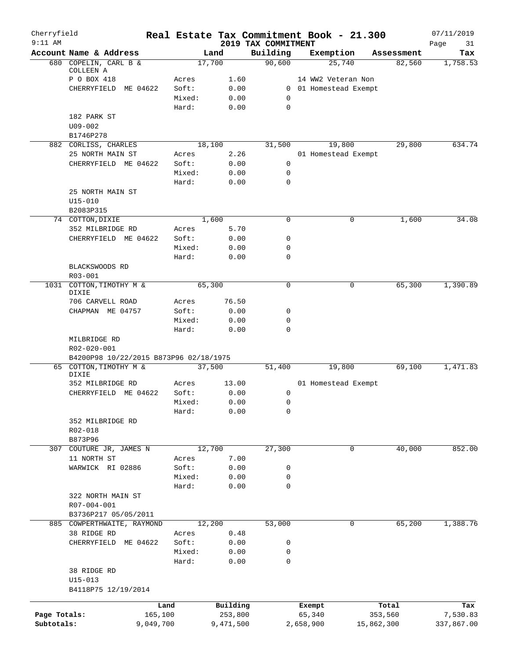| Cherryfield<br>$9:11$ AM |                                        |                 |               | Real Estate Tax Commitment Book - 21.300 |           |                       |            | 07/11/2019        |
|--------------------------|----------------------------------------|-----------------|---------------|------------------------------------------|-----------|-----------------------|------------|-------------------|
|                          | Account Name & Address                 |                 | Land          | 2019 TAX COMMITMENT<br>Building          |           | Exemption             | Assessment | Page<br>31<br>Tax |
|                          | 680 COPELIN, CARL B &                  |                 | 17,700        | 90,600                                   |           | 25,740                | 82,560     | 1,758.53          |
|                          | COLLEEN A                              |                 |               |                                          |           |                       |            |                   |
|                          | P O BOX 418                            | Acres           | 1.60          |                                          |           | 14 WW2 Veteran Non    |            |                   |
|                          | CHERRYFIELD<br>ME 04622                | Soft:           | 0.00          |                                          |           | 0 01 Homestead Exempt |            |                   |
|                          |                                        | Mixed:<br>Hard: | 0.00<br>0.00  | 0<br>$\mathbf 0$                         |           |                       |            |                   |
|                          | 182 PARK ST                            |                 |               |                                          |           |                       |            |                   |
|                          | $U09 - 002$                            |                 |               |                                          |           |                       |            |                   |
|                          | B1746P278                              |                 |               |                                          |           |                       |            |                   |
|                          | 882 CORLISS, CHARLES                   |                 | 18,100        | 31,500                                   |           | 19,800                | 29,800     | 634.74            |
|                          | 25 NORTH MAIN ST                       | Acres           | 2.26          |                                          |           | 01 Homestead Exempt   |            |                   |
|                          | CHERRYFIELD ME 04622                   | Soft:           | 0.00          | $\mathbf 0$                              |           |                       |            |                   |
|                          |                                        | Mixed:          | 0.00          | $\mathbf 0$                              |           |                       |            |                   |
|                          |                                        | Hard:           | 0.00          | $\mathbf 0$                              |           |                       |            |                   |
|                          | 25 NORTH MAIN ST                       |                 |               |                                          |           |                       |            |                   |
|                          | $U15 - 010$                            |                 |               |                                          |           |                       |            |                   |
|                          | B2083P315                              |                 |               | $\mathbf 0$                              |           |                       |            |                   |
|                          | 74 COTTON, DIXIE<br>352 MILBRIDGE RD   | Acres           | 1,600<br>5.70 |                                          |           | 0                     | 1,600      | 34.08             |
|                          | CHERRYFIELD ME 04622                   | Soft:           | 0.00          | 0                                        |           |                       |            |                   |
|                          |                                        | Mixed:          | 0.00          | 0                                        |           |                       |            |                   |
|                          |                                        | Hard:           | 0.00          | 0                                        |           |                       |            |                   |
|                          | BLACKSWOODS RD                         |                 |               |                                          |           |                       |            |                   |
|                          | $R03 - 001$                            |                 |               |                                          |           |                       |            |                   |
|                          | 1031 COTTON, TIMOTHY M &               |                 | 65,300        | $\mathbf 0$                              |           | $\mathbf 0$           | 65,300     | 1,390.89          |
|                          | DIXIE                                  |                 |               |                                          |           |                       |            |                   |
|                          | 706 CARVELL ROAD                       | Acres           | 76.50         |                                          |           |                       |            |                   |
|                          | CHAPMAN ME 04757                       | Soft:           | 0.00          | 0                                        |           |                       |            |                   |
|                          |                                        | Mixed:          | 0.00          | 0                                        |           |                       |            |                   |
|                          | MILBRIDGE RD                           | Hard:           | 0.00          | $\mathbf 0$                              |           |                       |            |                   |
|                          | R02-020-001                            |                 |               |                                          |           |                       |            |                   |
|                          | B4200P98 10/22/2015 B873P96 02/18/1975 |                 |               |                                          |           |                       |            |                   |
|                          | 65 COTTON, TIMOTHY M &                 |                 | 37,500        | 51,400                                   |           | 19,800                | 69,100     | 1,471.83          |
|                          | DIXIE                                  |                 |               |                                          |           |                       |            |                   |
|                          | 352 MILBRIDGE RD                       | Acres           | 13.00         |                                          |           | 01 Homestead Exempt   |            |                   |
|                          | CHERRYFIELD<br>ME 04622                | Soft:           | 0.00          | 0                                        |           |                       |            |                   |
|                          |                                        | Mixed:          | 0.00<br>0.00  | 0<br>0                                   |           |                       |            |                   |
|                          | 352 MILBRIDGE RD                       | Hard:           |               |                                          |           |                       |            |                   |
|                          | R02-018                                |                 |               |                                          |           |                       |            |                   |
|                          | B873P96                                |                 |               |                                          |           |                       |            |                   |
|                          | 307 COUTURE JR, JAMES N                |                 | 12,700        | 27,300                                   |           | $\mathbf 0$           | 40,000     | 852.00            |
|                          | 11 NORTH ST                            | Acres           | 7.00          |                                          |           |                       |            |                   |
|                          | WARWICK RI 02886                       | Soft:           | 0.00          | 0                                        |           |                       |            |                   |
|                          |                                        | Mixed:          | 0.00          | 0                                        |           |                       |            |                   |
|                          |                                        | Hard:           | 0.00          | 0                                        |           |                       |            |                   |
|                          | 322 NORTH MAIN ST                      |                 |               |                                          |           |                       |            |                   |
|                          | R07-004-001                            |                 |               |                                          |           |                       |            |                   |
|                          | B3736P217 05/05/2011                   |                 |               |                                          |           |                       |            |                   |
|                          | 885 COWPERTHWAITE, RAYMOND             |                 | 12,200        | 53,000                                   |           | 0                     | 65,200     | 1,388.76          |
|                          | 38 RIDGE RD                            | Acres           | 0.48          |                                          |           |                       |            |                   |
|                          | CHERRYFIELD ME 04622                   | Soft:           | 0.00          | 0                                        |           |                       |            |                   |
|                          |                                        | Mixed:          | 0.00          | 0                                        |           |                       |            |                   |
|                          |                                        | Hard:           | 0.00          | 0                                        |           |                       |            |                   |
|                          | 38 RIDGE RD                            |                 |               |                                          |           |                       |            |                   |
|                          | $U15 - 013$<br>B4118P75 12/19/2014     |                 |               |                                          |           |                       |            |                   |
|                          |                                        |                 |               |                                          |           |                       |            |                   |
|                          |                                        | Land            | Building      |                                          | Exempt    |                       | Total      | Tax               |
| Page Totals:             |                                        | 165,100         | 253,800       |                                          | 65,340    |                       | 353,560    | 7,530.83          |
| Subtotals:               | 9,049,700                              |                 | 9,471,500     |                                          | 2,658,900 |                       | 15,862,300 | 337,867.00        |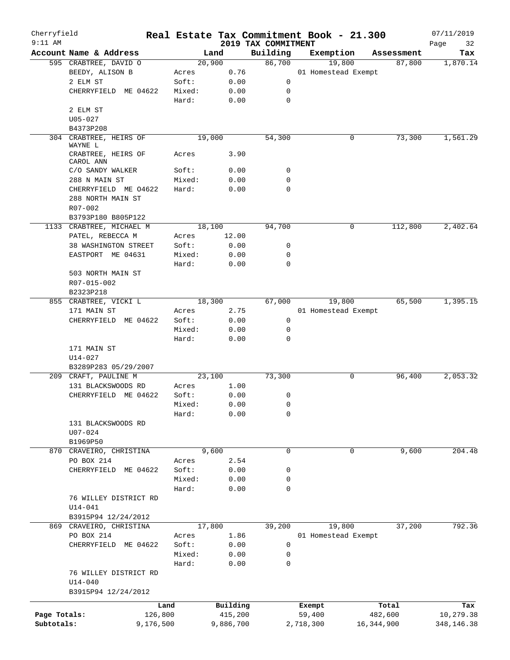| Cherryfield<br>$9:11$ AM |                                              |           |        |           |                                 | Real Estate Tax Commitment Book - 21.300 |              | 07/11/2019        |
|--------------------------|----------------------------------------------|-----------|--------|-----------|---------------------------------|------------------------------------------|--------------|-------------------|
|                          | Account Name & Address                       |           |        | Land      | 2019 TAX COMMITMENT<br>Building | Exemption                                | Assessment   | Page<br>32<br>Tax |
|                          | 595 CRABTREE, DAVID O                        |           |        | 20,900    | 86,700                          | 19,800                                   | 87,800       | 1,870.14          |
|                          | BEEDY, ALISON B                              |           | Acres  | 0.76      |                                 | 01 Homestead Exempt                      |              |                   |
|                          | 2 ELM ST                                     |           | Soft:  | 0.00      | 0                               |                                          |              |                   |
|                          | CHERRYFIELD ME 04622                         |           | Mixed: | 0.00      | 0                               |                                          |              |                   |
|                          |                                              |           | Hard:  | 0.00      | $\mathbf 0$                     |                                          |              |                   |
|                          | 2 ELM ST                                     |           |        |           |                                 |                                          |              |                   |
|                          | $U05 - 027$                                  |           |        |           |                                 |                                          |              |                   |
|                          | B4373P208                                    |           |        |           |                                 |                                          |              |                   |
|                          | 304 CRABTREE, HEIRS OF                       |           |        | 19,000    | 54,300                          | 0                                        | 73,300       | 1,561.29          |
|                          | WAYNE L                                      |           |        |           |                                 |                                          |              |                   |
|                          | CRABTREE, HEIRS OF                           |           | Acres  | 3.90      |                                 |                                          |              |                   |
|                          | CAROL ANN                                    |           |        |           |                                 |                                          |              |                   |
|                          | C/O SANDY WALKER                             |           | Soft:  | 0.00      | 0                               |                                          |              |                   |
|                          | 288 N MAIN ST                                |           | Mixed: | 0.00      | 0                               |                                          |              |                   |
|                          | CHERRYFIELD ME 04622                         |           | Hard:  | 0.00      | 0                               |                                          |              |                   |
|                          | 288 NORTH MAIN ST                            |           |        |           |                                 |                                          |              |                   |
|                          | $R07 - 002$                                  |           |        |           |                                 |                                          |              |                   |
|                          | B3793P180 B805P122                           |           |        |           | 94,700                          | 0                                        | 112,800      | 2,402.64          |
|                          | 1133 CRABTREE, MICHAEL M<br>PATEL, REBECCA M |           |        | 18,100    |                                 |                                          |              |                   |
|                          |                                              |           | Acres  | 12.00     |                                 |                                          |              |                   |
|                          | 38 WASHINGTON STREET                         |           | Soft:  | 0.00      | 0                               |                                          |              |                   |
|                          | EASTPORT ME 04631                            |           | Mixed: | 0.00      | 0<br>$\mathbf 0$                |                                          |              |                   |
|                          |                                              |           | Hard:  | 0.00      |                                 |                                          |              |                   |
|                          | 503 NORTH MAIN ST<br>$R07 - 015 - 002$       |           |        |           |                                 |                                          |              |                   |
|                          | B2323P218                                    |           |        |           |                                 |                                          |              |                   |
|                          | 855 CRABTREE, VICKI L                        |           |        | 18,300    | 67,000                          | 19,800                                   | 65,500       | 1,395.15          |
|                          | 171 MAIN ST                                  |           | Acres  | 2.75      |                                 | 01 Homestead Exempt                      |              |                   |
|                          | CHERRYFIELD ME 04622                         |           | Soft:  | 0.00      | 0                               |                                          |              |                   |
|                          |                                              |           | Mixed: | 0.00      | 0                               |                                          |              |                   |
|                          |                                              |           | Hard:  | 0.00      | 0                               |                                          |              |                   |
|                          | 171 MAIN ST                                  |           |        |           |                                 |                                          |              |                   |
|                          | $U14 - 027$                                  |           |        |           |                                 |                                          |              |                   |
|                          | B3289P283 05/29/2007                         |           |        |           |                                 |                                          |              |                   |
|                          | 209 CRAFT, PAULINE M                         |           |        | 23,100    | 73,300                          | 0                                        | 96,400       | 2,053.32          |
|                          | 131 BLACKSWOODS RD                           |           | Acres  | 1.00      |                                 |                                          |              |                   |
|                          | CHERRYFIELD ME 04622                         |           | Soft:  | 0.00      | 0                               |                                          |              |                   |
|                          |                                              |           | Mixed: | 0.00      | 0                               |                                          |              |                   |
|                          |                                              |           | Hard:  | 0.00      | 0                               |                                          |              |                   |
|                          | 131 BLACKSWOODS RD                           |           |        |           |                                 |                                          |              |                   |
|                          | $U07 - 024$                                  |           |        |           |                                 |                                          |              |                   |
|                          | B1969P50                                     |           |        |           |                                 |                                          |              |                   |
|                          | 870 CRAVEIRO, CHRISTINA                      |           |        | 9,600     | $\mathbf 0$                     | $\mathbf 0$                              | 9,600        | 204.48            |
|                          | PO BOX 214                                   |           | Acres  | 2.54      |                                 |                                          |              |                   |
|                          | CHERRYFIELD ME 04622                         |           | Soft:  | 0.00      | 0                               |                                          |              |                   |
|                          |                                              |           | Mixed: | 0.00      | 0                               |                                          |              |                   |
|                          |                                              |           | Hard:  | 0.00      | 0                               |                                          |              |                   |
|                          | 76 WILLEY DISTRICT RD                        |           |        |           |                                 |                                          |              |                   |
|                          | $U14 - 041$                                  |           |        |           |                                 |                                          |              |                   |
|                          | B3915P94 12/24/2012                          |           |        |           |                                 |                                          |              |                   |
|                          | 869 CRAVEIRO, CHRISTINA                      |           |        | 17,800    | 39,200                          | 19,800                                   | 37,200       | 792.36            |
|                          | PO BOX 214                                   |           | Acres  | 1.86      |                                 | 01 Homestead Exempt                      |              |                   |
|                          | CHERRYFIELD ME 04622                         |           | Soft:  | 0.00      | 0                               |                                          |              |                   |
|                          |                                              |           | Mixed: | 0.00      | 0                               |                                          |              |                   |
|                          |                                              |           | Hard:  | 0.00      | 0                               |                                          |              |                   |
|                          | 76 WILLEY DISTRICT RD                        |           |        |           |                                 |                                          |              |                   |
|                          | $U14 - 040$                                  |           |        |           |                                 |                                          |              |                   |
|                          | B3915P94 12/24/2012                          |           |        |           |                                 |                                          |              |                   |
|                          |                                              |           |        |           |                                 |                                          |              |                   |
|                          |                                              | Land      |        | Building  |                                 | Exempt                                   | Total        | Tax               |
| Page Totals:             |                                              | 126,800   |        | 415,200   |                                 | 59,400                                   | 482,600      | 10,279.38         |
| Subtotals:               |                                              | 9,176,500 |        | 9,886,700 |                                 | 2,718,300                                | 16, 344, 900 | 348,146.38        |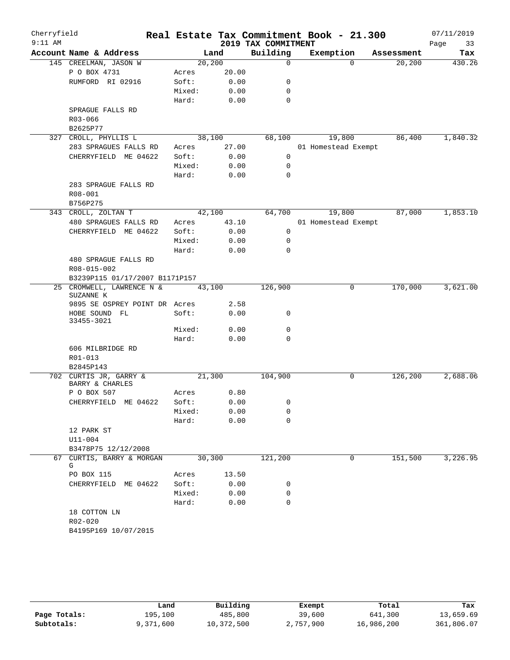| Cherryfield |                                           |         |              | Real Estate Tax Commitment Book - 21.300 |                     |          |            | 07/11/2019 |
|-------------|-------------------------------------------|---------|--------------|------------------------------------------|---------------------|----------|------------|------------|
| $9:11$ AM   |                                           |         |              | 2019 TAX COMMITMENT                      |                     |          |            | 33<br>Page |
|             | Account Name & Address                    | Land    |              | Building                                 | Exemption           |          | Assessment | Tax        |
|             | 145 CREELMAN, JASON W<br>P O BOX 4731     | 20, 200 | 20.00        | 0                                        |                     | $\Omega$ | 20, 200    | 430.26     |
|             | RUMFORD RI 02916                          | Acres   |              |                                          |                     |          |            |            |
|             |                                           | Soft:   | 0.00<br>0.00 | 0                                        |                     |          |            |            |
|             |                                           | Mixed:  |              | 0                                        |                     |          |            |            |
|             |                                           | Hard:   | 0.00         | 0                                        |                     |          |            |            |
|             | SPRAGUE FALLS RD                          |         |              |                                          |                     |          |            |            |
|             | R03-066<br>B2625P77                       |         |              |                                          |                     |          |            |            |
|             | 327 CROLL, PHYLLIS L                      | 38,100  |              | 68,100                                   |                     | 19,800   | 86,400     | 1,840.32   |
|             | 283 SPRAGUES FALLS RD                     | Acres   | 27.00        |                                          | 01 Homestead Exempt |          |            |            |
|             | CHERRYFIELD ME 04622                      | Soft:   | 0.00         | 0                                        |                     |          |            |            |
|             |                                           | Mixed:  | 0.00         | 0                                        |                     |          |            |            |
|             |                                           | Hard:   | 0.00         | $\Omega$                                 |                     |          |            |            |
|             | 283 SPRAGUE FALLS RD                      |         |              |                                          |                     |          |            |            |
|             | R08-001                                   |         |              |                                          |                     |          |            |            |
|             | B756P275                                  |         |              |                                          |                     |          |            |            |
|             | 343 CROLL, ZOLTAN T                       | 42,100  |              | 64,700                                   |                     | 19,800   | 87,000     | 1,853.10   |
|             | 480 SPRAGUES FALLS RD                     | Acres   | 43.10        |                                          | 01 Homestead Exempt |          |            |            |
|             | CHERRYFIELD ME 04622                      | Soft:   | 0.00         | $\mathbf 0$                              |                     |          |            |            |
|             |                                           | Mixed:  | 0.00         | 0                                        |                     |          |            |            |
|             |                                           | Hard:   | 0.00         | $\mathbf 0$                              |                     |          |            |            |
|             | 480 SPRAGUE FALLS RD                      |         |              |                                          |                     |          |            |            |
|             | R08-015-002                               |         |              |                                          |                     |          |            |            |
|             | B3239P115 01/17/2007 B1171P157            |         |              |                                          |                     |          |            |            |
|             | 25 CROMWELL, LAWRENCE N &                 | 43,100  |              | 126,900                                  |                     | 0        | 170,000    | 3,621.00   |
|             | SUZANNE K                                 |         |              |                                          |                     |          |            |            |
|             | 9895 SE OSPREY POINT DR Acres             |         | 2.58         |                                          |                     |          |            |            |
|             | HOBE SOUND FL                             | Soft:   | 0.00         | 0                                        |                     |          |            |            |
|             | 33455-3021                                |         |              |                                          |                     |          |            |            |
|             |                                           | Mixed:  | 0.00         | $\mathbf 0$                              |                     |          |            |            |
|             |                                           | Hard:   | 0.00         | $\mathbf 0$                              |                     |          |            |            |
|             | 606 MILBRIDGE RD                          |         |              |                                          |                     |          |            |            |
|             | R01-013                                   |         |              |                                          |                     |          |            |            |
|             | B2845P143                                 |         |              |                                          |                     |          |            |            |
|             | 702 CURTIS JR, GARRY &<br>BARRY & CHARLES | 21,300  |              | 104,900                                  |                     | 0        | 126,200    | 2,688.06   |
|             | P O BOX 507                               | Acres   | 0.80         |                                          |                     |          |            |            |
|             | CHERRYFIELD ME 04622                      | Soft:   | 0.00         | $\mathbf{0}$                             |                     |          |            |            |
|             |                                           | Mixed:  | 0.00         | 0                                        |                     |          |            |            |
|             |                                           | Hard:   | 0.00         | 0                                        |                     |          |            |            |
|             | 12 PARK ST                                |         |              |                                          |                     |          |            |            |
|             | U11-004                                   |         |              |                                          |                     |          |            |            |
|             | B3478P75 12/12/2008                       |         |              |                                          |                     |          |            |            |
|             | 67 CURTIS, BARRY & MORGAN<br>G            | 30,300  |              | 121,200                                  |                     | 0        | 151,500    | 3,226.95   |
|             | PO BOX 115                                | Acres   | 13.50        |                                          |                     |          |            |            |
|             | CHERRYFIELD ME 04622                      | Soft:   | 0.00         | 0                                        |                     |          |            |            |
|             |                                           | Mixed:  | 0.00         | 0                                        |                     |          |            |            |
|             |                                           | Hard:   | 0.00         | 0                                        |                     |          |            |            |
|             | 18 COTTON LN                              |         |              |                                          |                     |          |            |            |
|             | R02-020                                   |         |              |                                          |                     |          |            |            |
|             | B4195P169 10/07/2015                      |         |              |                                          |                     |          |            |            |
|             |                                           |         |              |                                          |                     |          |            |            |

|              | Land      | Building   | Exempt    | Total      | Tax        |
|--------------|-----------|------------|-----------|------------|------------|
| Page Totals: | 195,100   | 485,800    | 39,600    | 641,300    | 13,659.69  |
| Subtotals:   | 9,371,600 | 10,372,500 | 2,757,900 | 16,986,200 | 361,806.07 |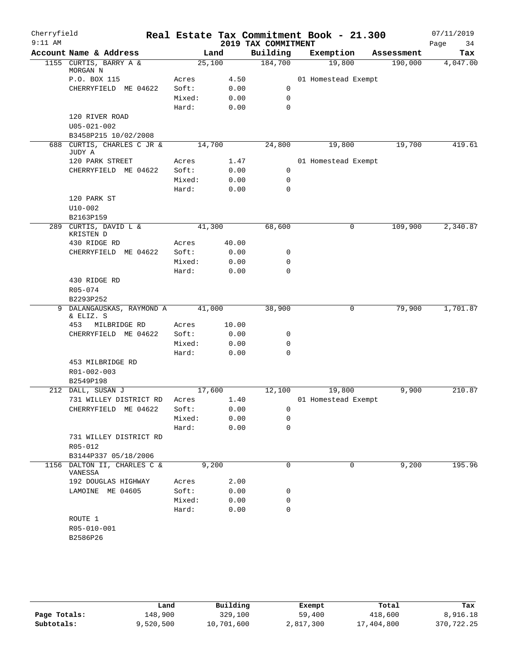| Cherryfield<br>$9:11$ AM |                                      |                |               |                                 | Real Estate Tax Commitment Book - 21.300 |                       | 07/11/2019      |
|--------------------------|--------------------------------------|----------------|---------------|---------------------------------|------------------------------------------|-----------------------|-----------------|
|                          | Account Name & Address               |                |               | 2019 TAX COMMITMENT<br>Building |                                          |                       | Page<br>34      |
|                          | 1155 CURTIS, BARRY A &               | 25,100         | Land          | 184,700                         | Exemption<br>19,800                      | Assessment<br>190,000 | Tax<br>4,047.00 |
|                          | MORGAN N                             |                |               |                                 |                                          |                       |                 |
|                          | P.O. BOX 115                         | Acres          | 4.50          |                                 | 01 Homestead Exempt                      |                       |                 |
|                          | CHERRYFIELD ME 04622                 | Soft:          | 0.00          | 0                               |                                          |                       |                 |
|                          |                                      | Mixed:         | 0.00          | 0                               |                                          |                       |                 |
|                          |                                      | Hard:          | 0.00          | 0                               |                                          |                       |                 |
|                          | 120 RIVER ROAD                       |                |               |                                 |                                          |                       |                 |
|                          | $U05 - 021 - 002$                    |                |               |                                 |                                          |                       |                 |
|                          | B3458P215 10/02/2008                 |                |               |                                 |                                          |                       |                 |
|                          | 688 CURTIS, CHARLES C JR &           | 14,700         |               | 24,800                          | 19,800                                   | 19,700                | 419.61          |
|                          | JUDY A<br>120 PARK STREET            |                | 1.47          |                                 | 01 Homestead Exempt                      |                       |                 |
|                          | CHERRYFIELD ME 04622                 | Acres<br>Soft: | 0.00          | 0                               |                                          |                       |                 |
|                          |                                      | Mixed:         | 0.00          | 0                               |                                          |                       |                 |
|                          |                                      | Hard:          | 0.00          | $\mathbf 0$                     |                                          |                       |                 |
|                          | 120 PARK ST                          |                |               |                                 |                                          |                       |                 |
|                          | $U10-002$                            |                |               |                                 |                                          |                       |                 |
|                          | B2163P159                            |                |               |                                 |                                          |                       |                 |
|                          | 289 CURTIS, DAVID L &                | 41,300         |               | 68,600                          | 0                                        | 109,900               | 2,340.87        |
|                          | KRISTEN D                            |                |               |                                 |                                          |                       |                 |
|                          | 430 RIDGE RD                         | Acres          | 40.00         |                                 |                                          |                       |                 |
|                          | CHERRYFIELD ME 04622                 | Soft:          | 0.00          | 0                               |                                          |                       |                 |
|                          |                                      | Mixed:         | 0.00          | 0                               |                                          |                       |                 |
|                          |                                      | Hard:          | 0.00          | 0                               |                                          |                       |                 |
|                          | 430 RIDGE RD                         |                |               |                                 |                                          |                       |                 |
|                          | R05-074                              |                |               |                                 |                                          |                       |                 |
|                          | B2293P252                            |                |               |                                 |                                          |                       |                 |
|                          | 9 DALANGAUSKAS, RAYMOND A            | 41,000         |               | 38,900                          | 0                                        | 79,900                | 1,701.87        |
|                          | & ELIZ. S<br>453                     |                |               |                                 |                                          |                       |                 |
|                          | MILBRIDGE RD<br>CHERRYFIELD ME 04622 | Acres<br>Soft: | 10.00<br>0.00 | 0                               |                                          |                       |                 |
|                          |                                      | Mixed:         | 0.00          | 0                               |                                          |                       |                 |
|                          |                                      | Hard:          | 0.00          | $\Omega$                        |                                          |                       |                 |
|                          | 453 MILBRIDGE RD                     |                |               |                                 |                                          |                       |                 |
|                          | R01-002-003                          |                |               |                                 |                                          |                       |                 |
|                          | B2549P198                            |                |               |                                 |                                          |                       |                 |
|                          | 212 DALL, SUSAN J                    | 17,600         |               | 12,100                          | 19,800                                   | 9,900                 | 210.87          |
|                          | 731 WILLEY DISTRICT RD               | Acres          | 1.40          |                                 | 01 Homestead Exempt                      |                       |                 |
|                          | CHERRYFIELD ME 04622                 | Soft:          | 0.00          | 0                               |                                          |                       |                 |
|                          |                                      | Mixed:         | 0.00          | 0                               |                                          |                       |                 |
|                          |                                      | Hard:          | 0.00          | 0                               |                                          |                       |                 |
|                          | 731 WILLEY DISTRICT RD               |                |               |                                 |                                          |                       |                 |
|                          | R05-012                              |                |               |                                 |                                          |                       |                 |
|                          | B3144P337 05/18/2006                 |                |               |                                 |                                          |                       |                 |
|                          | 1156 DALTON II, CHARLES C &          | 9,200          |               | 0                               | 0                                        | 9,200                 | 195.96          |
|                          | VANESSA                              |                |               |                                 |                                          |                       |                 |
|                          | 192 DOUGLAS HIGHWAY                  | Acres          | 2.00          |                                 |                                          |                       |                 |
|                          | LAMOINE ME 04605                     | Soft:          | 0.00          | 0                               |                                          |                       |                 |
|                          |                                      | Mixed:         | 0.00          | 0                               |                                          |                       |                 |
|                          |                                      | Hard:          | 0.00          | 0                               |                                          |                       |                 |
|                          | ROUTE 1<br>R05-010-001               |                |               |                                 |                                          |                       |                 |
|                          | B2586P26                             |                |               |                                 |                                          |                       |                 |
|                          |                                      |                |               |                                 |                                          |                       |                 |
|                          |                                      |                |               |                                 |                                          |                       |                 |

|              | Land      | Building   | Exempt    | Total      | Tax        |
|--------------|-----------|------------|-----------|------------|------------|
| Page Totals: | 148,900   | 329,100    | 59,400    | 418,600    | 8,916.18   |
| Subtotals:   | 9,520,500 | 10,701,600 | 2,817,300 | 17,404,800 | 370,722.25 |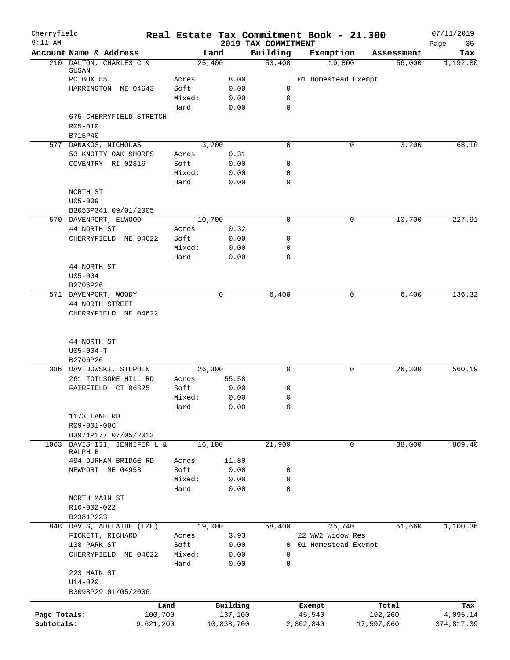| Cherryfield<br>$9:11$ AM |                                                 |                 |            | 2019 TAX COMMITMENT | Real Estate Tax Commitment Book - 21.300 |            | 07/11/2019<br>35 |
|--------------------------|-------------------------------------------------|-----------------|------------|---------------------|------------------------------------------|------------|------------------|
|                          | Account Name & Address                          |                 | Land       | Building            | Exemption                                | Assessment | Page<br>Tax      |
|                          | 210 DALTON, CHARLES C &                         | 25,400          |            | 50,400              | 19,800                                   | 56,000     | 1,192.80         |
|                          | SUSAN<br>PO BOX 85                              | Acres           | 8.00       |                     | 01 Homestead Exempt                      |            |                  |
|                          | HARRINGTON ME 04643                             | Soft:           | 0.00       | 0                   |                                          |            |                  |
|                          |                                                 | Mixed:          | 0.00       | 0                   |                                          |            |                  |
|                          |                                                 | Hard:           | 0.00       | 0                   |                                          |            |                  |
|                          | 675 CHERRYFIELD STRETCH                         |                 |            |                     |                                          |            |                  |
|                          | R05-010                                         |                 |            |                     |                                          |            |                  |
|                          | B715P40                                         |                 |            |                     |                                          |            |                  |
|                          | 577 DANAKOS, NICHOLAS                           |                 | 3,200      | 0                   | 0                                        | 3,200      | 68.16            |
|                          | 53 KNOTTY OAK SHORES                            | Acres           | 0.31       |                     |                                          |            |                  |
|                          | COVENTRY RI 02816                               | Soft:           | 0.00       | 0                   |                                          |            |                  |
|                          |                                                 | Mixed:          | 0.00       | 0                   |                                          |            |                  |
|                          |                                                 | Hard:           | 0.00       | 0                   |                                          |            |                  |
|                          | NORTH ST                                        |                 |            |                     |                                          |            |                  |
|                          | $U05 - 009$                                     |                 |            |                     |                                          |            |                  |
|                          | B3053P341 09/01/2005                            |                 |            |                     |                                          |            |                  |
|                          | 570 DAVENPORT, ELWOOD                           | 10,700          |            | 0                   | 0                                        | 10,700     | 227.91           |
|                          | 44 NORTH ST                                     | Acres           | 0.32       |                     |                                          |            |                  |
|                          | CHERRYFIELD<br>ME 04622                         | Soft:           | 0.00       | 0                   |                                          |            |                  |
|                          |                                                 | Mixed:          | 0.00       | 0                   |                                          |            |                  |
|                          |                                                 | Hard:           | 0.00       | 0                   |                                          |            |                  |
|                          | 44 NORTH ST<br>$U05 - 004$                      |                 |            |                     |                                          |            |                  |
|                          | B2706P26                                        |                 |            |                     |                                          |            |                  |
|                          | 571 DAVENPORT, WOODY                            |                 | 0          | 6,400               | $\mathbf 0$                              | 6,400      | 136.32           |
|                          | 44 NORTH STREET                                 |                 |            |                     |                                          |            |                  |
|                          | CHERRYFIELD ME 04622                            |                 |            |                     |                                          |            |                  |
|                          | 44 NORTH ST<br>$U05 - 004 - T$                  |                 |            |                     |                                          |            |                  |
|                          | B2706P26                                        |                 |            |                     |                                          |            |                  |
|                          | 386 DAVIDOWSKI, STEPHEN<br>261 TOILSOME HILL RD | 26,300<br>Acres | 55.58      | 0                   | 0                                        | 26,300     | 560.19           |
|                          | FAIRFIELD CT 06825                              | Soft:           | 0.00       | 0                   |                                          |            |                  |
|                          |                                                 | Mixed:          | 0.00       | 0                   |                                          |            |                  |
|                          |                                                 | Hard:           | 0.00       | 0                   |                                          |            |                  |
|                          | 1173 LANE RD                                    |                 |            |                     |                                          |            |                  |
|                          | R09-001-006                                     |                 |            |                     |                                          |            |                  |
|                          | B3971P177 07/05/2013                            |                 |            |                     |                                          |            |                  |
| 1063                     | DAVIS III, JENNIFER L &                         | 16,100          |            | 21,900              | 0                                        | 38,000     | 809.40           |
|                          | RALPH B                                         |                 |            |                     |                                          |            |                  |
|                          | 494 DURHAM BRIDGE RD                            | Acres           | 11.80      |                     |                                          |            |                  |
|                          | NEWPORT ME 04953                                | Soft:           | 0.00       | 0                   |                                          |            |                  |
|                          |                                                 | Mixed:          | 0.00       | 0                   |                                          |            |                  |
|                          |                                                 | Hard:           | 0.00       | $\mathbf 0$         |                                          |            |                  |
|                          | NORTH MAIN ST                                   |                 |            |                     |                                          |            |                  |
|                          | R10-002-022                                     |                 |            |                     |                                          |            |                  |
|                          | B2381P223<br>848 DAVIS, ADELAIDE (L/E)          | 19,000          |            | 58,400              | 25,740                                   | 51,660     | 1,100.36         |
|                          | FICKETT, RICHARD                                | Acres           | 3.93       |                     | 22 WW2 Widow Res                         |            |                  |
|                          | 138 PARK ST                                     | Soft:           | 0.00       | $\mathbf{0}$        | 01 Homestead Exempt                      |            |                  |
|                          | CHERRYFIELD ME 04622                            | Mixed:          | 0.00       | 0                   |                                          |            |                  |
|                          |                                                 | Hard:           | 0.00       | $\mathbf 0$         |                                          |            |                  |
|                          | 223 MAIN ST                                     |                 |            |                     |                                          |            |                  |
|                          | $U14 - 020$                                     |                 |            |                     |                                          |            |                  |
|                          | B3098P29 01/05/2006                             |                 |            |                     |                                          |            |                  |
|                          | Land                                            |                 | Building   |                     | Exempt                                   | Total      | Tax              |
| Page Totals:             | 100,700                                         |                 | 137,100    |                     | 45,540                                   | 192,260    | 4,095.14         |
| Subtotals:               | 9,621,200                                       |                 | 10,838,700 |                     | 2,862,840                                | 17,597,060 | 374,817.39       |
|                          |                                                 |                 |            |                     |                                          |            |                  |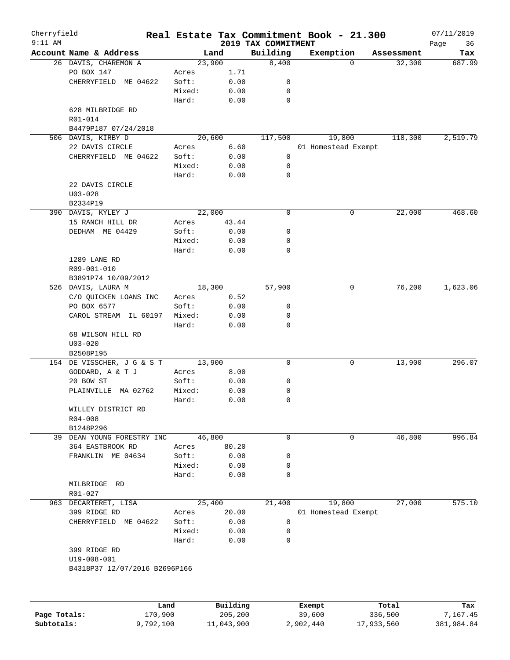| Cherryfield  |                               |         |          |                                 | Real Estate Tax Commitment Book - 21.300 |            | 07/11/2019    |
|--------------|-------------------------------|---------|----------|---------------------------------|------------------------------------------|------------|---------------|
| $9:11$ AM    | Account Name & Address        |         | Land     | 2019 TAX COMMITMENT<br>Building | Exemption                                | Assessment | Page<br>36    |
|              | 26 DAVIS, CHAREMON A          |         | 23,900   | 8,400                           | 0                                        | 32,300     | Tax<br>687.99 |
|              | PO BOX 147                    | Acres   | 1.71     |                                 |                                          |            |               |
|              | CHERRYFIELD ME 04622          | Soft:   | 0.00     | 0                               |                                          |            |               |
|              |                               |         | 0.00     |                                 |                                          |            |               |
|              |                               | Mixed:  |          | 0                               |                                          |            |               |
|              |                               | Hard:   | 0.00     | 0                               |                                          |            |               |
|              | 628 MILBRIDGE RD              |         |          |                                 |                                          |            |               |
|              | R01-014                       |         |          |                                 |                                          |            |               |
|              | B4479P187 07/24/2018          |         |          |                                 |                                          |            |               |
|              | 506 DAVIS, KIRBY D            |         | 20,600   | 117,500                         | 19,800                                   | 118,300    | 2,519.79      |
|              | 22 DAVIS CIRCLE               | Acres   | 6.60     |                                 | 01 Homestead Exempt                      |            |               |
|              | CHERRYFIELD ME 04622          | Soft:   | 0.00     | 0                               |                                          |            |               |
|              |                               | Mixed:  | 0.00     | 0                               |                                          |            |               |
|              |                               | Hard:   | 0.00     | 0                               |                                          |            |               |
|              | 22 DAVIS CIRCLE               |         |          |                                 |                                          |            |               |
|              | $U03 - 028$                   |         |          |                                 |                                          |            |               |
|              | B2334P19                      |         |          |                                 |                                          |            |               |
|              | 390 DAVIS, KYLEY J            |         | 22,000   | $\mathbf 0$                     | 0                                        | 22,000     | 468.60        |
|              | 15 RANCH HILL DR              | Acres   | 43.44    |                                 |                                          |            |               |
|              | DEDHAM ME 04429               | Soft:   | 0.00     | 0                               |                                          |            |               |
|              |                               |         |          |                                 |                                          |            |               |
|              |                               | Mixed:  | 0.00     | 0                               |                                          |            |               |
|              |                               | Hard:   | 0.00     | 0                               |                                          |            |               |
|              | 1289 LANE RD                  |         |          |                                 |                                          |            |               |
|              | R09-001-010                   |         |          |                                 |                                          |            |               |
|              | B3891P74 10/09/2012           |         |          |                                 |                                          |            |               |
|              | 526 DAVIS, LAURA M            |         | 18,300   | 57,900                          | 0                                        | 76,200     | 1,623.06      |
|              | C/O QUICKEN LOANS INC         | Acres   | 0.52     |                                 |                                          |            |               |
|              | PO BOX 6577                   | Soft:   | 0.00     | 0                               |                                          |            |               |
|              | CAROL STREAM<br>IL 60197      | Mixed:  | 0.00     | 0                               |                                          |            |               |
|              |                               | Hard:   | 0.00     | 0                               |                                          |            |               |
|              | 68 WILSON HILL RD             |         |          |                                 |                                          |            |               |
|              | $U03 - 020$                   |         |          |                                 |                                          |            |               |
|              | B2508P195                     |         |          |                                 |                                          |            |               |
|              | 154 DE VISSCHER, J G & S T    |         | 13,900   | $\mathbf 0$                     | 0                                        | 13,900     | 296.07        |
|              | GODDARD, A & T J              | Acres   | 8.00     |                                 |                                          |            |               |
|              |                               |         |          |                                 |                                          |            |               |
|              | 20 BOW ST                     | Soft:   | 0.00     | 0                               |                                          |            |               |
|              | PLAINVILLE<br>MA 02762        | Mixed:  | 0.00     | 0                               |                                          |            |               |
|              |                               | Hard:   | 0.00     | $\mathbf 0$                     |                                          |            |               |
|              | WILLEY DISTRICT RD            |         |          |                                 |                                          |            |               |
|              | $R04 - 008$                   |         |          |                                 |                                          |            |               |
|              | B1248P296                     |         |          |                                 |                                          |            |               |
| 39           | DEAN YOUNG FORESTRY INC       |         | 46,800   | 0                               | 0                                        | 46,800     | 996.84        |
|              | 364 EASTBROOK RD              | Acres   | 80.20    |                                 |                                          |            |               |
|              | FRANKLIN ME 04634             | Soft:   | 0.00     | 0                               |                                          |            |               |
|              |                               | Mixed:  | 0.00     | 0                               |                                          |            |               |
|              |                               | Hard:   | 0.00     | 0                               |                                          |            |               |
|              | MILBRIDGE RD                  |         |          |                                 |                                          |            |               |
|              | $R01 - 027$                   |         |          |                                 |                                          |            |               |
|              |                               |         |          |                                 |                                          |            |               |
| 963          | DECARTERET, LISA              |         | 25,400   | 21,400                          | 19,800                                   | 27,000     | 575.10        |
|              | 399 RIDGE RD                  | Acres   | 20.00    |                                 | 01 Homestead Exempt                      |            |               |
|              | CHERRYFIELD ME 04622          | Soft:   | 0.00     | 0                               |                                          |            |               |
|              |                               | Mixed:  | 0.00     | 0                               |                                          |            |               |
|              |                               | Hard:   | 0.00     | 0                               |                                          |            |               |
|              | 399 RIDGE RD                  |         |          |                                 |                                          |            |               |
|              | U19-008-001                   |         |          |                                 |                                          |            |               |
|              | B4318P37 12/07/2016 B2696P166 |         |          |                                 |                                          |            |               |
|              |                               |         |          |                                 |                                          |            |               |
|              |                               |         |          |                                 |                                          |            |               |
|              |                               |         |          |                                 |                                          |            |               |
|              |                               | Land    | Building |                                 | Exempt                                   | Total      | Tax           |
| Page Totals: |                               | 170,900 | 205,200  |                                 | 39,600                                   | 336,500    | 7,167.45      |
|              |                               |         |          |                                 |                                          |            |               |

**Subtotals:** 9,792,100 11,043,900 2,902,440 17,933,560 381,984.84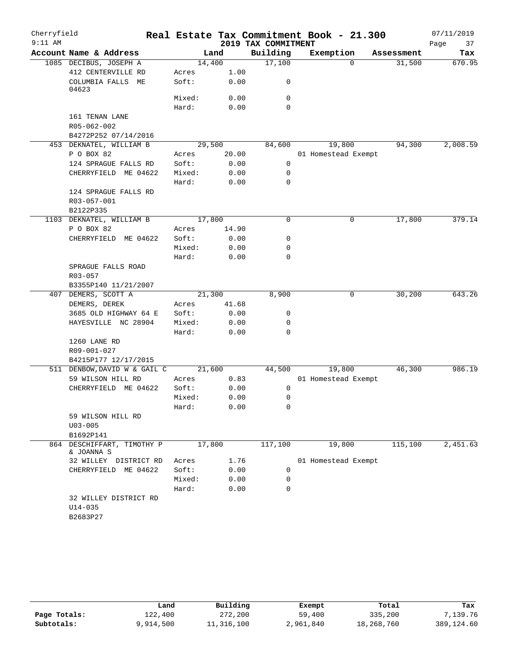| Cherryfield |                                                  |        |        |                     | Real Estate Tax Commitment Book - 21.300 |            | 07/11/2019 |
|-------------|--------------------------------------------------|--------|--------|---------------------|------------------------------------------|------------|------------|
| $9:11$ AM   |                                                  |        |        | 2019 TAX COMMITMENT |                                          |            | Page<br>37 |
|             | Account Name & Address                           |        | Land   | Building            | Exemption                                | Assessment | Tax        |
|             | 1085 DECIBUS, JOSEPH A                           | 14,400 |        | 17,100              | $\Omega$                                 | 31,500     | 670.95     |
|             | 412 CENTERVILLE RD                               | Acres  | 1.00   |                     |                                          |            |            |
|             | COLUMBIA FALLS ME<br>04623                       | Soft:  | 0.00   | 0                   |                                          |            |            |
|             |                                                  | Mixed: | 0.00   | 0                   |                                          |            |            |
|             |                                                  | Hard:  | 0.00   | $\mathbf 0$         |                                          |            |            |
|             | 161 TENAN LANE<br>R05-062-002                    |        |        |                     |                                          |            |            |
|             | B4272P252 07/14/2016                             |        |        |                     |                                          |            |            |
|             | 453 DEKNATEL, WILLIAM B                          |        | 29,500 | 84,600              | 19,800                                   | 94,300     | 2,008.59   |
|             | P O BOX 82                                       | Acres  | 20.00  |                     | 01 Homestead Exempt                      |            |            |
|             | 124 SPRAGUE FALLS RD                             | Soft:  | 0.00   | $\mathbf 0$         |                                          |            |            |
|             | CHERRYFIELD ME 04622                             | Mixed: | 0.00   | 0                   |                                          |            |            |
|             |                                                  | Hard:  | 0.00   | 0                   |                                          |            |            |
|             | 124 SPRAGUE FALLS RD<br>R03-057-001              |        |        |                     |                                          |            |            |
|             | B2122P335                                        |        |        |                     |                                          |            |            |
|             | 1103 DEKNATEL, WILLIAM B                         | 17,800 |        | $\mathbf 0$         | 0                                        | 17,800     | 379.14     |
|             | P O BOX 82                                       | Acres  | 14.90  |                     |                                          |            |            |
|             | CHERRYFIELD ME 04622                             | Soft:  | 0.00   | 0                   |                                          |            |            |
|             |                                                  | Mixed: | 0.00   | 0                   |                                          |            |            |
|             |                                                  | Hard:  | 0.00   | 0                   |                                          |            |            |
|             | SPRAGUE FALLS ROAD                               |        |        |                     |                                          |            |            |
|             | R03-057                                          |        |        |                     |                                          |            |            |
|             | B3355P140 11/21/2007                             |        |        |                     |                                          |            |            |
|             | 407 DEMERS, SCOTT A                              | 21,300 |        | 8,900               | 0                                        | 30,200     | 643.26     |
|             | DEMERS, DEREK                                    | Acres  | 41.68  |                     |                                          |            |            |
|             | 3685 OLD HIGHWAY 64 E                            | Soft:  | 0.00   | 0                   |                                          |            |            |
|             | HAYESVILLE NC 28904                              | Mixed: | 0.00   | 0                   |                                          |            |            |
|             |                                                  | Hard:  | 0.00   | 0                   |                                          |            |            |
|             | 1260 LANE RD                                     |        |        |                     |                                          |            |            |
|             | R09-001-027                                      |        |        |                     |                                          |            |            |
|             | B4215P177 12/17/2015                             |        |        |                     |                                          |            |            |
|             | 511 DENBOW, DAVID W & GAIL C                     | 21,600 |        | 44,500              | 19,800                                   | 46,300     | 986.19     |
|             | 59 WILSON HILL RD                                | Acres  | 0.83   |                     | 01 Homestead Exempt                      |            |            |
|             | CHERRYFIELD ME 04622                             | Soft:  | 0.00   | 0                   |                                          |            |            |
|             |                                                  | Mixed: | 0.00   | 0                   |                                          |            |            |
|             |                                                  | Hard:  | 0.00   | 0                   |                                          |            |            |
|             | 59 WILSON HILL RD                                |        |        |                     |                                          |            |            |
|             | $U03 - 005$                                      |        |        |                     |                                          |            |            |
|             | B1692P141                                        |        |        |                     |                                          |            |            |
| 864         | DESCHIFFART, TIMOTHY P<br>& JOANNA S             | 17,800 |        | 117,100             | 19,800                                   | 115,100    | 2,451.63   |
|             | 32 WILLEY DISTRICT RD                            | Acres  | 1.76   |                     | 01 Homestead Exempt                      |            |            |
|             | CHERRYFIELD ME 04622                             | Soft:  | 0.00   | 0                   |                                          |            |            |
|             |                                                  | Mixed: | 0.00   | 0                   |                                          |            |            |
|             |                                                  | Hard:  | 0.00   | $\mathbf 0$         |                                          |            |            |
|             | 32 WILLEY DISTRICT RD<br>$U14 - 035$<br>B2683P27 |        |        |                     |                                          |            |            |
|             |                                                  |        |        |                     |                                          |            |            |

|              | Land      | Building   | Exempt    | Total      | Tax        |
|--------------|-----------|------------|-----------|------------|------------|
| Page Totals: | 122,400   | 272,200    | 59,400    | 335,200    | 7,139.76   |
| Subtotals:   | 9,914,500 | 11,316,100 | 2,961,840 | 18,268,760 | 389,124.60 |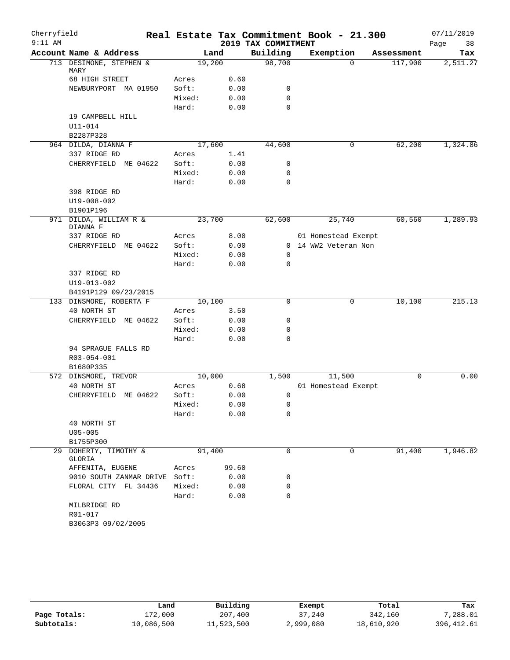| Cherryfield |                                    |        |       |                     | Real Estate Tax Commitment Book - 21.300 |            | 07/11/2019 |
|-------------|------------------------------------|--------|-------|---------------------|------------------------------------------|------------|------------|
| $9:11$ AM   |                                    |        |       | 2019 TAX COMMITMENT |                                          |            | Page<br>38 |
|             | Account Name & Address             | Land   |       | Building            | Exemption                                | Assessment | Tax        |
|             | 713 DESIMONE, STEPHEN &<br>MARY    | 19,200 |       | 98,700              | $\Omega$                                 | 117,900    | 2,511.27   |
|             | 68 HIGH STREET                     | Acres  | 0.60  |                     |                                          |            |            |
|             | NEWBURYPORT MA 01950               | Soft:  | 0.00  | 0                   |                                          |            |            |
|             |                                    | Mixed: | 0.00  | $\mathbf 0$         |                                          |            |            |
|             |                                    | Hard:  | 0.00  | $\mathbf 0$         |                                          |            |            |
|             | 19 CAMPBELL HILL                   |        |       |                     |                                          |            |            |
|             | U11-014                            |        |       |                     |                                          |            |            |
|             | B2287P328                          |        |       |                     |                                          |            |            |
|             | 964 DILDA, DIANNA F                | 17,600 |       | 44,600              | 0                                        | 62,200     | 1,324.86   |
|             | 337 RIDGE RD                       | Acres  | 1.41  |                     |                                          |            |            |
|             | CHERRYFIELD ME 04622               | Soft:  | 0.00  | 0                   |                                          |            |            |
|             |                                    | Mixed: | 0.00  | $\mathbf 0$         |                                          |            |            |
|             |                                    | Hard:  | 0.00  | $\mathbf 0$         |                                          |            |            |
|             | 398 RIDGE RD                       |        |       |                     |                                          |            |            |
|             | U19-008-002                        |        |       |                     |                                          |            |            |
|             | B1901P196                          |        |       |                     |                                          |            |            |
|             | 971 DILDA, WILLIAM R &<br>DIANNA F | 23,700 |       | 62,600              | 25,740                                   | 60,560     | 1,289.93   |
|             | 337 RIDGE RD                       | Acres  | 8.00  |                     | 01 Homestead Exempt                      |            |            |
|             | CHERRYFIELD ME 04622               | Soft:  | 0.00  |                     | 0 14 WW2 Veteran Non                     |            |            |
|             |                                    | Mixed: | 0.00  | 0                   |                                          |            |            |
|             |                                    | Hard:  | 0.00  | $\mathbf 0$         |                                          |            |            |
|             | 337 RIDGE RD                       |        |       |                     |                                          |            |            |
|             | $U19 - 013 - 002$                  |        |       |                     |                                          |            |            |
|             | B4191P129 09/23/2015               |        |       |                     |                                          |            |            |
|             | 133 DINSMORE, ROBERTA F            | 10,100 |       | $\mathbf 0$         | 0                                        | 10,100     | 215.13     |
|             | 40 NORTH ST                        | Acres  | 3.50  |                     |                                          |            |            |
|             | CHERRYFIELD ME 04622               | Soft:  | 0.00  | 0                   |                                          |            |            |
|             |                                    | Mixed: | 0.00  | 0                   |                                          |            |            |
|             |                                    | Hard:  | 0.00  | $\mathbf 0$         |                                          |            |            |
|             | 94 SPRAGUE FALLS RD                |        |       |                     |                                          |            |            |
|             | R03-054-001                        |        |       |                     |                                          |            |            |
|             | B1680P335<br>572 DINSMORE, TREVOR  | 10,000 |       | 1,500               | 11,500                                   | 0          | 0.00       |
|             | 40 NORTH ST                        | Acres  | 0.68  |                     | 01 Homestead Exempt                      |            |            |
|             | CHERRYFIELD ME 04622               | Soft:  | 0.00  | 0                   |                                          |            |            |
|             |                                    | Mixed: | 0.00  | $\mathsf 0$         |                                          |            |            |
|             |                                    | Hard:  | 0.00  | 0                   |                                          |            |            |
|             | 40 NORTH ST                        |        |       |                     |                                          |            |            |
|             | $U05 - 005$                        |        |       |                     |                                          |            |            |
|             | B1755P300                          |        |       |                     |                                          |            |            |
|             | 29 DOHERTY, TIMOTHY &              | 91,400 |       | 0                   | 0                                        | 91,400     | 1,946.82   |
|             | GLORIA                             |        |       |                     |                                          |            |            |
|             | AFFENITA, EUGENE                   | Acres  | 99.60 |                     |                                          |            |            |
|             | 9010 SOUTH ZANMAR DRIVE Soft:      |        | 0.00  | 0                   |                                          |            |            |
|             | FLORAL CITY FL 34436               | Mixed: | 0.00  | $\mathbf 0$         |                                          |            |            |
|             |                                    | Hard:  | 0.00  | $\mathbf 0$         |                                          |            |            |
|             | MILBRIDGE RD                       |        |       |                     |                                          |            |            |
|             | R01-017                            |        |       |                     |                                          |            |            |
|             | B3063P3 09/02/2005                 |        |       |                     |                                          |            |            |

|              | Land       | Building   | Exempt    | Total      | Tax         |  |
|--------------|------------|------------|-----------|------------|-------------|--|
| Page Totals: | 172,000    | 207,400    | 37,240    | 342,160    | 7,288.01    |  |
| Subtotals:   | 10,086,500 | 11,523,500 | 2,999,080 | 18,610,920 | 396, 412.61 |  |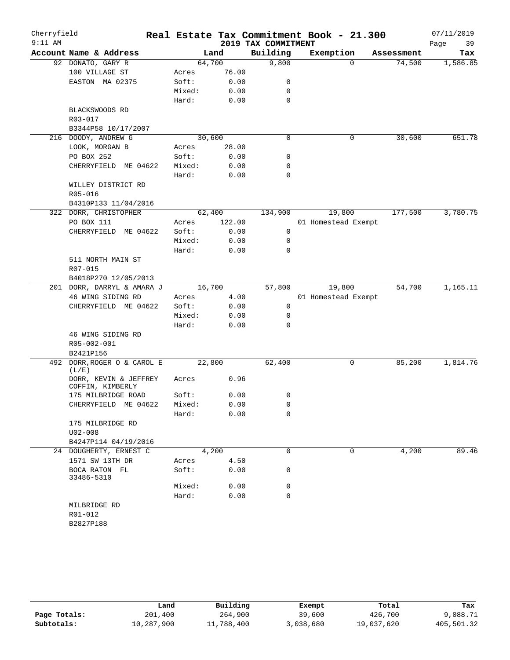| Cherryfield<br>$9:11$ AM |                                           |        |        | 2019 TAX COMMITMENT | Real Estate Tax Commitment Book - 21.300 |            | 07/11/2019<br>Page<br>39 |
|--------------------------|-------------------------------------------|--------|--------|---------------------|------------------------------------------|------------|--------------------------|
|                          | Account Name & Address                    | Land   |        | Building            | Exemption                                | Assessment | Tax                      |
|                          | 92 DONATO, GARY R                         | 64,700 |        | 9,800               | $\Omega$                                 | 74,500     | 1,586.85                 |
|                          | 100 VILLAGE ST                            | Acres  | 76.00  |                     |                                          |            |                          |
|                          | EASTON MA 02375                           | Soft:  | 0.00   | 0                   |                                          |            |                          |
|                          |                                           | Mixed: | 0.00   | 0                   |                                          |            |                          |
|                          |                                           | Hard:  | 0.00   | $\mathbf 0$         |                                          |            |                          |
|                          | BLACKSWOODS RD                            |        |        |                     |                                          |            |                          |
|                          | R03-017                                   |        |        |                     |                                          |            |                          |
|                          | B3344P58 10/17/2007                       |        |        |                     |                                          |            |                          |
|                          | 216 DOODY, ANDREW G                       | 30,600 |        | $\mathbf 0$         | 0                                        | 30,600     | 651.78                   |
|                          | LOOK, MORGAN B                            | Acres  | 28.00  |                     |                                          |            |                          |
|                          | PO BOX 252                                | Soft:  | 0.00   | 0                   |                                          |            |                          |
|                          | CHERRYFIELD ME 04622                      | Mixed: | 0.00   | $\mathbf 0$         |                                          |            |                          |
|                          |                                           | Hard:  | 0.00   | $\mathbf 0$         |                                          |            |                          |
|                          | WILLEY DISTRICT RD                        |        |        |                     |                                          |            |                          |
|                          | R05-016                                   |        |        |                     |                                          |            |                          |
|                          | B4310P133 11/04/2016                      |        |        |                     |                                          |            |                          |
|                          | 322 DORR, CHRISTOPHER                     | 62,400 |        | 134,900             | 19,800                                   | 177,500    | 3,780.75                 |
|                          | PO BOX 111                                | Acres  | 122.00 |                     | 01 Homestead Exempt                      |            |                          |
|                          | CHERRYFIELD ME 04622                      | Soft:  | 0.00   | 0                   |                                          |            |                          |
|                          |                                           | Mixed: | 0.00   | 0                   |                                          |            |                          |
|                          |                                           | Hard:  | 0.00   | $\mathbf 0$         |                                          |            |                          |
|                          | 511 NORTH MAIN ST                         |        |        |                     |                                          |            |                          |
|                          | R07-015                                   |        |        |                     |                                          |            |                          |
|                          | B4018P270 12/05/2013                      |        |        |                     |                                          |            |                          |
|                          | 201 DORR, DARRYL & AMARA J                | 16,700 |        | 57,800              | 19,800                                   | 54,700     | 1,165.11                 |
|                          | 46 WING SIDING RD                         | Acres  | 4.00   |                     | 01 Homestead Exempt                      |            |                          |
|                          | CHERRYFIELD ME 04622                      | Soft:  | 0.00   | 0                   |                                          |            |                          |
|                          |                                           | Mixed: | 0.00   | 0                   |                                          |            |                          |
|                          |                                           | Hard:  | 0.00   | $\mathbf 0$         |                                          |            |                          |
|                          | 46 WING SIDING RD                         |        |        |                     |                                          |            |                          |
|                          | R05-002-001                               |        |        |                     |                                          |            |                          |
|                          |                                           |        |        |                     |                                          |            |                          |
|                          | B2421P156<br>DORR, ROGER O & CAROL E      | 22,800 |        | 62,400              |                                          |            | 1,814.76                 |
| 492                      | (L/E)                                     |        |        |                     | 0                                        | 85,200     |                          |
|                          | DORR, KEVIN & JEFFREY<br>COFFIN, KIMBERLY | Acres  | 0.96   |                     |                                          |            |                          |
|                          | 175 MILBRIDGE ROAD                        | Soft:  | 0.00   | 0                   |                                          |            |                          |
|                          | CHERRYFIELD ME 04622                      | Mixed: | 0.00   | 0                   |                                          |            |                          |
|                          |                                           | Hard:  | 0.00   | 0                   |                                          |            |                          |
|                          | 175 MILBRIDGE RD                          |        |        |                     |                                          |            |                          |
|                          | $U02 - 008$                               |        |        |                     |                                          |            |                          |
|                          | B4247P114 04/19/2016                      |        |        |                     |                                          |            |                          |
|                          | 24 DOUGHERTY, ERNEST C                    | 4,200  |        | $\mathbf 0$         | 0                                        | 4,200      | 89.46                    |
|                          | 1571 SW 13TH DR                           | Acres  | 4.50   |                     |                                          |            |                          |
|                          | BOCA RATON FL<br>33486-5310               | Soft:  | 0.00   | 0                   |                                          |            |                          |
|                          |                                           | Mixed: | 0.00   | 0                   |                                          |            |                          |
|                          |                                           | Hard:  | 0.00   | $\mathbf 0$         |                                          |            |                          |
|                          | MILBRIDGE RD                              |        |        |                     |                                          |            |                          |
|                          | R01-012                                   |        |        |                     |                                          |            |                          |
|                          | B2827P188                                 |        |        |                     |                                          |            |                          |
|                          |                                           |        |        |                     |                                          |            |                          |

|              | Land       | Building   | Exempt    | Total      | Tax        |
|--------------|------------|------------|-----------|------------|------------|
| Page Totals: | 201,400    | 264,900    | 39,600    | 426,700    | 9,088.71   |
| Subtotals:   | 10,287,900 | 11,788,400 | 3,038,680 | 19,037,620 | 405,501.32 |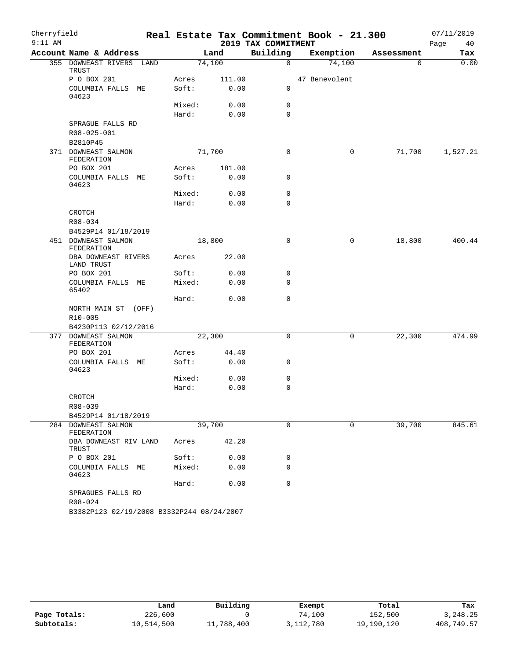| Cherryfield |                                           |        |        |                     | Real Estate Tax Commitment Book - 21.300 |            | 07/11/2019 |
|-------------|-------------------------------------------|--------|--------|---------------------|------------------------------------------|------------|------------|
| $9:11$ AM   |                                           |        |        | 2019 TAX COMMITMENT |                                          |            | Page<br>40 |
|             | Account Name & Address                    |        | Land   | Building            | Exemption                                | Assessment | Tax        |
|             | 355 DOWNEAST RIVERS LAND<br>TRUST         |        | 74,100 | $\mathsf{O}$        | 74,100                                   | 0          | 0.00       |
|             | P O BOX 201                               | Acres  | 111.00 |                     | 47 Benevolent                            |            |            |
|             | COLUMBIA FALLS ME<br>04623                | Soft:  | 0.00   | 0                   |                                          |            |            |
|             |                                           | Mixed: | 0.00   | 0                   |                                          |            |            |
|             |                                           | Hard:  | 0.00   | $\mathbf 0$         |                                          |            |            |
|             | SPRAGUE FALLS RD                          |        |        |                     |                                          |            |            |
|             | R08-025-001                               |        |        |                     |                                          |            |            |
|             | B2810P45                                  |        |        |                     |                                          |            |            |
|             | 371 DOWNEAST SALMON<br>FEDERATION         |        | 71,700 | $\mathbf 0$         | 0                                        | 71,700     | 1,527.21   |
|             | PO BOX 201                                | Acres  | 181.00 |                     |                                          |            |            |
|             | COLUMBIA FALLS ME<br>04623                | Soft:  | 0.00   | 0                   |                                          |            |            |
|             |                                           | Mixed: | 0.00   | 0                   |                                          |            |            |
|             |                                           | Hard:  | 0.00   | $\mathbf 0$         |                                          |            |            |
|             | CROTCH                                    |        |        |                     |                                          |            |            |
|             | R08-034                                   |        |        |                     |                                          |            |            |
|             | B4529P14 01/18/2019                       |        |        |                     |                                          |            |            |
|             | 451 DOWNEAST SALMON<br>FEDERATION         |        | 18,800 | 0                   | 0                                        | 18,800     | 400.44     |
|             | DBA DOWNEAST RIVERS<br>LAND TRUST         | Acres  | 22.00  |                     |                                          |            |            |
|             | PO BOX 201                                | Soft:  | 0.00   | 0                   |                                          |            |            |
|             | COLUMBIA FALLS ME<br>65402                | Mixed: | 0.00   | $\mathbf 0$         |                                          |            |            |
|             |                                           | Hard:  | 0.00   | $\mathbf 0$         |                                          |            |            |
|             | NORTH MAIN ST<br>(OFF)                    |        |        |                     |                                          |            |            |
|             | R10-005                                   |        |        |                     |                                          |            |            |
|             | B4230P113 02/12/2016                      |        |        |                     |                                          |            |            |
|             | 377 DOWNEAST SALMON<br>FEDERATION         |        | 22,300 | 0                   | 0                                        | 22,300     | 474.99     |
|             | PO BOX 201                                | Acres  | 44.40  |                     |                                          |            |            |
|             | COLUMBIA FALLS ME<br>04623                | Soft:  | 0.00   | 0                   |                                          |            |            |
|             |                                           | Mixed: | 0.00   | 0<br>$\mathbf 0$    |                                          |            |            |
|             |                                           | Hard:  | 0.00   |                     |                                          |            |            |
|             | CROTCH<br>R08-039                         |        |        |                     |                                          |            |            |
|             | B4529P14 01/18/2019                       |        |        |                     |                                          |            |            |
|             | 284 DOWNEAST SALMON                       |        | 39,700 | $\mathbf 0$         | $\mathbf 0$                              | 39,700     | 845.61     |
|             | FEDERATION                                |        | 42.20  |                     |                                          |            |            |
|             | DBA DOWNEAST RIV LAND<br><b>TRUST</b>     | Acres  |        |                     |                                          |            |            |
|             | P O BOX 201                               | Soft:  | 0.00   | 0                   |                                          |            |            |
|             | COLUMBIA FALLS ME<br>04623                | Mixed: | 0.00   | 0                   |                                          |            |            |
|             |                                           | Hard:  | 0.00   | $\mathbf 0$         |                                          |            |            |
|             | SPRAGUES FALLS RD<br>R08-024              |        |        |                     |                                          |            |            |
|             | B3382P123 02/19/2008 B3332P244 08/24/2007 |        |        |                     |                                          |            |            |

|              | Land       | Building   | Exempt    | Total      | Tax        |
|--------------|------------|------------|-----------|------------|------------|
| Page Totals: | 226,600    |            | 74,100    | 152,500    | 3,248.25   |
| Subtotals:   | 10,514,500 | 11,788,400 | 3,112,780 | 19,190,120 | 408,749.57 |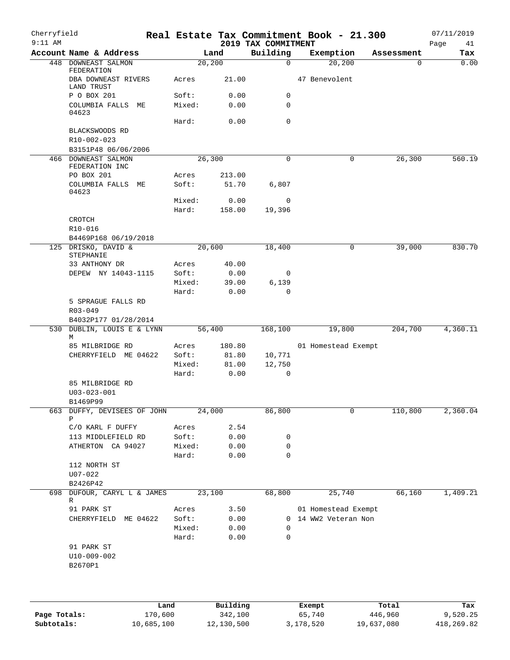| Cherryfield<br>$9:11$ AM |                                                 |                 |                 | 2019 TAX COMMITMENT | Real Estate Tax Commitment Book - 21.300    |            | 07/11/2019<br>Page<br>41 |
|--------------------------|-------------------------------------------------|-----------------|-----------------|---------------------|---------------------------------------------|------------|--------------------------|
|                          | Account Name & Address                          |                 | Land            | Building            | Exemption                                   | Assessment | Tax                      |
|                          | 448 DOWNEAST SALMON                             |                 | 20, 200         | $\mathbf 0$         | 20, 200                                     | 0          | 0.00                     |
|                          | FEDERATION<br>DBA DOWNEAST RIVERS<br>LAND TRUST | Acres           | 21.00           |                     | 47 Benevolent                               |            |                          |
|                          | P O BOX 201                                     | Soft:           | 0.00            | $\mathsf{O}$        |                                             |            |                          |
|                          | COLUMBIA FALLS ME<br>04623                      | Mixed:          | 0.00            | 0                   |                                             |            |                          |
|                          | BLACKSWOODS RD                                  | Hard:           | 0.00            | $\mathbf 0$         |                                             |            |                          |
|                          | R10-002-023                                     |                 |                 |                     |                                             |            |                          |
|                          | B3151P48 06/06/2006                             |                 |                 |                     |                                             |            |                          |
|                          | 466 DOWNEAST SALMON<br>FEDERATION INC           |                 | 26, 300         | $\mathbf 0$         | 0                                           | 26,300     | 560.19                   |
|                          | PO BOX 201<br>COLUMBIA FALLS ME                 | Acres<br>Soft:  | 213.00<br>51.70 | 6,807               |                                             |            |                          |
|                          | 04623                                           |                 |                 |                     |                                             |            |                          |
|                          |                                                 | Mixed:          | 0.00            | 0                   |                                             |            |                          |
|                          |                                                 | Hard:           | 158.00          | 19,396              |                                             |            |                          |
|                          | CROTCH                                          |                 |                 |                     |                                             |            |                          |
|                          | R10-016                                         |                 |                 |                     |                                             |            |                          |
|                          | B4469P168 06/19/2018<br>125 DRISKO, DAVID &     |                 | 20,600          | 18,400              | 0                                           | 39,000     | 830.70                   |
|                          | STEPHANIE                                       |                 |                 |                     |                                             |            |                          |
|                          | 33 ANTHONY DR                                   | Acres           | 40.00           |                     |                                             |            |                          |
|                          | DEPEW NY 14043-1115                             | Soft:           | 0.00            | 0                   |                                             |            |                          |
|                          |                                                 | Mixed:          | 39.00           | 6,139               |                                             |            |                          |
|                          |                                                 | Hard:           | 0.00            | 0                   |                                             |            |                          |
|                          | 5 SPRAGUE FALLS RD                              |                 |                 |                     |                                             |            |                          |
|                          | R03-049                                         |                 |                 |                     |                                             |            |                          |
| 530                      | B4032P177 01/28/2014<br>DUBLIN, LOUIS E & LYNN  |                 | 56,400          | 168,100             | 19,800                                      | 204,700    | 4,360.11                 |
|                          | М                                               |                 |                 |                     |                                             |            |                          |
|                          | 85 MILBRIDGE RD                                 | Acres           | 180.80          |                     | 01 Homestead Exempt                         |            |                          |
|                          | CHERRYFIELD ME 04622                            | Soft:           | 81.80           | 10,771              |                                             |            |                          |
|                          |                                                 | Mixed:          | 81.00           | 12,750              |                                             |            |                          |
|                          |                                                 | Hard:           | 0.00            | 0                   |                                             |            |                          |
|                          | 85 MILBRIDGE RD<br>$U03 - 023 - 001$            |                 |                 |                     |                                             |            |                          |
|                          | B1469P99                                        |                 |                 |                     |                                             |            |                          |
|                          | 663 DUFFY, DEVISEES OF JOHN                     |                 | 24,000          | 86,800              | 0                                           | 110,800    | 2,360.04                 |
|                          | Ρ                                               |                 |                 |                     |                                             |            |                          |
|                          | C/O KARL F DUFFY                                | Acres           | 2.54            |                     |                                             |            |                          |
|                          | 113 MIDDLEFIELD RD                              | Soft:           | 0.00            | 0                   |                                             |            |                          |
|                          | ATHERTON CA 94027                               | Mixed:<br>Hard: | 0.00<br>0.00    | 0<br>0              |                                             |            |                          |
|                          | 112 NORTH ST                                    |                 |                 |                     |                                             |            |                          |
|                          | $U07 - 022$                                     |                 |                 |                     |                                             |            |                          |
|                          | B2426P42                                        |                 |                 |                     |                                             |            |                          |
| 698                      | DUFOUR, CARYL L & JAMES                         |                 | 23,100          | 68,800              | 25,740                                      | 66,160     | 1,409.21                 |
|                          | R                                               |                 |                 |                     |                                             |            |                          |
|                          | 91 PARK ST<br>ME 04622                          | Acres<br>Soft:  | 3.50<br>0.00    |                     | 01 Homestead Exempt<br>0 14 WW2 Veteran Non |            |                          |
|                          | CHERRYFIELD                                     | Mixed:          | 0.00            | 0                   |                                             |            |                          |
|                          |                                                 | Hard:           | 0.00            | 0                   |                                             |            |                          |
|                          | 91 PARK ST                                      |                 |                 |                     |                                             |            |                          |
|                          | $U10 - 009 - 002$                               |                 |                 |                     |                                             |            |                          |
|                          | B2670P1                                         |                 |                 |                     |                                             |            |                          |
|                          |                                                 |                 |                 |                     |                                             |            |                          |
|                          |                                                 |                 |                 |                     |                                             |            |                          |
|                          |                                                 |                 |                 |                     |                                             |            |                          |

|              | Land       | Building   | Exempt    | Total      | Tax        |
|--------------|------------|------------|-----------|------------|------------|
| Page Totals: | 170,600    | 342,100    | 65,740    | 446,960    | 9,520.25   |
| Subtotals:   | 10,685,100 | 12,130,500 | 3,178,520 | 19,637,080 | 418,269.82 |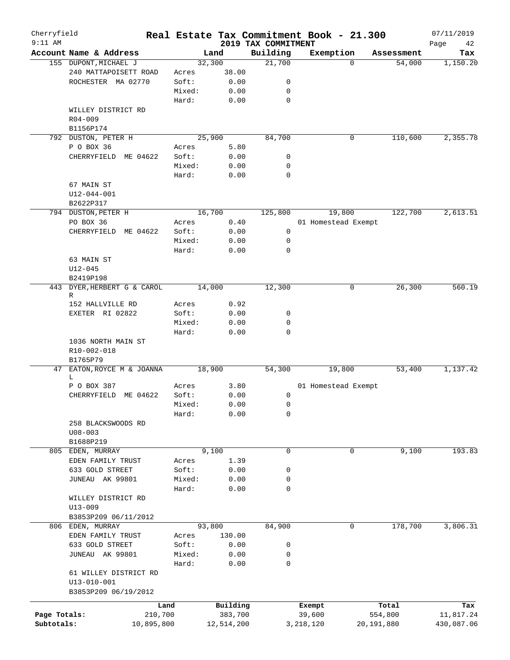| Cherryfield<br>$9:11$ AM |                              |            |            |                                 | Real Estate Tax Commitment Book - 21.300 |            | 07/11/2019        |
|--------------------------|------------------------------|------------|------------|---------------------------------|------------------------------------------|------------|-------------------|
|                          | Account Name & Address       |            | Land       | 2019 TAX COMMITMENT<br>Building | Exemption                                | Assessment | Page<br>42<br>Tax |
|                          | 155 DUPONT, MICHAEL J        |            | 32,300     | 21,700                          | $\Omega$                                 | 54,000     | 1,150.20          |
|                          | 240 MATTAPOISETT ROAD        | Acres      | 38.00      |                                 |                                          |            |                   |
|                          | ROCHESTER MA 02770           | Soft:      | 0.00       | 0                               |                                          |            |                   |
|                          |                              | Mixed:     | 0.00       | 0                               |                                          |            |                   |
|                          |                              | Hard:      | 0.00       | 0                               |                                          |            |                   |
|                          | WILLEY DISTRICT RD           |            |            |                                 |                                          |            |                   |
|                          | $R04 - 009$                  |            |            |                                 |                                          |            |                   |
|                          | B1156P174                    |            |            |                                 |                                          |            |                   |
|                          | 792 DUSTON, PETER H          |            | 25,900     | 84,700                          | 0                                        | 110,600    | 2,355.78          |
|                          | P O BOX 36                   | Acres      | 5.80       |                                 |                                          |            |                   |
|                          | CHERRYFIELD ME 04622         | Soft:      | 0.00       | 0                               |                                          |            |                   |
|                          |                              | Mixed:     | 0.00       | 0                               |                                          |            |                   |
|                          |                              | Hard:      | 0.00       | $\mathbf 0$                     |                                          |            |                   |
|                          | 67 MAIN ST                   |            |            |                                 |                                          |            |                   |
|                          | $U12 - 044 - 001$            |            |            |                                 |                                          |            |                   |
|                          | B2622P317                    |            |            |                                 |                                          |            |                   |
|                          | 794 DUSTON, PETER H          |            | 16,700     | 125,800                         | 19,800                                   | 122,700    | 2,613.51          |
|                          | PO BOX 36                    | Acres      | 0.40       |                                 | 01 Homestead Exempt                      |            |                   |
|                          | CHERRYFIELD<br>ME 04622      | Soft:      | 0.00       | 0                               |                                          |            |                   |
|                          |                              | Mixed:     | 0.00       | 0                               |                                          |            |                   |
|                          |                              | Hard:      | 0.00       | $\mathbf 0$                     |                                          |            |                   |
|                          | 63 MAIN ST                   |            |            |                                 |                                          |            |                   |
|                          | $U12 - 045$                  |            |            |                                 |                                          |            |                   |
|                          | B2419P198                    |            |            |                                 |                                          |            |                   |
| 443                      | DYER, HERBERT G & CAROL<br>R |            | 14,000     | 12,300                          | 0                                        | 26,300     | 560.19            |
|                          | 152 HALLVILLE RD             | Acres      | 0.92       |                                 |                                          |            |                   |
|                          | EXETER RI 02822              | Soft:      | 0.00       | 0                               |                                          |            |                   |
|                          |                              | Mixed:     | 0.00       | 0                               |                                          |            |                   |
|                          |                              | Hard:      | 0.00       | 0                               |                                          |            |                   |
|                          | 1036 NORTH MAIN ST           |            |            |                                 |                                          |            |                   |
|                          | R10-002-018                  |            |            |                                 |                                          |            |                   |
|                          | B1765P79                     |            |            |                                 |                                          |            |                   |
| 47                       | EATON, ROYCE M & JOANNA      |            | 18,900     | 54,300                          | 19,800                                   | 53,400     | 1,137.42          |
|                          | L.                           |            |            |                                 |                                          |            |                   |
|                          | P O BOX 387                  | Acres      | 3.80       |                                 | 01 Homestead Exempt                      |            |                   |
|                          | CHERRYFIELD<br>ME 04622      | Soft:      | 0.00       | 0                               |                                          |            |                   |
|                          |                              | Mixed:     | 0.00       | 0                               |                                          |            |                   |
|                          |                              | Hard:      | 0.00       | 0                               |                                          |            |                   |
|                          | 258 BLACKSWOODS RD           |            |            |                                 |                                          |            |                   |
|                          | $U08 - 003$                  |            |            |                                 |                                          |            |                   |
|                          | B1688P219                    |            |            |                                 |                                          |            |                   |
|                          | 805 EDEN, MURRAY             |            | 9,100      | 0                               | 0                                        | 9,100      | 193.83            |
|                          | EDEN FAMILY TRUST            | Acres      | 1.39       |                                 |                                          |            |                   |
|                          | 633 GOLD STREET              | Soft:      | 0.00       | 0                               |                                          |            |                   |
|                          | JUNEAU AK 99801              | Mixed:     | 0.00       | 0                               |                                          |            |                   |
|                          |                              | Hard:      | 0.00       | 0                               |                                          |            |                   |
|                          | WILLEY DISTRICT RD           |            |            |                                 |                                          |            |                   |
|                          | $U13 - 009$                  |            |            |                                 |                                          |            |                   |
|                          | B3853P209 06/11/2012         |            |            |                                 |                                          |            |                   |
|                          | 806 EDEN, MURRAY             |            | 93,800     | 84,900                          | 0                                        | 178,700    | 3,806.31          |
|                          | EDEN FAMILY TRUST            | Acres      | 130.00     |                                 |                                          |            |                   |
|                          | 633 GOLD STREET              | Soft:      | 0.00       | 0                               |                                          |            |                   |
|                          | JUNEAU AK 99801              | Mixed:     | 0.00       | 0                               |                                          |            |                   |
|                          |                              | Hard:      | 0.00       | 0                               |                                          |            |                   |
|                          | 61 WILLEY DISTRICT RD        |            |            |                                 |                                          |            |                   |
|                          | $U13 - 010 - 001$            |            |            |                                 |                                          |            |                   |
|                          | B3853P209 06/19/2012         |            |            |                                 |                                          |            |                   |
|                          |                              | Land       | Building   |                                 | Exempt                                   | Total      | Tax               |
| Page Totals:             |                              | 210,700    | 383,700    |                                 | 39,600                                   | 554,800    | 11,817.24         |
| Subtotals:               |                              | 10,895,800 | 12,514,200 |                                 | 3,218,120                                | 20,191,880 | 430,087.06        |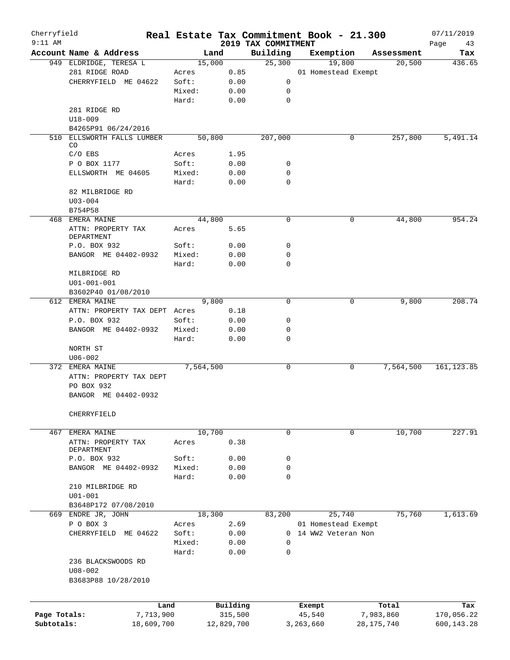| Cherryfield<br>$9:11$ AM |                                            |                 |              | 2019 TAX COMMITMENT        | Real Estate Tax Commitment Book - 21.300 |              | 07/11/2019        |
|--------------------------|--------------------------------------------|-----------------|--------------|----------------------------|------------------------------------------|--------------|-------------------|
|                          | Account Name & Address                     | Land            |              | Building                   | Exemption                                | Assessment   | Page<br>43<br>Tax |
|                          | 949 ELDRIDGE, TERESA L                     | 15,000          |              | 25,300                     | 19,800                                   | 20,500       | 436.65            |
|                          | 281 RIDGE ROAD                             | Acres           | 0.85         |                            | 01 Homestead Exempt                      |              |                   |
|                          | CHERRYFIELD ME 04622                       | Soft:           | 0.00         | 0                          |                                          |              |                   |
|                          |                                            | Mixed:          | 0.00         | 0                          |                                          |              |                   |
|                          |                                            | Hard:           | 0.00         | $\mathbf 0$                |                                          |              |                   |
|                          | 281 RIDGE RD                               |                 |              |                            |                                          |              |                   |
|                          | U18-009                                    |                 |              |                            |                                          |              |                   |
|                          | B4265P91 06/24/2016                        |                 |              |                            |                                          |              |                   |
|                          | 510 ELLSWORTH FALLS LUMBER                 | 50,800          |              | 207,000                    | 0                                        | 257,800      | 5,491.14          |
|                          | CO.                                        |                 |              |                            |                                          |              |                   |
|                          | $C/O$ EBS                                  | Acres           | 1.95         |                            |                                          |              |                   |
|                          | P O BOX 1177<br>ELLSWORTH ME 04605         | Soft:<br>Mixed: | 0.00<br>0.00 | 0<br>$\mathbf 0$           |                                          |              |                   |
|                          |                                            | Hard:           | 0.00         | $\mathbf 0$                |                                          |              |                   |
|                          | 82 MILBRIDGE RD                            |                 |              |                            |                                          |              |                   |
|                          | $U03 - 004$                                |                 |              |                            |                                          |              |                   |
|                          | B754P58                                    |                 |              |                            |                                          |              |                   |
| 468                      | EMERA MAINE                                | 44,800          |              | $\mathbf 0$                | 0                                        | 44,800       | 954.24            |
|                          | ATTN: PROPERTY TAX                         | Acres           | 5.65         |                            |                                          |              |                   |
|                          | DEPARTMENT                                 |                 |              |                            |                                          |              |                   |
|                          | P.O. BOX 932                               | Soft:           | 0.00         | 0                          |                                          |              |                   |
|                          | BANGOR ME 04402-0932                       | Mixed:          | 0.00         | $\mathbf 0$                |                                          |              |                   |
|                          |                                            | Hard:           | 0.00         | $\Omega$                   |                                          |              |                   |
|                          | MILBRIDGE RD                               |                 |              |                            |                                          |              |                   |
|                          | U01-001-001                                |                 |              |                            |                                          |              |                   |
|                          | B3602P40 01/08/2010                        |                 |              |                            |                                          |              |                   |
|                          | 612 EMERA MAINE                            | 9,800           |              | $\mathbf 0$                | 0                                        | 9,800        | 208.74            |
|                          | ATTN: PROPERTY TAX DEPT Acres              |                 | 0.18         |                            |                                          |              |                   |
|                          | P.O. BOX 932                               | Soft:           | 0.00         | 0                          |                                          |              |                   |
|                          | BANGOR ME 04402-0932                       | Mixed:          | 0.00         | 0                          |                                          |              |                   |
|                          |                                            | Hard:           | 0.00         | 0                          |                                          |              |                   |
|                          | NORTH ST                                   |                 |              |                            |                                          |              |                   |
|                          | $U06 - 002$                                | 7,564,500       |              |                            |                                          |              |                   |
|                          | 372 EMERA MAINE<br>ATTN: PROPERTY TAX DEPT |                 |              | 0                          | 0                                        | 7,564,500    | 161, 123.85       |
|                          | PO BOX 932                                 |                 |              |                            |                                          |              |                   |
|                          | BANGOR ME 04402-0932                       |                 |              |                            |                                          |              |                   |
|                          |                                            |                 |              |                            |                                          |              |                   |
|                          | CHERRYFIELD                                |                 |              |                            |                                          |              |                   |
|                          |                                            |                 |              |                            |                                          |              |                   |
| 467                      | EMERA MAINE                                | 10,700          |              | $\mathbf 0$                | 0                                        | 10,700       | 227.91            |
|                          | ATTN: PROPERTY TAX                         | Acres           | 0.38         |                            |                                          |              |                   |
|                          | DEPARTMENT                                 |                 |              |                            |                                          |              |                   |
|                          | P.O. BOX 932                               | Soft:           | 0.00         | 0                          |                                          |              |                   |
|                          | BANGOR ME 04402-0932                       | Mixed:          | 0.00         | $\mathbf 0$                |                                          |              |                   |
|                          |                                            | Hard:           | 0.00         | $\mathbf 0$                |                                          |              |                   |
|                          | 210 MILBRIDGE RD                           |                 |              |                            |                                          |              |                   |
|                          | $U01 - 001$                                |                 |              |                            |                                          |              |                   |
|                          | B3648P172 07/08/2010                       |                 |              |                            |                                          |              |                   |
|                          | 669 ENDRE JR, JOHN                         | 18,300          |              | 83,200                     | 25,740                                   | 75,760       | 1,613.69          |
|                          | P O BOX 3                                  | Acres           | 2.69         |                            | 01 Homestead Exempt                      |              |                   |
|                          | CHERRYFIELD ME 04622                       | Soft:           | 0.00         |                            | 0 14 WW2 Veteran Non                     |              |                   |
|                          |                                            | Mixed:<br>Hard: | 0.00         | $\mathbf 0$<br>$\mathbf 0$ |                                          |              |                   |
|                          |                                            |                 | 0.00         |                            |                                          |              |                   |
|                          | 236 BLACKSWOODS RD<br>$U08 - 002$          |                 |              |                            |                                          |              |                   |
|                          | B3683P88 10/28/2010                        |                 |              |                            |                                          |              |                   |
|                          |                                            |                 |              |                            |                                          |              |                   |
|                          |                                            |                 |              |                            |                                          |              |                   |
|                          | Land                                       |                 | Building     |                            | Exempt                                   | Total        | Tax               |
| Page Totals:             | 7,713,900                                  |                 | 315,500      |                            | 45,540                                   | 7,983,860    | 170,056.22        |
| Subtotals:               | 18,609,700                                 |                 | 12,829,700   |                            | 3,263,660                                | 28, 175, 740 | 600,143.28        |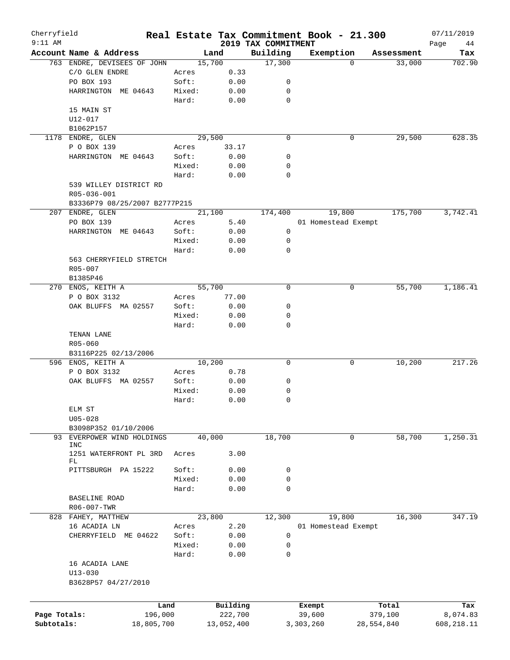| Cherryfield<br>$9:11$ AM |                               |        |            |                                 | Real Estate Tax Commitment Book - 21.300 |            |            | 07/11/2019        |
|--------------------------|-------------------------------|--------|------------|---------------------------------|------------------------------------------|------------|------------|-------------------|
|                          | Account Name & Address        |        | Land       | 2019 TAX COMMITMENT<br>Building | Exemption                                |            | Assessment | Page<br>44<br>Tax |
|                          | 763 ENDRE, DEVISEES OF JOHN   |        | 15,700     | 17,300                          |                                          | $\Omega$   | 33,000     | 702.90            |
|                          | C/O GLEN ENDRE                | Acres  | 0.33       |                                 |                                          |            |            |                   |
|                          | PO BOX 193                    | Soft:  | 0.00       | 0                               |                                          |            |            |                   |
|                          | HARRINGTON ME 04643           | Mixed: | 0.00       | 0                               |                                          |            |            |                   |
|                          |                               | Hard:  | 0.00       | 0                               |                                          |            |            |                   |
|                          | 15 MAIN ST                    |        |            |                                 |                                          |            |            |                   |
|                          | U12-017                       |        |            |                                 |                                          |            |            |                   |
|                          |                               |        |            |                                 |                                          |            |            |                   |
|                          | B1062P157                     |        |            |                                 |                                          |            |            |                   |
|                          | 1178 ENDRE, GLEN              |        | 29,500     | 0                               |                                          | 0          | 29,500     | 628.35            |
|                          | P O BOX 139                   | Acres  | 33.17      |                                 |                                          |            |            |                   |
|                          | HARRINGTON ME 04643           | Soft:  | 0.00       | 0                               |                                          |            |            |                   |
|                          |                               | Mixed: | 0.00       | 0                               |                                          |            |            |                   |
|                          |                               | Hard:  | 0.00       | 0                               |                                          |            |            |                   |
|                          | 539 WILLEY DISTRICT RD        |        |            |                                 |                                          |            |            |                   |
|                          | R05-036-001                   |        |            |                                 |                                          |            |            |                   |
|                          | B3336P79 08/25/2007 B2777P215 |        |            |                                 |                                          |            |            |                   |
|                          | 207 ENDRE, GLEN               |        | 21,100     | 174,400                         | 19,800                                   |            | 175,700    | 3,742.41          |
|                          | PO BOX 139                    | Acres  | 5.40       |                                 | 01 Homestead Exempt                      |            |            |                   |
|                          | HARRINGTON ME 04643           | Soft:  | 0.00       | 0                               |                                          |            |            |                   |
|                          |                               | Mixed: | 0.00       | 0                               |                                          |            |            |                   |
|                          |                               | Hard:  | 0.00       | $\mathbf 0$                     |                                          |            |            |                   |
|                          | 563 CHERRYFIELD STRETCH       |        |            |                                 |                                          |            |            |                   |
|                          | R05-007                       |        |            |                                 |                                          |            |            |                   |
|                          | B1385P46                      |        |            |                                 |                                          |            |            |                   |
|                          | 270 ENOS, KEITH A             |        | 55,700     | 0                               |                                          | 0          | 55,700     | 1,186.41          |
|                          | P O BOX 3132                  | Acres  | 77.00      |                                 |                                          |            |            |                   |
|                          | OAK BLUFFS MA 02557           | Soft:  | 0.00       | 0                               |                                          |            |            |                   |
|                          |                               | Mixed: | 0.00       | 0                               |                                          |            |            |                   |
|                          |                               | Hard:  | 0.00       | 0                               |                                          |            |            |                   |
|                          | TENAN LANE                    |        |            |                                 |                                          |            |            |                   |
|                          | R05-060                       |        |            |                                 |                                          |            |            |                   |
|                          | B3116P225 02/13/2006          |        |            |                                 |                                          |            |            |                   |
|                          | 596 ENOS, KEITH A             |        | 10,200     | 0                               |                                          | 0          | 10,200     | 217.26            |
|                          | P O BOX 3132                  | Acres  | 0.78       |                                 |                                          |            |            |                   |
|                          | OAK BLUFFS MA 02557           | Soft:  |            | 0                               |                                          |            |            |                   |
|                          |                               | Mixed: | 0.00       |                                 |                                          |            |            |                   |
|                          |                               |        | 0.00       | 0                               |                                          |            |            |                   |
|                          |                               | Hard:  | 0.00       | 0                               |                                          |            |            |                   |
|                          | ELM ST                        |        |            |                                 |                                          |            |            |                   |
|                          | $U05 - 028$                   |        |            |                                 |                                          |            |            |                   |
|                          | B3098P352 01/10/2006          |        |            |                                 |                                          |            |            |                   |
| 93                       | EVERPOWER WIND HOLDINGS       |        | 40,000     | 18,700                          |                                          | 0          | 58,700     | 1,250.31          |
|                          | INC                           |        |            |                                 |                                          |            |            |                   |
|                          | 1251 WATERFRONT PL 3RD<br>FL  | Acres  | 3.00       |                                 |                                          |            |            |                   |
|                          | PITTSBURGH PA 15222           | Soft:  | 0.00       | 0                               |                                          |            |            |                   |
|                          |                               | Mixed: | 0.00       | 0                               |                                          |            |            |                   |
|                          |                               | Hard:  | 0.00       | $\mathbf 0$                     |                                          |            |            |                   |
|                          |                               |        |            |                                 |                                          |            |            |                   |
|                          | <b>BASELINE ROAD</b>          |        |            |                                 |                                          |            |            |                   |
|                          | R06-007-TWR                   |        |            |                                 |                                          |            |            |                   |
|                          | 828 FAHEY, MATTHEW            |        | 23,800     | 12,300                          | 19,800                                   |            | 16,300     | 347.19            |
|                          | 16 ACADIA LN                  | Acres  | 2.20       |                                 | 01 Homestead Exempt                      |            |            |                   |
|                          | CHERRYFIELD ME 04622          | Soft:  | 0.00       | 0                               |                                          |            |            |                   |
|                          |                               | Mixed: | 0.00       | 0                               |                                          |            |            |                   |
|                          |                               | Hard:  | 0.00       | 0                               |                                          |            |            |                   |
|                          | 16 ACADIA LANE                |        |            |                                 |                                          |            |            |                   |
|                          | $U13 - 030$                   |        |            |                                 |                                          |            |            |                   |
|                          | B3628P57 04/27/2010           |        |            |                                 |                                          |            |            |                   |
|                          |                               |        |            |                                 |                                          |            |            |                   |
|                          | Land                          |        | Building   |                                 | Exempt                                   | Total      |            | Tax               |
| Page Totals:             | 196,000                       |        | 222,700    |                                 | 39,600                                   | 379,100    |            | 8,074.83          |
| Subtotals:               | 18,805,700                    |        | 13,052,400 |                                 | 3,303,260                                | 28,554,840 |            | 608,218.11        |
|                          |                               |        |            |                                 |                                          |            |            |                   |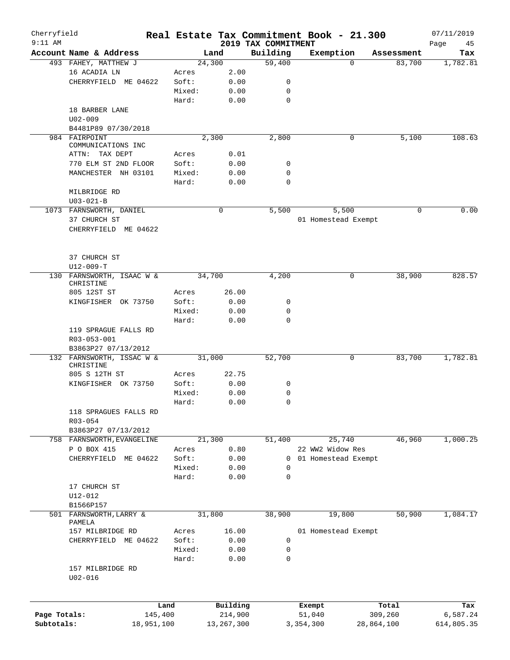| Cherryfield<br>$9:11$ AM |                                             |                 |                 |                     | Real Estate Tax Commitment Book - 21.300 |                  |                     |                  | 07/11/2019        |
|--------------------------|---------------------------------------------|-----------------|-----------------|---------------------|------------------------------------------|------------------|---------------------|------------------|-------------------|
|                          | Account Name & Address                      |                 |                 | Land                | 2019 TAX COMMITMENT<br>Building          |                  | Exemption           | Assessment       | Page<br>45<br>Tax |
|                          | 493 FAHEY, MATTHEW J                        |                 |                 | 24,300              | 59,400                                   |                  | $\Omega$            | 83,700           | 1,782.81          |
|                          | 16 ACADIA LN                                |                 | Acres           | 2.00                |                                          |                  |                     |                  |                   |
|                          | CHERRYFIELD ME 04622                        |                 | Soft:           | 0.00                | 0                                        |                  |                     |                  |                   |
|                          |                                             |                 | Mixed:          | 0.00                | 0                                        |                  |                     |                  |                   |
|                          |                                             |                 | Hard:           | 0.00                | 0                                        |                  |                     |                  |                   |
|                          | 18 BARBER LANE                              |                 |                 |                     |                                          |                  |                     |                  |                   |
|                          | $U02 - 009$                                 |                 |                 |                     |                                          |                  |                     |                  |                   |
|                          | B4481P89 07/30/2018                         |                 |                 |                     |                                          |                  |                     |                  |                   |
|                          | 984 FAIRPOINT                               |                 |                 | 2,300               | 2,800                                    |                  | 0                   | 5,100            | 108.63            |
|                          | COMMUNICATIONS INC                          |                 |                 |                     |                                          |                  |                     |                  |                   |
|                          | ATTN: TAX DEPT                              |                 | Acres           | 0.01<br>0.00        |                                          |                  |                     |                  |                   |
|                          | 770 ELM ST 2ND FLOOR<br>MANCHESTER NH 03101 |                 | Soft:<br>Mixed: | 0.00                | 0<br>$\mathbf 0$                         |                  |                     |                  |                   |
|                          |                                             |                 | Hard:           | 0.00                | 0                                        |                  |                     |                  |                   |
|                          | MILBRIDGE RD                                |                 |                 |                     |                                          |                  |                     |                  |                   |
|                          | $U03 - 021 - B$                             |                 |                 |                     |                                          |                  |                     |                  |                   |
|                          | 1073 FARNSWORTH, DANIEL                     |                 |                 | 0                   | 5,500                                    |                  | 5,500               | 0                | 0.00              |
|                          | 37 CHURCH ST                                |                 |                 |                     |                                          |                  | 01 Homestead Exempt |                  |                   |
|                          | CHERRYFIELD ME 04622                        |                 |                 |                     |                                          |                  |                     |                  |                   |
|                          |                                             |                 |                 |                     |                                          |                  |                     |                  |                   |
|                          |                                             |                 |                 |                     |                                          |                  |                     |                  |                   |
|                          | 37 CHURCH ST                                |                 |                 |                     |                                          |                  |                     |                  |                   |
|                          | $U12-009-T$                                 |                 |                 |                     |                                          |                  |                     |                  |                   |
|                          | 130 FARNSWORTH, ISAAC W &                   |                 |                 | 34,700              | 4,200                                    |                  | 0                   | 38,900           | 828.57            |
|                          | CHRISTINE                                   |                 |                 |                     |                                          |                  |                     |                  |                   |
|                          | 805 12ST ST                                 |                 | Acres<br>Soft:  | 26.00               | 0                                        |                  |                     |                  |                   |
|                          | KINGFISHER OK 73750                         |                 | Mixed:          | 0.00<br>0.00        | 0                                        |                  |                     |                  |                   |
|                          |                                             |                 | Hard:           | 0.00                | $\mathbf 0$                              |                  |                     |                  |                   |
|                          | 119 SPRAGUE FALLS RD                        |                 |                 |                     |                                          |                  |                     |                  |                   |
|                          | R03-053-001                                 |                 |                 |                     |                                          |                  |                     |                  |                   |
|                          | B3863P27 07/13/2012                         |                 |                 |                     |                                          |                  |                     |                  |                   |
|                          | 132 FARNSWORTH, ISSAC W &                   |                 |                 | 31,000              | 52,700                                   |                  | 0                   | 83,700           | 1,782.81          |
|                          | CHRISTINE                                   |                 |                 |                     |                                          |                  |                     |                  |                   |
|                          | 805 S 12TH ST                               |                 | Acres           | 22.75               |                                          |                  |                     |                  |                   |
|                          | KINGFISHER OK 73750                         |                 | Soft:           | 0.00                | 0                                        |                  |                     |                  |                   |
|                          |                                             |                 | Mixed:          | 0.00                | 0                                        |                  |                     |                  |                   |
|                          |                                             |                 | Hard:           | 0.00                | 0                                        |                  |                     |                  |                   |
|                          | 118 SPRAGUES FALLS RD<br>$R03 - 054$        |                 |                 |                     |                                          |                  |                     |                  |                   |
|                          | B3863P27 07/13/2012                         |                 |                 |                     |                                          |                  |                     |                  |                   |
|                          | 758 FARNSWORTH, EVANGELINE                  |                 |                 | 21,300              | 51,400                                   |                  | 25,740              | 46,960           | 1,000.25          |
|                          | P O BOX 415                                 |                 | Acres           | 0.80                |                                          |                  | 22 WW2 Widow Res    |                  |                   |
|                          | CHERRYFIELD<br>ME 04622                     |                 | Soft:           | 0.00                | 0                                        |                  | 01 Homestead Exempt |                  |                   |
|                          |                                             |                 | Mixed:          | 0.00                | 0                                        |                  |                     |                  |                   |
|                          |                                             |                 | Hard:           | 0.00                | $\mathbf 0$                              |                  |                     |                  |                   |
|                          | 17 CHURCH ST                                |                 |                 |                     |                                          |                  |                     |                  |                   |
|                          | U12-012                                     |                 |                 |                     |                                          |                  |                     |                  |                   |
|                          | B1566P157                                   |                 |                 |                     |                                          |                  |                     |                  |                   |
|                          | 501 FARNSWORTH, LARRY &                     |                 |                 | 31,800              | 38,900                                   |                  | 19,800              | 50,900           | 1,084.17          |
|                          | PAMELA                                      |                 |                 |                     |                                          |                  |                     |                  |                   |
|                          | 157 MILBRIDGE RD                            |                 | Acres<br>Soft:  | 16.00               | 0                                        |                  | 01 Homestead Exempt |                  |                   |
|                          | CHERRYFIELD ME 04622                        |                 | Mixed:          | 0.00<br>0.00        | 0                                        |                  |                     |                  |                   |
|                          |                                             |                 | Hard:           | 0.00                | 0                                        |                  |                     |                  |                   |
|                          | 157 MILBRIDGE RD                            |                 |                 |                     |                                          |                  |                     |                  |                   |
|                          | $U02 - 016$                                 |                 |                 |                     |                                          |                  |                     |                  |                   |
|                          |                                             |                 |                 |                     |                                          |                  |                     |                  |                   |
| Page Totals:             |                                             | Land<br>145,400 |                 | Building<br>214,900 |                                          | Exempt<br>51,040 |                     | Total<br>309,260 | Tax<br>6,587.24   |
| Subtotals:               |                                             | 18,951,100      |                 | 13, 267, 300        |                                          | 3,354,300        | 28,864,100          |                  | 614,805.35        |
|                          |                                             |                 |                 |                     |                                          |                  |                     |                  |                   |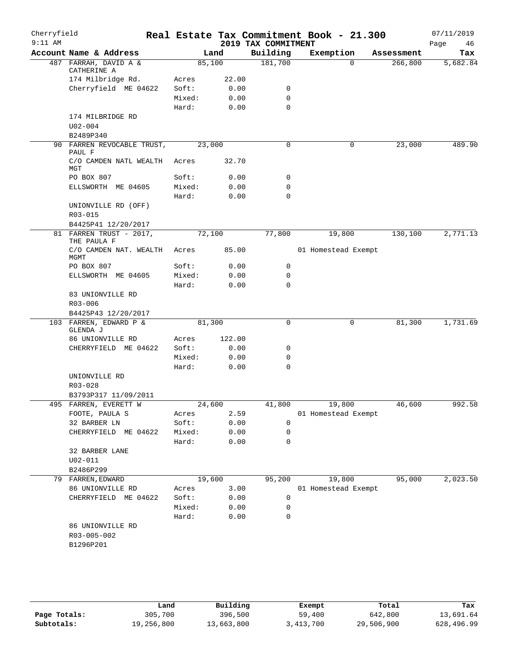| Cherryfield<br>$9:11$ AM |                                      |        |        | 2019 TAX COMMITMENT | Real Estate Tax Commitment Book - 21.300 |            | 07/11/2019<br>Page<br>46 |
|--------------------------|--------------------------------------|--------|--------|---------------------|------------------------------------------|------------|--------------------------|
|                          | Account Name & Address               |        | Land   | Building            | Exemption                                | Assessment | Tax                      |
|                          | 487 FARRAH, DAVID A &<br>CATHERINE A |        | 85,100 | 181,700             | $\Omega$                                 | 266,800    | 5,682.84                 |
|                          | 174 Milbridge Rd.                    | Acres  | 22.00  |                     |                                          |            |                          |
|                          | Cherryfield ME 04622                 | Soft:  | 0.00   | 0                   |                                          |            |                          |
|                          |                                      | Mixed: | 0.00   | $\mathbf 0$         |                                          |            |                          |
|                          |                                      | Hard:  | 0.00   | $\Omega$            |                                          |            |                          |
|                          | 174 MILBRIDGE RD                     |        |        |                     |                                          |            |                          |
|                          | $U02 - 004$                          |        |        |                     |                                          |            |                          |
|                          | B2489P340                            |        |        |                     |                                          |            |                          |
|                          | 90 FARREN REVOCABLE TRUST,<br>PAUL F |        | 23,000 | 0                   | 0                                        | 23,000     | 489.90                   |
|                          | C/O CAMDEN NATL WEALTH<br>MGT        | Acres  | 32.70  |                     |                                          |            |                          |
|                          | PO BOX 807                           | Soft:  | 0.00   | 0                   |                                          |            |                          |
|                          | ELLSWORTH ME 04605                   | Mixed: | 0.00   | 0                   |                                          |            |                          |
|                          |                                      | Hard:  | 0.00   | $\Omega$            |                                          |            |                          |
|                          | UNIONVILLE RD (OFF)<br>R03-015       |        |        |                     |                                          |            |                          |
|                          | B4425P41 12/20/2017                  |        |        |                     |                                          |            |                          |
| 81                       | FARREN TRUST - 2017,<br>THE PAULA F  |        | 72,100 | 77,800              | 19,800                                   | 130,100    | $\overline{2,771.13}$    |
|                          | C/O CAMDEN NAT. WEALTH<br>MGMT       | Acres  | 85.00  |                     | 01 Homestead Exempt                      |            |                          |
|                          | PO BOX 807                           | Soft:  | 0.00   | 0                   |                                          |            |                          |
|                          | ELLSWORTH ME 04605                   | Mixed: | 0.00   | 0                   |                                          |            |                          |
|                          |                                      | Hard:  | 0.00   | $\mathbf 0$         |                                          |            |                          |
|                          | 83 UNIONVILLE RD                     |        |        |                     |                                          |            |                          |
|                          | $R03 - 006$                          |        |        |                     |                                          |            |                          |
|                          | B4425P43 12/20/2017                  |        |        |                     |                                          |            |                          |
|                          | 103 FARREN, EDWARD P &<br>GLENDA J   |        | 81,300 | 0                   | 0                                        | 81,300     | 1,731.69                 |
|                          | 86 UNIONVILLE RD                     | Acres  | 122.00 |                     |                                          |            |                          |
|                          | CHERRYFIELD ME 04622                 | Soft:  | 0.00   | 0                   |                                          |            |                          |
|                          |                                      | Mixed: | 0.00   | 0                   |                                          |            |                          |
|                          |                                      | Hard:  | 0.00   | 0                   |                                          |            |                          |
|                          | UNIONVILLE RD<br>R03-028             |        |        |                     |                                          |            |                          |
|                          | B3793P317 11/09/2011                 |        |        |                     |                                          |            |                          |
|                          | 495 FARREN, EVERETT W                | 24,600 |        | 41,800              | 19,800                                   | 46,600     | 992.58                   |
|                          | FOOTE, PAULA S                       | Acres  | 2.59   |                     | 01 Homestead Exempt                      |            |                          |
|                          | 32 BARBER LN                         | Soft:  | 0.00   | $\mathbf 0$         |                                          |            |                          |
|                          | CHERRYFIELD ME 04622                 | Mixed: | 0.00   | 0                   |                                          |            |                          |
|                          |                                      | Hard:  | 0.00   | 0                   |                                          |            |                          |
|                          | 32 BARBER LANE                       |        |        |                     |                                          |            |                          |
|                          | $U02 - 011$                          |        |        |                     |                                          |            |                          |
|                          | B2486P299                            |        |        |                     |                                          |            |                          |
|                          | 79 FARREN, EDWARD                    |        | 19,600 | 95,200              | 19,800                                   | 95,000     | 2,023.50                 |
|                          | 86 UNIONVILLE RD                     | Acres  | 3.00   |                     | 01 Homestead Exempt                      |            |                          |
|                          | CHERRYFIELD ME 04622                 | Soft:  | 0.00   | 0                   |                                          |            |                          |
|                          |                                      | Mixed: | 0.00   | 0                   |                                          |            |                          |
|                          |                                      | Hard:  | 0.00   | 0                   |                                          |            |                          |
|                          | 86 UNIONVILLE RD                     |        |        |                     |                                          |            |                          |
|                          | R03-005-002                          |        |        |                     |                                          |            |                          |
|                          | B1296P201                            |        |        |                     |                                          |            |                          |
|                          |                                      |        |        |                     |                                          |            |                          |

|              | Land       | Building   | Exempt    | Total      | Tax        |
|--------------|------------|------------|-----------|------------|------------|
| Page Totals: | 305,700    | 396,500    | 59,400    | 642,800    | 13,691.64  |
| Subtotals:   | 19,256,800 | 13,663,800 | 3,413,700 | 29,506,900 | 628,496.99 |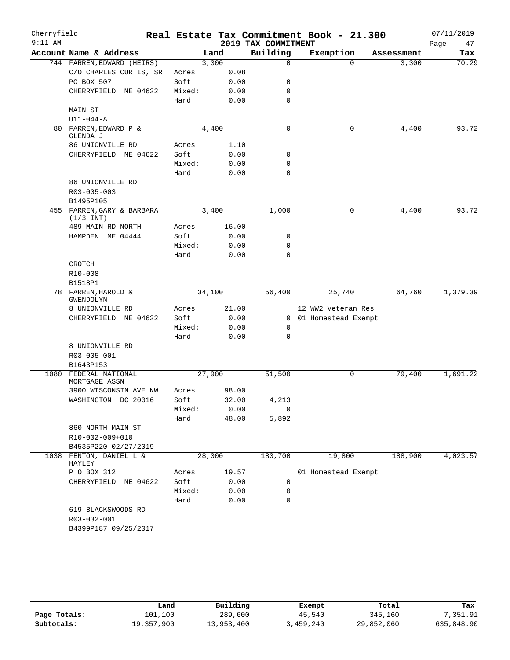| Cherryfield |                                           |        |        |       | Real Estate Tax Commitment Book - 21.300 |                       |          |            | 07/11/2019 |       |
|-------------|-------------------------------------------|--------|--------|-------|------------------------------------------|-----------------------|----------|------------|------------|-------|
| $9:11$ AM   |                                           |        |        |       | 2019 TAX COMMITMENT                      |                       |          |            | Page       | 47    |
|             | Account Name & Address                    |        | Land   |       | Building                                 | Exemption             |          | Assessment |            | Tax   |
|             | 744 FARREN, EDWARD (HEIRS)                |        | 3,300  |       | $\mathbf 0$                              |                       | $\Omega$ | 3,300      |            | 70.29 |
|             | C/O CHARLES CURTIS, SR                    | Acres  |        | 0.08  |                                          |                       |          |            |            |       |
|             | PO BOX 507                                | Soft:  |        | 0.00  | 0                                        |                       |          |            |            |       |
|             | CHERRYFIELD ME 04622                      | Mixed: |        | 0.00  | $\mathbf 0$                              |                       |          |            |            |       |
|             |                                           | Hard:  |        | 0.00  | $\mathbf 0$                              |                       |          |            |            |       |
|             | MAIN ST                                   |        |        |       |                                          |                       |          |            |            |       |
|             | $U11 - 044 - A$                           |        |        |       |                                          |                       |          |            |            |       |
|             | 80 FARREN, EDWARD P &                     |        | 4,400  |       | $\mathbf 0$                              |                       | 0        | 4,400      |            | 93.72 |
|             | GLENDA J                                  |        |        |       |                                          |                       |          |            |            |       |
|             | 86 UNIONVILLE RD                          | Acres  |        | 1.10  |                                          |                       |          |            |            |       |
|             | CHERRYFIELD ME 04622                      | Soft:  |        | 0.00  | 0                                        |                       |          |            |            |       |
|             |                                           | Mixed: |        | 0.00  | $\mathbf 0$                              |                       |          |            |            |       |
|             |                                           | Hard:  |        | 0.00  | $\mathbf 0$                              |                       |          |            |            |       |
|             | 86 UNIONVILLE RD                          |        |        |       |                                          |                       |          |            |            |       |
|             | R03-005-003                               |        |        |       |                                          |                       |          |            |            |       |
|             | B1495P105                                 |        |        |       |                                          |                       |          |            |            |       |
|             | 455 FARREN, GARY & BARBARA<br>$(1/3$ INT) |        | 3,400  |       | 1,000                                    |                       | 0        | 4,400      |            | 93.72 |
|             | 489 MAIN RD NORTH                         | Acres  |        | 16.00 |                                          |                       |          |            |            |       |
|             | HAMPDEN ME 04444                          | Soft:  |        | 0.00  | 0                                        |                       |          |            |            |       |
|             |                                           | Mixed: |        | 0.00  | 0                                        |                       |          |            |            |       |
|             |                                           | Hard:  |        | 0.00  | $\mathbf 0$                              |                       |          |            |            |       |
|             | CROTCH                                    |        |        |       |                                          |                       |          |            |            |       |
|             | R10-008                                   |        |        |       |                                          |                       |          |            |            |       |
|             | B1518P1                                   |        |        |       |                                          |                       |          |            |            |       |
| 78          | FARREN, HAROLD &<br>GWENDOLYN             |        | 34,100 |       | 56,400                                   |                       | 25,740   | 64,760     | 1,379.39   |       |
|             | 8 UNIONVILLE RD                           | Acres  |        | 21.00 |                                          | 12 WW2 Veteran Res    |          |            |            |       |
|             | CHERRYFIELD ME 04622                      | Soft:  |        | 0.00  |                                          | 0 01 Homestead Exempt |          |            |            |       |
|             |                                           | Mixed: |        | 0.00  | 0                                        |                       |          |            |            |       |
|             |                                           | Hard:  |        | 0.00  | $\mathbf 0$                              |                       |          |            |            |       |
|             | 8 UNIONVILLE RD                           |        |        |       |                                          |                       |          |            |            |       |
|             | R03-005-001                               |        |        |       |                                          |                       |          |            |            |       |
|             | B1643P153                                 |        |        |       |                                          |                       |          |            |            |       |
| 1080        | FEDERAL NATIONAL                          |        | 27,900 |       | 51,500                                   |                       | 0        | 79,400     | 1,691.22   |       |
|             | MORTGAGE ASSN                             |        |        |       |                                          |                       |          |            |            |       |
|             | 3900 WISCONSIN AVE NW                     | Acres  |        | 98.00 |                                          |                       |          |            |            |       |
|             | WASHINGTON DC 20016                       | Soft:  |        | 32.00 | 4,213                                    |                       |          |            |            |       |
|             |                                           | Mixed: |        | 0.00  | $\mathsf 0$                              |                       |          |            |            |       |
|             |                                           | Hard:  |        | 48.00 | 5,892                                    |                       |          |            |            |       |
|             | 860 NORTH MAIN ST                         |        |        |       |                                          |                       |          |            |            |       |
|             | R10-002-009+010                           |        |        |       |                                          |                       |          |            |            |       |
|             | B4535P220 02/27/2019                      |        |        |       |                                          |                       |          |            |            |       |
| 1038        | FENTON, DANIEL L &<br>HAYLEY              |        | 28,000 |       | 180,700                                  |                       | 19,800   | 188,900    | 4,023.57   |       |
|             | P O BOX 312                               | Acres  |        | 19.57 |                                          | 01 Homestead Exempt   |          |            |            |       |
|             | CHERRYFIELD ME 04622                      | Soft:  |        | 0.00  | 0                                        |                       |          |            |            |       |
|             |                                           | Mixed: |        | 0.00  | 0                                        |                       |          |            |            |       |
|             |                                           | Hard:  |        | 0.00  | $\mathbf 0$                              |                       |          |            |            |       |
|             | 619 BLACKSWOODS RD                        |        |        |       |                                          |                       |          |            |            |       |
|             | R03-032-001                               |        |        |       |                                          |                       |          |            |            |       |
|             | B4399P187 09/25/2017                      |        |        |       |                                          |                       |          |            |            |       |
|             |                                           |        |        |       |                                          |                       |          |            |            |       |

|              | Land       | Building   | Exempt    | Total      | Tax        |
|--------------|------------|------------|-----------|------------|------------|
| Page Totals: | 101,100    | 289,600    | 45,540    | 345,160    | 7,351.91   |
| Subtotals:   | 19,357,900 | 13,953,400 | 3,459,240 | 29,852,060 | 635,848.90 |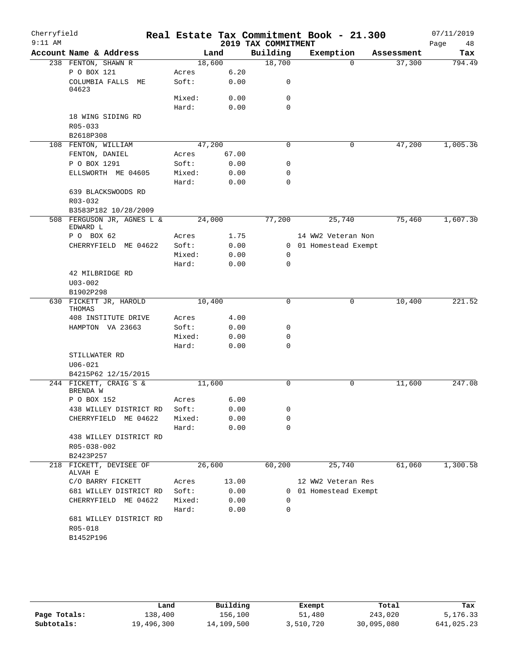| Cherryfield |                                       |        |        |                     | Real Estate Tax Commitment Book - 21.300 |            | 07/11/2019 |
|-------------|---------------------------------------|--------|--------|---------------------|------------------------------------------|------------|------------|
| $9:11$ AM   |                                       |        |        | 2019 TAX COMMITMENT |                                          |            | Page<br>48 |
|             | Account Name & Address                |        | Land   | Building            | Exemption                                | Assessment | Tax        |
|             | 238 FENTON, SHAWN R                   | 18,600 |        | 18,700              | $\Omega$                                 | 37,300     | 794.49     |
|             | P O BOX 121                           | Acres  | 6.20   |                     |                                          |            |            |
|             | COLUMBIA FALLS ME<br>04623            | Soft:  | 0.00   | $\mathbf 0$         |                                          |            |            |
|             |                                       | Mixed: | 0.00   | 0                   |                                          |            |            |
|             |                                       | Hard:  | 0.00   | $\mathbf 0$         |                                          |            |            |
|             | 18 WING SIDING RD                     |        |        |                     |                                          |            |            |
|             | R05-033                               |        |        |                     |                                          |            |            |
|             | B2618P308                             | 47,200 |        | 0                   | 0                                        | 47,200     | 1,005.36   |
|             | 108 FENTON, WILLIAM<br>FENTON, DANIEL | Acres  | 67.00  |                     |                                          |            |            |
|             | P O BOX 1291                          | Soft:  | 0.00   | 0                   |                                          |            |            |
|             | ELLSWORTH ME 04605                    | Mixed: | 0.00   | $\mathbf 0$         |                                          |            |            |
|             |                                       | Hard:  | 0.00   | $\mathbf 0$         |                                          |            |            |
|             | 639 BLACKSWOODS RD                    |        |        |                     |                                          |            |            |
|             | R03-032                               |        |        |                     |                                          |            |            |
|             | B3583P182 10/28/2009                  |        |        |                     |                                          |            |            |
|             | 508 FERGUSON JR, AGNES L &            | 24,000 |        | 77,200              | 25,740                                   | 75,460     | 1,607.30   |
|             | EDWARD L                              |        |        |                     |                                          |            |            |
|             | P O BOX 62                            | Acres  | 1.75   |                     | 14 WW2 Veteran Non                       |            |            |
|             | CHERRYFIELD ME 04622                  | Soft:  | 0.00   |                     | 0 01 Homestead Exempt                    |            |            |
|             |                                       | Mixed: | 0.00   | 0                   |                                          |            |            |
|             |                                       | Hard:  | 0.00   | $\mathbf 0$         |                                          |            |            |
|             | 42 MILBRIDGE RD                       |        |        |                     |                                          |            |            |
|             | $U03 - 002$                           |        |        |                     |                                          |            |            |
|             | B1902P298<br>630 FICKETT JR, HAROLD   | 10,400 |        | 0                   | 0                                        | 10,400     | 221.52     |
|             | THOMAS                                |        |        |                     |                                          |            |            |
|             | 408 INSTITUTE DRIVE                   | Acres  | 4.00   |                     |                                          |            |            |
|             | HAMPTON VA 23663                      | Soft:  | 0.00   | 0                   |                                          |            |            |
|             |                                       | Mixed: | 0.00   | 0                   |                                          |            |            |
|             |                                       | Hard:  | 0.00   | 0                   |                                          |            |            |
|             | STILLWATER RD                         |        |        |                     |                                          |            |            |
|             | $U06 - 021$                           |        |        |                     |                                          |            |            |
|             | B4215P62 12/15/2015                   |        |        |                     |                                          |            |            |
|             | 244 FICKETT, CRAIG S &<br>BRENDA W    | 11,600 |        | $\mathbf 0$         | 0                                        | 11,600     | 247.08     |
|             | P O BOX 152                           | Acres  | 6.00   |                     |                                          |            |            |
|             | 438 WILLEY DISTRICT RD                | Soft:  | 0.00   | 0                   |                                          |            |            |
|             | CHERRYFIELD ME 04622                  | Mixed: | 0.00   | 0                   |                                          |            |            |
|             |                                       | Hard:  | 0.00   | $\mathbf 0$         |                                          |            |            |
|             | 438 WILLEY DISTRICT RD                |        |        |                     |                                          |            |            |
|             | R05-038-002                           |        |        |                     |                                          |            |            |
|             | B2423P257<br>218 FICKETT, DEVISEE OF  |        | 26,600 | 60,200              | 25,740                                   | 61,060     | 1,300.58   |
|             | ALVAH E                               |        |        |                     |                                          |            |            |
|             | C/O BARRY FICKETT                     | Acres  | 13.00  |                     | 12 WW2 Veteran Res                       |            |            |
|             | 681 WILLEY DISTRICT RD                | Soft:  | 0.00   |                     | 0 01 Homestead Exempt                    |            |            |
|             | CHERRYFIELD ME 04622                  | Mixed: | 0.00   | 0                   |                                          |            |            |
|             | 681 WILLEY DISTRICT RD                | Hard:  | 0.00   | 0                   |                                          |            |            |
|             | R05-018                               |        |        |                     |                                          |            |            |
|             | B1452P196                             |        |        |                     |                                          |            |            |
|             |                                       |        |        |                     |                                          |            |            |

|              | Land       | Building   | Exempt    | Total      | Tax        |
|--------------|------------|------------|-----------|------------|------------|
| Page Totals: | 138,400    | 156.100    | 51,480    | 243,020    | 5,176.33   |
| Subtotals:   | 19,496,300 | 14,109,500 | 3,510,720 | 30,095,080 | 641,025.23 |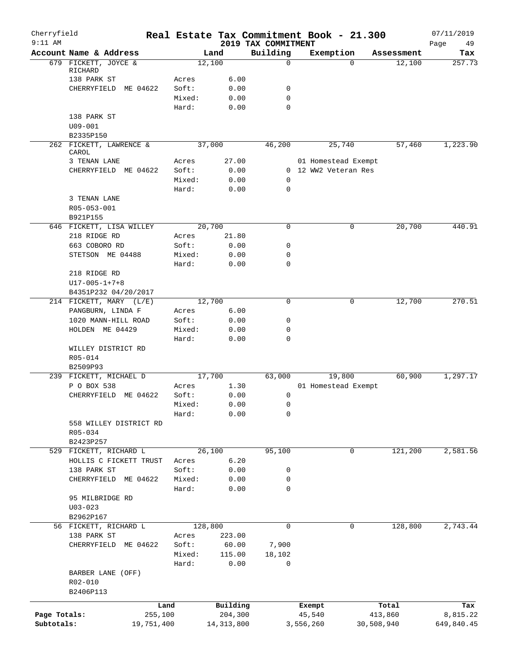| Cherryfield<br>$9:11$ AM |                            |            |        |              | 2019 TAX COMMITMENT | Real Estate Tax Commitment Book - 21.300 |            | 07/11/2019<br>49<br>Page |
|--------------------------|----------------------------|------------|--------|--------------|---------------------|------------------------------------------|------------|--------------------------|
|                          | Account Name & Address     |            |        | Land         | Building            | Exemption                                | Assessment | Tax                      |
|                          | 679 FICKETT, JOYCE &       |            |        | 12,100       | 0                   | $\Omega$                                 | 12,100     | 257.73                   |
|                          | RICHARD                    |            |        |              |                     |                                          |            |                          |
|                          | 138 PARK ST                |            | Acres  | 6.00         |                     |                                          |            |                          |
|                          | CHERRYFIELD                | ME 04622   | Soft:  | 0.00         | 0                   |                                          |            |                          |
|                          |                            |            | Mixed: | 0.00         | 0                   |                                          |            |                          |
|                          |                            |            | Hard:  | 0.00         | 0                   |                                          |            |                          |
|                          | 138 PARK ST<br>$U09 - 001$ |            |        |              |                     |                                          |            |                          |
|                          | B2335P150                  |            |        |              |                     |                                          |            |                          |
|                          | 262 FICKETT, LAWRENCE &    |            |        | 37,000       | 46,200              | 25,740                                   | 57,460     | 1,223.90                 |
|                          | CAROL                      |            |        |              |                     |                                          |            |                          |
|                          | 3 TENAN LANE               |            | Acres  | 27.00        |                     | 01 Homestead Exempt                      |            |                          |
|                          | CHERRYFIELD ME 04622       |            | Soft:  | 0.00         |                     | 0 12 WW2 Veteran Res                     |            |                          |
|                          |                            |            | Mixed: | 0.00         | 0                   |                                          |            |                          |
|                          |                            |            | Hard:  | 0.00         | $\mathbf 0$         |                                          |            |                          |
|                          | 3 TENAN LANE               |            |        |              |                     |                                          |            |                          |
|                          | R05-053-001                |            |        |              |                     |                                          |            |                          |
|                          | B921P155                   |            |        |              |                     |                                          |            |                          |
|                          | 646 FICKETT, LISA WILLEY   |            |        | 20,700       | $\mathbf 0$         | 0                                        | 20,700     | 440.91                   |
|                          | 218 RIDGE RD               |            | Acres  | 21.80        |                     |                                          |            |                          |
|                          | 663 COBORO RD              |            | Soft:  | 0.00         | 0                   |                                          |            |                          |
|                          | STETSON ME 04488           |            | Mixed: | 0.00         | 0                   |                                          |            |                          |
|                          |                            |            | Hard:  | 0.00         | 0                   |                                          |            |                          |
|                          | 218 RIDGE RD               |            |        |              |                     |                                          |            |                          |
|                          | $U17 - 005 - 1 + 7 + 8$    |            |        |              |                     |                                          |            |                          |
|                          | B4351P232 04/20/2017       |            |        |              |                     |                                          |            |                          |
|                          | 214 FICKETT, MARY (L/E)    |            |        | 12,700       | 0                   | 0                                        | 12,700     | 270.51                   |
|                          | PANGBURN, LINDA F          |            | Acres  | 6.00         |                     |                                          |            |                          |
|                          | 1020 MANN-HILL ROAD        |            | Soft:  | 0.00         | 0                   |                                          |            |                          |
|                          | HOLDEN ME 04429            |            | Mixed: | 0.00         | 0                   |                                          |            |                          |
|                          |                            |            | Hard:  | 0.00         | $\mathbf 0$         |                                          |            |                          |
|                          | WILLEY DISTRICT RD         |            |        |              |                     |                                          |            |                          |
|                          | R05-014                    |            |        |              |                     |                                          |            |                          |
|                          | B2509P93                   |            |        |              |                     |                                          |            |                          |
|                          | 239 FICKETT, MICHAEL D     |            |        | 17,700       | 63,000              | 19,800                                   | 60,900     | 1,297.17                 |
|                          | P O BOX 538                |            | Acres  | 1.30         |                     | 01 Homestead Exempt                      |            |                          |
|                          | CHERRYFIELD ME 04622       |            | Soft:  | 0.00         | 0                   |                                          |            |                          |
|                          |                            |            | Mixed: | 0.00         | $\mathsf 0$         |                                          |            |                          |
|                          |                            |            | Hard:  | 0.00         | 0                   |                                          |            |                          |
|                          | 558 WILLEY DISTRICT RD     |            |        |              |                     |                                          |            |                          |
|                          | R05-034                    |            |        |              |                     |                                          |            |                          |
|                          | B2423P257                  |            |        |              |                     |                                          |            |                          |
|                          | 529 FICKETT, RICHARD L     |            |        | 26,100       | 95,100              | 0                                        | 121,200    | 2,581.56                 |
|                          | HOLLIS C FICKETT TRUST     |            | Acres  | 6.20         |                     |                                          |            |                          |
|                          | 138 PARK ST                |            | Soft:  | 0.00         | 0                   |                                          |            |                          |
|                          | CHERRYFIELD ME 04622       |            | Mixed: | 0.00         | 0                   |                                          |            |                          |
|                          |                            |            | Hard:  | 0.00         | $\mathbf 0$         |                                          |            |                          |
|                          | 95 MILBRIDGE RD            |            |        |              |                     |                                          |            |                          |
|                          | $U03 - 023$                |            |        |              |                     |                                          |            |                          |
|                          | B2962P167                  |            |        |              |                     |                                          |            |                          |
|                          | 56 FICKETT, RICHARD L      |            |        | 128,800      | 0                   | 0                                        | 128,800    | 2,743.44                 |
|                          | 138 PARK ST                |            | Acres  | 223.00       |                     |                                          |            |                          |
|                          | CHERRYFIELD                | ME 04622   | Soft:  | 60.00        | 7,900               |                                          |            |                          |
|                          |                            |            | Mixed: | 115.00       | 18,102              |                                          |            |                          |
|                          |                            |            | Hard:  | 0.00         | 0                   |                                          |            |                          |
|                          | BARBER LANE (OFF)          |            |        |              |                     |                                          |            |                          |
|                          | R02-010                    |            |        |              |                     |                                          |            |                          |
|                          | B2406P113                  |            |        |              |                     |                                          |            |                          |
|                          |                            | Land       |        | Building     |                     | Exempt                                   | Total      | Tax                      |
| Page Totals:             |                            | 255,100    |        | 204,300      |                     | 45,540                                   | 413,860    | 8,815.22                 |
| Subtotals:               |                            | 19,751,400 |        | 14, 313, 800 |                     | 3,556,260                                | 30,508,940 | 649,840.45               |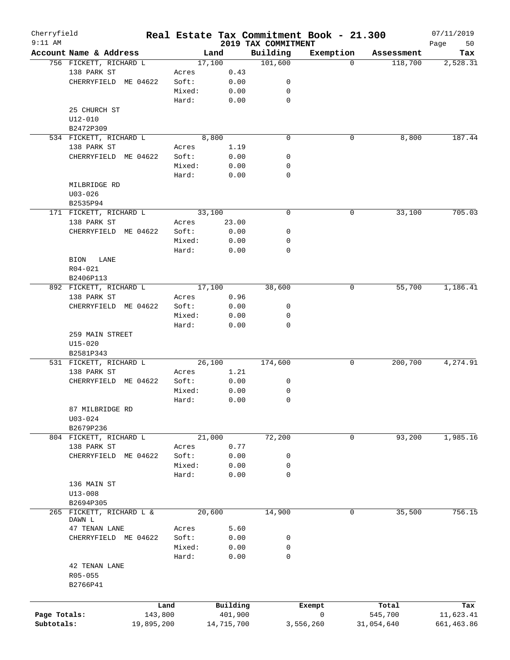| Cherryfield<br>$9:11$ AM |                                    |            |        |            |                                 | Real Estate Tax Commitment Book - 21.300 |            | 07/11/2019        |
|--------------------------|------------------------------------|------------|--------|------------|---------------------------------|------------------------------------------|------------|-------------------|
|                          | Account Name & Address             |            |        | Land       | 2019 TAX COMMITMENT<br>Building | Exemption                                | Assessment | Page<br>50<br>Tax |
|                          | 756 FICKETT, RICHARD L             |            |        | 17,100     | 101,600                         | $\Omega$                                 | 118,700    | 2,528.31          |
|                          | 138 PARK ST                        |            | Acres  | 0.43       |                                 |                                          |            |                   |
|                          | CHERRYFIELD ME 04622               |            | Soft:  | 0.00       | 0                               |                                          |            |                   |
|                          |                                    |            | Mixed: | 0.00       | 0                               |                                          |            |                   |
|                          |                                    |            | Hard:  | 0.00       | 0                               |                                          |            |                   |
|                          | 25 CHURCH ST                       |            |        |            |                                 |                                          |            |                   |
|                          | U12-010                            |            |        |            |                                 |                                          |            |                   |
|                          | B2472P309                          |            |        |            |                                 |                                          |            |                   |
|                          | 534 FICKETT, RICHARD L             |            |        | 8,800      | $\mathbf 0$                     | 0                                        | 8,800      | 187.44            |
|                          | 138 PARK ST                        |            | Acres  | 1.19       |                                 |                                          |            |                   |
|                          | CHERRYFIELD ME 04622               |            | Soft:  | 0.00       | 0                               |                                          |            |                   |
|                          |                                    |            | Mixed: | 0.00       | 0                               |                                          |            |                   |
|                          |                                    |            | Hard:  | 0.00       | 0                               |                                          |            |                   |
|                          | MILBRIDGE RD                       |            |        |            |                                 |                                          |            |                   |
|                          | $U03 - 026$                        |            |        |            |                                 |                                          |            |                   |
|                          | B2535P94                           |            |        |            |                                 |                                          |            |                   |
|                          | 171 FICKETT, RICHARD L             |            |        | 33,100     | $\mathbf 0$                     | 0                                        | 33,100     | 705.03            |
|                          | 138 PARK ST                        |            | Acres  | 23.00      |                                 |                                          |            |                   |
|                          | CHERRYFIELD ME 04622               |            | Soft:  | 0.00       | 0                               |                                          |            |                   |
|                          |                                    |            | Mixed: | 0.00       | 0                               |                                          |            |                   |
|                          |                                    |            | Hard:  | 0.00       | 0                               |                                          |            |                   |
|                          | <b>BION</b><br>LANE                |            |        |            |                                 |                                          |            |                   |
|                          | R04-021                            |            |        |            |                                 |                                          |            |                   |
|                          | B2406P113                          |            |        |            |                                 |                                          |            |                   |
|                          | 892 FICKETT, RICHARD L             |            |        | 17,100     | 38,600                          | 0                                        | 55,700     | 1,186.41          |
|                          | 138 PARK ST                        |            | Acres  | 0.96       |                                 |                                          |            |                   |
|                          | CHERRYFIELD ME 04622               |            | Soft:  | 0.00       | 0                               |                                          |            |                   |
|                          |                                    |            | Mixed: | 0.00       | 0                               |                                          |            |                   |
|                          |                                    |            | Hard:  | 0.00       | $\mathbf 0$                     |                                          |            |                   |
|                          | 259 MAIN STREET                    |            |        |            |                                 |                                          |            |                   |
|                          | $U15 - 020$                        |            |        |            |                                 |                                          |            |                   |
|                          | B2581P343                          |            |        |            |                                 |                                          |            |                   |
|                          | 531 FICKETT, RICHARD L             |            |        | 26,100     | 174,600                         | 0                                        | 200,700    | 4,274.91          |
|                          | 138 PARK ST                        |            | Acres  | 1.21       |                                 |                                          |            |                   |
|                          | CHERRYFIELD ME 04622               |            | Soft:  | 0.00       | 0                               |                                          |            |                   |
|                          |                                    |            | Mixed: | 0.00       | 0                               |                                          |            |                   |
|                          |                                    |            | Hard:  | 0.00       | 0                               |                                          |            |                   |
|                          | 87 MILBRIDGE RD                    |            |        |            |                                 |                                          |            |                   |
|                          | $U03 - 024$                        |            |        |            |                                 |                                          |            |                   |
|                          | B2679P236                          |            |        |            |                                 |                                          |            |                   |
|                          | 804 FICKETT, RICHARD L             |            |        | 21,000     | 72,200                          | 0                                        | 93,200     | 1,985.16          |
|                          | 138 PARK ST                        |            | Acres  | 0.77       |                                 |                                          |            |                   |
|                          | CHERRYFIELD ME 04622               |            | Soft:  | 0.00       | 0                               |                                          |            |                   |
|                          |                                    |            | Mixed: | 0.00       | 0                               |                                          |            |                   |
|                          |                                    |            | Hard:  | 0.00       | 0                               |                                          |            |                   |
|                          | 136 MAIN ST                        |            |        |            |                                 |                                          |            |                   |
|                          | $U13 - 008$                        |            |        |            |                                 |                                          |            |                   |
|                          | B2694P305                          |            |        |            |                                 |                                          |            | 756.15            |
|                          | 265 FICKETT, RICHARD L &<br>DAWN L |            |        | 20,600     | 14,900                          | 0                                        | 35,500     |                   |
|                          | 47 TENAN LANE                      |            | Acres  | 5.60       |                                 |                                          |            |                   |
|                          | CHERRYFIELD ME 04622               |            | Soft:  | 0.00       | 0                               |                                          |            |                   |
|                          |                                    |            | Mixed: | 0.00       | 0                               |                                          |            |                   |
|                          |                                    |            | Hard:  | 0.00       | 0                               |                                          |            |                   |
|                          | 42 TENAN LANE                      |            |        |            |                                 |                                          |            |                   |
|                          | R05-055                            |            |        |            |                                 |                                          |            |                   |
|                          | B2766P41                           |            |        |            |                                 |                                          |            |                   |
|                          |                                    |            |        |            |                                 |                                          |            |                   |
|                          |                                    | Land       |        | Building   |                                 | Exempt                                   | Total      | Tax               |
| Page Totals:             |                                    | 143,800    |        | 401,900    |                                 | 0                                        | 545,700    | 11,623.41         |
| Subtotals:               |                                    | 19,895,200 |        | 14,715,700 |                                 | 3,556,260                                | 31,054,640 | 661, 463.86       |
|                          |                                    |            |        |            |                                 |                                          |            |                   |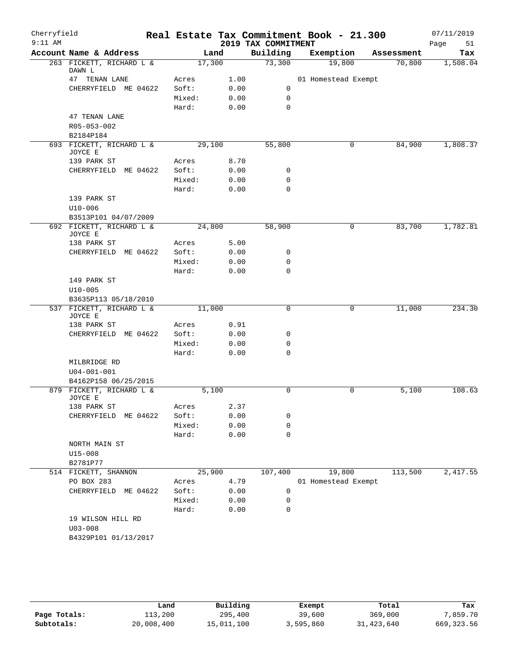| Cherryfield<br>$9:11$ AM |                                     |        |      | 2019 TAX COMMITMENT | Real Estate Tax Commitment Book - 21.300 |            | 07/11/2019<br>51<br>Page |
|--------------------------|-------------------------------------|--------|------|---------------------|------------------------------------------|------------|--------------------------|
|                          | Account Name & Address              |        | Land | Building            | Exemption                                | Assessment | Tax                      |
|                          | 263 FICKETT, RICHARD L &            | 17,300 |      | 73,300              | 19,800                                   | 70,800     | 1,508.04                 |
|                          | DAWN L                              |        |      |                     |                                          |            |                          |
|                          | 47 TENAN LANE                       | Acres  | 1.00 |                     | 01 Homestead Exempt                      |            |                          |
|                          | CHERRYFIELD ME 04622                | Soft:  | 0.00 | 0                   |                                          |            |                          |
|                          |                                     | Mixed: | 0.00 | $\mathbf 0$         |                                          |            |                          |
|                          |                                     | Hard:  | 0.00 | $\mathbf 0$         |                                          |            |                          |
|                          | 47 TENAN LANE<br>R05-053-002        |        |      |                     |                                          |            |                          |
|                          | B2184P184                           |        |      |                     |                                          |            |                          |
|                          | 693 FICKETT, RICHARD L &            | 29,100 |      | 55,800              | $\mathbf 0$                              | 84,900     | 1,808.37                 |
|                          | JOYCE E                             |        |      |                     |                                          |            |                          |
|                          | 139 PARK ST                         | Acres  | 8.70 |                     |                                          |            |                          |
|                          | CHERRYFIELD ME 04622                | Soft:  | 0.00 | 0                   |                                          |            |                          |
|                          |                                     | Mixed: | 0.00 | $\mathbf 0$         |                                          |            |                          |
|                          |                                     | Hard:  | 0.00 | $\mathbf 0$         |                                          |            |                          |
|                          | 139 PARK ST                         |        |      |                     |                                          |            |                          |
|                          | $U10 - 006$                         |        |      |                     |                                          |            |                          |
|                          | B3513P101 04/07/2009                |        |      |                     |                                          |            |                          |
|                          | 692 FICKETT, RICHARD L &<br>JOYCE E | 24,800 |      | 58,900              | 0                                        | 83,700     | 1,782.81                 |
|                          | 138 PARK ST                         | Acres  | 5.00 |                     |                                          |            |                          |
|                          | CHERRYFIELD ME 04622                | Soft:  | 0.00 | 0                   |                                          |            |                          |
|                          |                                     | Mixed: | 0.00 | $\mathbf 0$         |                                          |            |                          |
|                          |                                     | Hard:  | 0.00 | $\mathbf 0$         |                                          |            |                          |
|                          | 149 PARK ST                         |        |      |                     |                                          |            |                          |
|                          | $U10 - 005$                         |        |      |                     |                                          |            |                          |
|                          | B3635P113 05/18/2010                |        |      |                     |                                          |            |                          |
|                          | 537 FICKETT, RICHARD L &<br>JOYCE E | 11,000 |      | $\mathbf 0$         | 0                                        | 11,000     | 234.30                   |
|                          | 138 PARK ST                         | Acres  | 0.91 |                     |                                          |            |                          |
|                          | CHERRYFIELD ME 04622                | Soft:  | 0.00 | 0                   |                                          |            |                          |
|                          |                                     | Mixed: | 0.00 | $\mathbf 0$         |                                          |            |                          |
|                          |                                     | Hard:  | 0.00 | $\Omega$            |                                          |            |                          |
|                          | MILBRIDGE RD                        |        |      |                     |                                          |            |                          |
|                          | $U04 - 001 - 001$                   |        |      |                     |                                          |            |                          |
|                          | B4162P158 06/25/2015                |        |      |                     |                                          |            |                          |
|                          | 879 FICKETT, RICHARD L &<br>JOYCE E | 5,100  |      | 0                   | 0                                        | 5,100      | 108.63                   |
|                          | 138 PARK ST                         | Acres  | 2.37 |                     |                                          |            |                          |
|                          | CHERRYFIELD ME 04622                | Soft:  | 0.00 | 0                   |                                          |            |                          |
|                          |                                     | Mixed: | 0.00 | $\mathbf 0$         |                                          |            |                          |
|                          |                                     | Hard:  | 0.00 | $\mathbf 0$         |                                          |            |                          |
|                          | NORTH MAIN ST                       |        |      |                     |                                          |            |                          |
|                          | $U15 - 008$                         |        |      |                     |                                          |            |                          |
|                          | B2781P77                            |        |      |                     |                                          |            |                          |
|                          | 514 FICKETT, SHANNON                | 25,900 |      | 107,400             | 19,800                                   | 113,500    | 2,417.55                 |
|                          | PO BOX 283                          | Acres  | 4.79 |                     | 01 Homestead Exempt                      |            |                          |
|                          | CHERRYFIELD ME 04622                | Soft:  | 0.00 | 0                   |                                          |            |                          |
|                          |                                     | Mixed: | 0.00 | 0                   |                                          |            |                          |
|                          |                                     | Hard:  | 0.00 | $\mathbf 0$         |                                          |            |                          |
|                          | 19 WILSON HILL RD                   |        |      |                     |                                          |            |                          |
|                          | $U03 - 008$                         |        |      |                     |                                          |            |                          |
|                          | B4329P101 01/13/2017                |        |      |                     |                                          |            |                          |
|                          |                                     |        |      |                     |                                          |            |                          |

|              | Land       | Building   | Exempt    | Total        | Tax        |
|--------------|------------|------------|-----------|--------------|------------|
| Page Totals: | 113,200    | 295,400    | 39,600    | 369,000      | 7,859.70   |
| Subtotals:   | 20,008,400 | 15,011,100 | 3,595,860 | 31, 423, 640 | 669,323.56 |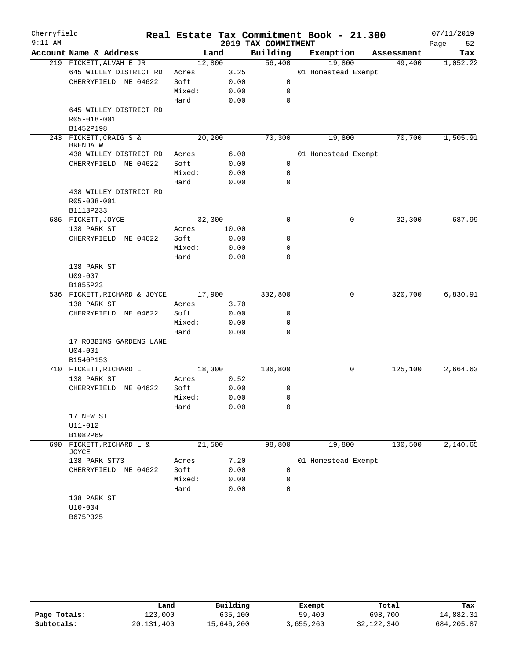| Cherryfield<br>$9:11$ AM |                               |        |        | 2019 TAX COMMITMENT | Real Estate Tax Commitment Book - 21.300 |            | 07/11/2019<br>Page<br>52 |
|--------------------------|-------------------------------|--------|--------|---------------------|------------------------------------------|------------|--------------------------|
|                          | Account Name & Address        |        | Land   | Building            | Exemption                                | Assessment | Tax                      |
|                          | 219 FICKETT, ALVAH E JR       |        | 12,800 | 56,400              | 19,800                                   | 49,400     | 1,052.22                 |
|                          | 645 WILLEY DISTRICT RD        | Acres  | 3.25   |                     | 01 Homestead Exempt                      |            |                          |
|                          | CHERRYFIELD ME 04622          | Soft:  | 0.00   | 0                   |                                          |            |                          |
|                          |                               | Mixed: | 0.00   | 0                   |                                          |            |                          |
|                          |                               | Hard:  | 0.00   | 0                   |                                          |            |                          |
|                          | 645 WILLEY DISTRICT RD        |        |        |                     |                                          |            |                          |
|                          | R05-018-001                   |        |        |                     |                                          |            |                          |
|                          | B1452P198                     |        |        |                     |                                          |            |                          |
|                          | 243 FICKETT, CRAIG S &        |        | 20,200 | 70,300              | 19,800                                   | 70,700     | 1,505.91                 |
|                          | BRENDA W                      |        |        |                     |                                          |            |                          |
|                          | 438 WILLEY DISTRICT RD        | Acres  | 6.00   |                     | 01 Homestead Exempt                      |            |                          |
|                          | CHERRYFIELD ME 04622          | Soft:  | 0.00   | $\mathbf 0$         |                                          |            |                          |
|                          |                               | Mixed: | 0.00   | 0                   |                                          |            |                          |
|                          |                               | Hard:  | 0.00   | 0                   |                                          |            |                          |
|                          | 438 WILLEY DISTRICT RD        |        |        |                     |                                          |            |                          |
|                          | R05-038-001                   |        |        |                     |                                          |            |                          |
|                          | B1113P233                     |        |        |                     |                                          |            |                          |
|                          | 686 FICKETT, JOYCE            |        | 32,300 | 0                   | 0                                        | 32,300     | 687.99                   |
|                          | 138 PARK ST                   | Acres  | 10.00  |                     |                                          |            |                          |
|                          | CHERRYFIELD ME 04622          | Soft:  | 0.00   | 0                   |                                          |            |                          |
|                          |                               | Mixed: | 0.00   | 0                   |                                          |            |                          |
|                          |                               | Hard:  | 0.00   | 0                   |                                          |            |                          |
|                          | 138 PARK ST                   |        |        |                     |                                          |            |                          |
|                          | $U09 - 007$                   |        |        |                     |                                          |            |                          |
|                          | B1855P23                      |        |        |                     |                                          |            |                          |
|                          | 536 FICKETT, RICHARD & JOYCE  |        | 17,900 | 302,800             | 0                                        | 320,700    | 6,830.91                 |
|                          | 138 PARK ST                   | Acres  | 3.70   |                     |                                          |            |                          |
|                          | CHERRYFIELD<br>ME 04622       | Soft:  | 0.00   | 0                   |                                          |            |                          |
|                          |                               | Mixed: | 0.00   | 0                   |                                          |            |                          |
|                          |                               | Hard:  | 0.00   | 0                   |                                          |            |                          |
|                          | 17 ROBBINS GARDENS LANE       |        |        |                     |                                          |            |                          |
|                          | $U04 - 001$                   |        |        |                     |                                          |            |                          |
|                          | B1540P153                     |        |        |                     |                                          |            |                          |
|                          | 710 FICKETT, RICHARD L        |        | 18,300 | 106,800             | 0                                        | 125,100    | 2,664.63                 |
|                          | 138 PARK ST                   | Acres  | 0.52   |                     |                                          |            |                          |
|                          | CHERRYFIELD ME 04622          | Soft:  | 0.00   | 0                   |                                          |            |                          |
|                          |                               | Mixed: | 0.00   | $\mathbf 0$         |                                          |            |                          |
|                          |                               | Hard:  | 0.00   | 0                   |                                          |            |                          |
|                          | 17 NEW ST                     |        |        |                     |                                          |            |                          |
|                          | U11-012                       |        |        |                     |                                          |            |                          |
|                          | B1082P69                      |        |        |                     |                                          |            |                          |
| 690                      | FICKETT, RICHARD L &<br>JOYCE |        | 21,500 | 98,800              | 19,800                                   | 100,500    | 2,140.65                 |
|                          | 138 PARK ST73                 | Acres  | 7.20   |                     | 01 Homestead Exempt                      |            |                          |
|                          | CHERRYFIELD ME 04622          | Soft:  | 0.00   | 0                   |                                          |            |                          |
|                          |                               | Mixed: | 0.00   | 0                   |                                          |            |                          |
|                          |                               | Hard:  | 0.00   | $\mathbf 0$         |                                          |            |                          |
|                          | 138 PARK ST                   |        |        |                     |                                          |            |                          |
|                          | $U10 - 004$                   |        |        |                     |                                          |            |                          |
|                          | B675P325                      |        |        |                     |                                          |            |                          |

|              | Land         | Building   | Exempt    | Total        | Tax        |
|--------------|--------------|------------|-----------|--------------|------------|
| Page Totals: | 123,000      | 635,100    | 59,400    | 698,700      | 14,882.31  |
| Subtotals:   | 20, 131, 400 | 15,646,200 | 3,655,260 | 32, 122, 340 | 684,205.87 |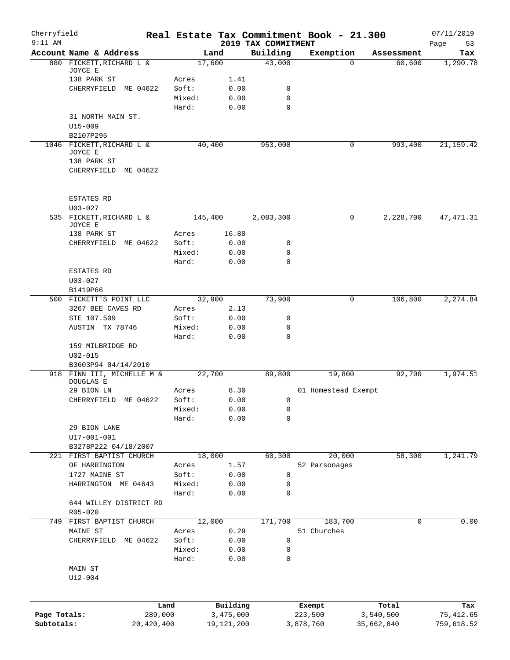| Cherryfield<br>$9:11$ AM |                                         |                 |              | 2019 TAX COMMITMENT | Real Estate Tax Commitment Book - 21.300 |                    | 07/11/2019<br>53<br>Page |
|--------------------------|-----------------------------------------|-----------------|--------------|---------------------|------------------------------------------|--------------------|--------------------------|
|                          | Account Name & Address                  |                 | Land         | Building            | Exemption                                | Assessment         | Tax                      |
|                          | 880 FICKETT, RICHARD L &                |                 | 17,600       | 43,000              |                                          | 60,600<br>$\Omega$ | 1,290.78                 |
|                          | JOYCE E                                 |                 |              |                     |                                          |                    |                          |
|                          | 138 PARK ST                             | Acres           | 1.41         |                     |                                          |                    |                          |
|                          | CHERRYFIELD ME 04622                    | Soft:           | 0.00         | 0                   |                                          |                    |                          |
|                          |                                         | Mixed:<br>Hard: | 0.00<br>0.00 | 0<br>0              |                                          |                    |                          |
|                          | 31 NORTH MAIN ST.                       |                 |              |                     |                                          |                    |                          |
|                          | $U15 - 009$                             |                 |              |                     |                                          |                    |                          |
|                          | B2107P295                               |                 |              |                     |                                          |                    |                          |
|                          | 1046 FICKETT, RICHARD L &<br>JOYCE E    |                 | 40,400       | 953,000             |                                          | 993,400<br>0       | 21, 159. 42              |
|                          | 138 PARK ST                             |                 |              |                     |                                          |                    |                          |
|                          | CHERRYFIELD ME 04622                    |                 |              |                     |                                          |                    |                          |
|                          | ESTATES RD                              |                 |              |                     |                                          |                    |                          |
|                          | $U03 - 027$                             |                 |              |                     |                                          |                    |                          |
|                          | 535 FICKETT, RICHARD L &<br>JOYCE E     |                 | 145,400      | 2,083,300           |                                          | 2,228,700<br>0     | 47, 471.31               |
|                          | 138 PARK ST                             | Acres           | 16.80        |                     |                                          |                    |                          |
|                          | CHERRYFIELD ME 04622                    | Soft:           | 0.00         | 0                   |                                          |                    |                          |
|                          |                                         | Mixed:          | 0.00         | 0                   |                                          |                    |                          |
|                          |                                         | Hard:           | 0.00         | $\mathbf 0$         |                                          |                    |                          |
|                          | ESTATES RD                              |                 |              |                     |                                          |                    |                          |
|                          | $U03 - 027$                             |                 |              |                     |                                          |                    |                          |
|                          | B1419P66                                |                 |              |                     |                                          |                    |                          |
|                          | 500 FICKETT'S POINT LLC                 |                 | 32,900       | 73,900              |                                          | 106,800<br>0       | 2,274.84                 |
|                          | 3267 BEE CAVES RD                       | Acres           | 2.13         |                     |                                          |                    |                          |
|                          | STE 107.509                             | Soft:           | 0.00         | 0                   |                                          |                    |                          |
|                          | AUSTIN TX 78746                         | Mixed:          | 0.00         | 0                   |                                          |                    |                          |
|                          |                                         | Hard:           | 0.00         | $\Omega$            |                                          |                    |                          |
|                          | 159 MILBRIDGE RD                        |                 |              |                     |                                          |                    |                          |
|                          | $U02 - 015$                             |                 |              |                     |                                          |                    |                          |
|                          | B3603P94 04/14/2010                     |                 |              |                     |                                          |                    |                          |
|                          | 918 FINN III, MICHELLE M &<br>DOUGLAS E |                 | 22,700       | 89,800              | 19,800                                   | 92,700             | 1,974.51                 |
|                          | 29 BION LN                              | Acres           | 8.30         |                     | 01 Homestead Exempt                      |                    |                          |
|                          | ME 04622<br>CHERRYFIELD                 | Soft:           | 0.00         | 0                   |                                          |                    |                          |
|                          |                                         | Mixed:          | 0.00         | 0                   |                                          |                    |                          |
|                          |                                         | Hard:           | 0.00         | 0                   |                                          |                    |                          |
|                          | 29 BION LANE                            |                 |              |                     |                                          |                    |                          |
|                          | $U17 - 001 - 001$                       |                 |              |                     |                                          |                    |                          |
|                          | B3278P222 04/18/2007                    |                 |              |                     |                                          |                    |                          |
| 221                      | FIRST BAPTIST CHURCH                    |                 | 18,000       | 60,300              | 20,000                                   | 58,300             | 1,241.79                 |
|                          | OF HARRINGTON                           | Acres           | 1.57         |                     | 52 Parsonages                            |                    |                          |
|                          | 1727 MAINE ST                           | Soft:           | 0.00         | 0                   |                                          |                    |                          |
|                          | HARRINGTON ME 04643                     | Mixed:          | 0.00         | 0                   |                                          |                    |                          |
|                          |                                         | Hard:           | 0.00         | 0                   |                                          |                    |                          |
|                          | 644 WILLEY DISTRICT RD<br>$R05 - 020$   |                 |              |                     |                                          |                    |                          |
| 749                      | FIRST BAPTIST CHURCH                    |                 | 12,000       | 171,700             | 183,700                                  | $\mathbf 0$        | 0.00                     |
|                          | MAINE ST                                | Acres           | 0.29         |                     | 51 Churches                              |                    |                          |
|                          | ME 04622<br>CHERRYFIELD                 | Soft:           | 0.00         | 0                   |                                          |                    |                          |
|                          |                                         | Mixed:          | 0.00         | 0                   |                                          |                    |                          |
|                          |                                         | Hard:           | 0.00         | 0                   |                                          |                    |                          |
|                          | MAIN ST                                 |                 |              |                     |                                          |                    |                          |
|                          | $U12 - 004$                             |                 |              |                     |                                          |                    |                          |
|                          |                                         |                 |              |                     |                                          |                    |                          |
|                          |                                         | Land            | Building     |                     | Exempt                                   | Total              | Tax                      |
| Page Totals:             | 289,000                                 |                 | 3,475,000    |                     | 223,500                                  | 3,540,500          | 75, 412.65               |
| Subtotals:               | 20,420,400                              |                 | 19, 121, 200 |                     | 3,878,760                                | 35,662,840         | 759,618.52               |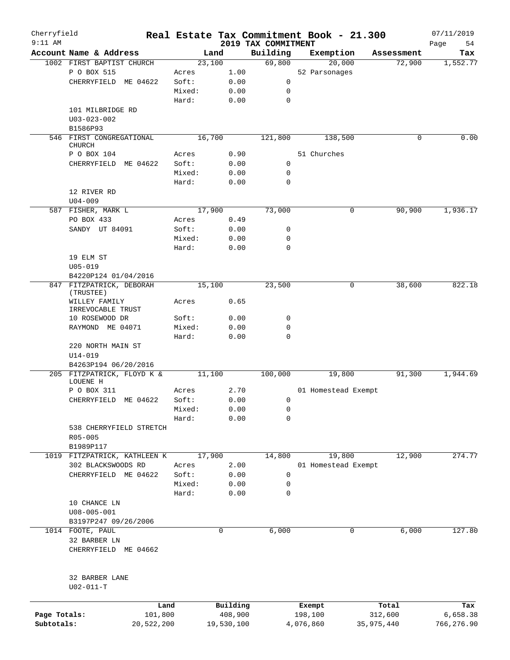| Cherryfield<br>$9:11$ AM |                                           |            |        |             | 2019 TAX COMMITMENT | Real Estate Tax Commitment Book - 21.300 |             | 07/11/2019        |
|--------------------------|-------------------------------------------|------------|--------|-------------|---------------------|------------------------------------------|-------------|-------------------|
|                          | Account Name & Address                    |            |        | Land        | Building            | Exemption                                | Assessment  | 54<br>Page<br>Tax |
|                          | 1002 FIRST BAPTIST CHURCH                 |            |        | 23,100      | 69,800              | 20,000                                   | 72,900      | 1,552.77          |
|                          | P O BOX 515                               |            | Acres  | 1.00        |                     | 52 Parsonages                            |             |                   |
|                          | CHERRYFIELD ME 04622                      |            | Soft:  | 0.00        | 0                   |                                          |             |                   |
|                          |                                           |            | Mixed: | 0.00        | 0                   |                                          |             |                   |
|                          |                                           |            | Hard:  | 0.00        | 0                   |                                          |             |                   |
|                          | 101 MILBRIDGE RD                          |            |        |             |                     |                                          |             |                   |
|                          | $U03 - 023 - 002$<br>B1586P93             |            |        |             |                     |                                          |             |                   |
|                          | 546 FIRST CONGREGATIONAL<br><b>CHURCH</b> |            |        | 16,700      | 121,800             | 138,500                                  | 0           | 0.00              |
|                          | P O BOX 104                               |            | Acres  | 0.90        |                     | 51 Churches                              |             |                   |
|                          | CHERRYFIELD                               | ME 04622   | Soft:  | 0.00        | 0                   |                                          |             |                   |
|                          |                                           |            | Mixed: | 0.00        | 0                   |                                          |             |                   |
|                          |                                           |            | Hard:  | 0.00        | $\mathbf 0$         |                                          |             |                   |
|                          | 12 RIVER RD                               |            |        |             |                     |                                          |             |                   |
|                          | $U04 - 009$                               |            |        |             |                     |                                          |             |                   |
|                          | 587 FISHER, MARK L                        |            |        | 17,900      | 73,000              |                                          | 90,900<br>0 | 1,936.17          |
|                          | PO BOX 433                                |            | Acres  | 0.49        |                     |                                          |             |                   |
|                          | SANDY UT 84091                            |            | Soft:  | 0.00        | 0                   |                                          |             |                   |
|                          |                                           |            | Mixed: | 0.00        | $\mathbf 0$         |                                          |             |                   |
|                          |                                           |            | Hard:  | 0.00        | 0                   |                                          |             |                   |
|                          | 19 ELM ST                                 |            |        |             |                     |                                          |             |                   |
|                          | $U05 - 019$                               |            |        |             |                     |                                          |             |                   |
|                          | B4220P124 01/04/2016                      |            |        |             |                     |                                          |             |                   |
|                          | 847 FITZPATRICK, DEBORAH                  |            |        | 15,100      | 23,500              |                                          | 0<br>38,600 | 822.18            |
|                          | (TRUSTEE)                                 |            |        |             |                     |                                          |             |                   |
|                          | WILLEY FAMILY                             |            | Acres  | 0.65        |                     |                                          |             |                   |
|                          | IRREVOCABLE TRUST<br>10 ROSEWOOD DR       |            | Soft:  | 0.00        | 0                   |                                          |             |                   |
|                          | RAYMOND ME 04071                          |            | Mixed: | 0.00        | 0                   |                                          |             |                   |
|                          |                                           |            | Hard:  | 0.00        | $\Omega$            |                                          |             |                   |
|                          | 220 NORTH MAIN ST                         |            |        |             |                     |                                          |             |                   |
|                          | $U14 - 019$                               |            |        |             |                     |                                          |             |                   |
|                          | B4263P194 06/20/2016                      |            |        |             |                     |                                          |             |                   |
|                          | 205 FITZPATRICK, FLOYD K &                |            |        | 11,100      | 100,000             | 19,800                                   | 91,300      | 1,944.69          |
|                          | LOUENE H                                  |            |        |             |                     |                                          |             |                   |
|                          | P O BOX 311                               |            | Acres  | 2.70        |                     | 01 Homestead Exempt                      |             |                   |
|                          | CHERRYFIELD ME 04622                      |            | Soft:  | 0.00        | 0                   |                                          |             |                   |
|                          |                                           |            | Mixed: | 0.00        | 0                   |                                          |             |                   |
|                          |                                           |            | Hard:  | 0.00        | 0                   |                                          |             |                   |
|                          | 538 CHERRYFIELD STRETCH                   |            |        |             |                     |                                          |             |                   |
|                          | R05-005                                   |            |        |             |                     |                                          |             |                   |
|                          | B1989P117                                 |            |        |             |                     |                                          |             |                   |
|                          | 1019 FITZPATRICK, KATHLEEN K              |            |        | 17,900      | 14,800              | 19,800                                   | 12,900      | 274.77            |
|                          | 302 BLACKSWOODS RD                        |            | Acres  | 2.00        |                     | 01 Homestead Exempt                      |             |                   |
|                          | CHERRYFIELD ME 04622                      |            | Soft:  | 0.00        | 0                   |                                          |             |                   |
|                          |                                           |            | Mixed: | 0.00        | 0                   |                                          |             |                   |
|                          |                                           |            | Hard:  | 0.00        | 0                   |                                          |             |                   |
|                          | 10 CHANCE LN                              |            |        |             |                     |                                          |             |                   |
|                          | $U08 - 005 - 001$                         |            |        |             |                     |                                          |             |                   |
|                          | B3197P247 09/26/2006                      |            |        |             |                     |                                          |             |                   |
|                          | 1014 FOOTE, PAUL                          |            |        | $\mathbf 0$ | 6,000               |                                          | 0<br>6,000  | 127.80            |
|                          | 32 BARBER LN                              |            |        |             |                     |                                          |             |                   |
|                          | CHERRYFIELD ME 04662                      |            |        |             |                     |                                          |             |                   |
|                          | 32 BARBER LANE                            |            |        |             |                     |                                          |             |                   |
|                          | $U02 - 011 - T$                           |            |        |             |                     |                                          |             |                   |
|                          |                                           | Land       |        | Building    |                     | Exempt                                   | Total       | Tax               |
| Page Totals:             |                                           | 101,800    |        | 408,900     |                     | 198,100                                  | 312,600     | 6,658.38          |
| Subtotals:               |                                           | 20,522,200 |        | 19,530,100  |                     | 4,076,860                                | 35,975,440  | 766,276.90        |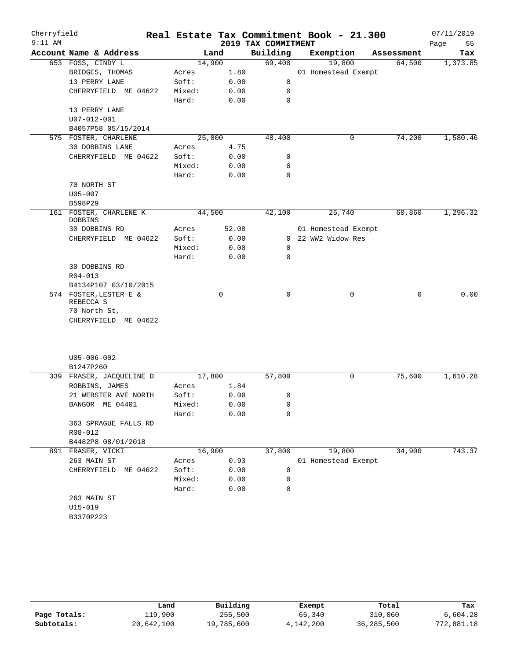| Cherryfield |                                       |        |        |                     | Real Estate Tax Commitment Book - 21.300 |   |            | 07/11/2019 |        |
|-------------|---------------------------------------|--------|--------|---------------------|------------------------------------------|---|------------|------------|--------|
| $9:11$ AM   |                                       |        |        | 2019 TAX COMMITMENT |                                          |   |            | Page       | 55     |
|             | Account Name & Address                |        | Land   | Building            | Exemption                                |   | Assessment |            | Tax    |
|             | 653 FOSS, CINDY L                     |        | 14,900 | 69,400              | 19,800                                   |   | 64,500     | 1,373.85   |        |
|             | BRIDGES, THOMAS                       | Acres  | 1.80   |                     | 01 Homestead Exempt                      |   |            |            |        |
|             | 13 PERRY LANE                         | Soft:  | 0.00   | $\mathsf{O}$        |                                          |   |            |            |        |
|             | CHERRYFIELD ME 04622                  | Mixed: | 0.00   | 0                   |                                          |   |            |            |        |
|             |                                       | Hard:  | 0.00   | 0                   |                                          |   |            |            |        |
|             | 13 PERRY LANE                         |        |        |                     |                                          |   |            |            |        |
|             | U07-012-001                           |        |        |                     |                                          |   |            |            |        |
|             | B4057P58 05/15/2014                   |        |        |                     |                                          |   |            |            |        |
|             | 575 FOSTER, CHARLENE                  |        | 25,800 | 48,400              |                                          | 0 | 74,200     | 1,580.46   |        |
|             | 30 DOBBINS LANE                       | Acres  | 4.75   |                     |                                          |   |            |            |        |
|             | CHERRYFIELD ME 04622                  | Soft:  | 0.00   | 0                   |                                          |   |            |            |        |
|             |                                       | Mixed: | 0.00   | 0                   |                                          |   |            |            |        |
|             |                                       | Hard:  | 0.00   | 0                   |                                          |   |            |            |        |
|             | 70 NORTH ST                           |        |        |                     |                                          |   |            |            |        |
|             | $U05 - 007$                           |        |        |                     |                                          |   |            |            |        |
|             | B598P29                               |        |        |                     |                                          |   |            |            |        |
|             | 161 FOSTER, CHARLENE K                |        | 44,500 | 42,100              | 25,740                                   |   | 60,860     | 1,296.32   |        |
|             | DOBBINS<br>30 DOBBINS RD              | Acres  | 52.00  |                     | 01 Homestead Exempt                      |   |            |            |        |
|             | CHERRYFIELD ME 04622                  | Soft:  | 0.00   |                     | 0 22 WW2 Widow Res                       |   |            |            |        |
|             |                                       |        |        | 0                   |                                          |   |            |            |        |
|             |                                       | Mixed: | 0.00   |                     |                                          |   |            |            |        |
|             |                                       | Hard:  | 0.00   | 0                   |                                          |   |            |            |        |
|             | 30 DOBBINS RD                         |        |        |                     |                                          |   |            |            |        |
|             | $R04 - 013$                           |        |        |                     |                                          |   |            |            |        |
|             | B4134P107 03/10/2015                  |        |        |                     |                                          |   |            |            |        |
|             | 574 FOSTER, LESTER E &<br>REBECCA S   |        | 0      | 0                   |                                          | 0 | 0          |            | 0.00   |
|             | 70 North St,                          |        |        |                     |                                          |   |            |            |        |
|             | CHERRYFIELD ME 04622                  |        |        |                     |                                          |   |            |            |        |
|             |                                       |        |        |                     |                                          |   |            |            |        |
|             |                                       |        |        |                     |                                          |   |            |            |        |
|             | $U05 - 006 - 002$                     |        |        |                     |                                          |   |            |            |        |
|             | B1247P260<br>339 FRASER, JACQUELINE D |        | 17,800 | 57,800              |                                          |   | 75,600     | 1,610.28   |        |
|             | ROBBINS, JAMES                        |        |        |                     |                                          | 0 |            |            |        |
|             |                                       | Acres  | 1.84   |                     |                                          |   |            |            |        |
|             | 21 WEBSTER AVE NORTH                  | Soft:  | 0.00   | 0                   |                                          |   |            |            |        |
|             | BANGOR ME 04401                       | Mixed: | 0.00   | 0                   |                                          |   |            |            |        |
|             |                                       | Hard:  | 0.00   | 0                   |                                          |   |            |            |        |
|             | 363 SPRAGUE FALLS RD                  |        |        |                     |                                          |   |            |            |        |
|             | R08-012                               |        |        |                     |                                          |   |            |            |        |
|             | B4482P8 08/01/2018                    |        |        |                     |                                          |   |            |            |        |
|             | 891 FRASER, VICKI                     |        | 16,900 | 37,800              | 19,800                                   |   | 34,900     |            | 743.37 |
|             | 263 MAIN ST                           | Acres  | 0.93   |                     | 01 Homestead Exempt                      |   |            |            |        |
|             | CHERRYFIELD ME 04622                  | Soft:  | 0.00   | 0                   |                                          |   |            |            |        |
|             |                                       | Mixed: | 0.00   | 0                   |                                          |   |            |            |        |
|             |                                       | Hard:  | 0.00   | $\mathbf 0$         |                                          |   |            |            |        |
|             | 263 MAIN ST                           |        |        |                     |                                          |   |            |            |        |
|             | $U15 - 019$                           |        |        |                     |                                          |   |            |            |        |
|             | B3370P223                             |        |        |                     |                                          |   |            |            |        |
|             |                                       |        |        |                     |                                          |   |            |            |        |

|              | Land       | Building   | Exempt    | Total      | Tax        |
|--------------|------------|------------|-----------|------------|------------|
| Page Totals: | 119,900    | 255,500    | 65,340    | 310,060    | 6,604.28   |
| Subtotals:   | 20,642,100 | 19,785,600 | 4,142,200 | 36,285,500 | 772,881.18 |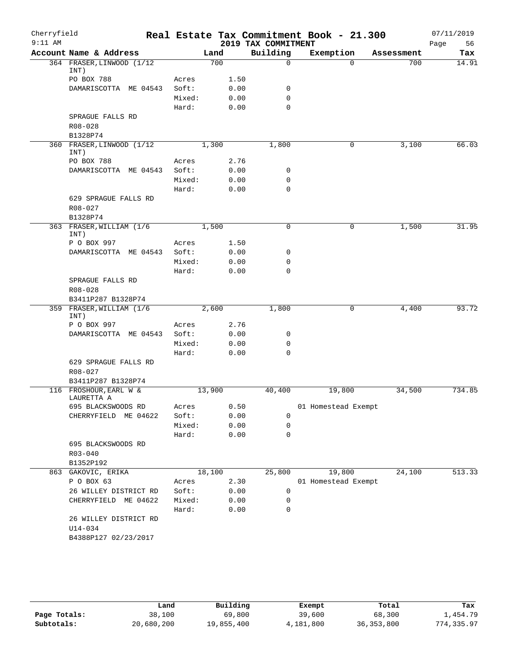| Cherryfield |                                      |        |        |                     | Real Estate Tax Commitment Book - 21.300 |            | 07/11/2019 |
|-------------|--------------------------------------|--------|--------|---------------------|------------------------------------------|------------|------------|
| $9:11$ AM   |                                      |        |        | 2019 TAX COMMITMENT |                                          |            | 56<br>Page |
|             | Account Name & Address               |        | Land   | Building            | Exemption                                | Assessment | Tax        |
|             | 364 FRASER, LINWOOD (1/12<br>INT)    |        | 700    | $\mathbf 0$         | $\Omega$                                 | 700        | 14.91      |
|             | PO BOX 788                           | Acres  | 1.50   |                     |                                          |            |            |
|             | DAMARISCOTTA ME 04543                | Soft:  | 0.00   | $\mathbf 0$         |                                          |            |            |
|             |                                      | Mixed: | 0.00   | $\mathbf 0$         |                                          |            |            |
|             |                                      | Hard:  | 0.00   | $\mathbf 0$         |                                          |            |            |
|             | SPRAGUE FALLS RD                     |        |        |                     |                                          |            |            |
|             | R08-028                              |        |        |                     |                                          |            |            |
|             | B1328P74                             |        |        |                     |                                          |            |            |
|             | 360 FRASER, LINWOOD (1/12            |        | 1,300  | 1,800               | $\mathbf 0$                              | 3,100      | 66.03      |
|             | INT)<br>PO BOX 788                   | Acres  | 2.76   |                     |                                          |            |            |
|             | DAMARISCOTTA ME 04543                | Soft:  | 0.00   | 0                   |                                          |            |            |
|             |                                      | Mixed: | 0.00   | $\mathbf 0$         |                                          |            |            |
|             |                                      | Hard:  | 0.00   | $\mathbf 0$         |                                          |            |            |
|             | 629 SPRAGUE FALLS RD                 |        |        |                     |                                          |            |            |
|             | $R08 - 027$                          |        |        |                     |                                          |            |            |
|             | B1328P74                             |        |        |                     |                                          |            |            |
|             | 363 FRASER, WILLIAM (1/6             |        | 1,500  | $\mathbf 0$         | 0                                        | 1,500      | 31.95      |
|             | INT)                                 |        |        |                     |                                          |            |            |
|             | P O BOX 997                          | Acres  | 1.50   |                     |                                          |            |            |
|             | DAMARISCOTTA ME 04543                | Soft:  | 0.00   | 0                   |                                          |            |            |
|             |                                      | Mixed: | 0.00   | $\mathbf 0$         |                                          |            |            |
|             |                                      | Hard:  | 0.00   | $\mathbf 0$         |                                          |            |            |
|             | SPRAGUE FALLS RD                     |        |        |                     |                                          |            |            |
|             | R08-028<br>B3411P287 B1328P74        |        |        |                     |                                          |            |            |
|             | 359 FRASER, WILLIAM (1/6             |        | 2,600  | 1,800               | 0                                        | 4,400      | 93.72      |
|             | INT)                                 |        |        |                     |                                          |            |            |
|             | P O BOX 997                          | Acres  | 2.76   |                     |                                          |            |            |
|             | DAMARISCOTTA ME 04543                | Soft:  | 0.00   | 0                   |                                          |            |            |
|             |                                      | Mixed: | 0.00   | $\mathbf 0$         |                                          |            |            |
|             |                                      | Hard:  | 0.00   | $\Omega$            |                                          |            |            |
|             | 629 SPRAGUE FALLS RD                 |        |        |                     |                                          |            |            |
|             | $R08 - 027$                          |        |        |                     |                                          |            |            |
|             | B3411P287 B1328P74                   |        |        |                     |                                          |            |            |
|             | 116 FROSHOUR, EARL W &<br>LAURETTA A |        | 13,900 | 40,400              | 19,800                                   | 34,500     | 734.85     |
|             | 695 BLACKSWOODS RD                   | Acres  | 0.50   |                     | 01 Homestead Exempt                      |            |            |
|             | CHERRYFIELD ME 04622                 | Soft:  | 0.00   | 0                   |                                          |            |            |
|             |                                      | Mixed: | 0.00   | 0                   |                                          |            |            |
|             |                                      | Hard:  | 0.00   | $\mathbf 0$         |                                          |            |            |
|             | 695 BLACKSWOODS RD                   |        |        |                     |                                          |            |            |
|             | $R03 - 040$                          |        |        |                     |                                          |            |            |
|             | B1352P192                            |        |        |                     |                                          |            |            |
| 863         | GAKOVIC, ERIKA                       |        | 18,100 | 25,800              | 19,800                                   | 24,100     | 513.33     |
|             | P O BOX 63                           | Acres  | 2.30   |                     | 01 Homestead Exempt                      |            |            |
|             | 26 WILLEY DISTRICT RD                | Soft:  | 0.00   | 0                   |                                          |            |            |
|             | CHERRYFIELD ME 04622                 | Mixed: | 0.00   | 0                   |                                          |            |            |
|             |                                      | Hard:  | 0.00   | 0                   |                                          |            |            |
|             | 26 WILLEY DISTRICT RD                |        |        |                     |                                          |            |            |
|             | $U14 - 034$                          |        |        |                     |                                          |            |            |
|             | B4388P127 02/23/2017                 |        |        |                     |                                          |            |            |
|             |                                      |        |        |                     |                                          |            |            |

|              | Land       | Building   | Exempt    | Total        | Tax        |
|--------------|------------|------------|-----------|--------------|------------|
| Page Totals: | 38,100     | 69,800     | 39,600    | 68,300       | 1,454.79   |
| Subtotals:   | 20,680,200 | 19,855,400 | 4,181,800 | 36, 353, 800 | 774,335.97 |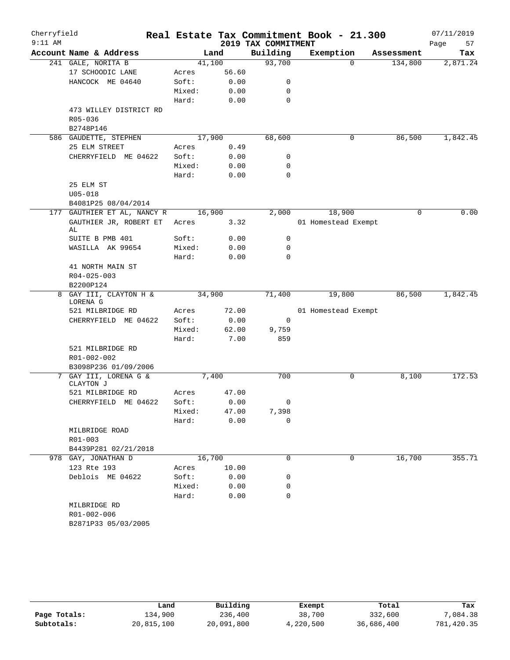| Cherryfield<br>$9:11$ AM |                                    |        |        | 2019 TAX COMMITMENT | Real Estate Tax Commitment Book - 21.300 |            | 07/11/2019<br>57<br>Page |
|--------------------------|------------------------------------|--------|--------|---------------------|------------------------------------------|------------|--------------------------|
|                          | Account Name & Address             |        | Land   | Building            | Exemption                                | Assessment | Tax                      |
|                          | 241 GALE, NORITA B                 |        | 41,100 | 93,700              | 0                                        | 134,800    | 2,871.24                 |
|                          | 17 SCHOODIC LANE                   | Acres  | 56.60  |                     |                                          |            |                          |
|                          | HANCOCK ME 04640                   | Soft:  | 0.00   | 0                   |                                          |            |                          |
|                          |                                    | Mixed: | 0.00   | 0                   |                                          |            |                          |
|                          |                                    | Hard:  | 0.00   | 0                   |                                          |            |                          |
|                          | 473 WILLEY DISTRICT RD             |        |        |                     |                                          |            |                          |
|                          | R05-036                            |        |        |                     |                                          |            |                          |
|                          | B2748P146                          |        |        |                     |                                          |            |                          |
|                          | 586 GAUDETTE, STEPHEN              |        | 17,900 | 68,600              | 0                                        | 86,500     | 1,842.45                 |
|                          | 25 ELM STREET                      | Acres  | 0.49   |                     |                                          |            |                          |
|                          | CHERRYFIELD ME 04622               | Soft:  | 0.00   | 0                   |                                          |            |                          |
|                          |                                    | Mixed: | 0.00   | 0                   |                                          |            |                          |
|                          |                                    | Hard:  | 0.00   | 0                   |                                          |            |                          |
|                          | 25 ELM ST                          |        |        |                     |                                          |            |                          |
|                          | $U05 - 018$                        |        |        |                     |                                          |            |                          |
|                          | B4081P25 08/04/2014                |        |        |                     |                                          |            |                          |
|                          | 177 GAUTHIER ET AL, NANCY R        |        | 16,900 | 2,000               | 18,900                                   | 0          | 0.00                     |
|                          | GAUTHIER JR, ROBERT ET<br>AL       | Acres  | 3.32   |                     | 01 Homestead Exempt                      |            |                          |
|                          | SUITE B PMB 401                    | Soft:  | 0.00   | 0                   |                                          |            |                          |
|                          | WASILLA AK 99654                   | Mixed: | 0.00   | 0                   |                                          |            |                          |
|                          |                                    | Hard:  | 0.00   | 0                   |                                          |            |                          |
|                          | 41 NORTH MAIN ST                   |        |        |                     |                                          |            |                          |
|                          | $R04 - 025 - 003$                  |        |        |                     |                                          |            |                          |
|                          | B2200P124                          |        |        |                     |                                          |            |                          |
|                          | 8 GAY III, CLAYTON H &             |        | 34,900 | 71,400              | 19,800                                   | 86,500     | 1,842.45                 |
|                          | LORENA G                           |        |        |                     |                                          |            |                          |
|                          | 521 MILBRIDGE RD                   | Acres  | 72.00  |                     | 01 Homestead Exempt                      |            |                          |
|                          | CHERRYFIELD ME 04622               | Soft:  | 0.00   | 0                   |                                          |            |                          |
|                          |                                    | Mixed: | 62.00  | 9,759               |                                          |            |                          |
|                          |                                    | Hard:  | 7.00   | 859                 |                                          |            |                          |
|                          | 521 MILBRIDGE RD                   |        |        |                     |                                          |            |                          |
|                          | R01-002-002                        |        |        |                     |                                          |            |                          |
|                          | B3098P236 01/09/2006               |        |        |                     |                                          |            |                          |
|                          | 7 GAY III, LORENA G &<br>CLAYTON J |        | 7,400  | 700                 | 0                                        | 8,100      | 172.53                   |
|                          | 521 MILBRIDGE RD                   | Acres  | 47.00  |                     |                                          |            |                          |
|                          | CHERRYFIELD ME 04622               | Soft:  | 0.00   | 0                   |                                          |            |                          |
|                          |                                    | Mixed: | 47.00  | 7,398               |                                          |            |                          |
|                          |                                    | Hard:  | 0.00   | 0                   |                                          |            |                          |
|                          | MILBRIDGE ROAD                     |        |        |                     |                                          |            |                          |
|                          | R01-003                            |        |        |                     |                                          |            |                          |
|                          | B4439P281 02/21/2018               |        |        |                     |                                          |            |                          |
|                          | 978 GAY, JONATHAN D                |        | 16,700 | $\mathbf 0$         | 0                                        | 16,700     | 355.71                   |
|                          | 123 Rte 193                        | Acres  | 10.00  |                     |                                          |            |                          |
|                          | Deblois ME 04622                   | Soft:  | 0.00   | 0                   |                                          |            |                          |
|                          |                                    | Mixed: | 0.00   | 0                   |                                          |            |                          |
|                          |                                    | Hard:  | 0.00   | 0                   |                                          |            |                          |
|                          | MILBRIDGE RD                       |        |        |                     |                                          |            |                          |
|                          | R01-002-006                        |        |        |                     |                                          |            |                          |
|                          | B2871P33 05/03/2005                |        |        |                     |                                          |            |                          |

|              | Land       | Building   | Exempt    | Total      | Tax        |
|--------------|------------|------------|-----------|------------|------------|
| Page Totals: | 134,900    | 236,400    | 38,700    | 332,600    | 7,084.38   |
| Subtotals:   | 20,815,100 | 20,091,800 | 4,220,500 | 36,686,400 | 781,420.35 |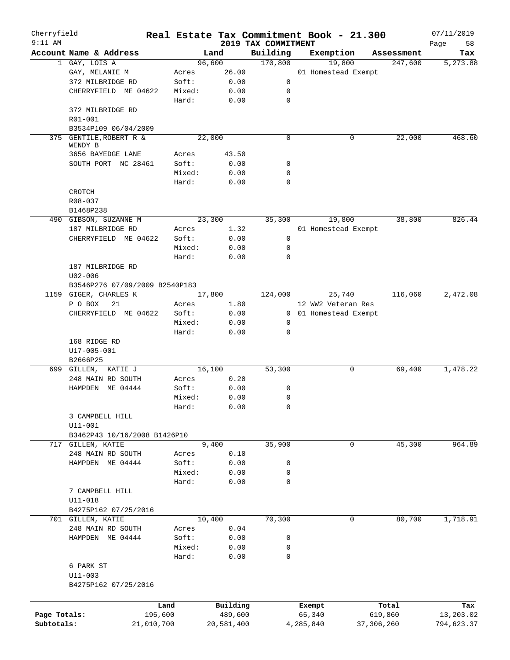| Cherryfield<br>$9:11$ AM |                                          |            |                |                |                                 | Real Estate Tax Commitment Book - 21.300 |             |            | 07/11/2019        |
|--------------------------|------------------------------------------|------------|----------------|----------------|---------------------------------|------------------------------------------|-------------|------------|-------------------|
|                          | Account Name & Address                   |            |                | Land           | 2019 TAX COMMITMENT<br>Building | Exemption                                |             | Assessment | 58<br>Page<br>Tax |
|                          | 1 GAY, LOIS A                            |            |                | 96,600         | 170,800                         | 19,800                                   |             | 247,600    | 5,273.88          |
|                          | GAY, MELANIE M                           |            | Acres          | 26.00          |                                 | 01 Homestead Exempt                      |             |            |                   |
|                          | 372 MILBRIDGE RD                         |            | Soft:          | 0.00           | 0                               |                                          |             |            |                   |
|                          | CHERRYFIELD ME 04622                     |            | Mixed:         | 0.00           | 0                               |                                          |             |            |                   |
|                          |                                          |            | Hard:          | 0.00           | $\mathbf 0$                     |                                          |             |            |                   |
|                          | 372 MILBRIDGE RD                         |            |                |                |                                 |                                          |             |            |                   |
|                          | R01-001                                  |            |                |                |                                 |                                          |             |            |                   |
|                          | B3534P109 06/04/2009                     |            |                |                |                                 |                                          |             |            |                   |
|                          | 375 GENTILE, ROBERT R &                  |            |                | 22,000         | $\mathbf 0$                     |                                          | 0           | 22,000     | 468.60            |
|                          | WENDY B                                  |            |                |                |                                 |                                          |             |            |                   |
|                          | 3656 BAYEDGE LANE<br>SOUTH PORT NC 28461 |            | Acres<br>Soft: | 43.50<br>0.00  | 0                               |                                          |             |            |                   |
|                          |                                          |            | Mixed:         | 0.00           | $\mathbf 0$                     |                                          |             |            |                   |
|                          |                                          |            | Hard:          | 0.00           | $\mathbf 0$                     |                                          |             |            |                   |
|                          | CROTCH                                   |            |                |                |                                 |                                          |             |            |                   |
|                          | R08-037                                  |            |                |                |                                 |                                          |             |            |                   |
|                          | B1468P238                                |            |                |                |                                 |                                          |             |            |                   |
|                          | 490 GIBSON, SUZANNE M                    |            |                | 23,300         | 35,300                          | 19,800                                   |             | 38,800     | 826.44            |
|                          | 187 MILBRIDGE RD                         |            | Acres          | 1.32           |                                 | 01 Homestead Exempt                      |             |            |                   |
|                          | CHERRYFIELD ME 04622                     |            | Soft:          | 0.00           | 0                               |                                          |             |            |                   |
|                          |                                          |            | Mixed:         | 0.00           | $\mathbf 0$                     |                                          |             |            |                   |
|                          |                                          |            | Hard:          | 0.00           | $\mathbf 0$                     |                                          |             |            |                   |
|                          | 187 MILBRIDGE RD                         |            |                |                |                                 |                                          |             |            |                   |
|                          | $U02 - 006$                              |            |                |                |                                 |                                          |             |            |                   |
|                          | B3546P276 07/09/2009 B2540P183           |            |                |                |                                 |                                          |             |            |                   |
|                          | 1159 GIGER, CHARLES K                    |            |                | 17,800         | 124,000                         | 25,740                                   |             | 116,060    | 2,472.08          |
|                          | P O BOX<br>21                            |            | Acres          | 1.80           |                                 | 12 WW2 Veteran Res                       |             |            |                   |
|                          | CHERRYFIELD ME 04622                     |            | Soft:          | 0.00           |                                 | 0 01 Homestead Exempt                    |             |            |                   |
|                          |                                          |            | Mixed:         | 0.00           | 0                               |                                          |             |            |                   |
|                          |                                          |            | Hard:          | 0.00           | $\mathbf 0$                     |                                          |             |            |                   |
|                          | 168 RIDGE RD                             |            |                |                |                                 |                                          |             |            |                   |
|                          | U17-005-001                              |            |                |                |                                 |                                          |             |            |                   |
|                          | B2666P25                                 |            |                |                |                                 |                                          |             |            |                   |
|                          | 699 GILLEN, KATIE J                      |            |                | 16,100         | 53,300                          |                                          | 0           | 69,400     | 1,478.22          |
|                          | 248 MAIN RD SOUTH                        |            | Acres          | 0.20           |                                 |                                          |             |            |                   |
|                          | HAMPDEN ME 04444                         |            | Soft:          | 0.00           | 0                               |                                          |             |            |                   |
|                          |                                          |            | Mixed:         | 0.00           | 0                               |                                          |             |            |                   |
|                          |                                          |            | Hard:          | 0.00           | 0                               |                                          |             |            |                   |
|                          | 3 CAMPBELL HILL                          |            |                |                |                                 |                                          |             |            |                   |
|                          | U11-001                                  |            |                |                |                                 |                                          |             |            |                   |
|                          | B3462P43 10/16/2008 B1426P10             |            |                |                |                                 |                                          |             |            |                   |
| 717                      | GILLEN, KATIE                            |            |                | 9,400          | 35,900                          |                                          | $\mathbf 0$ | 45,300     | 964.89            |
|                          | 248 MAIN RD SOUTH                        |            | Acres          | 0.10           |                                 |                                          |             |            |                   |
|                          | HAMPDEN ME 04444                         |            | Soft:          | 0.00           | 0                               |                                          |             |            |                   |
|                          |                                          |            | Mixed:         | 0.00           | 0                               |                                          |             |            |                   |
|                          |                                          |            | Hard:          | 0.00           | $\mathbf 0$                     |                                          |             |            |                   |
|                          | 7 CAMPBELL HILL                          |            |                |                |                                 |                                          |             |            |                   |
|                          | U11-018                                  |            |                |                |                                 |                                          |             |            |                   |
|                          | B4275P162 07/25/2016                     |            |                |                |                                 |                                          | 0           |            |                   |
|                          | 701 GILLEN, KATIE                        |            |                | 10,400<br>0.04 | 70,300                          |                                          |             | 80,700     | 1,718.91          |
|                          | 248 MAIN RD SOUTH                        |            | Acres<br>Soft: | 0.00           |                                 |                                          |             |            |                   |
|                          | HAMPDEN ME 04444                         |            | Mixed:         | 0.00           | 0<br>0                          |                                          |             |            |                   |
|                          |                                          |            | Hard:          | 0.00           | $\mathbf 0$                     |                                          |             |            |                   |
|                          | 6 PARK ST                                |            |                |                |                                 |                                          |             |            |                   |
|                          | $U11 - 003$                              |            |                |                |                                 |                                          |             |            |                   |
|                          | B4275P162 07/25/2016                     |            |                |                |                                 |                                          |             |            |                   |
|                          |                                          |            |                |                |                                 |                                          |             |            |                   |
|                          |                                          | Land       |                | Building       |                                 | Exempt                                   |             | Total      | Tax               |
| Page Totals:             |                                          | 195,600    |                | 489,600        |                                 | 65,340                                   |             | 619,860    | 13,203.02         |
| Subtotals:               |                                          | 21,010,700 |                | 20,581,400     |                                 | 4,285,840                                | 37,306,260  |            | 794,623.37        |
|                          |                                          |            |                |                |                                 |                                          |             |            |                   |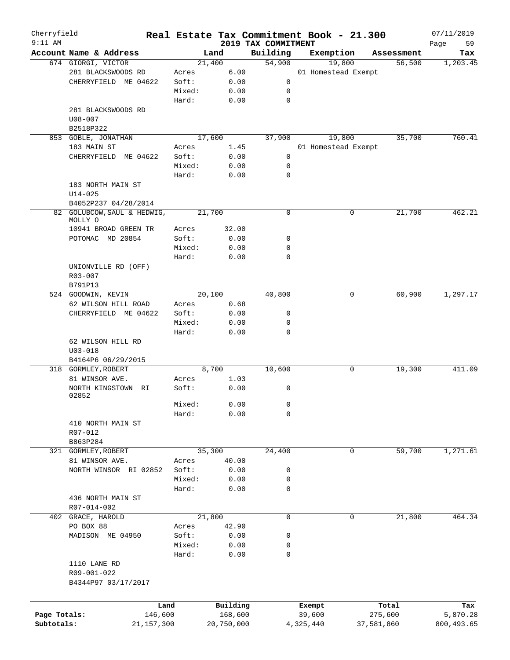| Cherryfield<br>$9:11$ AM |                                        |                 |            |                                 | Real Estate Tax Commitment Book - 21.300 |            |            | 07/11/2019        |
|--------------------------|----------------------------------------|-----------------|------------|---------------------------------|------------------------------------------|------------|------------|-------------------|
|                          | Account Name & Address                 |                 | Land       | 2019 TAX COMMITMENT<br>Building | Exemption                                |            | Assessment | 59<br>Page<br>Tax |
|                          | 674 GIORGI, VICTOR                     |                 | 21,400     | 54,900                          | 19,800                                   |            | 56,500     | 1,203.45          |
|                          | 281 BLACKSWOODS RD                     | Acres           | 6.00       |                                 | 01 Homestead Exempt                      |            |            |                   |
|                          | CHERRYFIELD ME 04622                   | Soft:           | 0.00       | 0                               |                                          |            |            |                   |
|                          |                                        | Mixed:          | 0.00       | 0                               |                                          |            |            |                   |
|                          |                                        | Hard:           | 0.00       | $\mathbf 0$                     |                                          |            |            |                   |
|                          | 281 BLACKSWOODS RD                     |                 |            |                                 |                                          |            |            |                   |
|                          | $U08 - 007$                            |                 |            |                                 |                                          |            |            |                   |
|                          | B2518P322                              |                 |            |                                 |                                          |            |            |                   |
|                          | 853 GOBLE, JONATHAN                    |                 | 17,600     | 37,900                          | 19,800                                   |            | 35,700     | 760.41            |
|                          | 183 MAIN ST                            | Acres           | 1.45       |                                 | 01 Homestead Exempt                      |            |            |                   |
|                          | CHERRYFIELD ME 04622                   | Soft:           | 0.00       | 0                               |                                          |            |            |                   |
|                          |                                        | Mixed:          | 0.00       | 0                               |                                          |            |            |                   |
|                          |                                        | Hard:           | 0.00       | 0                               |                                          |            |            |                   |
|                          |                                        |                 |            |                                 |                                          |            |            |                   |
|                          | 183 NORTH MAIN ST                      |                 |            |                                 |                                          |            |            |                   |
|                          | $U14 - 025$                            |                 |            |                                 |                                          |            |            |                   |
|                          | B4052P237 04/28/2014                   |                 |            |                                 |                                          |            |            |                   |
|                          | 82 GOLUBCOW, SAUL & HEDWIG,<br>MOLLY O |                 | 21,700     | $\mathbf 0$                     |                                          | 0          | 21,700     | 462.21            |
|                          | 10941 BROAD GREEN TR                   | Acres           | 32.00      |                                 |                                          |            |            |                   |
|                          | POTOMAC MD 20854                       | Soft:           | 0.00       | 0                               |                                          |            |            |                   |
|                          |                                        |                 |            |                                 |                                          |            |            |                   |
|                          |                                        | Mixed:          | 0.00       | 0                               |                                          |            |            |                   |
|                          |                                        | Hard:           | 0.00       | 0                               |                                          |            |            |                   |
|                          | UNIONVILLE RD (OFF)                    |                 |            |                                 |                                          |            |            |                   |
|                          | R03-007                                |                 |            |                                 |                                          |            |            |                   |
|                          | B791P13                                |                 |            |                                 |                                          |            |            |                   |
|                          | 524 GOODWIN, KEVIN                     |                 | 20,100     | 40,800                          |                                          | 0          | 60,900     | 1,297.17          |
|                          | 62 WILSON HILL ROAD                    | Acres           | 0.68       |                                 |                                          |            |            |                   |
|                          | CHERRYFIELD ME 04622                   | Soft:           | 0.00       | 0                               |                                          |            |            |                   |
|                          |                                        | Mixed:          | 0.00       | 0                               |                                          |            |            |                   |
|                          |                                        | Hard:           | 0.00       | 0                               |                                          |            |            |                   |
|                          | 62 WILSON HILL RD                      |                 |            |                                 |                                          |            |            |                   |
|                          | $U03 - 018$                            |                 |            |                                 |                                          |            |            |                   |
|                          | B4164P6 06/29/2015                     |                 |            |                                 |                                          |            |            |                   |
|                          | 318 GORMLEY, ROBERT                    |                 | 8,700      | 10,600                          |                                          | 0          | 19,300     | 411.09            |
|                          | 81 WINSOR AVE.                         | Acres           | 1.03       |                                 |                                          |            |            |                   |
|                          | NORTH KINGSTOWN<br>RI                  | Soft:           | 0.00       | 0                               |                                          |            |            |                   |
|                          | 02852                                  |                 | 0.00       | $\overline{0}$                  |                                          |            |            |                   |
|                          |                                        | Mixed:<br>Hard: | 0.00       | 0                               |                                          |            |            |                   |
|                          |                                        |                 |            |                                 |                                          |            |            |                   |
|                          | 410 NORTH MAIN ST                      |                 |            |                                 |                                          |            |            |                   |
|                          | R07-012                                |                 |            |                                 |                                          |            |            |                   |
|                          | B863P284                               |                 |            |                                 |                                          |            |            |                   |
|                          | 321 GORMLEY, ROBERT                    |                 | 35,300     | 24,400                          |                                          | 0          | 59,700     | 1,271.61          |
|                          | 81 WINSOR AVE.                         | Acres           | 40.00      |                                 |                                          |            |            |                   |
|                          | NORTH WINSOR RI 02852                  | Soft:           | 0.00       | 0                               |                                          |            |            |                   |
|                          |                                        | Mixed:          | 0.00       | 0                               |                                          |            |            |                   |
|                          |                                        | Hard:           | 0.00       | 0                               |                                          |            |            |                   |
|                          | 436 NORTH MAIN ST                      |                 |            |                                 |                                          |            |            |                   |
|                          | R07-014-002                            |                 |            |                                 |                                          |            |            |                   |
|                          | 402 GRACE, HAROLD                      |                 | 21,800     | 0                               |                                          | 0          | 21,800     | 464.34            |
|                          | PO BOX 88                              | Acres           | 42.90      |                                 |                                          |            |            |                   |
|                          | MADISON ME 04950                       | Soft:           | 0.00       | 0                               |                                          |            |            |                   |
|                          |                                        | Mixed:          | 0.00       | 0                               |                                          |            |            |                   |
|                          |                                        | Hard:           | 0.00       | 0                               |                                          |            |            |                   |
|                          | 1110 LANE RD                           |                 |            |                                 |                                          |            |            |                   |
|                          | R09-001-022                            |                 |            |                                 |                                          |            |            |                   |
|                          | B4344P97 03/17/2017                    |                 |            |                                 |                                          |            |            |                   |
|                          |                                        |                 |            |                                 |                                          |            |            |                   |
|                          |                                        | Land            | Building   |                                 | Exempt                                   |            | Total      | Tax               |
| Page Totals:             | 146,600                                |                 | 168,600    |                                 | 39,600                                   | 275,600    |            | 5,870.28          |
| Subtotals:               | 21, 157, 300                           |                 | 20,750,000 |                                 | 4,325,440                                | 37,581,860 |            | 800, 493.65       |
|                          |                                        |                 |            |                                 |                                          |            |            |                   |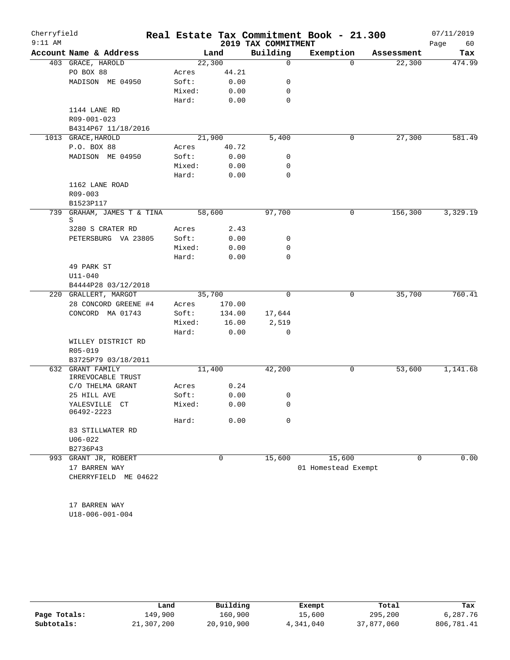| Cherryfield |                             |        |             |                     | Real Estate Tax Commitment Book - 21.300 |            | 07/11/2019 |
|-------------|-----------------------------|--------|-------------|---------------------|------------------------------------------|------------|------------|
| $9:11$ AM   |                             |        |             | 2019 TAX COMMITMENT |                                          |            | 60<br>Page |
|             | Account Name & Address      |        | Land        | Building            | Exemption                                | Assessment | Tax        |
|             | 403 GRACE, HAROLD           |        | 22,300      | $\mathbf 0$         | $\Omega$                                 | 22,300     | 474.99     |
|             | PO BOX 88                   | Acres  | 44.21       |                     |                                          |            |            |
|             | MADISON ME 04950            | Soft:  | 0.00        | 0                   |                                          |            |            |
|             |                             | Mixed: | 0.00        | 0                   |                                          |            |            |
|             |                             | Hard:  | 0.00        | $\mathbf 0$         |                                          |            |            |
|             | 1144 LANE RD                |        |             |                     |                                          |            |            |
|             | R09-001-023                 |        |             |                     |                                          |            |            |
|             | B4314P67 11/18/2016         |        |             |                     |                                          |            |            |
|             | 1013 GRACE, HAROLD          |        | 21,900      | 5,400               | 0                                        | 27,300     | 581.49     |
|             | P.O. BOX 88                 | Acres  | 40.72       |                     |                                          |            |            |
|             | MADISON ME 04950            | Soft:  | 0.00        | 0                   |                                          |            |            |
|             |                             | Mixed: | 0.00        | 0                   |                                          |            |            |
|             |                             | Hard:  | 0.00        | $\mathbf 0$         |                                          |            |            |
|             | 1162 LANE ROAD              |        |             |                     |                                          |            |            |
|             | R09-003                     |        |             |                     |                                          |            |            |
|             | B1523P117                   |        |             |                     |                                          |            |            |
| 739         | GRAHAM, JAMES T & TINA<br>S |        | 58,600      | 97,700              | 0                                        | 156,300    | 3,329.19   |
|             | 3280 S CRATER RD            | Acres  | 2.43        |                     |                                          |            |            |
|             | PETERSBURG VA 23805         | Soft:  | 0.00        | 0                   |                                          |            |            |
|             |                             | Mixed: | 0.00        | 0                   |                                          |            |            |
|             |                             | Hard:  | 0.00        | $\mathbf 0$         |                                          |            |            |
|             | 49 PARK ST                  |        |             |                     |                                          |            |            |
|             | $U11 - 040$                 |        |             |                     |                                          |            |            |
|             | B4444P28 03/12/2018         |        |             |                     |                                          |            |            |
|             | 220 GRALLERT, MARGOT        |        | 35,700      | $\Omega$            | 0                                        | 35,700     | 760.41     |
|             | 28 CONCORD GREENE #4        | Acres  | 170.00      |                     |                                          |            |            |
|             | CONCORD MA 01743            | Soft:  | 134.00      | 17,644              |                                          |            |            |
|             |                             | Mixed: | 16.00       | 2,519               |                                          |            |            |
|             |                             | Hard:  | 0.00        | 0                   |                                          |            |            |
|             | WILLEY DISTRICT RD          |        |             |                     |                                          |            |            |
|             | R05-019                     |        |             |                     |                                          |            |            |
|             | B3725P79 03/18/2011         |        |             |                     |                                          |            |            |
| 632         | <b>GRANT FAMILY</b>         |        | 11,400      | 42,200              | 0                                        | 53,600     | 1,141.68   |
|             | IRREVOCABLE TRUST           |        |             |                     |                                          |            |            |
|             | C/O THELMA GRANT            | Acres  | 0.24        |                     |                                          |            |            |
|             | 25 HILL AVE                 | Soft:  | 0.00        | 0                   |                                          |            |            |
|             | YALESVILLE CT<br>06492-2223 | Mixed: | 0.00        | 0                   |                                          |            |            |
|             |                             | Hard:  | 0.00        | 0                   |                                          |            |            |
|             | 83 STILLWATER RD            |        |             |                     |                                          |            |            |
|             | $U06 - 022$                 |        |             |                     |                                          |            |            |
|             | B2736P43                    |        |             |                     |                                          |            |            |
|             | 993 GRANT JR, ROBERT        |        | $\mathbf 0$ | 15,600              | 15,600                                   | 0          | 0.00       |
|             | 17 BARREN WAY               |        |             |                     | 01 Homestead Exempt                      |            |            |
|             | CHERRYFIELD ME 04622        |        |             |                     |                                          |            |            |
|             |                             |        |             |                     |                                          |            |            |
|             |                             |        |             |                     |                                          |            |            |
|             | 17 BARREN WAY               |        |             |                     |                                          |            |            |

U18-006-001-004

|              | Land       | Building   | Exempt    | Total      | Tax        |
|--------------|------------|------------|-----------|------------|------------|
| Page Totals: | 149,900    | 160,900    | 15,600    | 295,200    | 6,287.76   |
| Subtotals:   | 21,307,200 | 20,910,900 | 4,341,040 | 37,877,060 | 806,781.41 |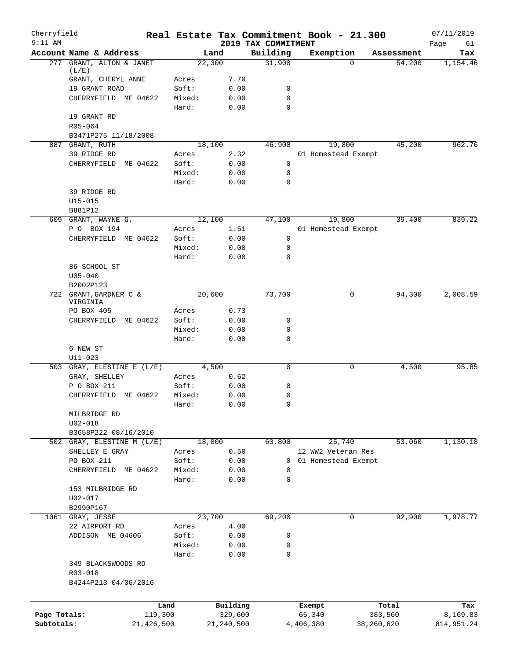| Cherryfield<br>$9:11$ AM |                                       | Real Estate Tax Commitment Book - 21.300 |                     | 2019 TAX COMMITMENT |                  |                       |                  | 07/11/2019        |
|--------------------------|---------------------------------------|------------------------------------------|---------------------|---------------------|------------------|-----------------------|------------------|-------------------|
|                          | Account Name & Address                | Land                                     |                     | Building            |                  | Exemption             | Assessment       | Page<br>61<br>Tax |
| 277                      | GRANT, ALTON & JANET                  | 22,300                                   |                     | 31,900              |                  | $\Omega$              | 54,200           | 1,154.46          |
|                          | (L/E)                                 |                                          |                     |                     |                  |                       |                  |                   |
|                          | GRANT, CHERYL ANNE                    | Acres                                    | 7.70                |                     |                  |                       |                  |                   |
|                          | 19 GRANT ROAD<br>CHERRYFIELD ME 04622 | Soft:<br>Mixed:                          | 0.00<br>0.00        | 0<br>$\mathbf 0$    |                  |                       |                  |                   |
|                          |                                       | Hard:                                    | 0.00                | 0                   |                  |                       |                  |                   |
|                          | 19 GRANT RD                           |                                          |                     |                     |                  |                       |                  |                   |
|                          | R05-064                               |                                          |                     |                     |                  |                       |                  |                   |
|                          | B3471P275 11/18/2008                  |                                          |                     |                     |                  |                       |                  |                   |
|                          | 887 GRANT, RUTH                       | 18,100                                   |                     | 46,900              |                  | 19,800                | 45,200           | 962.76            |
|                          | 39 RIDGE RD                           | Acres                                    | 2.32                |                     |                  | 01 Homestead Exempt   |                  |                   |
|                          | CHERRYFIELD<br>ME 04622               | Soft:                                    | 0.00                | 0                   |                  |                       |                  |                   |
|                          |                                       | Mixed:                                   | 0.00                | 0                   |                  |                       |                  |                   |
|                          |                                       | Hard:                                    | 0.00                | 0                   |                  |                       |                  |                   |
|                          | 39 RIDGE RD                           |                                          |                     |                     |                  |                       |                  |                   |
|                          | $U15 - 015$                           |                                          |                     |                     |                  |                       |                  |                   |
|                          | B881P12<br>609 GRANT, WAYNE G.        | 12,100                                   |                     | 47,100              |                  | 19,800                | 39,400           | 839.22            |
|                          | P O BOX 194                           | Acres                                    | 1.51                |                     |                  | 01 Homestead Exempt   |                  |                   |
|                          | CHERRYFIELD ME 04622                  | Soft:                                    | 0.00                | 0                   |                  |                       |                  |                   |
|                          |                                       | Mixed:                                   | 0.00                | 0                   |                  |                       |                  |                   |
|                          |                                       | Hard:                                    | 0.00                | $\mathbf 0$         |                  |                       |                  |                   |
|                          | 86 SCHOOL ST                          |                                          |                     |                     |                  |                       |                  |                   |
|                          | $U05 - 040$                           |                                          |                     |                     |                  |                       |                  |                   |
|                          | B2002P123                             |                                          |                     |                     |                  |                       |                  |                   |
|                          | 722 GRANT, GARDNER C &                | 20,600                                   |                     | 73,700              |                  | 0                     | 94,300           | 2,008.59          |
|                          | VIRGINIA<br>PO BOX 405                | Acres                                    | 0.73                |                     |                  |                       |                  |                   |
|                          | CHERRYFIELD<br>ME 04622               | Soft:                                    | 0.00                | 0                   |                  |                       |                  |                   |
|                          |                                       | Mixed:                                   | 0.00                | 0                   |                  |                       |                  |                   |
|                          |                                       | Hard:                                    | 0.00                | 0                   |                  |                       |                  |                   |
|                          | 6 NEW ST                              |                                          |                     |                     |                  |                       |                  |                   |
|                          | $U11 - 023$                           |                                          |                     |                     |                  |                       |                  |                   |
|                          | 503 GRAY, ELESTINE E (L/E)            | 4,500                                    |                     | 0                   |                  | 0                     | 4,500            | 95.85             |
|                          | GRAY, SHELLEY                         | Acres                                    | 0.62                |                     |                  |                       |                  |                   |
|                          | P O BOX 211                           | Soft:                                    | 0.00                | 0                   |                  |                       |                  |                   |
|                          | CHERRYFIELD ME 04622                  | Mixed:                                   | 0.00                | 0                   |                  |                       |                  |                   |
|                          |                                       | Hard:                                    | 0.00                | 0                   |                  |                       |                  |                   |
|                          | MILBRIDGE RD<br>$U02 - 018$           |                                          |                     |                     |                  |                       |                  |                   |
|                          | B3658P222 08/16/2010                  |                                          |                     |                     |                  |                       |                  |                   |
|                          | 502 GRAY, ELESTINE M (L/E)            | 18,000                                   |                     | 60,800              |                  | 25,740                | 53,060           | 1,130.18          |
|                          | SHELLEY E GRAY                        | Acres                                    | 0.50                |                     |                  | 12 WW2 Veteran Res    |                  |                   |
|                          | PO BOX 211                            | Soft:                                    | 0.00                |                     |                  | 0 01 Homestead Exempt |                  |                   |
|                          | CHERRYFIELD ME 04622                  | Mixed:                                   | 0.00                | 0                   |                  |                       |                  |                   |
|                          |                                       | Hard:                                    | 0.00                | 0                   |                  |                       |                  |                   |
|                          | 153 MILBRIDGE RD                      |                                          |                     |                     |                  |                       |                  |                   |
|                          | $U02 - 017$                           |                                          |                     |                     |                  |                       |                  |                   |
|                          | B2990P167                             |                                          |                     |                     |                  |                       |                  |                   |
| 1061                     | GRAY, JESSE                           | 23,700                                   |                     | 69,200              |                  | 0                     | 92,900           | 1,978.77          |
|                          | 22 AIRPORT RD                         | Acres                                    | 4.00                |                     |                  |                       |                  |                   |
|                          | ADDISON ME 04606                      | Soft:                                    | 0.00                | 0                   |                  |                       |                  |                   |
|                          |                                       | Mixed:<br>Hard:                          | 0.00<br>0.00        | 0<br>0              |                  |                       |                  |                   |
|                          | 349 BLACKSWOODS RD                    |                                          |                     |                     |                  |                       |                  |                   |
|                          | R03-018                               |                                          |                     |                     |                  |                       |                  |                   |
|                          | B4244P213 04/06/2016                  |                                          |                     |                     |                  |                       |                  |                   |
|                          |                                       |                                          |                     |                     |                  |                       |                  |                   |
|                          |                                       |                                          |                     |                     |                  |                       |                  |                   |
| Page Totals:             | 119,300                               | Land                                     | Building<br>329,600 |                     | Exempt<br>65,340 |                       | Total<br>383,560 | Tax<br>8,169.83   |
| Subtotals:               | 21,426,500                            |                                          | 21,240,500          |                     | 4,406,380        |                       | 38,260,620       | 814,951.24        |
|                          |                                       |                                          |                     |                     |                  |                       |                  |                   |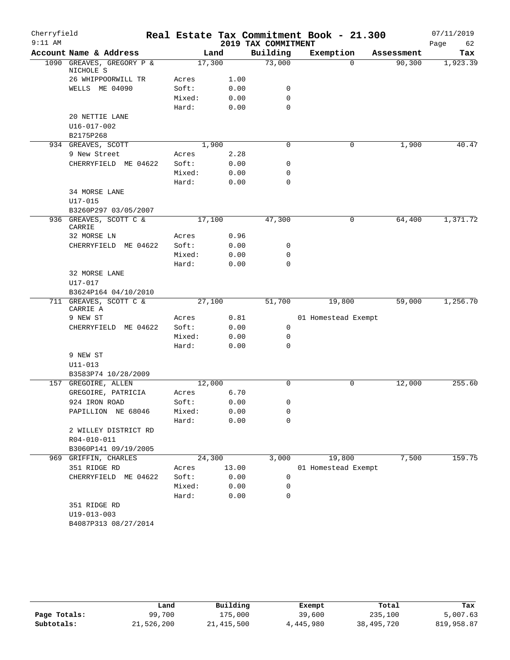| Cherryfield |                                        |                 |        |                     | Real Estate Tax Commitment Book - 21.300 |            | 07/11/2019 |
|-------------|----------------------------------------|-----------------|--------|---------------------|------------------------------------------|------------|------------|
| $9:11$ AM   |                                        |                 |        | 2019 TAX COMMITMENT |                                          |            | Page<br>62 |
|             | Account Name & Address                 |                 | Land   | Building            | Exemption                                | Assessment | Tax        |
|             | 1090 GREAVES, GREGORY P &<br>NICHOLE S |                 | 17,300 | 73,000              | $\Omega$                                 | 90, 300    | 1,923.39   |
|             | 26 WHIPPOORWILL TR                     | Acres           | 1.00   |                     |                                          |            |            |
|             | WELLS ME 04090                         | Soft:           | 0.00   | 0                   |                                          |            |            |
|             |                                        | Mixed:          | 0.00   | 0                   |                                          |            |            |
|             |                                        | Hard:           | 0.00   | $\mathbf 0$         |                                          |            |            |
|             | 20 NETTIE LANE                         |                 |        |                     |                                          |            |            |
|             | $U16 - 017 - 002$                      |                 |        |                     |                                          |            |            |
|             | B2175P268                              |                 |        |                     |                                          |            |            |
|             | 934 GREAVES, SCOTT                     |                 | 1,900  | $\Omega$            | 0                                        | 1,900      | 40.47      |
|             | 9 New Street                           | Acres           | 2.28   |                     |                                          |            |            |
|             | CHERRYFIELD ME 04622                   | Soft:           | 0.00   | 0                   |                                          |            |            |
|             |                                        | Mixed:          | 0.00   | 0                   |                                          |            |            |
|             |                                        | Hard:           | 0.00   | $\mathbf 0$         |                                          |            |            |
|             | 34 MORSE LANE                          |                 |        |                     |                                          |            |            |
|             | U17-015                                |                 |        |                     |                                          |            |            |
|             | B3260P297 03/05/2007                   |                 |        |                     |                                          |            |            |
|             | 936 GREAVES, SCOTT C &<br>CARRIE       |                 | 17,100 | 47,300              | 0                                        | 64,400     | 1,371.72   |
|             | 32 MORSE LN                            | Acres           | 0.96   |                     |                                          |            |            |
|             | CHERRYFIELD ME 04622                   | Soft:           | 0.00   | 0                   |                                          |            |            |
|             |                                        | Mixed:          | 0.00   | 0                   |                                          |            |            |
|             |                                        | Hard:           | 0.00   | $\mathbf 0$         |                                          |            |            |
|             | 32 MORSE LANE                          |                 |        |                     |                                          |            |            |
|             | $U17 - 017$                            |                 |        |                     |                                          |            |            |
|             | B3624P164 04/10/2010                   |                 |        |                     |                                          |            |            |
|             | 711 GREAVES, SCOTT C &<br>CARRIE A     |                 | 27,100 | 51,700              | 19,800                                   | 59,000     | 1,256.70   |
|             | 9 NEW ST                               | Acres           | 0.81   |                     | 01 Homestead Exempt                      |            |            |
|             | CHERRYFIELD ME 04622                   | Soft:           | 0.00   | 0                   |                                          |            |            |
|             |                                        | Mixed:          | 0.00   | 0                   |                                          |            |            |
|             |                                        | Hard:           | 0.00   | 0                   |                                          |            |            |
|             | 9 NEW ST                               |                 |        |                     |                                          |            |            |
|             | $U11 - 013$                            |                 |        |                     |                                          |            |            |
|             | B3583P74 10/28/2009                    |                 |        |                     |                                          |            |            |
|             | 157 GREGOIRE, ALLEN                    |                 | 12,000 | $\mathbf 0$         | 0                                        | 12,000     | 255.60     |
|             | GREGOIRE, PATRICIA                     | Acres           | 6.70   |                     |                                          |            |            |
|             | 924 IRON ROAD                          | Soft:           | 0.00   | 0                   |                                          |            |            |
|             | PAPILLION NE 68046                     | Mixed:          | 0.00   | 0                   |                                          |            |            |
|             |                                        | Hard:           | 0.00   | 0                   |                                          |            |            |
|             | 2 WILLEY DISTRICT RD                   |                 |        |                     |                                          |            |            |
|             | R04-010-011                            |                 |        |                     |                                          |            |            |
|             | B3060P141 09/19/2005                   |                 |        |                     |                                          |            |            |
|             | 969 GRIFFIN, CHARLES                   |                 | 24,300 | 3,000               | 19,800                                   | 7,500      | 159.75     |
|             | 351 RIDGE RD                           | Acres           | 13.00  |                     | 01 Homestead Exempt                      |            |            |
|             | CHERRYFIELD ME 04622                   | Soft:<br>Mixed: | 0.00   | 0                   |                                          |            |            |
|             |                                        | Hard:           | 0.00   | 0<br>0              |                                          |            |            |
|             |                                        |                 | 0.00   |                     |                                          |            |            |
|             | 351 RIDGE RD<br>U19-013-003            |                 |        |                     |                                          |            |            |
|             | B4087P313 08/27/2014                   |                 |        |                     |                                          |            |            |
|             |                                        |                 |        |                     |                                          |            |            |

|              | Land       | Building     | Exempt    | Total      | Tax        |
|--------------|------------|--------------|-----------|------------|------------|
| Page Totals: | 99,700     | 175,000      | 39,600    | 235,100    | 5,007.63   |
| Subtotals:   | 21,526,200 | 21, 415, 500 | 4,445,980 | 38,495,720 | 819,958.87 |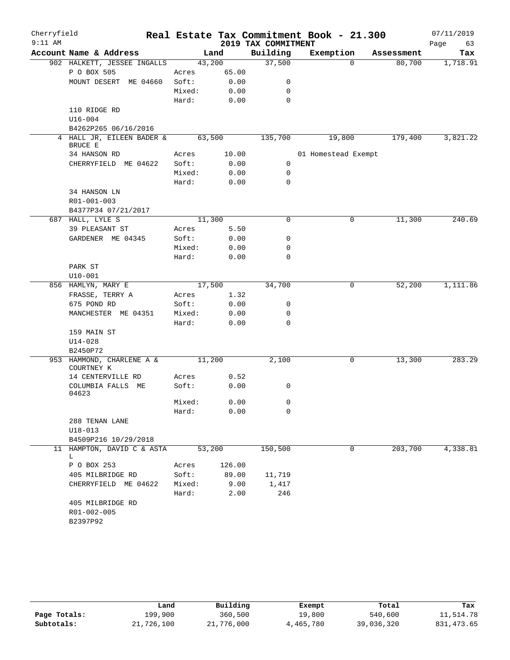| Cherryfield |                                      |        |        |                     | Real Estate Tax Commitment Book - 21.300 |            | 07/11/2019 |
|-------------|--------------------------------------|--------|--------|---------------------|------------------------------------------|------------|------------|
| $9:11$ AM   |                                      |        |        | 2019 TAX COMMITMENT |                                          |            | Page<br>63 |
|             | Account Name & Address               |        | Land   | Building            | Exemption                                | Assessment | Tax        |
|             | 902 HALKETT, JESSEE INGALLS          | 43,200 |        | 37,500              | $\Omega$                                 | 80,700     | 1,718.91   |
|             | P O BOX 505                          | Acres  | 65.00  |                     |                                          |            |            |
|             | MOUNT DESERT ME 04660                | Soft:  | 0.00   | 0                   |                                          |            |            |
|             |                                      | Mixed: | 0.00   | 0                   |                                          |            |            |
|             |                                      | Hard:  | 0.00   | $\mathbf 0$         |                                          |            |            |
|             | 110 RIDGE RD                         |        |        |                     |                                          |            |            |
|             | $U16 - 004$                          |        |        |                     |                                          |            |            |
|             | B4262P265 06/16/2016                 |        |        |                     |                                          |            |            |
|             | 4 HALL JR, EILEEN BADER &<br>BRUCE E | 63,500 |        | 135,700             | 19,800                                   | 179,400    | 3,821.22   |
|             | 34 HANSON RD                         | Acres  | 10.00  |                     | 01 Homestead Exempt                      |            |            |
|             | CHERRYFIELD ME 04622                 | Soft:  | 0.00   | 0                   |                                          |            |            |
|             |                                      | Mixed: | 0.00   | $\mathbf 0$         |                                          |            |            |
|             |                                      | Hard:  | 0.00   | $\mathbf 0$         |                                          |            |            |
|             | 34 HANSON LN                         |        |        |                     |                                          |            |            |
|             | R01-001-003                          |        |        |                     |                                          |            |            |
|             | B4377P34 07/21/2017                  |        |        |                     |                                          |            |            |
|             | 687 HALL, LYLE S                     | 11,300 |        | 0                   | 0                                        | 11,300     | 240.69     |
|             | 39 PLEASANT ST                       | Acres  | 5.50   |                     |                                          |            |            |
|             | GARDENER ME 04345                    | Soft:  | 0.00   | 0                   |                                          |            |            |
|             |                                      | Mixed: | 0.00   | 0                   |                                          |            |            |
|             |                                      | Hard:  | 0.00   | 0                   |                                          |            |            |
|             | PARK ST                              |        |        |                     |                                          |            |            |
|             | $U10 - 001$                          |        |        |                     |                                          |            |            |
|             | 856 HAMLYN, MARY E                   | 17,500 |        | 34,700              | 0                                        | 52,200     | 1,111.86   |
|             | FRASSE, TERRY A                      | Acres  | 1.32   |                     |                                          |            |            |
|             | 675 POND RD                          | Soft:  | 0.00   | 0                   |                                          |            |            |
|             | MANCHESTER ME 04351                  | Mixed: | 0.00   | 0                   |                                          |            |            |
|             |                                      | Hard:  | 0.00   | $\mathbf 0$         |                                          |            |            |
|             | 159 MAIN ST                          |        |        |                     |                                          |            |            |
|             | $U14 - 028$                          |        |        |                     |                                          |            |            |
|             | B2450P72                             |        |        |                     |                                          |            |            |
|             | 953 HAMMOND, CHARLENE A &            | 11,200 |        | 2,100               | 0                                        | 13,300     | 283.29     |
|             | COURTNEY K                           |        |        |                     |                                          |            |            |
|             | 14 CENTERVILLE RD                    | Acres  | 0.52   |                     |                                          |            |            |
|             | COLUMBIA FALLS ME<br>04623           | Soft:  | 0.00   | 0                   |                                          |            |            |
|             |                                      | Mixed: | 0.00   | $\mathbf{0}$        |                                          |            |            |
|             |                                      | Hard:  | 0.00   | 0                   |                                          |            |            |
|             | 288 TENAN LANE                       |        |        |                     |                                          |            |            |
|             | $U18 - 013$                          |        |        |                     |                                          |            |            |
|             | B4509P216 10/29/2018                 |        |        |                     |                                          |            |            |
|             | 11 HAMPTON, DAVID C & ASTA           | 53,200 |        | 150,500             | 0                                        | 203,700    | 4,338.81   |
|             | L                                    |        |        |                     |                                          |            |            |
|             | P O BOX 253                          | Acres  | 126.00 |                     |                                          |            |            |
|             | 405 MILBRIDGE RD                     | Soft:  | 89.00  | 11,719              |                                          |            |            |
|             | CHERRYFIELD ME 04622                 | Mixed: | 9.00   | 1,417               |                                          |            |            |
|             |                                      | Hard:  | 2.00   | 246                 |                                          |            |            |
|             | 405 MILBRIDGE RD                     |        |        |                     |                                          |            |            |
|             | R01-002-005                          |        |        |                     |                                          |            |            |
|             | B2397P92                             |        |        |                     |                                          |            |            |

|              | Land       | Building   | Exempt    | Total      | Tax         |
|--------------|------------|------------|-----------|------------|-------------|
| Page Totals: | 199,900    | 360,500    | 19,800    | 540,600    | 11,514.78   |
| Subtotals:   | 21,726,100 | 21,776,000 | 4,465,780 | 39,036,320 | 831, 473.65 |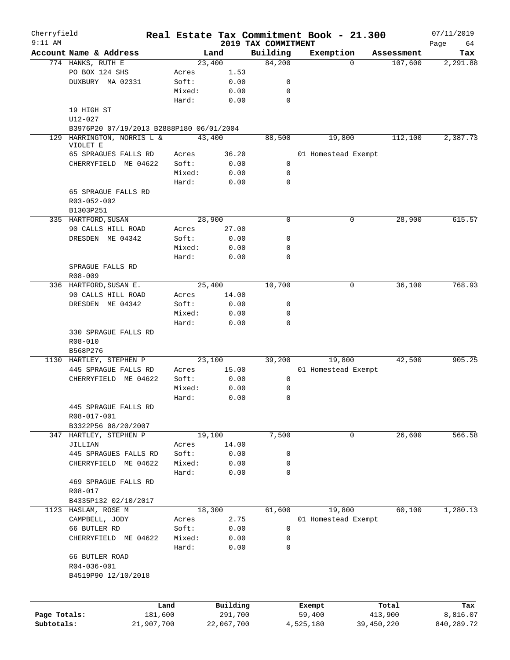| Cherryfield<br>$9:11$ AM |                                          |            |        |            |                                 | Real Estate Tax Commitment Book - 21.300 |            |            | 07/11/2019        |
|--------------------------|------------------------------------------|------------|--------|------------|---------------------------------|------------------------------------------|------------|------------|-------------------|
|                          | Account Name & Address                   |            |        | Land       | 2019 TAX COMMITMENT<br>Building | Exemption                                |            | Assessment | Page<br>64<br>Tax |
|                          | 774 HANKS, RUTH E                        |            |        | 23,400     | 84,200                          |                                          | $\Omega$   | 107,600    | 2,291.88          |
|                          | PO BOX 124 SHS                           |            | Acres  | 1.53       |                                 |                                          |            |            |                   |
|                          | DUXBURY MA 02331                         |            | Soft:  | 0.00       | 0                               |                                          |            |            |                   |
|                          |                                          |            | Mixed: | 0.00       | 0                               |                                          |            |            |                   |
|                          |                                          |            | Hard:  | 0.00       | $\mathbf 0$                     |                                          |            |            |                   |
|                          | 19 HIGH ST                               |            |        |            |                                 |                                          |            |            |                   |
|                          | $U12 - 027$                              |            |        |            |                                 |                                          |            |            |                   |
|                          | B3976P20 07/19/2013 B2888P180 06/01/2004 |            |        |            |                                 |                                          |            |            |                   |
|                          | 129 HARRINGTON, NORRIS L &               |            |        | 43,400     | 88,500                          | 19,800                                   |            | 112,100    | 2,387.73          |
|                          | VIOLET E                                 |            |        |            |                                 |                                          |            |            |                   |
|                          | 65 SPRAGUES FALLS RD                     |            | Acres  | 36.20      |                                 | 01 Homestead Exempt                      |            |            |                   |
|                          | CHERRYFIELD ME 04622                     |            | Soft:  | 0.00       | $\mathsf{O}$                    |                                          |            |            |                   |
|                          |                                          |            | Mixed: | 0.00       | 0                               |                                          |            |            |                   |
|                          |                                          |            | Hard:  | 0.00       | 0                               |                                          |            |            |                   |
|                          | 65 SPRAGUE FALLS RD                      |            |        |            |                                 |                                          |            |            |                   |
|                          | R03-052-002                              |            |        |            |                                 |                                          |            |            |                   |
|                          | B1303P251                                |            |        |            |                                 |                                          |            |            |                   |
|                          | 335 HARTFORD, SUSAN                      |            |        | 28,900     | 0                               |                                          | 0          | 28,900     | 615.57            |
|                          | 90 CALLS HILL ROAD                       |            | Acres  | 27.00      |                                 |                                          |            |            |                   |
|                          | DRESDEN ME 04342                         |            | Soft:  | 0.00       | 0                               |                                          |            |            |                   |
|                          |                                          |            |        |            | 0                               |                                          |            |            |                   |
|                          |                                          |            | Mixed: | 0.00       |                                 |                                          |            |            |                   |
|                          |                                          |            | Hard:  | 0.00       | 0                               |                                          |            |            |                   |
|                          | SPRAGUE FALLS RD                         |            |        |            |                                 |                                          |            |            |                   |
|                          | R08-009                                  |            |        |            |                                 |                                          |            |            |                   |
|                          | 336 HARTFORD, SUSAN E.                   |            |        | 25,400     | 10,700                          |                                          | 0          | 36,100     | 768.93            |
|                          | 90 CALLS HILL ROAD                       |            | Acres  | 14.00      |                                 |                                          |            |            |                   |
|                          | DRESDEN ME 04342                         |            | Soft:  | 0.00       | 0                               |                                          |            |            |                   |
|                          |                                          |            | Mixed: | 0.00       | 0                               |                                          |            |            |                   |
|                          |                                          |            | Hard:  | 0.00       | $\mathbf 0$                     |                                          |            |            |                   |
|                          | 330 SPRAGUE FALLS RD                     |            |        |            |                                 |                                          |            |            |                   |
|                          | R08-010                                  |            |        |            |                                 |                                          |            |            |                   |
|                          | B568P276                                 |            |        |            |                                 |                                          |            |            |                   |
|                          | 1130 HARTLEY, STEPHEN P                  |            |        | 23,100     | 39,200                          | 19,800                                   |            | 42,500     | 905.25            |
|                          | 445 SPRAGUE FALLS RD                     |            | Acres  | 15.00      |                                 | 01 Homestead Exempt                      |            |            |                   |
|                          | CHERRYFIELD ME 04622                     |            | Soft:  | 0.00       | $\mathbf 0$                     |                                          |            |            |                   |
|                          |                                          |            | Mixed: | 0.00       | 0                               |                                          |            |            |                   |
|                          |                                          |            | Hard:  | 0.00       | 0                               |                                          |            |            |                   |
|                          | 445 SPRAGUE FALLS RD                     |            |        |            |                                 |                                          |            |            |                   |
|                          | R08-017-001                              |            |        |            |                                 |                                          |            |            |                   |
|                          | B3322P56 08/20/2007                      |            |        |            |                                 |                                          |            |            |                   |
|                          | 347 HARTLEY, STEPHEN P                   |            |        | 19,100     | 7,500                           |                                          | 0          | 26,600     | 566.58            |
|                          | JILLIAN                                  |            | Acres  | 14.00      |                                 |                                          |            |            |                   |
|                          | 445 SPRAGUES FALLS RD                    |            | Soft:  | 0.00       | 0                               |                                          |            |            |                   |
|                          | CHERRYFIELD ME 04622                     |            | Mixed: | 0.00       | 0                               |                                          |            |            |                   |
|                          |                                          |            | Hard:  | 0.00       | 0                               |                                          |            |            |                   |
|                          | 469 SPRAGUE FALLS RD                     |            |        |            |                                 |                                          |            |            |                   |
|                          | R08-017                                  |            |        |            |                                 |                                          |            |            |                   |
|                          | B4335P132 02/10/2017                     |            |        |            |                                 |                                          |            |            |                   |
|                          | 1123 HASLAM, ROSE M                      |            |        | 18,300     | 61,600                          | 19,800                                   |            | 60,100     | 1,280.13          |
|                          | CAMPBELL, JODY                           |            | Acres  | 2.75       |                                 | 01 Homestead Exempt                      |            |            |                   |
|                          | 66 BUTLER RD                             |            | Soft:  | 0.00       | 0                               |                                          |            |            |                   |
|                          | CHERRYFIELD ME 04622                     |            | Mixed: | 0.00       | 0                               |                                          |            |            |                   |
|                          |                                          |            | Hard:  | 0.00       | 0                               |                                          |            |            |                   |
|                          | 66 BUTLER ROAD                           |            |        |            |                                 |                                          |            |            |                   |
|                          | R04-036-001                              |            |        |            |                                 |                                          |            |            |                   |
|                          | B4519P90 12/10/2018                      |            |        |            |                                 |                                          |            |            |                   |
|                          |                                          |            |        |            |                                 |                                          |            |            |                   |
|                          |                                          |            |        |            |                                 |                                          |            |            |                   |
|                          |                                          |            |        |            |                                 |                                          |            |            |                   |
|                          |                                          | Land       |        | Building   |                                 | Exempt                                   |            | Total      | Tax               |
| Page Totals:             |                                          | 181,600    |        | 291,700    |                                 | 59,400                                   |            | 413,900    | 8,816.07          |
| Subtotals:               |                                          | 21,907,700 |        | 22,067,700 |                                 | 4,525,180                                | 39,450,220 |            | 840,289.72        |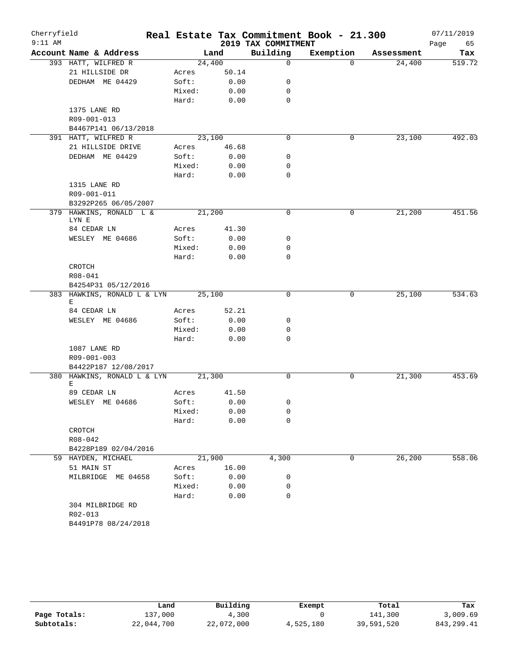| Cherryfield<br>$9:11$ AM |                                     |        |       | 2019 TAX COMMITMENT | Real Estate Tax Commitment Book - 21.300 |            | 07/11/2019<br>Page<br>65 |
|--------------------------|-------------------------------------|--------|-------|---------------------|------------------------------------------|------------|--------------------------|
|                          | Account Name & Address              | Land   |       | Building            | Exemption                                | Assessment | Tax                      |
|                          | 393 HATT, WILFRED R                 | 24,400 |       | $\mathbf 0$         | $\Omega$                                 | 24,400     | 519.72                   |
|                          | 21 HILLSIDE DR                      | Acres  | 50.14 |                     |                                          |            |                          |
|                          | DEDHAM ME 04429                     | Soft:  | 0.00  | 0                   |                                          |            |                          |
|                          |                                     | Mixed: | 0.00  | 0                   |                                          |            |                          |
|                          |                                     | Hard:  | 0.00  | $\mathbf 0$         |                                          |            |                          |
|                          | 1375 LANE RD                        |        |       |                     |                                          |            |                          |
|                          | R09-001-013                         |        |       |                     |                                          |            |                          |
|                          | B4467P141 06/13/2018                |        |       |                     |                                          |            |                          |
|                          | 391 HATT, WILFRED R                 | 23,100 |       | $\mathbf 0$         | 0                                        | 23,100     | 492.03                   |
|                          | 21 HILLSIDE DRIVE                   | Acres  | 46.68 |                     |                                          |            |                          |
|                          | DEDHAM ME 04429                     | Soft:  | 0.00  | 0                   |                                          |            |                          |
|                          |                                     | Mixed: | 0.00  | 0                   |                                          |            |                          |
|                          |                                     | Hard:  | 0.00  | $\mathbf 0$         |                                          |            |                          |
|                          | 1315 LANE RD                        |        |       |                     |                                          |            |                          |
|                          | R09-001-011<br>B3292P265 06/05/2007 |        |       |                     |                                          |            |                          |
|                          | 379 HAWKINS, RONALD L &             | 21,200 |       | $\mathbf 0$         | 0                                        | 21,200     | 451.56                   |
|                          | LYN E                               |        |       |                     |                                          |            |                          |
|                          | 84 CEDAR LN                         | Acres  | 41.30 |                     |                                          |            |                          |
|                          | WESLEY ME 04686                     | Soft:  | 0.00  | 0                   |                                          |            |                          |
|                          |                                     | Mixed: | 0.00  | 0                   |                                          |            |                          |
|                          |                                     | Hard:  | 0.00  | 0                   |                                          |            |                          |
|                          | CROTCH                              |        |       |                     |                                          |            |                          |
|                          | R08-041                             |        |       |                     |                                          |            |                          |
|                          | B4254P31 05/12/2016                 |        |       |                     |                                          |            |                          |
|                          | 383 HAWKINS, RONALD L & LYN         | 25,100 |       | 0                   | 0                                        | 25,100     | 534.63                   |
|                          | Е<br>84 CEDAR LN                    | Acres  | 52.21 |                     |                                          |            |                          |
|                          | WESLEY ME 04686                     | Soft:  | 0.00  | 0                   |                                          |            |                          |
|                          |                                     | Mixed: | 0.00  | 0                   |                                          |            |                          |
|                          |                                     | Hard:  | 0.00  | $\mathbf 0$         |                                          |            |                          |
|                          | 1087 LANE RD                        |        |       |                     |                                          |            |                          |
|                          | R09-001-003                         |        |       |                     |                                          |            |                          |
|                          | B4422P187 12/08/2017                |        |       |                     |                                          |            |                          |
|                          | 380 HAWKINS, RONALD L & LYN         | 21,300 |       | 0                   | 0                                        | 21,300     | 453.69                   |
|                          | Е                                   |        |       |                     |                                          |            |                          |
|                          | 89 CEDAR LN                         | Acres  | 41.50 |                     |                                          |            |                          |
|                          | WESLEY ME 04686                     | Soft:  | 0.00  | 0                   |                                          |            |                          |
|                          |                                     | Mixed: | 0.00  | 0                   |                                          |            |                          |
|                          |                                     | Hard:  | 0.00  | 0                   |                                          |            |                          |
|                          | CROTCH                              |        |       |                     |                                          |            |                          |
|                          | R08-042<br>B4228P189 02/04/2016     |        |       |                     |                                          |            |                          |
|                          | 59 HAYDEN, MICHAEL                  | 21,900 |       | 4,300               | 0                                        | 26,200     | 558.06                   |
|                          | 51 MAIN ST                          | Acres  | 16.00 |                     |                                          |            |                          |
|                          | MILBRIDGE ME 04658                  | Soft:  | 0.00  | 0                   |                                          |            |                          |
|                          |                                     | Mixed: | 0.00  | 0                   |                                          |            |                          |
|                          |                                     | Hard:  | 0.00  | 0                   |                                          |            |                          |
|                          | 304 MILBRIDGE RD                    |        |       |                     |                                          |            |                          |
|                          | R02-013                             |        |       |                     |                                          |            |                          |
|                          | B4491P78 08/24/2018                 |        |       |                     |                                          |            |                          |
|                          |                                     |        |       |                     |                                          |            |                          |

|              | Land       | Building   | Exempt    | Total      | Tax        |
|--------------|------------|------------|-----------|------------|------------|
| Page Totals: | 137,000    | 4,300      |           | 141,300    | 3,009.69   |
| Subtotals:   | 22,044,700 | 22,072,000 | 4,525,180 | 39,591,520 | 843,299.41 |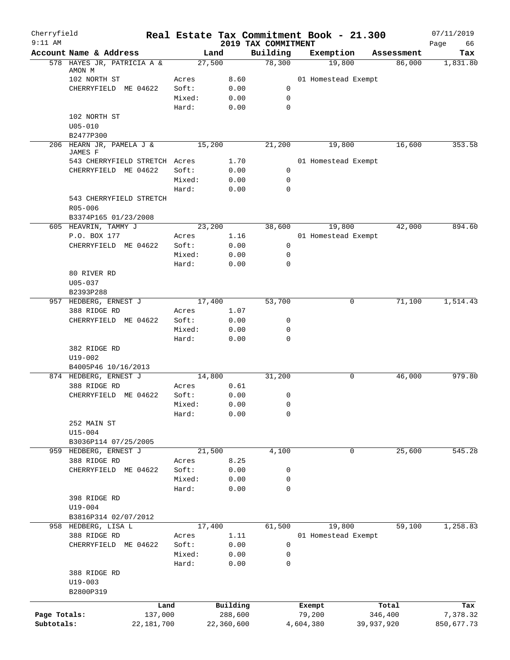| Cherryfield  |                                     |                |              |                                 | Real Estate Tax Commitment Book - 21.300 |             | 07/11/2019        |
|--------------|-------------------------------------|----------------|--------------|---------------------------------|------------------------------------------|-------------|-------------------|
| $9:11$ AM    | Account Name & Address              |                | Land         | 2019 TAX COMMITMENT<br>Building | Exemption                                | Assessment  | Page<br>66<br>Tax |
|              | 578 HAYES JR, PATRICIA A &          |                | 27,500       | 78,300                          | 19,800                                   | 86,000      | 1,831.80          |
|              | AMON M                              |                |              |                                 |                                          |             |                   |
|              | 102 NORTH ST                        | Acres<br>Soft: | 8.60<br>0.00 | 0                               | 01 Homestead Exempt                      |             |                   |
|              | CHERRYFIELD ME 04622                | Mixed:         | 0.00         | 0                               |                                          |             |                   |
|              |                                     | Hard:          | 0.00         | 0                               |                                          |             |                   |
|              | 102 NORTH ST                        |                |              |                                 |                                          |             |                   |
|              | $U05 - 010$                         |                |              |                                 |                                          |             |                   |
|              | B2477P300                           |                |              |                                 |                                          |             |                   |
|              | 206 HEARN JR, PAMELA J &<br>JAMES F |                | 15,200       | 21,200                          | 19,800                                   | 16,600      | 353.58            |
|              | 543 CHERRYFIELD STRETCH Acres       |                | 1.70         |                                 | 01 Homestead Exempt                      |             |                   |
|              | CHERRYFIELD ME 04622                | Soft:          | 0.00         | 0                               |                                          |             |                   |
|              |                                     | Mixed:         | 0.00         | 0                               |                                          |             |                   |
|              |                                     | Hard:          | 0.00         | 0                               |                                          |             |                   |
|              | 543 CHERRYFIELD STRETCH             |                |              |                                 |                                          |             |                   |
|              | R05-006                             |                |              |                                 |                                          |             |                   |
|              | B3374P165 01/23/2008                |                |              |                                 |                                          |             |                   |
|              | 605 HEAVRIN, TAMMY J                |                | 23,200       | 38,600                          | 19,800                                   | 42,000      | 894.60            |
|              | P.O. BOX 177                        | Acres          | 1.16         |                                 | 01 Homestead Exempt                      |             |                   |
|              | CHERRYFIELD ME 04622                | Soft:          | 0.00         | 0                               |                                          |             |                   |
|              |                                     | Mixed:         | 0.00         | 0                               |                                          |             |                   |
|              |                                     | Hard:          | 0.00         | 0                               |                                          |             |                   |
|              | 80 RIVER RD                         |                |              |                                 |                                          |             |                   |
|              | $U05 - 037$                         |                |              |                                 |                                          |             |                   |
|              | B2393P288<br>957 HEDBERG, ERNEST J  |                | 17,400       | 53,700                          |                                          | 71,100<br>0 | 1,514.43          |
|              | 388 RIDGE RD                        | Acres          | 1.07         |                                 |                                          |             |                   |
|              | CHERRYFIELD ME 04622                | Soft:          | 0.00         | 0                               |                                          |             |                   |
|              |                                     | Mixed:         | 0.00         | 0                               |                                          |             |                   |
|              |                                     | Hard:          | 0.00         | 0                               |                                          |             |                   |
|              | 382 RIDGE RD                        |                |              |                                 |                                          |             |                   |
|              | $U19-002$                           |                |              |                                 |                                          |             |                   |
|              | B4005P46 10/16/2013                 |                |              |                                 |                                          |             |                   |
|              | 874 HEDBERG, ERNEST J               |                | 14,800       | 31,200                          |                                          | 46,000<br>0 | 979.80            |
|              | 388 RIDGE RD                        | Acres          | 0.61         |                                 |                                          |             |                   |
|              | CHERRYFIELD ME 04622                | Soft:          | 0.00         | 0                               |                                          |             |                   |
|              |                                     | Mixed:         | 0.00         | $\mathsf 0$                     |                                          |             |                   |
|              |                                     | Hard:          | 0.00         | 0                               |                                          |             |                   |
|              | 252 MAIN ST                         |                |              |                                 |                                          |             |                   |
|              | $U15 - 004$                         |                |              |                                 |                                          |             |                   |
|              | B3036P114 07/25/2005                |                |              |                                 |                                          |             |                   |
| 959          | HEDBERG, ERNEST J                   |                | 21,500       | 4,100                           |                                          | 25,600<br>0 | 545.28            |
|              | 388 RIDGE RD                        | Acres          | 8.25         |                                 |                                          |             |                   |
|              | CHERRYFIELD ME 04622                | Soft:          | 0.00         | 0                               |                                          |             |                   |
|              |                                     | Mixed:         | 0.00         | 0                               |                                          |             |                   |
|              |                                     | Hard:          | 0.00         | 0                               |                                          |             |                   |
|              | 398 RIDGE RD                        |                |              |                                 |                                          |             |                   |
|              | $U19 - 004$                         |                |              |                                 |                                          |             |                   |
|              | B3816P314 02/07/2012                |                |              |                                 |                                          |             |                   |
|              | 958 HEDBERG, LISA L                 |                | 17,400       | 61,500                          | 19,800                                   | 59,100      | 1,258.83          |
|              | 388 RIDGE RD                        | Acres          | 1.11         |                                 | 01 Homestead Exempt                      |             |                   |
|              | CHERRYFIELD ME 04622                | Soft:          | 0.00         | 0                               |                                          |             |                   |
|              |                                     | Mixed:         | 0.00         | 0                               |                                          |             |                   |
|              |                                     | Hard:          | 0.00         | 0                               |                                          |             |                   |
|              | 388 RIDGE RD                        |                |              |                                 |                                          |             |                   |
|              | $U19 - 003$                         |                |              |                                 |                                          |             |                   |
|              | B2800P319                           |                |              |                                 |                                          |             |                   |
|              |                                     | Land           | Building     |                                 | Exempt                                   | Total       | Tax               |
| Page Totals: |                                     | 137,000        | 288,600      |                                 | 79,200                                   | 346,400     | 7,378.32          |
| Subtotals:   |                                     | 22, 181, 700   | 22,360,600   |                                 | 4,604,380                                | 39,937,920  | 850,677.73        |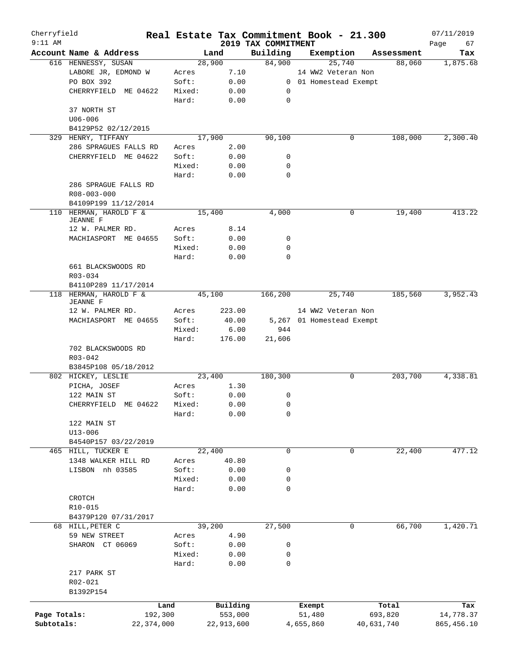| Cherryfield<br>$9:11$ AM |                                           |            |            |                                 | Real Estate Tax Commitment Book - 21.300 |            | 07/11/2019        |
|--------------------------|-------------------------------------------|------------|------------|---------------------------------|------------------------------------------|------------|-------------------|
|                          | Account Name & Address                    |            | Land       | 2019 TAX COMMITMENT<br>Building | Exemption                                | Assessment | Page<br>67<br>Tax |
|                          | 616 HENNESSY, SUSAN                       |            | 28,900     | 84,900                          | 25,740                                   | 88,060     | 1,875.68          |
|                          | LABORE JR, EDMOND W                       | Acres      | 7.10       |                                 | 14 WW2 Veteran Non                       |            |                   |
|                          | PO BOX 392                                | Soft:      | 0.00       |                                 | 0 01 Homestead Exempt                    |            |                   |
|                          | CHERRYFIELD ME 04622                      | Mixed:     | 0.00       | 0                               |                                          |            |                   |
|                          |                                           | Hard:      | 0.00       | $\mathbf 0$                     |                                          |            |                   |
|                          | 37 NORTH ST                               |            |            |                                 |                                          |            |                   |
|                          | $U06 - 006$                               |            |            |                                 |                                          |            |                   |
|                          |                                           |            |            |                                 |                                          |            |                   |
|                          | B4129P52 02/12/2015                       |            | 17,900     | 90,100                          | 0                                        |            |                   |
|                          | 329 HENRY, TIFFANY                        |            |            |                                 |                                          | 108,000    | 2,300.40          |
|                          | 286 SPRAGUES FALLS RD                     | Acres      | 2.00       |                                 |                                          |            |                   |
|                          | CHERRYFIELD ME 04622                      | Soft:      | 0.00       | 0                               |                                          |            |                   |
|                          |                                           | Mixed:     | 0.00       | 0                               |                                          |            |                   |
|                          |                                           | Hard:      | 0.00       | 0                               |                                          |            |                   |
|                          | 286 SPRAGUE FALLS RD                      |            |            |                                 |                                          |            |                   |
|                          | R08-003-000                               |            |            |                                 |                                          |            |                   |
|                          | B4109P199 11/12/2014                      |            |            |                                 |                                          |            |                   |
|                          | 110 HERMAN, HAROLD F &                    |            | 15,400     | 4,000                           | 0                                        | 19,400     | 413.22            |
|                          | <b>JEANNE F</b>                           |            |            |                                 |                                          |            |                   |
|                          | 12 W. PALMER RD.                          | Acres      | 8.14       |                                 |                                          |            |                   |
|                          | MACHIASPORT ME 04655                      | Soft:      | 0.00       | 0                               |                                          |            |                   |
|                          |                                           | Mixed:     | 0.00       | 0                               |                                          |            |                   |
|                          |                                           | Hard:      | 0.00       | 0                               |                                          |            |                   |
|                          | 661 BLACKSWOODS RD                        |            |            |                                 |                                          |            |                   |
|                          | R03-034                                   |            |            |                                 |                                          |            |                   |
|                          | B4110P289 11/17/2014                      |            |            |                                 |                                          |            |                   |
|                          | 118 HERMAN, HAROLD F &<br><b>JEANNE F</b> |            | 45,100     | 166,200                         | 25,740                                   | 185,560    | 3,952.43          |
|                          | 12 W. PALMER RD.                          | Acres      | 223.00     |                                 | 14 WW2 Veteran Non                       |            |                   |
|                          | MACHIASPORT ME 04655                      | Soft:      | 40.00      |                                 | 5,267 01 Homestead Exempt                |            |                   |
|                          |                                           | Mixed:     | 6.00       | 944                             |                                          |            |                   |
|                          |                                           | Hard:      | 176.00     | 21,606                          |                                          |            |                   |
|                          | 702 BLACKSWOODS RD                        |            |            |                                 |                                          |            |                   |
|                          | R03-042                                   |            |            |                                 |                                          |            |                   |
|                          | B3845P108 05/18/2012                      |            |            |                                 |                                          |            |                   |
|                          | 802 HICKEY, LESLIE                        |            | 23,400     | 180,300                         | 0                                        | 203,700    | 4,338.81          |
|                          | PICHA, JOSEF                              | Acres      | 1.30       |                                 |                                          |            |                   |
|                          | 122 MAIN ST                               | Soft:      | 0.00       | 0                               |                                          |            |                   |
|                          | CHERRYFIELD ME 04622                      | Mixed:     | 0.00       | 0                               |                                          |            |                   |
|                          |                                           |            |            | 0                               |                                          |            |                   |
|                          |                                           | Hard:      | 0.00       |                                 |                                          |            |                   |
|                          | 122 MAIN ST                               |            |            |                                 |                                          |            |                   |
|                          | $U13 - 006$                               |            |            |                                 |                                          |            |                   |
|                          | B4540P157 03/22/2019                      |            |            |                                 |                                          |            |                   |
|                          | 465 HILL, TUCKER E                        |            | 22,400     | 0                               | $\mathbf 0$                              | 22,400     | 477.12            |
|                          | 1348 WALKER HILL RD                       | Acres      | 40.80      |                                 |                                          |            |                   |
|                          | LISBON nh 03585                           | Soft:      | 0.00       | 0                               |                                          |            |                   |
|                          |                                           | Mixed:     | 0.00       | 0                               |                                          |            |                   |
|                          |                                           | Hard:      | 0.00       | 0                               |                                          |            |                   |
|                          | CROTCH                                    |            |            |                                 |                                          |            |                   |
|                          | R10-015                                   |            |            |                                 |                                          |            |                   |
|                          | B4379P120 07/31/2017                      |            |            |                                 |                                          |            |                   |
|                          | 68 HILL, PETER C                          |            | 39,200     | 27,500                          | 0                                        | 66,700     | 1,420.71          |
|                          | 59 NEW STREET                             | Acres      | 4.90       |                                 |                                          |            |                   |
|                          | SHARON CT 06069                           | Soft:      | 0.00       | 0                               |                                          |            |                   |
|                          |                                           | Mixed:     | 0.00       | 0                               |                                          |            |                   |
|                          |                                           | Hard:      | 0.00       | 0                               |                                          |            |                   |
|                          | 217 PARK ST                               |            |            |                                 |                                          |            |                   |
|                          | R02-021                                   |            |            |                                 |                                          |            |                   |
|                          | B1392P154                                 |            |            |                                 |                                          |            |                   |
|                          |                                           | Land       | Building   |                                 | Exempt                                   | Total      | Tax               |
| Page Totals:             |                                           | 192,300    | 553,000    |                                 | 51,480                                   | 693,820    | 14,778.37         |
| Subtotals:               |                                           | 22,374,000 | 22,913,600 |                                 | 4,655,860                                | 40,631,740 | 865, 456.10       |
|                          |                                           |            |            |                                 |                                          |            |                   |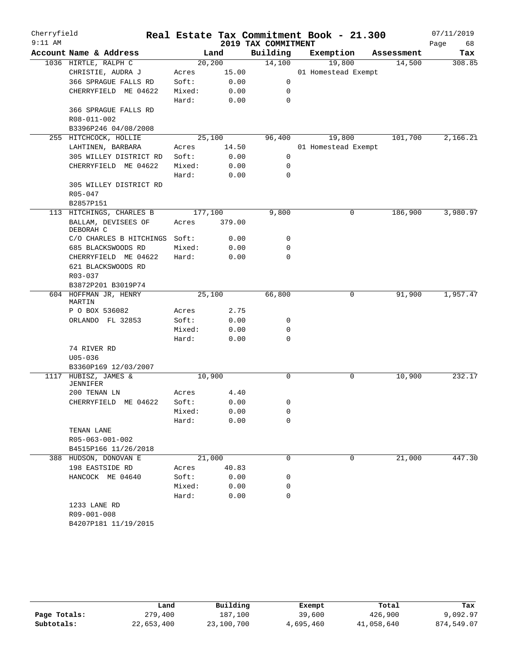| Cherryfield<br>$9:11$ AM |                                             |         |        | 2019 TAX COMMITMENT | Real Estate Tax Commitment Book - 21.300 |            | 07/11/2019<br>Page<br>68 |
|--------------------------|---------------------------------------------|---------|--------|---------------------|------------------------------------------|------------|--------------------------|
|                          | Account Name & Address                      |         | Land   | Building            | Exemption                                | Assessment | Tax                      |
|                          | 1036 HIRTLE, RALPH C                        | 20, 200 |        | 14,100              | 19,800                                   | 14,500     | 308.85                   |
|                          | CHRISTIE, AUDRA J                           | Acres   | 15.00  |                     | 01 Homestead Exempt                      |            |                          |
|                          | 366 SPRAGUE FALLS RD                        | Soft:   | 0.00   | 0                   |                                          |            |                          |
|                          | CHERRYFIELD ME 04622                        | Mixed:  | 0.00   | 0                   |                                          |            |                          |
|                          |                                             | Hard:   | 0.00   | $\mathbf 0$         |                                          |            |                          |
|                          | 366 SPRAGUE FALLS RD                        |         |        |                     |                                          |            |                          |
|                          | R08-011-002                                 |         |        |                     |                                          |            |                          |
|                          | B3396P246 04/08/2008                        |         |        |                     |                                          |            |                          |
|                          | 255 HITCHCOCK, HOLLIE                       |         | 25,100 | 96,400              | 19,800                                   | 101,700    | 2,166.21                 |
|                          | LAHTINEN, BARBARA                           | Acres   | 14.50  |                     | 01 Homestead Exempt                      |            |                          |
|                          | 305 WILLEY DISTRICT RD                      | Soft:   | 0.00   | 0                   |                                          |            |                          |
|                          | CHERRYFIELD ME 04622                        | Mixed:  | 0.00   | 0                   |                                          |            |                          |
|                          |                                             | Hard:   | 0.00   | $\mathbf 0$         |                                          |            |                          |
|                          | 305 WILLEY DISTRICT RD                      |         |        |                     |                                          |            |                          |
|                          | $R05 - 047$                                 |         |        |                     |                                          |            |                          |
|                          | B2857P151                                   |         |        |                     |                                          |            |                          |
|                          | 113 HITCHINGS, CHARLES B                    | 177,100 |        | 9,800               | 0                                        | 186,900    | 3,980.97                 |
|                          | BALLAM, DEVISEES OF                         | Acres   | 379.00 |                     |                                          |            |                          |
|                          | DEBORAH C                                   |         |        |                     |                                          |            |                          |
|                          | C/O CHARLES B HITCHINGS                     | Soft:   | 0.00   | 0                   |                                          |            |                          |
|                          | 685 BLACKSWOODS RD                          | Mixed:  | 0.00   | 0                   |                                          |            |                          |
|                          | CHERRYFIELD ME 04622                        | Hard:   | 0.00   | 0                   |                                          |            |                          |
|                          | 621 BLACKSWOODS RD                          |         |        |                     |                                          |            |                          |
|                          | R03-037                                     |         |        |                     |                                          |            |                          |
|                          | B3872P201 B3019P74<br>604 HOFFMAN JR, HENRY |         | 25,100 | 66,800              | 0                                        | 91,900     | 1,957.47                 |
|                          | MARTIN                                      |         |        |                     |                                          |            |                          |
|                          | P O BOX 536082                              | Acres   | 2.75   |                     |                                          |            |                          |
|                          | ORLANDO FL 32853                            | Soft:   | 0.00   | 0                   |                                          |            |                          |
|                          |                                             | Mixed:  | 0.00   | 0                   |                                          |            |                          |
|                          |                                             | Hard:   | 0.00   | $\mathbf 0$         |                                          |            |                          |
|                          | 74 RIVER RD                                 |         |        |                     |                                          |            |                          |
|                          | $U05 - 036$                                 |         |        |                     |                                          |            |                          |
|                          | B3360P169 12/03/2007                        |         |        |                     |                                          |            |                          |
|                          | 1117 HUBISZ, JAMES &                        | 10,900  |        | $\mathbf 0$         | 0                                        | 10,900     | 232.17                   |
|                          | <b>JENNIFER</b>                             |         |        |                     |                                          |            |                          |
|                          | 200 TENAN LN                                | Acres   | 4.40   |                     |                                          |            |                          |
|                          | CHERRYFIELD ME 04622                        | Soft:   | 0.00   | 0                   |                                          |            |                          |
|                          |                                             | Mixed:  | 0.00   | 0                   |                                          |            |                          |
|                          |                                             | Hard:   | 0.00   | 0                   |                                          |            |                          |
|                          | TENAN LANE                                  |         |        |                     |                                          |            |                          |
|                          | R05-063-001-002                             |         |        |                     |                                          |            |                          |
|                          | B4515P166 11/26/2018                        |         |        |                     |                                          |            |                          |
|                          | 388 HUDSON, DONOVAN E                       | 21,000  |        | 0                   | 0                                        | 21,000     | 447.30                   |
|                          | 198 EASTSIDE RD                             | Acres   | 40.83  |                     |                                          |            |                          |
|                          | HANCOCK ME 04640                            | Soft:   | 0.00   | 0                   |                                          |            |                          |
|                          |                                             | Mixed:  | 0.00   | 0                   |                                          |            |                          |
|                          |                                             | Hard:   | 0.00   | 0                   |                                          |            |                          |
|                          | 1233 LANE RD                                |         |        |                     |                                          |            |                          |
|                          | R09-001-008<br>B4207P181 11/19/2015         |         |        |                     |                                          |            |                          |
|                          |                                             |         |        |                     |                                          |            |                          |

|              | Land       | Building   | Exempt    | Total      | Tax        |
|--------------|------------|------------|-----------|------------|------------|
| Page Totals: | 279,400    | 187.100    | 39,600    | 426,900    | 9,092.97   |
| Subtotals:   | 22,653,400 | 23,100,700 | 4,695,460 | 41,058,640 | 874,549.07 |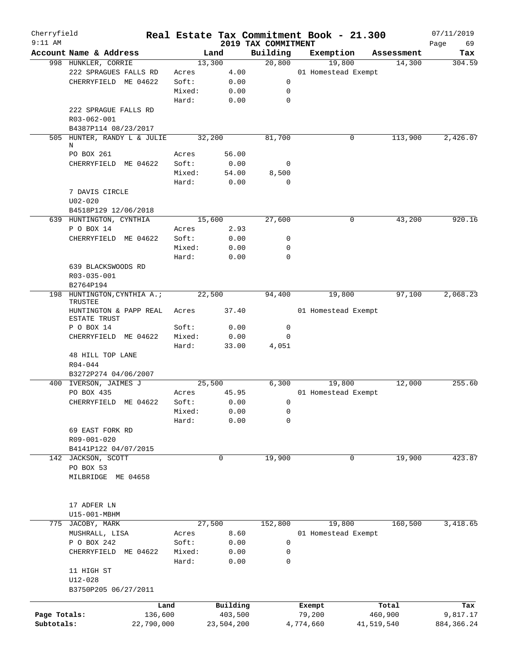| Cherryfield<br>$9:11$ AM |                                        |        |            |                                 | Real Estate Tax Commitment Book - 21.300 |            | 07/11/2019        |
|--------------------------|----------------------------------------|--------|------------|---------------------------------|------------------------------------------|------------|-------------------|
|                          | Account Name & Address                 |        | Land       | 2019 TAX COMMITMENT<br>Building | Exemption                                | Assessment | Page<br>69<br>Tax |
|                          | 998 HUNKLER, CORRIE                    |        | 13,300     | 20,800                          | 19,800                                   | 14,300     | 304.59            |
|                          | 222 SPRAGUES FALLS RD                  | Acres  | 4.00       |                                 | 01 Homestead Exempt                      |            |                   |
|                          | CHERRYFIELD ME 04622                   | Soft:  | 0.00       | 0                               |                                          |            |                   |
|                          |                                        | Mixed: | 0.00       | 0                               |                                          |            |                   |
|                          |                                        | Hard:  | 0.00       | $\mathbf 0$                     |                                          |            |                   |
|                          | 222 SPRAGUE FALLS RD                   |        |            |                                 |                                          |            |                   |
|                          | R03-062-001                            |        |            |                                 |                                          |            |                   |
|                          | B4387P114 08/23/2017                   |        |            |                                 |                                          |            |                   |
|                          | 505 HUNTER, RANDY L & JULIE            |        | 32,200     | 81,700                          | 0                                        | 113,900    | 2,426.07          |
|                          | N                                      |        |            |                                 |                                          |            |                   |
|                          | PO BOX 261                             | Acres  | 56.00      |                                 |                                          |            |                   |
|                          | CHERRYFIELD ME 04622                   | Soft:  | 0.00       | 0                               |                                          |            |                   |
|                          |                                        | Mixed: | 54.00      | 8,500                           |                                          |            |                   |
|                          |                                        | Hard:  | 0.00       | $\mathbf 0$                     |                                          |            |                   |
|                          | 7 DAVIS CIRCLE                         |        |            |                                 |                                          |            |                   |
|                          | $U02 - 020$                            |        |            |                                 |                                          |            |                   |
|                          | B4518P129 12/06/2018                   |        |            |                                 |                                          |            |                   |
|                          | 639 HUNTINGTON, CYNTHIA                |        | 15,600     | 27,600                          | 0                                        | 43,200     | 920.16            |
|                          | P O BOX 14                             | Acres  | 2.93       |                                 |                                          |            |                   |
|                          | CHERRYFIELD ME 04622                   | Soft:  | 0.00       | 0                               |                                          |            |                   |
|                          |                                        | Mixed: | 0.00       | $\mathbf 0$                     |                                          |            |                   |
|                          |                                        | Hard:  | 0.00       | $\mathbf 0$                     |                                          |            |                   |
|                          | 639 BLACKSWOODS RD                     |        |            |                                 |                                          |            |                   |
|                          | R03-035-001                            |        |            |                                 |                                          |            |                   |
|                          | B2764P194                              |        |            |                                 |                                          |            |                   |
|                          | 198 HUNTINGTON, CYNTHIA A.;<br>TRUSTEE |        | 22,500     | 94,400                          | 19,800                                   | 97,100     | 2,068.23          |
|                          | HUNTINGTON & PAPP REAL                 | Acres  | 37.40      |                                 | 01 Homestead Exempt                      |            |                   |
|                          | ESTATE TRUST                           |        |            |                                 |                                          |            |                   |
|                          | P O BOX 14                             | Soft:  | 0.00       | 0                               |                                          |            |                   |
|                          | CHERRYFIELD ME 04622                   | Mixed: | 0.00       | $\mathbf 0$                     |                                          |            |                   |
|                          |                                        | Hard:  | 33.00      | 4,051                           |                                          |            |                   |
|                          | 48 HILL TOP LANE                       |        |            |                                 |                                          |            |                   |
|                          | $R04 - 044$                            |        |            |                                 |                                          |            |                   |
|                          | B3272P274 04/06/2007                   |        |            |                                 |                                          |            |                   |
| 400                      | IVERSON, JAIMES J                      |        | 25,500     | 6,300                           | 19,800                                   | 12,000     | 255.60            |
|                          | PO BOX 435                             | Acres  | 45.95      |                                 | 01 Homestead Exempt                      |            |                   |
|                          | CHERRYFIELD ME 04622                   | Soft:  | 0.00       | $\mathbf 0$                     |                                          |            |                   |
|                          |                                        | Mixed: | 0.00       | 0                               |                                          |            |                   |
|                          |                                        | Hard:  | 0.00       | 0                               |                                          |            |                   |
|                          | 69 EAST FORK RD                        |        |            |                                 |                                          |            |                   |
|                          | R09-001-020                            |        |            |                                 |                                          |            |                   |
|                          | B4141P122 04/07/2015                   |        |            |                                 |                                          |            |                   |
| 142                      | JACKSON, SCOTT                         |        | 0          | 19,900                          | 0                                        | 19,900     | 423.87            |
|                          | PO BOX 53                              |        |            |                                 |                                          |            |                   |
|                          | MILBRIDGE ME 04658                     |        |            |                                 |                                          |            |                   |
|                          |                                        |        |            |                                 |                                          |            |                   |
|                          | 17 ADFER LN                            |        |            |                                 |                                          |            |                   |
|                          | U15-001-MBHM                           |        |            |                                 |                                          |            |                   |
| 775                      | JACOBY, MARK                           |        | 27,500     | 152,800                         | 19,800                                   | 160,500    | 3,418.65          |
|                          | MUSHRALL, LISA                         | Acres  | 8.60       |                                 | 01 Homestead Exempt                      |            |                   |
|                          | P O BOX 242                            | Soft:  | 0.00       | 0                               |                                          |            |                   |
|                          | CHERRYFIELD<br>ME 04622                | Mixed: | 0.00       | 0                               |                                          |            |                   |
|                          |                                        | Hard:  | 0.00       | $\mathbf 0$                     |                                          |            |                   |
|                          | 11 HIGH ST                             |        |            |                                 |                                          |            |                   |
|                          | $U12 - 028$                            |        |            |                                 |                                          |            |                   |
|                          | B3750P205 06/27/2011                   |        |            |                                 |                                          |            |                   |
|                          |                                        |        |            |                                 |                                          |            |                   |
|                          |                                        | Land   | Building   |                                 | Exempt                                   | Total      | Tax               |
| Page Totals:             | 136,600                                |        | 403,500    |                                 | 79,200                                   | 460,900    | 9,817.17          |
| Subtotals:               | 22,790,000                             |        | 23,504,200 |                                 | 4,774,660                                | 41,519,540 | 884, 366.24       |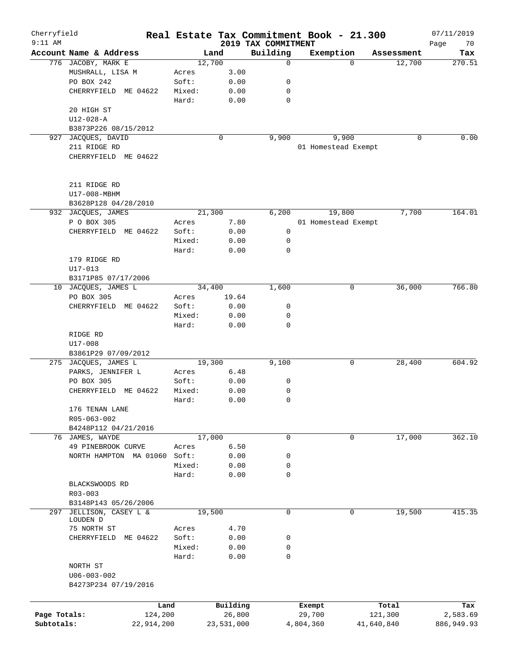| Cherryfield  |                                        |        |                    |                                 | Real Estate Tax Commitment Book - 21.300 |                    | 07/11/2019        |
|--------------|----------------------------------------|--------|--------------------|---------------------------------|------------------------------------------|--------------------|-------------------|
| $9:11$ AM    | Account Name & Address                 |        | Land               | 2019 TAX COMMITMENT<br>Building | Exemption                                | Assessment         | Page<br>70<br>Tax |
|              | 776 JACOBY, MARK E                     |        | 12,700             | 0                               |                                          | 12,700<br>$\Omega$ | 270.51            |
|              | MUSHRALL, LISA M                       | Acres  | 3.00               |                                 |                                          |                    |                   |
|              | PO BOX 242                             | Soft:  | 0.00               | 0                               |                                          |                    |                   |
|              | CHERRYFIELD ME 04622                   | Mixed: | 0.00               | 0                               |                                          |                    |                   |
|              |                                        | Hard:  | 0.00               | 0                               |                                          |                    |                   |
|              | 20 HIGH ST                             |        |                    |                                 |                                          |                    |                   |
|              | $U12 - 028 - A$                        |        |                    |                                 |                                          |                    |                   |
|              |                                        |        |                    |                                 |                                          |                    |                   |
| 927          | B3873P226 08/15/2012<br>JACQUES, DAVID |        | 0                  | 9,900                           | 9,900                                    |                    | 0.00<br>0         |
|              |                                        |        |                    |                                 |                                          |                    |                   |
|              | 211 RIDGE RD                           |        |                    |                                 | 01 Homestead Exempt                      |                    |                   |
|              | CHERRYFIELD ME 04622                   |        |                    |                                 |                                          |                    |                   |
|              | 211 RIDGE RD                           |        |                    |                                 |                                          |                    |                   |
|              | U17-008-MBHM                           |        |                    |                                 |                                          |                    |                   |
|              | B3628P128 04/28/2010                   |        |                    |                                 |                                          |                    |                   |
|              | 932 JACQUES, JAMES                     |        | 21,300             | 6,200                           | 19,800                                   | 7,700              | 164.01            |
|              | P O BOX 305                            | Acres  | 7.80               |                                 | 01 Homestead Exempt                      |                    |                   |
|              | CHERRYFIELD ME 04622                   | Soft:  | 0.00               | 0                               |                                          |                    |                   |
|              |                                        | Mixed: | 0.00               | 0                               |                                          |                    |                   |
|              |                                        | Hard:  | 0.00               | 0                               |                                          |                    |                   |
|              | 179 RIDGE RD                           |        |                    |                                 |                                          |                    |                   |
|              | $U17 - 013$                            |        |                    |                                 |                                          |                    |                   |
|              |                                        |        |                    |                                 |                                          |                    |                   |
|              | B3171P85 07/17/2006                    |        |                    |                                 |                                          |                    |                   |
| 10           | JACQUES, JAMES L                       |        | 34,400             | 1,600                           |                                          | 0<br>36,000        | 766.80            |
|              | PO BOX 305                             | Acres  | 19.64              |                                 |                                          |                    |                   |
|              | CHERRYFIELD ME 04622                   | Soft:  | 0.00               | 0                               |                                          |                    |                   |
|              |                                        | Mixed: | 0.00               | 0                               |                                          |                    |                   |
|              |                                        | Hard:  | 0.00               | 0                               |                                          |                    |                   |
|              | RIDGE RD                               |        |                    |                                 |                                          |                    |                   |
|              | U17-008                                |        |                    |                                 |                                          |                    |                   |
|              | B3861P29 07/09/2012                    |        |                    |                                 |                                          |                    |                   |
|              | 275 JACQUES, JAMES L                   |        | 19,300             | 9,100                           |                                          | 0<br>28,400        | 604.92            |
|              | PARKS, JENNIFER L                      | Acres  | 6.48               |                                 |                                          |                    |                   |
|              | PO BOX 305                             | Soft:  | 0.00               | 0                               |                                          |                    |                   |
|              | CHERRYFIELD<br>ME 04622                | Mixed: | 0.00               | 0                               |                                          |                    |                   |
|              |                                        | Hard:  | 0.00               | 0                               |                                          |                    |                   |
|              | 176 TENAN LANE                         |        |                    |                                 |                                          |                    |                   |
|              | R05-063-002                            |        |                    |                                 |                                          |                    |                   |
|              | B4248P112 04/21/2016                   |        |                    |                                 |                                          |                    |                   |
|              | 76 JAMES, WAYDE                        |        | 17,000             | 0                               |                                          | 17,000<br>0        | 362.10            |
|              | 49 PINEBROOK CURVE                     | Acres  | 6.50               |                                 |                                          |                    |                   |
|              | NORTH HAMPTON MA 01060                 | Soft:  | 0.00               | 0                               |                                          |                    |                   |
|              |                                        | Mixed: | 0.00               | 0                               |                                          |                    |                   |
|              |                                        | Hard:  | 0.00               | 0                               |                                          |                    |                   |
|              | BLACKSWOODS RD                         |        |                    |                                 |                                          |                    |                   |
|              | $R03 - 003$                            |        |                    |                                 |                                          |                    |                   |
|              | B3148P143 05/26/2006                   |        |                    |                                 |                                          |                    |                   |
| 297          | JELLISON, CASEY L &                    |        | 19,500             | $\mathsf{O}$                    |                                          | 19,500<br>0        | 415.35            |
|              | LOUDEN D                               |        |                    |                                 |                                          |                    |                   |
|              | 75 NORTH ST                            | Acres  | 4.70               |                                 |                                          |                    |                   |
|              | ME 04622<br>CHERRYFIELD                | Soft:  | 0.00               | 0                               |                                          |                    |                   |
|              |                                        | Mixed: | 0.00               | 0                               |                                          |                    |                   |
|              |                                        | Hard:  | 0.00               | 0                               |                                          |                    |                   |
|              | NORTH ST                               |        |                    |                                 |                                          |                    |                   |
|              | $U06 - 003 - 002$                      |        |                    |                                 |                                          |                    |                   |
|              | B4273P234 07/19/2016                   |        |                    |                                 |                                          |                    |                   |
|              |                                        |        |                    |                                 |                                          |                    |                   |
|              |                                        |        |                    |                                 |                                          |                    |                   |
|              |                                        | Land   | Building<br>26,800 |                                 | Exempt                                   | Total              | Tax               |
| Page Totals: | 124,200                                |        |                    |                                 | 29,700                                   | 121,300            | 2,583.69          |
| Subtotals:   | 22,914,200                             |        | 23,531,000         |                                 | 4,804,360                                | 41,640,840         | 886,949.93        |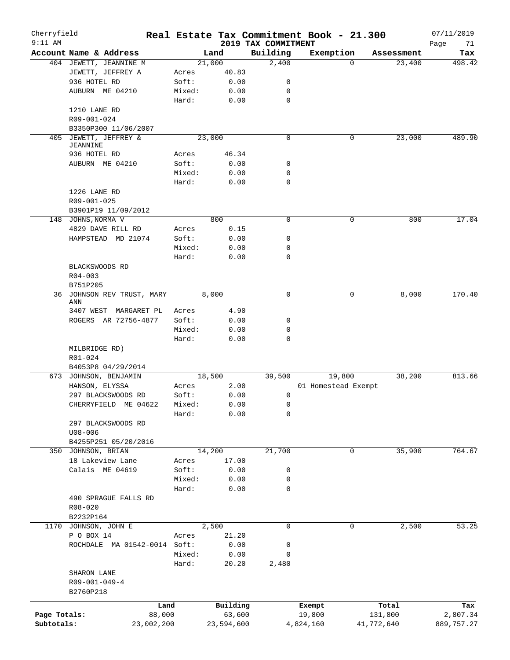| Cherryfield<br>$9:11$ AM |                                          |        |            |                                 | Real Estate Tax Commitment Book - 21.300 |            | 07/11/2019        |
|--------------------------|------------------------------------------|--------|------------|---------------------------------|------------------------------------------|------------|-------------------|
|                          | Account Name & Address                   |        | Land       | 2019 TAX COMMITMENT<br>Building | Exemption                                | Assessment | Page<br>71<br>Tax |
|                          | 404 JEWETT, JEANNINE M                   |        | 21,000     | 2,400                           | $\Omega$                                 | 23,400     | 498.42            |
|                          | JEWETT, JEFFREY A                        | Acres  | 40.83      |                                 |                                          |            |                   |
|                          | 936 HOTEL RD                             | Soft:  | 0.00       | 0                               |                                          |            |                   |
|                          | AUBURN ME 04210                          | Mixed: | 0.00       | 0                               |                                          |            |                   |
|                          |                                          | Hard:  | 0.00       | $\mathbf 0$                     |                                          |            |                   |
|                          | 1210 LANE RD                             |        |            |                                 |                                          |            |                   |
|                          | R09-001-024                              |        |            |                                 |                                          |            |                   |
|                          | B3350P300 11/06/2007                     |        |            |                                 |                                          |            |                   |
|                          |                                          |        | 23,000     | $\mathbf 0$                     | 0                                        |            | 489.90            |
|                          | 405 JEWETT, JEFFREY &<br><b>JEANNINE</b> |        |            |                                 |                                          | 23,000     |                   |
|                          | 936 HOTEL RD                             | Acres  | 46.34      |                                 |                                          |            |                   |
|                          | AUBURN ME 04210                          | Soft:  | 0.00       | 0                               |                                          |            |                   |
|                          |                                          | Mixed: | 0.00       | 0                               |                                          |            |                   |
|                          |                                          | Hard:  | 0.00       | 0                               |                                          |            |                   |
|                          | 1226 LANE RD                             |        |            |                                 |                                          |            |                   |
|                          | R09-001-025                              |        |            |                                 |                                          |            |                   |
|                          |                                          |        |            |                                 |                                          |            |                   |
|                          | B3901P19 11/09/2012                      |        |            |                                 |                                          |            |                   |
|                          | 148 JOHNS, NORMA V                       |        | 800        | $\mathbf 0$                     | $\mathsf{O}$                             | 800        | 17.04             |
|                          | 4829 DAVE RILL RD                        | Acres  | 0.15       |                                 |                                          |            |                   |
|                          | HAMPSTEAD MD 21074                       | Soft:  | 0.00       | 0                               |                                          |            |                   |
|                          |                                          | Mixed: | 0.00       | 0                               |                                          |            |                   |
|                          |                                          | Hard:  | 0.00       | 0                               |                                          |            |                   |
|                          | BLACKSWOODS RD                           |        |            |                                 |                                          |            |                   |
|                          | $R04 - 003$                              |        |            |                                 |                                          |            |                   |
|                          | B751P205                                 |        |            |                                 |                                          |            |                   |
|                          | 36 JOHNSON REV TRUST, MARY<br>ANN        |        | 8,000      | $\mathbf 0$                     | 0                                        | 8,000      | 170.40            |
|                          | 3407 WEST MARGARET PL                    | Acres  | 4.90       |                                 |                                          |            |                   |
|                          | ROGERS AR 72756-4877                     | Soft:  | 0.00       | 0                               |                                          |            |                   |
|                          |                                          | Mixed: | 0.00       | 0                               |                                          |            |                   |
|                          |                                          | Hard:  | 0.00       | 0                               |                                          |            |                   |
|                          | MILBRIDGE RD)                            |        |            |                                 |                                          |            |                   |
|                          | $R01 - 024$                              |        |            |                                 |                                          |            |                   |
|                          | B4053P8 04/29/2014                       |        |            |                                 |                                          |            |                   |
|                          | 673 JOHNSON, BENJAMIN                    |        | 18,500     | 39,500                          | 19,800                                   | 38,200     | 813.66            |
|                          | HANSON, ELYSSA                           | Acres  | 2.00       |                                 | 01 Homestead Exempt                      |            |                   |
|                          | 297 BLACKSWOODS RD                       | Soft:  | 0.00       | 0                               |                                          |            |                   |
|                          | CHERRYFIELD ME 04622                     | Mixed: | 0.00       | 0                               |                                          |            |                   |
|                          |                                          | Hard:  | 0.00       | 0                               |                                          |            |                   |
|                          | 297 BLACKSWOODS RD                       |        |            |                                 |                                          |            |                   |
|                          | $U08 - 006$                              |        |            |                                 |                                          |            |                   |
|                          | B4255P251 05/20/2016                     |        |            |                                 |                                          |            |                   |
|                          | 350 JOHNSON, BRIAN                       |        | 14,200     | 21,700                          | $\mathsf{O}$                             | 35,900     | 764.67            |
|                          | 18 Lakeview Lane                         | Acres  | 17.00      |                                 |                                          |            |                   |
|                          | Calais ME 04619                          | Soft:  |            |                                 |                                          |            |                   |
|                          |                                          |        | 0.00       | 0                               |                                          |            |                   |
|                          |                                          | Mixed: | 0.00       | 0                               |                                          |            |                   |
|                          |                                          | Hard:  | 0.00       | 0                               |                                          |            |                   |
|                          | 490 SPRAGUE FALLS RD                     |        |            |                                 |                                          |            |                   |
|                          | R08-020                                  |        |            |                                 |                                          |            |                   |
|                          | B2232P164                                |        |            |                                 |                                          |            |                   |
|                          | 1170 JOHNSON, JOHN E                     |        | 2,500      | 0                               | 0                                        | 2,500      | 53.25             |
|                          | P O BOX 14                               | Acres  | 21.20      |                                 |                                          |            |                   |
|                          | ROCHDALE MA 01542-0014 Soft:             |        | 0.00       | 0                               |                                          |            |                   |
|                          |                                          | Mixed: | 0.00       | 0                               |                                          |            |                   |
|                          |                                          | Hard:  | 20.20      | 2,480                           |                                          |            |                   |
|                          | SHARON LANE                              |        |            |                                 |                                          |            |                   |
|                          | $R09 - 001 - 049 - 4$                    |        |            |                                 |                                          |            |                   |
|                          | B2760P218                                |        |            |                                 |                                          |            |                   |
|                          |                                          |        |            |                                 |                                          |            |                   |
|                          | Land                                     |        | Building   |                                 | Exempt                                   | Total      | Tax               |
| Page Totals:             | 88,000                                   |        | 63,600     |                                 | 19,800                                   | 131,800    | 2,807.34          |
| Subtotals:               | 23,002,200                               |        | 23,594,600 |                                 | 4,824,160                                | 41,772,640 | 889,757.27        |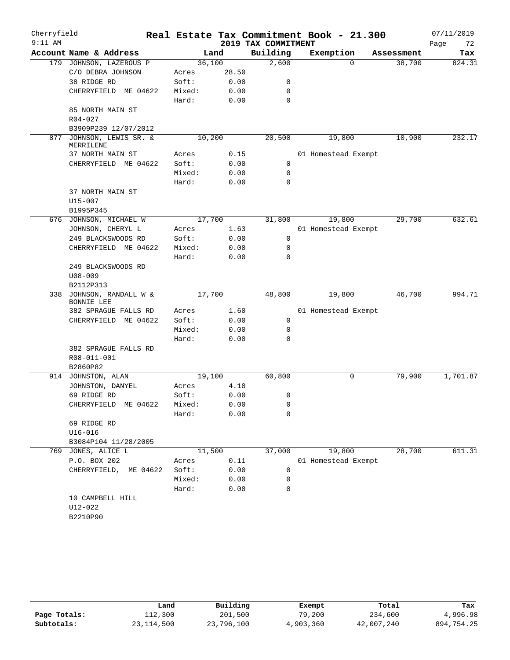| Account Name & Address<br>Building<br>Exemption<br>Land<br>Assessment<br>36,100<br>2,600<br>38,700<br>179 JOHNSON, LAZEROUS P<br>$\Omega$<br>C/O DEBRA JOHNSON<br>28.50<br>Acres<br>38 RIDGE RD<br>Soft:<br>0.00<br>0<br>CHERRYFIELD ME 04622<br>Mixed:<br>0.00<br>0<br>Hard:<br>0.00<br>0<br>85 NORTH MAIN ST<br>$R04 - 027$<br>B3909P239 12/07/2012<br>10,200<br>20,500<br>19,800<br>10,900<br>877<br>JOHNSON, LEWIS SR. &<br>MERRILENE<br>37 NORTH MAIN ST<br>0.15<br>01 Homestead Exempt<br>Acres<br>Soft:<br>0.00<br>$\mathbf 0$<br>CHERRYFIELD ME 04622<br>0.00<br>Mixed:<br>0<br>Hard:<br>0.00<br>0<br>37 NORTH MAIN ST<br>$U15 - 007$<br>B1995P345<br>17,700<br>31,800<br>19,800<br>29,700<br>676 JOHNSON, MICHAEL W<br>JOHNSON, CHERYL L<br>1.63<br>01 Homestead Exempt<br>Acres<br>249 BLACKSWOODS RD<br>Soft:<br>0.00<br>0<br>CHERRYFIELD ME 04622<br>Mixed:<br>0.00<br>0<br>Hard:<br>0.00<br>$\Omega$<br>249 BLACKSWOODS RD<br>$U08 - 009$<br>B2112P313<br>JOHNSON, RANDALL W &<br>17,700<br>48,800<br>19,800<br>46,700<br>338<br><b>BONNIE LEE</b><br>382 SPRAGUE FALLS RD<br>1.60<br>Acres<br>01 Homestead Exempt<br>CHERRYFIELD ME 04622<br>Soft:<br>0.00<br>0<br>Mixed:<br>0.00<br>0<br>Hard:<br>0.00<br>$\Omega$<br>382 SPRAGUE FALLS RD<br>R08-011-001<br>B2860P82<br>19,100<br>60,800<br>79,900<br>0<br>914 JOHNSTON, ALAN<br>4.10<br>JOHNSTON, DANYEL<br>Acres<br>69 RIDGE RD<br>Soft:<br>0.00<br>0<br>0.00<br>CHERRYFIELD ME 04622<br>Mixed:<br>0<br>0.00<br>Hard:<br>0<br>69 RIDGE RD<br>$U16 - 016$<br>B3084P104 11/28/2005<br>37,000<br>19,800<br>28,700<br>769 JONES, ALICE L<br>11,500<br>P.O. BOX 202<br>0.11<br>01 Homestead Exempt<br>Acres<br>CHERRYFIELD, ME 04622<br>Soft:<br>0.00<br>0<br>Mixed:<br>0.00<br>$\mathbf 0$<br>Hard:<br>0.00<br>0<br>10 CAMPBELL HILL | Cherryfield<br>$9:11$ AM |             |  | 2019 TAX COMMITMENT | Real Estate Tax Commitment Book - 21.300 | 07/11/2019<br>Page<br>72 |
|----------------------------------------------------------------------------------------------------------------------------------------------------------------------------------------------------------------------------------------------------------------------------------------------------------------------------------------------------------------------------------------------------------------------------------------------------------------------------------------------------------------------------------------------------------------------------------------------------------------------------------------------------------------------------------------------------------------------------------------------------------------------------------------------------------------------------------------------------------------------------------------------------------------------------------------------------------------------------------------------------------------------------------------------------------------------------------------------------------------------------------------------------------------------------------------------------------------------------------------------------------------------------------------------------------------------------------------------------------------------------------------------------------------------------------------------------------------------------------------------------------------------------------------------------------------------------------------------------------------------------------------------------------------------------------------------------------------------------------------------------------------------------------------------------|--------------------------|-------------|--|---------------------|------------------------------------------|--------------------------|
|                                                                                                                                                                                                                                                                                                                                                                                                                                                                                                                                                                                                                                                                                                                                                                                                                                                                                                                                                                                                                                                                                                                                                                                                                                                                                                                                                                                                                                                                                                                                                                                                                                                                                                                                                                                                    |                          |             |  |                     |                                          | Tax                      |
|                                                                                                                                                                                                                                                                                                                                                                                                                                                                                                                                                                                                                                                                                                                                                                                                                                                                                                                                                                                                                                                                                                                                                                                                                                                                                                                                                                                                                                                                                                                                                                                                                                                                                                                                                                                                    |                          |             |  |                     |                                          | 824.31                   |
|                                                                                                                                                                                                                                                                                                                                                                                                                                                                                                                                                                                                                                                                                                                                                                                                                                                                                                                                                                                                                                                                                                                                                                                                                                                                                                                                                                                                                                                                                                                                                                                                                                                                                                                                                                                                    |                          |             |  |                     |                                          |                          |
|                                                                                                                                                                                                                                                                                                                                                                                                                                                                                                                                                                                                                                                                                                                                                                                                                                                                                                                                                                                                                                                                                                                                                                                                                                                                                                                                                                                                                                                                                                                                                                                                                                                                                                                                                                                                    |                          |             |  |                     |                                          |                          |
|                                                                                                                                                                                                                                                                                                                                                                                                                                                                                                                                                                                                                                                                                                                                                                                                                                                                                                                                                                                                                                                                                                                                                                                                                                                                                                                                                                                                                                                                                                                                                                                                                                                                                                                                                                                                    |                          |             |  |                     |                                          |                          |
|                                                                                                                                                                                                                                                                                                                                                                                                                                                                                                                                                                                                                                                                                                                                                                                                                                                                                                                                                                                                                                                                                                                                                                                                                                                                                                                                                                                                                                                                                                                                                                                                                                                                                                                                                                                                    |                          |             |  |                     |                                          |                          |
|                                                                                                                                                                                                                                                                                                                                                                                                                                                                                                                                                                                                                                                                                                                                                                                                                                                                                                                                                                                                                                                                                                                                                                                                                                                                                                                                                                                                                                                                                                                                                                                                                                                                                                                                                                                                    |                          |             |  |                     |                                          |                          |
|                                                                                                                                                                                                                                                                                                                                                                                                                                                                                                                                                                                                                                                                                                                                                                                                                                                                                                                                                                                                                                                                                                                                                                                                                                                                                                                                                                                                                                                                                                                                                                                                                                                                                                                                                                                                    |                          |             |  |                     |                                          |                          |
|                                                                                                                                                                                                                                                                                                                                                                                                                                                                                                                                                                                                                                                                                                                                                                                                                                                                                                                                                                                                                                                                                                                                                                                                                                                                                                                                                                                                                                                                                                                                                                                                                                                                                                                                                                                                    |                          |             |  |                     |                                          |                          |
|                                                                                                                                                                                                                                                                                                                                                                                                                                                                                                                                                                                                                                                                                                                                                                                                                                                                                                                                                                                                                                                                                                                                                                                                                                                                                                                                                                                                                                                                                                                                                                                                                                                                                                                                                                                                    |                          |             |  |                     |                                          | 232.17                   |
|                                                                                                                                                                                                                                                                                                                                                                                                                                                                                                                                                                                                                                                                                                                                                                                                                                                                                                                                                                                                                                                                                                                                                                                                                                                                                                                                                                                                                                                                                                                                                                                                                                                                                                                                                                                                    |                          |             |  |                     |                                          |                          |
|                                                                                                                                                                                                                                                                                                                                                                                                                                                                                                                                                                                                                                                                                                                                                                                                                                                                                                                                                                                                                                                                                                                                                                                                                                                                                                                                                                                                                                                                                                                                                                                                                                                                                                                                                                                                    |                          |             |  |                     |                                          |                          |
|                                                                                                                                                                                                                                                                                                                                                                                                                                                                                                                                                                                                                                                                                                                                                                                                                                                                                                                                                                                                                                                                                                                                                                                                                                                                                                                                                                                                                                                                                                                                                                                                                                                                                                                                                                                                    |                          |             |  |                     |                                          |                          |
|                                                                                                                                                                                                                                                                                                                                                                                                                                                                                                                                                                                                                                                                                                                                                                                                                                                                                                                                                                                                                                                                                                                                                                                                                                                                                                                                                                                                                                                                                                                                                                                                                                                                                                                                                                                                    |                          |             |  |                     |                                          |                          |
|                                                                                                                                                                                                                                                                                                                                                                                                                                                                                                                                                                                                                                                                                                                                                                                                                                                                                                                                                                                                                                                                                                                                                                                                                                                                                                                                                                                                                                                                                                                                                                                                                                                                                                                                                                                                    |                          |             |  |                     |                                          |                          |
|                                                                                                                                                                                                                                                                                                                                                                                                                                                                                                                                                                                                                                                                                                                                                                                                                                                                                                                                                                                                                                                                                                                                                                                                                                                                                                                                                                                                                                                                                                                                                                                                                                                                                                                                                                                                    |                          |             |  |                     |                                          |                          |
|                                                                                                                                                                                                                                                                                                                                                                                                                                                                                                                                                                                                                                                                                                                                                                                                                                                                                                                                                                                                                                                                                                                                                                                                                                                                                                                                                                                                                                                                                                                                                                                                                                                                                                                                                                                                    |                          |             |  |                     |                                          |                          |
|                                                                                                                                                                                                                                                                                                                                                                                                                                                                                                                                                                                                                                                                                                                                                                                                                                                                                                                                                                                                                                                                                                                                                                                                                                                                                                                                                                                                                                                                                                                                                                                                                                                                                                                                                                                                    |                          |             |  |                     |                                          |                          |
|                                                                                                                                                                                                                                                                                                                                                                                                                                                                                                                                                                                                                                                                                                                                                                                                                                                                                                                                                                                                                                                                                                                                                                                                                                                                                                                                                                                                                                                                                                                                                                                                                                                                                                                                                                                                    |                          |             |  |                     |                                          | 632.61                   |
|                                                                                                                                                                                                                                                                                                                                                                                                                                                                                                                                                                                                                                                                                                                                                                                                                                                                                                                                                                                                                                                                                                                                                                                                                                                                                                                                                                                                                                                                                                                                                                                                                                                                                                                                                                                                    |                          |             |  |                     |                                          |                          |
|                                                                                                                                                                                                                                                                                                                                                                                                                                                                                                                                                                                                                                                                                                                                                                                                                                                                                                                                                                                                                                                                                                                                                                                                                                                                                                                                                                                                                                                                                                                                                                                                                                                                                                                                                                                                    |                          |             |  |                     |                                          |                          |
|                                                                                                                                                                                                                                                                                                                                                                                                                                                                                                                                                                                                                                                                                                                                                                                                                                                                                                                                                                                                                                                                                                                                                                                                                                                                                                                                                                                                                                                                                                                                                                                                                                                                                                                                                                                                    |                          |             |  |                     |                                          |                          |
|                                                                                                                                                                                                                                                                                                                                                                                                                                                                                                                                                                                                                                                                                                                                                                                                                                                                                                                                                                                                                                                                                                                                                                                                                                                                                                                                                                                                                                                                                                                                                                                                                                                                                                                                                                                                    |                          |             |  |                     |                                          |                          |
|                                                                                                                                                                                                                                                                                                                                                                                                                                                                                                                                                                                                                                                                                                                                                                                                                                                                                                                                                                                                                                                                                                                                                                                                                                                                                                                                                                                                                                                                                                                                                                                                                                                                                                                                                                                                    |                          |             |  |                     |                                          |                          |
|                                                                                                                                                                                                                                                                                                                                                                                                                                                                                                                                                                                                                                                                                                                                                                                                                                                                                                                                                                                                                                                                                                                                                                                                                                                                                                                                                                                                                                                                                                                                                                                                                                                                                                                                                                                                    |                          |             |  |                     |                                          |                          |
|                                                                                                                                                                                                                                                                                                                                                                                                                                                                                                                                                                                                                                                                                                                                                                                                                                                                                                                                                                                                                                                                                                                                                                                                                                                                                                                                                                                                                                                                                                                                                                                                                                                                                                                                                                                                    |                          |             |  |                     |                                          |                          |
|                                                                                                                                                                                                                                                                                                                                                                                                                                                                                                                                                                                                                                                                                                                                                                                                                                                                                                                                                                                                                                                                                                                                                                                                                                                                                                                                                                                                                                                                                                                                                                                                                                                                                                                                                                                                    |                          |             |  |                     |                                          | 994.71                   |
|                                                                                                                                                                                                                                                                                                                                                                                                                                                                                                                                                                                                                                                                                                                                                                                                                                                                                                                                                                                                                                                                                                                                                                                                                                                                                                                                                                                                                                                                                                                                                                                                                                                                                                                                                                                                    |                          |             |  |                     |                                          |                          |
|                                                                                                                                                                                                                                                                                                                                                                                                                                                                                                                                                                                                                                                                                                                                                                                                                                                                                                                                                                                                                                                                                                                                                                                                                                                                                                                                                                                                                                                                                                                                                                                                                                                                                                                                                                                                    |                          |             |  |                     |                                          |                          |
|                                                                                                                                                                                                                                                                                                                                                                                                                                                                                                                                                                                                                                                                                                                                                                                                                                                                                                                                                                                                                                                                                                                                                                                                                                                                                                                                                                                                                                                                                                                                                                                                                                                                                                                                                                                                    |                          |             |  |                     |                                          |                          |
|                                                                                                                                                                                                                                                                                                                                                                                                                                                                                                                                                                                                                                                                                                                                                                                                                                                                                                                                                                                                                                                                                                                                                                                                                                                                                                                                                                                                                                                                                                                                                                                                                                                                                                                                                                                                    |                          |             |  |                     |                                          |                          |
|                                                                                                                                                                                                                                                                                                                                                                                                                                                                                                                                                                                                                                                                                                                                                                                                                                                                                                                                                                                                                                                                                                                                                                                                                                                                                                                                                                                                                                                                                                                                                                                                                                                                                                                                                                                                    |                          |             |  |                     |                                          |                          |
|                                                                                                                                                                                                                                                                                                                                                                                                                                                                                                                                                                                                                                                                                                                                                                                                                                                                                                                                                                                                                                                                                                                                                                                                                                                                                                                                                                                                                                                                                                                                                                                                                                                                                                                                                                                                    |                          |             |  |                     |                                          |                          |
|                                                                                                                                                                                                                                                                                                                                                                                                                                                                                                                                                                                                                                                                                                                                                                                                                                                                                                                                                                                                                                                                                                                                                                                                                                                                                                                                                                                                                                                                                                                                                                                                                                                                                                                                                                                                    |                          |             |  |                     |                                          |                          |
|                                                                                                                                                                                                                                                                                                                                                                                                                                                                                                                                                                                                                                                                                                                                                                                                                                                                                                                                                                                                                                                                                                                                                                                                                                                                                                                                                                                                                                                                                                                                                                                                                                                                                                                                                                                                    |                          |             |  |                     |                                          | 1,701.87                 |
|                                                                                                                                                                                                                                                                                                                                                                                                                                                                                                                                                                                                                                                                                                                                                                                                                                                                                                                                                                                                                                                                                                                                                                                                                                                                                                                                                                                                                                                                                                                                                                                                                                                                                                                                                                                                    |                          |             |  |                     |                                          |                          |
|                                                                                                                                                                                                                                                                                                                                                                                                                                                                                                                                                                                                                                                                                                                                                                                                                                                                                                                                                                                                                                                                                                                                                                                                                                                                                                                                                                                                                                                                                                                                                                                                                                                                                                                                                                                                    |                          |             |  |                     |                                          |                          |
|                                                                                                                                                                                                                                                                                                                                                                                                                                                                                                                                                                                                                                                                                                                                                                                                                                                                                                                                                                                                                                                                                                                                                                                                                                                                                                                                                                                                                                                                                                                                                                                                                                                                                                                                                                                                    |                          |             |  |                     |                                          |                          |
|                                                                                                                                                                                                                                                                                                                                                                                                                                                                                                                                                                                                                                                                                                                                                                                                                                                                                                                                                                                                                                                                                                                                                                                                                                                                                                                                                                                                                                                                                                                                                                                                                                                                                                                                                                                                    |                          |             |  |                     |                                          |                          |
|                                                                                                                                                                                                                                                                                                                                                                                                                                                                                                                                                                                                                                                                                                                                                                                                                                                                                                                                                                                                                                                                                                                                                                                                                                                                                                                                                                                                                                                                                                                                                                                                                                                                                                                                                                                                    |                          |             |  |                     |                                          |                          |
|                                                                                                                                                                                                                                                                                                                                                                                                                                                                                                                                                                                                                                                                                                                                                                                                                                                                                                                                                                                                                                                                                                                                                                                                                                                                                                                                                                                                                                                                                                                                                                                                                                                                                                                                                                                                    |                          |             |  |                     |                                          |                          |
|                                                                                                                                                                                                                                                                                                                                                                                                                                                                                                                                                                                                                                                                                                                                                                                                                                                                                                                                                                                                                                                                                                                                                                                                                                                                                                                                                                                                                                                                                                                                                                                                                                                                                                                                                                                                    |                          |             |  |                     |                                          |                          |
|                                                                                                                                                                                                                                                                                                                                                                                                                                                                                                                                                                                                                                                                                                                                                                                                                                                                                                                                                                                                                                                                                                                                                                                                                                                                                                                                                                                                                                                                                                                                                                                                                                                                                                                                                                                                    |                          |             |  |                     |                                          | 611.31                   |
|                                                                                                                                                                                                                                                                                                                                                                                                                                                                                                                                                                                                                                                                                                                                                                                                                                                                                                                                                                                                                                                                                                                                                                                                                                                                                                                                                                                                                                                                                                                                                                                                                                                                                                                                                                                                    |                          |             |  |                     |                                          |                          |
|                                                                                                                                                                                                                                                                                                                                                                                                                                                                                                                                                                                                                                                                                                                                                                                                                                                                                                                                                                                                                                                                                                                                                                                                                                                                                                                                                                                                                                                                                                                                                                                                                                                                                                                                                                                                    |                          |             |  |                     |                                          |                          |
|                                                                                                                                                                                                                                                                                                                                                                                                                                                                                                                                                                                                                                                                                                                                                                                                                                                                                                                                                                                                                                                                                                                                                                                                                                                                                                                                                                                                                                                                                                                                                                                                                                                                                                                                                                                                    |                          |             |  |                     |                                          |                          |
|                                                                                                                                                                                                                                                                                                                                                                                                                                                                                                                                                                                                                                                                                                                                                                                                                                                                                                                                                                                                                                                                                                                                                                                                                                                                                                                                                                                                                                                                                                                                                                                                                                                                                                                                                                                                    |                          |             |  |                     |                                          |                          |
|                                                                                                                                                                                                                                                                                                                                                                                                                                                                                                                                                                                                                                                                                                                                                                                                                                                                                                                                                                                                                                                                                                                                                                                                                                                                                                                                                                                                                                                                                                                                                                                                                                                                                                                                                                                                    |                          |             |  |                     |                                          |                          |
|                                                                                                                                                                                                                                                                                                                                                                                                                                                                                                                                                                                                                                                                                                                                                                                                                                                                                                                                                                                                                                                                                                                                                                                                                                                                                                                                                                                                                                                                                                                                                                                                                                                                                                                                                                                                    |                          | $U12 - 022$ |  |                     |                                          |                          |
| B2210P90                                                                                                                                                                                                                                                                                                                                                                                                                                                                                                                                                                                                                                                                                                                                                                                                                                                                                                                                                                                                                                                                                                                                                                                                                                                                                                                                                                                                                                                                                                                                                                                                                                                                                                                                                                                           |                          |             |  |                     |                                          |                          |
|                                                                                                                                                                                                                                                                                                                                                                                                                                                                                                                                                                                                                                                                                                                                                                                                                                                                                                                                                                                                                                                                                                                                                                                                                                                                                                                                                                                                                                                                                                                                                                                                                                                                                                                                                                                                    |                          |             |  |                     |                                          |                          |

|              | Land         | Building   | Exempt    | Total      | Tax        |
|--------------|--------------|------------|-----------|------------|------------|
| Page Totals: | 112,300      | 201,500    | 79,200    | 234,600    | 4,996.98   |
| Subtotals:   | 23, 114, 500 | 23,796,100 | 4,903,360 | 42,007,240 | 894,754.25 |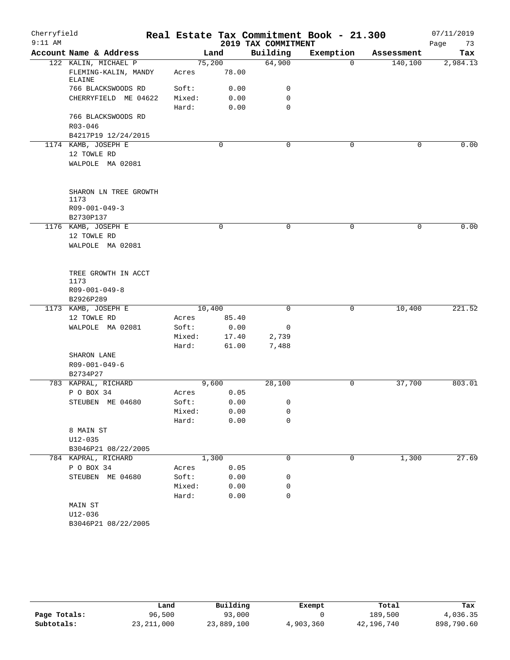| Cherryfield |                                                        |        |                 |                     | Real Estate Tax Commitment Book - 21.300 |            | 07/11/2019 |
|-------------|--------------------------------------------------------|--------|-----------------|---------------------|------------------------------------------|------------|------------|
| $9:11$ AM   |                                                        |        |                 | 2019 TAX COMMITMENT |                                          |            | Page<br>73 |
|             | Account Name & Address                                 |        | Land            | Building            | Exemption                                | Assessment | Tax        |
|             | 122 KALIN, MICHAEL P<br>FLEMING-KALIN, MANDY<br>ELAINE | Acres  | 75,200<br>78.00 | 64,900              | $\mathbf 0$                              | 140,100    | 2,984.13   |
|             | 766 BLACKSWOODS RD                                     | Soft:  | 0.00            | 0                   |                                          |            |            |
|             | CHERRYFIELD ME 04622                                   | Mixed: | 0.00            | $\mathbf 0$         |                                          |            |            |
|             |                                                        | Hard:  | 0.00            | $\mathbf 0$         |                                          |            |            |
|             | 766 BLACKSWOODS RD                                     |        |                 |                     |                                          |            |            |
|             | $R03 - 046$                                            |        |                 |                     |                                          |            |            |
|             | B4217P19 12/24/2015                                    |        |                 |                     |                                          |            |            |
|             | 1174 KAMB, JOSEPH E                                    |        | 0               | $\mathbf 0$         | 0                                        | 0          | 0.00       |
|             | 12 TOWLE RD                                            |        |                 |                     |                                          |            |            |
|             | WALPOLE MA 02081                                       |        |                 |                     |                                          |            |            |
|             | SHARON LN TREE GROWTH<br>1173                          |        |                 |                     |                                          |            |            |
|             | $R09 - 001 - 049 - 3$                                  |        |                 |                     |                                          |            |            |
|             | B2730P137                                              |        |                 |                     |                                          |            |            |
|             | 1176 KAMB, JOSEPH E                                    |        | 0               | 0                   | 0                                        | 0          | 0.00       |
|             | 12 TOWLE RD                                            |        |                 |                     |                                          |            |            |
|             | WALPOLE MA 02081                                       |        |                 |                     |                                          |            |            |
|             |                                                        |        |                 |                     |                                          |            |            |
|             | TREE GROWTH IN ACCT                                    |        |                 |                     |                                          |            |            |
|             | 1173                                                   |        |                 |                     |                                          |            |            |
|             | $R09 - 001 - 049 - 8$                                  |        |                 |                     |                                          |            |            |
|             | B2926P289<br>1173 KAMB, JOSEPH E                       |        | 10,400          | $\mathbf 0$         | 0                                        | 10,400     | 221.52     |
|             | 12 TOWLE RD                                            | Acres  | 85.40           |                     |                                          |            |            |
|             | WALPOLE MA 02081                                       | Soft:  | 0.00            | 0                   |                                          |            |            |
|             |                                                        | Mixed: | 17.40           | 2,739               |                                          |            |            |
|             |                                                        | Hard:  | 61.00           | 7,488               |                                          |            |            |
|             | SHARON LANE                                            |        |                 |                     |                                          |            |            |
|             | R09-001-049-6                                          |        |                 |                     |                                          |            |            |
|             | B2734P27                                               |        |                 |                     |                                          |            |            |
|             | 783 KAPRAL, RICHARD                                    |        | 9,600           | 28,100              | 0                                        | 37,700     | 803.01     |
|             | P O BOX 34                                             | Acres  | 0.05            |                     |                                          |            |            |
|             | STEUBEN ME 04680                                       | Soft:  | 0.00            | 0                   |                                          |            |            |
|             |                                                        | Mixed: | 0.00            | 0                   |                                          |            |            |
|             |                                                        | Hard:  | 0.00            | 0                   |                                          |            |            |
|             | 8 MAIN ST                                              |        |                 |                     |                                          |            |            |
|             | $U12 - 035$                                            |        |                 |                     |                                          |            |            |
|             | B3046P21 08/22/2005                                    |        |                 |                     |                                          |            |            |
|             | 784 KAPRAL, RICHARD                                    |        | 1,300           | $\mathbf 0$         | 0                                        | 1,300      | 27.69      |
|             | P O BOX 34                                             | Acres  | 0.05            |                     |                                          |            |            |
|             | STEUBEN ME 04680                                       | Soft:  | 0.00            | 0                   |                                          |            |            |
|             |                                                        | Mixed: | 0.00            | 0                   |                                          |            |            |
|             |                                                        | Hard:  | 0.00            | 0                   |                                          |            |            |
|             | MAIN ST                                                |        |                 |                     |                                          |            |            |
|             | U12-036                                                |        |                 |                     |                                          |            |            |
|             | B3046P21 08/22/2005                                    |        |                 |                     |                                          |            |            |

|              | Land         | Building   | Exempt    | Total      | Tax        |
|--------------|--------------|------------|-----------|------------|------------|
| Page Totals: | 96,500       | 93,000     |           | 189,500    | 4,036.35   |
| Subtotals:   | 23, 211, 000 | 23,889,100 | 4,903,360 | 42,196,740 | 898,790.60 |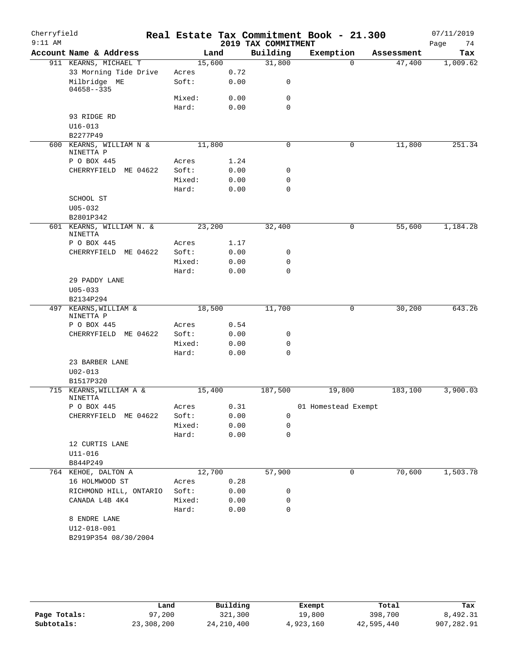| $9:11$ AM |                                     |        |      |                                 |                     | Real Estate Tax Commitment Book - 21.300 |                   |
|-----------|-------------------------------------|--------|------|---------------------------------|---------------------|------------------------------------------|-------------------|
|           | Account Name & Address              | Land   |      | 2019 TAX COMMITMENT<br>Building | Exemption           | Assessment                               | Page<br>74<br>Tax |
|           | 911 KEARNS, MICHAEL T               | 15,600 |      | 31,800                          | $\Omega$            | 47,400                                   | 1,009.62          |
|           | 33 Morning Tide Drive               | Acres  | 0.72 |                                 |                     |                                          |                   |
|           | Milbridge ME                        | Soft:  | 0.00 | $\mathbf 0$                     |                     |                                          |                   |
|           | $04658 - -335$                      | Mixed: | 0.00 | 0                               |                     |                                          |                   |
|           |                                     | Hard:  | 0.00 | $\mathbf 0$                     |                     |                                          |                   |
|           | 93 RIDGE RD                         |        |      |                                 |                     |                                          |                   |
|           | $U16 - 013$                         |        |      |                                 |                     |                                          |                   |
|           | B2277P49                            |        |      |                                 |                     |                                          |                   |
|           | 600 KEARNS, WILLIAM N &             | 11,800 |      | 0                               | 0                   | 11,800                                   | 251.34            |
|           | NINETTA P                           |        |      |                                 |                     |                                          |                   |
|           | P O BOX 445                         | Acres  | 1.24 |                                 |                     |                                          |                   |
|           | CHERRYFIELD<br>ME 04622             | Soft:  | 0.00 | 0                               |                     |                                          |                   |
|           |                                     | Mixed: | 0.00 | 0                               |                     |                                          |                   |
|           |                                     | Hard:  | 0.00 | $\mathbf 0$                     |                     |                                          |                   |
|           | SCHOOL ST                           |        |      |                                 |                     |                                          |                   |
|           | $U05 - 032$                         |        |      |                                 |                     |                                          |                   |
|           | B2801P342                           |        |      |                                 |                     |                                          |                   |
|           | 601 KEARNS, WILLIAM N. &<br>NINETTA | 23,200 |      | 32,400                          | $\mathbf 0$         | 55,600                                   | 1,184.28          |
|           | P O BOX 445                         | Acres  | 1.17 |                                 |                     |                                          |                   |
|           | CHERRYFIELD<br>ME 04622             | Soft:  | 0.00 | 0                               |                     |                                          |                   |
|           |                                     | Mixed: | 0.00 | 0                               |                     |                                          |                   |
|           |                                     | Hard:  | 0.00 | 0                               |                     |                                          |                   |
|           | 29 PADDY LANE                       |        |      |                                 |                     |                                          |                   |
|           | $U05 - 033$                         |        |      |                                 |                     |                                          |                   |
|           | B2134P294<br>497 KEARNS, WILLIAM &  | 18,500 |      | 11,700                          | 0                   | 30,200                                   | 643.26            |
|           | NINETTA P                           |        |      |                                 |                     |                                          |                   |
|           | P O BOX 445                         | Acres  | 0.54 |                                 |                     |                                          |                   |
|           | CHERRYFIELD ME 04622                | Soft:  | 0.00 | $\mathbf 0$                     |                     |                                          |                   |
|           |                                     | Mixed: | 0.00 | 0                               |                     |                                          |                   |
|           |                                     | Hard:  | 0.00 | $\mathbf 0$                     |                     |                                          |                   |
|           | 23 BARBER LANE<br>$U02 - 013$       |        |      |                                 |                     |                                          |                   |
|           | B1517P320                           |        |      |                                 |                     |                                          |                   |
|           | 715 KEARNS, WILLIAM A &<br>NINETTA  | 15,400 |      | 187,500                         | 19,800              | 183,100                                  | 3,900.03          |
|           | P O BOX 445                         | Acres  | 0.31 |                                 | 01 Homestead Exempt |                                          |                   |
|           | CHERRYFIELD ME 04622                | Soft:  | 0.00 | 0                               |                     |                                          |                   |
|           |                                     | Mixed: | 0.00 | 0                               |                     |                                          |                   |
|           |                                     | Hard:  | 0.00 | $\mathbf 0$                     |                     |                                          |                   |
|           | 12 CURTIS LANE                      |        |      |                                 |                     |                                          |                   |
|           | $U11 - 016$                         |        |      |                                 |                     |                                          |                   |
|           | B844P249                            |        |      |                                 |                     |                                          |                   |
|           | 764 KEHOE, DALTON A                 | 12,700 |      | 57,900                          | 0                   | 70,600                                   | 1,503.78          |
|           | 16 HOLMWOOD ST                      | Acres  | 0.28 |                                 |                     |                                          |                   |
|           | RICHMOND HILL, ONTARIO              | Soft:  | 0.00 | 0                               |                     |                                          |                   |
|           | CANADA L4B 4K4                      | Mixed: | 0.00 | 0                               |                     |                                          |                   |
|           |                                     | Hard:  | 0.00 | $\mathbf 0$                     |                     |                                          |                   |
|           | 8 ENDRE LANE                        |        |      |                                 |                     |                                          |                   |
|           | $U12 - 018 - 001$                   |        |      |                                 |                     |                                          |                   |
|           | B2919P354 08/30/2004                |        |      |                                 |                     |                                          |                   |

|              | Land       | Building     | Exempt    | Total      | Tax        |
|--------------|------------|--------------|-----------|------------|------------|
| Page Totals: | 97,200     | 321,300      | 19,800    | 398,700    | 8,492.31   |
| Subtotals:   | 23,308,200 | 24, 210, 400 | 4,923,160 | 42,595,440 | 907,282.91 |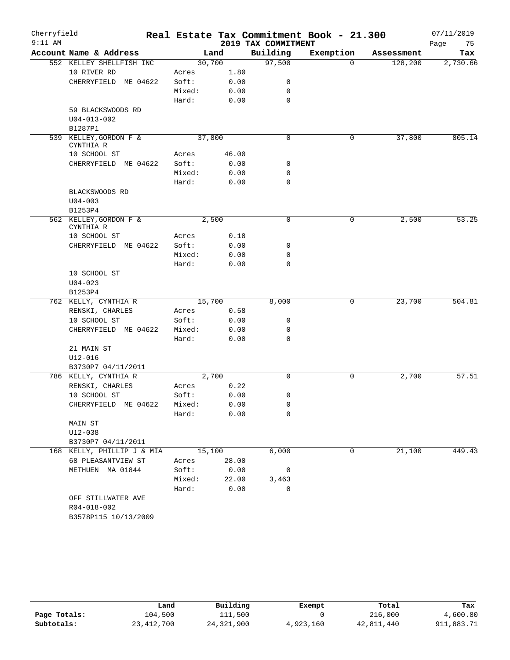| Cherryfield<br>$9:11$ AM |                            |        |        | 2019 TAX COMMITMENT | Real Estate Tax Commitment Book - 21.300 |            | 07/11/2019<br>Page<br>75 |
|--------------------------|----------------------------|--------|--------|---------------------|------------------------------------------|------------|--------------------------|
|                          | Account Name & Address     |        | Land   | Building            | Exemption                                | Assessment | Tax                      |
|                          | 552 KELLEY SHELLFISH INC   |        | 30,700 | 97,500              | $\Omega$                                 | 128,200    | 2,730.66                 |
|                          | 10 RIVER RD                | Acres  | 1.80   |                     |                                          |            |                          |
|                          | CHERRYFIELD ME 04622       | Soft:  | 0.00   | 0                   |                                          |            |                          |
|                          |                            | Mixed: | 0.00   | 0                   |                                          |            |                          |
|                          |                            | Hard:  | 0.00   | $\mathbf 0$         |                                          |            |                          |
|                          | 59 BLACKSWOODS RD          |        |        |                     |                                          |            |                          |
|                          | $U04 - 013 - 002$          |        |        |                     |                                          |            |                          |
|                          | B1287P1                    |        |        |                     |                                          |            |                          |
|                          | 539 KELLEY, GORDON F &     |        | 37,800 | $\mathbf 0$         | 0                                        | 37,800     | 805.14                   |
|                          | CYNTHIA R                  |        |        |                     |                                          |            |                          |
|                          | 10 SCHOOL ST               | Acres  | 46.00  |                     |                                          |            |                          |
|                          | CHERRYFIELD ME 04622       | Soft:  | 0.00   | 0                   |                                          |            |                          |
|                          |                            | Mixed: | 0.00   | $\mathbf 0$         |                                          |            |                          |
|                          |                            | Hard:  | 0.00   | $\mathbf 0$         |                                          |            |                          |
|                          | BLACKSWOODS RD             |        |        |                     |                                          |            |                          |
|                          | $U04 - 003$                |        |        |                     |                                          |            |                          |
|                          | B1253P4                    |        |        |                     |                                          |            |                          |
|                          | 562 KELLEY, GORDON F &     |        | 2,500  | 0                   | 0                                        | 2,500      | 53.25                    |
|                          | CYNTHIA R                  |        |        |                     |                                          |            |                          |
|                          | 10 SCHOOL ST               | Acres  | 0.18   |                     |                                          |            |                          |
|                          | CHERRYFIELD ME 04622       | Soft:  | 0.00   | 0                   |                                          |            |                          |
|                          |                            | Mixed: | 0.00   | $\mathbf 0$         |                                          |            |                          |
|                          |                            | Hard:  | 0.00   | $\Omega$            |                                          |            |                          |
|                          | 10 SCHOOL ST               |        |        |                     |                                          |            |                          |
|                          | $U04 - 023$                |        |        |                     |                                          |            |                          |
|                          | B1253P4                    |        |        |                     |                                          |            |                          |
|                          | 762 KELLY, CYNTHIA R       |        | 15,700 | 8,000               | 0                                        | 23,700     | 504.81                   |
|                          | RENSKI, CHARLES            | Acres  | 0.58   |                     |                                          |            |                          |
|                          | 10 SCHOOL ST               | Soft:  | 0.00   | 0                   |                                          |            |                          |
|                          | CHERRYFIELD ME 04622       | Mixed: | 0.00   | 0                   |                                          |            |                          |
|                          |                            | Hard:  | 0.00   | $\mathbf 0$         |                                          |            |                          |
|                          | 21 MAIN ST                 |        |        |                     |                                          |            |                          |
|                          | U12-016                    |        |        |                     |                                          |            |                          |
|                          | B3730P7 04/11/2011         |        |        |                     |                                          |            |                          |
|                          | 786 KELLY, CYNTHIA R       |        | 2,700  | 0                   | 0                                        | 2,700      | 57.51                    |
|                          | RENSKI, CHARLES            | Acres  | 0.22   |                     |                                          |            |                          |
|                          | 10 SCHOOL ST               | Soft:  | 0.00   | 0                   |                                          |            |                          |
|                          | CHERRYFIELD ME 04622       | Mixed: | 0.00   | 0                   |                                          |            |                          |
|                          |                            | Hard:  | 0.00   | 0                   |                                          |            |                          |
|                          | MAIN ST                    |        |        |                     |                                          |            |                          |
|                          | $U12 - 038$                |        |        |                     |                                          |            |                          |
|                          | B3730P7 04/11/2011         |        |        |                     |                                          |            |                          |
|                          | 168 KELLY, PHILLIP J & MIA |        | 15,100 | 6,000               | 0                                        | 21,100     | 449.43                   |
|                          | 68 PLEASANTVIEW ST         | Acres  | 28.00  |                     |                                          |            |                          |
|                          | METHUEN MA 01844           | Soft:  | 0.00   | $\overline{0}$      |                                          |            |                          |
|                          |                            | Mixed: | 22.00  | 3,463               |                                          |            |                          |
|                          |                            | Hard:  | 0.00   | $\mathbf 0$         |                                          |            |                          |
|                          | OFF STILLWATER AVE         |        |        |                     |                                          |            |                          |
|                          | R04-018-002                |        |        |                     |                                          |            |                          |
|                          | B3578P115 10/13/2009       |        |        |                     |                                          |            |                          |

|              | Land         | Building     | Exempt    | Total      | Tax        |
|--------------|--------------|--------------|-----------|------------|------------|
| Page Totals: | 104,500      | 111,500      |           | 216,000    | 4,600.80   |
| Subtotals:   | 23, 412, 700 | 24, 321, 900 | 4,923,160 | 42,811,440 | 911,883.71 |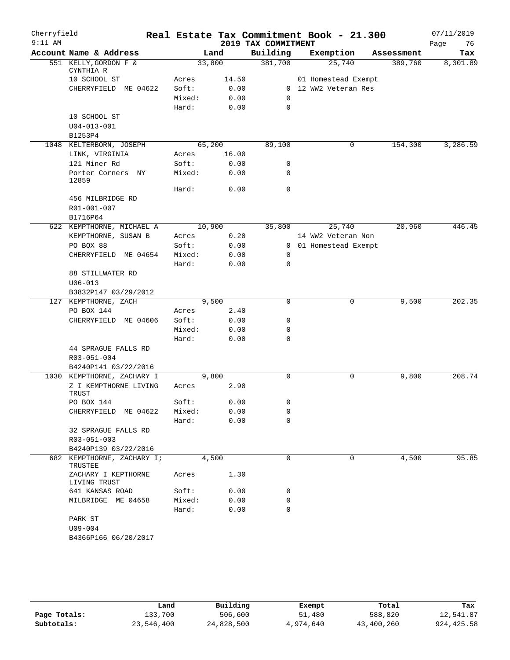| Cherryfield |                                     |        |       |                     | Real Estate Tax Commitment Book - 21.300 |            | 07/11/2019 |
|-------------|-------------------------------------|--------|-------|---------------------|------------------------------------------|------------|------------|
| $9:11$ AM   |                                     |        |       | 2019 TAX COMMITMENT |                                          |            | 76<br>Page |
|             | Account Name & Address              |        | Land  | Building            | Exemption                                | Assessment | Tax        |
|             | 551 KELLY, GORDON F &               | 33,800 |       | 381,700             | 25,740                                   | 389,760    | 8,301.89   |
|             | CYNTHIA R<br>10 SCHOOL ST           | Acres  | 14.50 |                     | 01 Homestead Exempt                      |            |            |
|             | CHERRYFIELD ME 04622                | Soft:  | 0.00  |                     | 0 12 WW2 Veteran Res                     |            |            |
|             |                                     | Mixed: | 0.00  | 0                   |                                          |            |            |
|             |                                     | Hard:  | 0.00  | 0                   |                                          |            |            |
|             | 10 SCHOOL ST                        |        |       |                     |                                          |            |            |
|             | $U04 - 013 - 001$                   |        |       |                     |                                          |            |            |
|             | B1253P4                             |        |       |                     |                                          |            |            |
|             | 1048 KELTERBORN, JOSEPH             | 65,200 |       | 89,100              | 0                                        | 154,300    | 3,286.59   |
|             | LINK, VIRGINIA                      | Acres  | 16.00 |                     |                                          |            |            |
|             | 121 Miner Rd                        | Soft:  | 0.00  | 0                   |                                          |            |            |
|             | Porter Corners NY                   | Mixed: | 0.00  | $\mathbf 0$         |                                          |            |            |
|             | 12859                               |        |       |                     |                                          |            |            |
|             |                                     | Hard:  | 0.00  | $\mathbf 0$         |                                          |            |            |
|             | 456 MILBRIDGE RD                    |        |       |                     |                                          |            |            |
|             | R01-001-007                         |        |       |                     |                                          |            |            |
|             | B1716P64                            |        |       |                     |                                          |            |            |
|             | 622 KEMPTHORNE, MICHAEL A           | 10,900 |       | 35,800              | 25,740                                   | 20,960     | 446.45     |
|             | KEMPTHORNE, SUSAN B                 | Acres  | 0.20  |                     | 14 WW2 Veteran Non                       |            |            |
|             | PO BOX 88                           | Soft:  | 0.00  |                     | 0 01 Homestead Exempt                    |            |            |
|             | CHERRYFIELD ME 04654                | Mixed: | 0.00  | 0                   |                                          |            |            |
|             |                                     | Hard:  | 0.00  | 0                   |                                          |            |            |
|             | 88 STILLWATER RD                    |        |       |                     |                                          |            |            |
|             | $U06 - 013$                         |        |       |                     |                                          |            |            |
|             | B3832P147 03/29/2012                |        |       |                     |                                          |            |            |
|             | 127 KEMPTHORNE, ZACH                |        | 9,500 | 0                   | 0                                        | 9,500      | 202.35     |
|             | PO BOX 144                          | Acres  | 2.40  |                     |                                          |            |            |
|             | CHERRYFIELD ME 04606                | Soft:  | 0.00  | 0                   |                                          |            |            |
|             |                                     | Mixed: | 0.00  | 0                   |                                          |            |            |
|             |                                     | Hard:  | 0.00  | $\mathbf 0$         |                                          |            |            |
|             | 44 SPRAGUE FALLS RD                 |        |       |                     |                                          |            |            |
|             | R03-051-004                         |        |       |                     |                                          |            |            |
|             | B4240P141 03/22/2016                |        |       |                     |                                          |            |            |
|             | 1030 KEMPTHORNE, ZACHARY I          |        | 9,800 | $\mathbf 0$         | 0                                        | 9,800      | 208.74     |
|             | Z I KEMPTHORNE LIVING<br>TRUST      | Acres  | 2.90  |                     |                                          |            |            |
|             | PO BOX 144                          | Soft:  | 0.00  | 0                   |                                          |            |            |
|             | CHERRYFIELD ME 04622                | Mixed: | 0.00  | 0                   |                                          |            |            |
|             |                                     | Hard:  | 0.00  | 0                   |                                          |            |            |
|             | 32 SPRAGUE FALLS RD                 |        |       |                     |                                          |            |            |
|             | R03-051-003                         |        |       |                     |                                          |            |            |
|             | B4240P139 03/22/2016                |        |       |                     |                                          |            |            |
| 682         | KEMPTHORNE, ZACHARY I;              |        | 4,500 | 0                   | $\Omega$                                 | 4,500      | 95.85      |
|             | TRUSTEE                             |        |       |                     |                                          |            |            |
|             | ZACHARY I KEPTHORNE<br>LIVING TRUST | Acres  | 1.30  |                     |                                          |            |            |
|             | 641 KANSAS ROAD                     | Soft:  | 0.00  | 0                   |                                          |            |            |
|             | MILBRIDGE ME 04658                  | Mixed: | 0.00  | 0                   |                                          |            |            |
|             |                                     | Hard:  | 0.00  | $\mathbf 0$         |                                          |            |            |
|             | PARK ST                             |        |       |                     |                                          |            |            |
|             | U09-004                             |        |       |                     |                                          |            |            |
|             | B4366P166 06/20/2017                |        |       |                     |                                          |            |            |

|              | Land       | Building   | Exempt    | Total      | Tax         |
|--------------|------------|------------|-----------|------------|-------------|
| Page Totals: | 133,700    | 506,600    | 51,480    | 588,820    | 12,541.87   |
| Subtotals:   | 23,546,400 | 24,828,500 | 4,974,640 | 43,400,260 | 924, 425.58 |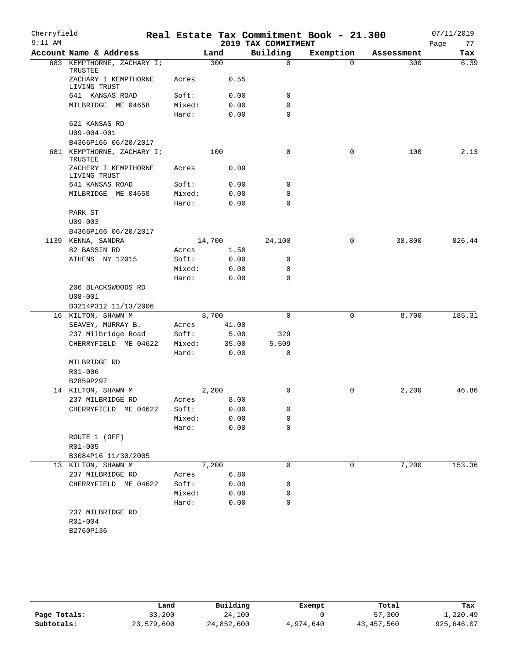| Building<br>Account Name & Address<br>Land<br>Exemption<br>Assessment<br>Tax<br>683 KEMPTHORNE, ZACHARY I;<br>300<br>$\mathbf 0$<br>300<br>$\Omega$<br>TRUSTEE<br>ZACHARY I KEMPTHORNE<br>0.55<br>Acres<br>LIVING TRUST<br>641 KANSAS ROAD<br>Soft:<br>0.00<br>0<br>MILBRIDGE ME 04658<br>0<br>Mixed:<br>0.00<br>$\mathbf 0$<br>Hard:<br>0.00<br>621 KANSAS RD<br>$U09 - 004 - 001$<br>B4366P166 06/20/2017<br>0<br>681 KEMPTHORNE, ZACHARY I;<br>100<br>0<br>100<br>TRUSTEE<br>ZACHERY I KEMPTHORNE<br>0.09<br>Acres<br>LIVING TRUST<br>641 KANSAS ROAD<br>0.00<br>0<br>Soft:<br>0.00<br>$\mathbf 0$<br>MILBRIDGE ME 04658<br>Mixed:<br>$\mathbf 0$<br>Hard:<br>0.00<br>PARK ST<br>$U09 - 003$<br>B4366P166 06/20/2017<br>14,700<br>1139 KENNA, SANDRA<br>24,100<br>0<br>38,800<br>82 BASSIN RD<br>1.50<br>Acres<br>ATHENS NY 12015<br>Soft:<br>0.00<br>0<br>Mixed:<br>0.00<br>0<br>Hard:<br>0.00<br>0<br>206 BLACKSWOODS RD<br>$U08 - 001$<br>B3214P312 11/13/2006<br>16 KILTON, SHAWN M<br>8,700<br>$\Omega$<br>8,700<br>0<br>SEAVEY, MURRAY B.<br>Acres<br>41.00<br>237 Milbridge Road<br>Soft:<br>5.00<br>329<br>CHERRYFIELD ME 04622<br>Mixed:<br>35.00<br>5,509<br>Hard:<br>0.00<br>0<br>MILBRIDGE RD<br>R01-006<br>B2859P297<br>0<br>14 KILTON, SHAWN M<br>2,200<br>0<br>2,200<br>237 MILBRIDGE RD<br>8.00<br>Acres<br>0<br>CHERRYFIELD ME 04622<br>Soft:<br>0.00<br>Mixed:<br>0.00<br>0<br>0<br>Hard:<br>0.00<br>ROUTE 1 (OFF)<br>R01-005<br>B3084P16 11/30/2005<br>7,200<br>0<br>7,200<br>13 KILTON, SHAWN M<br>0<br>6.80<br>237 MILBRIDGE RD<br>Acres<br>CHERRYFIELD ME 04622<br>Soft:<br>0.00<br>0<br>Mixed:<br>0.00<br>0<br>$\mathbf 0$<br>Hard:<br>0.00<br>237 MILBRIDGE RD<br>R01-004<br>B2760P136 | Cherryfield<br>$9:11$ AM |  | 2019 TAX COMMITMENT | Real Estate Tax Commitment Book - 21.300 | 07/11/2019<br>77<br>Page |
|-------------------------------------------------------------------------------------------------------------------------------------------------------------------------------------------------------------------------------------------------------------------------------------------------------------------------------------------------------------------------------------------------------------------------------------------------------------------------------------------------------------------------------------------------------------------------------------------------------------------------------------------------------------------------------------------------------------------------------------------------------------------------------------------------------------------------------------------------------------------------------------------------------------------------------------------------------------------------------------------------------------------------------------------------------------------------------------------------------------------------------------------------------------------------------------------------------------------------------------------------------------------------------------------------------------------------------------------------------------------------------------------------------------------------------------------------------------------------------------------------------------------------------------------------------------------------------------------------------------------------------------------------------------------------------------------------------------------|--------------------------|--|---------------------|------------------------------------------|--------------------------|
|                                                                                                                                                                                                                                                                                                                                                                                                                                                                                                                                                                                                                                                                                                                                                                                                                                                                                                                                                                                                                                                                                                                                                                                                                                                                                                                                                                                                                                                                                                                                                                                                                                                                                                                   |                          |  |                     |                                          |                          |
| 2.13                                                                                                                                                                                                                                                                                                                                                                                                                                                                                                                                                                                                                                                                                                                                                                                                                                                                                                                                                                                                                                                                                                                                                                                                                                                                                                                                                                                                                                                                                                                                                                                                                                                                                                              |                          |  |                     |                                          | 6.39                     |
|                                                                                                                                                                                                                                                                                                                                                                                                                                                                                                                                                                                                                                                                                                                                                                                                                                                                                                                                                                                                                                                                                                                                                                                                                                                                                                                                                                                                                                                                                                                                                                                                                                                                                                                   |                          |  |                     |                                          |                          |
|                                                                                                                                                                                                                                                                                                                                                                                                                                                                                                                                                                                                                                                                                                                                                                                                                                                                                                                                                                                                                                                                                                                                                                                                                                                                                                                                                                                                                                                                                                                                                                                                                                                                                                                   |                          |  |                     |                                          |                          |
|                                                                                                                                                                                                                                                                                                                                                                                                                                                                                                                                                                                                                                                                                                                                                                                                                                                                                                                                                                                                                                                                                                                                                                                                                                                                                                                                                                                                                                                                                                                                                                                                                                                                                                                   |                          |  |                     |                                          |                          |
|                                                                                                                                                                                                                                                                                                                                                                                                                                                                                                                                                                                                                                                                                                                                                                                                                                                                                                                                                                                                                                                                                                                                                                                                                                                                                                                                                                                                                                                                                                                                                                                                                                                                                                                   |                          |  |                     |                                          |                          |
|                                                                                                                                                                                                                                                                                                                                                                                                                                                                                                                                                                                                                                                                                                                                                                                                                                                                                                                                                                                                                                                                                                                                                                                                                                                                                                                                                                                                                                                                                                                                                                                                                                                                                                                   |                          |  |                     |                                          |                          |
|                                                                                                                                                                                                                                                                                                                                                                                                                                                                                                                                                                                                                                                                                                                                                                                                                                                                                                                                                                                                                                                                                                                                                                                                                                                                                                                                                                                                                                                                                                                                                                                                                                                                                                                   |                          |  |                     |                                          |                          |
|                                                                                                                                                                                                                                                                                                                                                                                                                                                                                                                                                                                                                                                                                                                                                                                                                                                                                                                                                                                                                                                                                                                                                                                                                                                                                                                                                                                                                                                                                                                                                                                                                                                                                                                   |                          |  |                     |                                          |                          |
|                                                                                                                                                                                                                                                                                                                                                                                                                                                                                                                                                                                                                                                                                                                                                                                                                                                                                                                                                                                                                                                                                                                                                                                                                                                                                                                                                                                                                                                                                                                                                                                                                                                                                                                   |                          |  |                     |                                          |                          |
|                                                                                                                                                                                                                                                                                                                                                                                                                                                                                                                                                                                                                                                                                                                                                                                                                                                                                                                                                                                                                                                                                                                                                                                                                                                                                                                                                                                                                                                                                                                                                                                                                                                                                                                   |                          |  |                     |                                          |                          |
|                                                                                                                                                                                                                                                                                                                                                                                                                                                                                                                                                                                                                                                                                                                                                                                                                                                                                                                                                                                                                                                                                                                                                                                                                                                                                                                                                                                                                                                                                                                                                                                                                                                                                                                   |                          |  |                     |                                          |                          |
|                                                                                                                                                                                                                                                                                                                                                                                                                                                                                                                                                                                                                                                                                                                                                                                                                                                                                                                                                                                                                                                                                                                                                                                                                                                                                                                                                                                                                                                                                                                                                                                                                                                                                                                   |                          |  |                     |                                          |                          |
|                                                                                                                                                                                                                                                                                                                                                                                                                                                                                                                                                                                                                                                                                                                                                                                                                                                                                                                                                                                                                                                                                                                                                                                                                                                                                                                                                                                                                                                                                                                                                                                                                                                                                                                   |                          |  |                     |                                          |                          |
|                                                                                                                                                                                                                                                                                                                                                                                                                                                                                                                                                                                                                                                                                                                                                                                                                                                                                                                                                                                                                                                                                                                                                                                                                                                                                                                                                                                                                                                                                                                                                                                                                                                                                                                   |                          |  |                     |                                          |                          |
| 826.44<br>185.31<br>46.86<br>153.36                                                                                                                                                                                                                                                                                                                                                                                                                                                                                                                                                                                                                                                                                                                                                                                                                                                                                                                                                                                                                                                                                                                                                                                                                                                                                                                                                                                                                                                                                                                                                                                                                                                                               |                          |  |                     |                                          |                          |
|                                                                                                                                                                                                                                                                                                                                                                                                                                                                                                                                                                                                                                                                                                                                                                                                                                                                                                                                                                                                                                                                                                                                                                                                                                                                                                                                                                                                                                                                                                                                                                                                                                                                                                                   |                          |  |                     |                                          |                          |
|                                                                                                                                                                                                                                                                                                                                                                                                                                                                                                                                                                                                                                                                                                                                                                                                                                                                                                                                                                                                                                                                                                                                                                                                                                                                                                                                                                                                                                                                                                                                                                                                                                                                                                                   |                          |  |                     |                                          |                          |
|                                                                                                                                                                                                                                                                                                                                                                                                                                                                                                                                                                                                                                                                                                                                                                                                                                                                                                                                                                                                                                                                                                                                                                                                                                                                                                                                                                                                                                                                                                                                                                                                                                                                                                                   |                          |  |                     |                                          |                          |
|                                                                                                                                                                                                                                                                                                                                                                                                                                                                                                                                                                                                                                                                                                                                                                                                                                                                                                                                                                                                                                                                                                                                                                                                                                                                                                                                                                                                                                                                                                                                                                                                                                                                                                                   |                          |  |                     |                                          |                          |
|                                                                                                                                                                                                                                                                                                                                                                                                                                                                                                                                                                                                                                                                                                                                                                                                                                                                                                                                                                                                                                                                                                                                                                                                                                                                                                                                                                                                                                                                                                                                                                                                                                                                                                                   |                          |  |                     |                                          |                          |
|                                                                                                                                                                                                                                                                                                                                                                                                                                                                                                                                                                                                                                                                                                                                                                                                                                                                                                                                                                                                                                                                                                                                                                                                                                                                                                                                                                                                                                                                                                                                                                                                                                                                                                                   |                          |  |                     |                                          |                          |
|                                                                                                                                                                                                                                                                                                                                                                                                                                                                                                                                                                                                                                                                                                                                                                                                                                                                                                                                                                                                                                                                                                                                                                                                                                                                                                                                                                                                                                                                                                                                                                                                                                                                                                                   |                          |  |                     |                                          |                          |
|                                                                                                                                                                                                                                                                                                                                                                                                                                                                                                                                                                                                                                                                                                                                                                                                                                                                                                                                                                                                                                                                                                                                                                                                                                                                                                                                                                                                                                                                                                                                                                                                                                                                                                                   |                          |  |                     |                                          |                          |
|                                                                                                                                                                                                                                                                                                                                                                                                                                                                                                                                                                                                                                                                                                                                                                                                                                                                                                                                                                                                                                                                                                                                                                                                                                                                                                                                                                                                                                                                                                                                                                                                                                                                                                                   |                          |  |                     |                                          |                          |
|                                                                                                                                                                                                                                                                                                                                                                                                                                                                                                                                                                                                                                                                                                                                                                                                                                                                                                                                                                                                                                                                                                                                                                                                                                                                                                                                                                                                                                                                                                                                                                                                                                                                                                                   |                          |  |                     |                                          |                          |
|                                                                                                                                                                                                                                                                                                                                                                                                                                                                                                                                                                                                                                                                                                                                                                                                                                                                                                                                                                                                                                                                                                                                                                                                                                                                                                                                                                                                                                                                                                                                                                                                                                                                                                                   |                          |  |                     |                                          |                          |
|                                                                                                                                                                                                                                                                                                                                                                                                                                                                                                                                                                                                                                                                                                                                                                                                                                                                                                                                                                                                                                                                                                                                                                                                                                                                                                                                                                                                                                                                                                                                                                                                                                                                                                                   |                          |  |                     |                                          |                          |
|                                                                                                                                                                                                                                                                                                                                                                                                                                                                                                                                                                                                                                                                                                                                                                                                                                                                                                                                                                                                                                                                                                                                                                                                                                                                                                                                                                                                                                                                                                                                                                                                                                                                                                                   |                          |  |                     |                                          |                          |
|                                                                                                                                                                                                                                                                                                                                                                                                                                                                                                                                                                                                                                                                                                                                                                                                                                                                                                                                                                                                                                                                                                                                                                                                                                                                                                                                                                                                                                                                                                                                                                                                                                                                                                                   |                          |  |                     |                                          |                          |
|                                                                                                                                                                                                                                                                                                                                                                                                                                                                                                                                                                                                                                                                                                                                                                                                                                                                                                                                                                                                                                                                                                                                                                                                                                                                                                                                                                                                                                                                                                                                                                                                                                                                                                                   |                          |  |                     |                                          |                          |
|                                                                                                                                                                                                                                                                                                                                                                                                                                                                                                                                                                                                                                                                                                                                                                                                                                                                                                                                                                                                                                                                                                                                                                                                                                                                                                                                                                                                                                                                                                                                                                                                                                                                                                                   |                          |  |                     |                                          |                          |
|                                                                                                                                                                                                                                                                                                                                                                                                                                                                                                                                                                                                                                                                                                                                                                                                                                                                                                                                                                                                                                                                                                                                                                                                                                                                                                                                                                                                                                                                                                                                                                                                                                                                                                                   |                          |  |                     |                                          |                          |
|                                                                                                                                                                                                                                                                                                                                                                                                                                                                                                                                                                                                                                                                                                                                                                                                                                                                                                                                                                                                                                                                                                                                                                                                                                                                                                                                                                                                                                                                                                                                                                                                                                                                                                                   |                          |  |                     |                                          |                          |
|                                                                                                                                                                                                                                                                                                                                                                                                                                                                                                                                                                                                                                                                                                                                                                                                                                                                                                                                                                                                                                                                                                                                                                                                                                                                                                                                                                                                                                                                                                                                                                                                                                                                                                                   |                          |  |                     |                                          |                          |
|                                                                                                                                                                                                                                                                                                                                                                                                                                                                                                                                                                                                                                                                                                                                                                                                                                                                                                                                                                                                                                                                                                                                                                                                                                                                                                                                                                                                                                                                                                                                                                                                                                                                                                                   |                          |  |                     |                                          |                          |
|                                                                                                                                                                                                                                                                                                                                                                                                                                                                                                                                                                                                                                                                                                                                                                                                                                                                                                                                                                                                                                                                                                                                                                                                                                                                                                                                                                                                                                                                                                                                                                                                                                                                                                                   |                          |  |                     |                                          |                          |
|                                                                                                                                                                                                                                                                                                                                                                                                                                                                                                                                                                                                                                                                                                                                                                                                                                                                                                                                                                                                                                                                                                                                                                                                                                                                                                                                                                                                                                                                                                                                                                                                                                                                                                                   |                          |  |                     |                                          |                          |
|                                                                                                                                                                                                                                                                                                                                                                                                                                                                                                                                                                                                                                                                                                                                                                                                                                                                                                                                                                                                                                                                                                                                                                                                                                                                                                                                                                                                                                                                                                                                                                                                                                                                                                                   |                          |  |                     |                                          |                          |
|                                                                                                                                                                                                                                                                                                                                                                                                                                                                                                                                                                                                                                                                                                                                                                                                                                                                                                                                                                                                                                                                                                                                                                                                                                                                                                                                                                                                                                                                                                                                                                                                                                                                                                                   |                          |  |                     |                                          |                          |
|                                                                                                                                                                                                                                                                                                                                                                                                                                                                                                                                                                                                                                                                                                                                                                                                                                                                                                                                                                                                                                                                                                                                                                                                                                                                                                                                                                                                                                                                                                                                                                                                                                                                                                                   |                          |  |                     |                                          |                          |
|                                                                                                                                                                                                                                                                                                                                                                                                                                                                                                                                                                                                                                                                                                                                                                                                                                                                                                                                                                                                                                                                                                                                                                                                                                                                                                                                                                                                                                                                                                                                                                                                                                                                                                                   |                          |  |                     |                                          |                          |
|                                                                                                                                                                                                                                                                                                                                                                                                                                                                                                                                                                                                                                                                                                                                                                                                                                                                                                                                                                                                                                                                                                                                                                                                                                                                                                                                                                                                                                                                                                                                                                                                                                                                                                                   |                          |  |                     |                                          |                          |
|                                                                                                                                                                                                                                                                                                                                                                                                                                                                                                                                                                                                                                                                                                                                                                                                                                                                                                                                                                                                                                                                                                                                                                                                                                                                                                                                                                                                                                                                                                                                                                                                                                                                                                                   |                          |  |                     |                                          |                          |
|                                                                                                                                                                                                                                                                                                                                                                                                                                                                                                                                                                                                                                                                                                                                                                                                                                                                                                                                                                                                                                                                                                                                                                                                                                                                                                                                                                                                                                                                                                                                                                                                                                                                                                                   |                          |  |                     |                                          |                          |
|                                                                                                                                                                                                                                                                                                                                                                                                                                                                                                                                                                                                                                                                                                                                                                                                                                                                                                                                                                                                                                                                                                                                                                                                                                                                                                                                                                                                                                                                                                                                                                                                                                                                                                                   |                          |  |                     |                                          |                          |
|                                                                                                                                                                                                                                                                                                                                                                                                                                                                                                                                                                                                                                                                                                                                                                                                                                                                                                                                                                                                                                                                                                                                                                                                                                                                                                                                                                                                                                                                                                                                                                                                                                                                                                                   |                          |  |                     |                                          |                          |
|                                                                                                                                                                                                                                                                                                                                                                                                                                                                                                                                                                                                                                                                                                                                                                                                                                                                                                                                                                                                                                                                                                                                                                                                                                                                                                                                                                                                                                                                                                                                                                                                                                                                                                                   |                          |  |                     |                                          |                          |

|              | Land       | Building   | Exempt    | Total      | Tax        |
|--------------|------------|------------|-----------|------------|------------|
| Page Totals: | 33,200     | 24,100     |           | 57,300     | 1,220.49   |
| Subtotals:   | 23,579,600 | 24,852,600 | 4,974,640 | 43,457,560 | 925,646.07 |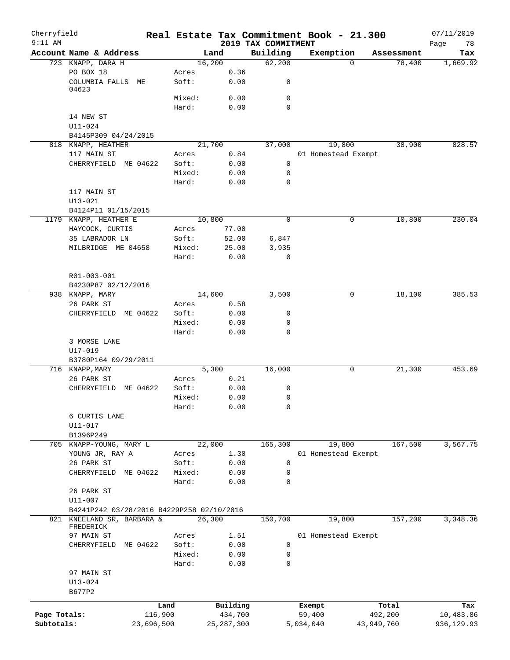| Cherryfield<br>$9:11$ AM |                                           |            |        |              | Real Estate Tax Commitment Book - 21.300 |           |                     |            | 07/11/2019        |
|--------------------------|-------------------------------------------|------------|--------|--------------|------------------------------------------|-----------|---------------------|------------|-------------------|
|                          | Account Name & Address                    |            |        | Land         | 2019 TAX COMMITMENT<br>Building          | Exemption |                     | Assessment | 78<br>Page<br>Tax |
|                          | 723 KNAPP, DARA H                         |            |        | 16,200       | 62,200                                   |           | $\Omega$            | 78,400     | 1,669.92          |
|                          | PO BOX 18                                 |            | Acres  | 0.36         |                                          |           |                     |            |                   |
|                          | COLUMBIA FALLS ME<br>04623                |            | Soft:  | 0.00         | 0                                        |           |                     |            |                   |
|                          |                                           |            | Mixed: | 0.00         | 0                                        |           |                     |            |                   |
|                          |                                           |            | Hard:  | 0.00         | $\mathbf 0$                              |           |                     |            |                   |
|                          | 14 NEW ST                                 |            |        |              |                                          |           |                     |            |                   |
|                          | $U11 - 024$                               |            |        |              |                                          |           |                     |            |                   |
|                          | B4145P309 04/24/2015                      |            |        |              |                                          |           |                     |            |                   |
|                          | 818 KNAPP, HEATHER                        |            |        | 21,700       | 37,000                                   |           | 19,800              | 38,900     | 828.57            |
|                          | 117 MAIN ST                               |            | Acres  | 0.84         |                                          |           | 01 Homestead Exempt |            |                   |
|                          | ME 04622<br>CHERRYFIELD                   |            | Soft:  | 0.00         | $\mathbf 0$                              |           |                     |            |                   |
|                          |                                           |            | Mixed: | 0.00         | 0                                        |           |                     |            |                   |
|                          |                                           |            | Hard:  | 0.00         | $\mathbf 0$                              |           |                     |            |                   |
|                          | 117 MAIN ST                               |            |        |              |                                          |           |                     |            |                   |
|                          | $U13 - 021$                               |            |        |              |                                          |           |                     |            |                   |
|                          | B4124P11 01/15/2015                       |            |        |              |                                          |           |                     |            |                   |
|                          | 1179 KNAPP, HEATHER E                     |            |        | 10,800       | 0                                        |           | 0                   | 10,800     | 230.04            |
|                          | HAYCOCK, CURTIS                           |            | Acres  | 77.00        |                                          |           |                     |            |                   |
|                          | 35 LABRADOR LN                            |            | Soft:  | 52.00        | 6,847                                    |           |                     |            |                   |
|                          | MILBRIDGE ME 04658                        |            | Mixed: | 25.00        | 3,935                                    |           |                     |            |                   |
|                          |                                           |            | Hard:  | 0.00         | 0                                        |           |                     |            |                   |
|                          |                                           |            |        |              |                                          |           |                     |            |                   |
|                          | R01-003-001                               |            |        |              |                                          |           |                     |            |                   |
|                          | B4230P87 02/12/2016                       |            |        |              |                                          |           |                     |            |                   |
|                          | 938 KNAPP, MARY                           |            |        | 14,600       | 3,500                                    |           | 0                   | 18,100     | 385.53            |
|                          | 26 PARK ST                                |            | Acres  | 0.58         |                                          |           |                     |            |                   |
|                          | ME 04622<br>CHERRYFIELD                   |            | Soft:  | 0.00         | 0                                        |           |                     |            |                   |
|                          |                                           |            | Mixed: | 0.00         | 0                                        |           |                     |            |                   |
|                          |                                           |            | Hard:  | 0.00         | 0                                        |           |                     |            |                   |
|                          | 3 MORSE LANE                              |            |        |              |                                          |           |                     |            |                   |
|                          | U17-019                                   |            |        |              |                                          |           |                     |            |                   |
|                          | B3780P164 09/29/2011                      |            |        |              |                                          |           |                     |            |                   |
|                          | 716 KNAPP, MARY                           |            |        | 5,300        | 16,000                                   |           | 0                   | 21,300     | 453.69            |
|                          | 26 PARK ST                                |            | Acres  | 0.21         |                                          |           |                     |            |                   |
|                          | CHERRYFIELD<br>ME 04622                   |            | Soft:  | 0.00         | 0                                        |           |                     |            |                   |
|                          |                                           |            | Mixed: | 0.00         | 0                                        |           |                     |            |                   |
|                          |                                           |            | Hard:  | 0.00         | 0                                        |           |                     |            |                   |
|                          | 6 CURTIS LANE                             |            |        |              |                                          |           |                     |            |                   |
|                          | U11-017                                   |            |        |              |                                          |           |                     |            |                   |
|                          | B1396P249                                 |            |        |              |                                          |           |                     |            |                   |
|                          | 705 KNAPP-YOUNG, MARY L                   |            |        | 22,000       | 165,300                                  |           | 19,800              | 167,500    | 3,567.75          |
|                          | YOUNG JR, RAY A                           |            | Acres  | 1.30         |                                          |           | 01 Homestead Exempt |            |                   |
|                          | 26 PARK ST                                |            | Soft:  | 0.00         | 0                                        |           |                     |            |                   |
|                          | CHERRYFIELD ME 04622                      |            | Mixed: | 0.00         | 0                                        |           |                     |            |                   |
|                          |                                           |            | Hard:  | 0.00         | 0                                        |           |                     |            |                   |
|                          | 26 PARK ST                                |            |        |              |                                          |           |                     |            |                   |
|                          | U11-007                                   |            |        |              |                                          |           |                     |            |                   |
|                          | B4241P242 03/28/2016 B4229P258 02/10/2016 |            |        |              |                                          |           |                     |            |                   |
| 821                      | KNEELAND SR, BARBARA &                    |            |        | 26,300       | 150,700                                  |           | 19,800              | 157,200    | 3,348.36          |
|                          | FREDERICK                                 |            |        |              |                                          |           |                     |            |                   |
|                          | 97 MAIN ST                                |            | Acres  | 1.51         |                                          |           | 01 Homestead Exempt |            |                   |
|                          | CHERRYFIELD<br>ME 04622                   |            | Soft:  | 0.00         | 0                                        |           |                     |            |                   |
|                          |                                           |            | Mixed: | 0.00         | 0                                        |           |                     |            |                   |
|                          |                                           |            | Hard:  | 0.00         | 0                                        |           |                     |            |                   |
|                          | 97 MAIN ST                                |            |        |              |                                          |           |                     |            |                   |
|                          | $U13 - 024$                               |            |        |              |                                          |           |                     |            |                   |
|                          | B677P2                                    |            |        |              |                                          |           |                     |            |                   |
|                          |                                           | Land       |        | Building     |                                          | Exempt    |                     | Total      | Tax               |
| Page Totals:             |                                           | 116,900    |        | 434,700      |                                          | 59,400    |                     | 492,200    | 10,483.86         |
| Subtotals:               |                                           | 23,696,500 |        | 25, 287, 300 |                                          | 5,034,040 | 43,949,760          |            | 936,129.93        |
|                          |                                           |            |        |              |                                          |           |                     |            |                   |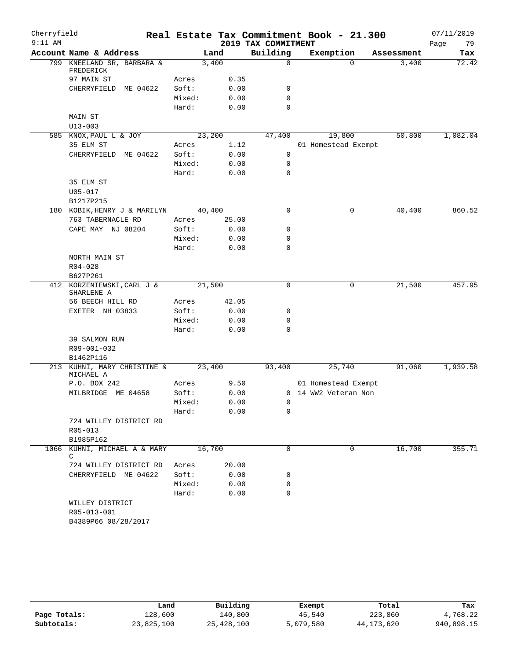| Cherryfield |                                          |                |              |                     | Real Estate Tax Commitment Book - 21.300    |            | 07/11/2019 |
|-------------|------------------------------------------|----------------|--------------|---------------------|---------------------------------------------|------------|------------|
| $9:11$ AM   |                                          |                |              | 2019 TAX COMMITMENT |                                             |            | 79<br>Page |
|             | Account Name & Address                   |                | Land         | Building            | Exemption                                   | Assessment | Tax        |
|             | 799 KNEELAND SR, BARBARA &               |                | 3,400        | 0                   | $\Omega$                                    | 3,400      | 72.42      |
|             | FREDERICK                                |                |              |                     |                                             |            |            |
|             | 97 MAIN ST<br>CHERRYFIELD ME 04622       | Acres<br>Soft: | 0.35<br>0.00 | 0                   |                                             |            |            |
|             |                                          | Mixed:         | 0.00         | $\mathbf 0$         |                                             |            |            |
|             |                                          | Hard:          | 0.00         | 0                   |                                             |            |            |
|             | MAIN ST                                  |                |              |                     |                                             |            |            |
|             | $U13 - 003$                              |                |              |                     |                                             |            |            |
|             | 585 KNOX, PAUL L & JOY                   |                | 23,200       | 47,400              | 19,800                                      | 50,800     | 1,082.04   |
|             | 35 ELM ST                                | Acres          | 1.12         |                     | 01 Homestead Exempt                         |            |            |
|             | CHERRYFIELD ME 04622                     | Soft:          | 0.00         | $\mathbf 0$         |                                             |            |            |
|             |                                          | Mixed:         | 0.00         | 0                   |                                             |            |            |
|             |                                          | Hard:          | 0.00         | $\mathbf 0$         |                                             |            |            |
|             | 35 ELM ST                                |                |              |                     |                                             |            |            |
|             | $U05 - 017$                              |                |              |                     |                                             |            |            |
|             | B1217P215                                |                |              |                     |                                             |            |            |
|             | 180 KOBIK, HENRY J & MARILYN             |                | 40,400       | 0                   | 0                                           | 40,400     | 860.52     |
|             | 763 TABERNACLE RD                        | Acres          | 25.00        |                     |                                             |            |            |
|             | CAPE MAY NJ 08204                        | Soft:          | 0.00         | 0                   |                                             |            |            |
|             |                                          | Mixed:         | 0.00         | 0                   |                                             |            |            |
|             |                                          | Hard:          | 0.00         | 0                   |                                             |            |            |
|             | NORTH MAIN ST                            |                |              |                     |                                             |            |            |
|             | $R04 - 028$                              |                |              |                     |                                             |            |            |
|             | B627P261                                 |                |              |                     |                                             |            |            |
|             | 412 KORZENIEWSKI, CARL J &<br>SHARLENE A |                | 21,500       | $\mathbf 0$         | $\mathbf 0$                                 | 21,500     | 457.95     |
|             | 56 BEECH HILL RD                         | Acres          | 42.05        |                     |                                             |            |            |
|             | EXETER NH 03833                          | Soft:          | 0.00         | 0                   |                                             |            |            |
|             |                                          | Mixed:         | 0.00         | 0                   |                                             |            |            |
|             |                                          | Hard:          | 0.00         | 0                   |                                             |            |            |
|             | 39 SALMON RUN                            |                |              |                     |                                             |            |            |
|             | R09-001-032                              |                |              |                     |                                             |            |            |
|             | B1462P116<br>213 KUHNI, MARY CHRISTINE & |                | 23,400       | 93,400              | 25,740                                      | 91,060     | 1,939.58   |
|             | MICHAEL A                                |                |              |                     |                                             |            |            |
|             | P.O. BOX 242<br>MILBRIDGE ME 04658       | Acres<br>Soft: | 9.50<br>0.00 |                     | 01 Homestead Exempt<br>0 14 WW2 Veteran Non |            |            |
|             |                                          | Mixed:         | 0.00         | 0                   |                                             |            |            |
|             |                                          | Hard:          | 0.00         | 0                   |                                             |            |            |
|             | 724 WILLEY DISTRICT RD                   |                |              |                     |                                             |            |            |
|             | R05-013                                  |                |              |                     |                                             |            |            |
|             | B1985P162                                |                |              |                     |                                             |            |            |
|             | 1066 KUHNI, MICHAEL A & MARY             |                | 16,700       | $\Omega$            | 0                                           | 16,700     | 355.71     |
|             | C                                        |                |              |                     |                                             |            |            |
|             | 724 WILLEY DISTRICT RD                   | Acres          | 20.00        |                     |                                             |            |            |
|             | CHERRYFIELD ME 04622                     | Soft:          | 0.00         | 0                   |                                             |            |            |
|             |                                          | Mixed:         | 0.00         | 0                   |                                             |            |            |
|             |                                          | Hard:          | 0.00         | $\Omega$            |                                             |            |            |
|             | WILLEY DISTRICT                          |                |              |                     |                                             |            |            |
|             | R05-013-001                              |                |              |                     |                                             |            |            |
|             | B4389P66 08/28/2017                      |                |              |                     |                                             |            |            |

|              | Land       | Building   | Exempt    | Total      | Tax        |
|--------------|------------|------------|-----------|------------|------------|
| Page Totals: | 128,600    | 140,800    | 45,540    | 223,860    | 4,768.22   |
| Subtotals:   | 23,825,100 | 25,428,100 | 5,079,580 | 44,173,620 | 940,898.15 |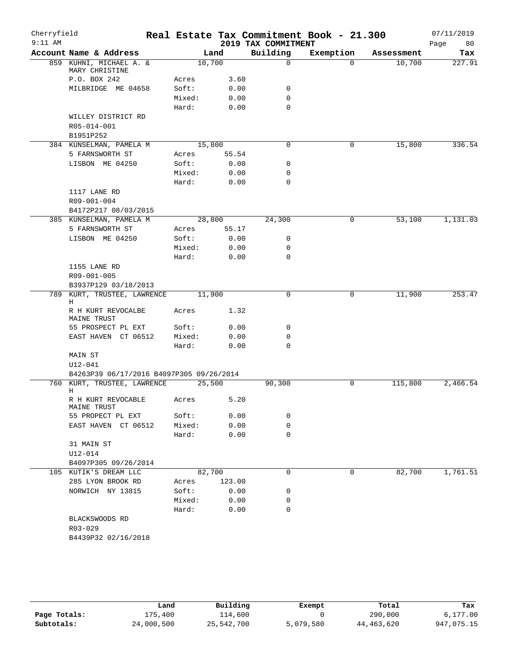| Cherryfield |                                                     |        |        |                     | Real Estate Tax Commitment Book - 21.300 |            | 07/11/2019 |
|-------------|-----------------------------------------------------|--------|--------|---------------------|------------------------------------------|------------|------------|
| $9:11$ AM   |                                                     |        |        | 2019 TAX COMMITMENT |                                          |            | 80<br>Page |
|             | Account Name & Address                              | Land   |        | Building            | Exemption                                | Assessment | Tax        |
|             | 859 KUHNI, MICHAEL A. &<br>MARY CHRISTINE           | 10,700 |        | $\mathbf 0$         | $\Omega$                                 | 10,700     | 227.91     |
|             | P.O. BOX 242                                        | Acres  | 3.60   |                     |                                          |            |            |
|             | MILBRIDGE ME 04658                                  | Soft:  | 0.00   | 0                   |                                          |            |            |
|             |                                                     | Mixed: | 0.00   | $\mathbf 0$         |                                          |            |            |
|             |                                                     | Hard:  | 0.00   | $\mathbf 0$         |                                          |            |            |
|             | WILLEY DISTRICT RD                                  |        |        |                     |                                          |            |            |
|             | R05-014-001                                         |        |        |                     |                                          |            |            |
|             | B1951P252                                           |        |        |                     |                                          |            |            |
|             | 384 KUNSELMAN, PAMELA M                             | 15,800 |        | 0                   | 0                                        | 15,800     | 336.54     |
|             | 5 FARNSWORTH ST                                     | Acres  | 55.54  |                     |                                          |            |            |
|             | LISBON ME 04250                                     | Soft:  | 0.00   | 0                   |                                          |            |            |
|             |                                                     | Mixed: | 0.00   | 0                   |                                          |            |            |
|             |                                                     | Hard:  | 0.00   | $\mathbf 0$         |                                          |            |            |
|             | 1117 LANE RD                                        |        |        |                     |                                          |            |            |
|             | R09-001-004                                         |        |        |                     |                                          |            |            |
|             | B4172P217 08/03/2015                                |        |        |                     |                                          |            |            |
|             | 385 KUNSELMAN, PAMELA M                             | 28,800 |        | 24,300              | 0                                        | 53,100     | 1,131.03   |
|             | 5 FARNSWORTH ST                                     | Acres  | 55.17  |                     |                                          |            |            |
|             | LISBON ME 04250                                     | Soft:  | 0.00   | 0                   |                                          |            |            |
|             |                                                     | Mixed: | 0.00   | 0                   |                                          |            |            |
|             |                                                     | Hard:  | 0.00   | $\mathbf 0$         |                                          |            |            |
|             | 1155 LANE RD                                        |        |        |                     |                                          |            |            |
|             |                                                     |        |        |                     |                                          |            |            |
|             | R09-001-005                                         |        |        |                     |                                          |            |            |
|             | B3937P129 03/18/2013<br>789 KURT, TRUSTEE, LAWRENCE | 11,900 |        | $\Omega$            | 0                                        | 11,900     | 253.47     |
|             | Η                                                   |        |        |                     |                                          |            |            |
|             | R H KURT REVOCALBE<br>MAINE TRUST                   | Acres  | 1.32   |                     |                                          |            |            |
|             | 55 PROSPECT PL EXT                                  | Soft:  | 0.00   | 0                   |                                          |            |            |
|             | EAST HAVEN CT 06512                                 | Mixed: | 0.00   | 0                   |                                          |            |            |
|             |                                                     | Hard:  | 0.00   | 0                   |                                          |            |            |
|             | MAIN ST                                             |        |        |                     |                                          |            |            |
|             | $U12 - 041$                                         |        |        |                     |                                          |            |            |
|             | B4263P39 06/17/2016 B4097P305 09/26/2014            |        |        |                     |                                          |            |            |
|             | 760 KURT, TRUSTEE, LAWRENCE                         | 25,500 |        | 90,300              | 0                                        | 115,800    | 2,466.54   |
|             | Н                                                   |        |        |                     |                                          |            |            |
|             | R H KURT REVOCABLE<br>MAINE TRUST                   | Acres  | 5.20   |                     |                                          |            |            |
|             | 55 PROPECT PL EXT                                   | Soft:  | 0.00   | 0                   |                                          |            |            |
|             | EAST HAVEN CT 06512                                 | Mixed: | 0.00   | 0                   |                                          |            |            |
|             |                                                     | Hard:  | 0.00   | 0                   |                                          |            |            |
|             | 31 MAIN ST                                          |        |        |                     |                                          |            |            |
|             | U12-014                                             |        |        |                     |                                          |            |            |
|             | B4097P305 09/26/2014                                |        |        |                     |                                          |            |            |
|             | 105 KUTIK'S DREAM LLC                               | 82,700 |        | $\mathbf 0$         | 0                                        | 82,700     | 1,761.51   |
|             | 285 LYON BROOK RD                                   | Acres  | 123.00 |                     |                                          |            |            |
|             | NORWICH NY 13815                                    | Soft:  | 0.00   | 0                   |                                          |            |            |
|             |                                                     | Mixed: | 0.00   | 0                   |                                          |            |            |
|             |                                                     | Hard:  | 0.00   | 0                   |                                          |            |            |
|             | BLACKSWOODS RD                                      |        |        |                     |                                          |            |            |
|             | R03-029                                             |        |        |                     |                                          |            |            |
|             | B4439P32 02/16/2018                                 |        |        |                     |                                          |            |            |
|             |                                                     |        |        |                     |                                          |            |            |

|              | Land       | Building   | Exempt    | Total      | Tax        |
|--------------|------------|------------|-----------|------------|------------|
| Page Totals: | 175,400    | 114,600    |           | 290,000    | 6,177.00   |
| Subtotals:   | 24,000,500 | 25,542,700 | 5,079,580 | 44,463,620 | 947,075.15 |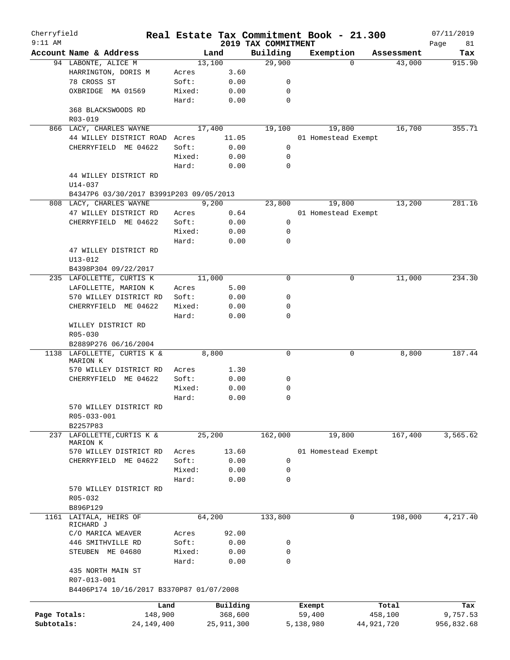| Cherryfield<br>$9:11$ AM |                                                  |                |              | 2019 TAX COMMITMENT | Real Estate Tax Commitment Book - 21.300 |            | 07/11/2019        |
|--------------------------|--------------------------------------------------|----------------|--------------|---------------------|------------------------------------------|------------|-------------------|
|                          | Account Name & Address                           |                | Land         | Building            | Exemption                                | Assessment | Page<br>81<br>Tax |
|                          | 94 LABONTE, ALICE M                              |                | 13,100       | 29,900              | $\Omega$                                 | 43,000     | 915.90            |
|                          | HARRINGTON, DORIS M                              | Acres          | 3.60         |                     |                                          |            |                   |
|                          | 78 CROSS ST                                      | Soft:          | 0.00         | 0                   |                                          |            |                   |
|                          | OXBRIDGE MA 01569                                | Mixed:         | 0.00         | 0                   |                                          |            |                   |
|                          |                                                  | Hard:          | 0.00         | $\mathbf 0$         |                                          |            |                   |
|                          | 368 BLACKSWOODS RD                               |                |              |                     |                                          |            |                   |
|                          | R03-019                                          |                |              |                     |                                          |            |                   |
|                          | 866 LACY, CHARLES WAYNE                          |                | 17,400       | 19,100              | 19,800                                   | 16,700     | 355.71            |
|                          | 44 WILLEY DISTRICT ROAD                          | Acres          | 11.05        |                     | 01 Homestead Exempt                      |            |                   |
|                          | CHERRYFIELD ME 04622                             | Soft:          | 0.00         | 0                   |                                          |            |                   |
|                          |                                                  | Mixed:         | 0.00         | 0                   |                                          |            |                   |
|                          |                                                  | Hard:          | 0.00         | 0                   |                                          |            |                   |
|                          | 44 WILLEY DISTRICT RD                            |                |              |                     |                                          |            |                   |
|                          | $U14 - 037$                                      |                |              |                     |                                          |            |                   |
|                          | B4347P6 03/30/2017 B3991P203 09/05/2013          |                |              |                     | 19,800                                   | 13,200     | 281.16            |
|                          | 808 LACY, CHARLES WAYNE<br>47 WILLEY DISTRICT RD |                | 9,200        | 23,800              |                                          |            |                   |
|                          | CHERRYFIELD ME 04622                             | Acres<br>Soft: | 0.64<br>0.00 | 0                   | 01 Homestead Exempt                      |            |                   |
|                          |                                                  | Mixed:         | 0.00         | 0                   |                                          |            |                   |
|                          |                                                  | Hard:          | 0.00         | 0                   |                                          |            |                   |
|                          | 47 WILLEY DISTRICT RD                            |                |              |                     |                                          |            |                   |
|                          | $U13 - 012$                                      |                |              |                     |                                          |            |                   |
|                          | B4398P304 09/22/2017                             |                |              |                     |                                          |            |                   |
|                          | 235 LAFOLLETTE, CURTIS K                         |                | 11,000       | $\mathbf 0$         | 0                                        | 11,000     | 234.30            |
|                          | LAFOLLETTE, MARION K                             | Acres          | 5.00         |                     |                                          |            |                   |
|                          | 570 WILLEY DISTRICT RD                           | Soft:          | 0.00         | 0                   |                                          |            |                   |
|                          | CHERRYFIELD ME 04622                             | Mixed:         | 0.00         | 0                   |                                          |            |                   |
|                          |                                                  | Hard:          | 0.00         | 0                   |                                          |            |                   |
|                          | WILLEY DISTRICT RD                               |                |              |                     |                                          |            |                   |
|                          | R05-030                                          |                |              |                     |                                          |            |                   |
|                          | B2889P276 06/16/2004                             |                |              |                     |                                          |            |                   |
|                          | 1138 LAFOLLETTE, CURTIS K &                      |                | 8,800        | $\mathbf 0$         | 0                                        | 8,800      | 187.44            |
|                          | MARION K                                         |                |              |                     |                                          |            |                   |
|                          | 570 WILLEY DISTRICT RD                           | Acres          | 1.30         |                     |                                          |            |                   |
|                          | CHERRYFIELD ME 04622                             | Soft:          | 0.00         | 0                   |                                          |            |                   |
|                          |                                                  | Mixed:         | 0.00         | 0<br>0              |                                          |            |                   |
|                          | 570 WILLEY DISTRICT RD                           | Hard:          | 0.00         |                     |                                          |            |                   |
|                          | R05-033-001                                      |                |              |                     |                                          |            |                   |
|                          | B2257P83                                         |                |              |                     |                                          |            |                   |
|                          | 237 LAFOLLETTE, CURTIS K &                       |                | 25,200       | 162,000             | 19,800                                   | 167,400    | 3,565.62          |
|                          | MARION K                                         |                |              |                     |                                          |            |                   |
|                          | 570 WILLEY DISTRICT RD                           | Acres          | 13.60        |                     | 01 Homestead Exempt                      |            |                   |
|                          | CHERRYFIELD ME 04622                             | Soft:          | 0.00         | 0                   |                                          |            |                   |
|                          |                                                  | Mixed:         | 0.00         | 0                   |                                          |            |                   |
|                          |                                                  | Hard:          | 0.00         | 0                   |                                          |            |                   |
|                          | 570 WILLEY DISTRICT RD                           |                |              |                     |                                          |            |                   |
|                          | R05-032                                          |                |              |                     |                                          |            |                   |
|                          | B896P129                                         |                |              |                     |                                          |            |                   |
| 1161                     | LAITALA, HEIRS OF                                |                | 64,200       | 133,800             | 0                                        | 198,000    | 4,217.40          |
|                          | RICHARD J                                        |                |              |                     |                                          |            |                   |
|                          | C/O MARICA WEAVER                                | Acres<br>Soft: | 92.00        |                     |                                          |            |                   |
|                          | 446 SMITHVILLE RD<br>STEUBEN ME 04680            | Mixed:         | 0.00<br>0.00 | 0<br>0              |                                          |            |                   |
|                          |                                                  | Hard:          | 0.00         | 0                   |                                          |            |                   |
|                          | 435 NORTH MAIN ST                                |                |              |                     |                                          |            |                   |
|                          | R07-013-001                                      |                |              |                     |                                          |            |                   |
|                          | B4406P174 10/16/2017 B3370P87 01/07/2008         |                |              |                     |                                          |            |                   |
|                          |                                                  |                |              |                     |                                          |            |                   |
|                          |                                                  | Land           | Building     |                     | Exempt                                   | Total      | Tax               |
| Page Totals:             | 148,900                                          |                | 368,600      |                     | 59,400                                   | 458,100    | 9,757.53          |
| Subtotals:               | 24,149,400                                       |                | 25,911,300   |                     | 5,138,980                                | 44,921,720 | 956,832.68        |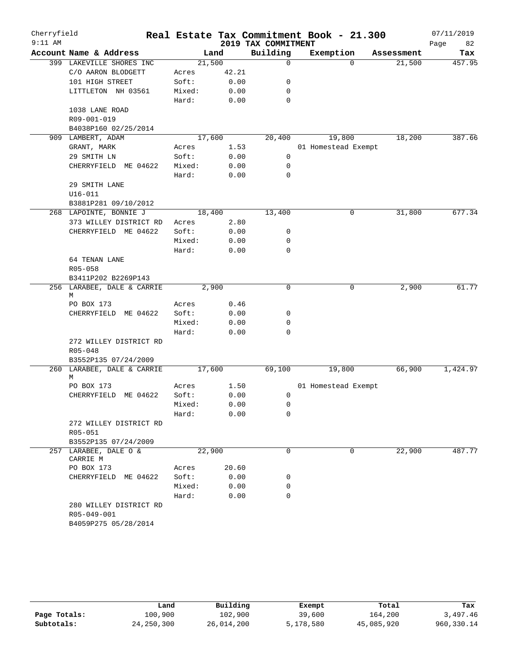| Cherryfield<br>$9:11$ AM |                                 |        |       | 2019 TAX COMMITMENT | Real Estate Tax Commitment Book - 21.300 |            | 07/11/2019<br>Page<br>82 |
|--------------------------|---------------------------------|--------|-------|---------------------|------------------------------------------|------------|--------------------------|
|                          | Account Name & Address          |        | Land  | Building            | Exemption                                | Assessment | Tax                      |
|                          | 399 LAKEVILLE SHORES INC        | 21,500 |       | $\mathbf 0$         | $\Omega$                                 | 21,500     | 457.95                   |
|                          | C/O AARON BLODGETT              | Acres  | 42.21 |                     |                                          |            |                          |
|                          | 101 HIGH STREET                 | Soft:  | 0.00  | 0                   |                                          |            |                          |
|                          | LITTLETON NH 03561              | Mixed: | 0.00  | 0                   |                                          |            |                          |
|                          |                                 | Hard:  | 0.00  | $\mathbf 0$         |                                          |            |                          |
|                          | 1038 LANE ROAD                  |        |       |                     |                                          |            |                          |
|                          | R09-001-019                     |        |       |                     |                                          |            |                          |
|                          | B4038P160 02/25/2014            |        |       |                     |                                          |            |                          |
|                          | 909 LAMBERT, ADAM               | 17,600 |       | 20,400              | 19,800                                   | 18,200     | 387.66                   |
|                          | GRANT, MARK                     | Acres  | 1.53  |                     | 01 Homestead Exempt                      |            |                          |
|                          | 29 SMITH LN                     | Soft:  | 0.00  | 0                   |                                          |            |                          |
|                          | CHERRYFIELD ME 04622            | Mixed: | 0.00  | 0                   |                                          |            |                          |
|                          |                                 | Hard:  | 0.00  | $\mathbf 0$         |                                          |            |                          |
|                          | 29 SMITH LANE                   |        |       |                     |                                          |            |                          |
|                          | $U16 - 011$                     |        |       |                     |                                          |            |                          |
|                          | B3881P281 09/10/2012            |        |       |                     |                                          |            |                          |
|                          | 268 LAPOINTE, BONNIE J          | 18,400 |       | 13,400              | 0                                        | 31,800     | 677.34                   |
|                          | 373 WILLEY DISTRICT RD          | Acres  | 2.80  |                     |                                          |            |                          |
|                          | CHERRYFIELD ME 04622            | Soft:  | 0.00  | 0                   |                                          |            |                          |
|                          |                                 | Mixed: | 0.00  | 0                   |                                          |            |                          |
|                          |                                 | Hard:  | 0.00  | $\mathbf 0$         |                                          |            |                          |
|                          | 64 TENAN LANE                   |        |       |                     |                                          |            |                          |
|                          | R05-058                         |        |       |                     |                                          |            |                          |
|                          | B3411P202 B2269P143             |        |       |                     |                                          |            |                          |
|                          | 256 LARABEE, DALE & CARRIE<br>M | 2,900  |       | $\mathbf 0$         | 0                                        | 2,900      | 61.77                    |
|                          | PO BOX 173                      | Acres  | 0.46  |                     |                                          |            |                          |
|                          | ME 04622<br>CHERRYFIELD         | Soft:  | 0.00  | 0                   |                                          |            |                          |
|                          |                                 | Mixed: | 0.00  | 0                   |                                          |            |                          |
|                          |                                 | Hard:  | 0.00  | 0                   |                                          |            |                          |
|                          | 272 WILLEY DISTRICT RD          |        |       |                     |                                          |            |                          |
|                          | $R05 - 048$                     |        |       |                     |                                          |            |                          |
|                          | B3552P135 07/24/2009            |        |       |                     |                                          |            |                          |
|                          | 260 LARABEE, DALE & CARRIE      | 17,600 |       | 69,100              | 19,800                                   | 66,900     | 1,424.97                 |
|                          | М                               |        |       |                     |                                          |            |                          |
|                          | PO BOX 173                      | Acres  | 1.50  |                     | 01 Homestead Exempt                      |            |                          |
|                          | CHERRYFIELD ME 04622            | Soft:  | 0.00  | 0                   |                                          |            |                          |
|                          |                                 | Mixed: | 0.00  | 0                   |                                          |            |                          |
|                          |                                 | Hard:  | 0.00  | 0                   |                                          |            |                          |
|                          | 272 WILLEY DISTRICT RD          |        |       |                     |                                          |            |                          |
|                          | R05-051                         |        |       |                     |                                          |            |                          |
|                          | B3552P135 07/24/2009            |        |       |                     |                                          |            |                          |
|                          | 257 LARABEE, DALE O &           | 22,900 |       | $\mathbf 0$         | 0                                        | 22,900     | 487.77                   |
|                          | CARRIE M                        |        |       |                     |                                          |            |                          |
|                          | PO BOX 173                      | Acres  | 20.60 |                     |                                          |            |                          |
|                          | CHERRYFIELD ME 04622            | Soft:  | 0.00  | 0                   |                                          |            |                          |
|                          |                                 | Mixed: | 0.00  | 0                   |                                          |            |                          |
|                          |                                 | Hard:  | 0.00  | 0                   |                                          |            |                          |
|                          | 280 WILLEY DISTRICT RD          |        |       |                     |                                          |            |                          |
|                          | R05-049-001                     |        |       |                     |                                          |            |                          |
|                          | B4059P275 05/28/2014            |        |       |                     |                                          |            |                          |

|              | Land         | Building   | Exempt    | Total      | Tax        |
|--------------|--------------|------------|-----------|------------|------------|
| Page Totals: | 100,900      | 102,900    | 39,600    | 164,200    | 3,497.46   |
| Subtotals:   | 24, 250, 300 | 26,014,200 | 5,178,580 | 45,085,920 | 960,330.14 |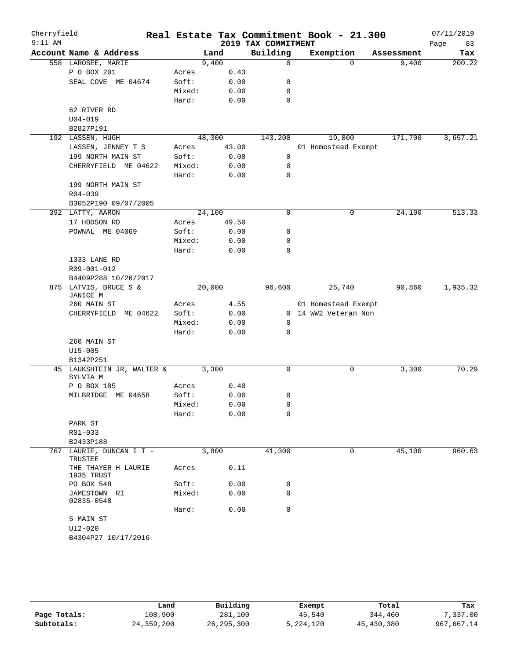| Cherryfield |                                        |                |              |                     | Real Estate Tax Commitment Book - 21.300 |            | 07/11/2019 |
|-------------|----------------------------------------|----------------|--------------|---------------------|------------------------------------------|------------|------------|
| $9:11$ AM   |                                        |                |              | 2019 TAX COMMITMENT |                                          |            | 83<br>Page |
|             | Account Name & Address                 |                | Land         | Building            | Exemption                                | Assessment | Tax        |
|             | 558 LAROSEE, MARIE                     |                | 9,400        | $\mathbf 0$         | $\Omega$                                 | 9,400      | 200.22     |
|             | P O BOX 201                            | Acres<br>Soft: | 0.43         |                     |                                          |            |            |
|             | SEAL COVE ME 04674                     | Mixed:         | 0.00<br>0.00 | 0<br>0              |                                          |            |            |
|             |                                        | Hard:          | 0.00         | $\mathbf 0$         |                                          |            |            |
|             | 62 RIVER RD                            |                |              |                     |                                          |            |            |
|             | $U04 - 019$                            |                |              |                     |                                          |            |            |
|             | B2827P191                              |                |              |                     |                                          |            |            |
|             | 192 LASSEN, HUGH                       |                | 48,300       | 143,200             | 19,800                                   | 171,700    | 3,657.21   |
|             | LASSEN, JENNEY T S                     | Acres          | 43.00        |                     | 01 Homestead Exempt                      |            |            |
|             | 199 NORTH MAIN ST                      | Soft:          | 0.00         | 0                   |                                          |            |            |
|             | CHERRYFIELD ME 04622                   | Mixed:         | 0.00         | 0                   |                                          |            |            |
|             |                                        | Hard:          | 0.00         | 0                   |                                          |            |            |
|             | 199 NORTH MAIN ST                      |                |              |                     |                                          |            |            |
|             | $R04 - 039$                            |                |              |                     |                                          |            |            |
|             | B3052P190 09/07/2005                   |                |              |                     |                                          |            |            |
|             | 392 LATTY, AARON                       |                | 24,100       | $\mathbf 0$         | 0                                        | 24,100     | 513.33     |
|             | 17 HODSON RD                           | Acres          | 49.50        |                     |                                          |            |            |
|             | POWNAL ME 04069                        | Soft:          | 0.00         | 0                   |                                          |            |            |
|             |                                        | Mixed:         | 0.00         | 0                   |                                          |            |            |
|             |                                        | Hard:          | 0.00         | 0                   |                                          |            |            |
|             | 1333 LANE RD                           |                |              |                     |                                          |            |            |
|             | R09-001-012                            |                |              |                     |                                          |            |            |
|             | B4409P288 10/26/2017                   |                |              |                     |                                          |            |            |
|             | 875 LATVIS, BRUCE S &<br>JANICE M      | 20,000         |              | 96,600              | 25,740                                   | 90,860     | 1,935.32   |
|             | 260 MAIN ST                            | Acres          | 4.55         |                     | 01 Homestead Exempt                      |            |            |
|             | ME 04622<br>CHERRYFIELD                | Soft:          | 0.00         | 0                   | 14 WW2 Veteran Non                       |            |            |
|             |                                        | Mixed:         | 0.00         | 0                   |                                          |            |            |
|             |                                        | Hard:          | 0.00         | 0                   |                                          |            |            |
|             | 260 MAIN ST                            |                |              |                     |                                          |            |            |
|             | $U15 - 005$                            |                |              |                     |                                          |            |            |
|             | B1342P251                              |                |              |                     |                                          |            |            |
|             | 45 LAUKSHTEIN JR, WALTER &<br>SYLVIA M |                | 3,300        | 0                   | 0                                        | 3,300      | 70.29      |
|             | P O BOX 185                            | Acres          | 0.40         |                     |                                          |            |            |
|             | MILBRIDGE ME 04658                     | Soft:          | 0.00         | 0                   |                                          |            |            |
|             |                                        | Mixed:         | 0.00         | 0                   |                                          |            |            |
|             |                                        | Hard:          | 0.00         | 0                   |                                          |            |            |
|             | PARK ST                                |                |              |                     |                                          |            |            |
|             | R01-033                                |                |              |                     |                                          |            |            |
|             | B2433P188                              |                |              |                     |                                          |            |            |
| 767         | LAURIE, DUNCAN I T -<br>TRUSTEE        |                | 3,800        | 41,300              | 0                                        | 45,100     | 960.63     |
|             | THE THAYER H LAURIE<br>1935 TRUST      | Acres          | 0.11         |                     |                                          |            |            |
|             | PO BOX 548                             | Soft:          | 0.00         | 0                   |                                          |            |            |
|             | JAMESTOWN RI<br>02835-0548             | Mixed:         | 0.00         | 0                   |                                          |            |            |
|             |                                        | Hard:          | 0.00         | 0                   |                                          |            |            |
|             | 5 MAIN ST                              |                |              |                     |                                          |            |            |
|             | $U12 - 020$                            |                |              |                     |                                          |            |            |
|             | B4304P27 10/17/2016                    |                |              |                     |                                          |            |            |

|              | Land       | Building   | Exempt    | Total      | Tax        |
|--------------|------------|------------|-----------|------------|------------|
| Page Totals: | 108,900    | 281,100    | 45,540    | 344,460    | 7,337.00   |
| Subtotals:   | 24,359,200 | 26,295,300 | 5,224,120 | 45,430,380 | 967,667.14 |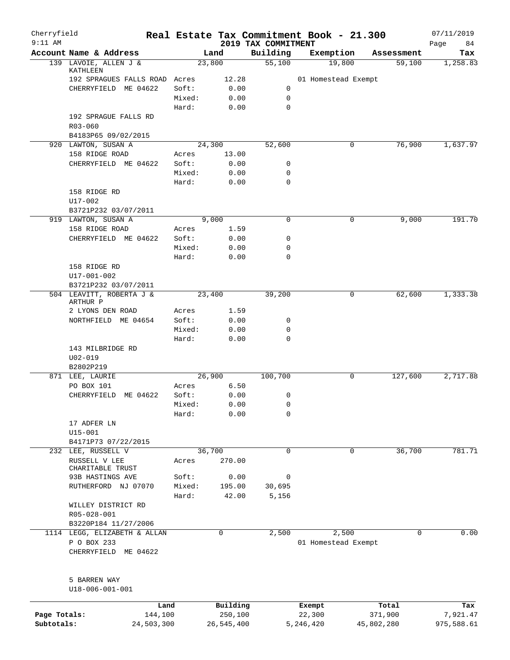| Cherryfield<br>$9:11$ AM |                                                      |        |            |                                 | Real Estate Tax Commitment Book - 21.300 |                      | 07/11/2019        |
|--------------------------|------------------------------------------------------|--------|------------|---------------------------------|------------------------------------------|----------------------|-------------------|
|                          | Account Name & Address                               |        | Land       | 2019 TAX COMMITMENT<br>Building | Exemption                                | Assessment           | Page<br>84<br>Tax |
|                          | 139 LAVOIE, ALLEN J &                                |        | 23,800     | 55,100                          | 19,800                                   | 59,100               | 1,258.83          |
|                          | KATHLEEN<br>192 SPRAGUES FALLS ROAD Acres            |        | 12.28      |                                 | 01 Homestead Exempt                      |                      |                   |
|                          | ME 04622<br>CHERRYFIELD                              | Soft:  | 0.00       | 0                               |                                          |                      |                   |
|                          |                                                      | Mixed: | 0.00       | 0                               |                                          |                      |                   |
|                          |                                                      | Hard:  | 0.00       | 0                               |                                          |                      |                   |
|                          | 192 SPRAGUE FALLS RD                                 |        |            |                                 |                                          |                      |                   |
|                          | $R03 - 060$                                          |        |            |                                 |                                          |                      |                   |
|                          | B4183P65 09/02/2015                                  |        |            |                                 |                                          |                      |                   |
|                          | 920 LAWTON, SUSAN A                                  |        | 24,300     | 52,600                          | 0                                        | 76,900               | 1,637.97          |
|                          | 158 RIDGE ROAD                                       | Acres  | 13.00      |                                 |                                          |                      |                   |
|                          | CHERRYFIELD ME 04622                                 | Soft:  | 0.00       | 0                               |                                          |                      |                   |
|                          |                                                      | Mixed: | 0.00       | 0                               |                                          |                      |                   |
|                          |                                                      | Hard:  | 0.00       | 0                               |                                          |                      |                   |
|                          | 158 RIDGE RD                                         |        |            |                                 |                                          |                      |                   |
|                          | U17-002                                              |        |            |                                 |                                          |                      |                   |
|                          | B3721P232 03/07/2011<br>919 LAWTON, SUSAN A          |        | 9.000      | $\mathbf 0$                     | 0                                        | 9,000                | 191.70            |
|                          | 158 RIDGE ROAD                                       | Acres  | 1.59       |                                 |                                          |                      |                   |
|                          | CHERRYFIELD ME 04622                                 | Soft:  | 0.00       | 0                               |                                          |                      |                   |
|                          |                                                      | Mixed: | 0.00       | 0                               |                                          |                      |                   |
|                          |                                                      | Hard:  | 0.00       | 0                               |                                          |                      |                   |
|                          | 158 RIDGE RD                                         |        |            |                                 |                                          |                      |                   |
|                          | U17-001-002                                          |        |            |                                 |                                          |                      |                   |
|                          | B3721P232 03/07/2011                                 |        |            |                                 |                                          |                      |                   |
|                          | 504 LEAVITT, ROBERTA J &<br>ARTHUR P                 |        | 23,400     | 39,200                          | 0                                        | 62,600               | 1,333.38          |
|                          | 2 LYONS DEN ROAD                                     | Acres  | 1.59       |                                 |                                          |                      |                   |
|                          | NORTHFIELD ME 04654                                  | Soft:  | 0.00       | 0                               |                                          |                      |                   |
|                          |                                                      | Mixed: | 0.00       | 0                               |                                          |                      |                   |
|                          |                                                      | Hard:  | 0.00       | $\mathbf 0$                     |                                          |                      |                   |
|                          | 143 MILBRIDGE RD                                     |        |            |                                 |                                          |                      |                   |
|                          | $U02 - 019$                                          |        |            |                                 |                                          |                      |                   |
|                          | B2802P219                                            |        | 26,900     |                                 |                                          |                      | 2,717.88          |
|                          | 871 LEE, LAURIE                                      | Acres  | 6.50       | 100,700                         | 0                                        | $1\overline{27,600}$ |                   |
|                          | PO BOX 101<br>ME 04622<br>CHERRYFIELD                | Soft:  | 0.00       | 0                               |                                          |                      |                   |
|                          |                                                      | Mixed: | 0.00       | $\Omega$                        |                                          |                      |                   |
|                          |                                                      | Hard:  | 0.00       | 0                               |                                          |                      |                   |
|                          | 17 ADFER LN                                          |        |            |                                 |                                          |                      |                   |
|                          | $U15 - 001$                                          |        |            |                                 |                                          |                      |                   |
|                          | B4171P73 07/22/2015                                  |        |            |                                 |                                          |                      |                   |
|                          | 232 LEE, RUSSELL V                                   |        | 36,700     | $\mathbf 0$                     | $\mathbf 0$                              | 36,700               | 781.71            |
|                          | RUSSELL V LEE                                        | Acres  | 270.00     |                                 |                                          |                      |                   |
|                          | CHARITABLE TRUST                                     |        |            |                                 |                                          |                      |                   |
|                          | 93B HASTINGS AVE                                     | Soft:  | 0.00       | 0                               |                                          |                      |                   |
|                          | RUTHERFORD NJ 07070                                  | Mixed: | 195.00     | 30,695                          |                                          |                      |                   |
|                          |                                                      | Hard:  | 42.00      | 5,156                           |                                          |                      |                   |
|                          | WILLEY DISTRICT RD                                   |        |            |                                 |                                          |                      |                   |
|                          | R05-028-001                                          |        |            |                                 |                                          |                      |                   |
|                          | B3220P184 11/27/2006<br>1114 LEGG, ELIZABETH & ALLAN |        | 0          | 2,500                           | 2,500                                    | $\Omega$             | 0.00              |
|                          | P O BOX 233                                          |        |            |                                 | 01 Homestead Exempt                      |                      |                   |
|                          | CHERRYFIELD ME 04622                                 |        |            |                                 |                                          |                      |                   |
|                          | 5 BARREN WAY                                         |        |            |                                 |                                          |                      |                   |
|                          | U18-006-001-001                                      |        |            |                                 |                                          |                      |                   |
|                          | Land                                                 |        | Building   |                                 | Exempt                                   | Total                | Tax               |
| Page Totals:             | 144,100                                              |        | 250,100    |                                 | 22,300                                   | 371,900              | 7,921.47          |
| Subtotals:               | 24,503,300                                           |        | 26,545,400 |                                 | 5,246,420                                | 45,802,280           | 975,588.61        |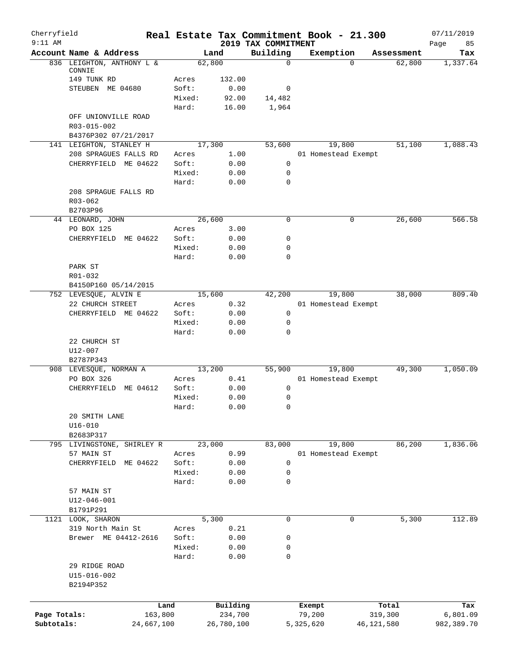| Cherryfield<br>$9:11$ AM |                                      |            |                |                | Real Estate Tax Commitment Book - 21.300 |                     |          |              | 07/11/2019        |
|--------------------------|--------------------------------------|------------|----------------|----------------|------------------------------------------|---------------------|----------|--------------|-------------------|
|                          | Account Name & Address               |            |                | Land           | 2019 TAX COMMITMENT<br>Building          | Exemption           |          | Assessment   | Page<br>85<br>Tax |
|                          | 836 LEIGHTON, ANTHONY L &            |            | 62,800         |                | $\mathbf 0$                              |                     | $\Omega$ | 62,800       | 1,337.64          |
|                          | CONNIE<br>149 TUNK RD                |            |                |                |                                          |                     |          |              |                   |
|                          | STEUBEN ME 04680                     |            | Acres<br>Soft: | 132.00<br>0.00 | 0                                        |                     |          |              |                   |
|                          |                                      |            | Mixed:         | 92.00          | 14,482                                   |                     |          |              |                   |
|                          |                                      |            | Hard:          | 16.00          | 1,964                                    |                     |          |              |                   |
|                          | OFF UNIONVILLE ROAD                  |            |                |                |                                          |                     |          |              |                   |
|                          | R03-015-002                          |            |                |                |                                          |                     |          |              |                   |
|                          | B4376P302 07/21/2017                 |            |                |                |                                          |                     |          |              |                   |
|                          | 141 LEIGHTON, STANLEY H              |            | 17,300         |                | 53,600                                   | 19,800              |          | 51,100       | 1,088.43          |
|                          | 208 SPRAGUES FALLS RD                |            | Acres          | 1.00           |                                          | 01 Homestead Exempt |          |              |                   |
|                          | CHERRYFIELD ME 04622                 |            | Soft:          | 0.00           | 0                                        |                     |          |              |                   |
|                          |                                      |            | Mixed:         | 0.00           | 0                                        |                     |          |              |                   |
|                          |                                      |            | Hard:          | 0.00           | 0                                        |                     |          |              |                   |
|                          | 208 SPRAGUE FALLS RD                 |            |                |                |                                          |                     |          |              |                   |
|                          | R03-062                              |            |                |                |                                          |                     |          |              |                   |
|                          | B2703P96                             |            | 26,600         |                | 0                                        |                     | 0        | 26,600       | 566.58            |
|                          | 44 LEONARD, JOHN<br>PO BOX 125       |            | Acres          | 3.00           |                                          |                     |          |              |                   |
|                          | CHERRYFIELD ME 04622                 |            | Soft:          | 0.00           | 0                                        |                     |          |              |                   |
|                          |                                      |            | Mixed:         | 0.00           | 0                                        |                     |          |              |                   |
|                          |                                      |            | Hard:          | 0.00           | 0                                        |                     |          |              |                   |
|                          | PARK ST                              |            |                |                |                                          |                     |          |              |                   |
|                          | R01-032                              |            |                |                |                                          |                     |          |              |                   |
|                          | B4150P160 05/14/2015                 |            |                |                |                                          |                     |          |              |                   |
|                          | 752 LEVESQUE, ALVIN E                |            | 15,600         |                | 42,200                                   | 19,800              |          | 38,000       | 809.40            |
|                          | 22 CHURCH STREET                     |            | Acres          | 0.32           |                                          | 01 Homestead Exempt |          |              |                   |
|                          | CHERRYFIELD ME 04622                 |            | Soft:          | 0.00           | $\mathbf 0$                              |                     |          |              |                   |
|                          |                                      |            | Mixed:         | 0.00           | 0                                        |                     |          |              |                   |
|                          |                                      |            | Hard:          | 0.00           | 0                                        |                     |          |              |                   |
|                          | 22 CHURCH ST                         |            |                |                |                                          |                     |          |              |                   |
|                          | U12-007                              |            |                |                |                                          |                     |          |              |                   |
|                          | B2787P343                            |            | 13,200         |                |                                          | 19,800              |          | 49,300       | 1,050.09          |
|                          | 908 LEVESQUE, NORMAN A<br>PO BOX 326 |            | Acres          | 0.41           | 55,900                                   | 01 Homestead Exempt |          |              |                   |
|                          | CHERRYFIELD ME 04612                 |            | Soft:          | 0.00           | 0                                        |                     |          |              |                   |
|                          |                                      |            | Mixed:         | 0.00           | 0                                        |                     |          |              |                   |
|                          |                                      |            | Hard:          | 0.00           | 0                                        |                     |          |              |                   |
|                          | 20 SMITH LANE                        |            |                |                |                                          |                     |          |              |                   |
|                          | $U16 - 010$                          |            |                |                |                                          |                     |          |              |                   |
|                          | B2683P317                            |            |                |                |                                          |                     |          |              |                   |
|                          | 795 LIVINGSTONE, SHIRLEY R           |            | 23,000         |                | 83,000                                   | 19,800              |          | 86,200       | 1,836.06          |
|                          | 57 MAIN ST                           |            | Acres          | 0.99           |                                          | 01 Homestead Exempt |          |              |                   |
|                          | CHERRYFIELD ME 04622                 |            | Soft:          | 0.00           | $\mathbf 0$                              |                     |          |              |                   |
|                          |                                      |            | Mixed:         | 0.00           | 0                                        |                     |          |              |                   |
|                          |                                      |            | Hard:          | 0.00           | 0                                        |                     |          |              |                   |
|                          | 57 MAIN ST                           |            |                |                |                                          |                     |          |              |                   |
|                          | U12-046-001                          |            |                |                |                                          |                     |          |              |                   |
|                          | B1791P291<br>1121 LOOK, SHARON       |            |                | 5,300          | $\mathbf 0$                              |                     | 0        |              | 112.89            |
|                          | 319 North Main St                    |            | Acres          | 0.21           |                                          |                     |          | 5,300        |                   |
|                          | Brewer ME 04412-2616                 |            | Soft:          | 0.00           | 0                                        |                     |          |              |                   |
|                          |                                      |            | Mixed:         | 0.00           | 0                                        |                     |          |              |                   |
|                          |                                      |            | Hard:          | 0.00           | 0                                        |                     |          |              |                   |
|                          | 29 RIDGE ROAD                        |            |                |                |                                          |                     |          |              |                   |
|                          | $U15 - 016 - 002$                    |            |                |                |                                          |                     |          |              |                   |
|                          | B2194P352                            |            |                |                |                                          |                     |          |              |                   |
|                          |                                      |            |                |                |                                          |                     |          |              |                   |
|                          |                                      | Land       |                | Building       |                                          | Exempt              |          | Total        | Tax               |
| Page Totals:             |                                      | 163,800    |                | 234,700        |                                          | 79,200              |          | 319,300      | 6,801.09          |
| Subtotals:               |                                      | 24,667,100 |                | 26,780,100     |                                          | 5,325,620           |          | 46, 121, 580 | 982,389.70        |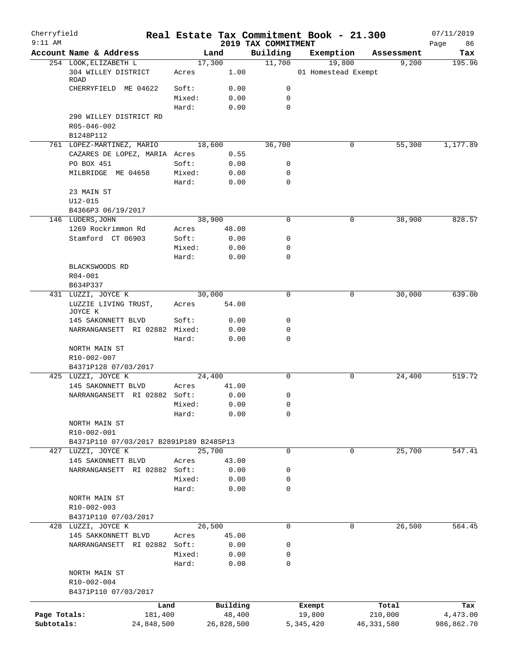| Cherryfield<br>$9:11$ AM |                                            |            |        |              | 2019 TAX COMMITMENT | Real Estate Tax Commitment Book - 21.300 |              | 07/11/2019        |
|--------------------------|--------------------------------------------|------------|--------|--------------|---------------------|------------------------------------------|--------------|-------------------|
|                          | Account Name & Address                     |            |        | Land         | Building            | Exemption                                | Assessment   | Page<br>86<br>Tax |
|                          | 254 LOOK, ELIZABETH L                      |            |        | 17,300       | 11,700              | 19,800                                   | 9,200        | 195.96            |
|                          | 304 WILLEY DISTRICT<br><b>ROAD</b>         |            | Acres  | 1.00         |                     | 01 Homestead Exempt                      |              |                   |
|                          | CHERRYFIELD ME 04622                       |            | Soft:  | 0.00         | 0                   |                                          |              |                   |
|                          |                                            |            | Mixed: | 0.00         | 0                   |                                          |              |                   |
|                          | 290 WILLEY DISTRICT RD                     |            | Hard:  | 0.00         | 0                   |                                          |              |                   |
|                          | R05-046-002<br>B1248P112                   |            |        |              |                     |                                          |              |                   |
|                          | 761 LOPEZ-MARTINEZ, MARIO                  |            |        | 18,600       | 36,700              | 0                                        | 55,300       | 1,177.89          |
|                          | CAZARES DE LOPEZ, MARIA Acres              |            |        | 0.55         |                     |                                          |              |                   |
|                          | PO BOX 451                                 |            | Soft:  | 0.00         | 0                   |                                          |              |                   |
|                          | MILBRIDGE ME 04658                         |            | Mixed: | 0.00         | 0                   |                                          |              |                   |
|                          |                                            |            | Hard:  | 0.00         | 0                   |                                          |              |                   |
|                          | 23 MAIN ST<br>$U12 - 015$                  |            |        |              |                     |                                          |              |                   |
|                          | B4366P3 06/19/2017                         |            |        |              |                     |                                          |              |                   |
|                          | 146 LUDERS, JOHN                           |            |        | 38,900       | 0                   | 0                                        | 38,900       | 828.57            |
|                          | 1269 Rockrimmon Rd                         |            | Acres  | 48.00        |                     |                                          |              |                   |
|                          | Stamford CT 06903                          |            | Soft:  | 0.00         | 0                   |                                          |              |                   |
|                          |                                            |            | Mixed: | 0.00         | 0                   |                                          |              |                   |
|                          |                                            |            | Hard:  | 0.00         | 0                   |                                          |              |                   |
|                          | BLACKSWOODS RD                             |            |        |              |                     |                                          |              |                   |
|                          | R04-001                                    |            |        |              |                     |                                          |              |                   |
|                          | B634P337                                   |            |        | 30,000       | $\Omega$            | 0                                        | 30,000       | 639.00            |
|                          | 431 LUZZI, JOYCE K<br>LUZZIE LIVING TRUST, |            | Acres  | 54.00        |                     |                                          |              |                   |
|                          | JOYCE K<br>145 SAKONNETT BLVD              |            | Soft:  | 0.00         | 0                   |                                          |              |                   |
|                          | NARRANGANSETT RI 02882 Mixed:              |            |        | 0.00         | 0                   |                                          |              |                   |
|                          |                                            |            | Hard:  | 0.00         | 0                   |                                          |              |                   |
|                          | NORTH MAIN ST                              |            |        |              |                     |                                          |              |                   |
|                          | R10-002-007                                |            |        |              |                     |                                          |              |                   |
|                          | B4371P128 07/03/2017                       |            |        |              |                     |                                          |              |                   |
|                          | 425 LUZZI, JOYCE K                         |            |        | 24,400       | $\mathbf 0$         | 0                                        | 24,400       | 519.72            |
|                          | 145 SAKONNETT BLVD                         |            | Acres  | 41.00        |                     |                                          |              |                   |
|                          | NARRANGANSETT RI 02882 Soft:               |            | Mixed: | 0.00<br>0.00 | 0<br>$\Omega$       |                                          |              |                   |
|                          |                                            |            | Hard:  | 0.00         | 0                   |                                          |              |                   |
|                          | NORTH MAIN ST                              |            |        |              |                     |                                          |              |                   |
|                          | R10-002-001                                |            |        |              |                     |                                          |              |                   |
|                          | B4371P110 07/03/2017 B2891P189 B2485P13    |            |        |              |                     |                                          |              |                   |
|                          | 427 LUZZI, JOYCE K                         |            |        | 25,700       | $\mathbf 0$         | $\mathbf 0$                              | 25,700       | 547.41            |
|                          | 145 SAKONNETT BLVD                         |            | Acres  | 43.00        |                     |                                          |              |                   |
|                          | NARRANGANSETT RI 02882 Soft:               |            |        | 0.00         | 0                   |                                          |              |                   |
|                          |                                            |            | Mixed: | 0.00         | 0                   |                                          |              |                   |
|                          | NORTH MAIN ST                              |            | Hard:  | 0.00         | 0                   |                                          |              |                   |
|                          | R10-002-003                                |            |        |              |                     |                                          |              |                   |
|                          | B4371P110 07/03/2017                       |            |        |              |                     |                                          |              |                   |
|                          | 428 LUZZI, JOYCE K                         |            |        | 26,500       | 0                   | 0                                        | 26,500       | 564.45            |
|                          | 145 SAKKONNETT BLVD                        |            | Acres  | 45.00        |                     |                                          |              |                   |
|                          | NARRANGANSETT RI 02882 Soft:               |            |        | 0.00         | 0                   |                                          |              |                   |
|                          |                                            |            | Mixed: | 0.00         | 0                   |                                          |              |                   |
|                          |                                            |            | Hard:  | 0.00         | 0                   |                                          |              |                   |
|                          | NORTH MAIN ST                              |            |        |              |                     |                                          |              |                   |
|                          | R10-002-004<br>B4371P110 07/03/2017        |            |        |              |                     |                                          |              |                   |
|                          |                                            | Land       |        | Building     |                     | Exempt                                   | Total        | Tax               |
| Page Totals:             |                                            | 181,400    |        | 48,400       |                     | 19,800                                   | 210,000      | 4,473.00          |
| Subtotals:               |                                            | 24,848,500 |        | 26,828,500   |                     | 5,345,420                                | 46, 331, 580 | 986,862.70        |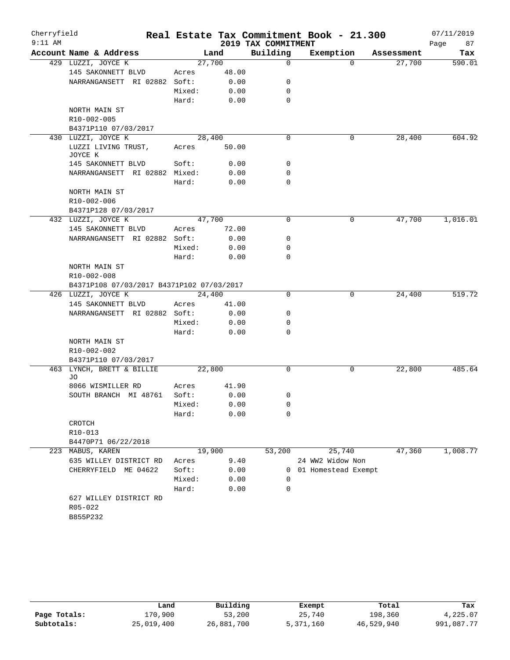| Cherryfield<br>$9:11$ AM |                                           |        |       | 2019 TAX COMMITMENT | Real Estate Tax Commitment Book - 21.300 |            | 07/11/2019<br>Page<br>87 |
|--------------------------|-------------------------------------------|--------|-------|---------------------|------------------------------------------|------------|--------------------------|
|                          | Account Name & Address                    |        | Land  | Building            | Exemption                                | Assessment | Tax                      |
|                          | 429 LUZZI, JOYCE K                        | 27,700 |       | $\mathbf 0$         | $\Omega$                                 | 27,700     | 590.01                   |
|                          | 145 SAKONNETT BLVD                        | Acres  | 48.00 |                     |                                          |            |                          |
|                          | NARRANGANSETT RI 02882 Soft:              |        | 0.00  | 0                   |                                          |            |                          |
|                          |                                           | Mixed: | 0.00  | 0                   |                                          |            |                          |
|                          |                                           | Hard:  | 0.00  | $\mathbf 0$         |                                          |            |                          |
|                          | NORTH MAIN ST                             |        |       |                     |                                          |            |                          |
|                          | R10-002-005                               |        |       |                     |                                          |            |                          |
|                          | B4371P110 07/03/2017                      |        |       |                     |                                          |            |                          |
|                          | 430 LUZZI, JOYCE K                        | 28,400 |       | $\mathbf 0$         | 0                                        | 28,400     | 604.92                   |
|                          | LUZZI LIVING TRUST,<br>JOYCE K            | Acres  | 50.00 |                     |                                          |            |                          |
|                          | 145 SAKONNETT BLVD                        | Soft:  | 0.00  | 0                   |                                          |            |                          |
|                          | NARRANGANSETT RI 02882 Mixed:             |        | 0.00  | 0                   |                                          |            |                          |
|                          |                                           | Hard:  | 0.00  | 0                   |                                          |            |                          |
|                          | NORTH MAIN ST                             |        |       |                     |                                          |            |                          |
|                          | R10-002-006                               |        |       |                     |                                          |            |                          |
|                          | B4371P128 07/03/2017                      |        |       |                     |                                          |            |                          |
|                          | 432 LUZZI, JOYCE K                        | 47,700 |       | 0                   | 0                                        | 47,700     | 1,016.01                 |
|                          | 145 SAKONNETT BLVD                        | Acres  | 72.00 |                     |                                          |            |                          |
|                          | NARRANGANSETT RI 02882 Soft:              |        | 0.00  | 0                   |                                          |            |                          |
|                          |                                           | Mixed: | 0.00  | 0                   |                                          |            |                          |
|                          |                                           | Hard:  | 0.00  | 0                   |                                          |            |                          |
|                          | NORTH MAIN ST                             |        |       |                     |                                          |            |                          |
|                          | R10-002-008                               |        |       |                     |                                          |            |                          |
|                          | B4371P108 07/03/2017 B4371P102 07/03/2017 |        |       |                     |                                          |            |                          |
|                          | 426 LUZZI, JOYCE K                        | 24,400 |       | 0                   | 0                                        | 24,400     | 519.72                   |
|                          | 145 SAKONNETT BLVD                        | Acres  | 41.00 |                     |                                          |            |                          |
|                          | NARRANGANSETT RI 02882 Soft:              |        | 0.00  | 0                   |                                          |            |                          |
|                          |                                           | Mixed: | 0.00  | 0                   |                                          |            |                          |
|                          |                                           | Hard:  | 0.00  | 0                   |                                          |            |                          |
|                          | NORTH MAIN ST                             |        |       |                     |                                          |            |                          |
|                          | R10-002-002                               |        |       |                     |                                          |            |                          |
|                          | B4371P110 07/03/2017                      |        |       |                     |                                          |            |                          |
| 463                      | LYNCH, BRETT & BILLIE<br>JO               | 22,800 |       | 0                   | 0                                        | 22,800     | 485.64                   |
|                          | 8066 WISMILLER RD                         | Acres  | 41.90 |                     |                                          |            |                          |
|                          | SOUTH BRANCH MI 48761                     | Soft:  | 0.00  | 0                   |                                          |            |                          |
|                          |                                           | Mixed: | 0.00  | 0                   |                                          |            |                          |
|                          |                                           | Hard:  | 0.00  | 0                   |                                          |            |                          |
|                          | CROTCH                                    |        |       |                     |                                          |            |                          |
|                          | R10-013                                   |        |       |                     |                                          |            |                          |
|                          | B4470P71 06/22/2018                       |        |       |                     |                                          |            |                          |
|                          | 223 MABUS, KAREN                          | 19,900 |       | 53,200              | 25,740                                   | 47,360     | 1,008.77                 |
|                          | 635 WILLEY DISTRICT RD                    | Acres  | 9.40  |                     | 24 WW2 Widow Non                         |            |                          |
|                          | CHERRYFIELD ME 04622                      | Soft:  | 0.00  | $\mathbf{0}$        | 01 Homestead Exempt                      |            |                          |
|                          |                                           | Mixed: | 0.00  | $\Omega$            |                                          |            |                          |
|                          |                                           | Hard:  | 0.00  | 0                   |                                          |            |                          |
|                          | 627 WILLEY DISTRICT RD                    |        |       |                     |                                          |            |                          |
|                          | R05-022                                   |        |       |                     |                                          |            |                          |
|                          | B855P232                                  |        |       |                     |                                          |            |                          |
|                          |                                           |        |       |                     |                                          |            |                          |

|              | Land       | Building   | Exempt    | Total      | Tax        |
|--------------|------------|------------|-----------|------------|------------|
| Page Totals: | 170,900    | 53,200     | 25,740    | 198,360    | 4,225.07   |
| Subtotals:   | 25,019,400 | 26,881,700 | 5,371,160 | 46,529,940 | 991,087.77 |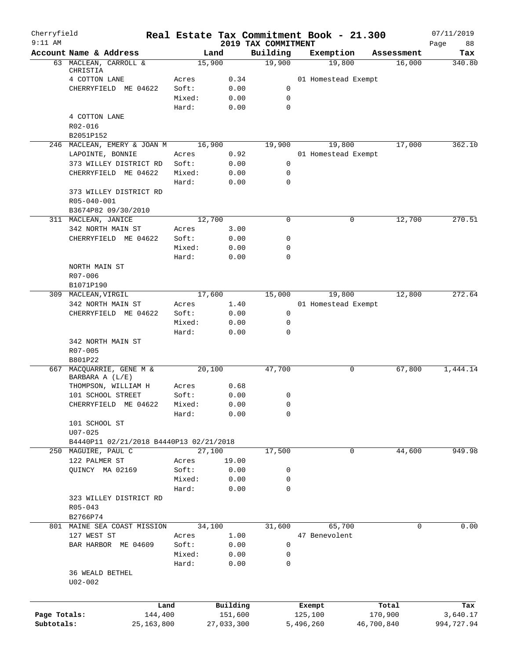| Cherryfield  |                                         |         |            |                                 |           | Real Estate Tax Commitment Book - 21.300 |            | 07/11/2019        |
|--------------|-----------------------------------------|---------|------------|---------------------------------|-----------|------------------------------------------|------------|-------------------|
| $9:11$ AM    | Account Name & Address                  |         | Land       | 2019 TAX COMMITMENT<br>Building |           | Exemption                                | Assessment | Page<br>88<br>Tax |
|              | 63 MACLEAN, CARROLL &                   |         | 15,900     | 19,900                          |           | 19,800                                   | 16,000     | 340.80            |
|              | CHRISTIA<br>4 COTTON LANE               | Acres   | 0.34       |                                 |           | 01 Homestead Exempt                      |            |                   |
|              | CHERRYFIELD ME 04622                    | Soft:   | 0.00       | 0                               |           |                                          |            |                   |
|              |                                         | Mixed:  | 0.00       | $\mathbf 0$                     |           |                                          |            |                   |
|              |                                         | Hard:   | 0.00       | $\mathbf 0$                     |           |                                          |            |                   |
|              | 4 COTTON LANE                           |         |            |                                 |           |                                          |            |                   |
|              | R02-016                                 |         |            |                                 |           |                                          |            |                   |
|              | B2051P152                               |         |            |                                 |           |                                          |            |                   |
|              | 246 MACLEAN, EMERY & JOAN M             |         | 16,900     | 19,900                          |           | 19,800                                   | 17,000     | 362.10            |
|              | LAPOINTE, BONNIE                        | Acres   | 0.92       |                                 |           | 01 Homestead Exempt                      |            |                   |
|              | 373 WILLEY DISTRICT RD                  | Soft:   | 0.00       | $\mathbf 0$                     |           |                                          |            |                   |
|              | CHERRYFIELD ME 04622                    | Mixed:  | 0.00       | 0                               |           |                                          |            |                   |
|              |                                         | Hard:   | 0.00       | $\mathbf 0$                     |           |                                          |            |                   |
|              | 373 WILLEY DISTRICT RD                  |         |            |                                 |           |                                          |            |                   |
|              | R05-040-001                             |         |            |                                 |           |                                          |            |                   |
|              | B3674P82 09/30/2010                     |         |            |                                 |           |                                          |            |                   |
|              | 311 MACLEAN, JANICE                     |         | 12,700     | $\mathbf 0$                     |           | 0                                        | 12,700     | 270.51            |
|              | 342 NORTH MAIN ST                       | Acres   | 3.00       |                                 |           |                                          |            |                   |
|              | CHERRYFIELD ME 04622                    | Soft:   | 0.00       | 0                               |           |                                          |            |                   |
|              |                                         | Mixed:  | 0.00       | 0                               |           |                                          |            |                   |
|              |                                         | Hard:   | 0.00       | 0                               |           |                                          |            |                   |
|              | NORTH MAIN ST                           |         |            |                                 |           |                                          |            |                   |
|              | R07-006                                 |         |            |                                 |           |                                          |            |                   |
|              | B1071P190                               |         |            |                                 |           |                                          |            |                   |
|              | 309 MACLEAN, VIRGIL                     |         | 17,600     | 15,000                          |           | 19,800                                   | 12,800     | 272.64            |
|              | 342 NORTH MAIN ST                       | Acres   | 1.40       |                                 |           | 01 Homestead Exempt                      |            |                   |
|              | CHERRYFIELD ME 04622                    | Soft:   | 0.00       | $\mathbf 0$                     |           |                                          |            |                   |
|              |                                         | Mixed:  | 0.00       | 0                               |           |                                          |            |                   |
|              | 342 NORTH MAIN ST                       | Hard:   | 0.00       | 0                               |           |                                          |            |                   |
|              | R07-005                                 |         |            |                                 |           |                                          |            |                   |
|              | B801P22                                 |         |            |                                 |           |                                          |            |                   |
| 667          | MACQUARRIE, GENE M &                    |         | 20,100     | 47,700                          |           | 0                                        | 67,800     | 1,444.14          |
|              | BARBARA A (L/E)                         |         |            |                                 |           |                                          |            |                   |
|              | THOMPSON, WILLIAM H                     | Acres   | 0.68       |                                 |           |                                          |            |                   |
|              | 101 SCHOOL STREET                       | Soft:   | 0.00       | 0                               |           |                                          |            |                   |
|              | CHERRYFIELD ME 04622                    | Mixed:  | 0.00       | 0                               |           |                                          |            |                   |
|              |                                         | Hard:   | 0.00       | 0                               |           |                                          |            |                   |
|              | 101 SCHOOL ST                           |         |            |                                 |           |                                          |            |                   |
|              | $U07 - 025$                             |         |            |                                 |           |                                          |            |                   |
|              | B4440P11 02/21/2018 B4440P13 02/21/2018 |         |            |                                 |           |                                          |            |                   |
|              | 250 MAGUIRE, PAUL C                     |         | 27,100     | 17,500                          |           | 0                                        | 44,600     | 949.98            |
|              | 122 PALMER ST                           | Acres   | 19.00      |                                 |           |                                          |            |                   |
|              | QUINCY MA 02169                         | Soft:   | 0.00       | 0                               |           |                                          |            |                   |
|              |                                         | Mixed:  | 0.00       | 0                               |           |                                          |            |                   |
|              |                                         | Hard:   | 0.00       | 0                               |           |                                          |            |                   |
|              | 323 WILLEY DISTRICT RD                  |         |            |                                 |           |                                          |            |                   |
|              | $R05 - 043$                             |         |            |                                 |           |                                          |            |                   |
|              | B2766P74                                |         |            |                                 |           |                                          |            |                   |
|              | 801 MAINE SEA COAST MISSION             |         | 34,100     | 31,600                          |           | 65,700                                   | 0          | 0.00              |
|              | 127 WEST ST                             | Acres   | 1.00       |                                 |           | 47 Benevolent                            |            |                   |
|              | BAR HARBOR ME 04609                     | Soft:   | 0.00       | 0                               |           |                                          |            |                   |
|              |                                         | Mixed:  | 0.00       | 0                               |           |                                          |            |                   |
|              |                                         | Hard:   | 0.00       | 0                               |           |                                          |            |                   |
|              | 36 WEALD BETHEL                         |         |            |                                 |           |                                          |            |                   |
|              | $U02 - 002$                             |         |            |                                 |           |                                          |            |                   |
|              |                                         |         |            |                                 |           |                                          |            |                   |
|              |                                         | Land    | Building   |                                 |           | Exempt                                   | Total      | Tax               |
| Page Totals: |                                         | 144,400 | 151,600    |                                 |           | 125,100                                  | 170,900    | 3,640.17          |
| Subtotals:   | 25, 163, 800                            |         | 27,033,300 |                                 | 5,496,260 |                                          | 46,700,840 | 994,727.94        |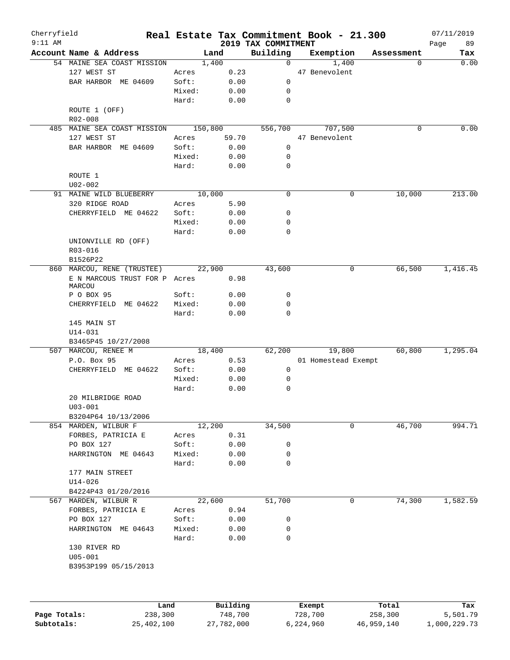| Cherryfield<br>$9:11$ AM |                                         |         |          | 2019 TAX COMMITMENT |         | Real Estate Tax Commitment Book - 21.300 |            | 07/11/2019<br>89<br>Page |
|--------------------------|-----------------------------------------|---------|----------|---------------------|---------|------------------------------------------|------------|--------------------------|
|                          | Account Name & Address                  |         | Land     | Building            |         | Exemption                                | Assessment | Tax                      |
|                          | 54 MAINE SEA COAST MISSION              | 1,400   |          | 0                   |         | 1,400                                    | $\Omega$   | 0.00                     |
|                          | 127 WEST ST                             | Acres   | 0.23     |                     |         | 47 Benevolent                            |            |                          |
|                          | BAR HARBOR ME 04609                     | Soft:   | 0.00     | 0                   |         |                                          |            |                          |
|                          |                                         | Mixed:  | 0.00     | 0                   |         |                                          |            |                          |
|                          |                                         | Hard:   | 0.00     | $\mathbf 0$         |         |                                          |            |                          |
|                          | ROUTE 1 (OFF)<br>R02-008                |         |          |                     |         |                                          |            |                          |
|                          | 485 MAINE SEA COAST MISSION             | 150,800 |          | 556,700             |         | 707,500                                  | 0          | 0.00                     |
|                          | 127 WEST ST                             | Acres   | 59.70    |                     |         | 47 Benevolent                            |            |                          |
|                          | BAR HARBOR ME 04609                     | Soft:   | 0.00     | 0                   |         |                                          |            |                          |
|                          |                                         | Mixed:  | 0.00     | 0                   |         |                                          |            |                          |
|                          |                                         | Hard:   | 0.00     | 0                   |         |                                          |            |                          |
|                          | ROUTE 1                                 |         |          |                     |         |                                          |            |                          |
|                          | $U02 - 002$                             |         |          |                     |         |                                          |            |                          |
|                          | 91 MAINE WILD BLUEBERRY                 | 10,000  |          | 0                   |         | 0                                        | 10,000     | 213.00                   |
|                          | 320 RIDGE ROAD                          | Acres   | 5.90     |                     |         |                                          |            |                          |
|                          | CHERRYFIELD ME 04622                    | Soft:   | 0.00     | 0                   |         |                                          |            |                          |
|                          |                                         | Mixed:  | 0.00     | 0                   |         |                                          |            |                          |
|                          |                                         | Hard:   | 0.00     | 0                   |         |                                          |            |                          |
|                          | UNIONVILLE RD (OFF)                     |         |          |                     |         |                                          |            |                          |
|                          | R03-016                                 |         |          |                     |         |                                          |            |                          |
|                          | B1526P22                                |         |          |                     |         |                                          |            |                          |
|                          | 860 MARCOU, RENE (TRUSTEE)              | 22,900  |          | 43,600              |         | 0                                        | 66,500     | 1,416.45                 |
|                          | E N MARCOUS TRUST FOR P Acres<br>MARCOU |         | 0.98     |                     |         |                                          |            |                          |
|                          | P O BOX 95                              | Soft:   | 0.00     | 0                   |         |                                          |            |                          |
|                          | CHERRYFIELD ME 04622                    | Mixed:  | 0.00     | 0                   |         |                                          |            |                          |
|                          |                                         | Hard:   | 0.00     | $\Omega$            |         |                                          |            |                          |
|                          | 145 MAIN ST                             |         |          |                     |         |                                          |            |                          |
|                          | $U14 - 031$                             |         |          |                     |         |                                          |            |                          |
|                          | B3465P45 10/27/2008                     |         |          |                     |         |                                          |            |                          |
|                          | 507 MARCOU, RENEE M                     | 18,400  |          | 62,200              |         | 19,800                                   | 60,800     | 1, 295.04                |
|                          | P.O. Box 95                             | Acres   | 0.53     |                     |         | 01 Homestead Exempt                      |            |                          |
|                          | CHERRYFIELD ME 04622                    | Soft:   | 0.00     | 0                   |         |                                          |            |                          |
|                          |                                         | Mixed:  | 0.00     | 0                   |         |                                          |            |                          |
|                          |                                         | Hard:   | 0.00     | $\mathbf 0$         |         |                                          |            |                          |
|                          | 20 MILBRIDGE ROAD                       |         |          |                     |         |                                          |            |                          |
|                          | $U03 - 001$                             |         |          |                     |         |                                          |            |                          |
|                          | B3204P64 10/13/2006                     |         |          |                     |         |                                          |            |                          |
|                          | 854 MARDEN, WILBUR F                    | 12,200  |          | 34,500              |         | 0                                        | 46,700     | 994.71                   |
|                          | FORBES, PATRICIA E                      | Acres   | 0.31     |                     |         |                                          |            |                          |
|                          | PO BOX 127                              | Soft:   | 0.00     | 0                   |         |                                          |            |                          |
|                          | HARRINGTON ME 04643                     | Mixed:  | 0.00     | 0                   |         |                                          |            |                          |
|                          |                                         | Hard:   | 0.00     | 0                   |         |                                          |            |                          |
|                          | 177 MAIN STREET                         |         |          |                     |         |                                          |            |                          |
|                          |                                         |         |          |                     |         |                                          |            |                          |
|                          | $U14 - 026$                             |         |          |                     |         |                                          |            |                          |
|                          | B4224P43 01/20/2016                     |         |          |                     |         |                                          |            |                          |
|                          | 567 MARDEN, WILBUR R                    | 22,600  |          | 51,700              |         | 0                                        | 74,300     | 1,582.59                 |
|                          | FORBES, PATRICIA E                      | Acres   | 0.94     |                     |         |                                          |            |                          |
|                          | PO BOX 127                              | Soft:   | 0.00     | 0                   |         |                                          |            |                          |
|                          | HARRINGTON ME 04643                     | Mixed:  | 0.00     | 0                   |         |                                          |            |                          |
|                          |                                         | Hard:   | 0.00     | $\mathbf 0$         |         |                                          |            |                          |
|                          | 130 RIVER RD                            |         |          |                     |         |                                          |            |                          |
|                          | $U05 - 001$                             |         |          |                     |         |                                          |            |                          |
|                          | B3953P199 05/15/2013                    |         |          |                     |         |                                          |            |                          |
|                          |                                         |         |          |                     |         |                                          |            |                          |
|                          |                                         |         |          |                     |         |                                          |            |                          |
|                          | Land                                    |         | Building |                     |         | Exempt                                   | Total      | Tax                      |
| Page Totals:             | 238,300                                 |         | 748,700  |                     | 728,700 |                                          | 258,300    | 5,501.79                 |

**Subtotals:** 25,402,100 27,782,000 6,224,960 46,959,140 1,000,229.73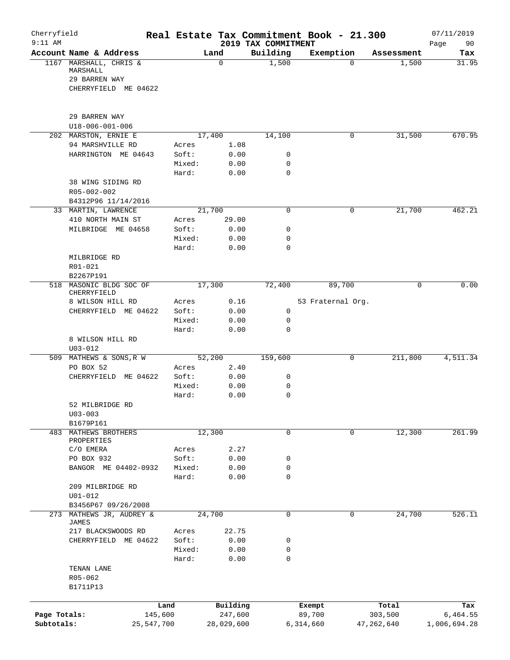| Cherryfield<br>$9:11$ AM |                                                                             |                 |                | 2019 TAX COMMITMENT | Real Estate Tax Commitment Book - 21.300 |              | 07/11/2019<br>Page<br>90 |
|--------------------------|-----------------------------------------------------------------------------|-----------------|----------------|---------------------|------------------------------------------|--------------|--------------------------|
|                          | Account Name & Address                                                      |                 | Land           | Building            | Exemption                                | Assessment   | Tax                      |
|                          | 1167 MARSHALL, CHRIS &<br>MARSHALL<br>29 BARREN WAY<br>CHERRYFIELD ME 04622 |                 | $\mathbf 0$    | 1,500               | $\Omega$                                 | 1,500        | 31.95                    |
|                          | 29 BARREN WAY                                                               |                 |                |                     |                                          |              |                          |
|                          | U18-006-001-006                                                             |                 |                |                     |                                          |              |                          |
|                          | 202 MARSTON, ERNIE E<br>94 MARSHVILLE RD                                    | Acres           | 17,400<br>1.08 | 14,100              | 0                                        | 31,500       | 670.95                   |
|                          | HARRINGTON ME 04643                                                         | Soft:           | 0.00           | $\mathbf 0$         |                                          |              |                          |
|                          |                                                                             | Mixed:          | 0.00           | 0                   |                                          |              |                          |
|                          |                                                                             | Hard:           | 0.00           | $\mathbf 0$         |                                          |              |                          |
|                          | 38 WING SIDING RD<br>R05-002-002                                            |                 |                |                     |                                          |              |                          |
|                          | B4312P96 11/14/2016                                                         |                 |                |                     |                                          |              |                          |
|                          | 33 MARTIN, LAWRENCE                                                         |                 | 21,700         | $\mathbf 0$         | 0                                        | 21,700       | 462.21                   |
|                          | 410 NORTH MAIN ST                                                           | Acres           | 29.00          |                     |                                          |              |                          |
|                          | MILBRIDGE ME 04658                                                          | Soft:           | 0.00           | 0                   |                                          |              |                          |
|                          |                                                                             | Mixed:          | 0.00           | 0                   |                                          |              |                          |
|                          | MILBRIDGE RD<br>R01-021                                                     | Hard:           | 0.00           | 0                   |                                          |              |                          |
|                          | B2267P191                                                                   |                 |                |                     |                                          |              |                          |
|                          | 518 MASONIC BLDG SOC OF<br>CHERRYFIELD                                      |                 | 17,300         | 72,400              | 89,700                                   | $\mathbf 0$  | 0.00                     |
|                          | 8 WILSON HILL RD                                                            | Acres           | 0.16           |                     | 53 Fraternal Org.                        |              |                          |
|                          | CHERRYFIELD ME 04622                                                        | Soft:           | 0.00           | 0                   |                                          |              |                          |
|                          |                                                                             | Mixed:<br>Hard: | 0.00<br>0.00   | 0<br>$\mathbf 0$    |                                          |              |                          |
|                          | 8 WILSON HILL RD<br>$U03 - 012$                                             |                 |                |                     |                                          |              |                          |
|                          | 509 MATHEWS & SONS, R W                                                     |                 | 52,200         | 159,600             | 0                                        | 211,800      | 4,511.34                 |
|                          | PO BOX 52                                                                   | Acres           | 2.40           |                     |                                          |              |                          |
|                          | CHERRYFIELD ME 04622                                                        | Soft:           | 0.00           | 0                   |                                          |              |                          |
|                          |                                                                             | Mixed:          | 0.00           | 0                   |                                          |              |                          |
|                          |                                                                             | Hard:           | 0.00           | 0                   |                                          |              |                          |
|                          | 52 MILBRIDGE RD<br>$U03 - 003$                                              |                 |                |                     |                                          |              |                          |
| 483                      | B1679P161<br>MATHEWS BROTHERS                                               |                 | 12,300         | $\mathbf 0$         | 0                                        | 12,300       | 261.99                   |
|                          | PROPERTIES                                                                  |                 |                |                     |                                          |              |                          |
|                          | C/O EMERA                                                                   | Acres           | 2.27           |                     |                                          |              |                          |
|                          | PO BOX 932                                                                  | Soft:           | 0.00           | 0                   |                                          |              |                          |
|                          | BANGOR ME 04402-0932                                                        | Mixed:          | 0.00           | 0                   |                                          |              |                          |
|                          |                                                                             | Hard:           | 0.00           | 0                   |                                          |              |                          |
|                          | 209 MILBRIDGE RD                                                            |                 |                |                     |                                          |              |                          |
|                          | $U01 - 012$<br>B3456P67 09/26/2008                                          |                 |                |                     |                                          |              |                          |
| 273                      | MATHEWS JR, AUDREY &                                                        |                 | 24,700         | 0                   | 0                                        | 24,700       | 526.11                   |
|                          | <b>JAMES</b><br>217 BLACKSWOODS RD                                          | Acres           | 22.75          |                     |                                          |              |                          |
|                          | CHERRYFIELD ME 04622                                                        | Soft:           | 0.00           | 0                   |                                          |              |                          |
|                          |                                                                             | Mixed:          | 0.00           | 0                   |                                          |              |                          |
|                          |                                                                             | Hard:           | 0.00           | $\mathbf 0$         |                                          |              |                          |
|                          | TENAN LANE                                                                  |                 |                |                     |                                          |              |                          |
|                          | R05-062                                                                     |                 |                |                     |                                          |              |                          |
|                          | B1711P13                                                                    |                 |                |                     |                                          |              |                          |
|                          |                                                                             | Land            | Building       |                     |                                          | Total        | Tax                      |
| Page Totals:             | 145,600                                                                     |                 | 247,600        |                     | Exempt<br>89,700                         | 303,500      | 6,464.55                 |
| Subtotals:               | 25,547,700                                                                  |                 | 28,029,600     |                     | 6,314,660                                | 47, 262, 640 | 1,006,694.28             |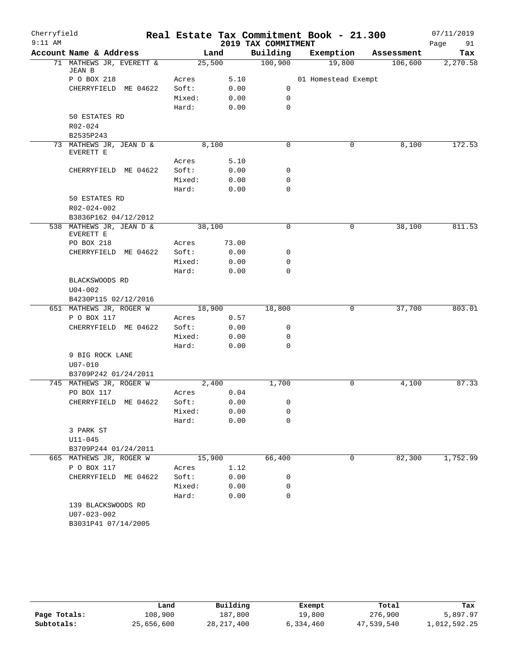| Cherryfield |                                                                |        |        |                     | Real Estate Tax Commitment Book - 21.300 |            | 07/11/2019 |
|-------------|----------------------------------------------------------------|--------|--------|---------------------|------------------------------------------|------------|------------|
| $9:11$ AM   |                                                                |        |        | 2019 TAX COMMITMENT |                                          |            | Page<br>91 |
|             | Account Name & Address                                         |        | Land   | Building            | Exemption                                | Assessment | Tax        |
|             | 71 MATHEWS JR, EVERETT &<br>JEAN B                             |        | 25,500 | 100,900             | 19,800                                   | 106,600    | 2,270.58   |
|             | P O BOX 218                                                    | Acres  | 5.10   |                     | 01 Homestead Exempt                      |            |            |
|             | CHERRYFIELD ME 04622                                           | Soft:  | 0.00   | 0                   |                                          |            |            |
|             |                                                                | Mixed: | 0.00   | $\mathbf 0$         |                                          |            |            |
|             |                                                                | Hard:  | 0.00   | 0                   |                                          |            |            |
|             | 50 ESTATES RD                                                  |        |        |                     |                                          |            |            |
|             | R02-024                                                        |        |        |                     |                                          |            |            |
|             | B2535P243                                                      |        |        |                     |                                          |            |            |
|             | 73 MATHEWS JR, JEAN D &<br>EVERETT E                           |        | 8,100  | 0                   | 0                                        | 8,100      | 172.53     |
|             |                                                                | Acres  | 5.10   |                     |                                          |            |            |
|             | CHERRYFIELD ME 04622                                           | Soft:  | 0.00   | 0                   |                                          |            |            |
|             |                                                                | Mixed: | 0.00   | 0                   |                                          |            |            |
|             |                                                                | Hard:  | 0.00   | $\mathbf 0$         |                                          |            |            |
|             | 50 ESTATES RD                                                  |        |        |                     |                                          |            |            |
|             | R02-024-002                                                    |        |        |                     |                                          |            |            |
|             | B3836P162 04/12/2012                                           |        |        |                     |                                          |            |            |
|             | 538 MATHEWS JR, JEAN D &<br>EVERETT E                          |        | 38,100 | 0                   | 0                                        | 38,100     | 811.53     |
|             | PO BOX 218                                                     | Acres  | 73.00  |                     |                                          |            |            |
|             | CHERRYFIELD ME 04622                                           | Soft:  | 0.00   | 0                   |                                          |            |            |
|             |                                                                | Mixed: | 0.00   | 0                   |                                          |            |            |
|             |                                                                | Hard:  | 0.00   | 0                   |                                          |            |            |
|             | BLACKSWOODS RD<br>$U04 - 002$                                  |        |        |                     |                                          |            |            |
|             | B4230P115 02/12/2016                                           |        |        |                     |                                          |            |            |
|             | 651 MATHEWS JR, ROGER W                                        |        | 18,900 | 18,800              | 0                                        | 37,700     | 803.01     |
|             | P O BOX 117                                                    | Acres  | 0.57   |                     |                                          |            |            |
|             | CHERRYFIELD ME 04622                                           | Soft:  | 0.00   | 0                   |                                          |            |            |
|             |                                                                | Mixed: | 0.00   | 0                   |                                          |            |            |
|             |                                                                | Hard:  | 0.00   | 0                   |                                          |            |            |
|             | 9 BIG ROCK LANE                                                |        |        |                     |                                          |            |            |
|             | $U07 - 010$                                                    |        |        |                     |                                          |            |            |
|             | B3709P242 01/24/2011                                           |        |        |                     |                                          |            |            |
|             | 745 MATHEWS JR, ROGER W                                        |        | 2,400  | 1,700               | $\mathbf 0$                              | 4,100      | 87.33      |
|             | PO BOX 117                                                     | Acres  | 0.04   |                     |                                          |            |            |
|             | CHERRYFIELD ME 04622                                           | Soft:  | 0.00   | 0                   |                                          |            |            |
|             |                                                                | Mixed: | 0.00   | 0                   |                                          |            |            |
|             |                                                                | Hard:  | 0.00   | 0                   |                                          |            |            |
|             | 3 PARK ST<br>$U11 - 045$                                       |        |        |                     |                                          |            |            |
|             | B3709P244 01/24/2011                                           |        |        |                     |                                          |            |            |
|             | 665 MATHEWS JR, ROGER W                                        |        | 15,900 | 66,400              | 0                                        | 82,300     | 1,752.99   |
|             | P O BOX 117                                                    | Acres  | 1.12   |                     |                                          |            |            |
|             | CHERRYFIELD ME 04622                                           | Soft:  | 0.00   | 0                   |                                          |            |            |
|             |                                                                | Mixed: | 0.00   | 0                   |                                          |            |            |
|             |                                                                | Hard:  | 0.00   | 0                   |                                          |            |            |
|             | 139 BLACKSWOODS RD<br>$U07 - 023 - 002$<br>B3031P41 07/14/2005 |        |        |                     |                                          |            |            |

|              | Land       | Building     | Exempt    | Total      | Tax          |
|--------------|------------|--------------|-----------|------------|--------------|
| Page Totals: | 108,900    | 187,800      | 19,800    | 276,900    | 5,897.97     |
| Subtotals:   | 25,656,600 | 28, 217, 400 | 6,334,460 | 47,539,540 | 1,012,592.25 |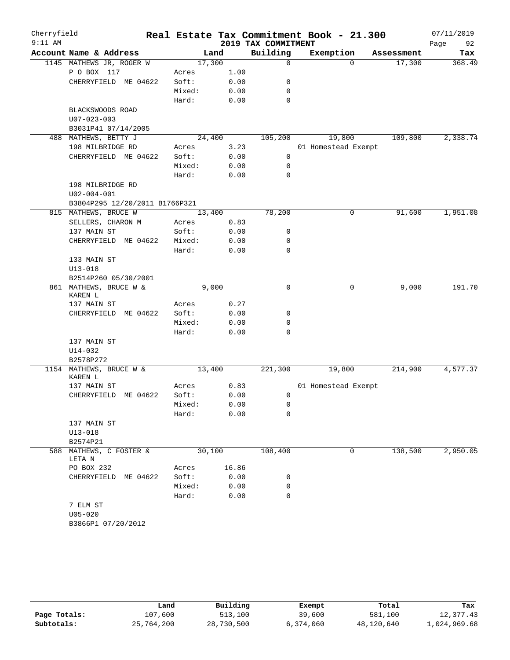| Cherryfield<br>$9:11$ AM |                                                        |          |        |       | 2019 TAX COMMITMENT | Real Estate Tax Commitment Book - 21.300 |            | 07/11/2019<br>Page<br>92 |
|--------------------------|--------------------------------------------------------|----------|--------|-------|---------------------|------------------------------------------|------------|--------------------------|
|                          | Account Name & Address                                 |          |        | Land  | Building            | Exemption                                | Assessment | Tax                      |
|                          | 1145 MATHEWS JR, ROGER W                               |          | 17,300 |       | $\mathbf 0$         | $\Omega$                                 | 17,300     | 368.49                   |
|                          | P O BOX 117                                            |          | Acres  | 1.00  |                     |                                          |            |                          |
|                          | CHERRYFIELD ME 04622                                   |          | Soft:  | 0.00  | 0                   |                                          |            |                          |
|                          |                                                        |          | Mixed: | 0.00  | 0                   |                                          |            |                          |
|                          |                                                        |          | Hard:  | 0.00  | $\mathbf 0$         |                                          |            |                          |
|                          | BLACKSWOODS ROAD                                       |          |        |       |                     |                                          |            |                          |
|                          | $U07 - 023 - 003$                                      |          |        |       |                     |                                          |            |                          |
|                          | B3031P41 07/14/2005                                    |          |        |       |                     |                                          |            |                          |
|                          | 488 MATHEWS, BETTY J                                   |          | 24,400 |       | 105,200             | 19,800                                   | 109,800    | 2,338.74                 |
|                          | 198 MILBRIDGE RD                                       |          | Acres  | 3.23  |                     | 01 Homestead Exempt                      |            |                          |
|                          | CHERRYFIELD ME 04622                                   |          | Soft:  | 0.00  | 0                   |                                          |            |                          |
|                          |                                                        |          | Mixed: | 0.00  | 0                   |                                          |            |                          |
|                          |                                                        |          | Hard:  | 0.00  | 0                   |                                          |            |                          |
|                          | 198 MILBRIDGE RD                                       |          |        |       |                     |                                          |            |                          |
|                          | $U02 - 004 - 001$                                      |          |        |       |                     |                                          |            |                          |
|                          | B3804P295 12/20/2011 B1766P321<br>815 MATHEWS, BRUCE W |          | 13,400 |       | 78,200              | 0                                        | 91,600     | 1,951.08                 |
|                          | SELLERS, CHARON M                                      |          | Acres  | 0.83  |                     |                                          |            |                          |
|                          | 137 MAIN ST                                            |          | Soft:  | 0.00  | 0                   |                                          |            |                          |
|                          | CHERRYFIELD ME 04622                                   |          | Mixed: | 0.00  | 0                   |                                          |            |                          |
|                          |                                                        |          | Hard:  | 0.00  | $\mathbf 0$         |                                          |            |                          |
|                          | 133 MAIN ST                                            |          |        |       |                     |                                          |            |                          |
|                          | $U13 - 018$                                            |          |        |       |                     |                                          |            |                          |
|                          | B2514P260 05/30/2001                                   |          |        |       |                     |                                          |            |                          |
|                          | 861 MATHEWS, BRUCE W &                                 |          |        | 9,000 | $\mathbf 0$         | 0                                        | 9,000      | 191.70                   |
|                          | KAREN L                                                |          |        |       |                     |                                          |            |                          |
|                          | 137 MAIN ST                                            |          | Acres  | 0.27  |                     |                                          |            |                          |
|                          | CHERRYFIELD                                            | ME 04622 | Soft:  | 0.00  | 0                   |                                          |            |                          |
|                          |                                                        |          | Mixed: | 0.00  | 0                   |                                          |            |                          |
|                          |                                                        |          | Hard:  | 0.00  | 0                   |                                          |            |                          |
|                          | 137 MAIN ST<br>U14-032                                 |          |        |       |                     |                                          |            |                          |
|                          | B2578P272                                              |          |        |       |                     |                                          |            |                          |
|                          | 1154 MATHEWS, BRUCE W &                                |          | 13,400 |       | 221,300             | 19,800                                   | 214,900    | 4,577.37                 |
|                          | KAREN L                                                |          |        |       |                     |                                          |            |                          |
|                          | 137 MAIN ST                                            |          | Acres  | 0.83  |                     | 01 Homestead Exempt                      |            |                          |
|                          | CHERRYFIELD                                            | ME 04622 | Soft:  | 0.00  | 0                   |                                          |            |                          |
|                          |                                                        |          | Mixed: | 0.00  | 0                   |                                          |            |                          |
|                          |                                                        |          | Hard:  | 0.00  | 0                   |                                          |            |                          |
|                          | 137 MAIN ST                                            |          |        |       |                     |                                          |            |                          |
|                          | $U13 - 018$                                            |          |        |       |                     |                                          |            |                          |
|                          | B2574P21                                               |          |        |       |                     |                                          |            |                          |
|                          | 588 MATHEWS, C FOSTER &<br>LETA N                      |          | 30,100 |       | 108,400             | 0                                        | 138,500    | 2,950.05                 |
|                          | PO BOX 232                                             |          | Acres  | 16.86 |                     |                                          |            |                          |
|                          | CHERRYFIELD ME 04622                                   |          | Soft:  | 0.00  | 0                   |                                          |            |                          |
|                          |                                                        |          | Mixed: | 0.00  | 0                   |                                          |            |                          |
|                          |                                                        |          | Hard:  | 0.00  | 0                   |                                          |            |                          |
|                          | 7 ELM ST                                               |          |        |       |                     |                                          |            |                          |
|                          | $U05 - 020$                                            |          |        |       |                     |                                          |            |                          |
|                          | B3866P1 07/20/2012                                     |          |        |       |                     |                                          |            |                          |

|              | Land       | Building   | Exempt    | Total      | Tax          |
|--------------|------------|------------|-----------|------------|--------------|
| Page Totals: | 107,600    | 513,100    | 39,600    | 581,100    | 12,377.43    |
| Subtotals:   | 25,764,200 | 28,730,500 | 6,374,060 | 48,120,640 | 1,024,969.68 |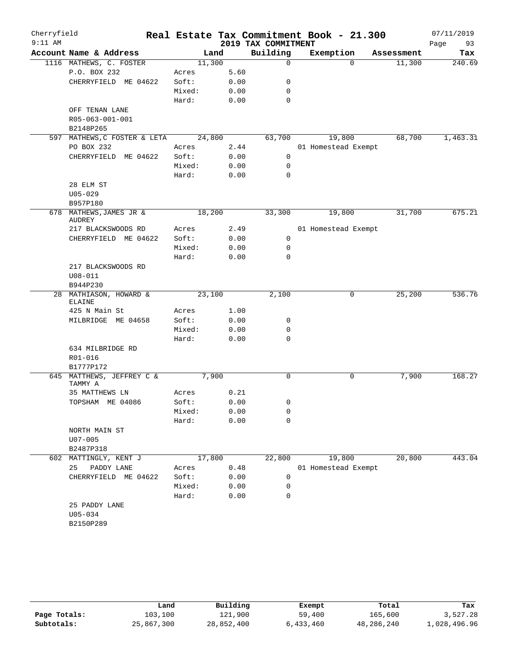| Cherryfield |                                      |        |      |                     | Real Estate Tax Commitment Book - 21.300 |          |            | 07/11/2019 |
|-------------|--------------------------------------|--------|------|---------------------|------------------------------------------|----------|------------|------------|
| $9:11$ AM   |                                      |        |      | 2019 TAX COMMITMENT |                                          |          |            | Page<br>93 |
|             | Account Name & Address               | Land   |      | Building            | Exemption                                |          | Assessment | Tax        |
|             | 1116 MATHEWS, C. FOSTER              | 11,300 |      | $\mathbf 0$         |                                          | $\Omega$ | 11,300     | 240.69     |
|             | P.O. BOX 232                         | Acres  | 5.60 |                     |                                          |          |            |            |
|             | CHERRYFIELD ME 04622                 | Soft:  | 0.00 | 0                   |                                          |          |            |            |
|             |                                      | Mixed: | 0.00 | 0                   |                                          |          |            |            |
|             |                                      | Hard:  | 0.00 | $\mathbf 0$         |                                          |          |            |            |
|             | OFF TENAN LANE<br>R05-063-001-001    |        |      |                     |                                          |          |            |            |
|             | B2148P265                            |        |      |                     |                                          |          |            |            |
|             | 597 MATHEWS, C FOSTER & LETA         | 24,800 |      | 63,700              | 19,800                                   |          | 68,700     | 1,463.31   |
|             | PO BOX 232                           | Acres  | 2.44 |                     | 01 Homestead Exempt                      |          |            |            |
|             | CHERRYFIELD ME 04622                 | Soft:  | 0.00 | 0                   |                                          |          |            |            |
|             |                                      | Mixed: | 0.00 | 0                   |                                          |          |            |            |
|             |                                      | Hard:  | 0.00 | 0                   |                                          |          |            |            |
|             | 28 ELM ST                            |        |      |                     |                                          |          |            |            |
|             | $U05 - 029$                          |        |      |                     |                                          |          |            |            |
|             | B957P180                             |        |      |                     |                                          |          |            |            |
|             | 678 MATHEWS, JAMES JR &              | 18,200 |      | 33,300              | 19,800                                   |          | 31,700     | 675.21     |
|             | AUDREY                               |        |      |                     |                                          |          |            |            |
|             | 217 BLACKSWOODS RD                   | Acres  | 2.49 |                     | 01 Homestead Exempt                      |          |            |            |
|             | CHERRYFIELD ME 04622                 | Soft:  | 0.00 | 0                   |                                          |          |            |            |
|             |                                      | Mixed: | 0.00 | 0                   |                                          |          |            |            |
|             |                                      | Hard:  | 0.00 | 0                   |                                          |          |            |            |
|             | 217 BLACKSWOODS RD                   |        |      |                     |                                          |          |            |            |
|             | $U08 - 011$                          |        |      |                     |                                          |          |            |            |
|             | B944P230<br>28 MATHIASON, HOWARD &   | 23,100 |      | 2,100               |                                          | 0        | 25,200     | 536.76     |
|             | <b>ELAINE</b>                        |        |      |                     |                                          |          |            |            |
|             | 425 N Main St                        | Acres  | 1.00 |                     |                                          |          |            |            |
|             | MILBRIDGE ME 04658                   | Soft:  | 0.00 | 0                   |                                          |          |            |            |
|             |                                      | Mixed: | 0.00 | 0                   |                                          |          |            |            |
|             |                                      | Hard:  | 0.00 | $\mathbf 0$         |                                          |          |            |            |
|             | 634 MILBRIDGE RD                     |        |      |                     |                                          |          |            |            |
|             | R01-016                              |        |      |                     |                                          |          |            |            |
|             | B1777P172                            |        |      |                     |                                          |          |            |            |
|             | 645 MATTHEWS, JEFFREY C &<br>TAMMY A | 7,900  |      | 0                   |                                          | 0        | 7,900      | 168.27     |
|             | 35 MATTHEWS LN                       | Acres  | 0.21 |                     |                                          |          |            |            |
|             | TOPSHAM ME 04086                     | Soft:  | 0.00 | 0                   |                                          |          |            |            |
|             |                                      | Mixed: | 0.00 | 0                   |                                          |          |            |            |
|             |                                      | Hard:  | 0.00 | $\mathbf 0$         |                                          |          |            |            |
|             | NORTH MAIN ST                        |        |      |                     |                                          |          |            |            |
|             | $U07 - 005$                          |        |      |                     |                                          |          |            |            |
|             | B2487P318                            |        |      |                     |                                          |          |            |            |
| 602         | MATTINGLY, KENT J                    | 17,800 |      | 22,800              | 19,800                                   |          | 20,800     | 443.04     |
|             | 25<br>PADDY LANE                     | Acres  | 0.48 |                     | 01 Homestead Exempt                      |          |            |            |
|             | CHERRYFIELD ME 04622                 | Soft:  | 0.00 | 0                   |                                          |          |            |            |
|             |                                      | Mixed: | 0.00 | 0                   |                                          |          |            |            |
|             |                                      | Hard:  | 0.00 | 0                   |                                          |          |            |            |
|             | 25 PADDY LANE<br>$U05 - 034$         |        |      |                     |                                          |          |            |            |
|             | B2150P289                            |        |      |                     |                                          |          |            |            |
|             |                                      |        |      |                     |                                          |          |            |            |

|              | Land       | Building   | Exempt    | Total      | Tax          |
|--------------|------------|------------|-----------|------------|--------------|
| Page Totals: | 103,100    | 121,900    | 59,400    | 165,600    | 3,527.28     |
| Subtotals:   | 25,867,300 | 28,852,400 | 6,433,460 | 48,286,240 | 1,028,496.96 |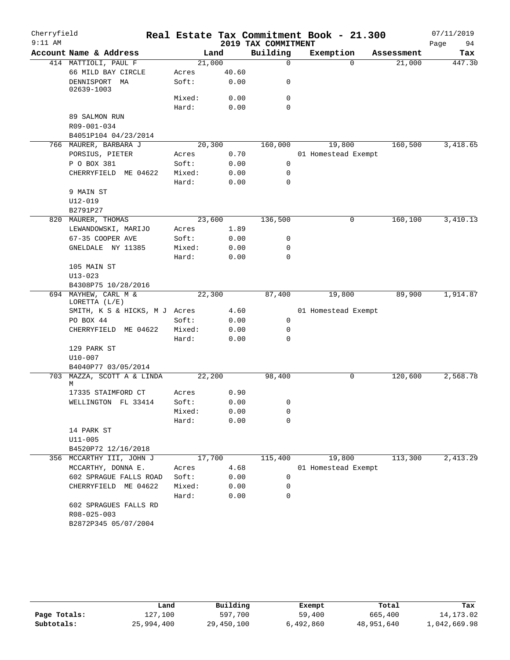| Cherryfield<br>$9:11$ AM |                                                |                 |              | Real Estate Tax Commitment Book - 21.300<br>2019 TAX COMMITMENT |                     |          |            | 07/11/2019<br>Page<br>94 |
|--------------------------|------------------------------------------------|-----------------|--------------|-----------------------------------------------------------------|---------------------|----------|------------|--------------------------|
|                          | Account Name & Address                         | Land            |              | Building                                                        | Exemption           |          | Assessment | Tax                      |
|                          | 414 MATTIOLI, PAUL F                           | 21,000          |              | $\mathbf 0$                                                     |                     | $\Omega$ | 21,000     | 447.30                   |
|                          | 66 MILD BAY CIRCLE                             | Acres           | 40.60        |                                                                 |                     |          |            |                          |
|                          | DENNISPORT MA<br>02639-1003                    | Soft:           | 0.00         | 0                                                               |                     |          |            |                          |
|                          |                                                | Mixed:          | 0.00         | $\mathbf 0$                                                     |                     |          |            |                          |
|                          |                                                | Hard:           | 0.00         | $\Omega$                                                        |                     |          |            |                          |
|                          | 89 SALMON RUN                                  |                 |              |                                                                 |                     |          |            |                          |
|                          | R09-001-034                                    |                 |              |                                                                 |                     |          |            |                          |
|                          | B4051P104 04/23/2014                           |                 |              |                                                                 |                     |          |            |                          |
|                          | 766 MAURER, BARBARA J                          | 20,300          |              | 160,000                                                         |                     | 19,800   | 160, 500   | 3,418.65                 |
|                          | PORSIUS, PIETER                                | Acres           | 0.70         |                                                                 | 01 Homestead Exempt |          |            |                          |
|                          | P O BOX 381                                    | Soft:           | 0.00         | 0                                                               |                     |          |            |                          |
|                          | CHERRYFIELD<br>ME 04622                        | Mixed:          | 0.00         | 0                                                               |                     |          |            |                          |
|                          |                                                | Hard:           | 0.00         | 0                                                               |                     |          |            |                          |
|                          | 9 MAIN ST                                      |                 |              |                                                                 |                     |          |            |                          |
|                          | $U12 - 019$                                    |                 |              |                                                                 |                     |          |            |                          |
|                          | B2791P27                                       |                 |              |                                                                 |                     |          |            |                          |
|                          | 820 MAURER, THOMAS                             | 23,600          |              | 136,500                                                         |                     | 0        | 160,100    | 3,410.13                 |
|                          | LEWANDOWSKI, MARIJO                            | Acres           | 1.89         |                                                                 |                     |          |            |                          |
|                          | 67-35 COOPER AVE                               | Soft:           | 0.00         | 0                                                               |                     |          |            |                          |
|                          | GNELDALE NY 11385                              | Mixed:          | 0.00         | 0                                                               |                     |          |            |                          |
|                          |                                                | Hard:           | 0.00         | 0                                                               |                     |          |            |                          |
|                          | 105 MAIN ST                                    |                 |              |                                                                 |                     |          |            |                          |
|                          | $U13 - 023$                                    |                 |              |                                                                 |                     |          |            |                          |
|                          | B4308P75 10/28/2016                            |                 |              |                                                                 |                     |          |            |                          |
|                          | 694 MAYHEW, CARL M &<br>LORETTA $(L/E)$        | 22,300          |              | 87,400                                                          |                     | 19,800   | 89,900     | 1,914.87                 |
|                          | SMITH, K S & HICKS, M J Acres                  |                 | 4.60         |                                                                 | 01 Homestead Exempt |          |            |                          |
|                          | PO BOX 44                                      | Soft:           | 0.00         | 0                                                               |                     |          |            |                          |
|                          | CHERRYFIELD ME 04622                           | Mixed:          | 0.00         | 0                                                               |                     |          |            |                          |
|                          |                                                | Hard:           | 0.00         | 0                                                               |                     |          |            |                          |
|                          | 129 PARK ST                                    |                 |              |                                                                 |                     |          |            |                          |
|                          | U10-007                                        |                 |              |                                                                 |                     |          |            |                          |
|                          | B4040P77 03/05/2014                            |                 |              |                                                                 |                     |          |            |                          |
|                          | 703 MAZZA, SCOTT A & LINDA<br>М                | 22,200          |              | 98,400                                                          |                     | 0        | 120,600    | 2,568.78                 |
|                          | 17335 STAIMFORD CT                             | Acres           | 0.90         |                                                                 |                     |          |            |                          |
|                          | WELLINGTON FL 33414                            | Soft:           | 0.00         | 0                                                               |                     |          |            |                          |
|                          |                                                | Mixed:          | 0.00         | 0                                                               |                     |          |            |                          |
|                          |                                                | Hard:           | 0.00         | 0                                                               |                     |          |            |                          |
|                          | 14 PARK ST                                     |                 |              |                                                                 |                     |          |            |                          |
|                          | $U11 - 005$                                    |                 |              |                                                                 |                     |          |            |                          |
|                          | B4520P72 12/16/2018                            |                 |              |                                                                 |                     |          |            |                          |
|                          | 356 MCCARTHY III, JOHN J<br>MCCARTHY, DONNA E. | 17,700          |              | 115,400                                                         |                     | 19,800   | 113,300    | 2,413.29                 |
|                          |                                                | Acres           | 4.68         | 0                                                               | 01 Homestead Exempt |          |            |                          |
|                          | 602 SPRAGUE FALLS ROAD                         | Soft:           | 0.00         |                                                                 |                     |          |            |                          |
|                          | CHERRYFIELD ME 04622                           | Mixed:<br>Hard: | 0.00<br>0.00 | 0<br>0                                                          |                     |          |            |                          |
|                          | 602 SPRAGUES FALLS RD                          |                 |              |                                                                 |                     |          |            |                          |
|                          | R08-025-003                                    |                 |              |                                                                 |                     |          |            |                          |
|                          | B2872P345 05/07/2004                           |                 |              |                                                                 |                     |          |            |                          |
|                          |                                                |                 |              |                                                                 |                     |          |            |                          |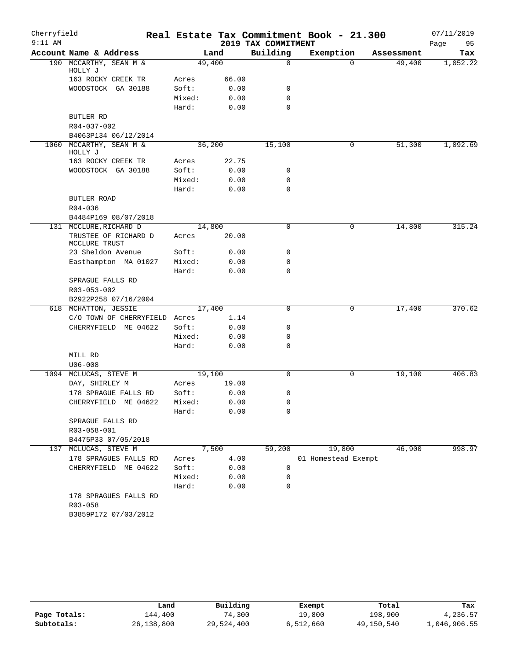| Cherryfield<br>$9:11$ AM |                                        |                |               | 2019 TAX COMMITMENT | Real Estate Tax Commitment Book - 21.300 |            | 07/11/2019<br>Page<br>95 |
|--------------------------|----------------------------------------|----------------|---------------|---------------------|------------------------------------------|------------|--------------------------|
|                          | Account Name & Address                 |                | Land          | Building            | Exemption                                | Assessment | Tax                      |
|                          | 190 MCCARTHY, SEAN M &                 |                | 49,400        | $\mathbf 0$         | $\Omega$                                 | 49,400     | 1,052.22                 |
|                          | HOLLY J                                |                |               |                     |                                          |            |                          |
|                          | 163 ROCKY CREEK TR                     | Acres          | 66.00         |                     |                                          |            |                          |
|                          | WOODSTOCK GA 30188                     | Soft:          | 0.00          | 0                   |                                          |            |                          |
|                          |                                        | Mixed:         | 0.00          | $\mathbf 0$         |                                          |            |                          |
|                          |                                        | Hard:          | 0.00          | $\Omega$            |                                          |            |                          |
|                          | BUTLER RD                              |                |               |                     |                                          |            |                          |
|                          | R04-037-002                            |                |               |                     |                                          |            |                          |
|                          | B4063P134 06/12/2014                   |                |               |                     |                                          |            |                          |
|                          | 1060 MCCARTHY, SEAN M &<br>HOLLY J     | 36,200         |               | 15,100              | 0                                        | 51,300     | 1,092.69                 |
|                          | 163 ROCKY CREEK TR                     | Acres          | 22.75         |                     |                                          |            |                          |
|                          | WOODSTOCK GA 30188                     | Soft:          | 0.00          | 0                   |                                          |            |                          |
|                          |                                        | Mixed:         | 0.00          | 0                   |                                          |            |                          |
|                          |                                        | Hard:          | 0.00          | $\mathbf 0$         |                                          |            |                          |
|                          | BUTLER ROAD                            |                |               |                     |                                          |            |                          |
|                          | $R04 - 036$                            |                |               |                     |                                          |            |                          |
|                          | B4484P169 08/07/2018                   |                |               |                     |                                          |            |                          |
|                          | 131 MCCLURE, RICHARD D                 |                | 14,800        | 0                   | 0                                        | 14,800     | 315.24                   |
|                          | TRUSTEE OF RICHARD D<br>MCCLURE TRUST  | Acres          | 20.00         |                     |                                          |            |                          |
|                          | 23 Sheldon Avenue                      | Soft:          | 0.00          | 0                   |                                          |            |                          |
|                          | Easthampton MA 01027                   | Mixed:         | 0.00          | 0                   |                                          |            |                          |
|                          |                                        | Hard:          | 0.00          | 0                   |                                          |            |                          |
|                          | SPRAGUE FALLS RD                       |                |               |                     |                                          |            |                          |
|                          | R03-053-002                            |                |               |                     |                                          |            |                          |
|                          | B2922P258 07/16/2004                   |                |               |                     |                                          |            |                          |
|                          | 618 MCHATTON, JESSIE                   |                | 17,400        | $\mathbf 0$         | 0                                        | 17,400     | 370.62                   |
|                          | C/O TOWN OF CHERRYFIELD Acres          |                | 1.14          |                     |                                          |            |                          |
|                          | CHERRYFIELD ME 04622                   | Soft:          | 0.00          | 0                   |                                          |            |                          |
|                          |                                        | Mixed:         | 0.00          | 0                   |                                          |            |                          |
|                          |                                        | Hard:          | 0.00          | $\mathbf 0$         |                                          |            |                          |
|                          | MILL RD                                |                |               |                     |                                          |            |                          |
|                          | $U06 - 008$                            |                |               |                     |                                          |            |                          |
|                          | 1094 MCLUCAS, STEVE M                  |                | 19,100        | 0                   | 0                                        | 19,100     | 406.83                   |
|                          | DAY, SHIRLEY M<br>178 SPRAGUE FALLS RD | Acres<br>Soft: | 19.00<br>0.00 | 0                   |                                          |            |                          |
|                          | CHERRYFIELD ME 04622                   | Mixed:         | 0.00          | 0                   |                                          |            |                          |
|                          |                                        | Hard:          | 0.00          | 0                   |                                          |            |                          |
|                          | SPRAGUE FALLS RD                       |                |               |                     |                                          |            |                          |
|                          | R03-058-001                            |                |               |                     |                                          |            |                          |
|                          | B4475P33 07/05/2018                    |                |               |                     |                                          |            |                          |
|                          | 137 MCLUCAS, STEVE M                   |                | 7,500         | 59,200              | 19,800                                   | 46,900     | 998.97                   |
|                          | 178 SPRAGUES FALLS RD                  | Acres          | 4.00          |                     | 01 Homestead Exempt                      |            |                          |
|                          | CHERRYFIELD<br>ME 04622                | Soft:          | 0.00          | 0                   |                                          |            |                          |
|                          |                                        | Mixed:         | 0.00          | 0                   |                                          |            |                          |
|                          |                                        | Hard:          | 0.00          | 0                   |                                          |            |                          |
|                          | 178 SPRAGUES FALLS RD                  |                |               |                     |                                          |            |                          |
|                          | R03-058                                |                |               |                     |                                          |            |                          |
|                          | B3859P172 07/03/2012                   |                |               |                     |                                          |            |                          |

|              | Land       | Building   | Exempt    | Total      | Tax          |
|--------------|------------|------------|-----------|------------|--------------|
| Page Totals: | ⊥44,400    | 74,300     | 19,800    | 198,900    | 4,236.57     |
| Subtotals:   | 26,138,800 | 29,524,400 | 6,512,660 | 49,150,540 | 1,046,906.55 |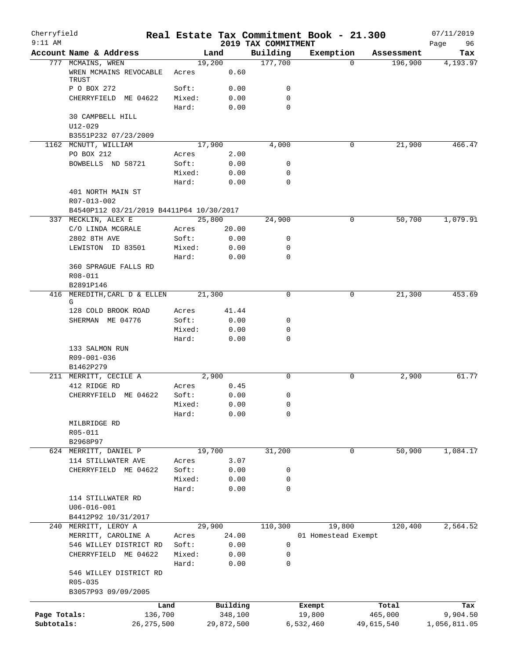| Cherryfield  |                                           |              |        |                |                                 | Real Estate Tax Commitment Book - 21.300 |            | 07/11/2019        |
|--------------|-------------------------------------------|--------------|--------|----------------|---------------------------------|------------------------------------------|------------|-------------------|
| $9:11$ AM    | Account Name & Address                    |              |        | Land           | 2019 TAX COMMITMENT<br>Building | Exemption                                | Assessment | 96<br>Page<br>Tax |
|              | 777 MCMAINS, WREN                         |              |        | 19,200         | 177,700                         | $\Omega$                                 | 196,900    | 4,193.97          |
|              | WREN MCMAINS REVOCABLE<br>TRUST           |              | Acres  | 0.60           |                                 |                                          |            |                   |
|              | P O BOX 272                               |              | Soft:  | 0.00           | 0                               |                                          |            |                   |
|              | CHERRYFIELD ME 04622                      |              | Mixed: | 0.00           | $\mathbf 0$                     |                                          |            |                   |
|              |                                           |              | Hard:  | 0.00           | $\mathbf 0$                     |                                          |            |                   |
|              | 30 CAMPBELL HILL                          |              |        |                |                                 |                                          |            |                   |
|              | $U12 - 029$                               |              |        |                |                                 |                                          |            |                   |
|              | B3551P232 07/23/2009                      |              |        |                |                                 |                                          |            |                   |
|              | 1162 MCNUTT, WILLIAM<br>PO BOX 212        |              | Acres  | 17,900<br>2.00 | 4,000                           | 0                                        | 21,900     | 466.47            |
|              | BOWBELLS ND 58721                         |              | Soft:  | 0.00           | 0                               |                                          |            |                   |
|              |                                           |              | Mixed: | 0.00           | $\mathbf 0$                     |                                          |            |                   |
|              |                                           |              | Hard:  | 0.00           | $\mathbf 0$                     |                                          |            |                   |
|              | 401 NORTH MAIN ST                         |              |        |                |                                 |                                          |            |                   |
|              | R07-013-002                               |              |        |                |                                 |                                          |            |                   |
|              | B4540P112 03/21/2019 B4411P64 10/30/2017  |              |        |                |                                 |                                          |            |                   |
|              | 337 MECKLIN, ALEX E                       |              |        | 25,800         | 24,900                          | 0                                        | 50,700     | 1,079.91          |
|              | C/O LINDA MCGRALE                         |              | Acres  | 20.00          |                                 |                                          |            |                   |
|              | 2802 8TH AVE                              |              | Soft:  | 0.00           | 0                               |                                          |            |                   |
|              | LEWISTON ID 83501                         |              | Mixed: | 0.00           | $\mathbf 0$                     |                                          |            |                   |
|              |                                           |              | Hard:  | 0.00           | $\mathbf 0$                     |                                          |            |                   |
|              | 360 SPRAGUE FALLS RD                      |              |        |                |                                 |                                          |            |                   |
|              | R08-011                                   |              |        |                |                                 |                                          |            |                   |
|              | B2891P146<br>416 MEREDITH, CARL D & ELLEN |              |        | 21,300         | $\mathbf 0$                     | 0                                        | 21,300     | 453.69            |
|              | G                                         |              |        |                |                                 |                                          |            |                   |
|              | 128 COLD BROOK ROAD                       |              | Acres  | 41.44          |                                 |                                          |            |                   |
|              | SHERMAN ME 04776                          |              | Soft:  | 0.00           | 0                               |                                          |            |                   |
|              |                                           |              | Mixed: | 0.00           | $\mathbf 0$                     |                                          |            |                   |
|              |                                           |              | Hard:  | 0.00           | $\mathbf 0$                     |                                          |            |                   |
|              | 133 SALMON RUN                            |              |        |                |                                 |                                          |            |                   |
|              | R09-001-036                               |              |        |                |                                 |                                          |            |                   |
|              | B1462P279                                 |              |        |                | $\Omega$                        |                                          |            |                   |
|              | 211 MERRITT, CECILE A<br>412 RIDGE RD     |              | Acres  | 2,900<br>0.45  |                                 | 0                                        | 2,900      | 61.77             |
|              | CHERRYFIELD ME 04622                      |              | Soft:  | 0.00           | 0                               |                                          |            |                   |
|              |                                           |              | Mixed: | 0.00           | 0                               |                                          |            |                   |
|              |                                           |              | Hard:  | 0.00           | 0                               |                                          |            |                   |
|              | MILBRIDGE RD                              |              |        |                |                                 |                                          |            |                   |
|              | R05-011                                   |              |        |                |                                 |                                          |            |                   |
|              | B2968P97                                  |              |        |                |                                 |                                          |            |                   |
|              | 624 MERRITT, DANIEL P                     |              |        | 19,700         | 31,200                          | 0                                        | 50,900     | 1,084.17          |
|              | 114 STILLWATER AVE                        |              | Acres  | 3.07           |                                 |                                          |            |                   |
|              | CHERRYFIELD ME 04622                      |              | Soft:  | 0.00           | 0                               |                                          |            |                   |
|              |                                           |              | Mixed: | 0.00           | $\mathbf 0$                     |                                          |            |                   |
|              |                                           |              | Hard:  | 0.00           | $\mathbf 0$                     |                                          |            |                   |
|              | 114 STILLWATER RD                         |              |        |                |                                 |                                          |            |                   |
|              | $U06 - 016 - 001$<br>B4412P92 10/31/2017  |              |        |                |                                 |                                          |            |                   |
|              | 240 MERRITT, LEROY A                      |              |        | 29,900         | 110,300                         | 19,800                                   | 120,400    | 2,564.52          |
|              | MERRITT, CAROLINE A                       |              | Acres  | 24.00          |                                 | 01 Homestead Exempt                      |            |                   |
|              | 546 WILLEY DISTRICT RD                    |              | Soft:  | 0.00           | 0                               |                                          |            |                   |
|              | CHERRYFIELD ME 04622                      |              | Mixed: | 0.00           | 0                               |                                          |            |                   |
|              |                                           |              | Hard:  | 0.00           | $\mathbf 0$                     |                                          |            |                   |
|              | 546 WILLEY DISTRICT RD                    |              |        |                |                                 |                                          |            |                   |
|              | R05-035                                   |              |        |                |                                 |                                          |            |                   |
|              | B3057P93 09/09/2005                       |              |        |                |                                 |                                          |            |                   |
|              |                                           | Land         |        | Building       |                                 | Exempt                                   | Total      | Tax               |
| Page Totals: |                                           | 136,700      |        | 348,100        |                                 | 19,800                                   | 465,000    | 9,904.50          |
| Subtotals:   |                                           | 26, 275, 500 |        | 29,872,500     |                                 | 6,532,460                                | 49,615,540 | 1,056,811.05      |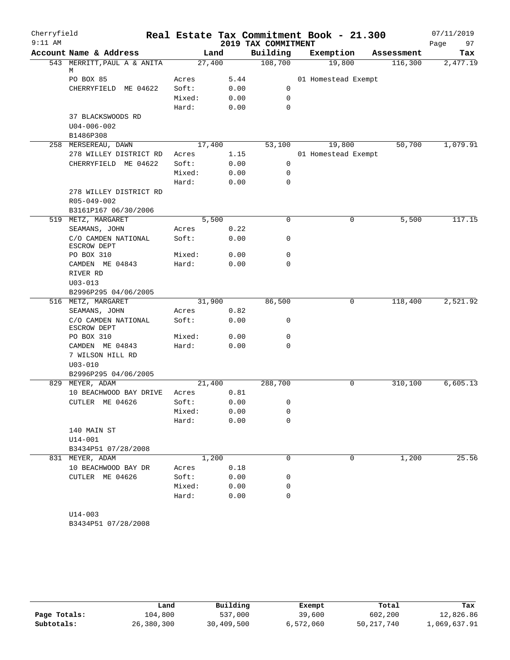| Cherryfield |                                    |        |        |                     | Real Estate Tax Commitment Book - 21.300 |            | 07/11/2019 |
|-------------|------------------------------------|--------|--------|---------------------|------------------------------------------|------------|------------|
| $9:11$ AM   |                                    |        |        | 2019 TAX COMMITMENT |                                          |            | 97<br>Page |
|             | Account Name & Address             |        | Land   | Building            | Exemption                                | Assessment | Tax        |
|             | 543 MERRITT, PAUL A & ANITA        |        | 27,400 | 108,700             | 19,800                                   | 116,300    | 2,477.19   |
|             | М<br>PO BOX 85                     | Acres  | 5.44   |                     | 01 Homestead Exempt                      |            |            |
|             | CHERRYFIELD ME 04622               | Soft:  | 0.00   | 0                   |                                          |            |            |
|             |                                    | Mixed: | 0.00   | 0                   |                                          |            |            |
|             |                                    | Hard:  | 0.00   | $\mathbf 0$         |                                          |            |            |
|             | 37 BLACKSWOODS RD                  |        |        |                     |                                          |            |            |
|             | $U04 - 006 - 002$                  |        |        |                     |                                          |            |            |
|             | B1486P308                          |        |        |                     |                                          |            |            |
|             | 258 MERSEREAU, DAWN                |        | 17,400 | 53,100              | 19,800                                   | 50,700     | 1,079.91   |
|             | 278 WILLEY DISTRICT RD             | Acres  | 1.15   |                     | 01 Homestead Exempt                      |            |            |
|             | CHERRYFIELD ME 04622               | Soft:  | 0.00   | 0                   |                                          |            |            |
|             |                                    | Mixed: | 0.00   | $\mathbf 0$         |                                          |            |            |
|             |                                    | Hard:  | 0.00   | $\mathbf 0$         |                                          |            |            |
|             | 278 WILLEY DISTRICT RD             |        |        |                     |                                          |            |            |
|             | R05-049-002                        |        |        |                     |                                          |            |            |
|             | B3161P167 06/30/2006               |        |        |                     |                                          |            |            |
|             | 519 METZ, MARGARET                 |        | 5,500  | $\mathbf 0$         | 0                                        | 5,500      | 117.15     |
|             | SEAMANS, JOHN                      | Acres  | 0.22   |                     |                                          |            |            |
|             | C/O CAMDEN NATIONAL<br>ESCROW DEPT | Soft:  | 0.00   | 0                   |                                          |            |            |
|             | PO BOX 310                         | Mixed: | 0.00   | 0                   |                                          |            |            |
|             | CAMDEN ME 04843                    | Hard:  | 0.00   | $\mathbf 0$         |                                          |            |            |
|             | RIVER RD                           |        |        |                     |                                          |            |            |
|             | $U03 - 013$                        |        |        |                     |                                          |            |            |
|             | B2996P295 04/06/2005               |        |        |                     |                                          |            |            |
|             | 516 METZ, MARGARET                 | 31,900 |        | 86,500              | 0                                        | 118,400    | 2,521.92   |
|             | SEAMANS, JOHN                      | Acres  | 0.82   |                     |                                          |            |            |
|             | C/O CAMDEN NATIONAL<br>ESCROW DEPT | Soft:  | 0.00   | 0                   |                                          |            |            |
|             | PO BOX 310                         | Mixed: | 0.00   | 0                   |                                          |            |            |
|             | CAMDEN ME 04843                    | Hard:  | 0.00   | 0                   |                                          |            |            |
|             | 7 WILSON HILL RD                   |        |        |                     |                                          |            |            |
|             | $U03 - 010$                        |        |        |                     |                                          |            |            |
|             | B2996P295 04/06/2005               |        |        |                     |                                          |            |            |
|             | 829 MEYER, ADAM                    | 21,400 |        | 288,700             | 0                                        | 310,100    | 6,605.13   |
|             | 10 BEACHWOOD BAY DRIVE             | Acres  | 0.81   |                     |                                          |            |            |
|             | CUTLER ME 04626                    | Soft:  | 0.00   | 0                   |                                          |            |            |
|             |                                    | Mixed: | 0.00   | 0                   |                                          |            |            |
|             |                                    | Hard:  | 0.00   | 0                   |                                          |            |            |
|             | 140 MAIN ST<br>$U14 - 001$         |        |        |                     |                                          |            |            |
|             | B3434P51 07/28/2008                |        |        |                     |                                          |            |            |
|             | 831 MEYER, ADAM                    |        | 1,200  | $\mathbf 0$         | 0                                        | 1,200      | 25.56      |
|             | 10 BEACHWOOD BAY DR                | Acres  | 0.18   |                     |                                          |            |            |
|             | CUTLER ME 04626                    | Soft:  | 0.00   | 0                   |                                          |            |            |
|             |                                    | Mixed: | 0.00   | 0                   |                                          |            |            |
|             |                                    | Hard:  | 0.00   | 0                   |                                          |            |            |
|             |                                    |        |        |                     |                                          |            |            |
|             | $U14 - 003$                        |        |        |                     |                                          |            |            |

B3434P51 07/28/2008

|              | Land       | Building   | Exempt    | Total      | Tax          |
|--------------|------------|------------|-----------|------------|--------------|
| Page Totals: | 104,800    | 537,000    | 39,600    | 602,200    | 12,826.86    |
| Subtotals:   | 26,380,300 | 30,409,500 | 6,572,060 | 50,217,740 | 1,069,637.91 |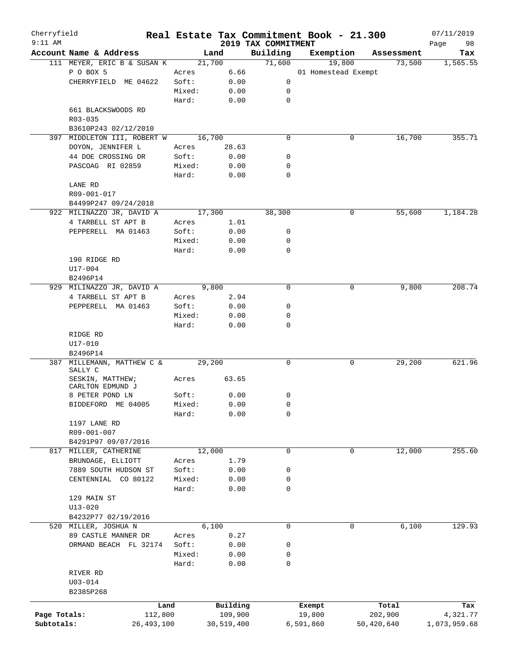| Cherryfield  |                                             |              |        |            |                                 | Real Estate Tax Commitment Book - 21.300 |             |            | 07/11/2019        |
|--------------|---------------------------------------------|--------------|--------|------------|---------------------------------|------------------------------------------|-------------|------------|-------------------|
| $9:11$ AM    | Account Name & Address                      |              |        | Land       | 2019 TAX COMMITMENT<br>Building | Exemption                                |             | Assessment | Page<br>98<br>Tax |
|              | 111 MEYER, ERIC B & SUSAN K                 |              |        | 21,700     | 71,600                          | 19,800                                   |             | 73,500     | 1,565.55          |
|              | P O BOX 5                                   | Acres        |        | 6.66       |                                 | 01 Homestead Exempt                      |             |            |                   |
|              | CHERRYFIELD ME 04622                        | Soft:        |        | 0.00       | 0                               |                                          |             |            |                   |
|              |                                             | Mixed:       |        | 0.00       | 0                               |                                          |             |            |                   |
|              |                                             | Hard:        |        | 0.00       | $\mathbf 0$                     |                                          |             |            |                   |
|              | 661 BLACKSWOODS RD                          |              |        |            |                                 |                                          |             |            |                   |
|              | R03-035                                     |              |        |            |                                 |                                          |             |            |                   |
|              | B3610P243 02/12/2010                        |              |        |            |                                 |                                          |             |            |                   |
|              | 397 MIDDLETON III, ROBERT W                 |              |        | 16,700     | 0                               |                                          | 0           | 16,700     | 355.71            |
|              | DOYON, JENNIFER L                           | Acres        |        | 28.63      |                                 |                                          |             |            |                   |
|              | 44 DOE CROSSING DR                          | Soft:        |        | 0.00       | 0                               |                                          |             |            |                   |
|              | PASCOAG RI 02859                            | Mixed:       |        | 0.00       | 0                               |                                          |             |            |                   |
|              |                                             | Hard:        |        | 0.00       | 0                               |                                          |             |            |                   |
|              | LANE RD                                     |              |        |            |                                 |                                          |             |            |                   |
|              | R09-001-017                                 |              |        |            |                                 |                                          |             |            |                   |
|              | B4499P247 09/24/2018                        |              |        |            |                                 |                                          |             |            |                   |
|              | 922 MILINAZZO JR, DAVID A                   |              |        | 17,300     | 38,300                          |                                          | 0           | 55,600     | 1,184.28          |
|              | 4 TARBELL ST APT B                          | Acres        |        | 1.01       |                                 |                                          |             |            |                   |
|              | PEPPERELL MA 01463                          | Soft:        |        | 0.00       | 0                               |                                          |             |            |                   |
|              |                                             | Mixed:       |        | 0.00       | 0                               |                                          |             |            |                   |
|              |                                             | Hard:        |        | 0.00       | $\mathbf 0$                     |                                          |             |            |                   |
|              | 190 RIDGE RD                                |              |        |            |                                 |                                          |             |            |                   |
|              | $U17 - 004$                                 |              |        |            |                                 |                                          |             |            |                   |
|              | B2496P14                                    |              |        |            |                                 |                                          |             |            |                   |
|              | 929 MILINAZZO JR, DAVID A                   |              |        | 9,800      | $\mathbf 0$                     |                                          | 0           | 9,800      | 208.74            |
|              | 4 TARBELL ST APT B                          | Acres        |        | 2.94       |                                 |                                          |             |            |                   |
|              | PEPPERELL MA 01463                          | Soft:        |        | 0.00       | 0                               |                                          |             |            |                   |
|              |                                             | Mixed:       |        | 0.00       | 0                               |                                          |             |            |                   |
|              |                                             | Hard:        |        | 0.00       | 0                               |                                          |             |            |                   |
|              | RIDGE RD                                    |              |        |            |                                 |                                          |             |            |                   |
|              | U17-010                                     |              |        |            |                                 |                                          |             |            |                   |
| 387          | B2496P14<br>MILLEMANN, MATTHEW C &          |              |        | 29,200     | 0                               |                                          | 0           | 29,200     | 621.96            |
|              | SALLY C                                     |              |        |            |                                 |                                          |             |            |                   |
|              | SESKIN, MATTHEW;                            | Acres        |        | 63.65      |                                 |                                          |             |            |                   |
|              | CARLTON EDMUND J                            |              |        |            |                                 |                                          |             |            |                   |
|              | 8 PETER POND LN                             | Soft:        |        | 0.00       | 0                               |                                          |             |            |                   |
|              | BIDDEFORD ME 04005                          |              | Mixed: | 0.00       | $\mathbf{0}$                    |                                          |             |            |                   |
|              |                                             | Hard:        |        | 0.00       | 0                               |                                          |             |            |                   |
|              | 1197 LANE RD                                |              |        |            |                                 |                                          |             |            |                   |
|              | R09-001-007                                 |              |        |            |                                 |                                          |             |            |                   |
|              | B4291P97 09/07/2016                         |              |        |            |                                 |                                          |             |            |                   |
|              | 817 MILLER, CATHERINE                       |              |        | 12,000     | $\mathbf 0$                     |                                          | $\mathbf 0$ | 12,000     | 255.60            |
|              | BRUNDAGE, ELLIOTT                           | Acres        |        | 1.79       |                                 |                                          |             |            |                   |
|              | 7889 SOUTH HUDSON ST                        | Soft:        |        | 0.00       | 0                               |                                          |             |            |                   |
|              | CENTENNIAL CO 80122                         | Mixed:       |        | 0.00       | 0                               |                                          |             |            |                   |
|              |                                             | Hard:        |        | 0.00       | 0                               |                                          |             |            |                   |
|              | 129 MAIN ST                                 |              |        |            |                                 |                                          |             |            |                   |
|              | $U13 - 020$                                 |              |        |            |                                 |                                          |             |            |                   |
|              | B4232P77 02/19/2016<br>520 MILLER, JOSHUA N |              |        | 6,100      | 0                               |                                          | 0           | 6,100      | 129.93            |
|              | 89 CASTLE MANNER DR                         | Acres        |        | 0.27       |                                 |                                          |             |            |                   |
|              | ORMAND BEACH FL 32174                       | Soft:        |        | 0.00       | 0                               |                                          |             |            |                   |
|              |                                             | Mixed:       |        | 0.00       | 0                               |                                          |             |            |                   |
|              |                                             | Hard:        |        | 0.00       | 0                               |                                          |             |            |                   |
|              | RIVER RD                                    |              |        |            |                                 |                                          |             |            |                   |
|              | $U03 - 014$                                 |              |        |            |                                 |                                          |             |            |                   |
|              | B2385P268                                   |              |        |            |                                 |                                          |             |            |                   |
|              |                                             |              |        |            |                                 |                                          |             |            |                   |
|              |                                             | Land         |        | Building   |                                 | Exempt                                   |             | Total      | Tax               |
| Page Totals: |                                             | 112,800      |        | 109,900    |                                 | 19,800                                   |             | 202,900    | 4,321.77          |
| Subtotals:   |                                             | 26, 493, 100 |        | 30,519,400 |                                 | 6,591,860                                |             | 50,420,640 | 1,073,959.68      |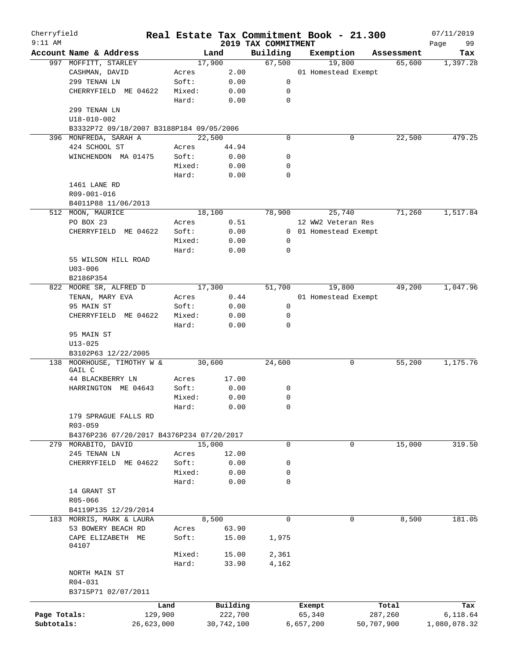| Cherryfield  |                                           |            |        |            |                                 | Real Estate Tax Commitment Book - 21.300 |             |            | 07/11/2019        |
|--------------|-------------------------------------------|------------|--------|------------|---------------------------------|------------------------------------------|-------------|------------|-------------------|
| $9:11$ AM    | Account Name & Address                    |            |        | Land       | 2019 TAX COMMITMENT<br>Building | Exemption                                |             | Assessment | 99<br>Page<br>Tax |
|              | 997 MOFFITT, STARLEY                      |            |        | 17,900     | 67,500                          | 19,800                                   |             | 65,600     | 1,397.28          |
|              | CASHMAN, DAVID                            |            | Acres  | 2.00       |                                 | 01 Homestead Exempt                      |             |            |                   |
|              | 299 TENAN LN                              |            | Soft:  | 0.00       | 0                               |                                          |             |            |                   |
|              | CHERRYFIELD ME 04622                      |            | Mixed: | 0.00       | 0                               |                                          |             |            |                   |
|              |                                           |            | Hard:  | 0.00       | 0                               |                                          |             |            |                   |
|              | 299 TENAN LN                              |            |        |            |                                 |                                          |             |            |                   |
|              | $U18 - 010 - 002$                         |            |        |            |                                 |                                          |             |            |                   |
|              | B3332P72 09/18/2007 B3188P184 09/05/2006  |            |        |            |                                 |                                          |             |            |                   |
|              | 396 MONFREDA, SARAH A                     |            |        | 22,500     | $\mathbf 0$                     |                                          | 0           | 22,500     | 479.25            |
|              | 424 SCHOOL ST                             |            | Acres  | 44.94      |                                 |                                          |             |            |                   |
|              | WINCHENDON MA 01475                       |            | Soft:  | 0.00       | 0                               |                                          |             |            |                   |
|              |                                           |            | Mixed: | 0.00       | 0                               |                                          |             |            |                   |
|              |                                           |            | Hard:  | 0.00       | 0                               |                                          |             |            |                   |
|              | 1461 LANE RD                              |            |        |            |                                 |                                          |             |            |                   |
|              | R09-001-016                               |            |        |            |                                 |                                          |             |            |                   |
|              | B4011P88 11/06/2013                       |            |        |            |                                 |                                          |             |            |                   |
|              | 512 MOON, MAURICE                         |            |        | 18,100     | 78,900                          | 25,740                                   |             | 71,260     | 1,517.84          |
|              | PO BOX 23                                 |            | Acres  | 0.51       |                                 | 12 WW2 Veteran Res                       |             |            |                   |
|              | CHERRYFIELD ME 04622                      |            | Soft:  | 0.00       |                                 | 0 01 Homestead Exempt                    |             |            |                   |
|              |                                           |            | Mixed: | 0.00       | 0                               |                                          |             |            |                   |
|              |                                           |            | Hard:  | 0.00       | 0                               |                                          |             |            |                   |
|              | 55 WILSON HILL ROAD                       |            |        |            |                                 |                                          |             |            |                   |
|              | $U03 - 006$                               |            |        |            |                                 |                                          |             |            |                   |
|              | B2186P354                                 |            |        |            |                                 |                                          |             |            |                   |
|              | 822 MOORE SR, ALFRED D                    |            |        | 17,300     | 51,700                          | 19,800                                   |             | 49,200     | 1,047.96          |
|              | TENAN, MARY EVA                           |            | Acres  | 0.44       |                                 | 01 Homestead Exempt                      |             |            |                   |
|              | 95 MAIN ST                                |            | Soft:  | 0.00       | 0                               |                                          |             |            |                   |
|              | CHERRYFIELD ME 04622                      |            | Mixed: | 0.00       | 0                               |                                          |             |            |                   |
|              | 95 MAIN ST<br>$U13 - 025$                 |            | Hard:  | 0.00       | 0                               |                                          |             |            |                   |
|              | B3102P63 12/22/2005                       |            |        |            |                                 |                                          |             |            |                   |
|              | 138 MOORHOUSE, TIMOTHY W &                |            |        | 30,600     | 24,600                          |                                          | 0           | 55,200     | 1,175.76          |
|              | GAIL C<br>44 BLACKBERRY LN                |            | Acres  | 17.00      |                                 |                                          |             |            |                   |
|              | HARRINGTON ME 04643                       |            | Soft:  | 0.00       | 0                               |                                          |             |            |                   |
|              |                                           |            | Mixed: | 0.00       | $\mathbf 0$                     |                                          |             |            |                   |
|              |                                           |            | Hard:  | 0.00       | 0                               |                                          |             |            |                   |
|              | 179 SPRAGUE FALLS RD                      |            |        |            |                                 |                                          |             |            |                   |
|              | R03-059                                   |            |        |            |                                 |                                          |             |            |                   |
|              | B4376P236 07/20/2017 B4376P234 07/20/2017 |            |        |            |                                 |                                          |             |            |                   |
| 279          | MORABITO, DAVID                           |            |        | 15,000     | $\mathbf 0$                     |                                          | $\mathbf 0$ | 15,000     | 319.50            |
|              | 245 TENAN LN                              |            | Acres  | 12.00      |                                 |                                          |             |            |                   |
|              | CHERRYFIELD ME 04622                      |            | Soft:  | 0.00       | 0                               |                                          |             |            |                   |
|              |                                           |            | Mixed: | 0.00       | 0                               |                                          |             |            |                   |
|              |                                           |            | Hard:  | 0.00       | 0                               |                                          |             |            |                   |
|              | 14 GRANT ST                               |            |        |            |                                 |                                          |             |            |                   |
|              | R05-066                                   |            |        |            |                                 |                                          |             |            |                   |
|              | B4119P135 12/29/2014                      |            |        |            |                                 |                                          |             |            |                   |
|              | 183 MORRIS, MARK & LAURA                  |            |        | 8,500      | $\mathbf 0$                     |                                          | 0           | 8,500      | 181.05            |
|              | 53 BOWERY BEACH RD                        |            | Acres  | 63.90      |                                 |                                          |             |            |                   |
|              | CAPE ELIZABETH ME<br>04107                |            | Soft:  | 15.00      | 1,975                           |                                          |             |            |                   |
|              |                                           |            | Mixed: | 15.00      | 2,361                           |                                          |             |            |                   |
|              |                                           |            | Hard:  | 33.90      | 4,162                           |                                          |             |            |                   |
|              | NORTH MAIN ST                             |            |        |            |                                 |                                          |             |            |                   |
|              | R04-031                                   |            |        |            |                                 |                                          |             |            |                   |
|              | B3715P71 02/07/2011                       |            |        |            |                                 |                                          |             |            |                   |
|              |                                           | Land       |        | Building   |                                 | Exempt                                   |             | Total      | Tax               |
| Page Totals: |                                           | 129,900    |        | 222,700    |                                 | 65,340                                   |             | 287,260    | 6,118.64          |
| Subtotals:   |                                           | 26,623,000 |        | 30,742,100 |                                 | 6,657,200                                | 50,707,900  |            | 1,080,078.32      |
|              |                                           |            |        |            |                                 |                                          |             |            |                   |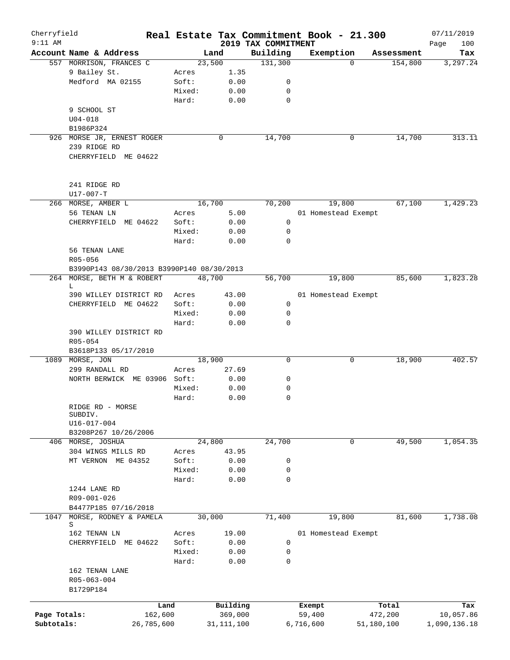| Cherryfield<br>$9:11$ AM |                                           |            |        |              |         | 2019 TAX COMMITMENT | Real Estate Tax Commitment Book - 21.300 |          |            | 07/11/2019<br>100 |
|--------------------------|-------------------------------------------|------------|--------|--------------|---------|---------------------|------------------------------------------|----------|------------|-------------------|
|                          | Account Name & Address                    |            |        | Land         |         | Building            | Exemption                                |          | Assessment | Page<br>Tax       |
|                          | 557 MORRISON, FRANCES C                   |            |        | 23,500       |         | 131,300             |                                          | $\Omega$ | 154,800    | 3,297.24          |
|                          | 9 Bailey St.                              |            | Acres  |              | 1.35    |                     |                                          |          |            |                   |
|                          | Medford MA 02155                          |            | Soft:  |              | 0.00    | $\mathsf{O}$        |                                          |          |            |                   |
|                          |                                           |            | Mixed: |              | 0.00    | 0                   |                                          |          |            |                   |
|                          |                                           |            | Hard:  |              | 0.00    | 0                   |                                          |          |            |                   |
|                          | 9 SCHOOL ST                               |            |        |              |         |                     |                                          |          |            |                   |
|                          | $U04 - 018$                               |            |        |              |         |                     |                                          |          |            |                   |
|                          | B1986P324                                 |            |        |              |         |                     |                                          |          |            |                   |
|                          | 926 MORSE JR, ERNEST ROGER                |            |        | 0            |         | 14,700              |                                          | 0        | 14,700     | 313.11            |
|                          | 239 RIDGE RD                              |            |        |              |         |                     |                                          |          |            |                   |
|                          | CHERRYFIELD ME 04622                      |            |        |              |         |                     |                                          |          |            |                   |
|                          |                                           |            |        |              |         |                     |                                          |          |            |                   |
|                          | 241 RIDGE RD<br>U17-007-T                 |            |        |              |         |                     |                                          |          |            |                   |
|                          | 266 MORSE, AMBER L                        |            |        | 16,700       |         | 70,200              | 19,800                                   |          | 67,100     | 1,429.23          |
|                          | 56 TENAN LN                               |            | Acres  |              | 5.00    |                     | 01 Homestead Exempt                      |          |            |                   |
|                          | CHERRYFIELD<br>ME 04622                   |            | Soft:  |              | 0.00    | 0                   |                                          |          |            |                   |
|                          |                                           |            | Mixed: |              | 0.00    | 0                   |                                          |          |            |                   |
|                          |                                           |            | Hard:  |              | 0.00    | 0                   |                                          |          |            |                   |
|                          | 56 TENAN LANE                             |            |        |              |         |                     |                                          |          |            |                   |
|                          | R05-056                                   |            |        |              |         |                     |                                          |          |            |                   |
|                          | B3990P143 08/30/2013 B3990P140 08/30/2013 |            |        |              |         |                     |                                          |          |            |                   |
|                          | 264 MORSE, BETH M & ROBERT                |            |        | 48,700       |         | 56,700              | 19,800                                   |          | 85,600     | 1,823.28          |
|                          | L                                         |            |        |              |         |                     |                                          |          |            |                   |
|                          | 390 WILLEY DISTRICT RD                    |            | Acres  |              | 43.00   |                     | 01 Homestead Exempt                      |          |            |                   |
|                          | CHERRYFIELD ME 04622                      |            | Soft:  |              | 0.00    | 0                   |                                          |          |            |                   |
|                          |                                           |            | Mixed: |              | 0.00    | $\mathsf{O}$        |                                          |          |            |                   |
|                          |                                           |            | Hard:  |              | 0.00    | $\mathbf 0$         |                                          |          |            |                   |
|                          | 390 WILLEY DISTRICT RD                    |            |        |              |         |                     |                                          |          |            |                   |
|                          | R05-054                                   |            |        |              |         |                     |                                          |          |            |                   |
|                          | B3618P133 05/17/2010                      |            |        |              |         |                     |                                          |          |            |                   |
|                          | 1089 MORSE, JON                           |            |        | 18,900       |         | 0                   |                                          | 0        | 18,900     | 402.57            |
|                          | 299 RANDALL RD                            |            | Acres  |              | 27.69   |                     |                                          |          |            |                   |
|                          | NORTH BERWICK ME 03906 Soft:              |            |        |              | 0.00    | 0                   |                                          |          |            |                   |
|                          |                                           |            | Mixed: |              | 0.00    | 0                   |                                          |          |            |                   |
|                          |                                           |            | Hard:  |              | 0.00    | 0                   |                                          |          |            |                   |
|                          | RIDGE RD - MORSE<br>SUBDIV.               |            |        |              |         |                     |                                          |          |            |                   |
|                          | U16-017-004                               |            |        |              |         |                     |                                          |          |            |                   |
|                          | B3208P267 10/26/2006                      |            |        |              |         |                     |                                          |          |            |                   |
|                          | 406 MORSE, JOSHUA                         |            |        | 24,800       |         | 24,700              |                                          | 0        | 49,500     | 1,054.35          |
|                          | 304 WINGS MILLS RD                        |            | Acres  |              | 43.95   |                     |                                          |          |            |                   |
|                          | MT VERNON ME 04352                        |            | Soft:  |              | 0.00    | 0                   |                                          |          |            |                   |
|                          |                                           |            | Mixed: |              | 0.00    | 0                   |                                          |          |            |                   |
|                          |                                           |            | Hard:  |              | 0.00    | 0                   |                                          |          |            |                   |
|                          | 1244 LANE RD                              |            |        |              |         |                     |                                          |          |            |                   |
|                          | R09-001-026                               |            |        |              |         |                     |                                          |          |            |                   |
|                          | B4477P185 07/16/2018                      |            |        |              |         |                     |                                          |          |            |                   |
| 1047                     | MORSE, RODNEY & PAMELA                    |            |        | 30,000       |         | 71,400              | 19,800                                   |          | 81,600     | 1,738.08          |
|                          | S                                         |            |        |              |         |                     |                                          |          |            |                   |
|                          | 162 TENAN LN                              |            | Acres  |              | 19.00   |                     | 01 Homestead Exempt                      |          |            |                   |
|                          | CHERRYFIELD ME 04622                      |            | Soft:  |              | 0.00    | 0                   |                                          |          |            |                   |
|                          |                                           |            | Mixed: |              | 0.00    | 0                   |                                          |          |            |                   |
|                          |                                           |            | Hard:  |              | 0.00    | 0                   |                                          |          |            |                   |
|                          | 162 TENAN LANE                            |            |        |              |         |                     |                                          |          |            |                   |
|                          | R05-063-004                               |            |        |              |         |                     |                                          |          |            |                   |
|                          | B1729P184                                 |            |        |              |         |                     |                                          |          |            |                   |
|                          |                                           | Land       |        | Building     |         |                     | Exempt                                   |          | Total      | Tax               |
| Page Totals:             |                                           | 162,600    |        |              | 369,000 |                     | 59,400                                   |          | 472,200    | 10,057.86         |
| Subtotals:               |                                           | 26,785,600 |        | 31, 111, 100 |         |                     | 6,716,600                                |          | 51,180,100 | 1,090,136.18      |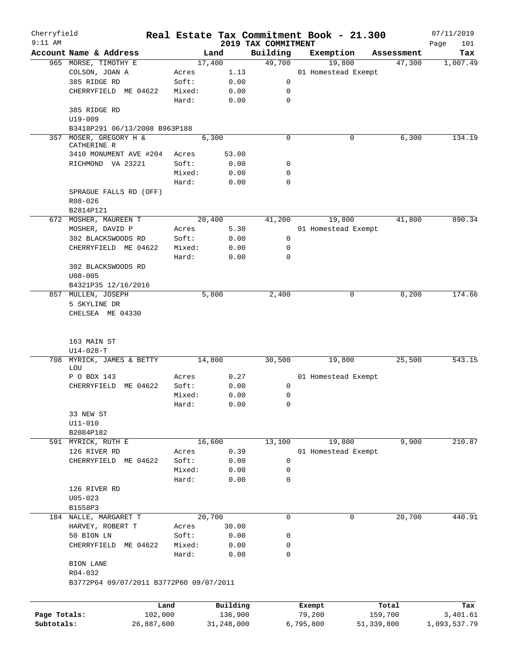| Cherryfield<br>$9:11$ AM |                                                    |            |        |                                 |                                 | Real Estate Tax Commitment Book - 21.300 |            | 07/11/2019         |
|--------------------------|----------------------------------------------------|------------|--------|---------------------------------|---------------------------------|------------------------------------------|------------|--------------------|
|                          | Account Name & Address                             |            |        | Land                            | 2019 TAX COMMITMENT<br>Building | Exemption                                | Assessment | Page<br>101<br>Tax |
|                          | 965 MORSE, TIMOTHY E                               |            |        | 17,400                          | 49,700                          | 19,800                                   |            | 1,007.49<br>47,300 |
|                          | COLSON, JOAN A                                     |            | Acres  | 1.13                            |                                 | 01 Homestead Exempt                      |            |                    |
|                          | 385 RIDGE RD                                       |            | Soft:  | 0.00                            | 0                               |                                          |            |                    |
|                          | CHERRYFIELD ME 04622                               |            | Mixed: | 0.00                            | 0                               |                                          |            |                    |
|                          |                                                    |            | Hard:  | 0.00                            | $\mathbf 0$                     |                                          |            |                    |
|                          | 385 RIDGE RD                                       |            |        |                                 |                                 |                                          |            |                    |
|                          | $U19 - 009$                                        |            |        |                                 |                                 |                                          |            |                    |
|                          | B3418P291 06/13/2008 B963P188                      |            |        |                                 |                                 |                                          |            |                    |
| 357                      | MOSER, GREGORY H &<br>CATHERINE R                  |            |        | 6,300                           | $\Omega$                        |                                          | 0          | 6,300<br>134.19    |
|                          | 3410 MONUMENT AVE #204                             |            | Acres  | 53.00                           |                                 |                                          |            |                    |
|                          | RICHMOND VA 23221                                  |            | Soft:  | 0.00                            | 0                               |                                          |            |                    |
|                          |                                                    |            | Mixed: | 0.00                            | 0                               |                                          |            |                    |
|                          |                                                    |            | Hard:  | 0.00                            | 0                               |                                          |            |                    |
|                          | SPRAGUE FALLS RD (OFF)                             |            |        |                                 |                                 |                                          |            |                    |
|                          | R08-026                                            |            |        |                                 |                                 |                                          |            |                    |
|                          | B2814P121                                          |            |        |                                 |                                 |                                          |            |                    |
|                          | 672 MOSHER, MAUREEN T                              |            |        | 20,400                          | 41,200                          | 19,800                                   |            | 41,800<br>890.34   |
|                          | MOSHER, DAVID P                                    |            | Acres  | 5.30                            |                                 | 01 Homestead Exempt                      |            |                    |
|                          | 302 BLACKSWOODS RD                                 |            | Soft:  | 0.00                            | 0                               |                                          |            |                    |
|                          | CHERRYFIELD ME 04622                               |            | Mixed: | 0.00                            | 0                               |                                          |            |                    |
|                          |                                                    |            | Hard:  | 0.00                            | 0                               |                                          |            |                    |
|                          | 302 BLACKSWOODS RD                                 |            |        |                                 |                                 |                                          |            |                    |
|                          | $U08 - 005$                                        |            |        |                                 |                                 |                                          |            |                    |
|                          | B4321P35 12/16/2016                                |            |        |                                 |                                 |                                          |            |                    |
|                          | 857 MULLEN, JOSEPH                                 |            |        | 5,800                           | 2,400                           |                                          | 0          | 8,200<br>174.66    |
|                          | 5 SKYLINE DR                                       |            |        |                                 |                                 |                                          |            |                    |
|                          | CHELSEA ME 04330                                   |            |        |                                 |                                 |                                          |            |                    |
|                          | 163 MAIN ST<br>$U14 - 028 - T$                     |            |        |                                 |                                 |                                          |            |                    |
|                          | 708 MYRICK, JAMES & BETTY<br>LOU                   |            |        | 14,800                          | 30,500                          | 19,800                                   |            | 543.15<br>25,500   |
|                          | P O BOX 143                                        |            | Acres  | 0.27                            |                                 | 01 Homestead Exempt                      |            |                    |
|                          | ME 04622<br>CHERRYFIELD                            |            | Soft:  | 0.00                            | 0                               |                                          |            |                    |
|                          |                                                    |            | Mixed: | 0.00                            | 0                               |                                          |            |                    |
|                          |                                                    |            | Hard:  | ${\bf 0}$ . ${\bf 0}$ ${\bf 0}$ | $\Omega$                        |                                          |            |                    |
|                          | 33 NEW ST                                          |            |        |                                 |                                 |                                          |            |                    |
|                          | $U11 - 010$                                        |            |        |                                 |                                 |                                          |            |                    |
|                          | B2084P182                                          |            |        |                                 |                                 |                                          |            |                    |
|                          | 591 MYRICK, RUTH E                                 |            |        | 16,600                          | 13,100                          | 19,800                                   |            | 9,900<br>210.87    |
|                          | 126 RIVER RD                                       |            | Acres  | 0.39                            |                                 | 01 Homestead Exempt                      |            |                    |
|                          | CHERRYFIELD ME 04622                               |            | Soft:  | 0.00                            | 0                               |                                          |            |                    |
|                          |                                                    |            | Mixed: | 0.00                            | 0                               |                                          |            |                    |
|                          |                                                    |            | Hard:  | 0.00                            | 0                               |                                          |            |                    |
|                          | 126 RIVER RD                                       |            |        |                                 |                                 |                                          |            |                    |
|                          | $U05 - 023$                                        |            |        |                                 |                                 |                                          |            |                    |
|                          | B1558P3                                            |            |        |                                 |                                 |                                          |            |                    |
|                          | 184 NALLE, MARGARET T                              |            |        | 20,700                          | 0                               |                                          | 0          | 20,700<br>440.91   |
|                          | HARVEY, ROBERT T                                   |            | Acres  | 30.00                           |                                 |                                          |            |                    |
|                          | 50 BION LN                                         |            | Soft:  | 0.00                            | 0                               |                                          |            |                    |
|                          | CHERRYFIELD<br>ME 04622                            |            | Mixed: | 0.00                            | 0                               |                                          |            |                    |
|                          |                                                    |            | Hard:  | 0.00                            | 0                               |                                          |            |                    |
|                          | BION LANE                                          |            |        |                                 |                                 |                                          |            |                    |
|                          | R04-032<br>B3772P64 09/07/2011 B3772P60 09/07/2011 |            |        |                                 |                                 |                                          |            |                    |
|                          |                                                    |            |        |                                 |                                 |                                          |            |                    |
|                          |                                                    | Land       |        | Building                        |                                 | Exempt                                   | Total      | Tax                |
| Page Totals:             |                                                    | 102,000    |        | 136,900                         |                                 | 79,200                                   | 159,700    | 3,401.61           |
| Subtotals:               |                                                    | 26,887,600 |        | 31,248,000                      |                                 | 6,795,800                                | 51,339,800 | 1,093,537.79       |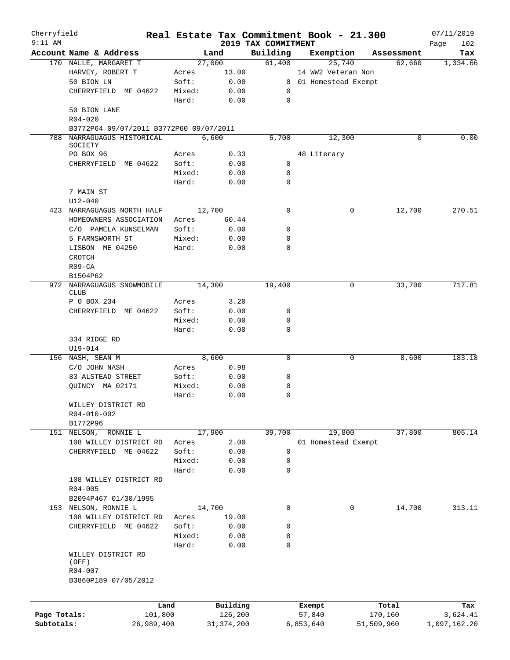| Cherryfield<br>$9:11$ AM |                                         |        |            | 2019 TAX COMMITMENT | Real Estate Tax Commitment Book - 21.300 |             | 07/11/2019         |
|--------------------------|-----------------------------------------|--------|------------|---------------------|------------------------------------------|-------------|--------------------|
|                          | Account Name & Address                  |        | Land       | Building            | Exemption                                | Assessment  | 102<br>Page<br>Tax |
|                          | 170 NALLE, MARGARET T                   |        | 27,000     | 61,400              | 25,740                                   | 62,660      | 1,334.66           |
|                          | HARVEY, ROBERT T                        | Acres  | 13.00      |                     | 14 WW2 Veteran Non                       |             |                    |
|                          | 50 BION LN                              | Soft:  | 0.00       |                     | 0 01 Homestead Exempt                    |             |                    |
|                          | CHERRYFIELD ME 04622                    | Mixed: | 0.00       | 0                   |                                          |             |                    |
|                          |                                         | Hard:  | 0.00       | $\mathbf 0$         |                                          |             |                    |
|                          | 50 BION LANE                            |        |            |                     |                                          |             |                    |
|                          | $R04 - 020$                             |        |            |                     |                                          |             |                    |
|                          | B3772P64 09/07/2011 B3772P60 09/07/2011 |        |            |                     |                                          |             |                    |
|                          | 788 NARRAGUAGUS HISTORICAL              |        | 6,600      | 5,700               | 12,300                                   | $\Omega$    | 0.00               |
|                          | SOCIETY                                 |        |            |                     |                                          |             |                    |
|                          | PO BOX 96                               | Acres  | 0.33       |                     | 48 Literary                              |             |                    |
|                          | CHERRYFIELD ME 04622                    | Soft:  | 0.00       | 0                   |                                          |             |                    |
|                          |                                         | Mixed: | 0.00       | 0                   |                                          |             |                    |
|                          |                                         | Hard:  | 0.00       | 0                   |                                          |             |                    |
|                          | 7 MAIN ST                               |        |            |                     |                                          |             |                    |
|                          | $U12 - 040$                             |        |            |                     |                                          |             |                    |
|                          | 423 NARRAGUAGUS NORTH HALF              |        | 12,700     | 0                   |                                          | 12,700<br>0 | 270.51             |
|                          | HOMEOWNERS ASSOCIATION                  | Acres  | 60.44      |                     |                                          |             |                    |
|                          | C/O PAMELA KUNSELMAN                    | Soft:  | 0.00       | 0                   |                                          |             |                    |
|                          | 5 FARNSWORTH ST                         | Mixed: | 0.00       | 0                   |                                          |             |                    |
|                          | LISBON ME 04250                         | Hard:  | 0.00       | $\Omega$            |                                          |             |                    |
|                          | <b>CROTCH</b>                           |        |            |                     |                                          |             |                    |
|                          | $R09 - CA$                              |        |            |                     |                                          |             |                    |
|                          | B1504P62                                |        |            |                     |                                          |             |                    |
|                          | 972 NARRAGUAGUS SNOWMOBILE              |        | 14,300     | 19,400              |                                          | 33,700<br>0 | 717.81             |
|                          | <b>CLUB</b>                             |        |            |                     |                                          |             |                    |
|                          | P O BOX 234                             | Acres  | 3.20       |                     |                                          |             |                    |
|                          | CHERRYFIELD ME 04622                    | Soft:  | 0.00       | 0                   |                                          |             |                    |
|                          |                                         | Mixed: | 0.00       | 0                   |                                          |             |                    |
|                          |                                         | Hard:  | 0.00       | 0                   |                                          |             |                    |
|                          | 334 RIDGE RD                            |        |            |                     |                                          |             |                    |
|                          | U19-014                                 |        |            |                     |                                          |             |                    |
|                          | 156 NASH, SEAN M                        |        | 8,600      | $\mathbf 0$         |                                          | 8,600<br>0  | 183.18             |
|                          | C/O JOHN NASH                           | Acres  | 0.98       |                     |                                          |             |                    |
|                          | 83 ALSTEAD STREET                       | Soft:  | 0.00       | 0                   |                                          |             |                    |
|                          | OUINCY MA 02171                         | Mixed: | 0.00       | 0                   |                                          |             |                    |
|                          |                                         | Hard:  | 0.00       | 0                   |                                          |             |                    |
|                          | WILLEY DISTRICT RD                      |        |            |                     |                                          |             |                    |
|                          | R04-010-002                             |        |            |                     |                                          |             |                    |
|                          | B1772P96                                |        |            |                     |                                          |             |                    |
|                          | 151 NELSON, RONNIE L                    |        | 17,900     | 39,700              | 19,800                                   | 37,800      | 805.14             |
|                          | 108 WILLEY DISTRICT RD                  | Acres  | 2.00       |                     | 01 Homestead Exempt                      |             |                    |
|                          | CHERRYFIELD ME 04622                    | Soft:  | 0.00       | 0                   |                                          |             |                    |
|                          |                                         | Mixed: | 0.00       | 0                   |                                          |             |                    |
|                          |                                         | Hard:  | 0.00       | 0                   |                                          |             |                    |
|                          | 108 WILLEY DISTRICT RD                  |        |            |                     |                                          |             |                    |
|                          | $R04 - 005$                             |        |            |                     |                                          |             |                    |
|                          | B2094P467 01/30/1995                    |        |            |                     |                                          |             |                    |
|                          | 153 NELSON, RONNIE L                    |        | 14,700     | 0                   |                                          | 14,700<br>0 | 313.11             |
|                          | 108 WILLEY DISTRICT RD                  | Acres  | 19.00      |                     |                                          |             |                    |
|                          | CHERRYFIELD ME 04622                    | Soft:  | 0.00       | 0                   |                                          |             |                    |
|                          |                                         | Mixed: | 0.00       | 0                   |                                          |             |                    |
|                          |                                         | Hard:  | 0.00       | 0                   |                                          |             |                    |
|                          | WILLEY DISTRICT RD                      |        |            |                     |                                          |             |                    |
|                          | (OFF)                                   |        |            |                     |                                          |             |                    |
|                          | R04-007<br>B3860P189 07/05/2012         |        |            |                     |                                          |             |                    |
|                          |                                         |        |            |                     |                                          |             |                    |
|                          |                                         |        |            |                     |                                          |             |                    |
|                          |                                         | Land   | Building   |                     | Exempt                                   | Total       | Tax                |
| Page Totals:             | 101,800                                 |        | 126,200    |                     | 57,840                                   | 170,160     | 3,624.41           |
| Subtotals:               | 26,989,400                              |        | 31,374,200 |                     | 6,853,640                                | 51,509,960  | 1,097,162.20       |
|                          |                                         |        |            |                     |                                          |             |                    |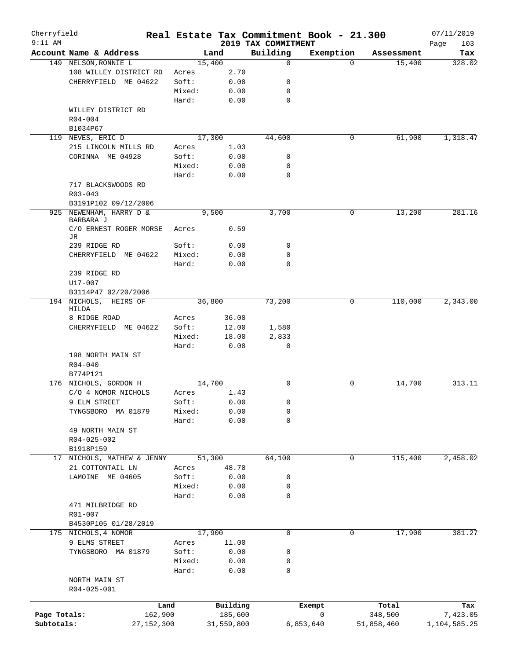| Cherryfield<br>$9:11$ AM |                              |            |        |        |            | Real Estate Tax Commitment Book - 21.300<br>2019 TAX COMMITMENT |           |            | 07/11/2019         |
|--------------------------|------------------------------|------------|--------|--------|------------|-----------------------------------------------------------------|-----------|------------|--------------------|
|                          | Account Name & Address       |            |        | Land   |            | Building                                                        | Exemption | Assessment | 103<br>Page<br>Tax |
|                          | 149 NELSON, RONNIE L         |            |        | 15,400 |            | 0                                                               | $\Omega$  | 15,400     | 328.02             |
|                          | 108 WILLEY DISTRICT RD       |            | Acres  |        | 2.70       |                                                                 |           |            |                    |
|                          | CHERRYFIELD ME 04622         |            | Soft:  |        | 0.00       | 0                                                               |           |            |                    |
|                          |                              |            | Mixed: |        | 0.00       | 0                                                               |           |            |                    |
|                          |                              |            | Hard:  |        | 0.00       | 0                                                               |           |            |                    |
|                          | WILLEY DISTRICT RD           |            |        |        |            |                                                                 |           |            |                    |
|                          | $R04 - 004$                  |            |        |        |            |                                                                 |           |            |                    |
|                          | B1034P67                     |            |        |        |            |                                                                 |           |            |                    |
|                          | 119 NEVES, ERIC D            |            |        | 17,300 |            | 44,600                                                          | 0         | 61,900     | 1,318.47           |
|                          | 215 LINCOLN MILLS RD         |            | Acres  |        | 1.03       |                                                                 |           |            |                    |
|                          | CORINNA ME 04928             |            | Soft:  |        | 0.00       | 0                                                               |           |            |                    |
|                          |                              |            | Mixed: |        | 0.00       | 0                                                               |           |            |                    |
|                          |                              |            | Hard:  |        | 0.00       | 0                                                               |           |            |                    |
|                          | 717 BLACKSWOODS RD           |            |        |        |            |                                                                 |           |            |                    |
|                          | $R03 - 043$                  |            |        |        |            |                                                                 |           |            |                    |
|                          | B3191P102 09/12/2006         |            |        |        |            |                                                                 |           |            |                    |
|                          | 925 NEWENHAM, HARRY D &      |            |        | 9,500  |            | 3,700                                                           | 0         | 13,200     | 281.16             |
|                          | BARBARA J                    |            |        |        |            |                                                                 |           |            |                    |
|                          | C/O ERNEST ROGER MORSE<br>JR |            | Acres  |        | 0.59       |                                                                 |           |            |                    |
|                          | 239 RIDGE RD                 |            | Soft:  |        | 0.00       | 0                                                               |           |            |                    |
|                          | CHERRYFIELD ME 04622         |            | Mixed: |        | 0.00       | 0                                                               |           |            |                    |
|                          |                              |            | Hard:  |        | 0.00       | $\Omega$                                                        |           |            |                    |
|                          | 239 RIDGE RD                 |            |        |        |            |                                                                 |           |            |                    |
|                          | U17-007                      |            |        |        |            |                                                                 |           |            |                    |
|                          | B3114P47 02/20/2006          |            |        |        |            |                                                                 |           |            |                    |
|                          | 194 NICHOLS,<br>HEIRS OF     |            |        | 36,800 |            | 73,200                                                          | 0         | 110,000    | 2,343.00           |
|                          | HILDA                        |            |        |        |            |                                                                 |           |            |                    |
|                          | 8 RIDGE ROAD                 |            | Acres  |        | 36.00      |                                                                 |           |            |                    |
|                          | CHERRYFIELD ME 04622         |            | Soft:  |        | 12.00      | 1,580                                                           |           |            |                    |
|                          |                              |            | Mixed: |        | 18.00      | 2,833                                                           |           |            |                    |
|                          |                              |            | Hard:  |        | 0.00       | $\mathbf 0$                                                     |           |            |                    |
|                          | 198 NORTH MAIN ST            |            |        |        |            |                                                                 |           |            |                    |
|                          | $R04 - 040$                  |            |        |        |            |                                                                 |           |            |                    |
|                          | B774P121                     |            |        |        |            |                                                                 |           |            |                    |
|                          | 176 NICHOLS, GORDON H        |            |        | 14,700 |            | 0                                                               | 0         | 14,700     | 313.11             |
|                          | C/O 4 NOMOR NICHOLS          |            | Acres  |        | 1.43       |                                                                 |           |            |                    |
|                          | 9 ELM STREET                 |            | Soft:  |        | 0.00       | 0                                                               |           |            |                    |
|                          | TYNGSBORO MA 01879           |            | Mixed: |        | 0.00       | 0                                                               |           |            |                    |
|                          |                              |            | Hard:  |        | 0.00       | 0                                                               |           |            |                    |
|                          | 49 NORTH MAIN ST             |            |        |        |            |                                                                 |           |            |                    |
|                          | R04-025-002<br>B1918P159     |            |        |        |            |                                                                 |           |            |                    |
| 17                       | NICHOLS, MATHEW & JENNY      |            |        | 51,300 |            | 64,100                                                          | 0         | 115,400    | 2,458.02           |
|                          | 21 COTTONTAIL LN             |            | Acres  |        | 48.70      |                                                                 |           |            |                    |
|                          | LAMOINE ME 04605             |            | Soft:  |        | 0.00       | 0                                                               |           |            |                    |
|                          |                              |            | Mixed: |        | 0.00       | 0                                                               |           |            |                    |
|                          |                              |            | Hard:  |        | 0.00       | 0                                                               |           |            |                    |
|                          | 471 MILBRIDGE RD             |            |        |        |            |                                                                 |           |            |                    |
|                          | R01-007                      |            |        |        |            |                                                                 |           |            |                    |
|                          | B4530P105 01/28/2019         |            |        |        |            |                                                                 |           |            |                    |
|                          | 175 NICHOLS, 4 NOMOR         |            |        | 17,900 |            | 0                                                               | 0         | 17,900     | 381.27             |
|                          | 9 ELMS STREET                |            | Acres  |        | 11.00      |                                                                 |           |            |                    |
|                          | TYNGSBORO MA 01879           |            | Soft:  |        | 0.00       | 0                                                               |           |            |                    |
|                          |                              |            | Mixed: |        | 0.00       | 0                                                               |           |            |                    |
|                          |                              |            | Hard:  |        | 0.00       | 0                                                               |           |            |                    |
|                          | NORTH MAIN ST                |            |        |        |            |                                                                 |           |            |                    |
|                          | R04-025-001                  |            |        |        |            |                                                                 |           |            |                    |
|                          |                              |            |        |        |            |                                                                 |           |            |                    |
|                          |                              | Land       |        |        | Building   |                                                                 | Exempt    | Total      | Tax                |
| Page Totals:             |                              | 162,900    |        |        | 185,600    |                                                                 | 0         | 348,500    | 7,423.05           |
| Subtotals:               |                              | 27,152,300 |        |        | 31,559,800 |                                                                 | 6,853,640 | 51,858,460 | 1,104,585.25       |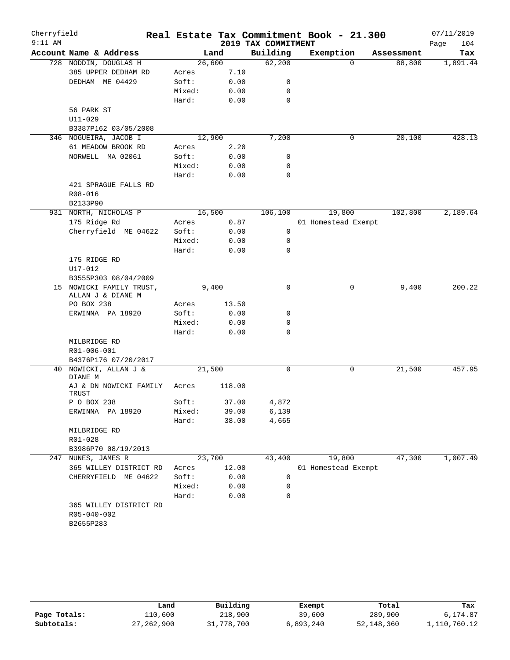| Cherryfield<br>$9:11$ AM |                                 |        |        | 2019 TAX COMMITMENT | Real Estate Tax Commitment Book - 21.300 |            | 07/11/2019<br>Page<br>104 |
|--------------------------|---------------------------------|--------|--------|---------------------|------------------------------------------|------------|---------------------------|
|                          | Account Name & Address          |        | Land   | Building            | Exemption                                | Assessment | Tax                       |
|                          | 728 NODDIN, DOUGLAS H           |        | 26,600 | 62,200              | 0                                        | 88,800     | 1,891.44                  |
|                          | 385 UPPER DEDHAM RD             | Acres  | 7.10   |                     |                                          |            |                           |
|                          | DEDHAM ME 04429                 | Soft:  | 0.00   | 0                   |                                          |            |                           |
|                          |                                 | Mixed: | 0.00   | 0                   |                                          |            |                           |
|                          |                                 | Hard:  | 0.00   | $\mathbf 0$         |                                          |            |                           |
|                          | 56 PARK ST                      |        |        |                     |                                          |            |                           |
|                          | $U11 - 029$                     |        |        |                     |                                          |            |                           |
|                          | B3387P162 03/05/2008            |        |        |                     |                                          |            |                           |
|                          | 346 NOGUEIRA, JACOB I           |        | 12,900 | 7,200               | 0                                        | 20,100     | 428.13                    |
|                          | 61 MEADOW BROOK RD              | Acres  | 2.20   |                     |                                          |            |                           |
|                          | NORWELL MA 02061                | Soft:  | 0.00   | 0                   |                                          |            |                           |
|                          |                                 | Mixed: | 0.00   | 0                   |                                          |            |                           |
|                          |                                 | Hard:  | 0.00   | $\mathbf 0$         |                                          |            |                           |
|                          | 421 SPRAGUE FALLS RD            |        |        |                     |                                          |            |                           |
|                          | R08-016                         |        |        |                     |                                          |            |                           |
|                          | B2133P90                        |        |        |                     |                                          |            |                           |
|                          | 931 NORTH, NICHOLAS P           |        | 16,500 | 106,100             | 19,800                                   | 102,800    | 2,189.64                  |
|                          | 175 Ridge Rd                    | Acres  | 0.87   |                     | 01 Homestead Exempt                      |            |                           |
|                          | Cherryfield ME 04622            | Soft:  | 0.00   | 0                   |                                          |            |                           |
|                          |                                 | Mixed: | 0.00   | 0                   |                                          |            |                           |
|                          |                                 | Hard:  | 0.00   | $\mathbf 0$         |                                          |            |                           |
|                          | 175 RIDGE RD                    |        |        |                     |                                          |            |                           |
|                          | U17-012                         |        |        |                     |                                          |            |                           |
|                          | B3555P303 08/04/2009            |        |        |                     |                                          |            |                           |
|                          | 15 NOWICKI FAMILY TRUST,        |        | 9,400  | $\mathbf 0$         | 0                                        | 9,400      | 200.22                    |
|                          | ALLAN J & DIANE M               |        |        |                     |                                          |            |                           |
|                          | PO BOX 238                      | Acres  | 13.50  |                     |                                          |            |                           |
|                          | ERWINNA PA 18920                | Soft:  | 0.00   | 0                   |                                          |            |                           |
|                          |                                 | Mixed: | 0.00   | 0                   |                                          |            |                           |
|                          |                                 | Hard:  | 0.00   | $\mathbf 0$         |                                          |            |                           |
|                          | MILBRIDGE RD                    |        |        |                     |                                          |            |                           |
|                          | R01-006-001                     |        |        |                     |                                          |            |                           |
|                          | B4376P176 07/20/2017            |        |        |                     |                                          |            |                           |
| 40                       | NOWICKI, ALLAN J &              |        | 21,500 | 0                   | 0                                        | 21,500     | 457.95                    |
|                          | DIANE M                         |        |        |                     |                                          |            |                           |
|                          | AJ & DN NOWICKI FAMILY<br>TRUST | Acres  | 118.00 |                     |                                          |            |                           |
|                          | P O BOX 238                     | Soft:  | 37.00  | 4,872               |                                          |            |                           |
|                          | ERWINNA PA 18920                | Mixed: | 39.00  | 6,139               |                                          |            |                           |
|                          |                                 | Hard:  | 38.00  | 4,665               |                                          |            |                           |
|                          | MILBRIDGE RD                    |        |        |                     |                                          |            |                           |
|                          | R01-028                         |        |        |                     |                                          |            |                           |
|                          | B3986P70 08/19/2013             |        |        |                     |                                          |            |                           |
| 247                      | NUNES, JAMES R                  |        | 23,700 | 43,400              | 19,800                                   | 47,300     | 1,007.49                  |
|                          | 365 WILLEY DISTRICT RD          | Acres  | 12.00  |                     | 01 Homestead Exempt                      |            |                           |
|                          | CHERRYFIELD ME 04622            | Soft:  | 0.00   | 0                   |                                          |            |                           |
|                          |                                 | Mixed: | 0.00   | 0                   |                                          |            |                           |
|                          |                                 | Hard:  | 0.00   | 0                   |                                          |            |                           |
|                          | 365 WILLEY DISTRICT RD          |        |        |                     |                                          |            |                           |
|                          | R05-040-002                     |        |        |                     |                                          |            |                           |
|                          | B2655P283                       |        |        |                     |                                          |            |                           |
|                          |                                 |        |        |                     |                                          |            |                           |

|              | Land         | Building   | Exempt    | Total      | Tax          |
|--------------|--------------|------------|-----------|------------|--------------|
| Page Totals: | 110,600      | 218,900    | 39,600    | 289,900    | 6,174.87     |
| Subtotals:   | 27, 262, 900 | 31,778,700 | 6,893,240 | 52,148,360 | 1,110,760.12 |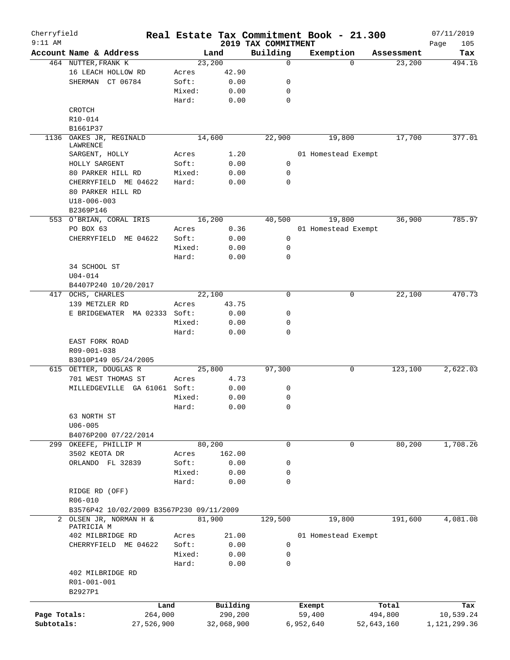| Cherryfield<br>$9:11$ AM |                                          |            |        |            | 2019 TAX COMMITMENT | Real Estate Tax Commitment Book - 21.300 |             |            | 07/11/2019         |
|--------------------------|------------------------------------------|------------|--------|------------|---------------------|------------------------------------------|-------------|------------|--------------------|
|                          | Account Name & Address                   |            |        | Land       | Building            | Exemption                                |             | Assessment | Page<br>105<br>Tax |
|                          | 464 NUTTER, FRANK K                      |            | 23,200 |            | 0                   |                                          | $\Omega$    | 23,200     | 494.16             |
|                          | 16 LEACH HOLLOW RD                       |            | Acres  | 42.90      |                     |                                          |             |            |                    |
|                          | SHERMAN CT 06784                         |            | Soft:  | 0.00       | 0                   |                                          |             |            |                    |
|                          |                                          |            | Mixed: | 0.00       | 0                   |                                          |             |            |                    |
|                          |                                          |            | Hard:  | 0.00       | $\mathbf 0$         |                                          |             |            |                    |
|                          | CROTCH                                   |            |        |            |                     |                                          |             |            |                    |
|                          | R10-014                                  |            |        |            |                     |                                          |             |            |                    |
|                          | B1661P37                                 |            |        |            |                     |                                          |             |            |                    |
| 1136                     | OAKES JR, REGINALD                       |            | 14,600 |            | 22,900              | 19,800                                   |             | 17,700     | 377.01             |
|                          | LAWRENCE                                 |            |        |            |                     |                                          |             |            |                    |
|                          | SARGENT, HOLLY                           |            | Acres  | 1.20       |                     | 01 Homestead Exempt                      |             |            |                    |
|                          | HOLLY SARGENT                            |            | Soft:  | 0.00       | 0                   |                                          |             |            |                    |
|                          | 80 PARKER HILL RD                        |            | Mixed: | 0.00       | 0                   |                                          |             |            |                    |
|                          | CHERRYFIELD ME 04622                     |            | Hard:  | 0.00       | 0                   |                                          |             |            |                    |
|                          | 80 PARKER HILL RD                        |            |        |            |                     |                                          |             |            |                    |
|                          | $U18 - 006 - 003$                        |            |        |            |                     |                                          |             |            |                    |
|                          | B2369P146                                |            |        |            |                     |                                          |             |            |                    |
|                          | 553 O'BRIAN, CORAL IRIS                  |            | 16,200 |            | 40,500              | 19,800                                   |             | 36,900     | 785.97             |
|                          |                                          |            |        |            |                     |                                          |             |            |                    |
|                          | PO BOX 63                                |            | Acres  | 0.36       |                     | 01 Homestead Exempt                      |             |            |                    |
|                          | CHERRYFIELD ME 04622                     |            | Soft:  | 0.00       | 0                   |                                          |             |            |                    |
|                          |                                          |            | Mixed: | 0.00       | 0                   |                                          |             |            |                    |
|                          |                                          |            | Hard:  | 0.00       | 0                   |                                          |             |            |                    |
|                          | 34 SCHOOL ST                             |            |        |            |                     |                                          |             |            |                    |
|                          | $U04 - 014$                              |            |        |            |                     |                                          |             |            |                    |
|                          | B4407P240 10/20/2017                     |            |        |            |                     |                                          |             |            |                    |
|                          | 417 OCHS, CHARLES                        |            | 22,100 |            | 0                   |                                          | 0           | 22,100     | 470.73             |
|                          | 139 METZLER RD                           |            | Acres  | 43.75      |                     |                                          |             |            |                    |
|                          | E BRIDGEWATER MA 02333 Soft:             |            |        | 0.00       | 0                   |                                          |             |            |                    |
|                          |                                          |            | Mixed: | 0.00       | 0                   |                                          |             |            |                    |
|                          |                                          |            | Hard:  | 0.00       | 0                   |                                          |             |            |                    |
|                          | EAST FORK ROAD                           |            |        |            |                     |                                          |             |            |                    |
|                          | R09-001-038                              |            |        |            |                     |                                          |             |            |                    |
|                          | B3010P149 05/24/2005                     |            |        |            |                     |                                          |             |            |                    |
| 615                      | OETTER, DOUGLAS R                        |            | 25,800 |            | 97,300              |                                          | 0           | 123,100    | 2,622.03           |
|                          | 701 WEST THOMAS ST                       |            | Acres  | 4.73       |                     |                                          |             |            |                    |
|                          | MILLEDGEVILLE GA 61061 Soft:             |            |        | 0.00       | 0                   |                                          |             |            |                    |
|                          |                                          |            | Mixed: | 0.00       | 0                   |                                          |             |            |                    |
|                          |                                          |            | Hard:  | 0.00       | 0                   |                                          |             |            |                    |
|                          | 63 NORTH ST                              |            |        |            |                     |                                          |             |            |                    |
|                          | $U06 - 005$                              |            |        |            |                     |                                          |             |            |                    |
|                          | B4076P200 07/22/2014                     |            |        |            |                     |                                          |             |            |                    |
| 299                      | OKEEFE, PHILLIP M                        |            | 80,200 |            | $\mathbf 0$         |                                          | $\mathbf 0$ | 80,200     | 1,708.26           |
|                          | 3502 KEOTA DR                            |            | Acres  | 162.00     |                     |                                          |             |            |                    |
|                          | ORLANDO FL 32839                         |            | Soft:  | 0.00       | 0                   |                                          |             |            |                    |
|                          |                                          |            | Mixed: | 0.00       | 0                   |                                          |             |            |                    |
|                          |                                          |            | Hard:  | 0.00       | 0                   |                                          |             |            |                    |
|                          | RIDGE RD (OFF)                           |            |        |            |                     |                                          |             |            |                    |
|                          | R06-010                                  |            |        |            |                     |                                          |             |            |                    |
|                          | B3576P42 10/02/2009 B3567P230 09/11/2009 |            |        |            |                     |                                          |             |            |                    |
|                          | OLSEN JR, NORMAN H &                     |            | 81,900 |            | 129,500             | 19,800                                   |             | 191,600    | 4,081.08           |
| 2                        | PATRICIA M                               |            |        |            |                     |                                          |             |            |                    |
|                          | 402 MILBRIDGE RD                         |            | Acres  | 21.00      |                     | 01 Homestead Exempt                      |             |            |                    |
|                          | CHERRYFIELD ME 04622                     |            | Soft:  | 0.00       | 0                   |                                          |             |            |                    |
|                          |                                          |            | Mixed: | 0.00       | 0                   |                                          |             |            |                    |
|                          |                                          |            | Hard:  | 0.00       | 0                   |                                          |             |            |                    |
|                          | 402 MILBRIDGE RD                         |            |        |            |                     |                                          |             |            |                    |
|                          | R01-001-001                              |            |        |            |                     |                                          |             |            |                    |
|                          | B2927P1                                  |            |        |            |                     |                                          |             |            |                    |
|                          |                                          |            |        |            |                     |                                          |             |            |                    |
|                          |                                          | Land       |        | Building   |                     | Exempt                                   |             | Total      | Tax                |
| Page Totals:             |                                          | 264,000    |        | 290,200    |                     | 59,400                                   |             | 494,800    | 10,539.24          |
| Subtotals:               |                                          | 27,526,900 |        | 32,068,900 |                     | 6,952,640                                | 52,643,160  |            | 1,121,299.36       |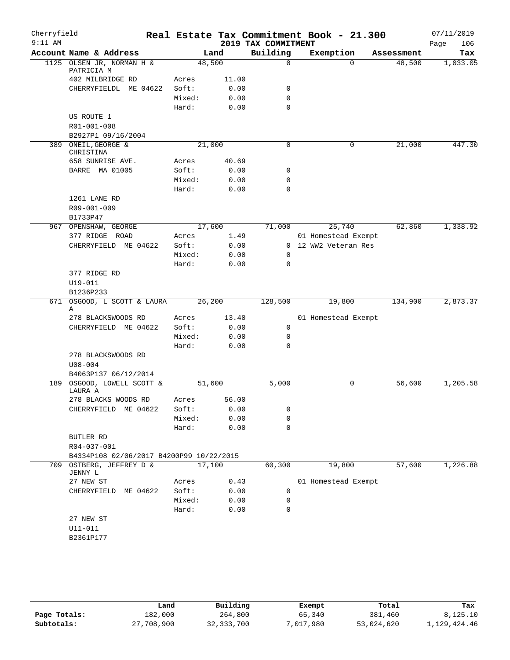| Cherryfield |                                          |                 |       |                     | Real Estate Tax Commitment Book - 21.300 |            | 07/11/2019  |
|-------------|------------------------------------------|-----------------|-------|---------------------|------------------------------------------|------------|-------------|
| $9:11$ AM   |                                          |                 |       | 2019 TAX COMMITMENT |                                          |            | 106<br>Page |
|             | Account Name & Address                   | Land            |       | Building            | Exemption                                | Assessment | Tax         |
|             | 1125 OLSEN JR, NORMAN H &<br>PATRICIA M  | 48,500          |       | $\Omega$            | $\Omega$                                 | 48,500     | 1,033.05    |
|             | 402 MILBRIDGE RD                         | Acres           | 11.00 |                     |                                          |            |             |
|             | CHERRYFIELDL ME 04622                    | Soft:           | 0.00  | 0                   |                                          |            |             |
|             |                                          | Mixed:          | 0.00  | $\mathbf 0$         |                                          |            |             |
|             |                                          | Hard:           | 0.00  | 0                   |                                          |            |             |
|             | US ROUTE 1                               |                 |       |                     |                                          |            |             |
|             | R01-001-008                              |                 |       |                     |                                          |            |             |
|             | B2927P1 09/16/2004                       |                 |       |                     |                                          |            |             |
|             | 389 ONEIL, GEORGE &                      | 21,000          |       | 0                   | 0                                        | 21,000     | 447.30      |
|             | CHRISTINA                                |                 |       |                     |                                          |            |             |
|             | 658 SUNRISE AVE.                         | Acres           | 40.69 |                     |                                          |            |             |
|             | BARRE MA 01005                           | Soft:           | 0.00  | 0                   |                                          |            |             |
|             |                                          | Mixed:          | 0.00  | 0                   |                                          |            |             |
|             |                                          | Hard:           | 0.00  | 0                   |                                          |            |             |
|             | 1261 LANE RD                             |                 |       |                     |                                          |            |             |
|             | R09-001-009                              |                 |       |                     |                                          |            |             |
|             | B1733P47                                 |                 |       |                     |                                          |            |             |
|             | 967 OPENSHAW, GEORGE                     | 17,600          |       | 71,000              | 25,740                                   | 62,860     | 1,338.92    |
|             | 377 RIDGE ROAD                           | Acres           | 1.49  |                     | 01 Homestead Exempt                      |            |             |
|             | CHERRYFIELD ME 04622                     | Soft:           | 0.00  |                     | 0 12 WW2 Veteran Res                     |            |             |
|             |                                          | Mixed:          | 0.00  | 0                   |                                          |            |             |
|             |                                          | Hard:           | 0.00  | 0                   |                                          |            |             |
|             | 377 RIDGE RD                             |                 |       |                     |                                          |            |             |
|             | U19-011<br>B1236P233                     |                 |       |                     |                                          |            |             |
| 671         | OSGOOD, L SCOTT & LAURA                  | 26,200          |       | 128,500             | 19,800                                   | 134,900    | 2,873.37    |
|             | Α                                        |                 |       |                     |                                          |            |             |
|             | 278 BLACKSWOODS RD                       | Acres           | 13.40 |                     | 01 Homestead Exempt                      |            |             |
|             | CHERRYFIELD ME 04622                     | Soft:           | 0.00  | $\mathbf 0$         |                                          |            |             |
|             |                                          | Mixed:          | 0.00  | 0                   |                                          |            |             |
|             |                                          | Hard:           | 0.00  | 0                   |                                          |            |             |
|             | 278 BLACKSWOODS RD                       |                 |       |                     |                                          |            |             |
|             | $U08 - 004$                              |                 |       |                     |                                          |            |             |
|             | B4063P137 06/12/2014                     |                 |       |                     |                                          |            |             |
| 189         | OSGOOD, LOWELL SCOTT &                   | 51,600          |       | 5,000               | 0                                        | 56,600     | 1,205.58    |
|             | LAURA A                                  |                 |       |                     |                                          |            |             |
|             | 278 BLACKS WOODS RD                      | Acres           | 56.00 |                     |                                          |            |             |
|             | CHERRYFIELD ME 04622                     | Soft:<br>Mixed: | 0.00  | 0                   |                                          |            |             |
|             |                                          |                 | 0.00  | 0<br>0              |                                          |            |             |
|             | BUTLER RD                                | Hard:           | 0.00  |                     |                                          |            |             |
|             | R04-037-001                              |                 |       |                     |                                          |            |             |
|             | B4334P108 02/06/2017 B4200P99 10/22/2015 |                 |       |                     |                                          |            |             |
|             | 709 OSTBERG, JEFFREY D &                 | 17,100          |       | 60,300              | 19,800                                   | 57,600     | 1,226.88    |
|             | JENNY L                                  |                 |       |                     |                                          |            |             |
|             | 27 NEW ST                                | Acres           | 0.43  |                     | 01 Homestead Exempt                      |            |             |
|             | CHERRYFIELD ME 04622                     | Soft:           | 0.00  | 0                   |                                          |            |             |
|             |                                          | Mixed:          | 0.00  | 0                   |                                          |            |             |
|             |                                          | Hard:           | 0.00  | 0                   |                                          |            |             |
|             | 27 NEW ST                                |                 |       |                     |                                          |            |             |
|             | $U11 - 011$                              |                 |       |                     |                                          |            |             |
|             | B2361P177                                |                 |       |                     |                                          |            |             |
|             |                                          |                 |       |                     |                                          |            |             |

|              | Land       | Building     | Exempt    | Total      | Tax          |
|--------------|------------|--------------|-----------|------------|--------------|
| Page Totals: | 182,000    | 264,800      | 65,340    | 381,460    | 8,125.10     |
| Subtotals:   | 27,708,900 | 32, 333, 700 | 7,017,980 | 53,024,620 | 1,129,424.46 |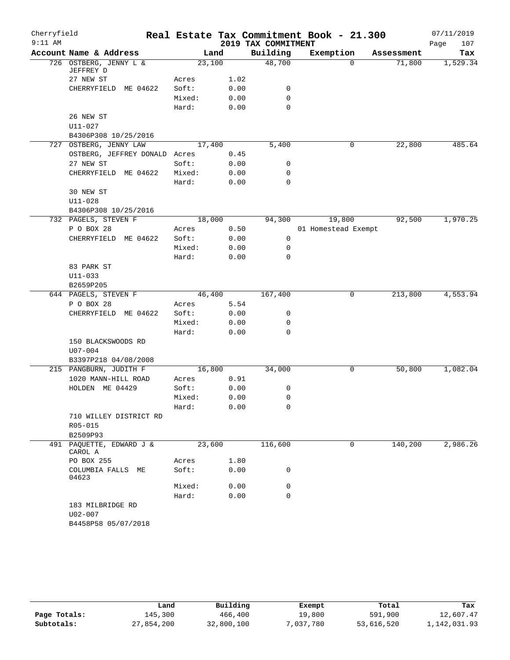| Cherryfield |                                     |        |      |                     | Real Estate Tax Commitment Book - 21.300 |            | 07/11/2019  |
|-------------|-------------------------------------|--------|------|---------------------|------------------------------------------|------------|-------------|
| $9:11$ AM   |                                     |        |      | 2019 TAX COMMITMENT |                                          |            | 107<br>Page |
|             | Account Name & Address              | Land   |      | Building            | Exemption                                | Assessment | Tax         |
|             | 726 OSTBERG, JENNY L &<br>JEFFREY D | 23,100 |      | 48,700              | $\Omega$                                 | 71,800     | 1,529.34    |
|             | 27 NEW ST                           | Acres  | 1.02 |                     |                                          |            |             |
|             | CHERRYFIELD ME 04622                | Soft:  | 0.00 | 0                   |                                          |            |             |
|             |                                     | Mixed: | 0.00 | 0                   |                                          |            |             |
|             |                                     | Hard:  | 0.00 | $\mathbf 0$         |                                          |            |             |
|             | 26 NEW ST                           |        |      |                     |                                          |            |             |
|             | $U11 - 027$                         |        |      |                     |                                          |            |             |
|             | B4306P308 10/25/2016                |        |      |                     |                                          |            |             |
|             | 727 OSTBERG, JENNY LAW              | 17,400 |      | 5,400               | 0                                        | 22,800     | 485.64      |
|             | OSTBERG, JEFFREY DONALD Acres       |        | 0.45 |                     |                                          |            |             |
|             | 27 NEW ST                           | Soft:  | 0.00 | 0                   |                                          |            |             |
|             | CHERRYFIELD ME 04622                | Mixed: | 0.00 | 0                   |                                          |            |             |
|             |                                     | Hard:  | 0.00 | $\mathbf 0$         |                                          |            |             |
|             | 30 NEW ST                           |        |      |                     |                                          |            |             |
|             | $U11 - 028$                         |        |      |                     |                                          |            |             |
|             | B4306P308 10/25/2016                |        |      |                     |                                          |            |             |
|             | 732 PAGELS, STEVEN F                | 18,000 |      | 94,300              | 19,800                                   | 92,500     | 1,970.25    |
|             | P O BOX 28                          | Acres  | 0.50 |                     | 01 Homestead Exempt                      |            |             |
|             | CHERRYFIELD ME 04622                | Soft:  | 0.00 | 0                   |                                          |            |             |
|             |                                     | Mixed: | 0.00 | 0                   |                                          |            |             |
|             |                                     | Hard:  | 0.00 | 0                   |                                          |            |             |
|             | 83 PARK ST                          |        |      |                     |                                          |            |             |
|             | $U11 - 033$                         |        |      |                     |                                          |            |             |
|             | B2659P205                           |        |      |                     |                                          |            |             |
|             | 644 PAGELS, STEVEN F                | 46,400 |      | 167,400             | 0                                        | 213,800    | 4,553.94    |
|             | P O BOX 28                          | Acres  | 5.54 |                     |                                          |            |             |
|             | CHERRYFIELD ME 04622                | Soft:  | 0.00 | 0                   |                                          |            |             |
|             |                                     | Mixed: | 0.00 | 0                   |                                          |            |             |
|             |                                     | Hard:  | 0.00 | 0                   |                                          |            |             |
|             | 150 BLACKSWOODS RD                  |        |      |                     |                                          |            |             |
|             | $U07 - 004$                         |        |      |                     |                                          |            |             |
|             | B3397P218 04/08/2008                |        |      |                     |                                          |            |             |
|             | 215 PANGBURN, JUDITH F              | 16,800 |      | 34,000              | 0                                        | 50,800     | 1,082.04    |
|             | 1020 MANN-HILL ROAD                 | Acres  | 0.91 |                     |                                          |            |             |
|             | HOLDEN ME 04429                     | Soft:  | 0.00 | 0                   |                                          |            |             |
|             |                                     | Mixed: | 0.00 | 0                   |                                          |            |             |
|             |                                     | Hard:  | 0.00 | 0                   |                                          |            |             |
|             | 710 WILLEY DISTRICT RD              |        |      |                     |                                          |            |             |
|             | R05-015                             |        |      |                     |                                          |            |             |
|             | B2509P93                            |        |      |                     |                                          |            |             |
|             | 491 PAQUETTE, EDWARD J &<br>CAROL A | 23,600 |      | 116,600             | 0                                        | 140,200    | 2,986.26    |
|             | PO BOX 255                          | Acres  | 1.80 |                     |                                          |            |             |
|             | COLUMBIA FALLS ME<br>04623          | Soft:  | 0.00 | 0                   |                                          |            |             |
|             |                                     | Mixed: | 0.00 | 0                   |                                          |            |             |
|             |                                     | Hard:  | 0.00 | $\mathbf 0$         |                                          |            |             |
|             | 183 MILBRIDGE RD<br>$U02 - 007$     |        |      |                     |                                          |            |             |
|             | B4458P58 05/07/2018                 |        |      |                     |                                          |            |             |
|             |                                     |        |      |                     |                                          |            |             |

|              | Land       | Building   | Exempt    | Total      | Tax          |
|--------------|------------|------------|-----------|------------|--------------|
| Page Totals: | 145,300    | 466,400    | 19,800    | 591,900    | 12,607.47    |
| Subtotals:   | 27,854,200 | 32,800,100 | 7,037,780 | 53,616,520 | 1,142,031.93 |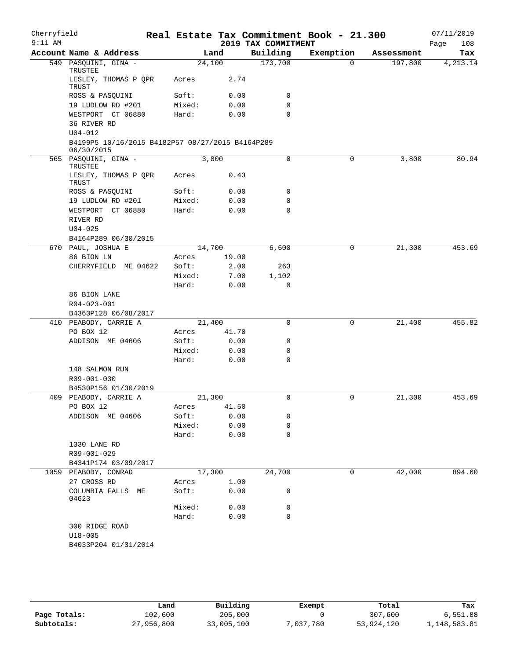| Cherryfield |                                                                |        |       |                     | Real Estate Tax Commitment Book - 21.300 |            | 07/11/2019  |
|-------------|----------------------------------------------------------------|--------|-------|---------------------|------------------------------------------|------------|-------------|
| $9:11$ AM   |                                                                |        |       | 2019 TAX COMMITMENT |                                          |            | Page<br>108 |
|             | Account Name & Address                                         |        | Land  | Building            | Exemption                                | Assessment | Tax         |
|             | 549 PASQUINI, GINA -<br>TRUSTEE                                | 24,100 |       | 173,700             | $\Omega$                                 | 197,800    | 4, 213.14   |
|             | LESLEY, THOMAS P QPR<br>TRUST                                  | Acres  | 2.74  |                     |                                          |            |             |
|             | ROSS & PASQUINI                                                | Soft:  | 0.00  | 0                   |                                          |            |             |
|             | 19 LUDLOW RD #201                                              | Mixed: | 0.00  | 0                   |                                          |            |             |
|             | WESTPORT CT 06880                                              | Hard:  | 0.00  | $\mathbf 0$         |                                          |            |             |
|             | 36 RIVER RD<br>$U04 - 012$                                     |        |       |                     |                                          |            |             |
|             | B4199P5 10/16/2015 B4182P57 08/27/2015 B4164P289<br>06/30/2015 |        |       |                     |                                          |            |             |
|             | 565 PASQUINI, GINA -                                           |        | 3,800 | 0                   | 0                                        | 3,800      | 80.94       |
|             | TRUSTEE<br>LESLEY, THOMAS P QPR                                | Acres  | 0.43  |                     |                                          |            |             |
|             | TRUST                                                          |        |       |                     |                                          |            |             |
|             | ROSS & PASQUINI                                                | Soft:  | 0.00  | 0                   |                                          |            |             |
|             | 19 LUDLOW RD #201                                              | Mixed: | 0.00  | $\mathbf 0$         |                                          |            |             |
|             | WESTPORT CT 06880                                              | Hard:  | 0.00  | $\mathbf 0$         |                                          |            |             |
|             | RIVER RD                                                       |        |       |                     |                                          |            |             |
|             | $U04 - 025$                                                    |        |       |                     |                                          |            |             |
|             | B4164P289 06/30/2015                                           |        |       |                     |                                          |            |             |
|             | 670 PAUL, JOSHUA E                                             | 14,700 |       | 6,600               | 0                                        | 21,300     | 453.69      |
|             | 86 BION LN                                                     | Acres  | 19.00 |                     |                                          |            |             |
|             | CHERRYFIELD ME 04622                                           | Soft:  | 2.00  | 263                 |                                          |            |             |
|             |                                                                | Mixed: | 7.00  | 1,102               |                                          |            |             |
|             |                                                                | Hard:  | 0.00  | 0                   |                                          |            |             |
|             | 86 BION LANE                                                   |        |       |                     |                                          |            |             |
|             | R04-023-001                                                    |        |       |                     |                                          |            |             |
|             | B4363P128 06/08/2017                                           |        |       |                     |                                          |            |             |
|             | 410 PEABODY, CARRIE A                                          | 21,400 |       | 0                   | 0                                        | 21,400     | 455.82      |
|             | PO BOX 12                                                      | Acres  | 41.70 |                     |                                          |            |             |
|             | ADDISON ME 04606                                               | Soft:  | 0.00  | 0                   |                                          |            |             |
|             |                                                                | Mixed: | 0.00  | 0                   |                                          |            |             |
|             |                                                                | Hard:  | 0.00  | $\mathbf 0$         |                                          |            |             |
|             | 148 SALMON RUN<br>R09-001-030                                  |        |       |                     |                                          |            |             |
|             | B4530P156 01/30/2019                                           |        |       |                     |                                          |            |             |
|             | 409 PEABODY, CARRIE A                                          | 21,300 |       | 0                   | 0                                        | 21,300     | 453.69      |
|             | PO BOX 12                                                      | Acres  | 41.50 |                     |                                          |            |             |
|             | ADDISON ME 04606                                               | Soft:  | 0.00  | 0                   |                                          |            |             |
|             |                                                                | Mixed: | 0.00  | 0                   |                                          |            |             |
|             |                                                                | Hard:  | 0.00  | $\mathbf 0$         |                                          |            |             |
|             | 1330 LANE RD                                                   |        |       |                     |                                          |            |             |
|             | R09-001-029                                                    |        |       |                     |                                          |            |             |
|             | B4341P174 03/09/2017                                           |        |       |                     |                                          |            |             |
|             | 1059 PEABODY, CONRAD                                           | 17,300 |       | 24,700              | 0                                        | 42,000     | 894.60      |
|             | 27 CROSS RD                                                    | Acres  | 1.00  |                     |                                          |            |             |
|             | COLUMBIA FALLS ME<br>04623                                     | Soft:  | 0.00  | 0                   |                                          |            |             |
|             |                                                                | Mixed: | 0.00  | 0                   |                                          |            |             |
|             |                                                                | Hard:  | 0.00  | $\mathbf 0$         |                                          |            |             |
|             | 300 RIDGE ROAD                                                 |        |       |                     |                                          |            |             |
|             | $U18 - 005$                                                    |        |       |                     |                                          |            |             |
|             | B4033P204 01/31/2014                                           |        |       |                     |                                          |            |             |
|             |                                                                |        |       |                     |                                          |            |             |

|              | Land       | Building   | Exempt    | Total      | Tax          |
|--------------|------------|------------|-----------|------------|--------------|
| Page Totals: | 102,600    | 205,000    |           | 307,600    | 6,551.88     |
| Subtotals:   | 27,956,800 | 33,005,100 | 7,037,780 | 53,924,120 | 1,148,583.81 |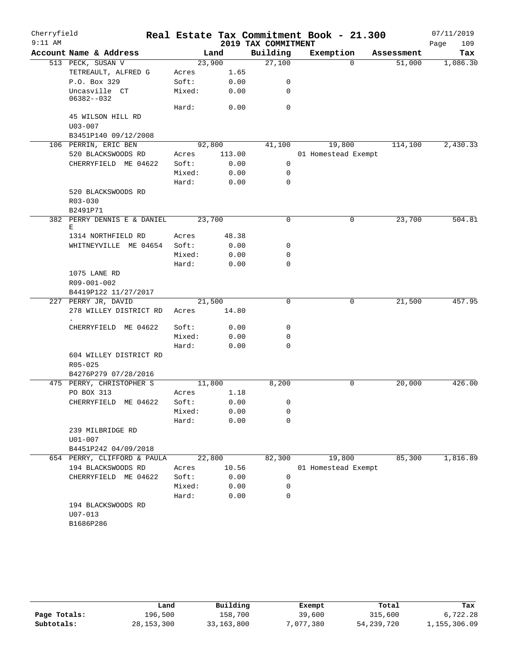| Cherryfield<br>$9:11$ AM |                                  |        |        | Real Estate Tax Commitment Book - 21.300 |                     |          |            | 07/11/2019  |
|--------------------------|----------------------------------|--------|--------|------------------------------------------|---------------------|----------|------------|-------------|
|                          |                                  |        |        | 2019 TAX COMMITMENT                      |                     |          |            | 109<br>Page |
|                          | Account Name & Address           |        | Land   | Building                                 | Exemption           |          | Assessment | Tax         |
|                          | 513 PECK, SUSAN V                | 23,900 |        | 27,100                                   |                     | $\Omega$ | 51,000     | 1,086.30    |
|                          | TETREAULT, ALFRED G              | Acres  | 1.65   |                                          |                     |          |            |             |
|                          | P.O. Box 329                     | Soft:  | 0.00   | 0                                        |                     |          |            |             |
|                          | Uncasville CT<br>06382--032      | Mixed: | 0.00   | 0                                        |                     |          |            |             |
|                          |                                  | Hard:  | 0.00   | 0                                        |                     |          |            |             |
|                          | 45 WILSON HILL RD                |        |        |                                          |                     |          |            |             |
|                          | $U03 - 007$                      |        |        |                                          |                     |          |            |             |
|                          | B3451P140 09/12/2008             |        |        |                                          |                     |          |            |             |
|                          | 106 PERRIN, ERIC BEN             | 92,800 |        | 41,100                                   |                     | 19,800   | 114,100    | 2,430.33    |
|                          | 520 BLACKSWOODS RD               | Acres  | 113.00 |                                          | 01 Homestead Exempt |          |            |             |
|                          | CHERRYFIELD ME 04622             | Soft:  | 0.00   | $\mathbf 0$                              |                     |          |            |             |
|                          |                                  | Mixed: | 0.00   | 0                                        |                     |          |            |             |
|                          |                                  | Hard:  | 0.00   | 0                                        |                     |          |            |             |
|                          | 520 BLACKSWOODS RD               |        |        |                                          |                     |          |            |             |
|                          | $R03 - 030$                      |        |        |                                          |                     |          |            |             |
|                          | B2491P71                         |        |        |                                          |                     |          |            |             |
|                          | 382 PERRY DENNIS E & DANIEL<br>Е | 23,700 |        | $\mathbf 0$                              |                     | 0        | 23,700     | 504.81      |
|                          | 1314 NORTHFIELD RD               | Acres  | 48.38  |                                          |                     |          |            |             |
|                          | WHITNEYVILLE ME 04654            | Soft:  | 0.00   | 0                                        |                     |          |            |             |
|                          |                                  | Mixed: | 0.00   | 0                                        |                     |          |            |             |
|                          |                                  | Hard:  | 0.00   | $\Omega$                                 |                     |          |            |             |
|                          | 1075 LANE RD                     |        |        |                                          |                     |          |            |             |
|                          | R09-001-002                      |        |        |                                          |                     |          |            |             |
|                          | B4419P122 11/27/2017             |        |        |                                          |                     |          |            |             |
|                          | 227 PERRY JR, DAVID              | 21,500 |        | 0                                        |                     | 0        | 21,500     | 457.95      |
|                          | 278 WILLEY DISTRICT RD           | Acres  | 14.80  |                                          |                     |          |            |             |
|                          | CHERRYFIELD ME 04622             | Soft:  | 0.00   | 0                                        |                     |          |            |             |
|                          |                                  | Mixed: | 0.00   | 0                                        |                     |          |            |             |
|                          |                                  | Hard:  | 0.00   | $\mathbf 0$                              |                     |          |            |             |
|                          | 604 WILLEY DISTRICT RD           |        |        |                                          |                     |          |            |             |
|                          | R05-025                          |        |        |                                          |                     |          |            |             |
|                          | B4276P279 07/28/2016             |        |        |                                          |                     |          |            |             |
|                          | 475 PERRY, CHRISTOPHER S         | 11,800 |        | 8,200                                    |                     | 0        | 20,000     | 426.00      |
|                          | PO BOX 313                       | Acres  | 1.18   |                                          |                     |          |            |             |
|                          | CHERRYFIELD ME 04622             | Soft:  | 0.00   | 0                                        |                     |          |            |             |
|                          |                                  | Mixed: | 0.00   | 0                                        |                     |          |            |             |
|                          |                                  | Hard:  | 0.00   | 0                                        |                     |          |            |             |
|                          | 239 MILBRIDGE RD                 |        |        |                                          |                     |          |            |             |
|                          | $U01 - 007$                      |        |        |                                          |                     |          |            |             |
|                          | B4451P242 04/09/2018             |        |        |                                          |                     |          |            |             |
|                          | 654 PERRY, CLIFFORD & PAULA      | 22,800 |        | 82,300                                   |                     | 19,800   | 85,300     | 1,816.89    |
|                          | 194 BLACKSWOODS RD               | Acres  | 10.56  |                                          | 01 Homestead Exempt |          |            |             |
|                          | CHERRYFIELD ME 04622             | Soft:  | 0.00   | 0                                        |                     |          |            |             |
|                          |                                  | Mixed: | 0.00   | 0                                        |                     |          |            |             |
|                          |                                  | Hard:  | 0.00   | 0                                        |                     |          |            |             |
|                          | 194 BLACKSWOODS RD               |        |        |                                          |                     |          |            |             |
|                          | $U07 - 013$                      |        |        |                                          |                     |          |            |             |
|                          | B1686P286                        |        |        |                                          |                     |          |            |             |
|                          |                                  |        |        |                                          |                     |          |            |             |

|              | Land         | Building   | Exempt    | Total        | Tax          |
|--------------|--------------|------------|-----------|--------------|--------------|
| Page Totals: | 196,500      | 158,700    | 39,600    | 315,600      | 6,722.28     |
| Subtotals:   | 28, 153, 300 | 33,163,800 | 7,077,380 | 54, 239, 720 | 1,155,306.09 |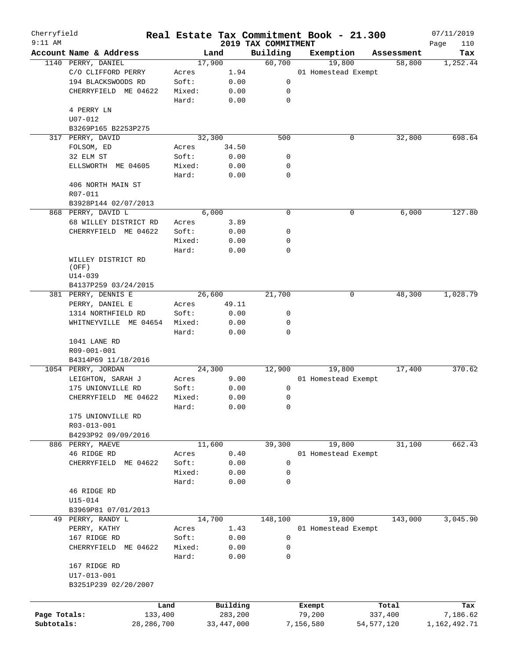| Cherryfield  |                         |              |        |        |              |                                 |             | Real Estate Tax Commitment Book - 21.300 |   |              | 07/11/2019         |
|--------------|-------------------------|--------------|--------|--------|--------------|---------------------------------|-------------|------------------------------------------|---|--------------|--------------------|
| $9:11$ AM    | Account Name & Address  |              |        | Land   |              | 2019 TAX COMMITMENT<br>Building |             | Exemption                                |   | Assessment   | Page<br>110<br>Tax |
|              | 1140 PERRY, DANIEL      |              |        | 17,900 |              | 60,700                          |             | 19,800                                   |   | 58,800       | 1,252.44           |
|              | C/O CLIFFORD PERRY      |              | Acres  |        | 1.94         |                                 |             | 01 Homestead Exempt                      |   |              |                    |
|              | 194 BLACKSWOODS RD      |              | Soft:  |        | 0.00         |                                 | 0           |                                          |   |              |                    |
|              | CHERRYFIELD ME 04622    |              | Mixed: |        | 0.00         |                                 | 0           |                                          |   |              |                    |
|              |                         |              | Hard:  |        | 0.00         |                                 | $\mathbf 0$ |                                          |   |              |                    |
|              | 4 PERRY LN              |              |        |        |              |                                 |             |                                          |   |              |                    |
|              | $U07 - 012$             |              |        |        |              |                                 |             |                                          |   |              |                    |
|              | B3269P165 B2253P275     |              |        |        |              |                                 |             |                                          |   |              |                    |
|              | 317 PERRY, DAVID        |              |        | 32,300 |              | 500                             |             |                                          | 0 | 32,800       | 698.64             |
|              | FOLSOM, ED              |              | Acres  |        | 34.50        |                                 |             |                                          |   |              |                    |
|              | 32 ELM ST               |              | Soft:  |        | 0.00         |                                 | 0           |                                          |   |              |                    |
|              | ELLSWORTH ME 04605      |              | Mixed: |        | 0.00         |                                 | 0           |                                          |   |              |                    |
|              |                         |              | Hard:  |        | 0.00         |                                 | $\mathbf 0$ |                                          |   |              |                    |
|              | 406 NORTH MAIN ST       |              |        |        |              |                                 |             |                                          |   |              |                    |
|              | R07-011                 |              |        |        |              |                                 |             |                                          |   |              |                    |
|              | B3928P144 02/07/2013    |              |        |        |              |                                 |             |                                          |   |              |                    |
|              | 868 PERRY, DAVID L      |              |        | 6,000  |              |                                 | 0           |                                          | 0 | 6,000        | 127.80             |
|              | 68 WILLEY DISTRICT RD   |              | Acres  |        | 3.89         |                                 |             |                                          |   |              |                    |
|              | CHERRYFIELD ME 04622    |              | Soft:  |        | 0.00         |                                 | 0           |                                          |   |              |                    |
|              |                         |              | Mixed: |        | 0.00         |                                 | 0           |                                          |   |              |                    |
|              |                         |              | Hard:  |        | 0.00         |                                 | $\mathbf 0$ |                                          |   |              |                    |
|              | WILLEY DISTRICT RD      |              |        |        |              |                                 |             |                                          |   |              |                    |
|              | (OFF)                   |              |        |        |              |                                 |             |                                          |   |              |                    |
|              | U14-039                 |              |        |        |              |                                 |             |                                          |   |              |                    |
|              | B4137P259 03/24/2015    |              |        |        |              |                                 |             |                                          |   |              |                    |
|              | 381 PERRY, DENNIS E     |              |        | 26,600 |              | 21,700                          |             |                                          | 0 | 48,300       | 1,028.79           |
|              | PERRY, DANIEL E         |              | Acres  |        | 49.11        |                                 |             |                                          |   |              |                    |
|              | 1314 NORTHFIELD RD      |              | Soft:  |        | 0.00         |                                 | 0           |                                          |   |              |                    |
|              | WHITNEYVILLE ME 04654   |              | Mixed: |        | 0.00         |                                 | 0           |                                          |   |              |                    |
|              |                         |              | Hard:  |        | 0.00         |                                 | 0           |                                          |   |              |                    |
|              | 1041 LANE RD            |              |        |        |              |                                 |             |                                          |   |              |                    |
|              | R09-001-001             |              |        |        |              |                                 |             |                                          |   |              |                    |
|              | B4314P69 11/18/2016     |              |        |        |              |                                 |             |                                          |   |              |                    |
|              | 1054 PERRY, JORDAN      |              |        | 24,300 |              | 12,900                          |             | 19,800                                   |   | 17,400       | 370.62             |
|              | LEIGHTON, SARAH J       |              | Acres  |        | 9.00         |                                 |             | 01 Homestead Exempt                      |   |              |                    |
|              | 175 UNIONVILLE RD       |              | Soft:  |        | 0.00         |                                 | 0           |                                          |   |              |                    |
|              | CHERRYFIELD ME 04622    |              | Mixed: |        | 0.00         |                                 | 0           |                                          |   |              |                    |
|              |                         |              | Hard:  |        | 0.00         |                                 | 0           |                                          |   |              |                    |
|              | 175 UNIONVILLE RD       |              |        |        |              |                                 |             |                                          |   |              |                    |
|              | R03-013-001             |              |        |        |              |                                 |             |                                          |   |              |                    |
|              | B4293P92 09/09/2016     |              |        |        |              |                                 |             |                                          |   |              |                    |
|              | 886 PERRY, MAEVE        |              |        | 11,600 |              | 39,300                          |             | 19,800                                   |   | 31,100       | 662.43             |
|              | 46 RIDGE RD             |              | Acres  |        | 0.40         |                                 |             | 01 Homestead Exempt                      |   |              |                    |
|              | CHERRYFIELD<br>ME 04622 |              | Soft:  |        | 0.00         |                                 | $\mathbf 0$ |                                          |   |              |                    |
|              |                         |              | Mixed: |        | 0.00         |                                 | 0           |                                          |   |              |                    |
|              |                         |              | Hard:  |        | 0.00         |                                 | 0           |                                          |   |              |                    |
|              | 46 RIDGE RD             |              |        |        |              |                                 |             |                                          |   |              |                    |
|              | $U15-014$               |              |        |        |              |                                 |             |                                          |   |              |                    |
|              | B3969P81 07/01/2013     |              |        |        |              |                                 |             |                                          |   |              |                    |
|              | 49 PERRY, RANDY L       |              |        | 14,700 |              | 148,100                         |             | 19,800                                   |   | 143,000      | 3,045.90           |
|              | PERRY, KATHY            |              | Acres  |        | 1.43         |                                 |             | 01 Homestead Exempt                      |   |              |                    |
|              | 167 RIDGE RD            |              | Soft:  |        | 0.00         |                                 | 0           |                                          |   |              |                    |
|              | CHERRYFIELD ME 04622    |              | Mixed: |        | 0.00         |                                 | 0           |                                          |   |              |                    |
|              |                         |              | Hard:  |        | 0.00         |                                 | 0           |                                          |   |              |                    |
|              | 167 RIDGE RD            |              |        |        |              |                                 |             |                                          |   |              |                    |
|              | U17-013-001             |              |        |        |              |                                 |             |                                          |   |              |                    |
|              | B3251P239 02/20/2007    |              |        |        |              |                                 |             |                                          |   |              |                    |
|              |                         |              |        |        |              |                                 |             |                                          |   |              |                    |
|              |                         | Land         |        |        | Building     |                                 |             | Exempt                                   |   | Total        | Tax                |
| Page Totals: |                         | 133,400      |        |        | 283,200      |                                 |             | 79,200                                   |   | 337,400      | 7,186.62           |
| Subtotals:   |                         | 28, 286, 700 |        |        | 33, 447, 000 |                                 |             | 7,156,580                                |   | 54, 577, 120 | 1, 162, 492. 71    |
|              |                         |              |        |        |              |                                 |             |                                          |   |              |                    |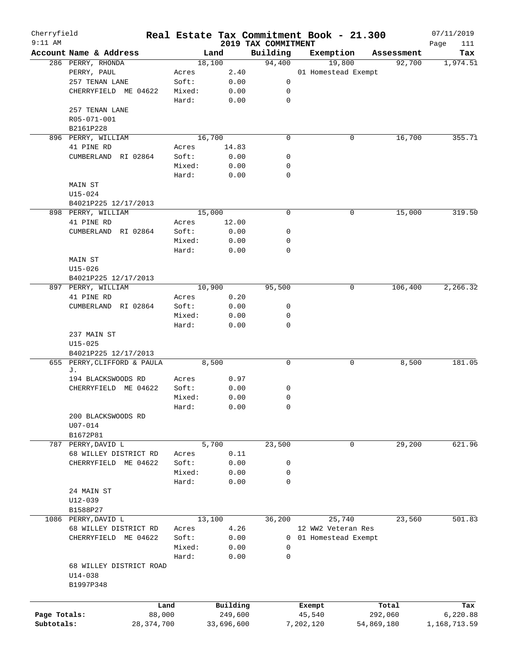| Cherryfield  |                             |        |            |                                 | Real Estate Tax Commitment Book - 21.300 |            | 07/11/2019         |
|--------------|-----------------------------|--------|------------|---------------------------------|------------------------------------------|------------|--------------------|
| $9:11$ AM    | Account Name & Address      |        | Land       | 2019 TAX COMMITMENT<br>Building | Exemption                                | Assessment | Page<br>111<br>Tax |
|              | 286 PERRY, RHONDA           |        | 18,100     | 94,400                          | 19,800                                   | 92,700     | 1,974.51           |
|              | PERRY, PAUL                 | Acres  | 2.40       |                                 | 01 Homestead Exempt                      |            |                    |
|              | 257 TENAN LANE              | Soft:  | 0.00       | 0                               |                                          |            |                    |
|              | CHERRYFIELD ME 04622        | Mixed: | 0.00       | 0                               |                                          |            |                    |
|              |                             | Hard:  | 0.00       | $\mathbf 0$                     |                                          |            |                    |
|              | 257 TENAN LANE              |        |            |                                 |                                          |            |                    |
|              | R05-071-001                 |        |            |                                 |                                          |            |                    |
|              | B2161P228                   |        |            |                                 |                                          |            |                    |
|              |                             |        | 16,700     | 0                               | 0                                        |            | 355.71             |
|              | 896 PERRY, WILLIAM          |        |            |                                 |                                          | 16,700     |                    |
|              | 41 PINE RD                  | Acres  | 14.83      |                                 |                                          |            |                    |
|              | CUMBERLAND RI 02864         | Soft:  | 0.00       | 0                               |                                          |            |                    |
|              |                             | Mixed: | 0.00       | 0                               |                                          |            |                    |
|              |                             | Hard:  | 0.00       | 0                               |                                          |            |                    |
|              | MAIN ST                     |        |            |                                 |                                          |            |                    |
|              | U15-024                     |        |            |                                 |                                          |            |                    |
|              | B4021P225 12/17/2013        |        |            |                                 |                                          |            |                    |
|              | 898 PERRY, WILLIAM          |        | 15,000     | $\mathbf 0$                     | 0                                        | 15,000     | 319.50             |
|              | 41 PINE RD                  | Acres  | 12.00      |                                 |                                          |            |                    |
|              | CUMBERLAND RI 02864         | Soft:  | 0.00       | 0                               |                                          |            |                    |
|              |                             | Mixed: | 0.00       | 0                               |                                          |            |                    |
|              |                             | Hard:  | 0.00       | 0                               |                                          |            |                    |
|              | MAIN ST                     |        |            |                                 |                                          |            |                    |
|              | U15-026                     |        |            |                                 |                                          |            |                    |
|              | B4021P225 12/17/2013        |        |            |                                 |                                          |            |                    |
|              | 897 PERRY, WILLIAM          |        | 10,900     | 95,500                          | 0                                        | 106,400    | 2,266.32           |
|              | 41 PINE RD                  | Acres  | 0.20       |                                 |                                          |            |                    |
|              | CUMBERLAND RI 02864         | Soft:  | 0.00       | 0                               |                                          |            |                    |
|              |                             | Mixed: | 0.00       | 0                               |                                          |            |                    |
|              |                             |        |            |                                 |                                          |            |                    |
|              |                             | Hard:  | 0.00       | 0                               |                                          |            |                    |
|              | 237 MAIN ST                 |        |            |                                 |                                          |            |                    |
|              | $U15 - 025$                 |        |            |                                 |                                          |            |                    |
|              | B4021P225 12/17/2013        |        |            |                                 |                                          |            |                    |
|              | 655 PERRY, CLIFFORD & PAULA |        | 8,500      | $\mathbf 0$                     | 0                                        | 8,500      | 181.05             |
|              | J.                          |        |            |                                 |                                          |            |                    |
|              | 194 BLACKSWOODS RD          | Acres  | 0.97       |                                 |                                          |            |                    |
|              | CHERRYFIELD ME 04622        | Soft:  | 0.00       | 0                               |                                          |            |                    |
|              |                             | Mixed: | 0.00       | 0                               |                                          |            |                    |
|              |                             | Hard:  | 0.00       | 0                               |                                          |            |                    |
|              | 200 BLACKSWOODS RD          |        |            |                                 |                                          |            |                    |
|              | $U07 - 014$                 |        |            |                                 |                                          |            |                    |
|              | B1672P81                    |        |            |                                 |                                          |            |                    |
| 787          | PERRY, DAVID L              |        | 5,700      | 23,500                          | 0                                        | 29,200     | 621.96             |
|              | 68 WILLEY DISTRICT RD       | Acres  | 0.11       |                                 |                                          |            |                    |
|              | CHERRYFIELD ME 04622        | Soft:  | 0.00       | 0                               |                                          |            |                    |
|              |                             | Mixed: | 0.00       | 0                               |                                          |            |                    |
|              |                             | Hard:  | 0.00       | 0                               |                                          |            |                    |
|              | 24 MAIN ST                  |        |            |                                 |                                          |            |                    |
|              | $U12 - 039$                 |        |            |                                 |                                          |            |                    |
|              | B1588P27                    |        |            |                                 |                                          |            |                    |
|              | 1086 PERRY, DAVID L         |        | 13,100     | 36,200                          | 25,740                                   | 23,560     | 501.83             |
|              | 68 WILLEY DISTRICT RD       |        | 4.26       |                                 | 12 WW2 Veteran Res                       |            |                    |
|              |                             | Acres  |            |                                 |                                          |            |                    |
|              | CHERRYFIELD ME 04622        | Soft:  | 0.00       | 0                               | 01 Homestead Exempt                      |            |                    |
|              |                             | Mixed: | 0.00       | 0                               |                                          |            |                    |
|              |                             | Hard:  | 0.00       | 0                               |                                          |            |                    |
|              | 68 WILLEY DISTRICT ROAD     |        |            |                                 |                                          |            |                    |
|              | $U14 - 038$                 |        |            |                                 |                                          |            |                    |
|              | B1997P348                   |        |            |                                 |                                          |            |                    |
|              |                             |        |            |                                 |                                          |            |                    |
|              | Land                        |        | Building   |                                 | Exempt                                   | Total      | Tax                |
| Page Totals: | 88,000                      |        | 249,600    |                                 | 45,540                                   | 292,060    | 6,220.88           |
| Subtotals:   | 28, 374, 700                |        | 33,696,600 |                                 | 7,202,120                                | 54,869,180 | 1,168,713.59       |
|              |                             |        |            |                                 |                                          |            |                    |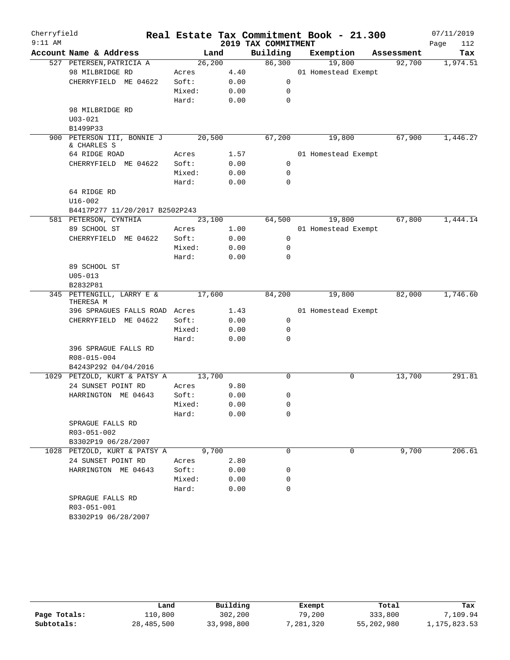| Cherryfield |                                                    |                |      |                     | Real Estate Tax Commitment Book - 21.300 |            | 07/11/2019  |
|-------------|----------------------------------------------------|----------------|------|---------------------|------------------------------------------|------------|-------------|
| $9:11$ AM   |                                                    |                |      | 2019 TAX COMMITMENT |                                          |            | 112<br>Page |
|             | Account Name & Address                             | Land           |      | Building            | Exemption                                | Assessment | Tax         |
|             | 527 PETERSEN, PATRICIA A                           | 26, 200        |      | 86,300              | 19,800                                   | 92,700     | 1,974.51    |
|             | 98 MILBRIDGE RD                                    | Acres          | 4.40 |                     | 01 Homestead Exempt                      |            |             |
|             | CHERRYFIELD ME 04622                               | Soft:          | 0.00 | 0                   |                                          |            |             |
|             |                                                    | Mixed:         | 0.00 | 0                   |                                          |            |             |
|             |                                                    | Hard:          | 0.00 | 0                   |                                          |            |             |
|             | 98 MILBRIDGE RD                                    |                |      |                     |                                          |            |             |
|             | $U03 - 021$                                        |                |      |                     |                                          |            |             |
|             | B1499P33                                           |                |      |                     |                                          |            |             |
|             | 900 PETERSON III, BONNIE J<br>& CHARLES S          | 20,500         |      | 67,200              | 19,800                                   | 67,900     | 1,446.27    |
|             | 64 RIDGE ROAD                                      | Acres          | 1.57 |                     | 01 Homestead Exempt                      |            |             |
|             | CHERRYFIELD ME 04622                               | Soft:          | 0.00 | 0                   |                                          |            |             |
|             |                                                    | Mixed:         | 0.00 | 0                   |                                          |            |             |
|             |                                                    | Hard:          | 0.00 | $\mathbf 0$         |                                          |            |             |
|             | 64 RIDGE RD                                        |                |      |                     |                                          |            |             |
|             | $U16 - 002$                                        |                |      |                     |                                          |            |             |
|             | B4417P277 11/20/2017 B2502P243                     |                |      |                     |                                          |            |             |
|             | 581 PETERSON, CYNTHIA                              | 23,100         |      | 64,500              | 19,800                                   | 67,800     | 1,444.14    |
|             | 89 SCHOOL ST                                       | Acres          | 1.00 |                     | 01 Homestead Exempt                      |            |             |
|             | CHERRYFIELD ME 04622                               | Soft:          | 0.00 | 0                   |                                          |            |             |
|             |                                                    | Mixed:         | 0.00 | 0                   |                                          |            |             |
|             |                                                    | Hard:          | 0.00 | 0                   |                                          |            |             |
|             | 89 SCHOOL ST                                       |                |      |                     |                                          |            |             |
|             | $U05 - 013$                                        |                |      |                     |                                          |            |             |
|             | B2832P81                                           |                |      |                     |                                          |            |             |
|             | 345 PETTENGILL, LARRY E &<br>THERESA M             | 17,600         |      | 84,200              | 19,800                                   | 82,000     | 1,746.60    |
|             | 396 SPRAGUES FALLS ROAD Acres                      |                | 1.43 |                     | 01 Homestead Exempt                      |            |             |
|             | CHERRYFIELD ME 04622                               | Soft:          | 0.00 | 0                   |                                          |            |             |
|             |                                                    | Mixed:         | 0.00 | 0                   |                                          |            |             |
|             |                                                    | Hard:          | 0.00 | 0                   |                                          |            |             |
|             | 396 SPRAGUE FALLS RD                               |                |      |                     |                                          |            |             |
|             | R08-015-004                                        |                |      |                     |                                          |            |             |
|             | B4243P292 04/04/2016                               |                |      |                     |                                          |            |             |
|             | 1029 PETZOLD, KURT & PATSY A                       | 13,700         |      | $\Omega$            | 0                                        | 13,700     | 291.81      |
|             | 24 SUNSET POINT RD                                 | Acres          | 9.80 |                     |                                          |            |             |
|             | HARRINGTON ME 04643                                | Soft:          | 0.00 | 0                   |                                          |            |             |
|             |                                                    | Mixed:         | 0.00 | 0                   |                                          |            |             |
|             |                                                    | Hard:          | 0.00 | 0                   |                                          |            |             |
|             | SPRAGUE FALLS RD                                   |                |      |                     |                                          |            |             |
|             | R03-051-002                                        |                |      |                     |                                          |            |             |
|             | B3302P19 06/28/2007                                |                |      | $\Omega$            |                                          |            |             |
|             | 1028 PETZOLD, KURT & PATSY A<br>24 SUNSET POINT RD | 9,700<br>Acres | 2.80 |                     | 0                                        | 9,700      | 206.61      |
|             | HARRINGTON ME 04643                                | Soft:          | 0.00 | 0                   |                                          |            |             |
|             |                                                    | Mixed:         | 0.00 | 0                   |                                          |            |             |
|             |                                                    | Hard:          | 0.00 | 0                   |                                          |            |             |
|             | SPRAGUE FALLS RD                                   |                |      |                     |                                          |            |             |
|             | R03-051-001                                        |                |      |                     |                                          |            |             |
|             | B3302P19 06/28/2007                                |                |      |                     |                                          |            |             |

|              | Land       | Building   | Exempt     | Total      | Tax          |
|--------------|------------|------------|------------|------------|--------------|
| Page Totals: | 110,800    | 302,200    | 79,200     | 333,800    | 7,109.94     |
| Subtotals:   | 28,485,500 | 33,998,800 | , 281, 320 | 55,202,980 | 1,175,823.53 |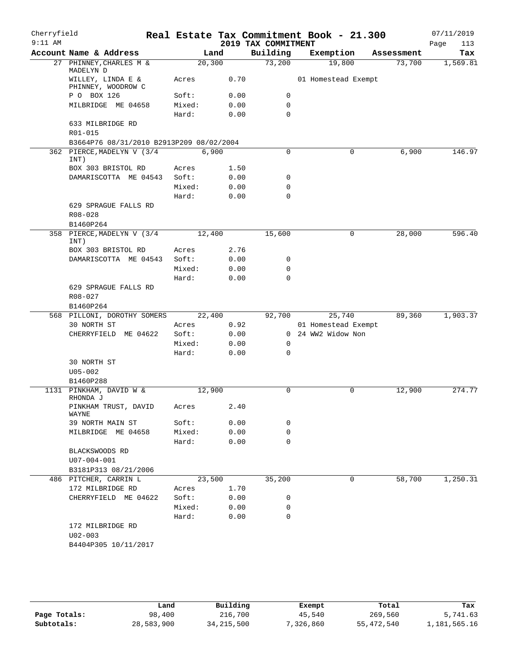| Cherryfield<br>$9:11$ AM |                                          |         |      | 2019 TAX COMMITMENT | Real Estate Tax Commitment Book - 21.300 |            | 07/11/2019<br>Page<br>113 |
|--------------------------|------------------------------------------|---------|------|---------------------|------------------------------------------|------------|---------------------------|
|                          | Account Name & Address                   | Land    |      | Building            | Exemption                                | Assessment | Tax                       |
|                          | 27 PHINNEY, CHARLES M &<br>MADELYN D     | 20, 300 |      | 73,200              | 19,800                                   | 73,700     | 1,569.81                  |
|                          | WILLEY, LINDA E &<br>PHINNEY, WOODROW C  | Acres   | 0.70 |                     | 01 Homestead Exempt                      |            |                           |
|                          | P O BOX 126                              | Soft:   | 0.00 | $\mathbf 0$         |                                          |            |                           |
|                          | MILBRIDGE ME 04658                       | Mixed:  | 0.00 | 0                   |                                          |            |                           |
|                          |                                          | Hard:   | 0.00 | $\Omega$            |                                          |            |                           |
|                          | 633 MILBRIDGE RD<br>R01-015              |         |      |                     |                                          |            |                           |
|                          | B3664P76 08/31/2010 B2913P209 08/02/2004 |         |      |                     |                                          |            |                           |
|                          | 362 PIERCE, MADELYN V (3/4<br>INT)       | 6,900   |      | 0                   | 0                                        | 6,900      | 146.97                    |
|                          | BOX 303 BRISTOL RD                       | Acres   | 1.50 |                     |                                          |            |                           |
|                          | DAMARISCOTTA ME 04543                    | Soft:   | 0.00 | 0                   |                                          |            |                           |
|                          |                                          | Mixed:  | 0.00 | 0                   |                                          |            |                           |
|                          |                                          | Hard:   | 0.00 | $\mathbf 0$         |                                          |            |                           |
|                          | 629 SPRAGUE FALLS RD<br>$R08 - 028$      |         |      |                     |                                          |            |                           |
|                          | B1460P264                                |         |      |                     |                                          |            |                           |
| 358                      | PIERCE, MADELYN V (3/4<br>INT)           | 12,400  |      | 15,600              | 0                                        | 28,000     | 596.40                    |
|                          | BOX 303 BRISTOL RD                       | Acres   | 2.76 |                     |                                          |            |                           |
|                          | DAMARISCOTTA ME 04543                    | Soft:   | 0.00 | 0                   |                                          |            |                           |
|                          |                                          | Mixed:  | 0.00 | $\mathbf 0$         |                                          |            |                           |
|                          |                                          | Hard:   | 0.00 | $\Omega$            |                                          |            |                           |
|                          | 629 SPRAGUE FALLS RD                     |         |      |                     |                                          |            |                           |
|                          | R08-027                                  |         |      |                     |                                          |            |                           |
|                          | B1460P264                                |         |      |                     |                                          |            |                           |
|                          | 568 PILLONI, DOROTHY SOMERS              | 22,400  |      | 92,700              | 25,740                                   | 89,360     | 1,903.37                  |
|                          | 30 NORTH ST                              | Acres   | 0.92 |                     | 01 Homestead Exempt                      |            |                           |
|                          | CHERRYFIELD ME 04622                     | Soft:   | 0.00 | $\mathbf{0}$        | 24 WW2 Widow Non                         |            |                           |
|                          |                                          | Mixed:  | 0.00 | $\mathbf 0$         |                                          |            |                           |
|                          |                                          | Hard:   | 0.00 | $\Omega$            |                                          |            |                           |
|                          | 30 NORTH ST<br>$U05 - 002$               |         |      |                     |                                          |            |                           |
|                          | B1460P288                                |         |      |                     |                                          |            |                           |
|                          | 1131 PINKHAM, DAVID W &                  | 12,900  |      | 0                   | 0                                        | 12,900     | 274.77                    |
|                          | RHONDA J<br>PINKHAM TRUST, DAVID         | Acres   | 2.40 |                     |                                          |            |                           |
|                          | WAYNE<br>39 NORTH MAIN ST                | Soft:   | 0.00 | 0                   |                                          |            |                           |
|                          | MILBRIDGE ME 04658                       | Mixed:  | 0.00 | 0                   |                                          |            |                           |
|                          |                                          | Hard:   |      | $\Omega$            |                                          |            |                           |
|                          | BLACKSWOODS RD<br>$U07 - 004 - 001$      |         | 0.00 |                     |                                          |            |                           |
|                          | B3181P313 08/21/2006                     |         |      |                     |                                          |            |                           |
|                          | 486 PITCHER, CARRIN L                    | 23,500  |      | 35,200              | 0                                        | 58,700     | 1,250.31                  |
|                          | 172 MILBRIDGE RD                         | Acres   | 1.70 |                     |                                          |            |                           |
|                          | CHERRYFIELD ME 04622                     | Soft:   | 0.00 | 0                   |                                          |            |                           |
|                          |                                          | Mixed:  | 0.00 | 0                   |                                          |            |                           |
|                          |                                          | Hard:   | 0.00 | 0                   |                                          |            |                           |
|                          | 172 MILBRIDGE RD                         |         |      |                     |                                          |            |                           |
|                          |                                          |         |      |                     |                                          |            |                           |
|                          | $U02 - 003$<br>B4404P305 10/11/2017      |         |      |                     |                                          |            |                           |

**Page Totals:** 98,400 216,700 45,540 269,560 5,741.63<br>**Subtotals:** 28,583,900 34,215,500 7,326,860 55,472,540 1,181,565.16 **Subtotals:** 28,583,900 34,215,500 7,326,860 55,472,540 1,181,565.16 **Land Building Exempt Total Tax**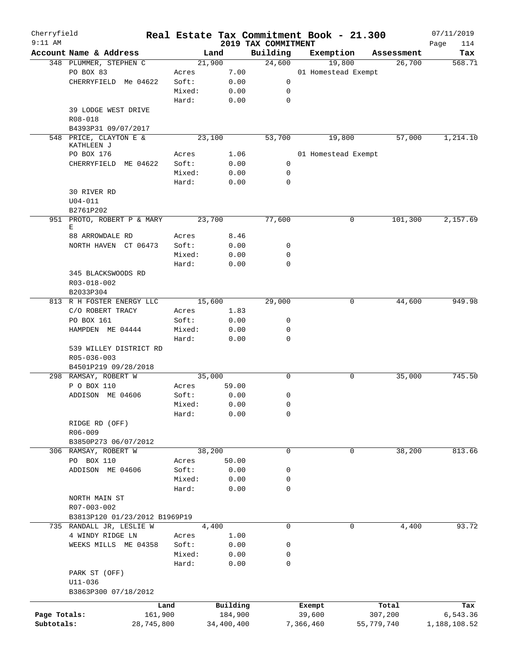| Cherryfield<br>$9:11$ AM |                                 |        |            |                                 | Real Estate Tax Commitment Book - 21.300 |            |            | 07/11/2019         |
|--------------------------|---------------------------------|--------|------------|---------------------------------|------------------------------------------|------------|------------|--------------------|
|                          | Account Name & Address          |        | Land       | 2019 TAX COMMITMENT<br>Building | Exemption                                |            | Assessment | Page<br>114<br>Tax |
|                          | 348 PLUMMER, STEPHEN C          |        | 21,900     | 24,600                          | 19,800                                   |            | 26,700     | 568.71             |
|                          | PO BOX 83                       | Acres  | 7.00       |                                 | 01 Homestead Exempt                      |            |            |                    |
|                          | CHERRYFIELD Me 04622            | Soft:  | 0.00       | 0                               |                                          |            |            |                    |
|                          |                                 | Mixed: | 0.00       | 0                               |                                          |            |            |                    |
|                          |                                 | Hard:  | 0.00       | 0                               |                                          |            |            |                    |
|                          | 39 LODGE WEST DRIVE             |        |            |                                 |                                          |            |            |                    |
|                          | R08-018                         |        |            |                                 |                                          |            |            |                    |
|                          | B4393P31 09/07/2017             |        |            |                                 |                                          |            |            |                    |
|                          | 548 PRICE, CLAYTON E &          |        | 23,100     | 53,700                          | 19,800                                   |            | 57,000     | 1,214.10           |
|                          | KATHLEEN J                      |        |            |                                 |                                          |            |            |                    |
|                          | PO BOX 176                      | Acres  | 1.06       |                                 | 01 Homestead Exempt                      |            |            |                    |
|                          | CHERRYFIELD ME 04622            | Soft:  | 0.00       | $\mathbf 0$                     |                                          |            |            |                    |
|                          |                                 | Mixed: | 0.00       | 0                               |                                          |            |            |                    |
|                          |                                 | Hard:  | 0.00       | 0                               |                                          |            |            |                    |
|                          | 30 RIVER RD                     |        |            |                                 |                                          |            |            |                    |
|                          | $U04 - 011$                     |        |            |                                 |                                          |            |            |                    |
|                          | B2761P202                       |        |            |                                 |                                          |            |            |                    |
|                          | 951 PROTO, ROBERT P & MARY<br>Е |        | 23,700     | 77,600                          |                                          | 0          | 101,300    | 2,157.69           |
|                          | 88 ARROWDALE RD                 | Acres  | 8.46       |                                 |                                          |            |            |                    |
|                          | NORTH HAVEN CT 06473            | Soft:  | 0.00       | 0                               |                                          |            |            |                    |
|                          |                                 | Mixed: | 0.00       | 0                               |                                          |            |            |                    |
|                          |                                 | Hard:  | 0.00       | $\Omega$                        |                                          |            |            |                    |
|                          | 345 BLACKSWOODS RD              |        |            |                                 |                                          |            |            |                    |
|                          | R03-018-002                     |        |            |                                 |                                          |            |            |                    |
|                          | B2033P304                       |        |            |                                 |                                          |            |            |                    |
|                          | 813 R H FOSTER ENERGY LLC       |        | 15,600     | 29,000                          |                                          | 0          | 44,600     | 949.98             |
|                          | C/O ROBERT TRACY                | Acres  | 1.83       |                                 |                                          |            |            |                    |
|                          | PO BOX 161                      | Soft:  | 0.00       | 0                               |                                          |            |            |                    |
|                          | HAMPDEN ME 04444                | Mixed: | 0.00       | 0                               |                                          |            |            |                    |
|                          |                                 | Hard:  | 0.00       | $\mathbf 0$                     |                                          |            |            |                    |
|                          | 539 WILLEY DISTRICT RD          |        |            |                                 |                                          |            |            |                    |
|                          | R05-036-003                     |        |            |                                 |                                          |            |            |                    |
|                          | B4501P219 09/28/2018            |        |            |                                 |                                          |            |            |                    |
|                          | 298 RAMSAY, ROBERT W            |        | 35,000     | 0                               |                                          | 0          | 35,000     | 745.50             |
|                          | P O BOX 110                     | Acres  | 59.00      |                                 |                                          |            |            |                    |
|                          | ADDISON ME 04606                | Soft:  | 0.00       | 0                               |                                          |            |            |                    |
|                          |                                 | Mixed: | 0.00       | 0                               |                                          |            |            |                    |
|                          |                                 | Hard:  | 0.00       | 0                               |                                          |            |            |                    |
|                          | RIDGE RD (OFF)                  |        |            |                                 |                                          |            |            |                    |
|                          | $R06 - 009$                     |        |            |                                 |                                          |            |            |                    |
|                          | B3850P273 06/07/2012            |        |            |                                 |                                          |            |            |                    |
|                          | 306 RAMSAY, ROBERT W            |        | 38,200     | 0                               |                                          | 0          | 38,200     | 813.66             |
|                          | PO BOX 110                      | Acres  | 50.00      |                                 |                                          |            |            |                    |
|                          | ADDISON ME 04606                | Soft:  | 0.00       | 0                               |                                          |            |            |                    |
|                          |                                 | Mixed: | 0.00       | 0                               |                                          |            |            |                    |
|                          |                                 | Hard:  | 0.00       | 0                               |                                          |            |            |                    |
|                          | NORTH MAIN ST                   |        |            |                                 |                                          |            |            |                    |
|                          | R07-003-002                     |        |            |                                 |                                          |            |            |                    |
|                          | B3813P120 01/23/2012 B1969P19   |        |            |                                 |                                          |            |            |                    |
|                          | 735 RANDALL JR, LESLIE W        |        | 4,400      | 0                               |                                          | 0          | 4,400      | 93.72              |
|                          | 4 WINDY RIDGE LN                | Acres  | 1.00       |                                 |                                          |            |            |                    |
|                          | WEEKS MILLS ME 04358            | Soft:  | 0.00       | 0                               |                                          |            |            |                    |
|                          |                                 | Mixed: | 0.00       | 0                               |                                          |            |            |                    |
|                          |                                 | Hard:  | 0.00       | 0                               |                                          |            |            |                    |
|                          | PARK ST (OFF)                   |        |            |                                 |                                          |            |            |                    |
|                          | $U11 - 036$                     |        |            |                                 |                                          |            |            |                    |
|                          | B3863P300 07/18/2012            |        |            |                                 |                                          |            |            |                    |
|                          |                                 | Land   | Building   |                                 | Exempt                                   |            | Total      | Tax                |
| Page Totals:             | 161,900                         |        | 184,900    |                                 | 39,600                                   |            | 307,200    | 6,543.36           |
| Subtotals:               | 28,745,800                      |        | 34,400,400 |                                 | 7,366,460                                | 55,779,740 |            | 1,188,108.52       |
|                          |                                 |        |            |                                 |                                          |            |            |                    |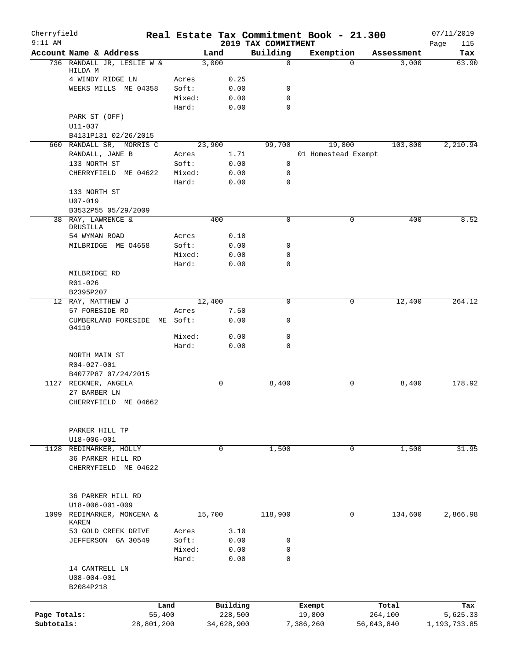| Cherryfield<br>$9:11$ AM |                                           |                 |        |              | Real Estate Tax Commitment Book - 21.300<br>2019 TAX COMMITMENT |           |                     |            | 07/11/2019         |
|--------------------------|-------------------------------------------|-----------------|--------|--------------|-----------------------------------------------------------------|-----------|---------------------|------------|--------------------|
|                          | Account Name & Address                    |                 | Land   |              | Building                                                        |           | Exemption           | Assessment | Page<br>115<br>Tax |
|                          | 736 RANDALL JR, LESLIE W &                |                 | 3,000  |              | $\mathbf 0$                                                     |           | $\Omega$            | 3,000      | 63.90              |
|                          | HILDA M                                   |                 |        |              |                                                                 |           |                     |            |                    |
|                          | 4 WINDY RIDGE LN                          | Acres           |        | 0.25         |                                                                 |           |                     |            |                    |
|                          | WEEKS MILLS ME 04358                      | Soft:<br>Mixed: |        | 0.00<br>0.00 | 0<br>$\mathbf 0$                                                |           |                     |            |                    |
|                          |                                           | Hard:           |        | 0.00         | 0                                                               |           |                     |            |                    |
|                          | PARK ST (OFF)                             |                 |        |              |                                                                 |           |                     |            |                    |
|                          | $U11 - 037$                               |                 |        |              |                                                                 |           |                     |            |                    |
|                          | B4131P131 02/26/2015                      |                 |        |              |                                                                 |           |                     |            |                    |
|                          | 660 RANDALL SR, MORRIS C                  |                 | 23,900 |              | 99,700                                                          |           | 19,800              | 103,800    | 2,210.94           |
|                          | RANDALL, JANE B                           | Acres           |        | 1.71         |                                                                 |           | 01 Homestead Exempt |            |                    |
|                          | 133 NORTH ST                              | Soft:           |        | 0.00         | 0                                                               |           |                     |            |                    |
|                          | CHERRYFIELD ME 04622                      | Mixed:          |        | 0.00         | 0                                                               |           |                     |            |                    |
|                          |                                           | Hard:           |        | 0.00         | 0                                                               |           |                     |            |                    |
|                          | 133 NORTH ST                              |                 |        |              |                                                                 |           |                     |            |                    |
|                          | $U07 - 019$<br>B3532P55 05/29/2009        |                 |        |              |                                                                 |           |                     |            |                    |
|                          | 38 RAY, LAWRENCE &                        |                 | 400    |              | $\mathbf 0$                                                     |           | 0                   | 400        | 8.52               |
|                          | DRUSILLA                                  |                 |        |              |                                                                 |           |                     |            |                    |
|                          | 54 WYMAN ROAD                             | Acres           |        | 0.10         |                                                                 |           |                     |            |                    |
|                          | MILBRIDGE ME 04658                        | Soft:           |        | 0.00         | 0                                                               |           |                     |            |                    |
|                          |                                           | Mixed:          |        | 0.00         | 0                                                               |           |                     |            |                    |
|                          |                                           | Hard:           |        | 0.00         | $\mathbf 0$                                                     |           |                     |            |                    |
|                          | MILBRIDGE RD                              |                 |        |              |                                                                 |           |                     |            |                    |
|                          | R01-026<br>B2395P207                      |                 |        |              |                                                                 |           |                     |            |                    |
|                          | 12 RAY, MATTHEW J                         |                 | 12,400 |              | $\mathbf 0$                                                     |           | 0                   | 12,400     | 264.12             |
|                          | 57 FORESIDE RD                            | Acres           |        | 7.50         |                                                                 |           |                     |            |                    |
|                          | CUMBERLAND FORESIDE                       | ME Soft:        |        | 0.00         | 0                                                               |           |                     |            |                    |
|                          | 04110                                     |                 |        |              |                                                                 |           |                     |            |                    |
|                          |                                           | Mixed:          |        | 0.00         | 0                                                               |           |                     |            |                    |
|                          |                                           | Hard:           |        | 0.00         | 0                                                               |           |                     |            |                    |
|                          | NORTH MAIN ST                             |                 |        |              |                                                                 |           |                     |            |                    |
|                          | R04-027-001<br>B4077P87 07/24/2015        |                 |        |              |                                                                 |           |                     |            |                    |
| 1127                     | RECKNER, ANGELA                           |                 |        | $\mathbf 0$  | 8,400                                                           |           | 0                   | 8,400      | 178.92             |
|                          | 27 BARBER LN                              |                 |        |              |                                                                 |           |                     |            |                    |
|                          | CHERRYFIELD ME 04662                      |                 |        |              |                                                                 |           |                     |            |                    |
|                          |                                           |                 |        |              |                                                                 |           |                     |            |                    |
|                          |                                           |                 |        |              |                                                                 |           |                     |            |                    |
|                          | PARKER HILL TP                            |                 |        |              |                                                                 |           |                     |            |                    |
|                          | U18-006-001                               |                 |        |              |                                                                 |           |                     |            |                    |
|                          | 1128 REDIMARKER, HOLLY                    |                 |        | $\mathbf 0$  | 1,500                                                           |           | 0                   | 1,500      | 31.95              |
|                          | 36 PARKER HILL RD<br>CHERRYFIELD ME 04622 |                 |        |              |                                                                 |           |                     |            |                    |
|                          |                                           |                 |        |              |                                                                 |           |                     |            |                    |
|                          |                                           |                 |        |              |                                                                 |           |                     |            |                    |
|                          | 36 PARKER HILL RD                         |                 |        |              |                                                                 |           |                     |            |                    |
|                          | $U18 - 006 - 001 - 009$                   |                 |        |              |                                                                 |           |                     |            |                    |
| 1099                     | REDIMARKER, MONCENA &                     |                 | 15,700 |              | 118,900                                                         |           | 0                   | 134,600    | 2,866.98           |
|                          | KAREN                                     |                 |        |              |                                                                 |           |                     |            |                    |
|                          | 53 GOLD CREEK DRIVE                       | Acres           |        | 3.10         |                                                                 |           |                     |            |                    |
|                          | JEFFERSON GA 30549                        | Soft:           |        | 0.00         | 0<br>0                                                          |           |                     |            |                    |
|                          |                                           | Mixed:          |        | 0.00         | $\mathbf 0$                                                     |           |                     |            |                    |
|                          | 14 CANTRELL LN                            | Hard:           |        | 0.00         |                                                                 |           |                     |            |                    |
|                          | $U08 - 004 - 001$                         |                 |        |              |                                                                 |           |                     |            |                    |
|                          | B2084P218                                 |                 |        |              |                                                                 |           |                     |            |                    |
|                          |                                           |                 |        |              |                                                                 |           |                     |            |                    |
|                          |                                           | Land            |        | Building     |                                                                 | Exempt    |                     | Total      | Tax                |
| Page Totals:             |                                           | 55,400          |        | 228,500      |                                                                 | 19,800    |                     | 264,100    | 5,625.33           |
| Subtotals:               | 28,801,200                                |                 |        | 34,628,900   |                                                                 | 7,386,260 |                     | 56,043,840 | 1,193,733.85       |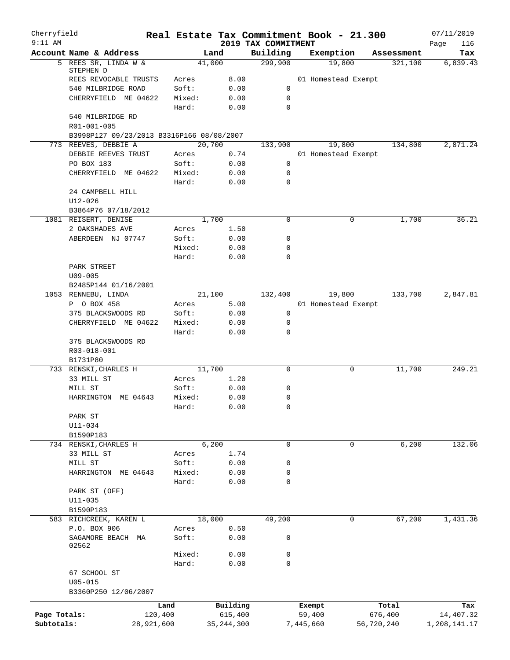| Cherryfield<br>$9:11$ AM   |                                           |                       |        |                         | 2019 TAX COMMITMENT | Real Estate Tax Commitment Book - 21.300 |                       | 07/11/2019<br>116         |
|----------------------------|-------------------------------------------|-----------------------|--------|-------------------------|---------------------|------------------------------------------|-----------------------|---------------------------|
|                            | Account Name & Address                    |                       | Land   |                         | Building            | Exemption                                | Assessment            | Page<br>Tax               |
|                            | 5 REES SR, LINDA W &                      |                       | 41,000 |                         | 299,900             | 19,800                                   | 321,100               | 6,839.43                  |
|                            | STEPHEN D<br>REES REVOCABLE TRUSTS        | Acres                 |        | 8.00                    |                     | 01 Homestead Exempt                      |                       |                           |
|                            | 540 MILBRIDGE ROAD                        | Soft:                 |        | 0.00                    | $\mathbf 0$         |                                          |                       |                           |
|                            | CHERRYFIELD ME 04622                      | Mixed:                |        | 0.00                    | 0                   |                                          |                       |                           |
|                            |                                           | Hard:                 |        | 0.00                    | 0                   |                                          |                       |                           |
|                            | 540 MILBRIDGE RD                          |                       |        |                         |                     |                                          |                       |                           |
|                            | R01-001-005                               |                       |        |                         |                     |                                          |                       |                           |
|                            | B3998P127 09/23/2013 B3316P166 08/08/2007 |                       |        |                         |                     |                                          |                       |                           |
|                            | 773 REEVES, DEBBIE A                      |                       | 20,700 |                         | 133,900             | 19,800                                   | 134,800               | 2,871.24                  |
|                            | DEBBIE REEVES TRUST                       | Acres                 |        | 0.74                    |                     | 01 Homestead Exempt                      |                       |                           |
|                            | PO BOX 183                                | Soft:                 |        | 0.00                    | $\mathbf 0$         |                                          |                       |                           |
|                            | CHERRYFIELD ME 04622                      | Mixed:                |        | 0.00                    | 0                   |                                          |                       |                           |
|                            |                                           | Hard:                 |        | 0.00                    | 0                   |                                          |                       |                           |
|                            | 24 CAMPBELL HILL                          |                       |        |                         |                     |                                          |                       |                           |
|                            | $U12 - 026$<br>B3864P76 07/18/2012        |                       |        |                         |                     |                                          |                       |                           |
|                            | 1081 REISERT, DENISE                      |                       | 1,700  |                         | 0                   | 0                                        | 1,700                 | 36.21                     |
|                            | 2 OAKSHADES AVE                           | Acres                 |        | 1.50                    |                     |                                          |                       |                           |
|                            | ABERDEEN NJ 07747                         | Soft:                 |        | 0.00                    | 0                   |                                          |                       |                           |
|                            |                                           | Mixed:                |        | 0.00                    | 0                   |                                          |                       |                           |
|                            |                                           | Hard:                 |        | 0.00                    | 0                   |                                          |                       |                           |
|                            | PARK STREET                               |                       |        |                         |                     |                                          |                       |                           |
|                            | $U09 - 005$                               |                       |        |                         |                     |                                          |                       |                           |
|                            | B2485P144 01/16/2001                      |                       |        |                         |                     |                                          |                       |                           |
|                            | 1053 RENNEBU, LINDA                       |                       | 21,100 |                         | 132,400             | 19,800                                   | 133,700               | 2,847.81                  |
|                            | P O BOX 458                               | Acres                 |        | 5.00                    |                     | 01 Homestead Exempt                      |                       |                           |
|                            | 375 BLACKSWOODS RD                        | Soft:                 |        | 0.00                    | 0                   |                                          |                       |                           |
|                            | CHERRYFIELD ME 04622                      | Mixed:                |        | 0.00                    | 0                   |                                          |                       |                           |
|                            |                                           | Hard:                 |        | 0.00                    | 0                   |                                          |                       |                           |
|                            | 375 BLACKSWOODS RD                        |                       |        |                         |                     |                                          |                       |                           |
|                            | R03-018-001<br>B1731P80                   |                       |        |                         |                     |                                          |                       |                           |
|                            | 733 RENSKI, CHARLES H                     |                       | 11,700 |                         | 0                   | 0                                        | 11,700                | 249.21                    |
|                            | 33 MILL ST                                | Acres                 |        | 1.20                    |                     |                                          |                       |                           |
|                            | MILL ST                                   | Soft:                 |        | 0.00                    | 0                   |                                          |                       |                           |
|                            | HARRINGTON ME 04643                       | Mixed:                |        | 0.00                    | 0                   |                                          |                       |                           |
|                            |                                           | Hard:                 |        | 0.00                    | 0                   |                                          |                       |                           |
|                            | PARK ST                                   |                       |        |                         |                     |                                          |                       |                           |
|                            | U11-034                                   |                       |        |                         |                     |                                          |                       |                           |
|                            | B1590P183                                 |                       |        |                         |                     |                                          |                       |                           |
|                            | 734 RENSKI, CHARLES H                     |                       | 6,200  |                         | $\mathbf 0$         | $\mathbf 0$                              | 6,200                 | 132.06                    |
|                            | 33 MILL ST                                | Acres                 |        | 1.74                    |                     |                                          |                       |                           |
|                            | MILL ST<br>HARRINGTON ME 04643            | Soft:<br>Mixed:       |        | 0.00<br>0.00            | 0<br>0              |                                          |                       |                           |
|                            |                                           | Hard:                 |        | 0.00                    | 0                   |                                          |                       |                           |
|                            | PARK ST (OFF)                             |                       |        |                         |                     |                                          |                       |                           |
|                            | $U11 - 035$                               |                       |        |                         |                     |                                          |                       |                           |
|                            | B1590P183                                 |                       |        |                         |                     |                                          |                       |                           |
|                            | 583 RICHCREEK, KAREN L                    |                       | 18,000 |                         | 49,200              | 0                                        | 67,200                | 1,431.36                  |
|                            | P.O. BOX 906                              | Acres                 |        | 0.50                    |                     |                                          |                       |                           |
|                            | SAGAMORE BEACH MA                         | Soft:                 |        | 0.00                    | 0                   |                                          |                       |                           |
|                            | 02562                                     |                       |        |                         |                     |                                          |                       |                           |
|                            |                                           | Mixed:                |        | 0.00                    | 0                   |                                          |                       |                           |
|                            | 67 SCHOOL ST                              | Hard:                 |        | 0.00                    | 0                   |                                          |                       |                           |
|                            | $U05 - 015$                               |                       |        |                         |                     |                                          |                       |                           |
|                            | B3360P250 12/06/2007                      |                       |        |                         |                     |                                          |                       |                           |
|                            |                                           |                       |        |                         |                     |                                          |                       |                           |
|                            |                                           | Land                  |        | Building                |                     | Exempt                                   | Total                 | Tax                       |
| Page Totals:<br>Subtotals: |                                           | 120,400<br>28,921,600 |        | 615,400<br>35, 244, 300 |                     | 59,400<br>7,445,660                      | 676,400<br>56,720,240 | 14,407.32<br>1,208,141.17 |
|                            |                                           |                       |        |                         |                     |                                          |                       |                           |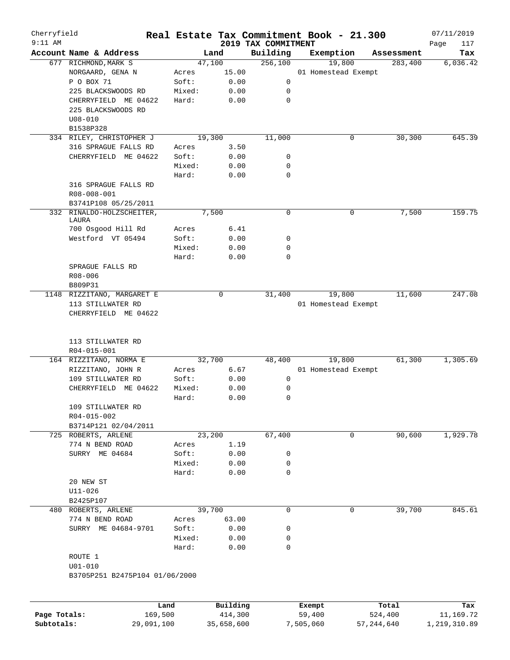| Cherryfield<br>$9:11$ AM |                                |         |        |        |          | 2019 TAX COMMITMENT | Real Estate Tax Commitment Book - 21.300 |        |            | 07/11/2019         |
|--------------------------|--------------------------------|---------|--------|--------|----------|---------------------|------------------------------------------|--------|------------|--------------------|
|                          | Account Name & Address         |         |        | Land   |          | Building            | Exemption                                |        | Assessment | Page<br>117<br>Tax |
|                          | 677 RICHMOND, MARK S           |         |        | 47,100 |          | 256,100             |                                          | 19,800 | 283,400    | 6,036.42           |
|                          | NORGAARD, GENA N               |         | Acres  |        | 15.00    |                     | 01 Homestead Exempt                      |        |            |                    |
|                          | P O BOX 71                     |         | Soft:  |        | 0.00     | 0                   |                                          |        |            |                    |
|                          | 225 BLACKSWOODS RD             |         | Mixed: |        | 0.00     | 0                   |                                          |        |            |                    |
|                          | CHERRYFIELD ME 04622           |         | Hard:  |        | 0.00     | 0                   |                                          |        |            |                    |
|                          | 225 BLACKSWOODS RD             |         |        |        |          |                     |                                          |        |            |                    |
|                          | $U08 - 010$                    |         |        |        |          |                     |                                          |        |            |                    |
|                          | B1538P328                      |         |        |        |          |                     |                                          |        |            |                    |
|                          | 334 RILEY, CHRISTOPHER J       |         |        | 19,300 |          | 11,000              |                                          | 0      | 30,300     | 645.39             |
|                          | 316 SPRAGUE FALLS RD           |         | Acres  |        | 3.50     |                     |                                          |        |            |                    |
|                          | CHERRYFIELD ME 04622           |         | Soft:  |        | 0.00     | 0                   |                                          |        |            |                    |
|                          |                                |         | Mixed: |        | 0.00     | 0                   |                                          |        |            |                    |
|                          |                                |         | Hard:  |        | 0.00     | $\mathbf 0$         |                                          |        |            |                    |
|                          | 316 SPRAGUE FALLS RD           |         |        |        |          |                     |                                          |        |            |                    |
|                          | R08-008-001                    |         |        |        |          |                     |                                          |        |            |                    |
|                          | B3741P108 05/25/2011           |         |        |        |          |                     |                                          |        |            |                    |
|                          | 332 RINALDO-HOLZSCHEITER,      |         |        | 7,500  |          | 0                   |                                          | 0      | 7,500      | 159.75             |
|                          | LAURA                          |         |        |        |          |                     |                                          |        |            |                    |
|                          | 700 Osgood Hill Rd             |         | Acres  |        | 6.41     |                     |                                          |        |            |                    |
|                          | Westford VT 05494              |         | Soft:  |        | 0.00     | 0                   |                                          |        |            |                    |
|                          |                                |         | Mixed: |        | 0.00     | 0                   |                                          |        |            |                    |
|                          |                                |         | Hard:  |        | 0.00     | 0                   |                                          |        |            |                    |
|                          | SPRAGUE FALLS RD               |         |        |        |          |                     |                                          |        |            |                    |
|                          | $R08 - 006$                    |         |        |        |          |                     |                                          |        |            |                    |
|                          | B809P31                        |         |        |        |          |                     |                                          |        |            |                    |
|                          | 1148 RIZZITANO, MARGARET E     |         |        |        | 0        | 31,400              |                                          | 19,800 | 11,600     | 247.08             |
|                          | 113 STILLWATER RD              |         |        |        |          |                     | 01 Homestead Exempt                      |        |            |                    |
|                          | CHERRYFIELD ME 04622           |         |        |        |          |                     |                                          |        |            |                    |
|                          | 113 STILLWATER RD              |         |        |        |          |                     |                                          |        |            |                    |
|                          | R04-015-001                    |         |        |        |          |                     |                                          |        |            |                    |
|                          | 164 RIZZITANO, NORMA E         |         |        | 32,700 |          | 48,400              |                                          | 19,800 | 61,300     | 1,305.69           |
|                          | RIZZITANO, JOHN R              |         | Acres  |        | 6.67     |                     | 01 Homestead Exempt                      |        |            |                    |
|                          | 109 STILLWATER RD              |         | Soft:  |        | 0.00     | 0                   |                                          |        |            |                    |
|                          | CHERRYFIELD ME 04622           |         | Mixed: |        | 0.00     | 0                   |                                          |        |            |                    |
|                          |                                |         | Hard:  |        | 0.00     | 0                   |                                          |        |            |                    |
|                          | 109 STILLWATER RD              |         |        |        |          |                     |                                          |        |            |                    |
|                          | R04-015-002                    |         |        |        |          |                     |                                          |        |            |                    |
|                          | B3714P121 02/04/2011           |         |        |        |          |                     |                                          |        |            |                    |
|                          | 725 ROBERTS, ARLENE            |         |        | 23,200 |          | 67,400              |                                          | 0      | 90,600     | 1,929.78           |
|                          | 774 N BEND ROAD                |         | Acres  |        | 1.19     |                     |                                          |        |            |                    |
|                          | SURRY ME 04684                 |         | Soft:  |        | 0.00     | 0                   |                                          |        |            |                    |
|                          |                                |         | Mixed: |        | 0.00     | 0                   |                                          |        |            |                    |
|                          |                                |         | Hard:  |        | 0.00     | $\mathbf 0$         |                                          |        |            |                    |
|                          | 20 NEW ST                      |         |        |        |          |                     |                                          |        |            |                    |
|                          | $U11 - 026$                    |         |        |        |          |                     |                                          |        |            |                    |
|                          | B2425P107                      |         |        |        |          |                     |                                          |        |            |                    |
|                          | 480 ROBERTS, ARLENE            |         |        | 39,700 |          | $\mathbf 0$         |                                          | 0      | 39,700     | 845.61             |
|                          | 774 N BEND ROAD                |         | Acres  |        | 63.00    |                     |                                          |        |            |                    |
|                          | SURRY ME 04684-9701            |         | Soft:  |        | 0.00     | 0                   |                                          |        |            |                    |
|                          |                                |         | Mixed: |        | 0.00     | 0                   |                                          |        |            |                    |
|                          |                                |         | Hard:  |        | 0.00     | 0                   |                                          |        |            |                    |
|                          | ROUTE 1                        |         |        |        |          |                     |                                          |        |            |                    |
|                          | $U01 - 010$                    |         |        |        |          |                     |                                          |        |            |                    |
|                          | B3705P251 B2475P104 01/06/2000 |         |        |        |          |                     |                                          |        |            |                    |
|                          |                                |         |        |        |          |                     |                                          |        |            |                    |
|                          |                                | Land    |        |        | Building |                     | Exempt                                   |        | Total      | Tax                |
| Page Totals:             |                                | 169,500 |        |        | 414,300  |                     | 59,400                                   |        | 524,400    | 11,169.72          |

**Subtotals:** 29,091,100 35,658,600 7,505,060 57,244,640 1,219,310.89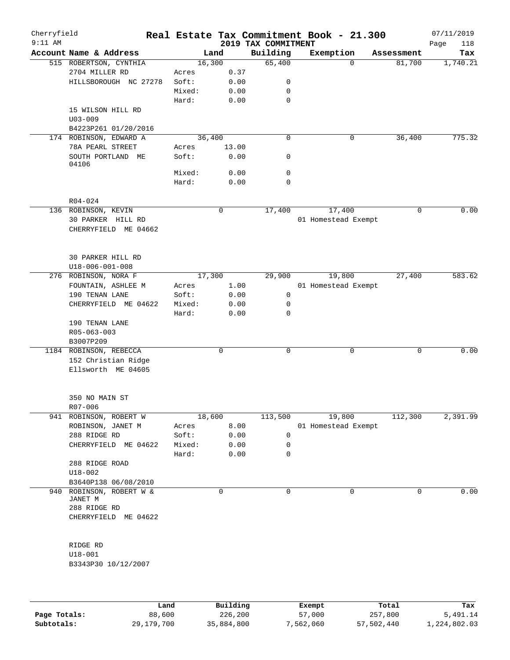| Cherryfield<br>$9:11$ AM |                                           |                |             |      | 2019 TAX COMMITMENT | Real Estate Tax Commitment Book - 21.300 |            | 07/11/2019<br>Page<br>118 |
|--------------------------|-------------------------------------------|----------------|-------------|------|---------------------|------------------------------------------|------------|---------------------------|
|                          | Account Name & Address                    |                | Land        |      | Building            | Exemption                                | Assessment | Tax                       |
|                          | 515 ROBERTSON, CYNTHIA                    |                | 16,300      |      | 65,400              | $\mathbf 0$                              | 81,700     | 1,740.21                  |
|                          | 2704 MILLER RD                            | Acres          |             | 0.37 |                     |                                          |            |                           |
|                          | HILLSBOROUGH NC 27278                     | Soft:          |             | 0.00 | 0                   |                                          |            |                           |
|                          |                                           | Mixed:         |             | 0.00 | 0                   |                                          |            |                           |
|                          |                                           | Hard:          |             | 0.00 | $\mathbf 0$         |                                          |            |                           |
|                          | 15 WILSON HILL RD<br>$U03 - 009$          |                |             |      |                     |                                          |            |                           |
|                          | B4223P261 01/20/2016                      |                |             |      |                     |                                          |            |                           |
|                          | 174 ROBINSON, EDWARD A                    |                | 36,400      |      | $\mathbf 0$         | $\mathsf{O}$                             | 36,400     | 775.32                    |
|                          | 78A PEARL STREET                          | Acres          | 13.00       |      |                     |                                          |            |                           |
|                          | SOUTH PORTLAND ME<br>04106                | Soft:          |             | 0.00 | 0                   |                                          |            |                           |
|                          |                                           | Mixed:         |             | 0.00 | 0                   |                                          |            |                           |
|                          |                                           | Hard:          |             | 0.00 | 0                   |                                          |            |                           |
|                          | R04-024                                   |                |             |      |                     |                                          |            |                           |
|                          | 136 ROBINSON, KEVIN                       |                | 0           |      | 17,400              | 17,400                                   | 0          | 0.00                      |
|                          | 30 PARKER HILL RD<br>CHERRYFIELD ME 04662 |                |             |      |                     | 01 Homestead Exempt                      |            |                           |
|                          | <b>30 PARKER HILL RD</b>                  |                |             |      |                     |                                          |            |                           |
|                          | $U18 - 006 - 001 - 008$                   |                |             |      | 29,900              |                                          | 27,400     | 583.62                    |
|                          | 276 ROBINSON, NORA F                      |                | 17,300      | 1.00 |                     | 19,800                                   |            |                           |
|                          | FOUNTAIN, ASHLEE M<br>190 TENAN LANE      | Acres<br>Soft: |             |      | 0                   | 01 Homestead Exempt                      |            |                           |
|                          |                                           |                |             | 0.00 |                     |                                          |            |                           |
|                          | CHERRYFIELD ME 04622                      | Mixed:         |             | 0.00 | 0                   |                                          |            |                           |
|                          | 190 TENAN LANE<br>R05-063-003             | Hard:          |             | 0.00 | $\mathbf 0$         |                                          |            |                           |
|                          | B3007P209                                 |                |             |      |                     |                                          |            |                           |
|                          | 1184 ROBINSON, REBECCA                    |                | 0           |      | 0                   | $\mathbf 0$                              | 0          | 0.00                      |
|                          | 152 Christian Ridge<br>Ellsworth ME 04605 |                |             |      |                     |                                          |            |                           |
|                          | 350 NO MAIN ST<br>R07-006                 |                |             |      |                     |                                          |            |                           |
|                          | 941 ROBINSON, ROBERT W                    |                | 18,600      |      | 113,500             | 19,800                                   | 112,300    | 2,391.99                  |
|                          | ROBINSON, JANET M                         | Acres          |             | 8.00 |                     | 01 Homestead Exempt                      |            |                           |
|                          | 288 RIDGE RD                              | Soft:          |             | 0.00 | 0                   |                                          |            |                           |
|                          | CHERRYFIELD ME 04622                      | Mixed:         |             | 0.00 | 0                   |                                          |            |                           |
|                          |                                           | Hard:          |             | 0.00 | 0                   |                                          |            |                           |
|                          | 288 RIDGE ROAD<br>$U18 - 002$             |                |             |      |                     |                                          |            |                           |
|                          | B3640P138 06/08/2010                      |                |             |      |                     |                                          |            |                           |
| 940                      | ROBINSON, ROBERT W &<br>JANET M           |                | $\mathbf 0$ |      | 0                   | 0                                        | 0          | 0.00                      |
|                          | 288 RIDGE RD<br>CHERRYFIELD ME 04622      |                |             |      |                     |                                          |            |                           |
|                          | RIDGE RD                                  |                |             |      |                     |                                          |            |                           |
|                          |                                           |                |             |      |                     |                                          |            |                           |
|                          | $U18 - 001$<br>B3343P30 10/12/2007        |                |             |      |                     |                                          |            |                           |
|                          |                                           |                |             |      |                     |                                          |            |                           |

|              | Land       | Building   | Exempt    | Total      | Tax          |
|--------------|------------|------------|-----------|------------|--------------|
| Page Totals: | 88,600     | 226,200    | 57,000    | 257,800    | 5,491.14     |
| Subtotals:   | 29,179,700 | 35,884,800 | 7,562,060 | 57,502,440 | 1,224,802.03 |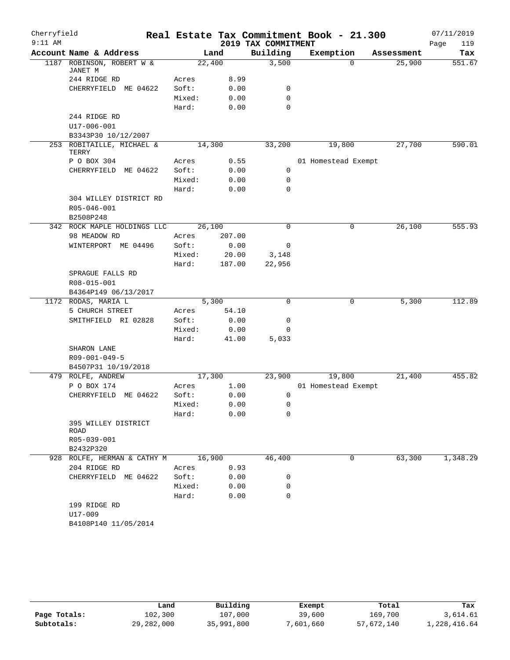| Cherryfield |                                             |        |        |                     | Real Estate Tax Commitment Book - 21.300 |            | 07/11/2019  |
|-------------|---------------------------------------------|--------|--------|---------------------|------------------------------------------|------------|-------------|
| $9:11$ AM   |                                             |        |        | 2019 TAX COMMITMENT |                                          |            | 119<br>Page |
|             | Account Name & Address                      |        | Land   | Building            | Exemption                                | Assessment | Tax         |
|             | 1187 ROBINSON, ROBERT W &<br>JANET M        |        | 22,400 | 3,500               | $\Omega$                                 | 25,900     | 551.67      |
|             | 244 RIDGE RD                                | Acres  | 8.99   |                     |                                          |            |             |
|             | CHERRYFIELD ME 04622                        | Soft:  | 0.00   | 0                   |                                          |            |             |
|             |                                             | Mixed: | 0.00   | $\mathbf 0$         |                                          |            |             |
|             |                                             | Hard:  | 0.00   | $\mathbf 0$         |                                          |            |             |
|             | 244 RIDGE RD                                |        |        |                     |                                          |            |             |
|             | U17-006-001                                 |        |        |                     |                                          |            |             |
|             | B3343P30 10/12/2007                         |        |        |                     |                                          |            |             |
|             | 253 ROBITAILLE, MICHAEL &<br>TERRY          |        | 14,300 | 33,200              | 19,800                                   | 27,700     | 590.01      |
|             | P O BOX 304                                 | Acres  | 0.55   |                     | 01 Homestead Exempt                      |            |             |
|             | CHERRYFIELD ME 04622                        | Soft:  | 0.00   | 0                   |                                          |            |             |
|             |                                             | Mixed: | 0.00   | 0                   |                                          |            |             |
|             |                                             | Hard:  | 0.00   | $\mathbf 0$         |                                          |            |             |
|             | 304 WILLEY DISTRICT RD                      |        |        |                     |                                          |            |             |
|             | R05-046-001                                 |        |        |                     |                                          |            |             |
|             | B2508P248                                   |        |        |                     |                                          |            |             |
|             | 342 ROCK MAPLE HOLDINGS LLC                 |        | 26,100 | $\Omega$            | 0                                        | 26,100     | 555.93      |
|             | 98 MEADOW RD                                | Acres  | 207.00 |                     |                                          |            |             |
|             | WINTERPORT ME 04496                         | Soft:  | 0.00   | 0                   |                                          |            |             |
|             |                                             | Mixed: | 20.00  | 3,148               |                                          |            |             |
|             |                                             | Hard:  | 187.00 | 22,956              |                                          |            |             |
|             | SPRAGUE FALLS RD                            |        |        |                     |                                          |            |             |
|             | R08-015-001                                 |        |        |                     |                                          |            |             |
|             | B4364P149 06/13/2017<br>1172 RODAS, MARIA L |        | 5,300  | $\mathbf 0$         | 0                                        | 5,300      | 112.89      |
|             | 5 CHURCH STREET                             | Acres  | 54.10  |                     |                                          |            |             |
|             | SMITHFIELD RI 02828                         | Soft:  | 0.00   | 0                   |                                          |            |             |
|             |                                             | Mixed: | 0.00   | 0                   |                                          |            |             |
|             |                                             | Hard:  | 41.00  | 5,033               |                                          |            |             |
|             | SHARON LANE                                 |        |        |                     |                                          |            |             |
|             | R09-001-049-5                               |        |        |                     |                                          |            |             |
|             | B4507P31 10/19/2018                         |        |        |                     |                                          |            |             |
|             | 479 ROLFE, ANDREW                           |        | 17,300 | 23,900              | 19,800                                   | 21,400     | 455.82      |
|             | P O BOX 174                                 | Acres  | 1.00   |                     | 01 Homestead Exempt                      |            |             |
|             | CHERRYFIELD ME 04622                        | Soft:  | 0.00   | 0                   |                                          |            |             |
|             |                                             | Mixed: | 0.00   | $\mathsf 0$         |                                          |            |             |
|             |                                             | Hard:  | 0.00   | 0                   |                                          |            |             |
|             | 395 WILLEY DISTRICT<br>ROAD                 |        |        |                     |                                          |            |             |
|             | R05-039-001                                 |        |        |                     |                                          |            |             |
|             | B2432P320                                   |        |        |                     |                                          |            |             |
|             | 928 ROLFE, HERMAN & CATHY M                 |        | 16,900 | 46,400              | 0                                        | 63,300     | 1,348.29    |
|             | 204 RIDGE RD                                | Acres  | 0.93   |                     |                                          |            |             |
|             | CHERRYFIELD ME 04622                        | Soft:  | 0.00   | 0                   |                                          |            |             |
|             |                                             | Mixed: | 0.00   | $\mathbf 0$         |                                          |            |             |
|             |                                             | Hard:  | 0.00   | 0                   |                                          |            |             |
|             | 199 RIDGE RD                                |        |        |                     |                                          |            |             |
|             | U17-009                                     |        |        |                     |                                          |            |             |
|             | B4108P140 11/05/2014                        |        |        |                     |                                          |            |             |

|              | Land       | Building   | Exempt    | Total      | Tax          |
|--------------|------------|------------|-----------|------------|--------------|
| Page Totals: | 102,300    | 107,000    | 39,600    | 169,700    | 3,614.61     |
| Subtotals:   | 29,282,000 | 35,991,800 | 7,601,660 | 57,672,140 | 1,228,416.64 |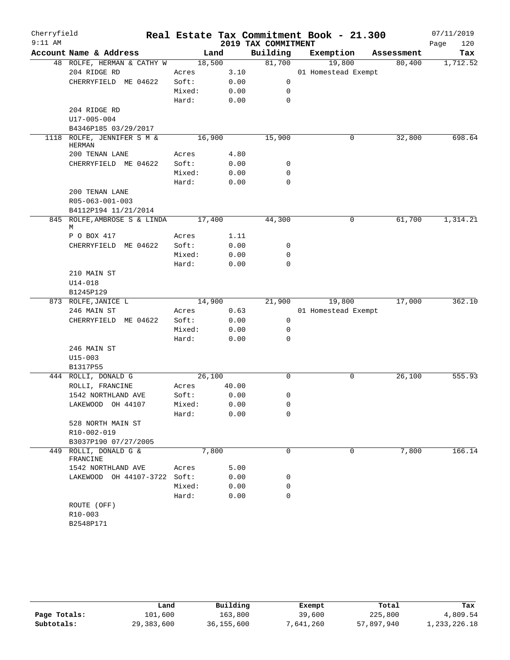| Cherryfield |                                             |        |       |                     | Real Estate Tax Commitment Book - 21.300 |   |            | 07/11/2019  |
|-------------|---------------------------------------------|--------|-------|---------------------|------------------------------------------|---|------------|-------------|
| $9:11$ AM   |                                             |        |       | 2019 TAX COMMITMENT |                                          |   |            | 120<br>Page |
|             | Account Name & Address                      | Land   |       | Building            | Exemption                                |   | Assessment | Tax         |
|             | 48 ROLFE, HERMAN & CATHY W                  | 18,500 |       | 81,700              | 19,800                                   |   | 80,400     | 1,712.52    |
|             | 204 RIDGE RD                                | Acres  | 3.10  |                     | 01 Homestead Exempt                      |   |            |             |
|             | CHERRYFIELD ME 04622                        | Soft:  | 0.00  | 0                   |                                          |   |            |             |
|             |                                             | Mixed: | 0.00  | 0                   |                                          |   |            |             |
|             |                                             | Hard:  | 0.00  | $\mathbf 0$         |                                          |   |            |             |
|             | 204 RIDGE RD                                |        |       |                     |                                          |   |            |             |
|             | U17-005-004                                 |        |       |                     |                                          |   |            |             |
|             | B4346P185 03/29/2017                        |        |       | 15,900              |                                          |   |            |             |
|             | 1118 ROLFE, JENNIFER S M &<br><b>HERMAN</b> | 16,900 |       |                     |                                          | 0 | 32,800     | 698.64      |
|             | 200 TENAN LANE                              | Acres  | 4.80  |                     |                                          |   |            |             |
|             | CHERRYFIELD ME 04622                        | Soft:  | 0.00  | 0                   |                                          |   |            |             |
|             |                                             | Mixed: | 0.00  | 0                   |                                          |   |            |             |
|             |                                             | Hard:  | 0.00  | $\mathbf 0$         |                                          |   |            |             |
|             | 200 TENAN LANE                              |        |       |                     |                                          |   |            |             |
|             | R05-063-001-003                             |        |       |                     |                                          |   |            |             |
|             | B4112P194 11/21/2014                        |        |       |                     |                                          |   |            |             |
|             | 845 ROLFE, AMBROSE S & LINDA<br>М           | 17,400 |       | 44,300              |                                          | 0 | 61,700     | 1,314.21    |
|             | P O BOX 417                                 | Acres  | 1.11  |                     |                                          |   |            |             |
|             | CHERRYFIELD ME 04622                        | Soft:  | 0.00  | 0                   |                                          |   |            |             |
|             |                                             | Mixed: | 0.00  | 0                   |                                          |   |            |             |
|             |                                             | Hard:  | 0.00  | $\Omega$            |                                          |   |            |             |
|             | 210 MAIN ST                                 |        |       |                     |                                          |   |            |             |
|             | $U14 - 018$                                 |        |       |                     |                                          |   |            |             |
|             | B1245P129                                   |        |       |                     |                                          |   |            |             |
|             | 873 ROLFE, JANICE L                         | 14,900 |       | 21,900              | 19,800                                   |   | 17,000     | 362.10      |
|             | 246 MAIN ST                                 | Acres  | 0.63  |                     | 01 Homestead Exempt                      |   |            |             |
|             | CHERRYFIELD ME 04622                        | Soft:  | 0.00  | 0                   |                                          |   |            |             |
|             |                                             | Mixed: | 0.00  | 0                   |                                          |   |            |             |
|             |                                             | Hard:  | 0.00  | 0                   |                                          |   |            |             |
|             | 246 MAIN ST                                 |        |       |                     |                                          |   |            |             |
|             | $U15 - 003$                                 |        |       |                     |                                          |   |            |             |
|             | B1317P55                                    |        |       |                     |                                          |   |            |             |
|             | 444 ROLLI, DONALD G                         | 26,100 |       | 0                   |                                          | 0 | 26,100     | 555.93      |
|             | ROLLI, FRANCINE                             | Acres  | 40.00 |                     |                                          |   |            |             |
|             | 1542 NORTHLAND AVE                          | Soft:  | 0.00  | 0                   |                                          |   |            |             |
|             | LAKEWOOD OH 44107                           | Mixed: | 0.00  | 0                   |                                          |   |            |             |
|             |                                             | Hard:  | 0.00  | 0                   |                                          |   |            |             |
|             | 528 NORTH MAIN ST                           |        |       |                     |                                          |   |            |             |
|             | R10-002-019                                 |        |       |                     |                                          |   |            |             |
|             | B3037P190 07/27/2005                        |        |       |                     |                                          |   |            |             |
|             | 449 ROLLI, DONALD G &<br>FRANCINE           | 7,800  |       | 0                   |                                          | 0 | 7,800      | 166.14      |
|             | 1542 NORTHLAND AVE                          | Acres  | 5.00  |                     |                                          |   |            |             |
|             | LAKEWOOD OH 44107-3722                      | Soft:  | 0.00  | 0                   |                                          |   |            |             |
|             |                                             | Mixed: | 0.00  | 0                   |                                          |   |            |             |
|             |                                             | Hard:  | 0.00  | $\mathbf 0$         |                                          |   |            |             |
|             | ROUTE (OFF)                                 |        |       |                     |                                          |   |            |             |
|             | R10-003                                     |        |       |                     |                                          |   |            |             |
|             | B2548P171                                   |        |       |                     |                                          |   |            |             |
|             |                                             |        |       |                     |                                          |   |            |             |

|              | Land       | Building     | Exempt    | Total      | Tax          |
|--------------|------------|--------------|-----------|------------|--------------|
| Page Totals: | 101,600    | 163,800      | 39,600    | 225,800    | 4,809.54     |
| Subtotals:   | 29,383,600 | 36, 155, 600 | 7,641,260 | 57,897,940 | 1,233,226.18 |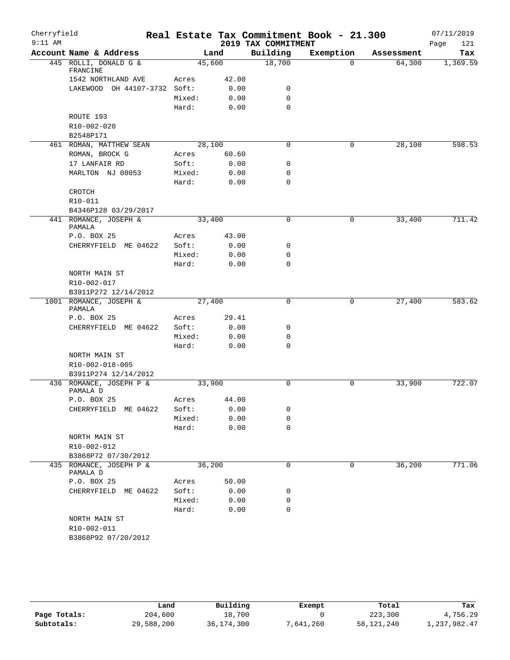| Cherryfield |                                               |                 |              |                     | Real Estate Tax Commitment Book - 21.300 |            | 07/11/2019  |
|-------------|-----------------------------------------------|-----------------|--------------|---------------------|------------------------------------------|------------|-------------|
| $9:11$ AM   |                                               |                 |              | 2019 TAX COMMITMENT |                                          |            | 121<br>Page |
|             | Account Name & Address                        |                 | Land         | Building            | Exemption                                | Assessment | Tax         |
|             | 445 ROLLI, DONALD G &<br>FRANCINE             | 45,600          |              | 18,700              | $\Omega$                                 | 64,300     | 1,369.59    |
|             | 1542 NORTHLAND AVE                            | Acres           | 42.00        |                     |                                          |            |             |
|             | LAKEWOOD OH 44107-3732 Soft:                  |                 | 0.00         | 0                   |                                          |            |             |
|             |                                               | Mixed:          | 0.00         | $\mathbf 0$         |                                          |            |             |
|             |                                               | Hard:           | 0.00         | $\mathbf 0$         |                                          |            |             |
|             | ROUTE 193                                     |                 |              |                     |                                          |            |             |
|             | R10-002-020                                   |                 |              |                     |                                          |            |             |
|             | B2548P171                                     |                 |              |                     |                                          |            |             |
|             | 461 ROMAN, MATTHEW SEAN                       | 28,100          |              | 0                   | 0                                        | 28,100     | 598.53      |
|             | ROMAN, BROCK G                                | Acres           | 60.60        |                     |                                          |            |             |
|             | 17 LANFAIR RD                                 | Soft:           | 0.00         | 0                   |                                          |            |             |
|             | MARLTON NJ 08053                              | Mixed:          | 0.00         | $\mathbf 0$         |                                          |            |             |
|             |                                               | Hard:           | 0.00         | $\mathbf 0$         |                                          |            |             |
|             | CROTCH                                        |                 |              |                     |                                          |            |             |
|             | R10-011                                       |                 |              |                     |                                          |            |             |
|             | B4346P128 03/29/2017<br>441 ROMANCE, JOSEPH & | 33,400          |              | $\mathsf{O}$        | 0                                        | 33,400     | 711.42      |
|             | PAMALA                                        |                 |              |                     |                                          |            |             |
|             | P.O. BOX 25                                   | Acres           | 43.00        |                     |                                          |            |             |
|             | CHERRYFIELD ME 04622                          | Soft:           | 0.00         | 0                   |                                          |            |             |
|             |                                               | Mixed:          | 0.00         | 0                   |                                          |            |             |
|             |                                               | Hard:           | 0.00         | $\mathbf 0$         |                                          |            |             |
|             | NORTH MAIN ST                                 |                 |              |                     |                                          |            |             |
|             | R10-002-017                                   |                 |              |                     |                                          |            |             |
|             | B3911P272 12/14/2012                          |                 |              |                     |                                          |            |             |
|             | 1001 ROMANCE, JOSEPH &                        | 27,400          |              | $\mathbf 0$         | 0                                        | 27,400     | 583.62      |
|             | PAMALA<br>P.O. BOX 25                         | Acres           | 29.41        |                     |                                          |            |             |
|             | CHERRYFIELD ME 04622                          | Soft:           | 0.00         | 0                   |                                          |            |             |
|             |                                               | Mixed:          | 0.00         | 0                   |                                          |            |             |
|             |                                               | Hard:           | 0.00         | $\mathbf 0$         |                                          |            |             |
|             | NORTH MAIN ST                                 |                 |              |                     |                                          |            |             |
|             | R10-002-018-005                               |                 |              |                     |                                          |            |             |
|             | B3911P274 12/14/2012                          |                 |              |                     |                                          |            |             |
|             | 436 ROMANCE, JOSEPH P &                       | 33,900          |              | $\mathbf 0$         | 0                                        | 33,900     | 722.07      |
|             | PAMALA D                                      |                 |              |                     |                                          |            |             |
|             | P.O. BOX 25                                   | Acres           | 44.00        |                     |                                          |            |             |
|             | CHERRYFIELD ME 04622                          | Soft:           | 0.00         | 0                   |                                          |            |             |
|             |                                               | Mixed:<br>Hard: | 0.00<br>0.00 | 0<br>$\mathbf 0$    |                                          |            |             |
|             | NORTH MAIN ST                                 |                 |              |                     |                                          |            |             |
|             | R10-002-012                                   |                 |              |                     |                                          |            |             |
|             | B3868P72 07/30/2012                           |                 |              |                     |                                          |            |             |
|             | 435 ROMANCE, JOSEPH P &                       | 36,200          |              | 0                   | 0                                        | 36,200     | 771.06      |
|             | PAMALA D                                      |                 |              |                     |                                          |            |             |
|             | P.O. BOX 25                                   | Acres           | 50.00        |                     |                                          |            |             |
|             | CHERRYFIELD ME 04622                          | Soft:           | 0.00         | 0                   |                                          |            |             |
|             |                                               | Mixed:          | 0.00         | 0                   |                                          |            |             |
|             |                                               | Hard:           | 0.00         | $\mathbf 0$         |                                          |            |             |
|             | NORTH MAIN ST                                 |                 |              |                     |                                          |            |             |
|             | R10-002-011<br>B3868P92 07/20/2012            |                 |              |                     |                                          |            |             |
|             |                                               |                 |              |                     |                                          |            |             |

|              | Land       | Building   | Exempt   | Total        | Tax          |
|--------------|------------|------------|----------|--------------|--------------|
| Page Totals: | 204,600    | 18,700     |          | 223,300      | 4,756.29     |
| Subtotals:   | 29,588,200 | 36,174,300 | .641.260 | 58, 121, 240 | 1,237,982.47 |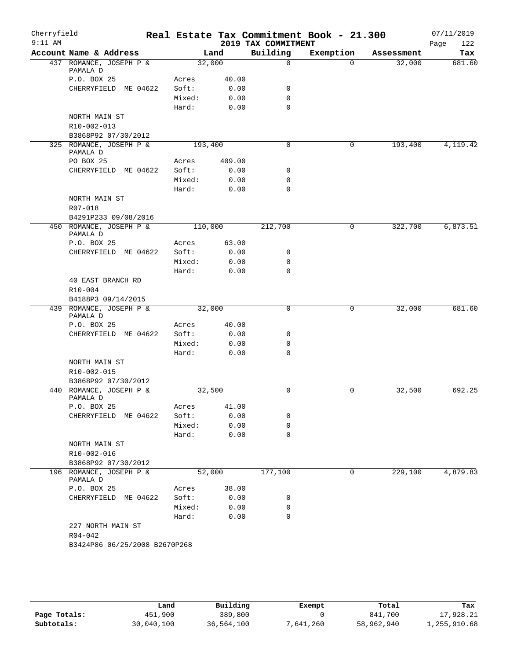| Cherryfield<br>$9:11$ AM |                                     |         |        | 2019 TAX COMMITMENT | Real Estate Tax Commitment Book - 21.300 |            | 07/11/2019<br>122<br>Page |
|--------------------------|-------------------------------------|---------|--------|---------------------|------------------------------------------|------------|---------------------------|
|                          | Account Name & Address              |         | Land   | Building            | Exemption                                | Assessment | Tax                       |
|                          | 437 ROMANCE, JOSEPH P &<br>PAMALA D | 32,000  |        | $\mathbf 0$         | $\Omega$                                 | 32,000     | 681.60                    |
|                          | P.O. BOX 25                         | Acres   | 40.00  |                     |                                          |            |                           |
|                          | CHERRYFIELD ME 04622                | Soft:   | 0.00   | 0                   |                                          |            |                           |
|                          |                                     | Mixed:  | 0.00   | $\mathbf 0$         |                                          |            |                           |
|                          |                                     | Hard:   | 0.00   | $\Omega$            |                                          |            |                           |
|                          | NORTH MAIN ST                       |         |        |                     |                                          |            |                           |
|                          | R10-002-013                         |         |        |                     |                                          |            |                           |
|                          | B3868P92 07/30/2012                 |         |        |                     |                                          |            |                           |
|                          | 325 ROMANCE, JOSEPH P &<br>PAMALA D | 193,400 |        | 0                   | 0                                        | 193,400    | 4, 119. 42                |
|                          | PO BOX 25                           | Acres   | 409.00 |                     |                                          |            |                           |
|                          | CHERRYFIELD ME 04622                | Soft:   | 0.00   | 0                   |                                          |            |                           |
|                          |                                     | Mixed:  | 0.00   | 0                   |                                          |            |                           |
|                          |                                     | Hard:   | 0.00   | $\mathbf 0$         |                                          |            |                           |
|                          | NORTH MAIN ST<br>R07-018            |         |        |                     |                                          |            |                           |
|                          | B4291P233 09/08/2016                |         |        |                     |                                          |            |                           |
|                          | 450 ROMANCE, JOSEPH P &<br>PAMALA D | 110,000 |        | 212,700             | 0                                        | 322,700    | 6,873.51                  |
|                          | P.O. BOX 25                         | Acres   | 63.00  |                     |                                          |            |                           |
|                          | CHERRYFIELD ME 04622                | Soft:   | 0.00   | 0                   |                                          |            |                           |
|                          |                                     | Mixed:  | 0.00   | $\mathbf 0$         |                                          |            |                           |
|                          |                                     | Hard:   | 0.00   | $\Omega$            |                                          |            |                           |
|                          | 40 EAST BRANCH RD                   |         |        |                     |                                          |            |                           |
|                          | R10-004<br>B4188P3 09/14/2015       |         |        |                     |                                          |            |                           |
|                          | 439 ROMANCE, JOSEPH P &             | 32,000  |        | $\mathbf 0$         | 0                                        | 32,000     | 681.60                    |
|                          | PAMALA D                            |         |        |                     |                                          |            |                           |
|                          | P.O. BOX 25                         | Acres   | 40.00  |                     |                                          |            |                           |
|                          | CHERRYFIELD ME 04622                | Soft:   | 0.00   | 0                   |                                          |            |                           |
|                          |                                     | Mixed:  | 0.00   | $\mathbf 0$         |                                          |            |                           |
|                          |                                     | Hard:   | 0.00   | $\Omega$            |                                          |            |                           |
|                          | NORTH MAIN ST                       |         |        |                     |                                          |            |                           |
|                          | R10-002-015                         |         |        |                     |                                          |            |                           |
|                          | B3868P92 07/30/2012                 |         |        |                     |                                          |            |                           |
|                          | 440 ROMANCE, JOSEPH P &<br>PAMALA D | 32,500  |        | 0                   | 0                                        | 32,500     | 692.25                    |
|                          | P.O. BOX 25                         | Acres   | 41.00  |                     |                                          |            |                           |
|                          | CHERRYFIELD<br>ME 04622             | Soft:   | 0.00   | 0                   |                                          |            |                           |
|                          |                                     | Mixed:  | 0.00   | 0                   |                                          |            |                           |
|                          |                                     | Hard:   | 0.00   | $\mathbf 0$         |                                          |            |                           |
|                          | NORTH MAIN ST<br>R10-002-016        |         |        |                     |                                          |            |                           |
|                          | B3868P92 07/30/2012                 |         |        |                     |                                          |            |                           |
|                          | 196 ROMANCE, JOSEPH P &<br>PAMALA D | 52,000  |        | 177,100             | 0                                        | 229,100    | 4,879.83                  |
|                          | P.O. BOX 25                         | Acres   | 38.00  |                     |                                          |            |                           |
|                          | CHERRYFIELD ME 04622                | Soft:   | 0.00   | 0                   |                                          |            |                           |
|                          |                                     | Mixed:  | 0.00   | 0                   |                                          |            |                           |
|                          |                                     | Hard:   | 0.00   | 0                   |                                          |            |                           |
|                          | 227 NORTH MAIN ST<br>R04-042        |         |        |                     |                                          |            |                           |
|                          | B3424P86 06/25/2008 B2670P268       |         |        |                     |                                          |            |                           |
|                          |                                     |         |        |                     |                                          |            |                           |

|              | Land       | Building   | Exempt    | Total      | Tax          |
|--------------|------------|------------|-----------|------------|--------------|
| Page Totals: | 451,900    | 389,800    |           | 841,700    | 17,928.21    |
| Subtotals:   | 30,040,100 | 36,564,100 | 7,641,260 | 58,962,940 | 1,255,910.68 |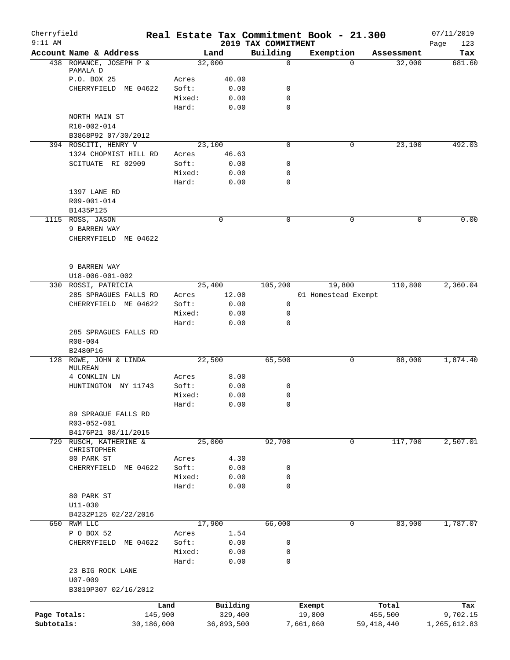| Cherryfield<br>$9:11$ AM |                                   |                 |                 |                     | 2019 TAX COMMITMENT | Real Estate Tax Commitment Book - 21.300 |                    | 07/11/2019         |
|--------------------------|-----------------------------------|-----------------|-----------------|---------------------|---------------------|------------------------------------------|--------------------|--------------------|
|                          | Account Name & Address            |                 |                 | Land                | Building            | Exemption                                | Assessment         | Page<br>123<br>Tax |
|                          | 438 ROMANCE, JOSEPH P &           |                 |                 | 32,000              | $\mathbf 0$         |                                          | 32,000<br>$\Omega$ | 681.60             |
|                          | PAMALA D                          |                 |                 |                     |                     |                                          |                    |                    |
|                          | P.O. BOX 25                       |                 | Acres           | 40.00               |                     |                                          |                    |                    |
|                          | CHERRYFIELD ME 04622              |                 | Soft:<br>Mixed: | 0.00<br>0.00        | 0<br>$\mathbf 0$    |                                          |                    |                    |
|                          |                                   |                 | Hard:           | 0.00                | 0                   |                                          |                    |                    |
|                          | NORTH MAIN ST                     |                 |                 |                     |                     |                                          |                    |                    |
|                          | R10-002-014                       |                 |                 |                     |                     |                                          |                    |                    |
|                          | B3868P92 07/30/2012               |                 |                 |                     |                     |                                          |                    |                    |
|                          | 394 ROSCITI, HENRY V              |                 |                 | 23,100              | 0                   |                                          | 0<br>23,100        | 492.03             |
|                          | 1324 CHOPMIST HILL RD             |                 | Acres           | 46.63               |                     |                                          |                    |                    |
|                          | SCITUATE RI 02909                 |                 | Soft:           | 0.00                | 0                   |                                          |                    |                    |
|                          |                                   |                 | Mixed:          | 0.00                | 0                   |                                          |                    |                    |
|                          |                                   |                 | Hard:           | 0.00                | 0                   |                                          |                    |                    |
|                          | 1397 LANE RD                      |                 |                 |                     |                     |                                          |                    |                    |
|                          | R09-001-014                       |                 |                 |                     |                     |                                          |                    |                    |
|                          | B1435P125                         |                 |                 |                     |                     |                                          |                    |                    |
|                          | 1115 ROSS, JASON                  |                 |                 | $\mathbf 0$         | $\mathbf 0$         | $\mathbf 0$                              |                    | 0.00<br>0          |
|                          | 9 BARREN WAY                      |                 |                 |                     |                     |                                          |                    |                    |
|                          | CHERRYFIELD ME 04622              |                 |                 |                     |                     |                                          |                    |                    |
|                          |                                   |                 |                 |                     |                     |                                          |                    |                    |
|                          | 9 BARREN WAY                      |                 |                 |                     |                     |                                          |                    |                    |
|                          | U18-006-001-002                   |                 |                 |                     |                     |                                          |                    |                    |
|                          | 330 ROSSI, PATRICIA               |                 |                 | 25,400              | 105,200             | 19,800                                   | 110,800            | 2,360.04           |
|                          | 285 SPRAGUES FALLS RD             |                 | Acres           | 12.00               |                     | 01 Homestead Exempt                      |                    |                    |
|                          | CHERRYFIELD ME 04622              |                 | Soft:           | 0.00                | 0                   |                                          |                    |                    |
|                          |                                   |                 | Mixed:          | 0.00                | 0                   |                                          |                    |                    |
|                          |                                   |                 | Hard:           | 0.00                | $\Omega$            |                                          |                    |                    |
|                          | 285 SPRAGUES FALLS RD             |                 |                 |                     |                     |                                          |                    |                    |
|                          | $R08 - 004$                       |                 |                 |                     |                     |                                          |                    |                    |
|                          | B2480P16                          |                 |                 |                     |                     |                                          |                    |                    |
|                          | 128 ROWE, JOHN & LINDA<br>MULREAN |                 |                 | 22,500              | 65,500              |                                          | 0<br>88,000        | 1,874.40           |
|                          | 4 CONKLIN LN                      |                 | Acres           | 8.00                |                     |                                          |                    |                    |
|                          | HUNTINGTON NY 11743               |                 | Soft:           | 0.00                | 0                   |                                          |                    |                    |
|                          |                                   |                 | Mixed:          | 0.00                | 0                   |                                          |                    |                    |
|                          |                                   |                 | Hard:           | 0.00                | $\Omega$            |                                          |                    |                    |
|                          | 89 SPRAGUE FALLS RD               |                 |                 |                     |                     |                                          |                    |                    |
|                          | R03-052-001                       |                 |                 |                     |                     |                                          |                    |                    |
|                          | B4176P21 08/11/2015               |                 |                 |                     |                     |                                          |                    |                    |
| 729                      | RUSCH, KATHERINE &                |                 |                 | 25,000              | 92,700              | 0                                        | 117,700            | 2,507.01           |
|                          | CHRISTOPHER                       |                 |                 |                     |                     |                                          |                    |                    |
|                          | 80 PARK ST                        |                 | Acres           | 4.30                |                     |                                          |                    |                    |
|                          | CHERRYFIELD ME 04622              |                 | Soft:           | 0.00                | 0                   |                                          |                    |                    |
|                          |                                   |                 | Mixed:          | 0.00                | 0<br>0              |                                          |                    |                    |
|                          | 80 PARK ST                        |                 | Hard:           | 0.00                |                     |                                          |                    |                    |
|                          | $U11 - 030$                       |                 |                 |                     |                     |                                          |                    |                    |
|                          | B4232P125 02/22/2016              |                 |                 |                     |                     |                                          |                    |                    |
|                          | 650 RWM LLC                       |                 |                 | 17,900              | 66,000              |                                          | 83,900<br>0        | 1,787.07           |
|                          | P O BOX 52                        |                 | Acres           | 1.54                |                     |                                          |                    |                    |
|                          | CHERRYFIELD ME 04622              |                 | Soft:           | 0.00                | 0                   |                                          |                    |                    |
|                          |                                   |                 | Mixed:          | 0.00                | 0                   |                                          |                    |                    |
|                          |                                   |                 | Hard:           | 0.00                | $\mathbf 0$         |                                          |                    |                    |
|                          | 23 BIG ROCK LANE                  |                 |                 |                     |                     |                                          |                    |                    |
|                          | $U07 - 009$                       |                 |                 |                     |                     |                                          |                    |                    |
|                          | B3819P307 02/16/2012              |                 |                 |                     |                     |                                          |                    |                    |
|                          |                                   |                 |                 |                     |                     |                                          |                    |                    |
| Page Totals:             |                                   | Land<br>145,900 |                 | Building<br>329,400 |                     | Exempt<br>19,800                         | Total<br>455,500   | Tax<br>9,702.15    |
| Subtotals:               |                                   | 30,186,000      |                 | 36,893,500          |                     | 7,661,060                                | 59, 418, 440       | 1,265,612.83       |
|                          |                                   |                 |                 |                     |                     |                                          |                    |                    |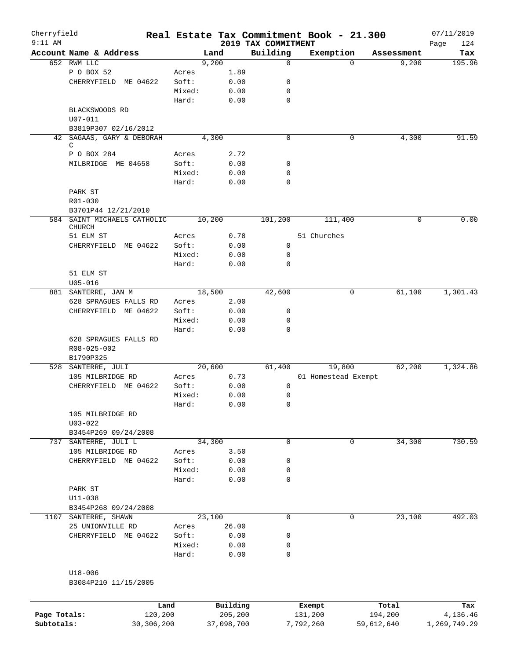| Cherryfield  |                             |        |          |                     | Real Estate Tax Commitment Book - 21.300 |            | 07/11/2019  |
|--------------|-----------------------------|--------|----------|---------------------|------------------------------------------|------------|-------------|
| $9:11$ AM    |                             |        |          | 2019 TAX COMMITMENT |                                          |            | Page<br>124 |
|              | Account Name & Address      |        | Land     | Building            | Exemption                                | Assessment | Tax         |
|              | 652 RWM LLC                 |        | 9,200    | $\mathbf 0$         | $\Omega$                                 | 9,200      | 195.96      |
|              | P O BOX 52                  | Acres  | 1.89     |                     |                                          |            |             |
|              | CHERRYFIELD ME 04622        | Soft:  | 0.00     | 0                   |                                          |            |             |
|              |                             | Mixed: | 0.00     | 0                   |                                          |            |             |
|              |                             | Hard:  | 0.00     | $\mathbf 0$         |                                          |            |             |
|              | BLACKSWOODS RD              |        |          |                     |                                          |            |             |
|              | $U07 - 011$                 |        |          |                     |                                          |            |             |
|              | B3819P307 02/16/2012        |        |          |                     |                                          |            |             |
| 42           | SAGAAS, GARY & DEBORAH      |        | 4,300    | $\mathbf 0$         | 0                                        | 4,300      | 91.59       |
|              | C                           |        |          |                     |                                          |            |             |
|              | P O BOX 284                 | Acres  | 2.72     |                     |                                          |            |             |
|              | MILBRIDGE ME 04658          | Soft:  | 0.00     | 0                   |                                          |            |             |
|              |                             | Mixed: | 0.00     | $\mathbf 0$         |                                          |            |             |
|              |                             | Hard:  | 0.00     | $\mathbf 0$         |                                          |            |             |
|              | PARK ST                     |        |          |                     |                                          |            |             |
|              | R01-030                     |        |          |                     |                                          |            |             |
|              | B3701P44 12/21/2010         |        |          |                     |                                          |            |             |
|              | 584 SAINT MICHAELS CATHOLIC |        | 10,200   | 101,200             | 111,400                                  | 0          | 0.00        |
|              | CHURCH                      |        |          |                     |                                          |            |             |
|              | 51 ELM ST                   | Acres  | 0.78     |                     | 51 Churches                              |            |             |
|              | CHERRYFIELD ME 04622        | Soft:  | 0.00     | 0                   |                                          |            |             |
|              |                             | Mixed: | 0.00     | 0                   |                                          |            |             |
|              |                             | Hard:  | 0.00     | $\Omega$            |                                          |            |             |
|              | 51 ELM ST                   |        |          |                     |                                          |            |             |
|              | $U05 - 016$                 |        |          |                     |                                          |            |             |
|              | 881 SANTERRE, JAN M         |        | 18,500   | 42,600              | 0                                        | 61,100     | 1,301.43    |
|              | 628 SPRAGUES FALLS RD       | Acres  | 2.00     |                     |                                          |            |             |
|              | CHERRYFIELD ME 04622        | Soft:  | 0.00     | 0                   |                                          |            |             |
|              |                             | Mixed: | 0.00     | 0                   |                                          |            |             |
|              |                             | Hard:  | 0.00     | $\mathbf 0$         |                                          |            |             |
|              | 628 SPRAGUES FALLS RD       |        |          |                     |                                          |            |             |
|              | R08-025-002                 |        |          |                     |                                          |            |             |
|              | B1790P325                   |        |          |                     |                                          |            |             |
|              | 528 SANTERRE, JULI          |        | 20,600   | 61,400              | 19,800                                   | 62,200     | 1,324.86    |
|              | 105 MILBRIDGE RD            | Acres  | 0.73     |                     | 01 Homestead Exempt                      |            |             |
|              |                             |        |          |                     |                                          |            |             |
|              | CHERRYFIELD ME 04622        | Soft:  | 0.00     | 0                   |                                          |            |             |
|              |                             | Mixed: | 0.00     | 0                   |                                          |            |             |
|              |                             | Hard:  | 0.00     | $\Omega$            |                                          |            |             |
|              | 105 MILBRIDGE RD            |        |          |                     |                                          |            |             |
|              | $U03 - 022$                 |        |          |                     |                                          |            |             |
|              | B3454P269 09/24/2008        |        |          |                     |                                          |            |             |
|              | 737 SANTERRE, JULI L        |        | 34,300   | 0                   | 0                                        | 34,300     | 730.59      |
|              | 105 MILBRIDGE RD            | Acres  | 3.50     |                     |                                          |            |             |
|              | CHERRYFIELD ME 04622        | Soft:  | 0.00     | 0                   |                                          |            |             |
|              |                             | Mixed: | 0.00     | 0                   |                                          |            |             |
|              |                             | Hard:  | 0.00     | 0                   |                                          |            |             |
|              | PARK ST                     |        |          |                     |                                          |            |             |
|              | U11-038                     |        |          |                     |                                          |            |             |
|              | B3454P268 09/24/2008        |        |          |                     |                                          |            |             |
|              | 1107 SANTERRE, SHAWN        |        | 23,100   | 0                   | 0                                        | 23,100     | 492.03      |
|              | 25 UNIONVILLE RD            | Acres  | 26.00    |                     |                                          |            |             |
|              | CHERRYFIELD ME 04622        | Soft:  | 0.00     | 0                   |                                          |            |             |
|              |                             | Mixed: | 0.00     | 0                   |                                          |            |             |
|              |                             |        |          | 0                   |                                          |            |             |
|              |                             | Hard:  | 0.00     |                     |                                          |            |             |
|              |                             |        |          |                     |                                          |            |             |
|              | U18-006                     |        |          |                     |                                          |            |             |
|              | B3084P210 11/15/2005        |        |          |                     |                                          |            |             |
|              |                             |        |          |                     |                                          |            |             |
|              |                             | Land   | Building |                     | Exempt                                   | Total      | Tax         |
| Page Totals: | 120,200                     |        | 205,200  |                     | 131,200                                  | 194,200    | 4,136.46    |

**Subtotals:** 30,306,200 37,098,700 7,792,260 59,612,640 1,269,749.29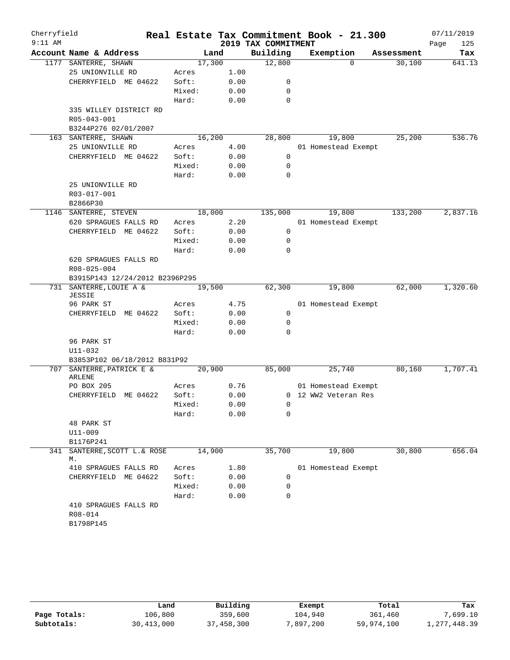| Cherryfield |                                             |                |              |                     | Real Estate Tax Commitment Book - 21.300 |            | 07/11/2019  |
|-------------|---------------------------------------------|----------------|--------------|---------------------|------------------------------------------|------------|-------------|
| $9:11$ AM   |                                             |                |              | 2019 TAX COMMITMENT |                                          |            | 125<br>Page |
|             | Account Name & Address                      | Land           |              | Building            | Exemption                                | Assessment | Tax         |
|             | 1177 SANTERRE, SHAWN                        | 17,300         |              | 12,800              | $\Omega$                                 | 30,100     | 641.13      |
|             | 25 UNIONVILLE RD                            | Acres          | 1.00         |                     |                                          |            |             |
|             | CHERRYFIELD ME 04622                        | Soft:          | 0.00         | 0                   |                                          |            |             |
|             |                                             | Mixed:         | 0.00         | $\mathbf 0$         |                                          |            |             |
|             |                                             | Hard:          | 0.00         | $\mathbf 0$         |                                          |            |             |
|             | 335 WILLEY DISTRICT RD                      |                |              |                     |                                          |            |             |
|             | R05-043-001                                 |                |              |                     |                                          |            |             |
|             | B3244P276 02/01/2007<br>163 SANTERRE, SHAWN | 16,200         |              | 28,800              | 19,800                                   | 25,200     | 536.76      |
|             | 25 UNIONVILLE RD                            | Acres          | 4.00         |                     | 01 Homestead Exempt                      |            |             |
|             | CHERRYFIELD ME 04622                        | Soft:          | 0.00         | 0                   |                                          |            |             |
|             |                                             | Mixed:         | 0.00         | $\mathbf 0$         |                                          |            |             |
|             |                                             | Hard:          | 0.00         | $\mathbf 0$         |                                          |            |             |
|             | 25 UNIONVILLE RD                            |                |              |                     |                                          |            |             |
|             | R03-017-001                                 |                |              |                     |                                          |            |             |
|             | B2866P30                                    |                |              |                     |                                          |            |             |
|             | 1146 SANTERRE, STEVEN                       | 18,000         |              | 135,000             | 19,800                                   | 133,200    | 2,837.16    |
|             | 620 SPRAGUES FALLS RD                       | Acres          | 2.20         |                     | 01 Homestead Exempt                      |            |             |
|             | CHERRYFIELD ME 04622                        | Soft:          | 0.00         | 0                   |                                          |            |             |
|             |                                             | Mixed:         | 0.00         | 0                   |                                          |            |             |
|             |                                             | Hard:          | 0.00         | 0                   |                                          |            |             |
|             | 620 SPRAGUES FALLS RD                       |                |              |                     |                                          |            |             |
|             | R08-025-004                                 |                |              |                     |                                          |            |             |
|             | B3915P143 12/24/2012 B2396P295              |                |              |                     |                                          |            |             |
| 731         | SANTERRE, LOUIE A &                         | 19,500         |              | 62,300              | 19,800                                   | 62,000     | 1,320.60    |
|             | <b>JESSIE</b>                               |                |              |                     |                                          |            |             |
|             | 96 PARK ST                                  | Acres          | 4.75         |                     | 01 Homestead Exempt                      |            |             |
|             | CHERRYFIELD ME 04622                        | Soft:          | 0.00         | $\mathbf 0$         |                                          |            |             |
|             |                                             | Mixed:         | 0.00         | 0                   |                                          |            |             |
|             |                                             | Hard:          | 0.00         | 0                   |                                          |            |             |
|             | 96 PARK ST                                  |                |              |                     |                                          |            |             |
|             | U11-032<br>B3853P102 06/18/2012 B831P92     |                |              |                     |                                          |            |             |
|             | 707 SANTERRE, PATRICK E &                   | 20,900         |              | 85,000              | 25,740                                   | 80,160     | 1,707.41    |
|             | ARLENE                                      |                |              |                     |                                          |            |             |
|             | PO BOX 205                                  | Acres          | 0.76         |                     | 01 Homestead Exempt                      |            |             |
|             | CHERRYFIELD ME 04622                        | Soft:          | 0.00         |                     | 0 12 WW2 Veteran Res                     |            |             |
|             |                                             | Mixed:         | 0.00         | 0                   |                                          |            |             |
|             |                                             | Hard:          | 0.00         | 0                   |                                          |            |             |
|             | 48 PARK ST                                  |                |              |                     |                                          |            |             |
|             | U11-009                                     |                |              |                     |                                          |            |             |
|             | B1176P241                                   |                |              |                     |                                          |            |             |
| 341         | SANTERRE, SCOTT L.& ROSE                    | 14,900         |              | 35,700              | 19,800                                   | 30,800     | 656.04      |
|             | М.                                          |                |              |                     |                                          |            |             |
|             | 410 SPRAGUES FALLS RD                       | Acres<br>Soft: | 1.80<br>0.00 | 0                   | 01 Homestead Exempt                      |            |             |
|             | CHERRYFIELD ME 04622                        | Mixed:         | 0.00         | 0                   |                                          |            |             |
|             |                                             | Hard:          | 0.00         | 0                   |                                          |            |             |
|             | 410 SPRAGUES FALLS RD                       |                |              |                     |                                          |            |             |
|             | R08-014                                     |                |              |                     |                                          |            |             |
|             | B1798P145                                   |                |              |                     |                                          |            |             |
|             |                                             |                |              |                     |                                          |            |             |

|              | Land         | Building   | Exempt    | Total      | Tax          |
|--------------|--------------|------------|-----------|------------|--------------|
| Page Totals: | 106,800      | 359,600    | 104,940   | 361,460    | 7,699.10     |
| Subtotals:   | 30, 413, 000 | 37,458,300 | 7,897,200 | 59,974,100 | 1,277,448.39 |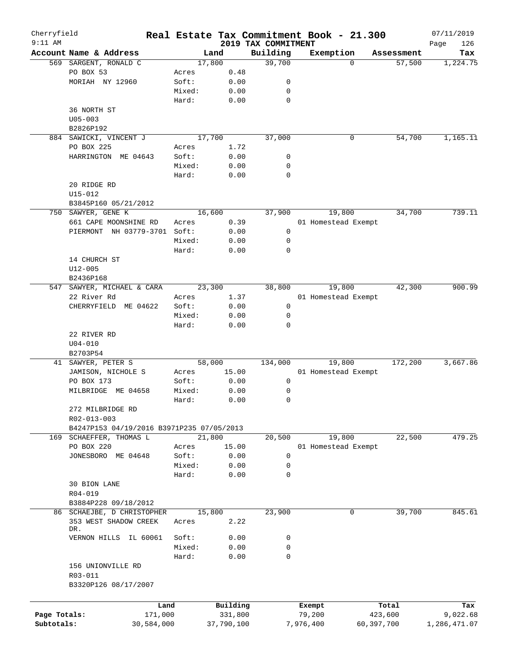| Cherryfield  |                                           |        |            |                                 | Real Estate Tax Commitment Book - 21.300 |            | 07/11/2019         |
|--------------|-------------------------------------------|--------|------------|---------------------------------|------------------------------------------|------------|--------------------|
| $9:11$ AM    | Account Name & Address                    |        | Land       | 2019 TAX COMMITMENT<br>Building | Exemption                                | Assessment | Page<br>126<br>Tax |
|              | 569 SARGENT, RONALD C                     |        | 17,800     | 39,700                          | $\Omega$                                 | 57,500     | 1,224.75           |
|              | PO BOX 53                                 | Acres  | 0.48       |                                 |                                          |            |                    |
|              | MORIAH NY 12960                           | Soft:  | 0.00       | 0                               |                                          |            |                    |
|              |                                           | Mixed: | 0.00       | 0                               |                                          |            |                    |
|              |                                           | Hard:  | 0.00       | 0                               |                                          |            |                    |
|              | 36 NORTH ST                               |        |            |                                 |                                          |            |                    |
|              | $U05 - 003$                               |        |            |                                 |                                          |            |                    |
|              | B2826P192                                 |        |            |                                 |                                          |            |                    |
|              | 884 SAWICKI, VINCENT J                    |        | 17,700     | 37,000                          | 0                                        | 54,700     | 1,165.11           |
|              | PO BOX 225                                |        | 1.72       |                                 |                                          |            |                    |
|              |                                           | Acres  |            |                                 |                                          |            |                    |
|              | HARRINGTON ME 04643                       | Soft:  | 0.00       | 0                               |                                          |            |                    |
|              |                                           | Mixed: | 0.00       | 0                               |                                          |            |                    |
|              |                                           | Hard:  | 0.00       | 0                               |                                          |            |                    |
|              | 20 RIDGE RD                               |        |            |                                 |                                          |            |                    |
|              | U15-012                                   |        |            |                                 |                                          |            |                    |
|              | B3845P160 05/21/2012                      |        |            |                                 |                                          |            |                    |
|              | 750 SAWYER, GENE K                        |        | 16,600     | 37,900                          | 19,800                                   | 34,700     | 739.11             |
|              | 661 CAPE MOONSHINE RD                     | Acres  | 0.39       |                                 | 01 Homestead Exempt                      |            |                    |
|              | PIERMONT NH 03779-3701                    | Soft:  | 0.00       | 0                               |                                          |            |                    |
|              |                                           | Mixed: | 0.00       | 0                               |                                          |            |                    |
|              |                                           | Hard:  | 0.00       | 0                               |                                          |            |                    |
|              | 14 CHURCH ST                              |        |            |                                 |                                          |            |                    |
|              | $U12 - 005$                               |        |            |                                 |                                          |            |                    |
|              | B2436P168                                 |        |            |                                 |                                          |            |                    |
| 547          | SAWYER, MICHAEL & CARA                    |        | 23,300     | 38,800                          | 19,800                                   | 42,300     | 900.99             |
|              | 22 River Rd                               | Acres  | 1.37       |                                 | 01 Homestead Exempt                      |            |                    |
|              | CHERRYFIELD<br>ME 04622                   | Soft:  | 0.00       | 0                               |                                          |            |                    |
|              |                                           | Mixed: |            |                                 |                                          |            |                    |
|              |                                           |        | 0.00       | 0                               |                                          |            |                    |
|              |                                           | Hard:  | 0.00       | 0                               |                                          |            |                    |
|              | 22 RIVER RD                               |        |            |                                 |                                          |            |                    |
|              | $U04 - 010$                               |        |            |                                 |                                          |            |                    |
|              | B2703P54                                  |        |            |                                 |                                          |            |                    |
|              | 41 SAWYER, PETER S                        |        | 58,000     | 134,000                         | 19,800                                   | 172,200    | 3,667.86           |
|              | JAMISON, NICHOLE S                        | Acres  | 15.00      |                                 | 01 Homestead Exempt                      |            |                    |
|              | PO BOX 173                                | Soft:  | 0.00       | 0                               |                                          |            |                    |
|              | MILBRIDGE<br>ME 04658                     | Mixed: | 0.00       | 0                               |                                          |            |                    |
|              |                                           | Hard:  | 0.00       | 0                               |                                          |            |                    |
|              | 272 MILBRIDGE RD                          |        |            |                                 |                                          |            |                    |
|              | R02-013-003                               |        |            |                                 |                                          |            |                    |
|              | B4247P153 04/19/2016 B3971P235 07/05/2013 |        |            |                                 |                                          |            |                    |
|              | 169 SCHAEFFER, THOMAS L                   |        | 21,800     | 20,500                          | 19,800                                   | 22,500     | 479.25             |
|              | PO BOX 220                                | Acres  | 15.00      |                                 | 01 Homestead Exempt                      |            |                    |
|              | JONESBORO ME 04648                        | Soft:  | 0.00       | 0                               |                                          |            |                    |
|              |                                           | Mixed: | 0.00       | 0                               |                                          |            |                    |
|              |                                           | Hard:  | 0.00       | $\mathbf 0$                     |                                          |            |                    |
|              | 30 BION LANE                              |        |            |                                 |                                          |            |                    |
|              | R04-019                                   |        |            |                                 |                                          |            |                    |
|              |                                           |        |            |                                 |                                          |            |                    |
|              | B3884P228 09/18/2012                      |        |            |                                 |                                          |            |                    |
|              | 86 SCHAEJBE, D CHRISTOPHER                |        | 15,800     | 23,900                          | 0                                        | 39,700     | 845.61             |
|              | 353 WEST SHADOW CREEK<br>DR.              | Acres  | 2.22       |                                 |                                          |            |                    |
|              |                                           | Soft:  | 0.00       |                                 |                                          |            |                    |
|              | VERNON HILLS<br>IL 60061                  | Mixed: |            | 0<br>0                          |                                          |            |                    |
|              |                                           |        | 0.00       |                                 |                                          |            |                    |
|              |                                           | Hard:  | 0.00       | 0                               |                                          |            |                    |
|              | 156 UNIONVILLE RD                         |        |            |                                 |                                          |            |                    |
|              | R03-011                                   |        |            |                                 |                                          |            |                    |
|              | B3320P126 08/17/2007                      |        |            |                                 |                                          |            |                    |
|              |                                           |        |            |                                 |                                          |            |                    |
|              |                                           | Land   | Building   |                                 | Exempt                                   | Total      | Tax                |
| Page Totals: | 171,000                                   |        | 331,800    |                                 | 79,200                                   | 423,600    | 9,022.68           |
| Subtotals:   | 30,584,000                                |        | 37,790,100 |                                 | 7,976,400                                | 60,397,700 | 1,286,471.07       |
|              |                                           |        |            |                                 |                                          |            |                    |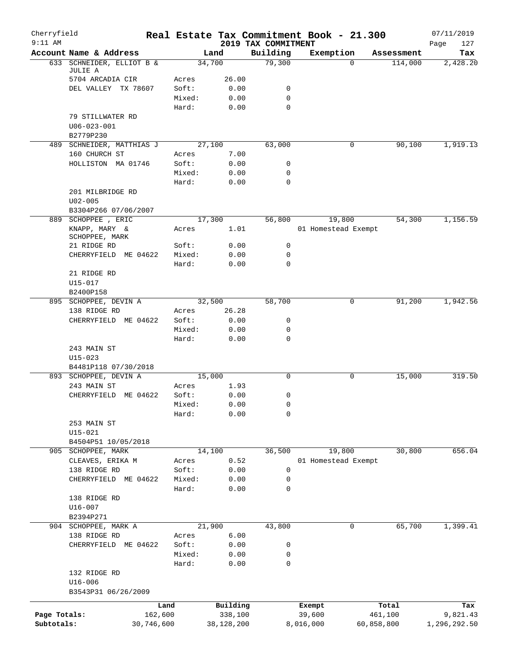| Cherryfield<br>$9:11$ AM |                                 |            |                 |              |                                 | Real Estate Tax Commitment Book - 21.300 |            |            | 07/11/2019         |
|--------------------------|---------------------------------|------------|-----------------|--------------|---------------------------------|------------------------------------------|------------|------------|--------------------|
|                          | Account Name & Address          |            |                 | Land         | 2019 TAX COMMITMENT<br>Building | Exemption                                |            | Assessment | 127<br>Page<br>Tax |
|                          | 633 SCHNEIDER, ELLIOT B &       |            |                 | 34,700       | 79,300                          |                                          | $\Omega$   | 114,000    | 2,428.20           |
|                          | JULIE A                         |            |                 |              |                                 |                                          |            |            |                    |
|                          | 5704 ARCADIA CIR                |            | Acres           | 26.00        |                                 |                                          |            |            |                    |
|                          | DEL VALLEY TX 78607             |            | Soft:           | 0.00         | 0                               |                                          |            |            |                    |
|                          |                                 |            | Mixed:<br>Hard: | 0.00<br>0.00 | 0<br>$\mathbf 0$                |                                          |            |            |                    |
|                          | 79 STILLWATER RD                |            |                 |              |                                 |                                          |            |            |                    |
|                          | $U06 - 023 - 001$               |            |                 |              |                                 |                                          |            |            |                    |
|                          | B2779P230                       |            |                 |              |                                 |                                          |            |            |                    |
|                          | 489 SCHNEIDER, MATTHIAS J       |            |                 | 27,100       | 63,000                          |                                          | 0          | 90,100     | 1,919.13           |
|                          | 160 CHURCH ST                   |            | Acres           | 7.00         |                                 |                                          |            |            |                    |
|                          | HOLLISTON MA 01746              |            | Soft:           | 0.00         | 0                               |                                          |            |            |                    |
|                          |                                 |            | Mixed:          | 0.00         | 0                               |                                          |            |            |                    |
|                          |                                 |            | Hard:           | 0.00         | $\mathbf 0$                     |                                          |            |            |                    |
|                          | 201 MILBRIDGE RD                |            |                 |              |                                 |                                          |            |            |                    |
|                          | $U02 - 005$                     |            |                 |              |                                 |                                          |            |            |                    |
|                          | B3304P266 07/06/2007            |            |                 |              |                                 |                                          |            |            |                    |
|                          | 889 SCHOPPEE, ERIC              |            |                 | 17,300       | 56,800                          | 19,800                                   |            | 54,300     | 1,156.59           |
|                          | KNAPP, MARY &<br>SCHOPPEE, MARK |            | Acres           | 1.01         |                                 | 01 Homestead Exempt                      |            |            |                    |
|                          | 21 RIDGE RD                     |            | Soft:           | 0.00         | 0                               |                                          |            |            |                    |
|                          | CHERRYFIELD ME 04622            |            | Mixed:          | 0.00         | 0                               |                                          |            |            |                    |
|                          |                                 |            | Hard:           | 0.00         | $\Omega$                        |                                          |            |            |                    |
|                          | 21 RIDGE RD                     |            |                 |              |                                 |                                          |            |            |                    |
|                          | U15-017                         |            |                 |              |                                 |                                          |            |            |                    |
|                          | B2400P158                       |            |                 |              |                                 |                                          |            |            |                    |
|                          | 895 SCHOPPEE, DEVIN A           |            |                 | 32,500       | 58,700                          |                                          | 0          | 91,200     | 1,942.56           |
|                          | 138 RIDGE RD                    |            | Acres           | 26.28        |                                 |                                          |            |            |                    |
|                          | CHERRYFIELD ME 04622            |            | Soft:           | 0.00         | 0                               |                                          |            |            |                    |
|                          |                                 |            | Mixed:<br>Hard: | 0.00<br>0.00 | 0<br>0                          |                                          |            |            |                    |
|                          | 243 MAIN ST                     |            |                 |              |                                 |                                          |            |            |                    |
|                          | $U15 - 023$                     |            |                 |              |                                 |                                          |            |            |                    |
|                          | B4481P118 07/30/2018            |            |                 |              |                                 |                                          |            |            |                    |
|                          | 893 SCHOPPEE, DEVIN A           |            |                 | 15,000       | 0                               |                                          | 0          | 15,000     | 319.50             |
|                          | 243 MAIN ST                     |            | Acres           | 1.93         |                                 |                                          |            |            |                    |
|                          | CHERRYFIELD ME 04622            |            | Soft:           | 0.00         | 0                               |                                          |            |            |                    |
|                          |                                 |            | Mixed:          | 0.00         | 0                               |                                          |            |            |                    |
|                          |                                 |            | Hard:           | 0.00         | 0                               |                                          |            |            |                    |
|                          | 253 MAIN ST                     |            |                 |              |                                 |                                          |            |            |                    |
|                          | $U15 - 021$                     |            |                 |              |                                 |                                          |            |            |                    |
|                          | B4504P51 10/05/2018             |            |                 |              |                                 |                                          |            |            |                    |
|                          | 905 SCHOPPEE, MARK              |            |                 | 14,100       | 36,500                          | 19,800                                   |            | 30,800     | 656.04             |
|                          | CLEAVES, ERIKA M                |            | Acres           | 0.52         |                                 | 01 Homestead Exempt                      |            |            |                    |
|                          | 138 RIDGE RD                    |            | Soft:           | 0.00         | 0                               |                                          |            |            |                    |
|                          | CHERRYFIELD ME 04622            |            | Mixed:          | 0.00         | 0                               |                                          |            |            |                    |
|                          |                                 |            | Hard:           | 0.00         | 0                               |                                          |            |            |                    |
|                          | 138 RIDGE RD                    |            |                 |              |                                 |                                          |            |            |                    |
|                          | $U16 - 007$<br>B2394P271        |            |                 |              |                                 |                                          |            |            |                    |
|                          | 904 SCHOPPEE, MARK A            |            |                 | 21,900       | 43,800                          |                                          | 0          | 65,700     | 1,399.41           |
|                          | 138 RIDGE RD                    |            | Acres           | 6.00         |                                 |                                          |            |            |                    |
|                          | CHERRYFIELD ME 04622            |            | Soft:           | 0.00         | 0                               |                                          |            |            |                    |
|                          |                                 |            | Mixed:          | 0.00         | 0                               |                                          |            |            |                    |
|                          |                                 |            | Hard:           | 0.00         | 0                               |                                          |            |            |                    |
|                          | 132 RIDGE RD                    |            |                 |              |                                 |                                          |            |            |                    |
|                          | $U16 - 006$                     |            |                 |              |                                 |                                          |            |            |                    |
|                          | B3543P31 06/26/2009             |            |                 |              |                                 |                                          |            |            |                    |
|                          |                                 | Land       |                 | Building     |                                 | Exempt                                   |            | Total      | Tax                |
| Page Totals:             |                                 | 162,600    |                 | 338,100      |                                 | 39,600                                   | 461,100    |            | 9,821.43           |
| Subtotals:               |                                 | 30,746,600 |                 | 38,128,200   |                                 | 8,016,000                                | 60,858,800 |            | 1,296,292.50       |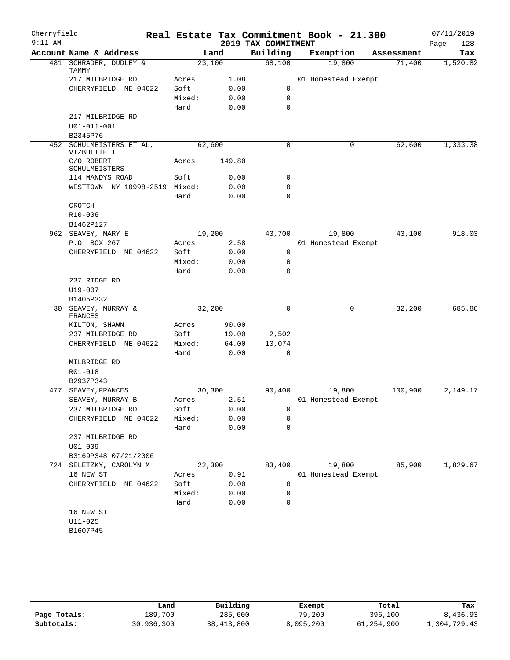| Cherryfield<br>$9:11$ AM |                                         |        |        | 2019 TAX COMMITMENT | Real Estate Tax Commitment Book - 21.300 |            | 07/11/2019<br>128<br>Page |
|--------------------------|-----------------------------------------|--------|--------|---------------------|------------------------------------------|------------|---------------------------|
|                          | Account Name & Address                  |        | Land   | Building            | Exemption                                | Assessment | Tax                       |
|                          | 481 SCHRADER, DUDLEY &<br>TAMMY         | 23,100 |        | 68,100              | 19,800                                   | 71,400     | 1,520.82                  |
|                          | 217 MILBRIDGE RD                        | Acres  | 1.08   |                     | 01 Homestead Exempt                      |            |                           |
|                          | CHERRYFIELD ME 04622                    | Soft:  | 0.00   | 0                   |                                          |            |                           |
|                          |                                         | Mixed: | 0.00   | 0                   |                                          |            |                           |
|                          |                                         | Hard:  | 0.00   | $\mathbf 0$         |                                          |            |                           |
|                          | 217 MILBRIDGE RD                        |        |        |                     |                                          |            |                           |
|                          | U01-011-001                             |        |        |                     |                                          |            |                           |
|                          | B2345P76                                |        |        |                     |                                          |            |                           |
|                          | 452 SCHULMEISTERS ET AL,<br>VIZBULITE I | 62,600 |        | $\mathbf 0$         | 0                                        | 62,600     | 1,333.38                  |
|                          | C/O ROBERT<br>SCHULMEISTERS             | Acres  | 149.80 |                     |                                          |            |                           |
|                          | 114 MANDYS ROAD                         | Soft:  | 0.00   | 0                   |                                          |            |                           |
|                          | WESTTOWN NY 10998-2519 Mixed:           |        | 0.00   | 0                   |                                          |            |                           |
|                          |                                         | Hard:  | 0.00   | 0                   |                                          |            |                           |
|                          | CROTCH                                  |        |        |                     |                                          |            |                           |
|                          | R10-006                                 |        |        |                     |                                          |            |                           |
|                          | B1462P127                               |        |        |                     |                                          |            |                           |
|                          | 962 SEAVEY, MARY E                      | 19,200 |        | 43,700              | 19,800                                   | 43,100     | 918.03                    |
|                          | P.O. BOX 267                            | Acres  | 2.58   |                     | 01 Homestead Exempt                      |            |                           |
|                          | CHERRYFIELD ME 04622                    | Soft:  | 0.00   | 0                   |                                          |            |                           |
|                          |                                         | Mixed: | 0.00   | 0                   |                                          |            |                           |
|                          |                                         | Hard:  | 0.00   | $\mathbf 0$         |                                          |            |                           |
|                          | 237 RIDGE RD<br>U19-007                 |        |        |                     |                                          |            |                           |
|                          | B1405P332                               |        |        |                     |                                          |            |                           |
| 30                       | SEAVEY, MURRAY &                        | 32,200 |        | 0                   | 0                                        | 32,200     | 685.86                    |
|                          | FRANCES                                 |        |        |                     |                                          |            |                           |
|                          | KILTON, SHAWN                           | Acres  | 90.00  |                     |                                          |            |                           |
|                          | 237 MILBRIDGE RD                        | Soft:  | 19.00  | 2,502               |                                          |            |                           |
|                          | CHERRYFIELD ME 04622                    | Mixed: | 64.00  | 10,074              |                                          |            |                           |
|                          |                                         | Hard:  | 0.00   | 0                   |                                          |            |                           |
|                          | MILBRIDGE RD                            |        |        |                     |                                          |            |                           |
|                          | R01-018                                 |        |        |                     |                                          |            |                           |
|                          | B2937P343                               |        |        |                     |                                          |            |                           |
|                          | 477 SEAVEY, FRANCES                     | 30,300 |        | 90,400              | 19,800                                   | 100,900    | 2,149.17                  |
|                          | SEAVEY, MURRAY B                        | Acres  | 2.51   |                     | 01 Homestead Exempt                      |            |                           |
|                          | 237 MILBRIDGE RD                        | Soft:  | 0.00   | 0                   |                                          |            |                           |
|                          | CHERRYFIELD ME 04622                    | Mixed: | 0.00   | 0                   |                                          |            |                           |
|                          | 237 MILBRIDGE RD                        | Hard:  | 0.00   | 0                   |                                          |            |                           |
|                          | $U01 - 009$                             |        |        |                     |                                          |            |                           |
|                          | B3169P348 07/21/2006                    |        |        |                     |                                          |            |                           |
|                          | 724 SELETZKY, CAROLYN M                 | 22,300 |        | 83,400              | 19,800                                   | 85,900     | 1,829.67                  |
|                          | 16 NEW ST                               | Acres  | 0.91   |                     | 01 Homestead Exempt                      |            |                           |
|                          | CHERRYFIELD ME 04622                    | Soft:  | 0.00   | 0                   |                                          |            |                           |
|                          |                                         | Mixed: | 0.00   | 0                   |                                          |            |                           |
|                          |                                         | Hard:  | 0.00   | 0                   |                                          |            |                           |
|                          | 16 NEW ST                               |        |        |                     |                                          |            |                           |
|                          | $U11 - 025$                             |        |        |                     |                                          |            |                           |
|                          | B1607P45                                |        |        |                     |                                          |            |                           |
|                          |                                         |        |        |                     |                                          |            |                           |
|                          |                                         |        |        |                     |                                          |            |                           |

|              | Land       | Building   | Exempt    | Total      | Tax          |
|--------------|------------|------------|-----------|------------|--------------|
| Page Totals: | 189,700    | 285,600    | 79,200    | 396,100    | 8,436.93     |
| Subtotals:   | 30,936,300 | 38,413,800 | 8,095,200 | 61,254,900 | 1,304,729.43 |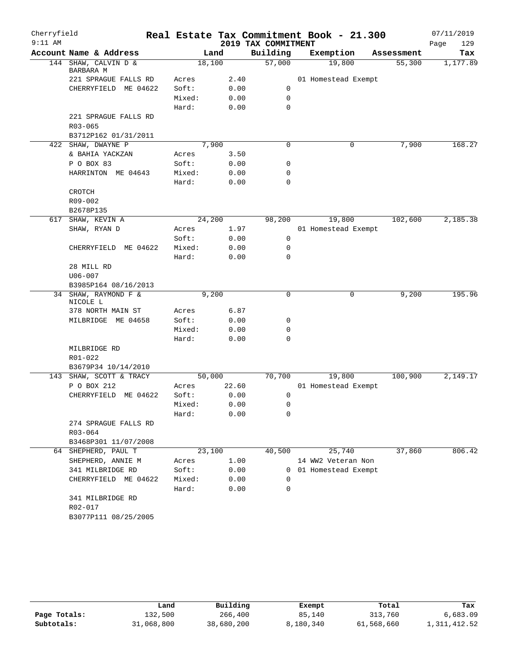| Cherryfield<br>$9:11$ AM |                                              |        |       | 2019 TAX COMMITMENT | Real Estate Tax Commitment Book - 21.300 |            | 07/11/2019<br>Page<br>129 |
|--------------------------|----------------------------------------------|--------|-------|---------------------|------------------------------------------|------------|---------------------------|
|                          | Account Name & Address                       | Land   |       | Building            | Exemption                                | Assessment | Tax                       |
|                          | 144 SHAW, CALVIN D &<br>BARBARA M            | 18,100 |       | 57,000              | 19,800                                   | 55,300     | 1,177.89                  |
|                          | 221 SPRAGUE FALLS RD                         | Acres  | 2.40  |                     | 01 Homestead Exempt                      |            |                           |
|                          | CHERRYFIELD ME 04622                         | Soft:  | 0.00  | 0                   |                                          |            |                           |
|                          |                                              | Mixed: | 0.00  | $\mathbf 0$         |                                          |            |                           |
|                          |                                              | Hard:  | 0.00  | 0                   |                                          |            |                           |
|                          | 221 SPRAGUE FALLS RD                         |        |       |                     |                                          |            |                           |
|                          | $R03 - 065$                                  |        |       |                     |                                          |            |                           |
|                          | B3712P162 01/31/2011                         |        |       |                     |                                          |            |                           |
|                          | 422 SHAW, DWAYNE P                           | 7,900  |       | 0                   | 0                                        | 7,900      | 168.27                    |
|                          | & BAHIA YACKZAN                              | Acres  | 3.50  |                     |                                          |            |                           |
|                          | P O BOX 83                                   | Soft:  | 0.00  | 0                   |                                          |            |                           |
|                          | HARRINTON ME 04643                           | Mixed: | 0.00  | 0                   |                                          |            |                           |
|                          |                                              | Hard:  | 0.00  | 0                   |                                          |            |                           |
|                          | CROTCH                                       |        |       |                     |                                          |            |                           |
|                          | R09-002                                      |        |       |                     |                                          |            |                           |
|                          | B2678P135                                    |        |       |                     |                                          |            |                           |
|                          | 617 SHAW, KEVIN A                            | 24,200 |       | 98,200              | 19,800                                   | 102,600    | 2,185.38                  |
|                          | SHAW, RYAN D                                 | Acres  | 1.97  |                     | 01 Homestead Exempt                      |            |                           |
|                          |                                              | Soft:  | 0.00  | 0                   |                                          |            |                           |
|                          | CHERRYFIELD ME 04622                         | Mixed: | 0.00  | 0                   |                                          |            |                           |
|                          |                                              | Hard:  | 0.00  | 0                   |                                          |            |                           |
|                          | 28 MILL RD                                   |        |       |                     |                                          |            |                           |
|                          | $U06 - 007$                                  |        |       |                     |                                          |            |                           |
|                          | B3985P164 08/16/2013<br>34 SHAW, RAYMOND F & |        |       | 0                   | 0                                        | 9,200      | 195.96                    |
|                          | NICOLE L                                     | 9,200  |       |                     |                                          |            |                           |
|                          | 378 NORTH MAIN ST                            | Acres  | 6.87  |                     |                                          |            |                           |
|                          | MILBRIDGE<br>ME 04658                        | Soft:  | 0.00  | 0                   |                                          |            |                           |
|                          |                                              | Mixed: | 0.00  | 0                   |                                          |            |                           |
|                          |                                              | Hard:  | 0.00  | $\mathbf 0$         |                                          |            |                           |
|                          | MILBRIDGE RD                                 |        |       |                     |                                          |            |                           |
|                          | R01-022                                      |        |       |                     |                                          |            |                           |
|                          | B3679P34 10/14/2010                          |        |       |                     |                                          |            |                           |
|                          | 143 SHAW, SCOTT & TRACY                      | 50,000 |       | 70,700              | 19,800                                   | 100,900    | 2,149.17                  |
|                          | P O BOX 212                                  | Acres  | 22.60 |                     | 01 Homestead Exempt                      |            |                           |
|                          | CHERRYFIELD ME 04622                         | Soft:  | 0.00  | 0                   |                                          |            |                           |
|                          |                                              | Mixed: | 0.00  | 0                   |                                          |            |                           |
|                          |                                              | Hard:  | 0.00  | 0                   |                                          |            |                           |
|                          | 274 SPRAGUE FALLS RD                         |        |       |                     |                                          |            |                           |
|                          | R03-064                                      |        |       |                     |                                          |            |                           |
|                          | B3468P301 11/07/2008                         |        |       |                     |                                          |            |                           |
|                          | 64 SHEPHERD, PAUL T                          | 23,100 |       | 40,500              | 25,740                                   | 37,860     | 806.42                    |
|                          | SHEPHERD, ANNIE M                            | Acres  | 1.00  |                     | 14 WW2 Veteran Non                       |            |                           |
|                          | 341 MILBRIDGE RD                             | Soft:  | 0.00  |                     | 0 01 Homestead Exempt                    |            |                           |
|                          | CHERRYFIELD ME 04622                         | Mixed: | 0.00  | 0                   |                                          |            |                           |
|                          |                                              | Hard:  | 0.00  | 0                   |                                          |            |                           |
|                          | 341 MILBRIDGE RD                             |        |       |                     |                                          |            |                           |
|                          | R02-017                                      |        |       |                     |                                          |            |                           |
|                          | B3077P111 08/25/2005                         |        |       |                     |                                          |            |                           |

|              | Land       | Building   | Exempt    | Total      | Tax          |
|--------------|------------|------------|-----------|------------|--------------|
| Page Totals: | 132,500    | 266,400    | 85,140    | 313,760    | 6,683.09     |
| Subtotals:   | 31,068,800 | 38,680,200 | 8,180,340 | 61,568,660 | 1,311,412.52 |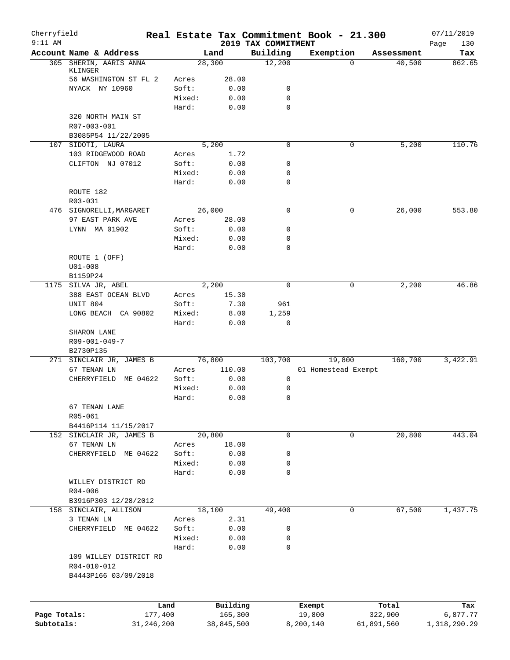| Cherryfield<br>$9:11$ AM |                                         |                 |                  | 2019 TAX COMMITMENT | Real Estate Tax Commitment Book - 21.300 |          |            | 07/11/2019         |
|--------------------------|-----------------------------------------|-----------------|------------------|---------------------|------------------------------------------|----------|------------|--------------------|
|                          | Account Name & Address                  |                 | Land             | Building            | Exemption                                |          | Assessment | Page<br>130<br>Tax |
|                          | 305 SHERIN, AARIS ANNA                  |                 | 28,300           | 12,200              |                                          | $\Omega$ | 40,500     | 862.65             |
|                          | KLINGER                                 |                 |                  |                     |                                          |          |            |                    |
|                          | 56 WASHINGTON ST FL 2<br>NYACK NY 10960 | Acres<br>Soft:  | 28.00<br>0.00    | 0                   |                                          |          |            |                    |
|                          |                                         | Mixed:          | 0.00             | 0                   |                                          |          |            |                    |
|                          |                                         | Hard:           | 0.00             | 0                   |                                          |          |            |                    |
|                          | 320 NORTH MAIN ST                       |                 |                  |                     |                                          |          |            |                    |
|                          | R07-003-001                             |                 |                  |                     |                                          |          |            |                    |
|                          | B3085P54 11/22/2005                     |                 |                  |                     |                                          |          |            |                    |
|                          | 107 SIDOTI, LAURA                       |                 | 5,200            | 0                   |                                          | 0        | 5,200      | 110.76             |
|                          | 103 RIDGEWOOD ROAD                      | Acres           | 1.72             |                     |                                          |          |            |                    |
|                          | CLIFTON NJ 07012                        | Soft:           | 0.00             | 0                   |                                          |          |            |                    |
|                          |                                         | Mixed:<br>Hard: | 0.00<br>0.00     | 0<br>0              |                                          |          |            |                    |
|                          | ROUTE 182                               |                 |                  |                     |                                          |          |            |                    |
|                          | R03-031                                 |                 |                  |                     |                                          |          |            |                    |
|                          | 476 SIGNORELLI, MARGARET                |                 | 26,000           | 0                   |                                          | 0        | 26,000     | 553.80             |
|                          | 97 EAST PARK AVE                        | Acres           | 28.00            |                     |                                          |          |            |                    |
|                          | LYNN MA 01902                           | Soft:           | 0.00             | 0                   |                                          |          |            |                    |
|                          |                                         | Mixed:          | 0.00             | 0                   |                                          |          |            |                    |
|                          |                                         | Hard:           | 0.00             | $\mathbf 0$         |                                          |          |            |                    |
|                          | ROUTE 1 (OFF)                           |                 |                  |                     |                                          |          |            |                    |
|                          | $U01 - 008$                             |                 |                  |                     |                                          |          |            |                    |
|                          | B1159P24<br>1175 SILVA JR, ABEL         |                 | 2,200            | $\Omega$            |                                          | 0        | 2,200      | 46.86              |
|                          | 388 EAST OCEAN BLVD                     | Acres           | 15.30            |                     |                                          |          |            |                    |
|                          | UNIT 804                                | Soft:           | 7.30             | 961                 |                                          |          |            |                    |
|                          | LONG BEACH CA 90802                     | Mixed:          | 8.00             | 1,259               |                                          |          |            |                    |
|                          |                                         | Hard:           | 0.00             | 0                   |                                          |          |            |                    |
|                          | SHARON LANE                             |                 |                  |                     |                                          |          |            |                    |
|                          | R09-001-049-7                           |                 |                  |                     |                                          |          |            |                    |
|                          | B2730P135                               |                 |                  |                     | 19,800                                   |          |            | 3,422.91           |
|                          | 271 SINCLAIR JR, JAMES B<br>67 TENAN LN | Acres           | 76,800<br>110.00 | 103,700             | 01 Homestead Exempt                      |          | 160,700    |                    |
|                          | CHERRYFIELD ME 04622                    | Soft:           | 0.00             | $\mathsf{O}$        |                                          |          |            |                    |
|                          |                                         | Mixed:          | 0.00             | 0                   |                                          |          |            |                    |
|                          |                                         | Hard:           | 0.00             | 0                   |                                          |          |            |                    |
|                          | 67 TENAN LANE                           |                 |                  |                     |                                          |          |            |                    |
|                          | $R05 - 061$                             |                 |                  |                     |                                          |          |            |                    |
|                          | B4416P114 11/15/2017                    |                 |                  |                     |                                          |          |            |                    |
|                          | 152 SINCLAIR JR, JAMES B                |                 | 20,800           | 0                   |                                          | 0        | 20,800     | 443.04             |
|                          | 67 TENAN LN                             | Acres           | 18.00            |                     |                                          |          |            |                    |
|                          | CHERRYFIELD<br>ME 04622                 | Soft:<br>Mixed: | 0.00<br>0.00     | 0<br>0              |                                          |          |            |                    |
|                          |                                         | Hard:           | 0.00             | 0                   |                                          |          |            |                    |
|                          | WILLEY DISTRICT RD                      |                 |                  |                     |                                          |          |            |                    |
|                          | $R04 - 006$                             |                 |                  |                     |                                          |          |            |                    |
|                          | B3916P303 12/28/2012                    |                 |                  |                     |                                          |          |            |                    |
|                          | 158 SINCLAIR, ALLISON                   |                 | 18,100           | 49,400              |                                          | 0        | 67,500     | 1,437.75           |
|                          | 3 TENAN LN                              | Acres           | 2.31             |                     |                                          |          |            |                    |
|                          | CHERRYFIELD ME 04622                    | Soft:           | 0.00             | 0                   |                                          |          |            |                    |
|                          |                                         | Mixed:          | 0.00             | 0                   |                                          |          |            |                    |
|                          | 109 WILLEY DISTRICT RD                  | Hard:           | 0.00             | 0                   |                                          |          |            |                    |
|                          | R04-010-012                             |                 |                  |                     |                                          |          |            |                    |
|                          | B4443P166 03/09/2018                    |                 |                  |                     |                                          |          |            |                    |
|                          |                                         |                 |                  |                     |                                          |          |            |                    |
|                          | Land                                    |                 | Building         |                     | Exempt                                   |          | Total      | Tax                |
| Page Totals:             | 177,400                                 |                 | 165,300          |                     | 19,800                                   |          | 322,900    | 6,877.77           |
| Subtotals:               | 31,246,200                              |                 | 38,845,500       |                     | 8,200,140                                |          | 61,891,560 | 1,318,290.29       |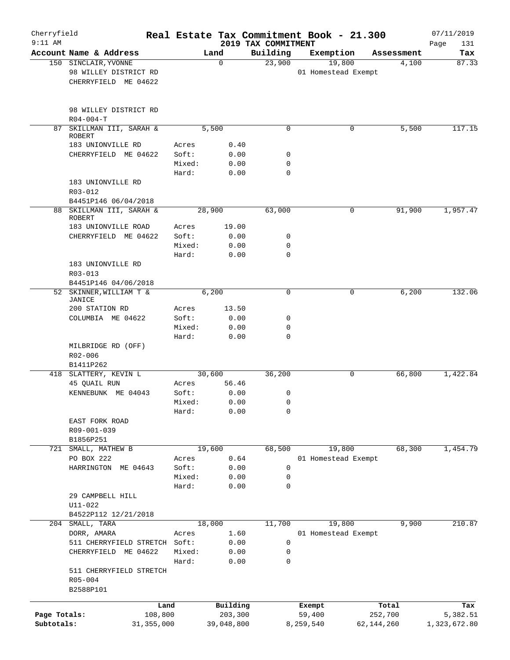| Cherryfield<br>$9:11$ AM |                                                 |                |                 | 2019 TAX COMMITMENT | Real Estate Tax Commitment Book - 21.300 |            | 07/11/2019         |
|--------------------------|-------------------------------------------------|----------------|-----------------|---------------------|------------------------------------------|------------|--------------------|
|                          | Account Name & Address                          |                | Land            | Building            | Exemption                                | Assessment | Page<br>131<br>Tax |
|                          | 150 SINCLAIR, YVONNE                            |                | 0               | 23,900              | 19,800                                   | 4,100      | 87.33              |
|                          | 98 WILLEY DISTRICT RD<br>CHERRYFIELD ME 04622   |                |                 |                     | 01 Homestead Exempt                      |            |                    |
|                          | 98 WILLEY DISTRICT RD                           |                |                 |                     |                                          |            |                    |
|                          | $R04 - 004 - T$                                 |                |                 |                     |                                          |            |                    |
| 87                       | SKILLMAN III, SARAH &<br><b>ROBERT</b>          |                | 5,500           | $\mathbf 0$         | 0                                        | 5,500      | 117.15             |
|                          | 183 UNIONVILLE RD                               | Acres          | 0.40            |                     |                                          |            |                    |
|                          | CHERRYFIELD ME 04622                            | Soft:          | 0.00            | 0                   |                                          |            |                    |
|                          |                                                 | Mixed:         | 0.00            | $\mathbf 0$         |                                          |            |                    |
|                          |                                                 | Hard:          | 0.00            | $\mathbf 0$         |                                          |            |                    |
|                          | 183 UNIONVILLE RD<br>R03-012                    |                |                 |                     |                                          |            |                    |
|                          | B4451P146 06/04/2018                            |                |                 |                     |                                          |            |                    |
|                          | 88 SKILLMAN III, SARAH &<br><b>ROBERT</b>       |                | 28,900          | 63,000              | 0                                        | 91,900     | 1,957.47           |
|                          | 183 UNIONVILLE ROAD                             | Acres          | 19.00           |                     |                                          |            |                    |
|                          | CHERRYFIELD ME 04622                            | Soft:          | 0.00            | 0                   |                                          |            |                    |
|                          |                                                 | Mixed:         | 0.00            | 0                   |                                          |            |                    |
|                          |                                                 | Hard:          | 0.00            | $\mathbf 0$         |                                          |            |                    |
|                          | 183 UNIONVILLE RD                               |                |                 |                     |                                          |            |                    |
|                          | $R03 - 013$                                     |                |                 |                     |                                          |            |                    |
|                          | B4451P146 04/06/2018<br>52 SKINNER, WILLIAM T & |                | 6,200           | $\mathbf 0$         | 0                                        | 6,200      | 132.06             |
|                          | JANICE                                          |                |                 |                     |                                          |            |                    |
|                          | 200 STATION RD                                  | Acres          | 13.50           |                     |                                          |            |                    |
|                          | COLUMBIA ME 04622                               | Soft:          | 0.00            | 0                   |                                          |            |                    |
|                          |                                                 | Mixed:         | 0.00            | $\mathbf 0$         |                                          |            |                    |
|                          |                                                 | Hard:          | 0.00            | $\mathbf 0$         |                                          |            |                    |
|                          | MILBRIDGE RD (OFF)                              |                |                 |                     |                                          |            |                    |
|                          | R02-006                                         |                |                 |                     |                                          |            |                    |
|                          | B1411P262                                       |                |                 |                     |                                          |            |                    |
|                          | 418 SLATTERY, KEVIN L<br>45 QUAIL RUN           |                | 30,600<br>56.46 | 36,200              | 0                                        | 66,800     | 1,422.84           |
|                          | KENNEBUNK ME 04043                              | Acres<br>Soft: | 0.00            | 0                   |                                          |            |                    |
|                          |                                                 | Mixed:         | 0.00            | 0                   |                                          |            |                    |
|                          |                                                 | Hard:          | 0.00            | $\mathbf 0$         |                                          |            |                    |
|                          | EAST FORK ROAD                                  |                |                 |                     |                                          |            |                    |
|                          | R09-001-039                                     |                |                 |                     |                                          |            |                    |
|                          | B1856P251                                       |                |                 |                     |                                          |            |                    |
|                          | 721 SMALL, MATHEW B                             |                | 19,600          | 68,500              | 19,800                                   | 68,300     | 1,454.79           |
|                          | PO BOX 222                                      | Acres          | 0.64            |                     | 01 Homestead Exempt                      |            |                    |
|                          | HARRINGTON ME 04643                             | Soft:          | 0.00            | $\mathbf 0$         |                                          |            |                    |
|                          |                                                 | Mixed:         | 0.00            | 0                   |                                          |            |                    |
|                          |                                                 | Hard:          | 0.00            | 0                   |                                          |            |                    |
|                          | 29 CAMPBELL HILL                                |                |                 |                     |                                          |            |                    |
|                          | $U11 - 022$                                     |                |                 |                     |                                          |            |                    |
|                          | B4522P112 12/21/2018<br>204 SMALL, TARA         |                | 18,000          | 11,700              | 19,800                                   | 9,900      | 210.87             |
|                          | DORR, AMARA                                     | Acres          | 1.60            |                     | 01 Homestead Exempt                      |            |                    |
|                          | 511 CHERRYFIELD STRETCH Soft:                   |                | 0.00            | $\mathbf 0$         |                                          |            |                    |
|                          | CHERRYFIELD ME 04622                            | Mixed:         | 0.00            | 0                   |                                          |            |                    |
|                          |                                                 | Hard:          | 0.00            | $\mathbf 0$         |                                          |            |                    |
|                          | 511 CHERRYFIELD STRETCH                         |                |                 |                     |                                          |            |                    |
|                          | $R05 - 004$                                     |                |                 |                     |                                          |            |                    |
|                          | B2588P101                                       |                |                 |                     |                                          |            |                    |
|                          |                                                 | Land           | Building        |                     | Exempt                                   | Total      | Tax                |
| Page Totals:             | 108,800                                         |                | 203,300         |                     | 59,400                                   | 252,700    | 5,382.51           |
| Subtotals:               | 31, 355, 000                                    |                | 39,048,800      |                     | 8,259,540                                | 62,144,260 | 1,323,672.80       |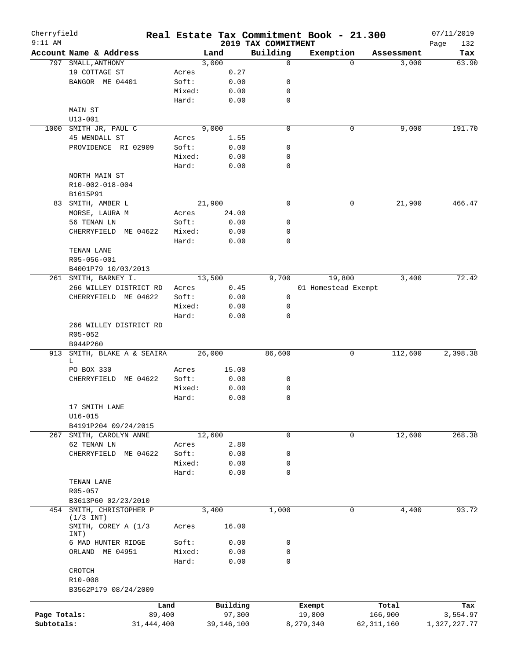| Cherryfield<br>$9:11$ AM |                                                   |              |        |        |            | Real Estate Tax Commitment Book - 21.300<br>2019 TAX COMMITMENT |                     |          |              | 07/11/2019<br>132<br>Page |
|--------------------------|---------------------------------------------------|--------------|--------|--------|------------|-----------------------------------------------------------------|---------------------|----------|--------------|---------------------------|
|                          | Account Name & Address                            |              |        | Land   |            | Building                                                        | Exemption           |          | Assessment   | Tax                       |
| 797                      | SMALL, ANTHONY                                    |              |        | 3,000  |            | $\mathbf 0$                                                     |                     | $\Omega$ | 3,000        | 63.90                     |
|                          | 19 COTTAGE ST                                     |              | Acres  |        | 0.27       |                                                                 |                     |          |              |                           |
|                          | BANGOR ME 04401                                   |              | Soft:  |        | 0.00       | 0                                                               |                     |          |              |                           |
|                          |                                                   |              | Mixed: |        | 0.00       | 0                                                               |                     |          |              |                           |
|                          |                                                   |              | Hard:  |        | 0.00       | 0                                                               |                     |          |              |                           |
|                          | MAIN ST                                           |              |        |        |            |                                                                 |                     |          |              |                           |
|                          | $U13 - 001$                                       |              |        |        |            |                                                                 |                     |          |              |                           |
| 1000                     | SMITH JR, PAUL C                                  |              |        | 9,000  |            | $\mathbf 0$                                                     |                     | 0        | 9,000        | 191.70                    |
|                          | 45 WENDALL ST                                     |              | Acres  |        | 1.55       |                                                                 |                     |          |              |                           |
|                          | PROVIDENCE RI 02909                               |              | Soft:  |        | 0.00       | 0                                                               |                     |          |              |                           |
|                          |                                                   |              | Mixed: |        | 0.00       | 0                                                               |                     |          |              |                           |
|                          |                                                   |              | Hard:  |        | 0.00       | $\mathbf 0$                                                     |                     |          |              |                           |
|                          | NORTH MAIN ST                                     |              |        |        |            |                                                                 |                     |          |              |                           |
|                          | R10-002-018-004                                   |              |        |        |            |                                                                 |                     |          |              |                           |
|                          | B1615P91                                          |              |        |        |            |                                                                 |                     |          |              |                           |
|                          |                                                   |              |        |        |            | $\mathbf 0$                                                     |                     | 0        |              | 466.47                    |
|                          | 83 SMITH, AMBER L                                 |              |        | 21,900 |            |                                                                 |                     |          | 21,900       |                           |
|                          | MORSE, LAURA M                                    |              | Acres  |        | 24.00      |                                                                 |                     |          |              |                           |
|                          | 56 TENAN LN                                       |              | Soft:  |        | 0.00       | 0                                                               |                     |          |              |                           |
|                          | CHERRYFIELD<br>ME 04622                           |              | Mixed: |        | 0.00       | 0                                                               |                     |          |              |                           |
|                          |                                                   |              | Hard:  |        | 0.00       | $\mathbf 0$                                                     |                     |          |              |                           |
|                          | TENAN LANE                                        |              |        |        |            |                                                                 |                     |          |              |                           |
|                          | R05-056-001                                       |              |        |        |            |                                                                 |                     |          |              |                           |
|                          | B4001P79 10/03/2013                               |              |        |        |            |                                                                 |                     |          |              |                           |
|                          | 261 SMITH, BARNEY I.                              |              |        | 13,500 |            | 9,700                                                           |                     | 19,800   | 3,400        | 72.42                     |
|                          | 266 WILLEY DISTRICT RD                            |              | Acres  |        | 0.45       |                                                                 | 01 Homestead Exempt |          |              |                           |
|                          | CHERRYFIELD ME 04622                              |              | Soft:  |        | 0.00       | 0                                                               |                     |          |              |                           |
|                          |                                                   |              | Mixed: |        | 0.00       | 0                                                               |                     |          |              |                           |
|                          |                                                   |              | Hard:  |        | 0.00       | $\mathbf 0$                                                     |                     |          |              |                           |
|                          | 266 WILLEY DISTRICT RD<br>$R05 - 052$<br>B944P260 |              |        |        |            |                                                                 |                     |          |              |                           |
| 913                      | SMITH, BLAKE A & SEAIRA                           |              |        | 26,000 |            | 86,600                                                          |                     | 0        | 112,600      | 2,398.38                  |
|                          | L                                                 |              |        |        |            |                                                                 |                     |          |              |                           |
|                          | PO BOX 330                                        |              | Acres  |        | 15.00      |                                                                 |                     |          |              |                           |
|                          | CHERRYFIELD ME 04622                              |              | Soft:  |        | 0.00       | 0                                                               |                     |          |              |                           |
|                          |                                                   |              | Mixed: |        | 0.00       | 0                                                               |                     |          |              |                           |
|                          |                                                   |              | Hard:  |        | 0.00       | 0                                                               |                     |          |              |                           |
|                          | 17 SMITH LANE                                     |              |        |        |            |                                                                 |                     |          |              |                           |
|                          | $U16 - 015$                                       |              |        |        |            |                                                                 |                     |          |              |                           |
|                          | B4191P204 09/24/2015                              |              |        |        |            |                                                                 |                     |          |              |                           |
|                          | 267 SMITH, CAROLYN ANNE                           |              |        | 12,600 |            | $\mathsf{O}$                                                    |                     | 0        | 12,600       | 268.38                    |
|                          | 62 TENAN LN                                       |              | Acres  |        | 2.80       |                                                                 |                     |          |              |                           |
|                          | CHERRYFIELD ME 04622                              |              | Soft:  |        | 0.00       | 0                                                               |                     |          |              |                           |
|                          |                                                   |              | Mixed: |        | 0.00       | 0                                                               |                     |          |              |                           |
|                          |                                                   |              | Hard:  |        | 0.00       | $\mathbf 0$                                                     |                     |          |              |                           |
|                          | TENAN LANE                                        |              |        |        |            |                                                                 |                     |          |              |                           |
|                          | R05-057                                           |              |        |        |            |                                                                 |                     |          |              |                           |
|                          | B3613P60 02/23/2010                               |              |        |        |            |                                                                 |                     |          |              |                           |
|                          | 454 SMITH, CHRISTOPHER P                          |              |        | 3,400  |            | 1,000                                                           |                     | 0        | 4,400        | 93.72                     |
|                          | $(1/3$ INT)                                       |              |        |        |            |                                                                 |                     |          |              |                           |
|                          | SMITH, COREY A (1/3<br>INT)                       |              | Acres  |        | 16.00      |                                                                 |                     |          |              |                           |
|                          | 6 MAD HUNTER RIDGE                                |              | Soft:  |        | 0.00       | 0                                                               |                     |          |              |                           |
|                          | ORLAND ME 04951                                   |              | Mixed: |        | 0.00       | 0                                                               |                     |          |              |                           |
|                          |                                                   |              | Hard:  |        | 0.00       | $\mathbf 0$                                                     |                     |          |              |                           |
|                          | CROTCH<br>R10-008                                 |              |        |        |            |                                                                 |                     |          |              |                           |
|                          | B3562P179 08/24/2009                              |              |        |        |            |                                                                 |                     |          |              |                           |
|                          |                                                   |              |        |        |            |                                                                 |                     |          |              |                           |
|                          |                                                   | Land         |        |        | Building   |                                                                 | Exempt              |          | Total        | Tax                       |
| Page Totals:             |                                                   | 89,400       |        |        | 97,300     |                                                                 | 19,800              |          | 166,900      | 3,554.97                  |
| Subtotals:               |                                                   | 31, 444, 400 |        |        | 39,146,100 |                                                                 | 8,279,340           |          | 62, 311, 160 | 1,327,227.77              |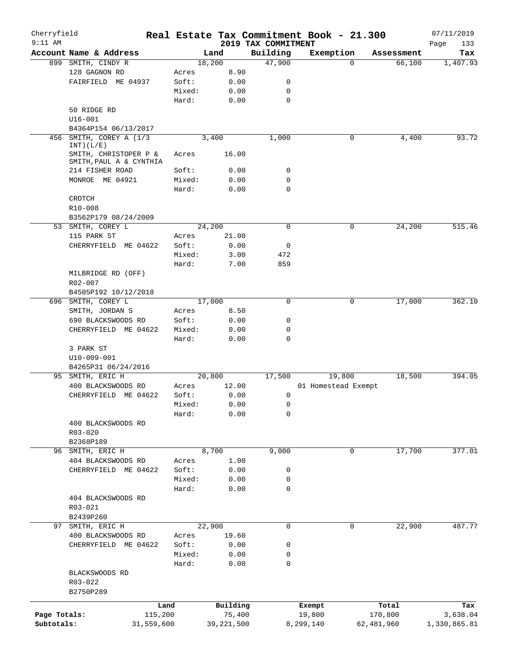| Cherryfield  |                                                  |            |        |              |                                 | Real Estate Tax Commitment Book - 21.300 |            | 07/11/2019         |
|--------------|--------------------------------------------------|------------|--------|--------------|---------------------------------|------------------------------------------|------------|--------------------|
| $9:11$ AM    | Account Name & Address                           |            |        | Land         | 2019 TAX COMMITMENT<br>Building | Exemption                                | Assessment | Page<br>133<br>Tax |
|              | 899 SMITH, CINDY R                               |            |        | 18,200       | 47,900                          | $\Omega$                                 | 66,100     | 1,407.93           |
|              | 128 GAGNON RD                                    |            | Acres  | 8.90         |                                 |                                          |            |                    |
|              | FAIRFIELD ME 04937                               |            | Soft:  | 0.00         | 0                               |                                          |            |                    |
|              |                                                  |            | Mixed: | 0.00         | 0                               |                                          |            |                    |
|              |                                                  |            |        |              |                                 |                                          |            |                    |
|              |                                                  |            | Hard:  | 0.00         | 0                               |                                          |            |                    |
|              | 50 RIDGE RD                                      |            |        |              |                                 |                                          |            |                    |
|              | $U16 - 001$                                      |            |        |              |                                 |                                          |            |                    |
|              | B4364P154 06/13/2017                             |            |        |              |                                 |                                          |            |                    |
| 456          | SMITH, COREY A (1/3<br>INT) (L/E)                |            |        | 3,400        | 1,000                           | 0                                        | 4,400      | 93.72              |
|              | SMITH, CHRISTOPER P &<br>SMITH, PAUL A & CYNTHIA |            | Acres  | 16.00        |                                 |                                          |            |                    |
|              | 214 FISHER ROAD                                  |            | Soft:  | 0.00         | 0                               |                                          |            |                    |
|              | MONROE ME 04921                                  |            | Mixed: | 0.00         | 0                               |                                          |            |                    |
|              |                                                  |            | Hard:  | 0.00         | 0                               |                                          |            |                    |
|              | CROTCH                                           |            |        |              |                                 |                                          |            |                    |
|              | R10-008                                          |            |        |              |                                 |                                          |            |                    |
|              | B3562P179 08/24/2009                             |            |        |              |                                 |                                          |            |                    |
|              |                                                  |            |        |              | 0                               |                                          |            | 515.46             |
|              | 53 SMITH, COREY L                                |            |        | 24,200       |                                 | 0                                        | 24,200     |                    |
|              | 115 PARK ST                                      |            | Acres  | 21.00        |                                 |                                          |            |                    |
|              | CHERRYFIELD ME 04622                             |            | Soft:  | 0.00         | 0                               |                                          |            |                    |
|              |                                                  |            | Mixed: | 3.00         | 472                             |                                          |            |                    |
|              |                                                  |            | Hard:  | 7.00         | 859                             |                                          |            |                    |
|              | MILBRIDGE RD (OFF)                               |            |        |              |                                 |                                          |            |                    |
|              | R02-007                                          |            |        |              |                                 |                                          |            |                    |
|              | B4505P192 10/12/2018                             |            |        |              |                                 |                                          |            |                    |
|              | 696 SMITH, COREY L                               |            |        | 17,000       | 0                               | 0                                        | 17,000     | 362.10             |
|              | SMITH, JORDAN S                                  |            | Acres  | 8.50         |                                 |                                          |            |                    |
|              | 690 BLACKSWOODS RD                               |            | Soft:  | 0.00         | 0                               |                                          |            |                    |
|              | CHERRYFIELD ME 04622                             |            | Mixed: | 0.00         | 0                               |                                          |            |                    |
|              |                                                  |            | Hard:  | 0.00         | 0                               |                                          |            |                    |
|              | 3 PARK ST                                        |            |        |              |                                 |                                          |            |                    |
|              | U10-009-001                                      |            |        |              |                                 |                                          |            |                    |
|              | B4265P31 06/24/2016                              |            |        |              |                                 |                                          |            |                    |
|              | 95 SMITH, ERIC H                                 |            |        | 20,800       | 17,500                          | 19,800                                   | 18,500     | 394.05             |
|              | 400 BLACKSWOODS RD                               |            | Acres  | 12.00        |                                 | 01 Homestead Exempt                      |            |                    |
|              | CHERRYFIELD ME 04622                             |            | Soft:  | 0.00         | 0                               |                                          |            |                    |
|              |                                                  |            | Mixed: | 0.00         | 0                               |                                          |            |                    |
|              |                                                  |            | Hard:  | 0.00         | 0                               |                                          |            |                    |
|              | 400 BLACKSWOODS RD                               |            |        |              |                                 |                                          |            |                    |
|              | $R03 - 020$                                      |            |        |              |                                 |                                          |            |                    |
|              |                                                  |            |        |              |                                 |                                          |            |                    |
|              | B2368P189                                        |            |        |              |                                 |                                          |            |                    |
|              | 96 SMITH, ERIC H                                 |            |        | 8,700        | 9,000                           | 0                                        | 17,700     | 377.01             |
|              | 404 BLACKSWOODS RD                               |            | Acres  | 1.00         |                                 |                                          |            |                    |
|              | CHERRYFIELD ME 04622                             |            | Soft:  | 0.00         | 0                               |                                          |            |                    |
|              |                                                  |            | Mixed: | 0.00         | 0                               |                                          |            |                    |
|              |                                                  |            | Hard:  | 0.00         | 0                               |                                          |            |                    |
|              | 404 BLACKSWOODS RD                               |            |        |              |                                 |                                          |            |                    |
|              | R03-021                                          |            |        |              |                                 |                                          |            |                    |
|              | B2439P260                                        |            |        |              |                                 |                                          |            |                    |
| 97           | SMITH, ERIC H                                    |            |        | 22,900       | 0                               | 0                                        | 22,900     | 487.77             |
|              | 400 BLACKSWOODS RD                               |            | Acres  | 19.60        |                                 |                                          |            |                    |
|              | CHERRYFIELD ME 04622                             |            | Soft:  | 0.00         | 0                               |                                          |            |                    |
|              |                                                  |            | Mixed: | 0.00         | 0                               |                                          |            |                    |
|              |                                                  |            | Hard:  | 0.00         | 0                               |                                          |            |                    |
|              | BLACKSWOODS RD                                   |            |        |              |                                 |                                          |            |                    |
|              | R03-022                                          |            |        |              |                                 |                                          |            |                    |
|              | B2750P289                                        |            |        |              |                                 |                                          |            |                    |
|              |                                                  |            |        |              |                                 |                                          |            |                    |
|              |                                                  | Land       |        | Building     |                                 | Exempt                                   | Total      | Tax                |
| Page Totals: |                                                  | 115,200    |        | 75,400       |                                 | 19,800                                   | 170,800    | 3,638.04           |
| Subtotals:   |                                                  | 31,559,600 |        | 39, 221, 500 |                                 | 8,299,140                                | 62,481,960 | 1,330,865.81       |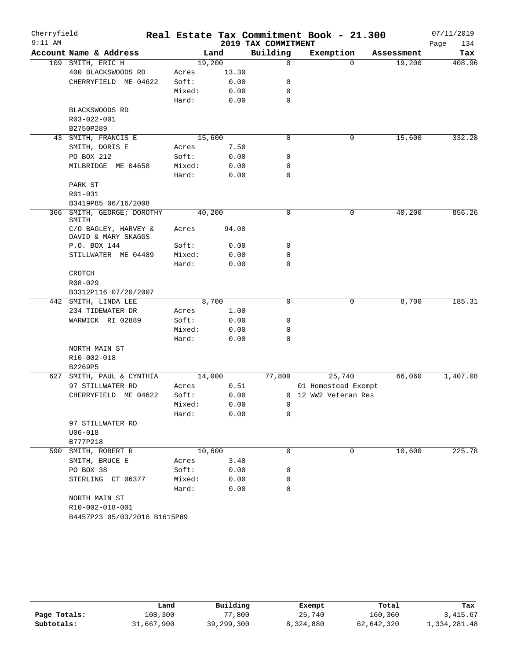| Building<br>Exemption<br>Account Name & Address<br>Land<br>Assessment<br>19,200<br>109 SMITH, ERIC H<br>$\mathbf 0$<br>19,200<br>$\Omega$<br>400 BLACKSWOODS RD<br>13.30<br>Acres<br>Soft:<br>0.00<br>CHERRYFIELD ME 04622<br>0<br>Mixed:<br>0.00<br>0<br>Hard:<br>0.00<br>0<br>BLACKSWOODS RD<br>R03-022-001<br>B2750P289<br>$\mathbf 0$<br>15,600<br>SMITH, FRANCIS E<br>15,600<br>0<br>43<br>SMITH, DORIS E<br>7.50<br>Acres<br>PO BOX 212<br>Soft:<br>0.00<br>0<br>MILBRIDGE ME 04658<br>Mixed:<br>0.00<br>0<br>$\mathbf 0$<br>Hard:<br>0.00<br>PARK ST<br>R01-031<br>B3419P85 06/16/2008<br>0<br>SMITH, GEORGE; DOROTHY<br>40,200<br>0<br>40,200<br>366<br>SMITH<br>C/O BAGLEY, HARVEY &<br>Acres<br>94.00<br>DAVID & MARY SKAGGS<br>0<br>P.O. BOX 144<br>Soft:<br>0.00<br>Mixed:<br>0.00<br>0<br>STILLWATER ME 04489<br>0<br>Hard:<br>0.00<br>CROTCH<br>R08-029<br>B3312P116 07/20/2007<br>8,700<br>8,700<br>0<br>0<br>442 SMITH, LINDA LEE<br>234 TIDEWATER DR<br>1.00<br>Acres<br>WARWICK RI 02889<br>Soft:<br>0<br>0.00<br>Mixed:<br>0<br>0.00<br>$\mathbf 0$<br>Hard:<br>0.00<br>NORTH MAIN ST<br>R10-002-018<br>B2269P5<br>14,000<br>77,800<br>25,740<br>66,060<br>627 SMITH, PAUL & CYNTHIA<br>0.51<br>97 STILLWATER RD<br>Acres<br>01 Homestead Exempt<br>CHERRYFIELD ME 04622<br>Soft:<br>0.00<br>0 12 WW2 Veteran Res<br>0.00<br>Mixed:<br>$\overline{0}$<br>0.00<br>Hard:<br>0<br>97 STILLWATER RD<br>$U06 - 018$<br>B777P218<br>10,600<br>10,600<br>590 SMITH, ROBERT R<br>0<br>0<br>SMITH, BRUCE E<br>Acres<br>3.40<br>PO BOX 38<br>Soft:<br>0<br>0.00<br>STERLING CT 06377<br>Mixed:<br>0.00<br>0<br>$\mathbf 0$<br>Hard:<br>0.00<br>NORTH MAIN ST<br>R10-002-018-001<br>B4457P23 05/03/2018 B1615P89 | Cherryfield<br>$9:11$ AM |  | 2019 TAX COMMITMENT | Real Estate Tax Commitment Book - 21.300 | 07/11/2019<br>Page<br>134 |
|--------------------------------------------------------------------------------------------------------------------------------------------------------------------------------------------------------------------------------------------------------------------------------------------------------------------------------------------------------------------------------------------------------------------------------------------------------------------------------------------------------------------------------------------------------------------------------------------------------------------------------------------------------------------------------------------------------------------------------------------------------------------------------------------------------------------------------------------------------------------------------------------------------------------------------------------------------------------------------------------------------------------------------------------------------------------------------------------------------------------------------------------------------------------------------------------------------------------------------------------------------------------------------------------------------------------------------------------------------------------------------------------------------------------------------------------------------------------------------------------------------------------------------------------------------------------------------------------------------------------------------------------------------------------------------------------------------------------------|--------------------------|--|---------------------|------------------------------------------|---------------------------|
|                                                                                                                                                                                                                                                                                                                                                                                                                                                                                                                                                                                                                                                                                                                                                                                                                                                                                                                                                                                                                                                                                                                                                                                                                                                                                                                                                                                                                                                                                                                                                                                                                                                                                                                          |                          |  |                     |                                          | Tax                       |
| 332.28<br>856.26<br>185.31                                                                                                                                                                                                                                                                                                                                                                                                                                                                                                                                                                                                                                                                                                                                                                                                                                                                                                                                                                                                                                                                                                                                                                                                                                                                                                                                                                                                                                                                                                                                                                                                                                                                                               |                          |  |                     |                                          | 408.96                    |
|                                                                                                                                                                                                                                                                                                                                                                                                                                                                                                                                                                                                                                                                                                                                                                                                                                                                                                                                                                                                                                                                                                                                                                                                                                                                                                                                                                                                                                                                                                                                                                                                                                                                                                                          |                          |  |                     |                                          |                           |
|                                                                                                                                                                                                                                                                                                                                                                                                                                                                                                                                                                                                                                                                                                                                                                                                                                                                                                                                                                                                                                                                                                                                                                                                                                                                                                                                                                                                                                                                                                                                                                                                                                                                                                                          |                          |  |                     |                                          |                           |
|                                                                                                                                                                                                                                                                                                                                                                                                                                                                                                                                                                                                                                                                                                                                                                                                                                                                                                                                                                                                                                                                                                                                                                                                                                                                                                                                                                                                                                                                                                                                                                                                                                                                                                                          |                          |  |                     |                                          |                           |
|                                                                                                                                                                                                                                                                                                                                                                                                                                                                                                                                                                                                                                                                                                                                                                                                                                                                                                                                                                                                                                                                                                                                                                                                                                                                                                                                                                                                                                                                                                                                                                                                                                                                                                                          |                          |  |                     |                                          |                           |
|                                                                                                                                                                                                                                                                                                                                                                                                                                                                                                                                                                                                                                                                                                                                                                                                                                                                                                                                                                                                                                                                                                                                                                                                                                                                                                                                                                                                                                                                                                                                                                                                                                                                                                                          |                          |  |                     |                                          |                           |
|                                                                                                                                                                                                                                                                                                                                                                                                                                                                                                                                                                                                                                                                                                                                                                                                                                                                                                                                                                                                                                                                                                                                                                                                                                                                                                                                                                                                                                                                                                                                                                                                                                                                                                                          |                          |  |                     |                                          |                           |
|                                                                                                                                                                                                                                                                                                                                                                                                                                                                                                                                                                                                                                                                                                                                                                                                                                                                                                                                                                                                                                                                                                                                                                                                                                                                                                                                                                                                                                                                                                                                                                                                                                                                                                                          |                          |  |                     |                                          |                           |
|                                                                                                                                                                                                                                                                                                                                                                                                                                                                                                                                                                                                                                                                                                                                                                                                                                                                                                                                                                                                                                                                                                                                                                                                                                                                                                                                                                                                                                                                                                                                                                                                                                                                                                                          |                          |  |                     |                                          |                           |
|                                                                                                                                                                                                                                                                                                                                                                                                                                                                                                                                                                                                                                                                                                                                                                                                                                                                                                                                                                                                                                                                                                                                                                                                                                                                                                                                                                                                                                                                                                                                                                                                                                                                                                                          |                          |  |                     |                                          |                           |
|                                                                                                                                                                                                                                                                                                                                                                                                                                                                                                                                                                                                                                                                                                                                                                                                                                                                                                                                                                                                                                                                                                                                                                                                                                                                                                                                                                                                                                                                                                                                                                                                                                                                                                                          |                          |  |                     |                                          |                           |
|                                                                                                                                                                                                                                                                                                                                                                                                                                                                                                                                                                                                                                                                                                                                                                                                                                                                                                                                                                                                                                                                                                                                                                                                                                                                                                                                                                                                                                                                                                                                                                                                                                                                                                                          |                          |  |                     |                                          |                           |
|                                                                                                                                                                                                                                                                                                                                                                                                                                                                                                                                                                                                                                                                                                                                                                                                                                                                                                                                                                                                                                                                                                                                                                                                                                                                                                                                                                                                                                                                                                                                                                                                                                                                                                                          |                          |  |                     |                                          |                           |
|                                                                                                                                                                                                                                                                                                                                                                                                                                                                                                                                                                                                                                                                                                                                                                                                                                                                                                                                                                                                                                                                                                                                                                                                                                                                                                                                                                                                                                                                                                                                                                                                                                                                                                                          |                          |  |                     |                                          |                           |
|                                                                                                                                                                                                                                                                                                                                                                                                                                                                                                                                                                                                                                                                                                                                                                                                                                                                                                                                                                                                                                                                                                                                                                                                                                                                                                                                                                                                                                                                                                                                                                                                                                                                                                                          |                          |  |                     |                                          |                           |
|                                                                                                                                                                                                                                                                                                                                                                                                                                                                                                                                                                                                                                                                                                                                                                                                                                                                                                                                                                                                                                                                                                                                                                                                                                                                                                                                                                                                                                                                                                                                                                                                                                                                                                                          |                          |  |                     |                                          |                           |
|                                                                                                                                                                                                                                                                                                                                                                                                                                                                                                                                                                                                                                                                                                                                                                                                                                                                                                                                                                                                                                                                                                                                                                                                                                                                                                                                                                                                                                                                                                                                                                                                                                                                                                                          |                          |  |                     |                                          |                           |
|                                                                                                                                                                                                                                                                                                                                                                                                                                                                                                                                                                                                                                                                                                                                                                                                                                                                                                                                                                                                                                                                                                                                                                                                                                                                                                                                                                                                                                                                                                                                                                                                                                                                                                                          |                          |  |                     |                                          |                           |
|                                                                                                                                                                                                                                                                                                                                                                                                                                                                                                                                                                                                                                                                                                                                                                                                                                                                                                                                                                                                                                                                                                                                                                                                                                                                                                                                                                                                                                                                                                                                                                                                                                                                                                                          |                          |  |                     |                                          |                           |
|                                                                                                                                                                                                                                                                                                                                                                                                                                                                                                                                                                                                                                                                                                                                                                                                                                                                                                                                                                                                                                                                                                                                                                                                                                                                                                                                                                                                                                                                                                                                                                                                                                                                                                                          |                          |  |                     |                                          |                           |
|                                                                                                                                                                                                                                                                                                                                                                                                                                                                                                                                                                                                                                                                                                                                                                                                                                                                                                                                                                                                                                                                                                                                                                                                                                                                                                                                                                                                                                                                                                                                                                                                                                                                                                                          |                          |  |                     |                                          |                           |
|                                                                                                                                                                                                                                                                                                                                                                                                                                                                                                                                                                                                                                                                                                                                                                                                                                                                                                                                                                                                                                                                                                                                                                                                                                                                                                                                                                                                                                                                                                                                                                                                                                                                                                                          |                          |  |                     |                                          |                           |
|                                                                                                                                                                                                                                                                                                                                                                                                                                                                                                                                                                                                                                                                                                                                                                                                                                                                                                                                                                                                                                                                                                                                                                                                                                                                                                                                                                                                                                                                                                                                                                                                                                                                                                                          |                          |  |                     |                                          |                           |
|                                                                                                                                                                                                                                                                                                                                                                                                                                                                                                                                                                                                                                                                                                                                                                                                                                                                                                                                                                                                                                                                                                                                                                                                                                                                                                                                                                                                                                                                                                                                                                                                                                                                                                                          |                          |  |                     |                                          |                           |
|                                                                                                                                                                                                                                                                                                                                                                                                                                                                                                                                                                                                                                                                                                                                                                                                                                                                                                                                                                                                                                                                                                                                                                                                                                                                                                                                                                                                                                                                                                                                                                                                                                                                                                                          |                          |  |                     |                                          |                           |
|                                                                                                                                                                                                                                                                                                                                                                                                                                                                                                                                                                                                                                                                                                                                                                                                                                                                                                                                                                                                                                                                                                                                                                                                                                                                                                                                                                                                                                                                                                                                                                                                                                                                                                                          |                          |  |                     |                                          |                           |
|                                                                                                                                                                                                                                                                                                                                                                                                                                                                                                                                                                                                                                                                                                                                                                                                                                                                                                                                                                                                                                                                                                                                                                                                                                                                                                                                                                                                                                                                                                                                                                                                                                                                                                                          |                          |  |                     |                                          |                           |
|                                                                                                                                                                                                                                                                                                                                                                                                                                                                                                                                                                                                                                                                                                                                                                                                                                                                                                                                                                                                                                                                                                                                                                                                                                                                                                                                                                                                                                                                                                                                                                                                                                                                                                                          |                          |  |                     |                                          |                           |
|                                                                                                                                                                                                                                                                                                                                                                                                                                                                                                                                                                                                                                                                                                                                                                                                                                                                                                                                                                                                                                                                                                                                                                                                                                                                                                                                                                                                                                                                                                                                                                                                                                                                                                                          |                          |  |                     |                                          |                           |
|                                                                                                                                                                                                                                                                                                                                                                                                                                                                                                                                                                                                                                                                                                                                                                                                                                                                                                                                                                                                                                                                                                                                                                                                                                                                                                                                                                                                                                                                                                                                                                                                                                                                                                                          |                          |  |                     |                                          |                           |
|                                                                                                                                                                                                                                                                                                                                                                                                                                                                                                                                                                                                                                                                                                                                                                                                                                                                                                                                                                                                                                                                                                                                                                                                                                                                                                                                                                                                                                                                                                                                                                                                                                                                                                                          |                          |  |                     |                                          |                           |
|                                                                                                                                                                                                                                                                                                                                                                                                                                                                                                                                                                                                                                                                                                                                                                                                                                                                                                                                                                                                                                                                                                                                                                                                                                                                                                                                                                                                                                                                                                                                                                                                                                                                                                                          |                          |  |                     |                                          |                           |
| 225.78                                                                                                                                                                                                                                                                                                                                                                                                                                                                                                                                                                                                                                                                                                                                                                                                                                                                                                                                                                                                                                                                                                                                                                                                                                                                                                                                                                                                                                                                                                                                                                                                                                                                                                                   |                          |  |                     |                                          | 1,407.08                  |
|                                                                                                                                                                                                                                                                                                                                                                                                                                                                                                                                                                                                                                                                                                                                                                                                                                                                                                                                                                                                                                                                                                                                                                                                                                                                                                                                                                                                                                                                                                                                                                                                                                                                                                                          |                          |  |                     |                                          |                           |
|                                                                                                                                                                                                                                                                                                                                                                                                                                                                                                                                                                                                                                                                                                                                                                                                                                                                                                                                                                                                                                                                                                                                                                                                                                                                                                                                                                                                                                                                                                                                                                                                                                                                                                                          |                          |  |                     |                                          |                           |
|                                                                                                                                                                                                                                                                                                                                                                                                                                                                                                                                                                                                                                                                                                                                                                                                                                                                                                                                                                                                                                                                                                                                                                                                                                                                                                                                                                                                                                                                                                                                                                                                                                                                                                                          |                          |  |                     |                                          |                           |
|                                                                                                                                                                                                                                                                                                                                                                                                                                                                                                                                                                                                                                                                                                                                                                                                                                                                                                                                                                                                                                                                                                                                                                                                                                                                                                                                                                                                                                                                                                                                                                                                                                                                                                                          |                          |  |                     |                                          |                           |
|                                                                                                                                                                                                                                                                                                                                                                                                                                                                                                                                                                                                                                                                                                                                                                                                                                                                                                                                                                                                                                                                                                                                                                                                                                                                                                                                                                                                                                                                                                                                                                                                                                                                                                                          |                          |  |                     |                                          |                           |
|                                                                                                                                                                                                                                                                                                                                                                                                                                                                                                                                                                                                                                                                                                                                                                                                                                                                                                                                                                                                                                                                                                                                                                                                                                                                                                                                                                                                                                                                                                                                                                                                                                                                                                                          |                          |  |                     |                                          |                           |
|                                                                                                                                                                                                                                                                                                                                                                                                                                                                                                                                                                                                                                                                                                                                                                                                                                                                                                                                                                                                                                                                                                                                                                                                                                                                                                                                                                                                                                                                                                                                                                                                                                                                                                                          |                          |  |                     |                                          |                           |
|                                                                                                                                                                                                                                                                                                                                                                                                                                                                                                                                                                                                                                                                                                                                                                                                                                                                                                                                                                                                                                                                                                                                                                                                                                                                                                                                                                                                                                                                                                                                                                                                                                                                                                                          |                          |  |                     |                                          |                           |
|                                                                                                                                                                                                                                                                                                                                                                                                                                                                                                                                                                                                                                                                                                                                                                                                                                                                                                                                                                                                                                                                                                                                                                                                                                                                                                                                                                                                                                                                                                                                                                                                                                                                                                                          |                          |  |                     |                                          |                           |
|                                                                                                                                                                                                                                                                                                                                                                                                                                                                                                                                                                                                                                                                                                                                                                                                                                                                                                                                                                                                                                                                                                                                                                                                                                                                                                                                                                                                                                                                                                                                                                                                                                                                                                                          |                          |  |                     |                                          |                           |
|                                                                                                                                                                                                                                                                                                                                                                                                                                                                                                                                                                                                                                                                                                                                                                                                                                                                                                                                                                                                                                                                                                                                                                                                                                                                                                                                                                                                                                                                                                                                                                                                                                                                                                                          |                          |  |                     |                                          |                           |
|                                                                                                                                                                                                                                                                                                                                                                                                                                                                                                                                                                                                                                                                                                                                                                                                                                                                                                                                                                                                                                                                                                                                                                                                                                                                                                                                                                                                                                                                                                                                                                                                                                                                                                                          |                          |  |                     |                                          |                           |
|                                                                                                                                                                                                                                                                                                                                                                                                                                                                                                                                                                                                                                                                                                                                                                                                                                                                                                                                                                                                                                                                                                                                                                                                                                                                                                                                                                                                                                                                                                                                                                                                                                                                                                                          |                          |  |                     |                                          |                           |
|                                                                                                                                                                                                                                                                                                                                                                                                                                                                                                                                                                                                                                                                                                                                                                                                                                                                                                                                                                                                                                                                                                                                                                                                                                                                                                                                                                                                                                                                                                                                                                                                                                                                                                                          |                          |  |                     |                                          |                           |
|                                                                                                                                                                                                                                                                                                                                                                                                                                                                                                                                                                                                                                                                                                                                                                                                                                                                                                                                                                                                                                                                                                                                                                                                                                                                                                                                                                                                                                                                                                                                                                                                                                                                                                                          |                          |  |                     |                                          |                           |

|              | Land       | Building   | Exempt    | Total      | Tax          |
|--------------|------------|------------|-----------|------------|--------------|
| Page Totals: | 108,300    | 77,800     | 25,740    | 160,360    | 3, 415.67    |
| Subtotals:   | 31,667,900 | 39,299,300 | 8,324,880 | 62,642,320 | 1,334,281.48 |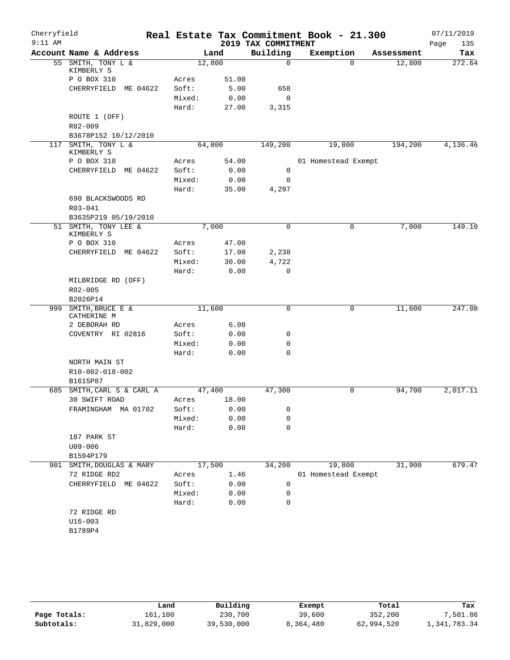| Cherryfield<br>$9:11$ AM |                                              |        |       | 2019 TAX COMMITMENT | Real Estate Tax Commitment Book - 21.300 |            | 07/11/2019<br>135<br>Page |
|--------------------------|----------------------------------------------|--------|-------|---------------------|------------------------------------------|------------|---------------------------|
|                          | Account Name & Address                       |        | Land  | Building            | Exemption                                | Assessment | Tax                       |
|                          | 55 SMITH, TONY L &<br>KIMBERLY S             | 12,800 |       | $\mathbf 0$         | $\Omega$                                 | 12,800     | 272.64                    |
|                          | P O BOX 310                                  | Acres  | 51.00 |                     |                                          |            |                           |
|                          | CHERRYFIELD ME 04622                         | Soft:  | 5.00  | 658                 |                                          |            |                           |
|                          |                                              | Mixed: | 0.00  | $\mathbf 0$         |                                          |            |                           |
|                          |                                              | Hard:  | 27.00 | 3,315               |                                          |            |                           |
|                          | ROUTE 1 (OFF)<br>$R02 - 009$                 |        |       |                     |                                          |            |                           |
|                          | B3678P152 10/12/2010                         |        |       |                     |                                          |            |                           |
|                          | 117 SMITH, TONY L &<br>KIMBERLY S            | 64,800 |       | 149,200             | 19,800                                   | 194,200    | 4,136.46                  |
|                          | P O BOX 310                                  | Acres  | 54.00 |                     | 01 Homestead Exempt                      |            |                           |
|                          | CHERRYFIELD<br>ME 04622                      | Soft:  | 0.00  | 0                   |                                          |            |                           |
|                          |                                              | Mixed: | 0.00  | 0                   |                                          |            |                           |
|                          |                                              | Hard:  | 35.00 | 4,297               |                                          |            |                           |
|                          | 690 BLACKSWOODS RD                           |        |       |                     |                                          |            |                           |
|                          | R03-041                                      |        |       |                     |                                          |            |                           |
|                          | B3635P219 05/19/2010<br>51 SMITH, TONY LEE & | 7,000  |       | $\mathbf 0$         | 0                                        |            | 149.10                    |
|                          | KIMBERLY S<br>P O BOX 310                    | Acres  | 47.00 |                     |                                          | 7,000      |                           |
|                          | ME 04622<br>CHERRYFIELD                      | Soft:  | 17.00 | 2,238               |                                          |            |                           |
|                          |                                              | Mixed: | 30.00 | 4,722               |                                          |            |                           |
|                          |                                              | Hard:  | 0.00  | 0                   |                                          |            |                           |
|                          | MILBRIDGE RD (OFF)                           |        |       |                     |                                          |            |                           |
|                          | R02-005                                      |        |       |                     |                                          |            |                           |
|                          | B2026P14                                     |        |       |                     |                                          |            |                           |
| 999                      | SMITH, BRUCE E &                             | 11,600 |       | $\mathsf{O}$        | 0                                        | 11,600     | 247.08                    |
|                          | CATHERINE M                                  |        |       |                     |                                          |            |                           |
|                          | 2 DEBORAH RD                                 | Acres  | 6.00  |                     |                                          |            |                           |
|                          | COVENTRY RI 02816                            | Soft:  | 0.00  | 0                   |                                          |            |                           |
|                          |                                              | Mixed: | 0.00  | $\mathbf 0$         |                                          |            |                           |
|                          |                                              | Hard:  | 0.00  | $\mathbf 0$         |                                          |            |                           |
|                          | NORTH MAIN ST<br>R10-002-018-002<br>B1615P87 |        |       |                     |                                          |            |                           |
|                          | 685 SMITH, CARL S & CARL A                   | 47,400 |       | 47,300              | 0                                        | 94,700     | 2,017.11                  |
|                          | 30 SWIFT ROAD                                | Acres  | 18.00 |                     |                                          |            |                           |
|                          | FRAMINGHAM MA 01702                          | Soft:  | 0.00  | 0                   |                                          |            |                           |
|                          |                                              | Mixed: | 0.00  | 0                   |                                          |            |                           |
|                          |                                              | Hard:  | 0.00  | $\mathbf 0$         |                                          |            |                           |
|                          | 187 PARK ST<br>$U09 - 006$                   |        |       |                     |                                          |            |                           |
|                          | B1594P179                                    |        |       |                     |                                          |            |                           |
| 901                      | SMITH, DOUGLAS & MARY                        | 17,500 |       | 34,200              | 19,800                                   | 31,900     | 679.47                    |
|                          | 72 RIDGE RD2                                 | Acres  | 1.46  |                     | 01 Homestead Exempt                      |            |                           |
|                          | CHERRYFIELD ME 04622                         | Soft:  | 0.00  | 0                   |                                          |            |                           |
|                          |                                              | Mixed: | 0.00  | 0                   |                                          |            |                           |
|                          |                                              | Hard:  | 0.00  | $\mathbf 0$         |                                          |            |                           |
|                          | 72 RIDGE RD                                  |        |       |                     |                                          |            |                           |
|                          | $U16 - 003$<br>B1789P4                       |        |       |                     |                                          |            |                           |
|                          |                                              |        |       |                     |                                          |            |                           |

|              | Land       | Building   | Exempt    | Total      | Tax          |
|--------------|------------|------------|-----------|------------|--------------|
| Page Totals: | 161,100    | 230,700    | 39,600    | 352,200    | 7,501.86     |
| Subtotals:   | 31,829,000 | 39,530,000 | 8,364,480 | 62,994,520 | 1,341,783.34 |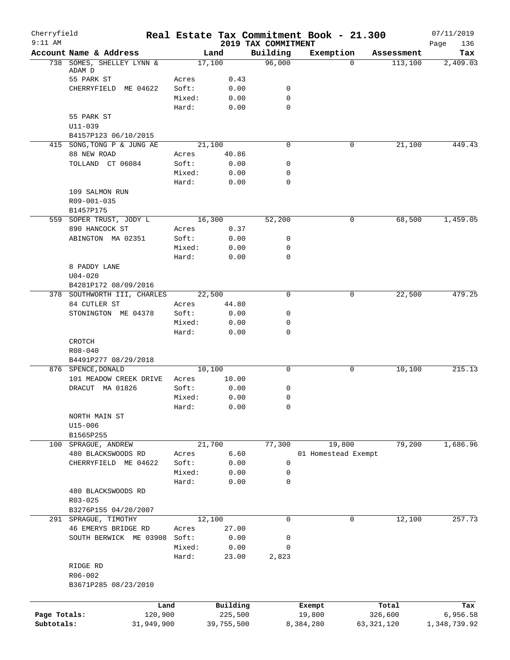| Cherryfield<br>$9:11$ AM |                                                     |                 |               | 2019 TAX COMMITMENT | Real Estate Tax Commitment Book - 21.300 |              | 07/11/2019         |
|--------------------------|-----------------------------------------------------|-----------------|---------------|---------------------|------------------------------------------|--------------|--------------------|
|                          | Account Name & Address                              |                 | Land          | Building            | Exemption                                | Assessment   | 136<br>Page<br>Tax |
|                          | 738 SOMES, SHELLEY LYNN &                           |                 | 17,100        | 96,000              | $\Omega$                                 | 113,100      | 2,409.03           |
|                          | ADAM D                                              |                 |               |                     |                                          |              |                    |
|                          | 55 PARK ST                                          | Acres           | 0.43          |                     |                                          |              |                    |
|                          | CHERRYFIELD ME 04622                                | Soft:           | 0.00          | 0<br>$\mathbf 0$    |                                          |              |                    |
|                          |                                                     | Mixed:<br>Hard: | 0.00<br>0.00  | $\mathbf 0$         |                                          |              |                    |
|                          | 55 PARK ST                                          |                 |               |                     |                                          |              |                    |
|                          | $U11 - 039$                                         |                 |               |                     |                                          |              |                    |
|                          | B4157P123 06/10/2015                                |                 |               |                     |                                          |              |                    |
|                          | 415 SONG, TONG P & JUNG AE                          |                 | 21,100        | 0                   | 0                                        | 21,100       | 449.43             |
|                          | 88 NEW ROAD                                         | Acres           | 40.86         |                     |                                          |              |                    |
|                          | TOLLAND CT 06084                                    | Soft:           | 0.00          | 0                   |                                          |              |                    |
|                          |                                                     | Mixed:          | 0.00          | 0                   |                                          |              |                    |
|                          |                                                     | Hard:           | 0.00          | 0                   |                                          |              |                    |
|                          | 109 SALMON RUN                                      |                 |               |                     |                                          |              |                    |
|                          | R09-001-035                                         |                 |               |                     |                                          |              |                    |
|                          | B1457P175                                           |                 |               |                     |                                          |              |                    |
|                          | 559 SOPER TRUST, JODY L                             |                 | 16,300        | 52,200              | 0                                        | 68,500       | 1,459.05           |
|                          | 890 HANCOCK ST                                      | Acres           | 0.37          |                     |                                          |              |                    |
|                          | ABINGTON MA 02351                                   | Soft:           | 0.00          | 0                   |                                          |              |                    |
|                          |                                                     | Mixed:          | 0.00          | $\mathbf 0$         |                                          |              |                    |
|                          |                                                     | Hard:           | 0.00          | 0                   |                                          |              |                    |
|                          | 8 PADDY LANE                                        |                 |               |                     |                                          |              |                    |
|                          | $U04 - 020$                                         |                 |               |                     |                                          |              |                    |
|                          | B4281P172 08/09/2016<br>378 SOUTHWORTH III, CHARLES |                 | 22,500        | 0                   | 0                                        | 22,500       | 479.25             |
|                          | 84 CUTLER ST                                        | Acres           | 44.80         |                     |                                          |              |                    |
|                          | STONINGTON ME 04378                                 | Soft:           | 0.00          | 0                   |                                          |              |                    |
|                          |                                                     | Mixed:          | 0.00          | 0                   |                                          |              |                    |
|                          |                                                     | Hard:           | 0.00          | 0                   |                                          |              |                    |
|                          | CROTCH                                              |                 |               |                     |                                          |              |                    |
|                          | R08-040                                             |                 |               |                     |                                          |              |                    |
|                          | B4491P277 08/29/2018                                |                 |               |                     |                                          |              |                    |
|                          | 876 SPENCE, DONALD                                  |                 | 10,100        | 0                   | 0                                        | 10,100       | 215.13             |
|                          | 101 MEADOW CREEK DRIVE                              | Acres           | 10.00         |                     |                                          |              |                    |
|                          | DRACUT MA 01826                                     | Soft:           | 0.00          | 0                   |                                          |              |                    |
|                          |                                                     | Mixed:          | 0.00          | $\mathbf 0$         |                                          |              |                    |
|                          |                                                     | Hard:           | 0.00          | 0                   |                                          |              |                    |
|                          | NORTH MAIN ST                                       |                 |               |                     |                                          |              |                    |
|                          | $U15 - 006$                                         |                 |               |                     |                                          |              |                    |
|                          | B1565P255                                           |                 |               |                     |                                          |              |                    |
| 100                      | SPRAGUE, ANDREW                                     |                 | 21,700        | 77,300              | 19,800                                   | 79,200       | 1,686.96           |
|                          | 480 BLACKSWOODS RD                                  | Acres           | 6.60          |                     | 01 Homestead Exempt                      |              |                    |
|                          | CHERRYFIELD ME 04622                                | Soft:           | 0.00          | 0                   |                                          |              |                    |
|                          |                                                     | Mixed:          | 0.00          | 0                   |                                          |              |                    |
|                          |                                                     | Hard:           | 0.00          | 0                   |                                          |              |                    |
|                          | 480 BLACKSWOODS RD                                  |                 |               |                     |                                          |              |                    |
|                          | $R03 - 025$                                         |                 |               |                     |                                          |              |                    |
|                          | B3276P155 04/20/2007                                |                 |               |                     |                                          |              |                    |
|                          | 291 SPRAGUE, TIMOTHY                                |                 | 12,100        | $\mathbf 0$         | $\mathbf 0$                              | 12,100       | 257.73             |
|                          | 46 EMERYS BRIDGE RD                                 | Acres           | 27.00         |                     |                                          |              |                    |
|                          | SOUTH BERWICK ME 03908                              | Soft:           | 0.00          | 0                   |                                          |              |                    |
|                          |                                                     | Mixed:<br>Hard: | 0.00<br>23.00 | 0<br>2,823          |                                          |              |                    |
|                          |                                                     |                 |               |                     |                                          |              |                    |
|                          | RIDGE RD<br>R06-002                                 |                 |               |                     |                                          |              |                    |
|                          | B3671P285 08/23/2010                                |                 |               |                     |                                          |              |                    |
|                          |                                                     |                 |               |                     |                                          |              |                    |
|                          |                                                     | Land            | Building      |                     | Exempt                                   | Total        | Tax                |
| Page Totals:             |                                                     | 120,900         | 225,500       |                     | 19,800                                   | 326,600      | 6,956.58           |
| Subtotals:               |                                                     | 31,949,900      | 39,755,500    |                     | 8,384,280                                | 63, 321, 120 | 1,348,739.92       |
|                          |                                                     |                 |               |                     |                                          |              |                    |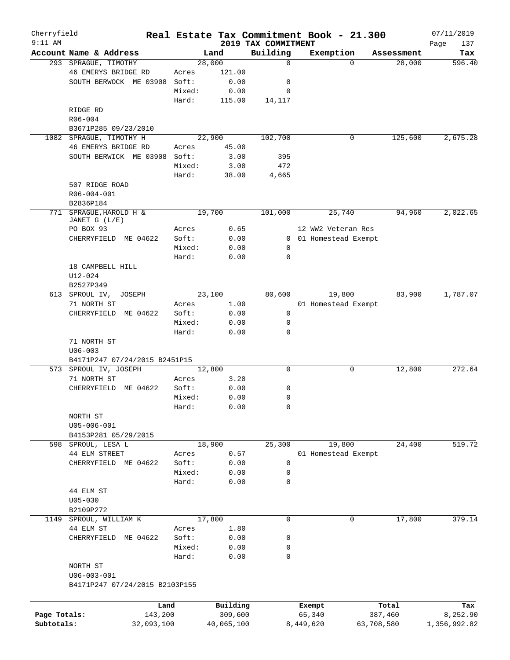| Cherryfield<br>$9:11$ AM |                                         |        |                |                                 | Real Estate Tax Commitment Book - 21.300 |            | 07/11/2019         |
|--------------------------|-----------------------------------------|--------|----------------|---------------------------------|------------------------------------------|------------|--------------------|
|                          | Account Name & Address                  |        | Land           | 2019 TAX COMMITMENT<br>Building | Exemption                                | Assessment | Page<br>137<br>Tax |
|                          | 293 SPRAGUE, TIMOTHY                    |        | 28,000         | 0                               | $\Omega$                                 | 28,000     | 596.40             |
|                          | 46 EMERYS BRIDGE RD                     | Acres  | 121.00         |                                 |                                          |            |                    |
|                          | SOUTH BERWOCK ME 03908                  | Soft:  | 0.00           | 0                               |                                          |            |                    |
|                          |                                         | Mixed: | 0.00           | 0                               |                                          |            |                    |
|                          |                                         | Hard:  | 115.00         | 14,117                          |                                          |            |                    |
|                          | RIDGE RD                                |        |                |                                 |                                          |            |                    |
|                          | R06-004                                 |        |                |                                 |                                          |            |                    |
|                          | B3671P285 09/23/2010                    |        |                |                                 |                                          |            |                    |
|                          | 1082 SPRAGUE, TIMOTHY H                 |        | 22,900         | 102,700                         | 0                                        | 125,600    | 2,675.28           |
|                          | 46 EMERYS BRIDGE RD                     | Acres  | 45.00          |                                 |                                          |            |                    |
|                          | SOUTH BERWICK ME 03908                  | Soft:  | 3.00           | 395                             |                                          |            |                    |
|                          |                                         | Mixed: | 3.00           | 472                             |                                          |            |                    |
|                          |                                         | Hard:  | 38.00          | 4,665                           |                                          |            |                    |
|                          | 507 RIDGE ROAD                          |        |                |                                 |                                          |            |                    |
|                          | R06-004-001                             |        |                |                                 |                                          |            |                    |
|                          | B2836P184                               |        |                |                                 |                                          |            |                    |
|                          | 771 SPRAGUE, HAROLD H &                 |        | 19,700         | 101,000                         | 25,740                                   | 94,960     | 2,022.65           |
|                          | JANET G (L/E)                           |        |                |                                 |                                          |            |                    |
|                          | PO BOX 93                               | Acres  | 0.65           |                                 | 12 WW2 Veteran Res                       |            |                    |
|                          | CHERRYFIELD ME 04622                    | Soft:  | 0.00           |                                 | 0 01 Homestead Exempt                    |            |                    |
|                          |                                         | Mixed: | 0.00           | 0                               |                                          |            |                    |
|                          |                                         | Hard:  | 0.00           | 0                               |                                          |            |                    |
|                          | 18 CAMPBELL HILL                        |        |                |                                 |                                          |            |                    |
|                          | $U12 - 024$                             |        |                |                                 |                                          |            |                    |
|                          | B2527P349                               |        |                | 80,600                          | 19,800                                   | 83,900     | 1,787.07           |
|                          | 613 SPROUL IV,<br>JOSEPH<br>71 NORTH ST | Acres  | 23,100<br>1.00 |                                 | 01 Homestead Exempt                      |            |                    |
|                          | CHERRYFIELD<br>ME 04622                 | Soft:  | 0.00           | $\mathbf 0$                     |                                          |            |                    |
|                          |                                         | Mixed: | 0.00           | 0                               |                                          |            |                    |
|                          |                                         | Hard:  | 0.00           | 0                               |                                          |            |                    |
|                          | 71 NORTH ST                             |        |                |                                 |                                          |            |                    |
|                          | $U06 - 003$                             |        |                |                                 |                                          |            |                    |
|                          | B4171P247 07/24/2015 B2451P15           |        |                |                                 |                                          |            |                    |
|                          | 573 SPROUL IV, JOSEPH                   |        | 12,800         | 0                               | 0                                        | 12,800     | 272.64             |
|                          | 71 NORTH ST                             | Acres  | 3.20           |                                 |                                          |            |                    |
|                          | CHERRYFIELD<br>ME 04622                 | Soft:  | 0.00           | 0                               |                                          |            |                    |
|                          |                                         | Mixed: | 0.00           | 0                               |                                          |            |                    |
|                          |                                         | Hard:  | 0.00           | 0                               |                                          |            |                    |
|                          | NORTH ST                                |        |                |                                 |                                          |            |                    |
|                          | $U05 - 006 - 001$                       |        |                |                                 |                                          |            |                    |
|                          | B4153P281 05/29/2015                    |        |                |                                 |                                          |            |                    |
|                          | 598 SPROUL, LESA L                      |        | 18,900         | 25,300                          | 19,800                                   | 24,400     | 519.72             |
|                          | 44 ELM STREET                           | Acres  | 0.57           |                                 | 01 Homestead Exempt                      |            |                    |
|                          | CHERRYFIELD ME 04622                    | Soft:  | 0.00           | 0                               |                                          |            |                    |
|                          |                                         | Mixed: | 0.00           | 0                               |                                          |            |                    |
|                          |                                         | Hard:  | 0.00           | 0                               |                                          |            |                    |
|                          | 44 ELM ST                               |        |                |                                 |                                          |            |                    |
|                          | $U05 - 030$                             |        |                |                                 |                                          |            |                    |
|                          | B2109P272                               |        |                |                                 |                                          |            |                    |
|                          | 1149 SPROUL, WILLIAM K                  |        | 17,800         | 0                               | $\mathbf 0$                              | 17,800     | 379.14             |
|                          | 44 ELM ST                               | Acres  | 1.80           |                                 |                                          |            |                    |
|                          | CHERRYFIELD<br>ME 04622                 | Soft:  | 0.00           | 0                               |                                          |            |                    |
|                          |                                         | Mixed: | 0.00           | 0                               |                                          |            |                    |
|                          |                                         | Hard:  | 0.00           | 0                               |                                          |            |                    |
|                          | NORTH ST                                |        |                |                                 |                                          |            |                    |
|                          | $U06 - 003 - 001$                       |        |                |                                 |                                          |            |                    |
|                          | B4171P247 07/24/2015 B2103P155          |        |                |                                 |                                          |            |                    |
|                          |                                         |        |                |                                 |                                          |            |                    |
|                          | Land                                    |        | Building       |                                 | Exempt                                   | Total      | Tax                |
| Page Totals:             | 143,200                                 |        | 309,600        |                                 | 65,340                                   | 387,460    | 8,252.90           |
| Subtotals:               | 32,093,100                              |        | 40,065,100     |                                 | 8,449,620                                | 63,708,580 | 1,356,992.82       |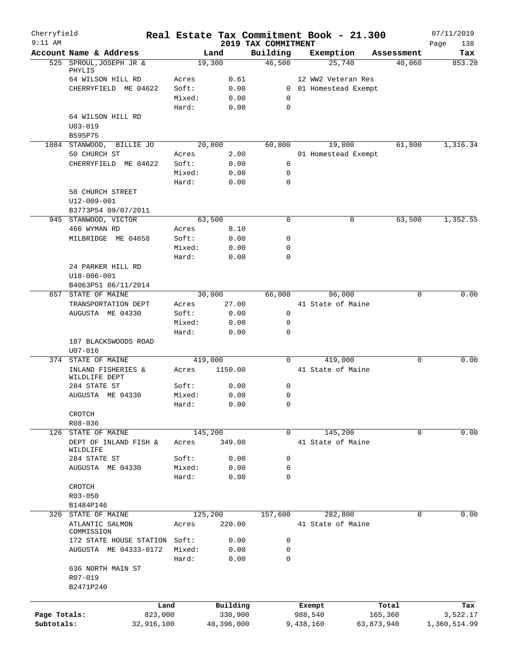| Cherryfield<br>$9:11$ AM |                                             |                |              |                                 | Real Estate Tax Commitment Book - 21.300    |            | 07/11/2019         |
|--------------------------|---------------------------------------------|----------------|--------------|---------------------------------|---------------------------------------------|------------|--------------------|
|                          | Account Name & Address                      |                | Land         | 2019 TAX COMMITMENT<br>Building | Exemption                                   | Assessment | Page<br>138<br>Tax |
|                          | 525 SPROUL, JOSEPH JR &                     |                | 19,300       | 46,500                          | 25,740                                      | 40,060     | 853.28             |
|                          | PHYLIS                                      |                |              |                                 |                                             |            |                    |
|                          | 64 WILSON HILL RD<br>CHERRYFIELD ME 04622   | Acres<br>Soft: | 0.61<br>0.00 |                                 | 12 WW2 Veteran Res<br>0 01 Homestead Exempt |            |                    |
|                          |                                             | Mixed:         | 0.00         | 0                               |                                             |            |                    |
|                          |                                             | Hard:          | 0.00         | $\mathbf 0$                     |                                             |            |                    |
|                          | 64 WILSON HILL RD                           |                |              |                                 |                                             |            |                    |
|                          | $U03 - 019$                                 |                |              |                                 |                                             |            |                    |
|                          | B595P75                                     |                |              |                                 |                                             |            |                    |
|                          | 1084 STANWOOD,<br>BILLIE JO                 |                | 20,800       | 60,800                          | 19,800                                      | 61,800     | 1,316.34           |
|                          | 50 CHURCH ST                                | Acres          | 2.00         |                                 | 01 Homestead Exempt                         |            |                    |
|                          | CHERRYFIELD ME 04622                        | Soft:          | 0.00         | $\mathbf 0$                     |                                             |            |                    |
|                          |                                             | Mixed:         | 0.00         | 0                               |                                             |            |                    |
|                          |                                             | Hard:          | 0.00         | 0                               |                                             |            |                    |
|                          | 50 CHURCH STREET                            |                |              |                                 |                                             |            |                    |
|                          | U12-009-001                                 |                |              |                                 |                                             |            |                    |
|                          | B3773P54 09/07/2011<br>945 STANWOOD, VICTOR |                | 63,500       | $\mathbf 0$                     | 0                                           | 63,500     | 1,352.55           |
|                          | 466 WYMAN RD                                | Acres          | 8.10         |                                 |                                             |            |                    |
|                          | MILBRIDGE ME 04658                          | Soft:          | 0.00         | 0                               |                                             |            |                    |
|                          |                                             | Mixed:         | 0.00         | $\mathbf 0$                     |                                             |            |                    |
|                          |                                             | Hard:          | 0.00         | 0                               |                                             |            |                    |
|                          | 24 PARKER HILL RD                           |                |              |                                 |                                             |            |                    |
|                          | $U18 - 006 - 001$                           |                |              |                                 |                                             |            |                    |
|                          | B4063P51 06/11/2014                         |                |              |                                 |                                             |            |                    |
|                          | 657 STATE OF MAINE                          |                | 30,000       | 66,000                          | 96,000                                      | $\Omega$   | 0.00               |
|                          | TRANSPORTATION DEPT                         | Acres          | 27.00        |                                 | 41 State of Maine                           |            |                    |
|                          | AUGUSTA ME 04330                            | Soft:          | 0.00         | 0                               |                                             |            |                    |
|                          |                                             | Mixed:         | 0.00         | 0                               |                                             |            |                    |
|                          |                                             | Hard:          | 0.00         | 0                               |                                             |            |                    |
|                          | 187 BLACKSWOODS ROAD                        |                |              |                                 |                                             |            |                    |
|                          | $U07 - 016$                                 |                | 419,000      | $\mathbf 0$                     | 419,000                                     | 0          | 0.00               |
|                          | 374 STATE OF MAINE<br>INLAND FISHERIES &    | Acres          | 1150.00      |                                 | 41 State of Maine                           |            |                    |
|                          | WILDLIFE DEPT                               |                |              |                                 |                                             |            |                    |
|                          | 284 STATE ST                                | Soft:          | 0.00         | 0                               |                                             |            |                    |
|                          | AUGUSTA ME 04330                            | Mixed:         | 0.00         | 0                               |                                             |            |                    |
|                          |                                             | Hard:          | 0.00         | $\Omega$                        |                                             |            |                    |
|                          | CROTCH                                      |                |              |                                 |                                             |            |                    |
|                          | R08-036                                     |                |              |                                 |                                             |            |                    |
| 126                      | STATE OF MAINE                              |                | 145,200      | $\Omega$                        | 145,200                                     | $\Omega$   | 0.00               |
|                          | DEPT OF INLAND FISH &<br>WILDLIFE           | Acres          | 349.00       |                                 | 41 State of Maine                           |            |                    |
|                          | 284 STATE ST                                | Soft:          | 0.00         | 0                               |                                             |            |                    |
|                          | AUGUSTA ME 04330                            | Mixed:         | 0.00         | $\mathbf 0$                     |                                             |            |                    |
|                          |                                             | Hard:          | 0.00         | 0                               |                                             |            |                    |
|                          | CROTCH                                      |                |              |                                 |                                             |            |                    |
|                          | R03-050                                     |                |              |                                 |                                             |            |                    |
|                          | B1484P146                                   |                |              |                                 |                                             |            |                    |
|                          | 326 STATE OF MAINE                          |                | 125,200      | 157,600                         | 282,800                                     | 0          | 0.00               |
|                          | ATLANTIC SALMON<br>COMMISSION               | Acres          | 220.00       |                                 | 41 State of Maine                           |            |                    |
|                          | 172 STATE HOUSE STATION                     | Soft:          | 0.00         | 0                               |                                             |            |                    |
|                          | AUGUSTA ME 04333-0172                       | Mixed:         | 0.00         | 0                               |                                             |            |                    |
|                          |                                             | Hard:          | 0.00         | $\Omega$                        |                                             |            |                    |
|                          | 636 NORTH MAIN ST                           |                |              |                                 |                                             |            |                    |
|                          | R07-019                                     |                |              |                                 |                                             |            |                    |
|                          | B2471P240                                   |                |              |                                 |                                             |            |                    |
|                          |                                             |                |              |                                 |                                             |            |                    |
|                          | Land                                        |                | Building     |                                 | Exempt                                      | Total      | Tax                |
| Page Totals:             | 823,000                                     |                | 330,900      |                                 | 988,540                                     | 165,360    | 3,522.17           |
| Subtotals:               | 32,916,100                                  |                | 40,396,000   |                                 | 9,438,160                                   | 63,873,940 | 1,360,514.99       |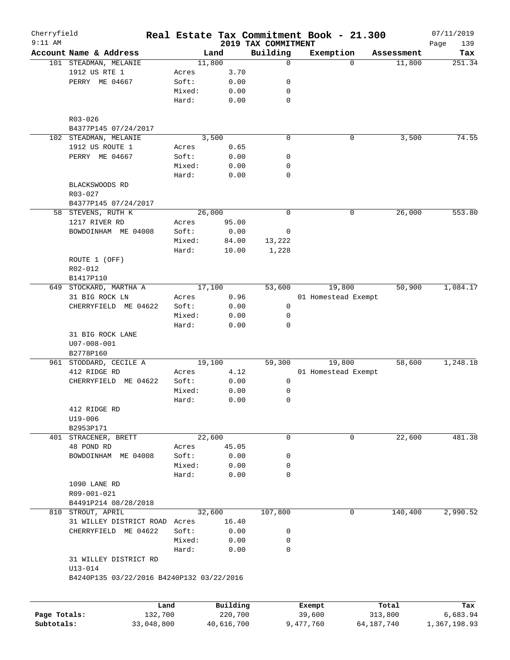| Cherryfield<br>$9:11$ AM |                                           |        |              |                                 |        | Real Estate Tax Commitment Book - 21.300 |            | 07/11/2019         |
|--------------------------|-------------------------------------------|--------|--------------|---------------------------------|--------|------------------------------------------|------------|--------------------|
|                          | Account Name & Address                    |        | Land         | 2019 TAX COMMITMENT<br>Building |        | Exemption                                | Assessment | 139<br>Page<br>Tax |
|                          | 101 STEADMAN, MELANIE                     |        | 11,800       | 0                               |        | $\Omega$                                 | 11,800     | 251.34             |
|                          | 1912 US RTE 1                             | Acres  | 3.70         |                                 |        |                                          |            |                    |
|                          | PERRY ME 04667                            | Soft:  | 0.00         | 0                               |        |                                          |            |                    |
|                          |                                           | Mixed: | 0.00         | 0                               |        |                                          |            |                    |
|                          |                                           | Hard:  | 0.00         | 0                               |        |                                          |            |                    |
|                          | R03-026                                   |        |              |                                 |        |                                          |            |                    |
|                          | B4377P145 07/24/2017                      |        |              |                                 |        |                                          |            |                    |
|                          | 102 STEADMAN, MELANIE                     |        | 3,500        | $\mathbf 0$                     |        | 0                                        | 3,500      | 74.55              |
|                          | 1912 US ROUTE 1                           | Acres  | 0.65         |                                 |        |                                          |            |                    |
|                          | PERRY ME 04667                            | Soft:  | 0.00         | 0                               |        |                                          |            |                    |
|                          |                                           | Mixed: | 0.00         | 0                               |        |                                          |            |                    |
|                          |                                           | Hard:  | 0.00         | 0                               |        |                                          |            |                    |
|                          | BLACKSWOODS RD                            |        |              |                                 |        |                                          |            |                    |
|                          | R03-027                                   |        |              |                                 |        |                                          |            |                    |
|                          | B4377P145 07/24/2017                      |        |              |                                 |        |                                          |            |                    |
|                          | 58 STEVENS, RUTH K                        |        | 26,000       | 0                               |        | 0                                        | 26,000     | 553.80             |
|                          | 1217 RIVER RD                             | Acres  | 95.00        |                                 |        |                                          |            |                    |
|                          | BOWDOINHAM ME 04008                       | Soft:  | 0.00         | 0                               |        |                                          |            |                    |
|                          |                                           | Mixed: | 84.00        | 13,222                          |        |                                          |            |                    |
|                          |                                           | Hard:  | 10.00        | 1,228                           |        |                                          |            |                    |
|                          | ROUTE 1 (OFF)                             |        |              |                                 |        |                                          |            |                    |
|                          | R02-012                                   |        |              |                                 |        |                                          |            |                    |
|                          | B1417P110                                 |        |              |                                 |        |                                          |            |                    |
|                          | 649 STOCKARD, MARTHA A                    |        | 17,100       | 53,600                          |        | 19,800                                   | 50,900     | 1,084.17           |
|                          | 31 BIG ROCK LN                            | Acres  | 0.96         |                                 |        | 01 Homestead Exempt                      |            |                    |
|                          | CHERRYFIELD ME 04622                      | Soft:  | 0.00         | 0                               |        |                                          |            |                    |
|                          |                                           | Mixed: | 0.00         | 0                               |        |                                          |            |                    |
|                          |                                           | Hard:  | 0.00         | 0                               |        |                                          |            |                    |
|                          | 31 BIG ROCK LANE                          |        |              |                                 |        |                                          |            |                    |
|                          | $U07 - 008 - 001$                         |        |              |                                 |        |                                          |            |                    |
|                          | B2778P160                                 |        |              |                                 |        |                                          |            |                    |
|                          | 961 STODDARD, CECILE A                    |        | 19,100       | 59,300                          |        | 19,800                                   | 58,600     | 1,248.18           |
|                          | 412 RIDGE RD                              | Acres  | 4.12         |                                 |        | 01 Homestead Exempt                      |            |                    |
|                          | CHERRYFIELD ME 04622                      | Soft:  | 0.00         | 0                               |        |                                          |            |                    |
|                          |                                           | Mixed: | 0.00         | 0                               |        |                                          |            |                    |
|                          |                                           | Hard:  | 0.00         | 0                               |        |                                          |            |                    |
|                          | 412 RIDGE RD                              |        |              |                                 |        |                                          |            |                    |
|                          | U19-006                                   |        |              |                                 |        |                                          |            |                    |
|                          | B2953P171                                 |        |              |                                 |        |                                          |            |                    |
|                          | 401 STRACENER, BRETT                      |        | 22,600       | 0                               |        | 0                                        | 22,600     | 481.38             |
|                          | 48 POND RD                                | Acres  | 45.05        |                                 |        |                                          |            |                    |
|                          | BOWDOINHAM ME 04008                       | Soft:  | 0.00         | 0                               |        |                                          |            |                    |
|                          |                                           | Mixed: | 0.00         | 0                               |        |                                          |            |                    |
|                          |                                           | Hard:  | 0.00         | 0                               |        |                                          |            |                    |
|                          | 1090 LANE RD                              |        |              |                                 |        |                                          |            |                    |
|                          | R09-001-021                               |        |              |                                 |        |                                          |            |                    |
|                          | B4491P214 08/28/2018                      |        |              |                                 |        | 0                                        |            |                    |
|                          | 810 STROUT, APRIL                         |        | 32,600       | 107,800                         |        |                                          | 140,400    | 2,990.52           |
|                          | 31 WILLEY DISTRICT ROAD Acres             | Soft:  | 16.40        |                                 |        |                                          |            |                    |
|                          | CHERRYFIELD ME 04622                      | Mixed: | 0.00<br>0.00 | 0<br>0                          |        |                                          |            |                    |
|                          |                                           | Hard:  | 0.00         | 0                               |        |                                          |            |                    |
|                          | 31 WILLEY DISTRICT RD                     |        |              |                                 |        |                                          |            |                    |
|                          | $U13 - 014$                               |        |              |                                 |        |                                          |            |                    |
|                          | B4240P135 03/22/2016 B4240P132 03/22/2016 |        |              |                                 |        |                                          |            |                    |
|                          |                                           | Land   | Building     |                                 | Exempt |                                          | Total      | Tax                |
| Page Totals:             | 132,700                                   |        | 220,700      |                                 | 39,600 |                                          | 313,800    | 6,683.94           |
|                          |                                           |        |              |                                 |        |                                          |            |                    |

**Subtotals:** 33,048,800 40,616,700 9,477,760 64,187,740 1,367,198.93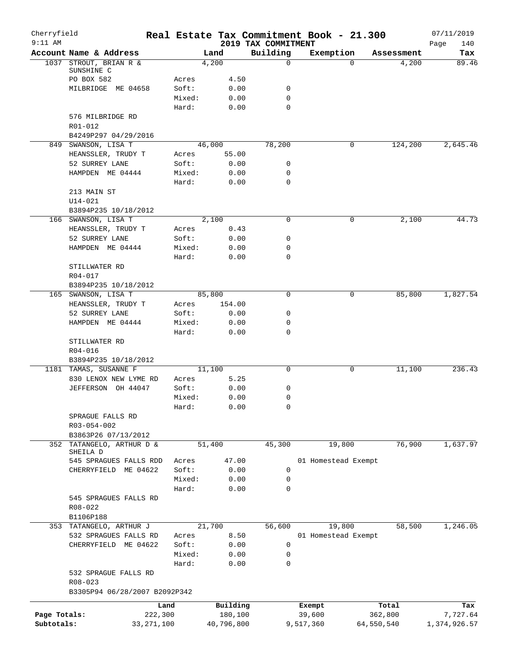| Cherryfield<br>$9:11$ AM |                                                |                 |                | 2019 TAX COMMITMENT | Real Estate Tax Commitment Book - 21.300 |            | 07/11/2019         |
|--------------------------|------------------------------------------------|-----------------|----------------|---------------------|------------------------------------------|------------|--------------------|
|                          | Account Name & Address                         |                 | Land           | Building            | Exemption                                | Assessment | Page<br>140<br>Tax |
|                          | 1037 STROUT, BRIAN R &                         |                 | 4,200          | $\mathbf 0$         | $\Omega$                                 | 4,200      | 89.46              |
|                          | SUNSHINE C                                     |                 |                |                     |                                          |            |                    |
|                          | PO BOX 582                                     | Acres           | 4.50           |                     |                                          |            |                    |
|                          | MILBRIDGE ME 04658                             | Soft:<br>Mixed: | 0.00<br>0.00   | 0<br>$\mathbf 0$    |                                          |            |                    |
|                          |                                                | Hard:           | 0.00           | $\mathbf 0$         |                                          |            |                    |
|                          | 576 MILBRIDGE RD                               |                 |                |                     |                                          |            |                    |
|                          | R01-012                                        |                 |                |                     |                                          |            |                    |
|                          | B4249P297 04/29/2016                           |                 |                |                     |                                          |            |                    |
|                          | 849 SWANSON, LISA T                            |                 | 46,000         | 78,200              | 0                                        | 124,200    | 2,645.46           |
|                          | HEANSSLER, TRUDY T                             | Acres           | 55.00          |                     |                                          |            |                    |
|                          | 52 SURREY LANE                                 | Soft:           | 0.00           | 0                   |                                          |            |                    |
|                          | HAMPDEN ME 04444                               | Mixed:          | 0.00           | $\mathbf 0$         |                                          |            |                    |
|                          |                                                | Hard:           | 0.00           | $\mathbf 0$         |                                          |            |                    |
|                          | 213 MAIN ST                                    |                 |                |                     |                                          |            |                    |
|                          | $U14 - 021$                                    |                 |                |                     |                                          |            |                    |
|                          | B3894P235 10/18/2012                           |                 |                |                     |                                          |            |                    |
|                          | 166 SWANSON, LISA T                            |                 | 2,100          | $\mathbf 0$         | 0                                        | 2,100      | 44.73              |
|                          | HEANSSLER, TRUDY T<br>52 SURREY LANE           | Acres<br>Soft:  | 0.43<br>0.00   | 0                   |                                          |            |                    |
|                          | HAMPDEN ME 04444                               | Mixed:          | 0.00           | 0                   |                                          |            |                    |
|                          |                                                | Hard:           | 0.00           | $\mathbf 0$         |                                          |            |                    |
|                          | STILLWATER RD                                  |                 |                |                     |                                          |            |                    |
|                          | R04-017                                        |                 |                |                     |                                          |            |                    |
|                          | B3894P235 10/18/2012                           |                 |                |                     |                                          |            |                    |
|                          | 165 SWANSON, LISA T                            |                 | 85,800         | $\mathbf 0$         | 0                                        | 85,800     | 1,827.54           |
|                          | HEANSSLER, TRUDY T                             | Acres           | 154.00         |                     |                                          |            |                    |
|                          | 52 SURREY LANE                                 | Soft:           | 0.00           | 0                   |                                          |            |                    |
|                          | HAMPDEN ME 04444                               | Mixed:          | 0.00           | 0                   |                                          |            |                    |
|                          |                                                | Hard:           | 0.00           | $\mathbf 0$         |                                          |            |                    |
|                          | STILLWATER RD                                  |                 |                |                     |                                          |            |                    |
|                          | R04-016                                        |                 |                |                     |                                          |            |                    |
|                          | B3894P235 10/18/2012                           |                 |                |                     |                                          |            |                    |
|                          | 1181 TAMAS, SUSANNE F<br>830 LENOX NEW LYME RD | Acres           | 11,100<br>5.25 | $\mathbf 0$         | 0                                        | 11,100     | 236.43             |
|                          | JEFFERSON OH 44047                             | Soft:           | 0.00           | 0                   |                                          |            |                    |
|                          |                                                | Mixed:          | 0.00           | $\mathbf 0$         |                                          |            |                    |
|                          |                                                | Hard:           | 0.00           | 0                   |                                          |            |                    |
|                          | SPRAGUE FALLS RD                               |                 |                |                     |                                          |            |                    |
|                          | R03-054-002                                    |                 |                |                     |                                          |            |                    |
|                          | B3863P26 07/13/2012                            |                 |                |                     |                                          |            |                    |
| 352                      | TATANGELO, ARTHUR D &                          |                 | 51,400         | 45,300              | 19,800                                   | 76,900     | 1,637.97           |
|                          | SHEILA D                                       |                 |                |                     |                                          |            |                    |
|                          | 545 SPRAGUES FALLS RDD<br>CHERRYFIELD ME 04622 | Acres<br>Soft:  | 47.00          |                     | 01 Homestead Exempt                      |            |                    |
|                          |                                                | Mixed:          | 0.00<br>0.00   | 0<br>$\mathbf 0$    |                                          |            |                    |
|                          |                                                | Hard:           | 0.00           | 0                   |                                          |            |                    |
|                          | 545 SPRAGUES FALLS RD                          |                 |                |                     |                                          |            |                    |
|                          | $R08 - 022$                                    |                 |                |                     |                                          |            |                    |
|                          | B1106P188                                      |                 |                |                     |                                          |            |                    |
|                          | 353 TATANGELO, ARTHUR J                        |                 | 21,700         | 56,600              | 19,800                                   | 58,500     | 1,246.05           |
|                          | 532 SPRAGUES FALLS RD                          | Acres           | 8.50           |                     | 01 Homestead Exempt                      |            |                    |
|                          | CHERRYFIELD ME 04622                           | Soft:           | 0.00           | 0                   |                                          |            |                    |
|                          |                                                | Mixed:          | 0.00           | 0                   |                                          |            |                    |
|                          |                                                | Hard:           | 0.00           | 0                   |                                          |            |                    |
|                          | 532 SPRAGUE FALLS RD                           |                 |                |                     |                                          |            |                    |
|                          | R08-023                                        |                 |                |                     |                                          |            |                    |
|                          | B3305P94 06/28/2007 B2092P342                  |                 |                |                     |                                          |            |                    |
|                          |                                                | Land            | Building       |                     | Exempt                                   | Total      | Tax                |
| Page Totals:             | 222,300                                        |                 | 180,100        |                     | 39,600                                   | 362,800    | 7,727.64           |
| Subtotals:               | 33, 271, 100                                   |                 | 40,796,800     |                     | 9,517,360                                | 64,550,540 | 1,374,926.57       |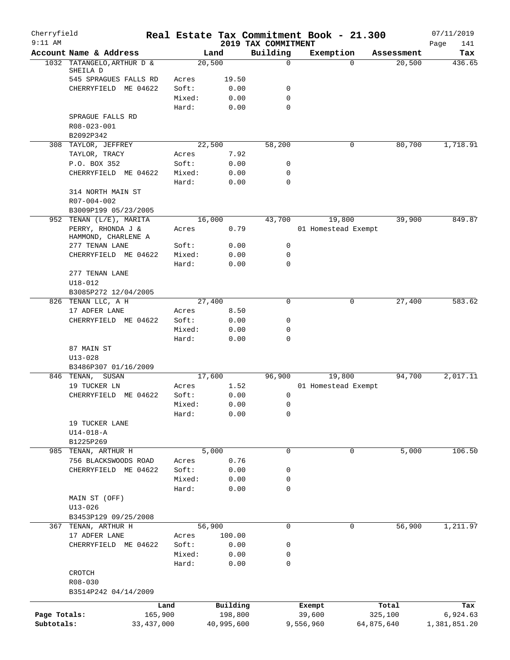| Cherryfield<br>$9:11$ AM |                                               |              |                 |               | 2019 TAX COMMITMENT |           | Real Estate Tax Commitment Book - 21.300 |            | 07/11/2019<br>Page<br>141 |
|--------------------------|-----------------------------------------------|--------------|-----------------|---------------|---------------------|-----------|------------------------------------------|------------|---------------------------|
|                          | Account Name & Address                        |              |                 | Land          | Building            |           | Exemption                                | Assessment | Tax                       |
|                          | 1032 TATANGELO, ARTHUR D &                    |              | 20,500          |               | 0                   |           | $\Omega$                                 | 20,500     | 436.65                    |
|                          | SHEILA D                                      |              |                 |               |                     |           |                                          |            |                           |
|                          | 545 SPRAGUES FALLS RD<br>CHERRYFIELD ME 04622 |              | Acres<br>Soft:  | 19.50<br>0.00 | 0                   |           |                                          |            |                           |
|                          |                                               |              | Mixed:          | 0.00          | $\mathbf 0$         |           |                                          |            |                           |
|                          |                                               |              | Hard:           | 0.00          | 0                   |           |                                          |            |                           |
|                          | SPRAGUE FALLS RD                              |              |                 |               |                     |           |                                          |            |                           |
|                          | R08-023-001                                   |              |                 |               |                     |           |                                          |            |                           |
|                          | B2092P342                                     |              |                 |               |                     |           |                                          |            |                           |
|                          | 308 TAYLOR, JEFFREY                           |              | 22,500          |               | 58,200              |           | 0                                        | 80,700     | 1,718.91                  |
|                          | TAYLOR, TRACY                                 |              | Acres           | 7.92          |                     |           |                                          |            |                           |
|                          | P.O. BOX 352                                  |              | Soft:           | 0.00          | 0                   |           |                                          |            |                           |
|                          | CHERRYFIELD ME 04622                          |              | Mixed:          | 0.00          | 0                   |           |                                          |            |                           |
|                          |                                               |              | Hard:           | 0.00          | 0                   |           |                                          |            |                           |
|                          | 314 NORTH MAIN ST<br>R07-004-002              |              |                 |               |                     |           |                                          |            |                           |
|                          | B3009P199 05/23/2005                          |              |                 |               |                     |           |                                          |            |                           |
|                          | 952 TENAN (L/E), MARITA                       |              | 16,000          |               | 43,700              |           | 19,800                                   | 39,900     | 849.87                    |
|                          | PERRY, RHONDA J &                             |              | Acres           | 0.79          |                     |           | 01 Homestead Exempt                      |            |                           |
|                          | HAMMOND, CHARLENE A                           |              |                 |               |                     |           |                                          |            |                           |
|                          | 277 TENAN LANE                                |              | Soft:           | 0.00          | $\mathbf 0$         |           |                                          |            |                           |
|                          | CHERRYFIELD ME 04622                          |              | Mixed:          | 0.00          | 0                   |           |                                          |            |                           |
|                          |                                               |              | Hard:           | 0.00          | $\Omega$            |           |                                          |            |                           |
|                          | 277 TENAN LANE                                |              |                 |               |                     |           |                                          |            |                           |
|                          | $U18 - 012$                                   |              |                 |               |                     |           |                                          |            |                           |
|                          | B3085P272 12/04/2005<br>826 TENAN LLC, A H    |              | 27,400          |               | 0                   |           | 0                                        | 27,400     | 583.62                    |
|                          | 17 ADFER LANE                                 |              | Acres           | 8.50          |                     |           |                                          |            |                           |
|                          | CHERRYFIELD ME 04622                          |              | Soft:           | 0.00          | 0                   |           |                                          |            |                           |
|                          |                                               |              | Mixed:          | 0.00          | 0                   |           |                                          |            |                           |
|                          |                                               |              | Hard:           | 0.00          | 0                   |           |                                          |            |                           |
|                          | 87 MAIN ST                                    |              |                 |               |                     |           |                                          |            |                           |
|                          | $U13 - 028$                                   |              |                 |               |                     |           |                                          |            |                           |
|                          | B3486P307 01/16/2009                          |              |                 |               |                     |           |                                          |            |                           |
|                          | 846 TENAN,<br>SUSAN                           |              | 17,600          |               | 96,900              |           | 19,800                                   | 94,700     | 2,017.11                  |
|                          | 19 TUCKER LN                                  |              | Acres           | 1.52          |                     |           | 01 Homestead Exempt                      |            |                           |
|                          | CHERRYFIELD ME 04622                          |              | Soft:           | 0.00          | 0                   |           |                                          |            |                           |
|                          |                                               |              | Mixed:<br>Hard: | 0.00<br>0.00  | 0<br>0              |           |                                          |            |                           |
|                          | 19 TUCKER LANE                                |              |                 |               |                     |           |                                          |            |                           |
|                          | $U14 - 018 - A$                               |              |                 |               |                     |           |                                          |            |                           |
|                          | B1225P269                                     |              |                 |               |                     |           |                                          |            |                           |
|                          | 985 TENAN, ARTHUR H                           |              |                 | 5,000         | 0                   |           | 0                                        | 5,000      | 106.50                    |
|                          | 756 BLACKSWOODS ROAD                          |              | Acres           | 0.76          |                     |           |                                          |            |                           |
|                          | CHERRYFIELD ME 04622                          |              | Soft:           | 0.00          | 0                   |           |                                          |            |                           |
|                          |                                               |              | Mixed:          | 0.00          | 0                   |           |                                          |            |                           |
|                          |                                               |              | Hard:           | 0.00          | 0                   |           |                                          |            |                           |
|                          | MAIN ST (OFF)                                 |              |                 |               |                     |           |                                          |            |                           |
|                          | $U13 - 026$                                   |              |                 |               |                     |           |                                          |            |                           |
|                          | B3453P129 09/25/2008                          |              |                 |               | 0                   |           |                                          | 56,900     |                           |
|                          | 367 TENAN, ARTHUR H<br>17 ADFER LANE          |              | 56,900<br>Acres | 100.00        |                     |           | 0                                        |            | 1,211.97                  |
|                          | CHERRYFIELD ME 04622                          |              | Soft:           | 0.00          | 0                   |           |                                          |            |                           |
|                          |                                               |              | Mixed:          | 0.00          | 0                   |           |                                          |            |                           |
|                          |                                               |              | Hard:           | 0.00          | 0                   |           |                                          |            |                           |
|                          | CROTCH                                        |              |                 |               |                     |           |                                          |            |                           |
|                          | R08-030                                       |              |                 |               |                     |           |                                          |            |                           |
|                          | B3514P242 04/14/2009                          |              |                 |               |                     |           |                                          |            |                           |
|                          |                                               | Land         |                 | Building      |                     | Exempt    |                                          | Total      | Tax                       |
| Page Totals:             |                                               | 165,900      |                 | 198,800       |                     | 39,600    |                                          | 325,100    | 6,924.63                  |
| Subtotals:               |                                               | 33, 437, 000 |                 | 40,995,600    |                     | 9,556,960 |                                          | 64,875,640 | 1,381,851.20              |
|                          |                                               |              |                 |               |                     |           |                                          |            |                           |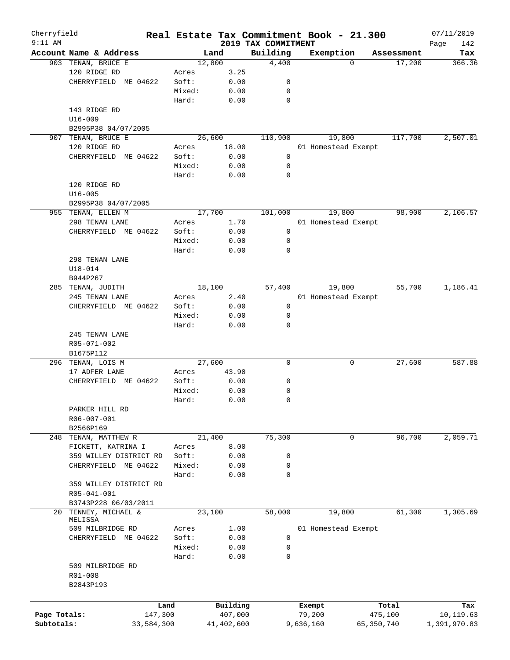| Cherryfield  |                        |        |            |                                 | Real Estate Tax Commitment Book - 21.300 |            |            | 07/11/2019         |
|--------------|------------------------|--------|------------|---------------------------------|------------------------------------------|------------|------------|--------------------|
| $9:11$ AM    | Account Name & Address |        | Land       | 2019 TAX COMMITMENT<br>Building | Exemption                                |            | Assessment | 142<br>Page<br>Tax |
|              | 903 TENAN, BRUCE E     |        | 12,800     | 4,400                           |                                          | $\Omega$   | 17,200     | 366.36             |
|              | 120 RIDGE RD           | Acres  | 3.25       |                                 |                                          |            |            |                    |
|              | CHERRYFIELD ME 04622   | Soft:  | 0.00       | 0                               |                                          |            |            |                    |
|              |                        | Mixed: | 0.00       | 0                               |                                          |            |            |                    |
|              |                        | Hard:  | 0.00       | 0                               |                                          |            |            |                    |
|              | 143 RIDGE RD           |        |            |                                 |                                          |            |            |                    |
|              | $U16 - 009$            |        |            |                                 |                                          |            |            |                    |
|              | B2995P38 04/07/2005    |        |            |                                 |                                          |            |            |                    |
| 907          | TENAN, BRUCE E         |        | 26,600     | 110,900                         | 19,800                                   |            | 117,700    | 2,507.01           |
|              | 120 RIDGE RD           | Acres  | 18.00      |                                 | 01 Homestead Exempt                      |            |            |                    |
|              | CHERRYFIELD ME 04622   | Soft:  | 0.00       | 0                               |                                          |            |            |                    |
|              |                        | Mixed: | 0.00       | 0                               |                                          |            |            |                    |
|              |                        | Hard:  | 0.00       | 0                               |                                          |            |            |                    |
|              | 120 RIDGE RD           |        |            |                                 |                                          |            |            |                    |
|              | $U16 - 005$            |        |            |                                 |                                          |            |            |                    |
|              | B2995P38 04/07/2005    |        |            |                                 |                                          |            |            |                    |
|              | 955 TENAN, ELLEN M     |        | 17,700     | 101,000                         | 19,800                                   |            | 98,900     | 2,106.57           |
|              | 298 TENAN LANE         | Acres  | 1.70       |                                 | 01 Homestead Exempt                      |            |            |                    |
|              | CHERRYFIELD ME 04622   | Soft:  | 0.00       | 0                               |                                          |            |            |                    |
|              |                        | Mixed: | 0.00       | 0                               |                                          |            |            |                    |
|              |                        | Hard:  | 0.00       | 0                               |                                          |            |            |                    |
|              | 298 TENAN LANE         |        |            |                                 |                                          |            |            |                    |
|              | $U18 - 014$            |        |            |                                 |                                          |            |            |                    |
|              | B944P267               |        |            |                                 |                                          |            |            |                    |
|              | 285 TENAN, JUDITH      |        | 18,100     | 57,400                          | 19,800                                   |            | 55,700     | 1,186.41           |
|              | 245 TENAN LANE         | Acres  | 2.40       |                                 | 01 Homestead Exempt                      |            |            |                    |
|              | CHERRYFIELD ME 04622   | Soft:  | 0.00       | 0                               |                                          |            |            |                    |
|              |                        | Mixed: | 0.00       | 0                               |                                          |            |            |                    |
|              |                        | Hard:  | 0.00       | 0                               |                                          |            |            |                    |
|              | 245 TENAN LANE         |        |            |                                 |                                          |            |            |                    |
|              | R05-071-002            |        |            |                                 |                                          |            |            |                    |
|              | B1675P112              |        |            |                                 |                                          |            |            |                    |
|              | 296 TENAN, LOIS M      |        | 27,600     | $\mathbf 0$                     |                                          | 0          | 27,600     | 587.88             |
|              | 17 ADFER LANE          | Acres  | 43.90      |                                 |                                          |            |            |                    |
|              | CHERRYFIELD ME 04622   | Soft:  | 0.00       | 0                               |                                          |            |            |                    |
|              |                        | Mixed: | 0.00       | 0                               |                                          |            |            |                    |
|              |                        | Hard:  | 0.00       | 0                               |                                          |            |            |                    |
|              | PARKER HILL RD         |        |            |                                 |                                          |            |            |                    |
|              | R06-007-001            |        |            |                                 |                                          |            |            |                    |
|              | B2566P169              |        |            |                                 |                                          |            |            |                    |
|              | 248 TENAN, MATTHEW R   |        | 21,400     | 75,300                          |                                          | 0          | 96,700     | 2,059.71           |
|              | FICKETT, KATRINA I     | Acres  | 8.00       |                                 |                                          |            |            |                    |
|              | 359 WILLEY DISTRICT RD | Soft:  | 0.00       | 0                               |                                          |            |            |                    |
|              | CHERRYFIELD ME 04622   | Mixed: | 0.00       | 0                               |                                          |            |            |                    |
|              |                        | Hard:  | 0.00       | 0                               |                                          |            |            |                    |
|              | 359 WILLEY DISTRICT RD |        |            |                                 |                                          |            |            |                    |
|              | R05-041-001            |        |            |                                 |                                          |            |            |                    |
|              | B3743P228 06/03/2011   |        |            |                                 |                                          |            |            |                    |
|              | 20 TENNEY, MICHAEL &   |        | 23,100     | 58,000                          | 19,800                                   |            | 61,300     | 1,305.69           |
|              | MELISSA                |        |            |                                 |                                          |            |            |                    |
|              | 509 MILBRIDGE RD       | Acres  | 1.00       |                                 | 01 Homestead Exempt                      |            |            |                    |
|              | CHERRYFIELD ME 04622   | Soft:  | 0.00       | 0                               |                                          |            |            |                    |
|              |                        | Mixed: | 0.00       | 0                               |                                          |            |            |                    |
|              |                        | Hard:  | 0.00       | 0                               |                                          |            |            |                    |
|              | 509 MILBRIDGE RD       |        |            |                                 |                                          |            |            |                    |
|              | R01-008                |        |            |                                 |                                          |            |            |                    |
|              | B2843P193              |        |            |                                 |                                          |            |            |                    |
|              |                        |        |            |                                 |                                          |            |            |                    |
|              |                        | Land   | Building   |                                 | Exempt                                   |            | Total      | Tax                |
| Page Totals: | 147,300                |        | 407,000    |                                 | 79,200                                   | 475,100    |            | 10,119.63          |
| Subtotals:   | 33,584,300             |        | 41,402,600 |                                 | 9,636,160                                | 65,350,740 |            | 1,391,970.83       |
|              |                        |        |            |                                 |                                          |            |            |                    |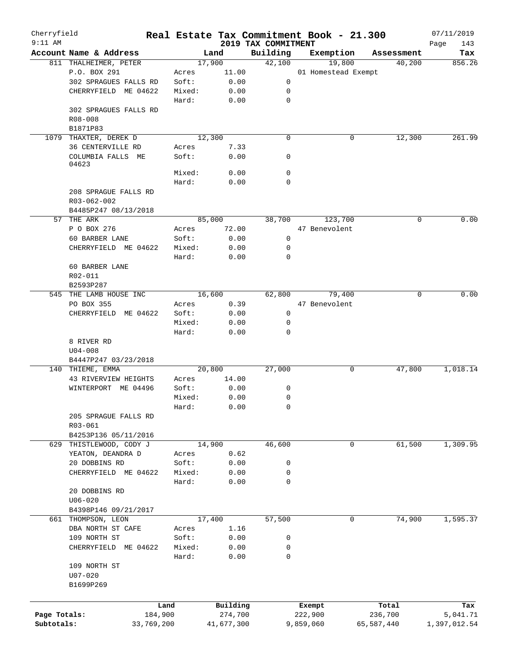| Cherryfield<br>$9:11$ AM |                                 |            |        |        |            | 2019 TAX COMMITMENT | Real Estate Tax Commitment Book - 21.300 |            |            | 07/11/2019         |
|--------------------------|---------------------------------|------------|--------|--------|------------|---------------------|------------------------------------------|------------|------------|--------------------|
|                          | Account Name & Address          |            |        | Land   |            | Building            | Exemption                                |            | Assessment | Page<br>143<br>Tax |
|                          | 811 THALHEIMER, PETER           |            |        | 17,900 |            | 42,100              | 19,800                                   |            | 40,200     | 856.26             |
|                          | P.O. BOX 291                    |            | Acres  |        | 11.00      |                     | 01 Homestead Exempt                      |            |            |                    |
|                          | 302 SPRAGUES FALLS RD           |            | Soft:  |        | 0.00       | 0                   |                                          |            |            |                    |
|                          | CHERRYFIELD ME 04622            |            | Mixed: |        | 0.00       | 0                   |                                          |            |            |                    |
|                          |                                 |            | Hard:  |        | 0.00       | $\mathbf 0$         |                                          |            |            |                    |
|                          | 302 SPRAGUES FALLS RD           |            |        |        |            |                     |                                          |            |            |                    |
|                          | R08-008                         |            |        |        |            |                     |                                          |            |            |                    |
|                          | B1871P83                        |            |        |        |            |                     |                                          |            |            |                    |
| 1079                     | THAXTER, DEREK D                |            |        | 12,300 |            | $\mathbf 0$         | 0                                        |            | 12,300     | 261.99             |
|                          | 36 CENTERVILLE RD               |            | Acres  |        | 7.33       |                     |                                          |            |            |                    |
|                          | COLUMBIA FALLS ME<br>04623      |            | Soft:  |        | 0.00       | 0                   |                                          |            |            |                    |
|                          |                                 |            | Mixed: |        | 0.00       | $\mathbf 0$         |                                          |            |            |                    |
|                          |                                 |            | Hard:  |        | 0.00       | 0                   |                                          |            |            |                    |
|                          | 208 SPRAGUE FALLS RD            |            |        |        |            |                     |                                          |            |            |                    |
|                          | R03-062-002                     |            |        |        |            |                     |                                          |            |            |                    |
|                          | B4485P247 08/13/2018            |            |        |        |            |                     |                                          |            |            |                    |
| 57                       | THE ARK                         |            |        | 85,000 |            | 38,700              | 123,700                                  |            | 0          | 0.00               |
|                          | P O BOX 276                     |            | Acres  |        | 72.00      |                     | 47 Benevolent                            |            |            |                    |
|                          | 60 BARBER LANE                  |            | Soft:  |        | 0.00       | 0                   |                                          |            |            |                    |
|                          | CHERRYFIELD ME 04622            |            | Mixed: |        | 0.00       | 0                   |                                          |            |            |                    |
|                          |                                 |            | Hard:  |        | 0.00       | 0                   |                                          |            |            |                    |
|                          | 60 BARBER LANE                  |            |        |        |            |                     |                                          |            |            |                    |
|                          | R02-011                         |            |        |        |            |                     |                                          |            |            |                    |
|                          | B2593P287                       |            |        |        |            |                     |                                          |            |            |                    |
| 545                      | THE LAMB HOUSE INC              |            |        | 16,600 |            | 62,800              | 79,400                                   |            | $\Omega$   | 0.00               |
|                          | PO BOX 355                      |            | Acres  |        | 0.39       |                     | 47 Benevolent                            |            |            |                    |
|                          | CHERRYFIELD ME 04622            |            | Soft:  |        | 0.00       | 0                   |                                          |            |            |                    |
|                          |                                 |            | Mixed: |        | 0.00       | 0                   |                                          |            |            |                    |
|                          |                                 |            | Hard:  |        | 0.00       | 0                   |                                          |            |            |                    |
|                          | 8 RIVER RD                      |            |        |        |            |                     |                                          |            |            |                    |
|                          | $U04 - 008$                     |            |        |        |            |                     |                                          |            |            |                    |
|                          | B4447P247 03/23/2018            |            |        |        |            |                     |                                          |            |            |                    |
| 140                      | THIEME, EMMA                    |            |        | 20,800 |            | 27,000              | 0                                        |            | 47,800     | 1,018.14           |
|                          | 43 RIVERVIEW HEIGHTS            |            | Acres  |        | 14.00      |                     |                                          |            |            |                    |
|                          | WINTERPORT ME 04496             |            | Soft:  |        | 0.00       | 0                   |                                          |            |            |                    |
|                          |                                 |            | Mixed: |        | 0.00       | 0                   |                                          |            |            |                    |
|                          |                                 |            | Hard:  |        | 0.00       | 0                   |                                          |            |            |                    |
|                          | 205 SPRAGUE FALLS RD<br>R03-061 |            |        |        |            |                     |                                          |            |            |                    |
|                          | B4253P136 05/11/2016            |            |        |        |            |                     |                                          |            |            |                    |
| 629                      | THISTLEWOOD, CODY J             |            |        | 14,900 |            | 46,600              | 0                                        |            | 61,500     | 1,309.95           |
|                          | YEATON, DEANDRA D               |            | Acres  |        | 0.62       |                     |                                          |            |            |                    |
|                          | 20 DOBBINS RD                   |            | Soft:  |        | 0.00       | 0                   |                                          |            |            |                    |
|                          | CHERRYFIELD ME 04622            |            | Mixed: |        | 0.00       | 0                   |                                          |            |            |                    |
|                          |                                 |            | Hard:  |        | 0.00       | 0                   |                                          |            |            |                    |
|                          | 20 DOBBINS RD                   |            |        |        |            |                     |                                          |            |            |                    |
|                          | $U06 - 020$                     |            |        |        |            |                     |                                          |            |            |                    |
|                          | B4398P146 09/21/2017            |            |        |        |            |                     |                                          |            |            |                    |
|                          | 661 THOMPSON, LEON              |            |        | 17,400 |            | 57,500              | 0                                        |            | 74,900     | 1,595.37           |
|                          | DBA NORTH ST CAFE               |            | Acres  |        | 1.16       |                     |                                          |            |            |                    |
|                          | 109 NORTH ST                    |            | Soft:  |        | 0.00       | 0                   |                                          |            |            |                    |
|                          | CHERRYFIELD ME 04622            |            | Mixed: |        | 0.00       | 0                   |                                          |            |            |                    |
|                          |                                 |            | Hard:  |        | 0.00       | 0                   |                                          |            |            |                    |
|                          | 109 NORTH ST                    |            |        |        |            |                     |                                          |            |            |                    |
|                          | $U07 - 020$                     |            |        |        |            |                     |                                          |            |            |                    |
|                          | B1699P269                       |            |        |        |            |                     |                                          |            |            |                    |
|                          |                                 |            |        |        |            |                     |                                          |            |            |                    |
|                          |                                 | Land       |        |        | Building   |                     | Exempt                                   | Total      |            | Tax                |
| Page Totals:             |                                 | 184,900    |        |        | 274,700    |                     | 222,900                                  | 236,700    |            | 5,041.71           |
| Subtotals:               |                                 | 33,769,200 |        |        | 41,677,300 |                     | 9,859,060                                | 65,587,440 |            | 1,397,012.54       |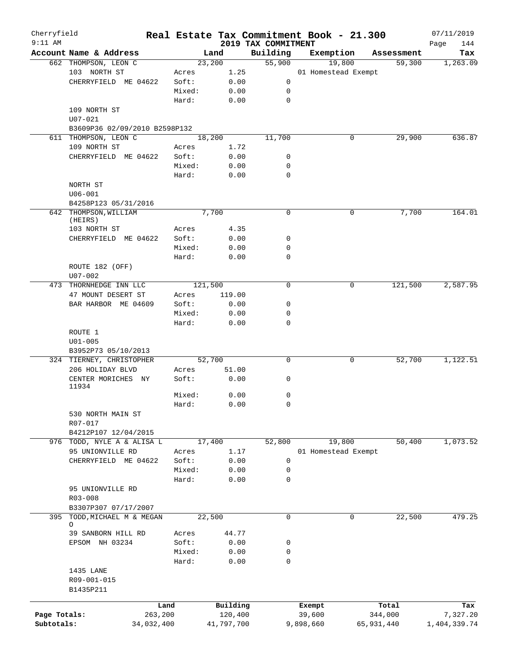| Cherryfield<br>$9:11$ AM |                                                       |         |            |                                 | Real Estate Tax Commitment Book - 21.300 |             |            | 07/11/2019         |
|--------------------------|-------------------------------------------------------|---------|------------|---------------------------------|------------------------------------------|-------------|------------|--------------------|
|                          | Account Name & Address                                |         | Land       | 2019 TAX COMMITMENT<br>Building | Exemption                                |             | Assessment | 144<br>Page<br>Tax |
|                          | 662 THOMPSON, LEON C                                  |         | 23,200     | 55,900                          | 19,800                                   |             | 59,300     | 1,263.09           |
|                          | 103 NORTH ST                                          | Acres   | 1.25       |                                 | 01 Homestead Exempt                      |             |            |                    |
|                          | CHERRYFIELD ME 04622                                  | Soft:   | 0.00       | 0                               |                                          |             |            |                    |
|                          |                                                       | Mixed:  | 0.00       | 0                               |                                          |             |            |                    |
|                          |                                                       | Hard:   | 0.00       | $\mathbf 0$                     |                                          |             |            |                    |
|                          | 109 NORTH ST                                          |         |            |                                 |                                          |             |            |                    |
|                          |                                                       |         |            |                                 |                                          |             |            |                    |
|                          | $U07 - 021$                                           |         |            |                                 |                                          |             |            |                    |
|                          | B3609P36 02/09/2010 B2598P132<br>611 THOMPSON, LEON C |         |            | 11,700                          |                                          | 0           | 29,900     | 636.87             |
|                          |                                                       |         | 18,200     |                                 |                                          |             |            |                    |
|                          | 109 NORTH ST                                          | Acres   | 1.72       |                                 |                                          |             |            |                    |
|                          | CHERRYFIELD ME 04622                                  | Soft:   | 0.00       | 0                               |                                          |             |            |                    |
|                          |                                                       | Mixed:  | 0.00       | 0                               |                                          |             |            |                    |
|                          |                                                       | Hard:   | 0.00       | $\mathbf 0$                     |                                          |             |            |                    |
|                          | NORTH ST                                              |         |            |                                 |                                          |             |            |                    |
|                          | $U06 - 001$                                           |         |            |                                 |                                          |             |            |                    |
|                          | B4258P123 05/31/2016                                  |         |            |                                 |                                          |             |            |                    |
|                          | 642 THOMPSON, WILLIAM                                 |         | 7,700      | 0                               |                                          | 0           | 7,700      | 164.01             |
|                          | (HEIRS)                                               |         |            |                                 |                                          |             |            |                    |
|                          | 103 NORTH ST                                          | Acres   | 4.35       |                                 |                                          |             |            |                    |
|                          | CHERRYFIELD ME 04622                                  | Soft:   | 0.00       | 0                               |                                          |             |            |                    |
|                          |                                                       | Mixed:  | 0.00       | 0                               |                                          |             |            |                    |
|                          |                                                       | Hard:   | 0.00       | 0                               |                                          |             |            |                    |
|                          | ROUTE 182 (OFF)                                       |         |            |                                 |                                          |             |            |                    |
|                          | U07-002                                               |         |            |                                 |                                          |             |            |                    |
|                          | 473 THORNHEDGE INN LLC                                |         | 121,500    | $\mathbf 0$                     |                                          | $\mathbf 0$ | 121,500    | 2,587.95           |
|                          | 47 MOUNT DESERT ST                                    | Acres   | 119.00     |                                 |                                          |             |            |                    |
|                          | BAR HARBOR ME 04609                                   | Soft:   | 0.00       | 0                               |                                          |             |            |                    |
|                          |                                                       | Mixed:  | 0.00       | 0                               |                                          |             |            |                    |
|                          |                                                       | Hard:   | 0.00       | $\Omega$                        |                                          |             |            |                    |
|                          | ROUTE 1                                               |         |            |                                 |                                          |             |            |                    |
|                          | $U01 - 005$                                           |         |            |                                 |                                          |             |            |                    |
|                          | B3952P73 05/10/2013                                   |         |            |                                 |                                          |             |            |                    |
|                          | 324 TIERNEY, CHRISTOPHER                              |         | 52,700     | 0                               |                                          | 0           | 52,700     | 1,122.51           |
|                          | 206 HOLIDAY BLVD                                      | Acres   | 51.00      |                                 |                                          |             |            |                    |
|                          | CENTER MORICHES NY                                    | Soft:   | 0.00       | 0                               |                                          |             |            |                    |
|                          | 11934                                                 |         |            |                                 |                                          |             |            |                    |
|                          |                                                       | Mixed:  | 0.00       | 0                               |                                          |             |            |                    |
|                          |                                                       | Hard:   | 0.00       | $\Omega$                        |                                          |             |            |                    |
|                          | 530 NORTH MAIN ST                                     |         |            |                                 |                                          |             |            |                    |
|                          | R07-017                                               |         |            |                                 |                                          |             |            |                    |
|                          | B4212P107 12/04/2015                                  |         |            |                                 |                                          |             |            |                    |
|                          | 976 TODD, NYLE A & ALISA L                            |         | 17,400     | 52,800                          | 19,800                                   |             | 50,400     | 1,073.52           |
|                          | 95 UNIONVILLE RD                                      | Acres   | 1.17       |                                 | 01 Homestead Exempt                      |             |            |                    |
|                          | CHERRYFIELD ME 04622                                  | Soft:   | 0.00       | 0                               |                                          |             |            |                    |
|                          |                                                       | Mixed:  | 0.00       | 0                               |                                          |             |            |                    |
|                          |                                                       | Hard:   | 0.00       | 0                               |                                          |             |            |                    |
|                          | 95 UNIONVILLE RD                                      |         |            |                                 |                                          |             |            |                    |
|                          | $R03 - 008$                                           |         |            |                                 |                                          |             |            |                    |
|                          | B3307P307 07/17/2007                                  |         |            |                                 |                                          |             |            |                    |
|                          | 395 TODD, MICHAEL M & MEGAN                           |         | 22,500     | 0                               |                                          | 0           | 22,500     | 479.25             |
|                          | 0                                                     |         |            |                                 |                                          |             |            |                    |
|                          | 39 SANBORN HILL RD                                    | Acres   | 44.77      |                                 |                                          |             |            |                    |
|                          | EPSOM NH 03234                                        | Soft:   | 0.00       | 0                               |                                          |             |            |                    |
|                          |                                                       | Mixed:  | 0.00       | 0                               |                                          |             |            |                    |
|                          |                                                       | Hard:   | 0.00       | 0                               |                                          |             |            |                    |
|                          | 1435 LANE                                             |         |            |                                 |                                          |             |            |                    |
|                          | R09-001-015                                           |         |            |                                 |                                          |             |            |                    |
|                          | B1435P211                                             |         |            |                                 |                                          |             |            |                    |
|                          |                                                       |         |            |                                 |                                          |             |            |                    |
|                          |                                                       | Land    | Building   |                                 | Exempt                                   |             | Total      | Tax                |
| Page Totals:             |                                                       | 263,200 | 120,400    |                                 | 39,600                                   | 344,000     |            | 7,327.20           |
| Subtotals:               | 34,032,400                                            |         | 41,797,700 |                                 | 9,898,660                                | 65,931,440  |            | 1,404,339.74       |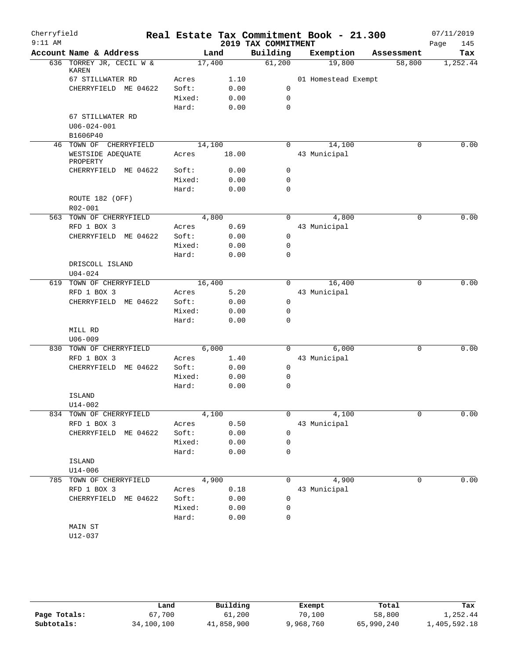| Cherryfield |                                    |        |        |                     | Real Estate Tax Commitment Book - 21.300 |            | 07/11/2019  |
|-------------|------------------------------------|--------|--------|---------------------|------------------------------------------|------------|-------------|
| $9:11$ AM   |                                    |        |        | 2019 TAX COMMITMENT |                                          |            | 145<br>Page |
|             | Account Name & Address             |        | Land   | Building            | Exemption                                | Assessment | Tax         |
|             | 636 TORREY JR, CECIL W &<br>KAREN  |        | 17,400 | 61,200              | 19,800                                   | 58,800     | 1,252.44    |
|             | 67 STILLWATER RD                   | Acres  | 1.10   |                     | 01 Homestead Exempt                      |            |             |
|             | CHERRYFIELD ME 04622               | Soft:  | 0.00   | 0                   |                                          |            |             |
|             |                                    | Mixed: | 0.00   | 0                   |                                          |            |             |
|             |                                    | Hard:  | 0.00   | $\mathbf 0$         |                                          |            |             |
|             | 67 STILLWATER RD                   |        |        |                     |                                          |            |             |
|             | $U06 - 024 - 001$                  |        |        |                     |                                          |            |             |
|             | B1606P40                           |        |        |                     |                                          |            |             |
|             | 46 TOWN OF CHERRYFIELD             |        | 14,100 | $\Omega$            | 14,100                                   | $\Omega$   | 0.00        |
|             | WESTSIDE ADEQUATE<br>PROPERTY      | Acres  | 18.00  |                     | 43 Municipal                             |            |             |
|             | CHERRYFIELD ME 04622               | Soft:  | 0.00   | 0                   |                                          |            |             |
|             |                                    | Mixed: | 0.00   | 0                   |                                          |            |             |
|             |                                    | Hard:  | 0.00   | 0                   |                                          |            |             |
|             | ROUTE 182 (OFF)                    |        |        |                     |                                          |            |             |
|             | R02-001                            |        |        |                     |                                          |            |             |
| 563         | TOWN OF CHERRYFIELD                |        | 4,800  | $\Omega$            | 4,800                                    | 0          | 0.00        |
|             | RFD 1 BOX 3                        | Acres  | 0.69   |                     | 43 Municipal                             |            |             |
|             | CHERRYFIELD ME 04622               | Soft:  | 0.00   | 0                   |                                          |            |             |
|             |                                    | Mixed: | 0.00   | 0                   |                                          |            |             |
|             |                                    | Hard:  | 0.00   | 0                   |                                          |            |             |
|             | DRISCOLL ISLAND                    |        |        |                     |                                          |            |             |
|             | $U04 - 024$                        |        |        |                     |                                          |            |             |
| 619         | TOWN OF CHERRYFIELD                |        | 16,400 | 0                   | 16,400                                   | 0          | 0.00        |
|             | RFD 1 BOX 3                        | Acres  | 5.20   |                     | 43 Municipal                             |            |             |
|             | CHERRYFIELD ME 04622               | Soft:  | 0.00   | $\mathbf 0$         |                                          |            |             |
|             |                                    | Mixed: | 0.00   | 0                   |                                          |            |             |
|             |                                    | Hard:  | 0.00   | 0                   |                                          |            |             |
|             | MILL RD                            |        |        |                     |                                          |            |             |
| 830         | $U06 - 009$<br>TOWN OF CHERRYFIELD |        | 6,000  | 0                   | 6,000                                    | 0          | 0.00        |
|             | RFD 1 BOX 3                        | Acres  | 1.40   |                     | 43 Municipal                             |            |             |
|             | CHERRYFIELD ME 04622               | Soft:  | 0.00   | 0                   |                                          |            |             |
|             |                                    | Mixed: | 0.00   | 0                   |                                          |            |             |
|             |                                    | Hard:  | 0.00   | 0                   |                                          |            |             |
|             | ISLAND                             |        |        |                     |                                          |            |             |
|             | $U14 - 002$                        |        |        |                     |                                          |            |             |
|             | 834 TOWN OF CHERRYFIELD            |        | 4,100  | $\mathbf 0$         | 4,100                                    | 0          | 0.00        |
|             | RFD 1 BOX 3                        | Acres  | 0.50   |                     | 43 Municipal                             |            |             |
|             | CHERRYFIELD ME 04622               | Soft:  | 0.00   | 0                   |                                          |            |             |
|             |                                    | Mixed: | 0.00   | 0                   |                                          |            |             |
|             |                                    | Hard:  | 0.00   | 0                   |                                          |            |             |
|             | ISLAND                             |        |        |                     |                                          |            |             |
|             | $U14 - 006$                        |        |        |                     |                                          |            |             |
|             | 785 TOWN OF CHERRYFIELD            |        | 4,900  | $\Omega$            | 4,900                                    | 0          | 0.00        |
|             | RFD 1 BOX 3                        | Acres  | 0.18   |                     | 43 Municipal                             |            |             |
|             | CHERRYFIELD ME 04622               | Soft:  | 0.00   | 0                   |                                          |            |             |
|             |                                    | Mixed: | 0.00   | 0                   |                                          |            |             |
|             |                                    | Hard:  | 0.00   | 0                   |                                          |            |             |
|             | MAIN ST                            |        |        |                     |                                          |            |             |
|             | $U12 - 037$                        |        |        |                     |                                          |            |             |

**Page Totals:** 67,700 61,200 70,100 58,800 1,252.44<br>**Subtotals:** 34,100,100 41,858,900 9,968,760 65,990,240 1,405,592.18 **Subtotals:** 34,100,100 41,858,900 9,968,760 65,990,240 1,405,592.18 **Land Building Exempt Total Tax**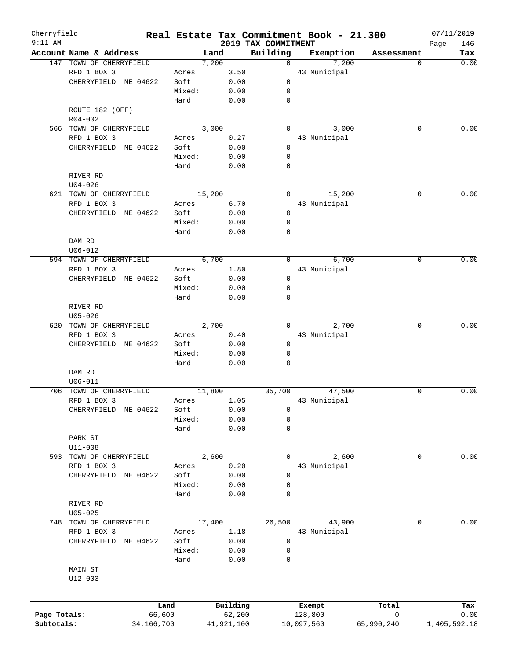| Cherryfield<br>$9:11$ AM |                         |                |        |            |        | Real Estate Tax Commitment Book - 21.300<br>2019 TAX COMMITMENT |                   |            | Page | 07/11/2019<br>146 |
|--------------------------|-------------------------|----------------|--------|------------|--------|-----------------------------------------------------------------|-------------------|------------|------|-------------------|
|                          | Account Name & Address  |                |        | Land       |        | Building                                                        | Exemption         | Assessment |      | Tax               |
|                          | 147 TOWN OF CHERRYFIELD |                |        | 7,200      |        | $\Omega$                                                        | 7,200             |            | 0    | 0.00              |
|                          | RFD 1 BOX 3             |                | Acres  |            | 3.50   |                                                                 | 43 Municipal      |            |      |                   |
|                          | CHERRYFIELD ME 04622    |                | Soft:  |            | 0.00   | 0                                                               |                   |            |      |                   |
|                          |                         |                | Mixed: |            | 0.00   | 0                                                               |                   |            |      |                   |
|                          |                         |                | Hard:  |            | 0.00   | $\mathbf 0$                                                     |                   |            |      |                   |
|                          | ROUTE 182 (OFF)         |                |        |            |        |                                                                 |                   |            |      |                   |
|                          | $R04 - 002$             |                |        |            |        |                                                                 |                   |            |      |                   |
|                          | 566 TOWN OF CHERRYFIELD |                |        | 3,000      |        | 0                                                               | 3,000             |            | 0    | 0.00              |
|                          | RFD 1 BOX 3             |                | Acres  |            | 0.27   |                                                                 | 43 Municipal      |            |      |                   |
|                          | CHERRYFIELD             | ME 04622       | Soft:  |            | 0.00   | 0                                                               |                   |            |      |                   |
|                          |                         |                | Mixed: |            | 0.00   | 0                                                               |                   |            |      |                   |
|                          |                         |                | Hard:  |            | 0.00   | $\mathbf 0$                                                     |                   |            |      |                   |
|                          | RIVER RD                |                |        |            |        |                                                                 |                   |            |      |                   |
|                          | $U04 - 026$             |                |        |            |        |                                                                 |                   |            |      |                   |
|                          | 621 TOWN OF CHERRYFIELD |                |        | 15,200     |        | $\Omega$                                                        | 15,200            |            | 0    | 0.00              |
|                          | RFD 1 BOX 3             |                | Acres  |            | 6.70   |                                                                 | 43 Municipal      |            |      |                   |
|                          | CHERRYFIELD             | ME 04622       | Soft:  |            | 0.00   | 0                                                               |                   |            |      |                   |
|                          |                         |                | Mixed: |            | 0.00   | 0                                                               |                   |            |      |                   |
|                          |                         |                |        |            |        | 0                                                               |                   |            |      |                   |
|                          |                         |                | Hard:  |            | 0.00   |                                                                 |                   |            |      |                   |
|                          | DAM RD                  |                |        |            |        |                                                                 |                   |            |      |                   |
|                          | $U06 - 012$             |                |        |            |        |                                                                 |                   |            |      |                   |
|                          | 594 TOWN OF CHERRYFIELD |                |        | 6,700      |        | 0                                                               | 6,700             |            | 0    | 0.00              |
|                          | RFD 1 BOX 3             |                | Acres  |            | 1.80   |                                                                 | 43 Municipal      |            |      |                   |
|                          | CHERRYFIELD ME 04622    |                | Soft:  |            | 0.00   | 0                                                               |                   |            |      |                   |
|                          |                         |                | Mixed: |            | 0.00   | 0                                                               |                   |            |      |                   |
|                          |                         |                | Hard:  |            | 0.00   | 0                                                               |                   |            |      |                   |
|                          | RIVER RD                |                |        |            |        |                                                                 |                   |            |      |                   |
|                          | $U05 - 026$             |                |        |            |        |                                                                 |                   |            |      |                   |
|                          | 620 TOWN OF CHERRYFIELD |                |        | 2,700      |        | $\Omega$                                                        | 2,700             |            | 0    | 0.00              |
|                          | RFD 1 BOX 3             |                | Acres  |            | 0.40   |                                                                 | 43 Municipal      |            |      |                   |
|                          | CHERRYFIELD ME 04622    |                | Soft:  |            | 0.00   | 0                                                               |                   |            |      |                   |
|                          |                         |                | Mixed: |            | 0.00   | 0                                                               |                   |            |      |                   |
|                          |                         |                | Hard:  |            | 0.00   | $\Omega$                                                        |                   |            |      |                   |
|                          | DAM RD                  |                |        |            |        |                                                                 |                   |            |      |                   |
|                          | $U06 - 011$             |                |        |            |        |                                                                 |                   |            |      |                   |
|                          | 706 TOWN OF CHERRYFIELD |                |        | 11,800     |        | 35,700                                                          | 47,500            |            | 0    | 0.00              |
|                          | RFD 1 BOX 3             |                | Acres  |            | 1.05   |                                                                 | 43 Municipal      |            |      |                   |
|                          | CHERRYFIELD             | ME 04622       | Soft:  |            | 0.00   | 0                                                               |                   |            |      |                   |
|                          |                         |                | Mixed: |            | 0.00   | 0                                                               |                   |            |      |                   |
|                          |                         |                | Hard:  |            | 0.00   | 0                                                               |                   |            |      |                   |
|                          | PARK ST                 |                |        |            |        |                                                                 |                   |            |      |                   |
|                          | $U11 - 008$             |                |        |            |        |                                                                 |                   |            |      |                   |
| 593                      | TOWN OF CHERRYFIELD     |                |        | 2,600      |        | 0                                                               | 2,600             |            | 0    | 0.00              |
|                          | RFD 1 BOX 3             |                | Acres  |            | 0.20   |                                                                 | 43 Municipal      |            |      |                   |
|                          | CHERRYFIELD             | ME 04622       | Soft:  |            | 0.00   | 0                                                               |                   |            |      |                   |
|                          |                         |                | Mixed: |            | 0.00   | 0                                                               |                   |            |      |                   |
|                          |                         |                | Hard:  |            | 0.00   | 0                                                               |                   |            |      |                   |
|                          | RIVER RD                |                |        |            |        |                                                                 |                   |            |      |                   |
|                          | $U05 - 025$             |                |        |            |        |                                                                 |                   |            |      |                   |
| 748                      | TOWN OF CHERRYFIELD     |                |        | 17,400     |        | 26,500                                                          | 43,900            |            | 0    | 0.00              |
|                          | RFD 1 BOX 3             |                | Acres  |            | 1.18   |                                                                 | 43 Municipal      |            |      |                   |
|                          | CHERRYFIELD             | ME 04622       | Soft:  |            | 0.00   | 0                                                               |                   |            |      |                   |
|                          |                         |                | Mixed: |            | 0.00   | 0                                                               |                   |            |      |                   |
|                          |                         |                | Hard:  |            | 0.00   | 0                                                               |                   |            |      |                   |
|                          | MAIN ST                 |                |        |            |        |                                                                 |                   |            |      |                   |
|                          |                         |                |        |            |        |                                                                 |                   |            |      |                   |
|                          | $U12 - 003$             |                |        |            |        |                                                                 |                   |            |      |                   |
|                          |                         |                |        |            |        |                                                                 |                   |            |      |                   |
| Page Totals:             |                         | Land<br>66,600 |        | Building   | 62,200 |                                                                 | Exempt<br>128,800 | Total<br>0 |      | Tax<br>0.00       |
| Subtotals:               |                         |                |        |            |        |                                                                 |                   |            |      |                   |
|                          |                         | 34, 166, 700   |        | 41,921,100 |        | 10,097,560                                                      |                   | 65,990,240 |      | 1,405,592.18      |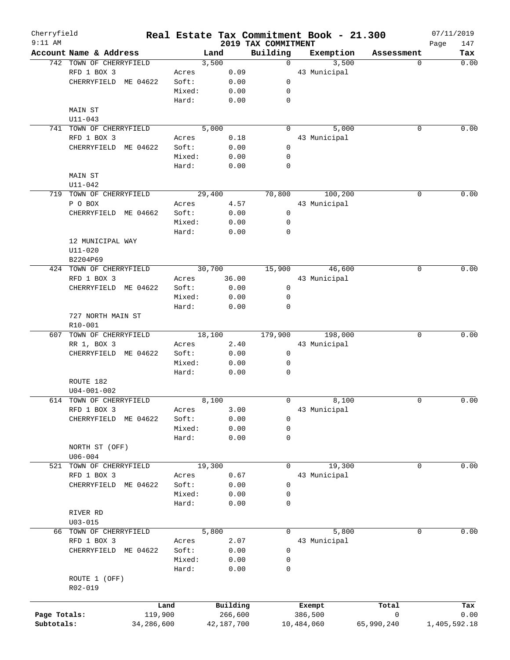| Cherryfield  |                                    |            |                 |              | Real Estate Tax Commitment Book - 21.300 |              |            | 07/11/2019          |
|--------------|------------------------------------|------------|-----------------|--------------|------------------------------------------|--------------|------------|---------------------|
| $9:11$ AM    | Account Name & Address             |            | Land            |              | 2019 TAX COMMITMENT<br>Building          | Exemption    | Assessment | 147<br>Page<br>Tax  |
|              | 742 TOWN OF CHERRYFIELD            |            | 3,500           |              | $\Omega$                                 | 3,500        |            | 0.00<br>$\Omega$    |
|              | RFD 1 BOX 3                        |            | Acres           | 0.09         |                                          | 43 Municipal |            |                     |
|              | CHERRYFIELD ME 04622               |            | Soft:           | 0.00         | $\mathbf 0$                              |              |            |                     |
|              |                                    |            | Mixed:          | 0.00         | 0                                        |              |            |                     |
|              |                                    |            | Hard:           | 0.00         | 0                                        |              |            |                     |
|              | MAIN ST                            |            |                 |              |                                          |              |            |                     |
|              | $U11 - 043$                        |            |                 |              |                                          |              |            |                     |
|              | 741 TOWN OF CHERRYFIELD            |            | 5,000           |              | 0                                        | 5,000        |            | 0.00<br>0           |
|              | RFD 1 BOX 3                        |            | Acres           | 0.18         |                                          | 43 Municipal |            |                     |
|              | CHERRYFIELD ME 04622               |            | Soft:           | 0.00         | $\mathbf 0$                              |              |            |                     |
|              |                                    |            | Mixed:          | 0.00         | 0                                        |              |            |                     |
|              |                                    |            | Hard:           | 0.00         | 0                                        |              |            |                     |
|              | MAIN ST                            |            |                 |              |                                          |              |            |                     |
|              | $U11 - 042$                        |            |                 |              |                                          |              |            |                     |
|              | 719 TOWN OF CHERRYFIELD            |            | 29,400          |              | 70,800                                   | 100, 200     |            | 0.00<br>0           |
|              | P O BOX                            |            | Acres           | 4.57         |                                          | 43 Municipal |            |                     |
|              | CHERRYFIELD ME 04662               |            | Soft:           | 0.00         | $\mathbf 0$                              |              |            |                     |
|              |                                    |            | Mixed:          | 0.00         | $\mathbf 0$                              |              |            |                     |
|              |                                    |            | Hard:           | 0.00         | 0                                        |              |            |                     |
|              | 12 MUNICIPAL WAY                   |            |                 |              |                                          |              |            |                     |
|              |                                    |            |                 |              |                                          |              |            |                     |
|              | $U11 - 020$                        |            |                 |              |                                          |              |            |                     |
|              | B2204P69                           |            |                 |              |                                          |              |            |                     |
|              | 424 TOWN OF CHERRYFIELD            |            | 30,700          |              | 15,900                                   | 46,600       |            | 0.00<br>0           |
|              | RFD 1 BOX 3                        |            | Acres           | 36.00        |                                          | 43 Municipal |            |                     |
|              | CHERRYFIELD ME 04622               |            | Soft:           | 0.00         | 0                                        |              |            |                     |
|              |                                    |            | Mixed:          | 0.00         | 0                                        |              |            |                     |
|              |                                    |            | Hard:           | 0.00         | 0                                        |              |            |                     |
|              | 727 NORTH MAIN ST                  |            |                 |              |                                          |              |            |                     |
|              | R10-001                            |            |                 |              |                                          |              |            |                     |
|              | 607 TOWN OF CHERRYFIELD            |            | 18,100          |              | 179,900                                  | 198,000      |            | 0.00<br>$\mathbf 0$ |
|              | RR 1, BOX 3                        |            | Acres           | 2.40         |                                          | 43 Municipal |            |                     |
|              | CHERRYFIELD ME 04622               |            | Soft:           | 0.00         | $\mathsf{O}$                             |              |            |                     |
|              |                                    |            | Mixed:          | 0.00         | 0                                        |              |            |                     |
|              |                                    |            | Hard:           | 0.00         | $\mathbf 0$                              |              |            |                     |
|              | ROUTE 182                          |            |                 |              |                                          |              |            |                     |
|              | $U04 - 001 - 002$                  |            |                 |              |                                          |              |            |                     |
|              | 614 TOWN OF CHERRYFIELD            |            | 8,100           |              | 0                                        | 8,100        |            | 0.00<br>0           |
|              | RFD 1 BOX 3                        |            | Acres           | 3.00         |                                          | 43 Municipal |            |                     |
|              | CHERRYFIELD ME 04622               |            | Soft:           | 0.00         | 0                                        |              |            |                     |
|              |                                    |            | Mixed:          | 0.00         | 0<br>0                                   |              |            |                     |
|              |                                    |            | Hard:           | 0.00         |                                          |              |            |                     |
|              | NORTH ST (OFF)<br>$U06 - 004$      |            |                 |              |                                          |              |            |                     |
| 521          | TOWN OF CHERRYFIELD                |            | 19,300          |              | 0                                        | 19,300       |            | 0.00<br>0           |
|              |                                    |            |                 |              |                                          |              |            |                     |
|              | RFD 1 BOX 3                        |            | Acres<br>Soft:  | 0.67         |                                          | 43 Municipal |            |                     |
|              | CHERRYFIELD ME 04622               |            |                 | 0.00         | 0                                        |              |            |                     |
|              |                                    |            | Mixed:<br>Hard: | 0.00<br>0.00 | 0<br>0                                   |              |            |                     |
|              | RIVER RD                           |            |                 |              |                                          |              |            |                     |
|              | $U03 - 015$                        |            |                 |              |                                          |              |            |                     |
|              |                                    |            |                 |              | 0                                        | 5,800        |            | 0.00<br>0           |
| 66           | TOWN OF CHERRYFIELD<br>RFD 1 BOX 3 |            | 5,800<br>Acres  | 2.07         |                                          | 43 Municipal |            |                     |
|              | CHERRYFIELD ME 04622               |            | Soft:           | 0.00         | 0                                        |              |            |                     |
|              |                                    |            | Mixed:          | 0.00         | 0                                        |              |            |                     |
|              |                                    |            |                 |              | 0                                        |              |            |                     |
|              |                                    |            | Hard:           | 0.00         |                                          |              |            |                     |
|              | ROUTE 1 (OFF)<br>R02-019           |            |                 |              |                                          |              |            |                     |
|              |                                    |            |                 |              |                                          |              |            |                     |
|              |                                    | Land       |                 | Building     |                                          | Exempt       | Total      | Tax                 |
| Page Totals: |                                    | 119,900    |                 | 266,600      |                                          | 386,500      | 0          | 0.00                |
| Subtotals:   |                                    | 34,286,600 |                 | 42,187,700   |                                          | 10,484,060   | 65,990,240 | 1,405,592.18        |
|              |                                    |            |                 |              |                                          |              |            |                     |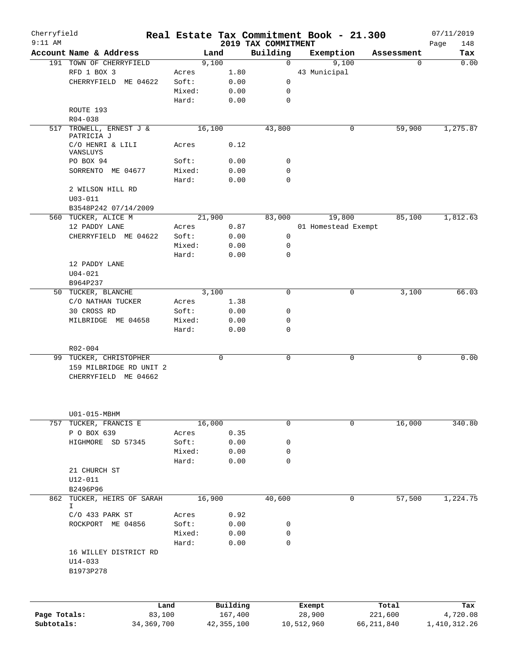| Cherryfield<br>$9:11$ AM |                                   |                |        |                     |                                 | Real Estate Tax Commitment Book - 21.300 |              |                  | 07/11/2019         |
|--------------------------|-----------------------------------|----------------|--------|---------------------|---------------------------------|------------------------------------------|--------------|------------------|--------------------|
|                          | Account Name & Address            |                | Land   |                     | 2019 TAX COMMITMENT<br>Building | Exemption                                |              | Assessment       | 148<br>Page<br>Tax |
|                          | 191 TOWN OF CHERRYFIELD           |                | 9,100  |                     | 0                               | 9,100                                    |              | 0                | 0.00               |
|                          | RFD 1 BOX 3                       |                | Acres  | 1.80                |                                 | 43 Municipal                             |              |                  |                    |
|                          | CHERRYFIELD ME 04622              |                | Soft:  | 0.00                | 0                               |                                          |              |                  |                    |
|                          |                                   |                | Mixed: | 0.00                | 0                               |                                          |              |                  |                    |
|                          |                                   |                | Hard:  | 0.00                | 0                               |                                          |              |                  |                    |
|                          | ROUTE 193                         |                |        |                     |                                 |                                          |              |                  |                    |
|                          | $R04 - 038$                       |                |        |                     |                                 |                                          |              |                  |                    |
|                          |                                   |                |        |                     |                                 |                                          |              | 59,900           |                    |
| 517                      | TROWELL, ERNEST J &<br>PATRICIA J |                | 16,100 |                     | 43,800                          |                                          | 0            |                  | 1,275.87           |
|                          | C/O HENRI & LILI                  |                | Acres  | 0.12                |                                 |                                          |              |                  |                    |
|                          | VANSLUYS                          |                |        |                     |                                 |                                          |              |                  |                    |
|                          | PO BOX 94                         |                | Soft:  | 0.00                | 0                               |                                          |              |                  |                    |
|                          | SORRENTO ME 04677                 |                | Mixed: | 0.00                | 0                               |                                          |              |                  |                    |
|                          |                                   |                | Hard:  | 0.00                | $\mathbf 0$                     |                                          |              |                  |                    |
|                          | 2 WILSON HILL RD                  |                |        |                     |                                 |                                          |              |                  |                    |
|                          | $U03 - 011$                       |                |        |                     |                                 |                                          |              |                  |                    |
|                          | B3548P242 07/14/2009              |                |        |                     |                                 |                                          |              |                  |                    |
|                          | 560 TUCKER, ALICE M               |                | 21,900 |                     | 83,000                          | 19,800                                   |              | 85,100           | 1,812.63           |
|                          | 12 PADDY LANE                     |                | Acres  | 0.87                |                                 | 01 Homestead Exempt                      |              |                  |                    |
|                          | CHERRYFIELD ME 04622              |                | Soft:  | 0.00                | 0                               |                                          |              |                  |                    |
|                          |                                   |                | Mixed: | 0.00                | 0                               |                                          |              |                  |                    |
|                          |                                   |                | Hard:  | 0.00                | 0                               |                                          |              |                  |                    |
|                          | 12 PADDY LANE                     |                |        |                     |                                 |                                          |              |                  |                    |
|                          | $U04 - 021$                       |                |        |                     |                                 |                                          |              |                  |                    |
|                          | B964P237                          |                |        |                     |                                 |                                          |              |                  |                    |
|                          | 50 TUCKER, BLANCHE                |                | 3,100  |                     | 0                               |                                          | 0            | 3,100            | 66.03              |
|                          | C/O NATHAN TUCKER                 |                | Acres  | 1.38                |                                 |                                          |              |                  |                    |
|                          | 30 CROSS RD                       |                | Soft:  | 0.00                | 0                               |                                          |              |                  |                    |
|                          | MILBRIDGE ME 04658                |                | Mixed: | 0.00                | 0                               |                                          |              |                  |                    |
|                          |                                   |                | Hard:  | 0.00                | 0                               |                                          |              |                  |                    |
|                          |                                   |                |        |                     |                                 |                                          |              |                  |                    |
|                          | R02-004                           |                |        |                     |                                 |                                          |              |                  |                    |
| 99                       | TUCKER, CHRISTOPHER               |                |        | 0                   | 0                               |                                          | 0            | 0                | 0.00               |
|                          | 159 MILBRIDGE RD UNIT 2           |                |        |                     |                                 |                                          |              |                  |                    |
|                          | CHERRYFIELD ME 04662              |                |        |                     |                                 |                                          |              |                  |                    |
|                          | U01-015-MBHM                      |                |        |                     |                                 |                                          |              |                  |                    |
| 757                      | TUCKER, FRANCIS E                 |                | 16,000 |                     | 0                               |                                          | $\mathbf 0$  | 16,000           | 340.80             |
|                          | P O BOX 639                       |                | Acres  | 0.35                |                                 |                                          |              |                  |                    |
|                          | HIGHMORE SD 57345                 |                | Soft:  | 0.00                | 0                               |                                          |              |                  |                    |
|                          |                                   |                | Mixed: | 0.00                | 0                               |                                          |              |                  |                    |
|                          |                                   |                | Hard:  | 0.00                | $\mathbf 0$                     |                                          |              |                  |                    |
|                          | 21 CHURCH ST                      |                |        |                     |                                 |                                          |              |                  |                    |
|                          | $U12 - 011$                       |                |        |                     |                                 |                                          |              |                  |                    |
|                          | B2496P96                          |                |        |                     |                                 |                                          |              |                  |                    |
| 862                      | TUCKER, HEIRS OF SARAH            |                |        |                     |                                 |                                          | 0            |                  |                    |
|                          | I.                                |                | 16,900 |                     | 40,600                          |                                          |              | 57,500           | 1,224.75           |
|                          | $C/O$ 433 PARK ST                 |                | Acres  | 0.92                |                                 |                                          |              |                  |                    |
|                          | ROCKPORT ME 04856                 |                | Soft:  | 0.00                | 0                               |                                          |              |                  |                    |
|                          |                                   |                | Mixed: | 0.00                | 0                               |                                          |              |                  |                    |
|                          |                                   |                | Hard:  | 0.00                | 0                               |                                          |              |                  |                    |
|                          | 16 WILLEY DISTRICT RD             |                |        |                     |                                 |                                          |              |                  |                    |
|                          |                                   |                |        |                     |                                 |                                          |              |                  |                    |
|                          | $U14 - 033$<br>B1973P278          |                |        |                     |                                 |                                          |              |                  |                    |
|                          |                                   |                |        |                     |                                 |                                          |              |                  |                    |
|                          |                                   |                |        |                     |                                 |                                          |              |                  |                    |
| Page Totals:             |                                   | Land<br>83,100 |        | Building<br>167,400 |                                 | Exempt<br>28,900                         |              | Total<br>221,600 | Tax<br>4,720.08    |
| Subtotals:               |                                   | 34, 369, 700   |        | 42, 355, 100        |                                 | 10,512,960                               | 66, 211, 840 |                  | 1,410,312.26       |
|                          |                                   |                |        |                     |                                 |                                          |              |                  |                    |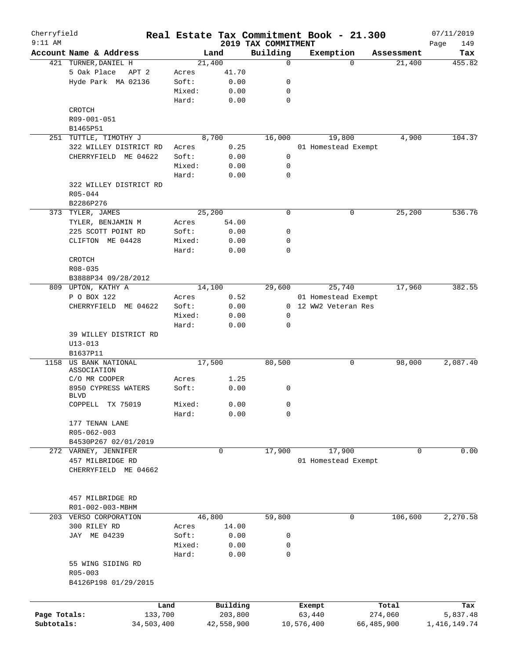| Cherryfield<br>$9:11$ AM |                                 |        |                     |                                 | Real Estate Tax Commitment Book - 21.300 |                  | 07/11/2019         |
|--------------------------|---------------------------------|--------|---------------------|---------------------------------|------------------------------------------|------------------|--------------------|
|                          | Account Name & Address          |        | Land                | 2019 TAX COMMITMENT<br>Building | Exemption                                | Assessment       | Page<br>149<br>Tax |
|                          | 421 TURNER, DANIEL H            |        | 21,400              | $\mathbf 0$                     | $\Omega$                                 | 21,400           | 455.82             |
|                          | 5 Oak Place<br>APT <sub>2</sub> | Acres  | 41.70               |                                 |                                          |                  |                    |
|                          | Hyde Park MA 02136              | Soft:  | 0.00                | 0                               |                                          |                  |                    |
|                          |                                 | Mixed: | 0.00                | 0                               |                                          |                  |                    |
|                          |                                 | Hard:  | 0.00                | 0                               |                                          |                  |                    |
|                          | CROTCH                          |        |                     |                                 |                                          |                  |                    |
|                          | R09-001-051                     |        |                     |                                 |                                          |                  |                    |
|                          | B1465P51                        |        |                     |                                 |                                          |                  |                    |
| 251                      | TUTTLE, TIMOTHY J               |        | 8,700               | 16,000                          | 19,800                                   | 4,900            | 104.37             |
|                          | 322 WILLEY DISTRICT RD          | Acres  | 0.25                |                                 | 01 Homestead Exempt                      |                  |                    |
|                          | CHERRYFIELD ME 04622            | Soft:  | 0.00                | 0                               |                                          |                  |                    |
|                          |                                 | Mixed: | 0.00                | 0                               |                                          |                  |                    |
|                          |                                 | Hard:  | 0.00                | 0                               |                                          |                  |                    |
|                          | 322 WILLEY DISTRICT RD          |        |                     |                                 |                                          |                  |                    |
|                          | $R05 - 044$                     |        |                     |                                 |                                          |                  |                    |
|                          | B2286P276                       |        |                     |                                 |                                          |                  |                    |
|                          | 373 TYLER, JAMES                |        | 25, 200             | $\mathbf 0$                     | 0                                        | 25,200           | 536.76             |
|                          | TYLER, BENJAMIN M               | Acres  |                     |                                 |                                          |                  |                    |
|                          |                                 | Soft:  | 54.00               | 0                               |                                          |                  |                    |
|                          | 225 SCOTT POINT RD              |        | 0.00                |                                 |                                          |                  |                    |
|                          | CLIFTON ME 04428                | Mixed: | 0.00                | 0                               |                                          |                  |                    |
|                          |                                 | Hard:  | 0.00                | 0                               |                                          |                  |                    |
|                          | CROTCH                          |        |                     |                                 |                                          |                  |                    |
|                          | R08-035                         |        |                     |                                 |                                          |                  |                    |
|                          | B3888P34 09/28/2012             |        |                     |                                 |                                          |                  |                    |
|                          | 809 UPTON, KATHY A              |        | 14,100              | 29,600                          | 25,740                                   | 17,960           | 382.55             |
|                          | P O BOX 122                     | Acres  | 0.52                |                                 | 01 Homestead Exempt                      |                  |                    |
|                          | CHERRYFIELD ME 04622            | Soft:  | 0.00                |                                 | 0 12 WW2 Veteran Res                     |                  |                    |
|                          |                                 | Mixed: | 0.00                | 0                               |                                          |                  |                    |
|                          |                                 | Hard:  | 0.00                | 0                               |                                          |                  |                    |
|                          | 39 WILLEY DISTRICT RD           |        |                     |                                 |                                          |                  |                    |
|                          | $U13 - 013$                     |        |                     |                                 |                                          |                  |                    |
|                          | B1637P11                        |        |                     |                                 |                                          |                  |                    |
| 1158                     | US BANK NATIONAL<br>ASSOCIATION |        | 17,500              | 80,500                          | 0                                        | 98,000           | 2,087.40           |
|                          | C/O MR COOPER                   | Acres  | 1.25                |                                 |                                          |                  |                    |
|                          | 8950 CYPRESS WATERS             | Soft:  | 0.00                | 0                               |                                          |                  |                    |
|                          | <b>BLVD</b>                     |        |                     |                                 |                                          |                  |                    |
|                          | COPPELL TX 75019                | Mixed: | 0.00                | 0                               |                                          |                  |                    |
|                          |                                 | Hard:  | 0.00                | 0                               |                                          |                  |                    |
|                          | 177 TENAN LANE                  |        |                     |                                 |                                          |                  |                    |
|                          | R05-062-003                     |        |                     |                                 |                                          |                  |                    |
|                          | B4530P267 02/01/2019            |        |                     |                                 |                                          |                  |                    |
|                          | 272 VARNEY, JENNIFER            |        | 0                   | 17,900                          | 17,900                                   | 0                | 0.00               |
|                          | 457 MILBRIDGE RD                |        |                     |                                 | 01 Homestead Exempt                      |                  |                    |
|                          | CHERRYFIELD ME 04662            |        |                     |                                 |                                          |                  |                    |
|                          |                                 |        |                     |                                 |                                          |                  |                    |
|                          |                                 |        |                     |                                 |                                          |                  |                    |
|                          | 457 MILBRIDGE RD                |        |                     |                                 |                                          |                  |                    |
|                          | R01-002-003-MBHM                |        |                     |                                 |                                          |                  |                    |
|                          | 203 VERSO CORPORATION           |        | 46,800              | 59,800                          | 0                                        | 106,600          | 2,270.58           |
|                          | 300 RILEY RD                    | Acres  | 14.00               |                                 |                                          |                  |                    |
|                          | JAY ME 04239                    | Soft:  | 0.00                | 0                               |                                          |                  |                    |
|                          |                                 | Mixed: | 0.00                | 0                               |                                          |                  |                    |
|                          |                                 | Hard:  | 0.00                | 0                               |                                          |                  |                    |
|                          | 55 WING SIDING RD               |        |                     |                                 |                                          |                  |                    |
|                          | R05-003                         |        |                     |                                 |                                          |                  |                    |
|                          | B4126P198 01/29/2015            |        |                     |                                 |                                          |                  |                    |
|                          |                                 |        |                     |                                 |                                          |                  |                    |
|                          |                                 |        |                     |                                 |                                          |                  |                    |
| Page Totals:             | 133,700                         | Land   | Building<br>203,800 |                                 | Exempt<br>63,440                         | Total<br>274,060 | Tax<br>5,837.48    |
| Subtotals:               | 34,503,400                      |        | 42,558,900          |                                 | 10,576,400                               | 66,485,900       | 1, 416, 149. 74    |
|                          |                                 |        |                     |                                 |                                          |                  |                    |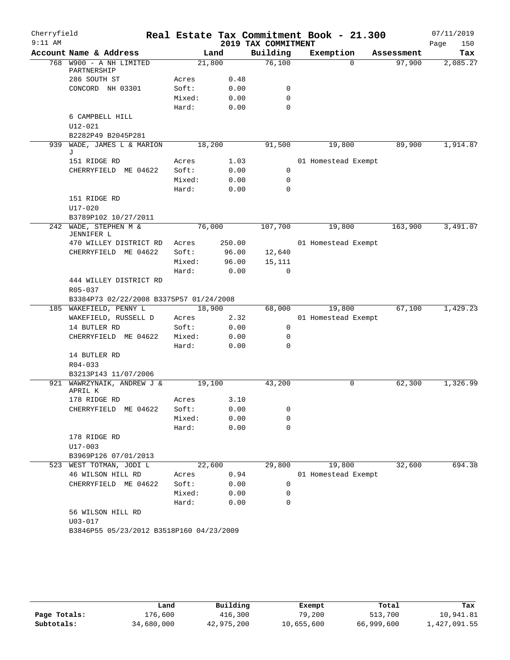| Cherryfield |                                          |        |        |                     | Real Estate Tax Commitment Book - 21.300 |            | 07/11/2019  |
|-------------|------------------------------------------|--------|--------|---------------------|------------------------------------------|------------|-------------|
| $9:11$ AM   |                                          |        |        | 2019 TAX COMMITMENT |                                          |            | Page<br>150 |
|             | Account Name & Address                   |        | Land   | Building            | Exemption                                | Assessment | Tax         |
|             | 768 W900 - A NH LIMITED<br>PARTNERSHIP   |        | 21,800 | 76,100              | $\Omega$                                 | 97,900     | 2,085.27    |
|             | 286 SOUTH ST                             | Acres  | 0.48   |                     |                                          |            |             |
|             | CONCORD NH 03301                         | Soft:  | 0.00   | 0                   |                                          |            |             |
|             |                                          | Mixed: | 0.00   | 0                   |                                          |            |             |
|             |                                          | Hard:  | 0.00   | 0                   |                                          |            |             |
|             | 6 CAMPBELL HILL                          |        |        |                     |                                          |            |             |
|             | U12-021                                  |        |        |                     |                                          |            |             |
|             | B2282P49 B2045P281                       |        |        |                     |                                          |            |             |
| 939         | WADE, JAMES L & MARION<br>J              |        | 18,200 | 91,500              | 19,800                                   | 89,900     | 1,914.87    |
|             | 151 RIDGE RD                             | Acres  | 1.03   |                     | 01 Homestead Exempt                      |            |             |
|             | CHERRYFIELD ME 04622                     | Soft:  | 0.00   | 0                   |                                          |            |             |
|             |                                          | Mixed: | 0.00   | 0                   |                                          |            |             |
|             |                                          | Hard:  | 0.00   | 0                   |                                          |            |             |
|             | 151 RIDGE RD                             |        |        |                     |                                          |            |             |
|             | U17-020                                  |        |        |                     |                                          |            |             |
|             | B3789P102 10/27/2011                     |        |        |                     |                                          |            |             |
|             | 242 WADE, STEPHEN M &<br>JENNIFER L      |        | 76,000 | 107,700             | 19,800                                   | 163,900    | 3,491.07    |
|             | 470 WILLEY DISTRICT RD                   | Acres  | 250.00 |                     | 01 Homestead Exempt                      |            |             |
|             | CHERRYFIELD ME 04622                     | Soft:  | 96.00  | 12,640              |                                          |            |             |
|             |                                          | Mixed: | 96.00  | 15,111              |                                          |            |             |
|             |                                          | Hard:  | 0.00   | $\Omega$            |                                          |            |             |
|             | 444 WILLEY DISTRICT RD                   |        |        |                     |                                          |            |             |
|             | R05-037                                  |        |        |                     |                                          |            |             |
|             | B3384P73 02/22/2008 B3375P57 01/24/2008  |        |        |                     |                                          |            |             |
|             | 185 WAKEFIELD, PENNY L                   |        | 18,900 | 68,000              | 19,800                                   | 67,100     | 1,429.23    |
|             | WAKEFIELD, RUSSELL D                     | Acres  | 2.32   |                     | 01 Homestead Exempt                      |            |             |
|             | 14 BUTLER RD                             | Soft:  | 0.00   | 0                   |                                          |            |             |
|             | CHERRYFIELD ME 04622                     | Mixed: | 0.00   | 0                   |                                          |            |             |
|             |                                          | Hard:  | 0.00   | 0                   |                                          |            |             |
|             | 14 BUTLER RD                             |        |        |                     |                                          |            |             |
|             | $R04 - 033$                              |        |        |                     |                                          |            |             |
|             | B3213P143 11/07/2006                     |        |        |                     |                                          |            |             |
|             | 921 WAWRZYNAIK, ANDREW J &<br>APRIL K    |        | 19,100 | 43,200              | 0                                        | 62,300     | 1,326.99    |
|             | 178 RIDGE RD                             | Acres  | 3.10   |                     |                                          |            |             |
|             | CHERRYFIELD ME 04622                     | Soft:  | 0.00   | 0                   |                                          |            |             |
|             |                                          | Mixed: | 0.00   | 0                   |                                          |            |             |
|             |                                          | Hard:  | 0.00   | 0                   |                                          |            |             |
|             | 178 RIDGE RD                             |        |        |                     |                                          |            |             |
|             | $U17 - 003$                              |        |        |                     |                                          |            |             |
|             | B3969P126 07/01/2013                     |        |        |                     |                                          |            |             |
|             | 523 WEST TOTMAN, JODI L                  |        | 22,600 | 29,800              | 19,800                                   | 32,600     | 694.38      |
|             | 46 WILSON HILL RD                        | Acres  | 0.94   |                     | 01 Homestead Exempt                      |            |             |
|             | CHERRYFIELD ME 04622                     | Soft:  | 0.00   | 0                   |                                          |            |             |
|             |                                          | Mixed: | 0.00   | 0                   |                                          |            |             |
|             |                                          | Hard:  | 0.00   | 0                   |                                          |            |             |
|             | 56 WILSON HILL RD                        |        |        |                     |                                          |            |             |
|             | $U03 - 017$                              |        |        |                     |                                          |            |             |
|             | B3846P55 05/23/2012 B3518P160 04/23/2009 |        |        |                     |                                          |            |             |
|             |                                          |        |        |                     |                                          |            |             |
|             |                                          |        |        |                     |                                          |            |             |

|              | Land       | Building   | Exempt     | Total      | Tax          |
|--------------|------------|------------|------------|------------|--------------|
| Page Totals: | 176,600    | 416,300    | 79,200     | 513,700    | 10,941.81    |
| Subtotals:   | 34,680,000 | 42,975,200 | 10,655,600 | 66,999,600 | 1,427,091.55 |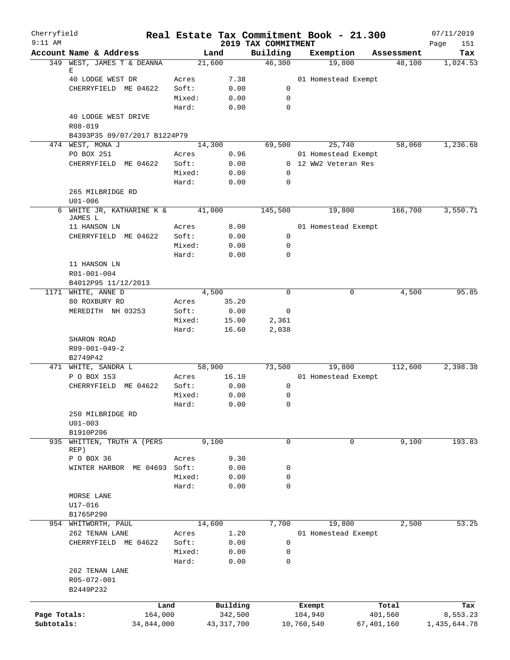| Cherryfield<br>$9:11$ AM |                                    |            |                 |                                 |            | Real Estate Tax Commitment Book - 21.300 |            | 07/11/2019         |
|--------------------------|------------------------------------|------------|-----------------|---------------------------------|------------|------------------------------------------|------------|--------------------|
|                          | Account Name & Address             |            | Land            | 2019 TAX COMMITMENT<br>Building |            | Exemption                                | Assessment | Page<br>151<br>Tax |
|                          | 349 WEST, JAMES T & DEANNA         |            | 21,600          | 46,300                          |            | 19,800                                   | 48,100     | 1,024.53           |
|                          | Е                                  |            |                 |                                 |            |                                          |            |                    |
|                          | 40 LODGE WEST DR                   | Acres      | 7.38            |                                 |            | 01 Homestead Exempt                      |            |                    |
|                          | CHERRYFIELD ME 04622               | Soft:      | 0.00            | 0                               |            |                                          |            |                    |
|                          |                                    | Mixed:     | 0.00            | 0<br>$\Omega$                   |            |                                          |            |                    |
|                          | 40 LODGE WEST DRIVE                | Hard:      | 0.00            |                                 |            |                                          |            |                    |
|                          | R08-019                            |            |                 |                                 |            |                                          |            |                    |
|                          | B4393P35 09/07/2017 B1224P79       |            |                 |                                 |            |                                          |            |                    |
|                          | 474 WEST, MONA J                   |            | 14,300          | 69,500                          |            | $\overline{25,740}$                      | 58,060     | 1,236.68           |
|                          | PO BOX 251                         | Acres      | 0.96            |                                 |            | 01 Homestead Exempt                      |            |                    |
|                          | CHERRYFIELD ME 04622               | Soft:      | 0.00            |                                 |            | 0 12 WW2 Veteran Res                     |            |                    |
|                          |                                    | Mixed:     | 0.00            | 0                               |            |                                          |            |                    |
|                          |                                    | Hard:      | 0.00            | 0                               |            |                                          |            |                    |
|                          | 265 MILBRIDGE RD                   |            |                 |                                 |            |                                          |            |                    |
|                          | $U01 - 006$                        |            |                 |                                 |            |                                          |            |                    |
|                          | 6 WHITE JR, KATHARINE K &          |            | 41,000          | 145,500                         |            | 19,800                                   | 166,700    | 3,550.71           |
|                          | JAMES L                            |            |                 |                                 |            |                                          |            |                    |
|                          | 11 HANSON LN                       | Acres      | 8.00            |                                 |            | 01 Homestead Exempt                      |            |                    |
|                          | CHERRYFIELD ME 04622               | Soft:      | 0.00            | 0                               |            |                                          |            |                    |
|                          |                                    | Mixed:     | 0.00            | 0                               |            |                                          |            |                    |
|                          |                                    | Hard:      | 0.00            | 0                               |            |                                          |            |                    |
|                          | 11 HANSON LN                       |            |                 |                                 |            |                                          |            |                    |
|                          | R01-001-004                        |            |                 |                                 |            |                                          |            |                    |
|                          | B4012P95 11/12/2013                |            |                 |                                 |            |                                          |            |                    |
|                          | 1171 WHITE, ANNE D                 |            | 4,500           | 0                               |            | 0                                        | 4,500      | 95.85              |
|                          | 80 ROXBURY RD                      | Acres      | 35.20           |                                 |            |                                          |            |                    |
|                          | MEREDITH NH 03253                  | Soft:      | 0.00            | 0                               |            |                                          |            |                    |
|                          |                                    | Mixed:     | 15.00           | 2,361                           |            |                                          |            |                    |
|                          |                                    | Hard:      | 16.60           | 2,038                           |            |                                          |            |                    |
|                          | SHARON ROAD                        |            |                 |                                 |            |                                          |            |                    |
|                          | $R09 - 001 - 049 - 2$              |            |                 |                                 |            |                                          |            |                    |
|                          | B2749P42                           |            |                 |                                 |            |                                          |            | 2,398.38           |
|                          | 471 WHITE, SANDRA L<br>P O BOX 153 | Acres      | 58,900<br>16.10 | 73,500                          |            | 19,800<br>01 Homestead Exempt            | 112,600    |                    |
|                          | CHERRYFIELD<br>ME 04622            | Soft:      | 0.00            | 0                               |            |                                          |            |                    |
|                          |                                    | Mixed:     | 0.00            | 0                               |            |                                          |            |                    |
|                          |                                    | Hard:      | 0.00            | 0                               |            |                                          |            |                    |
|                          | 250 MILBRIDGE RD                   |            |                 |                                 |            |                                          |            |                    |
|                          | $U01 - 003$                        |            |                 |                                 |            |                                          |            |                    |
|                          | B1910P206                          |            |                 |                                 |            |                                          |            |                    |
| 935                      | WHITTEN, TRUTH A (PERS             |            | 9,100           | $\mathbf 0$                     |            | 0                                        | 9,100      | 193.83             |
|                          | REP)                               |            |                 |                                 |            |                                          |            |                    |
|                          | P O BOX 36                         | Acres      | 9.30            |                                 |            |                                          |            |                    |
|                          | WINTER HARBOR ME 04693 Soft:       |            | 0.00            | 0                               |            |                                          |            |                    |
|                          |                                    | Mixed:     | 0.00            | 0                               |            |                                          |            |                    |
|                          |                                    | Hard:      | 0.00            | 0                               |            |                                          |            |                    |
|                          | MORSE LANE                         |            |                 |                                 |            |                                          |            |                    |
|                          | $U17 - 016$                        |            |                 |                                 |            |                                          |            |                    |
|                          | B1765P290                          |            |                 |                                 |            |                                          |            |                    |
| 954                      | WHITWORTH, PAUL                    |            | 14,600          | 7,700                           |            | 19,800                                   | 2,500      | 53.25              |
|                          | 262 TENAN LANE                     | Acres      | 1.20            |                                 |            | 01 Homestead Exempt                      |            |                    |
|                          | CHERRYFIELD ME 04622               | Soft:      | 0.00            | 0                               |            |                                          |            |                    |
|                          |                                    | Mixed:     | 0.00            | 0                               |            |                                          |            |                    |
|                          |                                    | Hard:      | 0.00            | 0                               |            |                                          |            |                    |
|                          | 262 TENAN LANE                     |            |                 |                                 |            |                                          |            |                    |
|                          | R05-072-001                        |            |                 |                                 |            |                                          |            |                    |
|                          | B2449P232                          |            |                 |                                 |            |                                          |            |                    |
|                          |                                    | Land       | Building        |                                 | Exempt     |                                          | Total      | Tax                |
| Page Totals:             |                                    | 164,000    | 342,500         |                                 | 104,940    |                                          | 401,560    | 8,553.23           |
| Subtotals:               |                                    | 34,844,000 | 43, 317, 700    |                                 | 10,760,540 |                                          | 67,401,160 | 1,435,644.78       |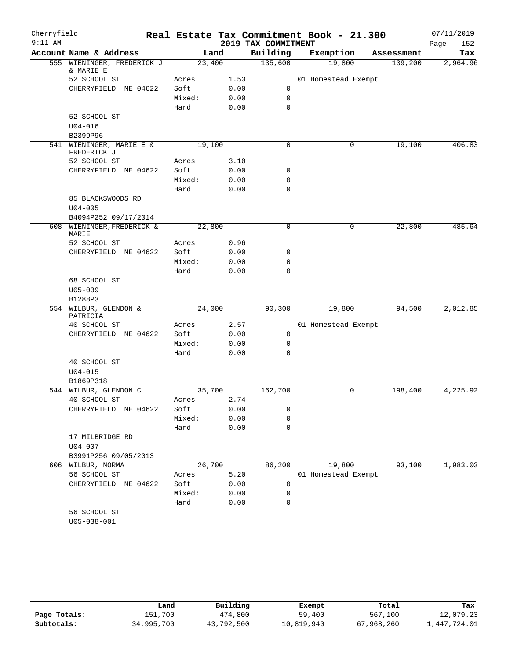| Cherryfield |                                         |                 |                |                     | Real Estate Tax Commitment Book - 21.300 |            | 07/11/2019  |
|-------------|-----------------------------------------|-----------------|----------------|---------------------|------------------------------------------|------------|-------------|
| $9:11$ AM   |                                         |                 |                | 2019 TAX COMMITMENT |                                          |            | 152<br>Page |
|             | Account Name & Address                  |                 | Land           | Building            | Exemption                                | Assessment | Tax         |
|             | 555 WIENINGER, FREDERICK J<br>& MARIE E |                 | 23,400         | 135,600             | 19,800                                   | 139,200    | 2,964.96    |
|             | 52 SCHOOL ST                            | Acres           | 1.53           |                     | 01 Homestead Exempt                      |            |             |
|             | CHERRYFIELD ME 04622                    | Soft:           | 0.00           | 0                   |                                          |            |             |
|             |                                         | Mixed:          | 0.00           | $\mathbf 0$         |                                          |            |             |
|             |                                         | Hard:           | 0.00           | $\mathbf 0$         |                                          |            |             |
|             | 52 SCHOOL ST                            |                 |                |                     |                                          |            |             |
|             | $U04 - 016$                             |                 |                |                     |                                          |            |             |
|             | B2399P96                                |                 |                |                     |                                          |            |             |
|             | 541 WIENINGER, MARIE E &<br>FREDERICK J |                 | 19,100         | 0                   | 0                                        | 19,100     | 406.83      |
|             | 52 SCHOOL ST                            | Acres           | 3.10           |                     |                                          |            |             |
|             | CHERRYFIELD ME 04622                    | Soft:           | 0.00           | 0                   |                                          |            |             |
|             |                                         | Mixed:          | 0.00           | 0                   |                                          |            |             |
|             |                                         | Hard:           | 0.00           | $\mathbf 0$         |                                          |            |             |
|             | 85 BLACKSWOODS RD                       |                 |                |                     |                                          |            |             |
|             | $U04 - 005$                             |                 |                |                     |                                          |            |             |
|             | B4094P252 09/17/2014                    |                 |                |                     |                                          |            |             |
|             | 608 WIENINGER, FREDERICK &<br>MARIE     |                 | 22,800         | $\mathbf 0$         | 0                                        | 22,800     | 485.64      |
|             | 52 SCHOOL ST                            | Acres           | 0.96           |                     |                                          |            |             |
|             | CHERRYFIELD ME 04622                    | Soft:           | 0.00           | 0                   |                                          |            |             |
|             |                                         | Mixed:          | 0.00           | $\mathbf 0$         |                                          |            |             |
|             |                                         | Hard:           | 0.00           | $\mathbf 0$         |                                          |            |             |
|             | 68 SCHOOL ST<br>$U05 - 039$             |                 |                |                     |                                          |            |             |
|             | B1288P3                                 |                 |                |                     |                                          |            |             |
|             | 554 WILBUR, GLENDON &<br>PATRICIA       |                 | 24,000         | 90,300              | 19,800                                   | 94,500     | 2,012.85    |
|             | 40 SCHOOL ST                            | Acres           | 2.57           |                     | 01 Homestead Exempt                      |            |             |
|             | CHERRYFIELD ME 04622                    | Soft:           | 0.00           | $\mathbf 0$         |                                          |            |             |
|             |                                         | Mixed:          | 0.00           | 0                   |                                          |            |             |
|             |                                         | Hard:           | 0.00           | $\mathbf 0$         |                                          |            |             |
|             | 40 SCHOOL ST                            |                 |                |                     |                                          |            |             |
|             | $U04 - 015$                             |                 |                |                     |                                          |            |             |
|             | B1869P318                               |                 |                |                     |                                          |            |             |
|             | 544 WILBUR, GLENDON C<br>40 SCHOOL ST   | Acres           | 35,700<br>2.74 | 162,700             | 0                                        | 198,400    | 4,225.92    |
|             |                                         |                 |                |                     |                                          |            |             |
|             | CHERRYFIELD ME 04622                    | Soft:<br>Mixed: | 0.00<br>0.00   | 0<br>0              |                                          |            |             |
|             |                                         | Hard:           | 0.00           | $\mathbf 0$         |                                          |            |             |
|             | 17 MILBRIDGE RD                         |                 |                |                     |                                          |            |             |
|             | $U04 - 007$                             |                 |                |                     |                                          |            |             |
|             | B3991P256 09/05/2013                    |                 |                |                     |                                          |            |             |
|             | 606 WILBUR, NORMA                       |                 | 26,700         | 86,200              | 19,800                                   | 93,100     | 1,983.03    |
|             | 56 SCHOOL ST                            | Acres           | 5.20           |                     | 01 Homestead Exempt                      |            |             |
|             | CHERRYFIELD ME 04622                    | Soft:           | 0.00           | 0                   |                                          |            |             |
|             |                                         | Mixed:          | 0.00           | 0                   |                                          |            |             |
|             |                                         | Hard:           | 0.00           | $\mathbf 0$         |                                          |            |             |
|             | 56 SCHOOL ST                            |                 |                |                     |                                          |            |             |
|             | $U05 - 038 - 001$                       |                 |                |                     |                                          |            |             |
|             |                                         |                 |                |                     |                                          |            |             |

|              | Land       | Building   | Exempt     | Total      | Tax          |
|--------------|------------|------------|------------|------------|--------------|
| Page Totals: | 151,700    | 474,800    | 59,400     | 567,100    | 12,079.23    |
| Subtotals:   | 34,995,700 | 43,792,500 | 10,819,940 | 67,968,260 | 1,447,724.01 |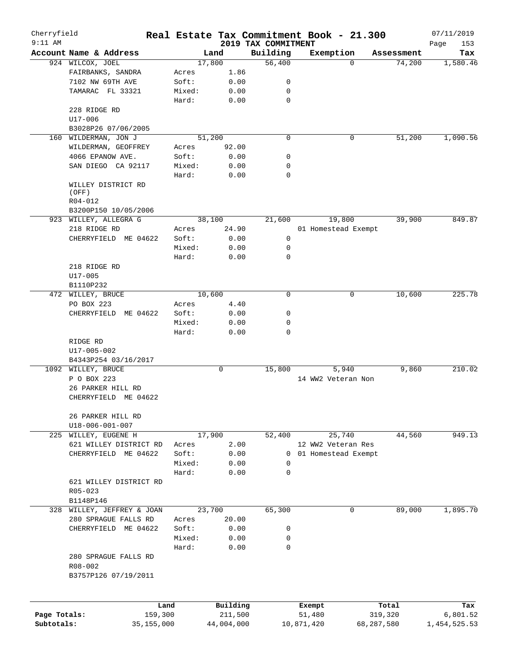| Cherryfield  |                                         |            |        |        |            |                                 |              | Real Estate Tax Commitment Book - 21.300 |            | 07/11/2019         |
|--------------|-----------------------------------------|------------|--------|--------|------------|---------------------------------|--------------|------------------------------------------|------------|--------------------|
| $9:11$ AM    | Account Name & Address                  |            |        | Land   |            | 2019 TAX COMMITMENT<br>Building |              | Exemption                                | Assessment | Page<br>153<br>Tax |
|              | 924 WILCOX, JOEL                        |            |        | 17,800 |            | 56,400                          |              | $\Omega$                                 | 74,200     | 1,580.46           |
|              | FAIRBANKS, SANDRA                       |            | Acres  |        | 1.86       |                                 |              |                                          |            |                    |
|              | 7102 NW 69TH AVE                        |            | Soft:  |        | 0.00       | 0                               |              |                                          |            |                    |
|              | TAMARAC FL 33321                        |            | Mixed: |        | 0.00       | 0                               |              |                                          |            |                    |
|              |                                         |            | Hard:  |        | 0.00       | $\mathbf 0$                     |              |                                          |            |                    |
|              | 228 RIDGE RD                            |            |        |        |            |                                 |              |                                          |            |                    |
|              | $U17 - 006$                             |            |        |        |            |                                 |              |                                          |            |                    |
|              | B3028P26 07/06/2005                     |            |        |        |            |                                 |              |                                          |            |                    |
| 160          | WILDERMAN, JON J                        |            |        | 51,200 |            | $\mathbf 0$                     |              | 0                                        | 51,200     | 1,090.56           |
|              | WILDERMAN, GEOFFREY                     |            | Acres  |        | 92.00      |                                 |              |                                          |            |                    |
|              | 4066 EPANOW AVE.                        |            | Soft:  |        | 0.00       | 0                               |              |                                          |            |                    |
|              | SAN DIEGO CA 92117                      |            | Mixed: |        | 0.00       | 0                               |              |                                          |            |                    |
|              |                                         |            | Hard:  |        | 0.00       | $\mathbf 0$                     |              |                                          |            |                    |
|              | WILLEY DISTRICT RD                      |            |        |        |            |                                 |              |                                          |            |                    |
|              | (OFF)<br>R04-012                        |            |        |        |            |                                 |              |                                          |            |                    |
|              | B3200P150 10/05/2006                    |            |        |        |            |                                 |              |                                          |            |                    |
|              | 923 WILLEY, ALLEGRA G                   |            |        | 38,100 |            | 21,600                          |              | 19,800                                   | 39,900     | 849.87             |
|              | 218 RIDGE RD                            |            | Acres  |        | 24.90      |                                 |              | 01 Homestead Exempt                      |            |                    |
|              | CHERRYFIELD ME 04622                    |            | Soft:  |        | 0.00       | 0                               |              |                                          |            |                    |
|              |                                         |            | Mixed: |        | 0.00       | $\mathbf 0$                     |              |                                          |            |                    |
|              |                                         |            | Hard:  |        | 0.00       | $\mathbf 0$                     |              |                                          |            |                    |
|              | 218 RIDGE RD                            |            |        |        |            |                                 |              |                                          |            |                    |
|              | $U17 - 005$                             |            |        |        |            |                                 |              |                                          |            |                    |
|              | B1110P232                               |            |        |        |            |                                 |              |                                          |            |                    |
|              | 472 WILLEY, BRUCE                       |            |        | 10,600 |            | $\mathbf 0$                     |              | 0                                        | 10,600     | 225.78             |
|              | PO BOX 223                              |            | Acres  |        | 4.40       |                                 |              |                                          |            |                    |
|              | CHERRYFIELD ME 04622                    |            | Soft:  |        | 0.00       | 0                               |              |                                          |            |                    |
|              |                                         |            | Mixed: |        | 0.00       | 0                               |              |                                          |            |                    |
|              |                                         |            | Hard:  |        | 0.00       | $\mathbf 0$                     |              |                                          |            |                    |
|              | RIDGE RD                                |            |        |        |            |                                 |              |                                          |            |                    |
|              | U17-005-002                             |            |        |        |            |                                 |              |                                          |            |                    |
|              | B4343P254 03/16/2017                    |            |        |        |            |                                 |              |                                          |            |                    |
|              | 1092 WILLEY, BRUCE                      |            |        |        | 0          | 15,800                          |              | 5,940                                    | 9,860      | 210.02             |
|              | P O BOX 223                             |            |        |        |            |                                 |              | 14 WW2 Veteran Non                       |            |                    |
|              | 26 PARKER HILL RD                       |            |        |        |            |                                 |              |                                          |            |                    |
|              | CHERRYFIELD ME 04622                    |            |        |        |            |                                 |              |                                          |            |                    |
|              |                                         |            |        |        |            |                                 |              |                                          |            |                    |
|              | 26 PARKER HILL RD                       |            |        |        |            |                                 |              |                                          |            |                    |
|              | U18-006-001-007<br>225 WILLEY, EUGENE H |            |        | 17,900 |            | 52,400                          |              | 25,740                                   | 44,560     | 949.13             |
|              | 621 WILLEY DISTRICT RD                  |            | Acres  |        | 2.00       |                                 |              | 12 WW2 Veteran Res                       |            |                    |
|              | CHERRYFIELD ME 04622                    |            | Soft:  |        | 0.00       |                                 | $\mathbf{0}$ | 01 Homestead Exempt                      |            |                    |
|              |                                         |            | Mixed: |        | 0.00       | 0                               |              |                                          |            |                    |
|              |                                         |            | Hard:  |        | 0.00       | $\mathbf 0$                     |              |                                          |            |                    |
|              | 621 WILLEY DISTRICT RD                  |            |        |        |            |                                 |              |                                          |            |                    |
|              | R05-023                                 |            |        |        |            |                                 |              |                                          |            |                    |
|              | B1148P146                               |            |        |        |            |                                 |              |                                          |            |                    |
|              | 328 WILLEY, JEFFREY & JOAN              |            |        | 23,700 |            | 65,300                          |              | 0                                        | 89,000     | 1,895.70           |
|              | 280 SPRAGUE FALLS RD                    |            | Acres  |        | 20.00      |                                 |              |                                          |            |                    |
|              | CHERRYFIELD ME 04622                    |            | Soft:  |        | 0.00       | 0                               |              |                                          |            |                    |
|              |                                         |            | Mixed: |        | 0.00       | 0                               |              |                                          |            |                    |
|              |                                         |            | Hard:  |        | 0.00       | $\mathbf 0$                     |              |                                          |            |                    |
|              | 280 SPRAGUE FALLS RD                    |            |        |        |            |                                 |              |                                          |            |                    |
|              | R08-002                                 |            |        |        |            |                                 |              |                                          |            |                    |
|              | B3757P126 07/19/2011                    |            |        |        |            |                                 |              |                                          |            |                    |
|              |                                         |            |        |        |            |                                 |              |                                          |            |                    |
|              |                                         |            |        |        |            |                                 |              |                                          |            |                    |
|              |                                         | Land       |        |        | Building   |                                 |              | Exempt                                   | Total      | Tax                |
| Page Totals: |                                         | 159,300    |        |        | 211,500    |                                 |              | 51,480                                   | 319,320    | 6,801.52           |
| Subtotals:   |                                         | 35,155,000 |        |        | 44,004,000 |                                 |              | 10,871,420                               | 68,287,580 | 1,454,525.53       |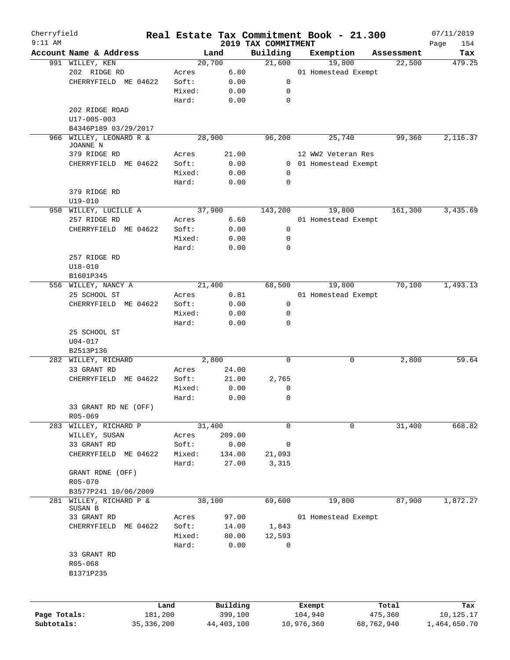| Cherryfield<br>$9:11$ AM |                         |              |        |            | 2019 TAX COMMITMENT | Real Estate Tax Commitment Book - 21.300 |            | 07/11/2019         |
|--------------------------|-------------------------|--------------|--------|------------|---------------------|------------------------------------------|------------|--------------------|
|                          | Account Name & Address  |              |        | Land       | Building            | Exemption                                | Assessment | 154<br>Page<br>Tax |
|                          | 991 WILLEY, KEN         |              |        | 20,700     | 21,600              | 19,800                                   | 22,500     | 479.25             |
|                          | 202 RIDGE RD            |              | Acres  | 6.80       |                     | 01 Homestead Exempt                      |            |                    |
|                          | CHERRYFIELD ME 04622    |              | Soft:  | 0.00       | 0                   |                                          |            |                    |
|                          |                         |              | Mixed: | 0.00       | 0                   |                                          |            |                    |
|                          |                         |              | Hard:  | 0.00       | $\mathbf 0$         |                                          |            |                    |
|                          | 202 RIDGE ROAD          |              |        |            |                     |                                          |            |                    |
|                          | $U17 - 005 - 003$       |              |        |            |                     |                                          |            |                    |
|                          | B4346P189 03/29/2017    |              |        |            |                     |                                          |            |                    |
|                          | 966 WILLEY, LEONARD R & |              |        | 28,900     | 96,200              | 25,740                                   | 99,360     | 2,116.37           |
|                          | JOANNE N                |              |        |            |                     |                                          |            |                    |
|                          | 379 RIDGE RD            |              | Acres  | 21.00      |                     | 12 WW2 Veteran Res                       |            |                    |
|                          | CHERRYFIELD ME 04622    |              | Soft:  | 0.00       |                     | 0 01 Homestead Exempt                    |            |                    |
|                          |                         |              | Mixed: | 0.00       | 0                   |                                          |            |                    |
|                          |                         |              | Hard:  | 0.00       | 0                   |                                          |            |                    |
|                          | 379 RIDGE RD            |              |        |            |                     |                                          |            |                    |
|                          | $U19 - 010$             |              |        |            |                     |                                          |            |                    |
|                          | 950 WILLEY, LUCILLE A   |              |        | 37,900     | 143,200             | 19,800                                   | 161,300    | 3,435.69           |
|                          | 257 RIDGE RD            |              | Acres  | 6.60       |                     | 01 Homestead Exempt                      |            |                    |
|                          | CHERRYFIELD ME 04622    |              | Soft:  | 0.00       | 0                   |                                          |            |                    |
|                          |                         |              | Mixed: | 0.00       | 0                   |                                          |            |                    |
|                          |                         |              | Hard:  | 0.00       | 0                   |                                          |            |                    |
|                          | 257 RIDGE RD            |              |        |            |                     |                                          |            |                    |
|                          | $U18 - 010$             |              |        |            |                     |                                          |            |                    |
|                          |                         |              |        |            |                     |                                          |            |                    |
|                          | B1601P345               |              |        |            |                     |                                          |            |                    |
|                          | 556 WILLEY, NANCY A     |              |        | 21,400     | 68,500              | 19,800                                   | 70,100     | 1,493.13           |
|                          | 25 SCHOOL ST            |              | Acres  | 0.81       |                     | 01 Homestead Exempt                      |            |                    |
|                          | CHERRYFIELD ME 04622    |              | Soft:  | 0.00       | 0                   |                                          |            |                    |
|                          |                         |              | Mixed: | 0.00       | 0                   |                                          |            |                    |
|                          |                         |              | Hard:  | 0.00       | 0                   |                                          |            |                    |
|                          | 25 SCHOOL ST            |              |        |            |                     |                                          |            |                    |
|                          | $U04 - 017$             |              |        |            |                     |                                          |            |                    |
|                          | B2513P136               |              |        |            |                     |                                          |            |                    |
|                          | 282 WILLEY, RICHARD     |              |        | 2,800      | $\mathbf 0$         | 0                                        | 2,800      | 59.64              |
|                          | 33 GRANT RD             |              | Acres  | 24.00      |                     |                                          |            |                    |
|                          | CHERRYFIELD ME 04622    |              | Soft:  | 21.00      | 2,765               |                                          |            |                    |
|                          |                         |              | Mixed: | 0.00       | 0                   |                                          |            |                    |
|                          |                         |              | Hard:  | 0.00       | $\mathbf 0$         |                                          |            |                    |
|                          | 33 GRANT RD NE (OFF)    |              |        |            |                     |                                          |            |                    |
|                          | R05-069                 |              |        |            |                     |                                          |            |                    |
|                          | 283 WILLEY, RICHARD P   |              |        | 31,400     | 0                   | 0                                        | 31,400     | 668.82             |
|                          | WILLEY, SUSAN           |              | Acres  | 209.00     |                     |                                          |            |                    |
|                          | 33 GRANT RD             |              | Soft:  | 0.00       | 0                   |                                          |            |                    |
|                          | CHERRYFIELD             | ME 04622     | Mixed: | 134.00     | 21,093              |                                          |            |                    |
|                          |                         |              | Hard:  | 27.00      | 3,315               |                                          |            |                    |
|                          | GRANT RDNE (OFF)        |              |        |            |                     |                                          |            |                    |
|                          | R05-070                 |              |        |            |                     |                                          |            |                    |
|                          | B3577P241 10/06/2009    |              |        |            |                     |                                          |            |                    |
| 281                      | WILLEY, RICHARD P &     |              |        | 38,100     | 69,600              | 19,800                                   | 87,900     | 1,872.27           |
|                          | SUSAN B                 |              |        |            |                     |                                          |            |                    |
|                          | 33 GRANT RD             |              | Acres  | 97.00      |                     | 01 Homestead Exempt                      |            |                    |
|                          | CHERRYFIELD             | ME 04622     | Soft:  | 14.00      | 1,843               |                                          |            |                    |
|                          |                         |              | Mixed: | 80.00      | 12,593              |                                          |            |                    |
|                          |                         |              | Hard:  | 0.00       | 0                   |                                          |            |                    |
|                          | 33 GRANT RD             |              |        |            |                     |                                          |            |                    |
|                          | R05-068                 |              |        |            |                     |                                          |            |                    |
|                          | B1371P235               |              |        |            |                     |                                          |            |                    |
|                          |                         |              |        |            |                     |                                          |            |                    |
|                          |                         |              |        |            |                     |                                          |            |                    |
|                          |                         | Land         |        | Building   |                     | Exempt                                   | Total      | Tax                |
| Page Totals:             |                         | 181,200      |        | 399,100    |                     | 104,940                                  | 475,360    | 10,125.17          |
| Subtotals:               |                         | 35, 336, 200 |        | 44,403,100 |                     | 10,976,360                               | 68,762,940 | 1,464,650.70       |
|                          |                         |              |        |            |                     |                                          |            |                    |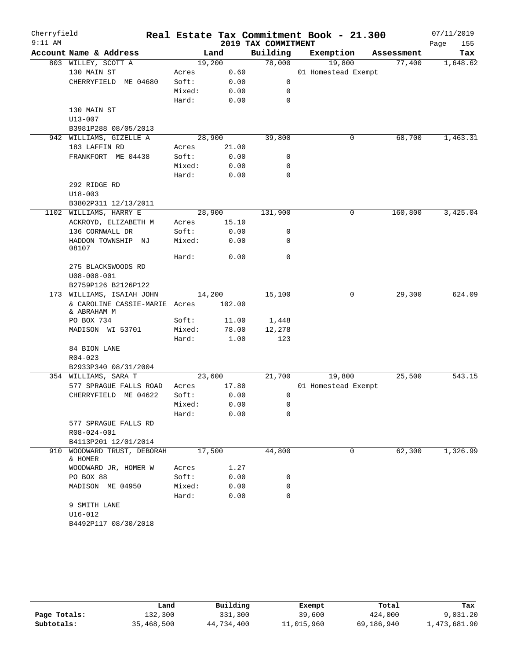| Cherryfield<br>$9:11$ AM |                                         |        |        | 2019 TAX COMMITMENT | Real Estate Tax Commitment Book - 21.300 |            | 07/11/2019<br>Page<br>155 |
|--------------------------|-----------------------------------------|--------|--------|---------------------|------------------------------------------|------------|---------------------------|
|                          | Account Name & Address                  |        | Land   | Building            | Exemption                                | Assessment | Tax                       |
|                          | 803 WILLEY, SCOTT A                     |        | 19,200 | 78,000              | 19,800                                   | 77,400     | 1,648.62                  |
|                          | 130 MAIN ST                             | Acres  | 0.60   |                     | 01 Homestead Exempt                      |            |                           |
|                          | CHERRYFIELD ME 04680                    | Soft:  | 0.00   | 0                   |                                          |            |                           |
|                          |                                         | Mixed: | 0.00   | 0                   |                                          |            |                           |
|                          |                                         | Hard:  | 0.00   | $\mathbf 0$         |                                          |            |                           |
|                          | 130 MAIN ST                             |        |        |                     |                                          |            |                           |
|                          | $U13 - 007$                             |        |        |                     |                                          |            |                           |
|                          | B3981P288 08/05/2013                    |        |        |                     |                                          |            |                           |
|                          | 942 WILLIAMS, GIZELLE A                 |        | 28,900 | 39,800              | 0                                        | 68,700     | 1,463.31                  |
|                          | 183 LAFFIN RD                           | Acres  | 21.00  |                     |                                          |            |                           |
|                          | FRANKFORT ME 04438                      | Soft:  | 0.00   | 0                   |                                          |            |                           |
|                          |                                         | Mixed: | 0.00   | 0                   |                                          |            |                           |
|                          |                                         | Hard:  | 0.00   | $\mathbf 0$         |                                          |            |                           |
|                          | 292 RIDGE RD                            |        |        |                     |                                          |            |                           |
|                          | $U18 - 003$                             |        |        |                     |                                          |            |                           |
|                          | B3802P311 12/13/2011                    |        |        |                     |                                          |            |                           |
|                          | 1102 WILLIAMS, HARRY E                  |        | 28,900 | 131,900             | 0                                        | 160,800    | 3,425.04                  |
|                          | ACKROYD, ELIZABETH M                    | Acres  | 15.10  |                     |                                          |            |                           |
|                          | 136 CORNWALL DR                         | Soft:  | 0.00   | 0                   |                                          |            |                           |
|                          | HADDON TOWNSHIP NJ<br>08107             | Mixed: | 0.00   | 0                   |                                          |            |                           |
|                          |                                         | Hard:  | 0.00   | 0                   |                                          |            |                           |
|                          | 275 BLACKSWOODS RD<br>$U08 - 008 - 001$ |        |        |                     |                                          |            |                           |
|                          | B2759P126 B2126P122                     |        |        |                     |                                          |            |                           |
|                          | 173 WILLIAMS, ISAIAH JOHN               |        | 14,200 | 15,100              | $\mathbf 0$                              | 29,300     | 624.09                    |
|                          | & CAROLINE CASSIE-MARIE<br>& ABRAHAM M  | Acres  | 102.00 |                     |                                          |            |                           |
|                          | PO BOX 734                              | Soft:  | 11.00  | 1,448               |                                          |            |                           |
|                          | MADISON WI 53701                        | Mixed: | 78.00  | 12,278              |                                          |            |                           |
|                          |                                         | Hard:  | 1.00   | 123                 |                                          |            |                           |
|                          | 84 BION LANE                            |        |        |                     |                                          |            |                           |
|                          | $R04 - 023$                             |        |        |                     |                                          |            |                           |
|                          | B2933P340 08/31/2004                    |        |        |                     |                                          |            |                           |
|                          | 354 WILLIAMS, SARA T                    |        | 23,600 | 21,700              | 19,800                                   | 25,500     | 543.15                    |
|                          | 577 SPRAGUE FALLS ROAD                  | Acres  | 17.80  |                     | 01 Homestead Exempt                      |            |                           |
|                          | CHERRYFIELD ME 04622                    | Soft:  | 0.00   | 0                   |                                          |            |                           |
|                          |                                         | Mixed: | 0.00   | 0                   |                                          |            |                           |
|                          |                                         | Hard:  | 0.00   | 0                   |                                          |            |                           |
|                          | 577 SPRAGUE FALLS RD                    |        |        |                     |                                          |            |                           |
|                          | R08-024-001                             |        |        |                     |                                          |            |                           |
|                          | B4113P201 12/01/2014                    |        |        |                     |                                          |            |                           |
|                          | 910 WOODWARD TRUST, DEBORAH<br>& HOMER  |        | 17,500 | 44,800              | 0                                        | 62,300     | 1,326.99                  |
|                          | WOODWARD JR, HOMER W                    | Acres  | 1.27   |                     |                                          |            |                           |
|                          | PO BOX 88                               | Soft:  | 0.00   | 0                   |                                          |            |                           |
|                          | MADISON ME 04950                        | Mixed: | 0.00   | 0                   |                                          |            |                           |
|                          |                                         | Hard:  | 0.00   | $\mathbf 0$         |                                          |            |                           |
|                          | 9 SMITH LANE                            |        |        |                     |                                          |            |                           |
|                          | $U16 - 012$                             |        |        |                     |                                          |            |                           |
|                          | B4492P117 08/30/2018                    |        |        |                     |                                          |            |                           |

|              | Land       | Building   | Exempt     | Total      | Tax          |
|--------------|------------|------------|------------|------------|--------------|
| Page Totals: | 132,300    | 331,300    | 39,600     | 424,000    | 9,031.20     |
| Subtotals:   | 35,468,500 | 44,734,400 | 11,015,960 | 69,186,940 | 1,473,681.90 |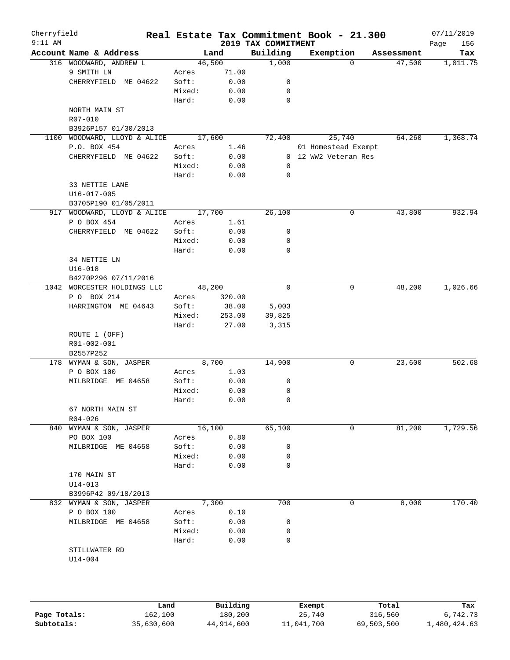| Cherryfield<br>$9:11$ AM |                         |        |        | 2019 TAX COMMITMENT | Real Estate Tax Commitment Book - 21.300 |            | 07/11/2019<br>156<br>Page |
|--------------------------|-------------------------|--------|--------|---------------------|------------------------------------------|------------|---------------------------|
|                          | Account Name & Address  |        | Land   | Building            | Exemption                                | Assessment | Tax                       |
|                          | 316 WOODWARD, ANDREW L  | 46,500 |        | 1,000               | 0                                        | 47,500     | 1,011.75                  |
|                          | 9 SMITH LN              | Acres  | 71.00  |                     |                                          |            |                           |
|                          | CHERRYFIELD ME 04622    | Soft:  | 0.00   | 0                   |                                          |            |                           |
|                          |                         | Mixed: | 0.00   | 0                   |                                          |            |                           |
|                          |                         | Hard:  | 0.00   | 0                   |                                          |            |                           |
|                          | NORTH MAIN ST           |        |        |                     |                                          |            |                           |
|                          | R07-010                 |        |        |                     |                                          |            |                           |
|                          | B3926P157 01/30/2013    |        |        |                     |                                          |            |                           |
| 1100                     | WOODWARD, LLOYD & ALICE | 17,600 |        | 72,400              | 25,740                                   | 64,260     | 1,368.74                  |
|                          | P.O. BOX 454            | Acres  | 1.46   |                     | 01 Homestead Exempt                      |            |                           |
|                          | CHERRYFIELD ME 04622    | Soft:  | 0.00   |                     | 0 12 WW2 Veteran Res                     |            |                           |
|                          |                         | Mixed: | 0.00   | 0                   |                                          |            |                           |
|                          |                         | Hard:  | 0.00   | 0                   |                                          |            |                           |
|                          | 33 NETTIE LANE          |        |        |                     |                                          |            |                           |
|                          | U16-017-005             |        |        |                     |                                          |            |                           |
|                          | B3705P190 01/05/2011    |        |        |                     |                                          |            |                           |
|                          | WOODWARD, LLOYD & ALICE |        |        |                     | 0                                        |            | 932.94                    |
| 917                      |                         | 17,700 |        | 26,100              |                                          | 43,800     |                           |
|                          | P O BOX 454             | Acres  | 1.61   |                     |                                          |            |                           |
|                          | CHERRYFIELD ME 04622    | Soft:  | 0.00   | 0                   |                                          |            |                           |
|                          |                         | Mixed: | 0.00   | 0                   |                                          |            |                           |
|                          |                         | Hard:  | 0.00   | 0                   |                                          |            |                           |
|                          | 34 NETTIE LN            |        |        |                     |                                          |            |                           |
|                          | $U16 - 018$             |        |        |                     |                                          |            |                           |
|                          | B4270P296 07/11/2016    |        |        |                     |                                          |            |                           |
| 1042                     | WORCESTER HOLDINGS LLC  | 48,200 |        | $\mathbf 0$         | 0                                        | 48,200     | 1,026.66                  |
|                          | P O BOX 214             | Acres  | 320.00 |                     |                                          |            |                           |
|                          | HARRINGTON ME 04643     | Soft:  | 38.00  | 5,003               |                                          |            |                           |
|                          |                         | Mixed: | 253.00 | 39,825              |                                          |            |                           |
|                          |                         | Hard:  | 27.00  | 3,315               |                                          |            |                           |
|                          | ROUTE 1 (OFF)           |        |        |                     |                                          |            |                           |
|                          | R01-002-001             |        |        |                     |                                          |            |                           |
|                          | B2557P252               |        |        |                     |                                          |            |                           |
|                          | 178 WYMAN & SON, JASPER | 8,700  |        | 14,900              | 0                                        | 23,600     | 502.68                    |
|                          | P O BOX 100             | Acres  | 1.03   |                     |                                          |            |                           |
|                          | MILBRIDGE ME 04658      | Soft:  | 0.00   | 0                   |                                          |            |                           |
|                          |                         | Mixed: | 0.00   | 0                   |                                          |            |                           |
|                          |                         | Hard:  | 0.00   | 0                   |                                          |            |                           |
|                          | 67 NORTH MAIN ST        |        |        |                     |                                          |            |                           |
|                          | $R04 - 026$             |        |        |                     |                                          |            |                           |
| 840                      | WYMAN & SON, JASPER     | 16,100 |        | 65,100              | 0                                        | 81,200     | 1,729.56                  |
|                          | PO BOX 100              | Acres  | 0.80   |                     |                                          |            |                           |
|                          | MILBRIDGE ME 04658      | Soft:  | 0.00   | 0                   |                                          |            |                           |
|                          |                         | Mixed: | 0.00   | 0                   |                                          |            |                           |
|                          |                         | Hard:  | 0.00   | 0                   |                                          |            |                           |
|                          | 170 MAIN ST             |        |        |                     |                                          |            |                           |
|                          | $U14 - 013$             |        |        |                     |                                          |            |                           |
|                          | B3996P42 09/18/2013     |        |        |                     |                                          |            |                           |
|                          | 832 WYMAN & SON, JASPER | 7,300  |        | 700                 | 0                                        | 8,000      | 170.40                    |
|                          | P O BOX 100             | Acres  | 0.10   |                     |                                          |            |                           |
|                          | MILBRIDGE ME 04658      | Soft:  | 0.00   | 0                   |                                          |            |                           |
|                          |                         |        |        |                     |                                          |            |                           |
|                          |                         | Mixed: | 0.00   | 0                   |                                          |            |                           |
|                          |                         | Hard:  | 0.00   | 0                   |                                          |            |                           |
|                          | STILLWATER RD           |        |        |                     |                                          |            |                           |
|                          | $U14 - 004$             |        |        |                     |                                          |            |                           |
|                          |                         |        |        |                     |                                          |            |                           |

|              | Land       | Building   | Exempt     | Total      | Tax          |
|--------------|------------|------------|------------|------------|--------------|
| Page Totals: | 162,100    | 180,200    | 25,740     | 316,560    | 6,742.73     |
| Subtotals:   | 35,630,600 | 44,914,600 | 11,041,700 | 69,503,500 | L,480,424.63 |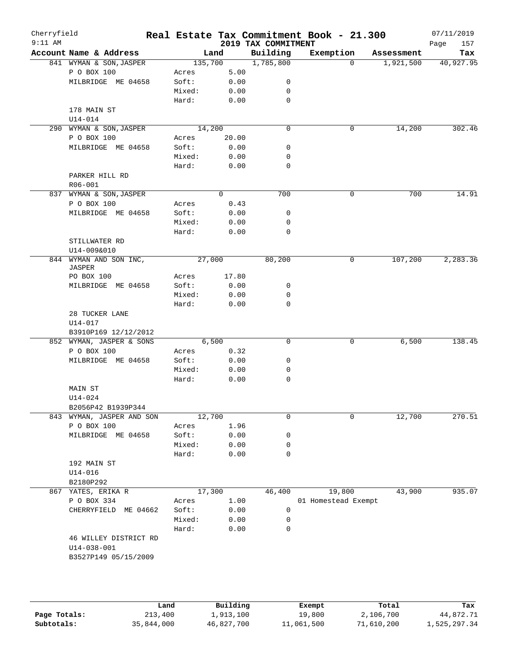| Cherryfield<br>$9:11$ AM |                                  |         |          | 2019 TAX COMMITMENT | Real Estate Tax Commitment Book - 21.300 |            | 07/11/2019<br>157<br>Page |
|--------------------------|----------------------------------|---------|----------|---------------------|------------------------------------------|------------|---------------------------|
|                          | Account Name & Address           |         | Land     | Building            | Exemption                                | Assessment | Tax                       |
|                          | 841 WYMAN & SON, JASPER          | 135,700 |          | 1,785,800           | $\Omega$                                 | 1,921,500  | 40,927.95                 |
|                          | P O BOX 100                      | Acres   | 5.00     |                     |                                          |            |                           |
|                          | MILBRIDGE ME 04658               | Soft:   | 0.00     | 0                   |                                          |            |                           |
|                          |                                  | Mixed:  | 0.00     | 0                   |                                          |            |                           |
|                          |                                  | Hard:   | 0.00     | 0                   |                                          |            |                           |
|                          | 178 MAIN ST                      |         |          |                     |                                          |            |                           |
|                          | $U14 - 014$                      |         |          |                     |                                          |            |                           |
|                          | 290 WYMAN & SON, JASPER          |         | 14,200   | $\mathbf 0$         | 0                                        | 14,200     | 302.46                    |
|                          | P O BOX 100                      | Acres   | 20.00    |                     |                                          |            |                           |
|                          | MILBRIDGE ME 04658               | Soft:   | 0.00     | 0                   |                                          |            |                           |
|                          |                                  | Mixed:  | 0.00     | 0                   |                                          |            |                           |
|                          |                                  | Hard:   | 0.00     | 0                   |                                          |            |                           |
|                          | PARKER HILL RD                   |         |          |                     |                                          |            |                           |
|                          | R06-001                          |         |          |                     |                                          |            |                           |
|                          | 837 WYMAN & SON, JASPER          |         | $\Omega$ | 700                 | $\mathbf 0$                              | 700        | 14.91                     |
|                          | P O BOX 100                      | Acres   | 0.43     |                     |                                          |            |                           |
|                          | MILBRIDGE ME 04658               | Soft:   | 0.00     | 0                   |                                          |            |                           |
|                          |                                  | Mixed:  | 0.00     | 0                   |                                          |            |                           |
|                          |                                  | Hard:   | 0.00     | $\mathbf 0$         |                                          |            |                           |
|                          | STILLWATER RD                    |         |          |                     |                                          |            |                           |
|                          | U14-009&010                      |         |          |                     |                                          |            |                           |
|                          | 844 WYMAN AND SON INC,<br>JASPER |         | 27,000   | 80,200              | 0                                        | 107,200    | 2,283.36                  |
|                          | PO BOX 100                       | Acres   | 17.80    |                     |                                          |            |                           |
|                          | MILBRIDGE ME 04658               | Soft:   | 0.00     | 0                   |                                          |            |                           |
|                          |                                  | Mixed:  | 0.00     | 0                   |                                          |            |                           |
|                          |                                  | Hard:   | 0.00     | $\mathbf 0$         |                                          |            |                           |
|                          | 28 TUCKER LANE                   |         |          |                     |                                          |            |                           |
|                          | U14-017                          |         |          |                     |                                          |            |                           |
|                          | B3910P169 12/12/2012             |         |          |                     |                                          |            |                           |
|                          | 852 WYMAN, JASPER & SONS         |         | 6,500    | $\mathbf 0$         | 0                                        | 6,500      | 138.45                    |
|                          | P O BOX 100                      | Acres   | 0.32     |                     |                                          |            |                           |
|                          | MILBRIDGE ME 04658               | Soft:   | 0.00     | 0                   |                                          |            |                           |
|                          |                                  | Mixed:  | 0.00     | 0                   |                                          |            |                           |
|                          |                                  | Hard:   | 0.00     | 0                   |                                          |            |                           |
|                          | MAIN ST                          |         |          |                     |                                          |            |                           |
|                          | $U14 - 024$                      |         |          |                     |                                          |            |                           |
|                          | B2056P42 B1939P344               |         |          |                     |                                          |            |                           |
|                          | 843 WYMAN, JASPER AND SON        |         | 12,700   | 0                   | 0                                        | 12,700     | 270.51                    |
|                          | P O BOX 100                      | Acres   | 1.96     |                     |                                          |            |                           |
|                          | MILBRIDGE ME 04658               | Soft:   | 0.00     | 0                   |                                          |            |                           |
|                          |                                  | Mixed:  | 0.00     | 0                   |                                          |            |                           |
|                          |                                  | Hard:   | 0.00     | 0                   |                                          |            |                           |
|                          | 192 MAIN ST                      |         |          |                     |                                          |            |                           |
|                          | $U14 - 016$                      |         |          |                     |                                          |            |                           |
|                          | B2180P292                        |         |          |                     |                                          |            |                           |
|                          | 867 YATES, ERIKA R               |         | 17,300   | 46,400              | 19,800                                   | 43,900     | 935.07                    |
|                          | P O BOX 334                      | Acres   | 1.00     |                     | 01 Homestead Exempt                      |            |                           |
|                          | CHERRYFIELD<br>ME 04662          | Soft:   | 0.00     | 0                   |                                          |            |                           |
|                          |                                  | Mixed:  | 0.00     | 0                   |                                          |            |                           |
|                          |                                  | Hard:   | 0.00     | 0                   |                                          |            |                           |
|                          | 46 WILLEY DISTRICT RD            |         |          |                     |                                          |            |                           |
|                          | $U14 - 038 - 001$                |         |          |                     |                                          |            |                           |
|                          | B3527P149 05/15/2009             |         |          |                     |                                          |            |                           |
|                          |                                  |         |          |                     |                                          |            |                           |
|                          |                                  |         |          |                     |                                          |            |                           |

|              | Land       | Building   | Exempt     | Total      | Tax          |
|--------------|------------|------------|------------|------------|--------------|
| Page Totals: | 213,400    | 1,913,100  | 19,800     | 2,106,700  | 44,872.71    |
| Subtotals:   | 35,844,000 | 46,827,700 | 11,061,500 | 71,610,200 | 1,525,297.34 |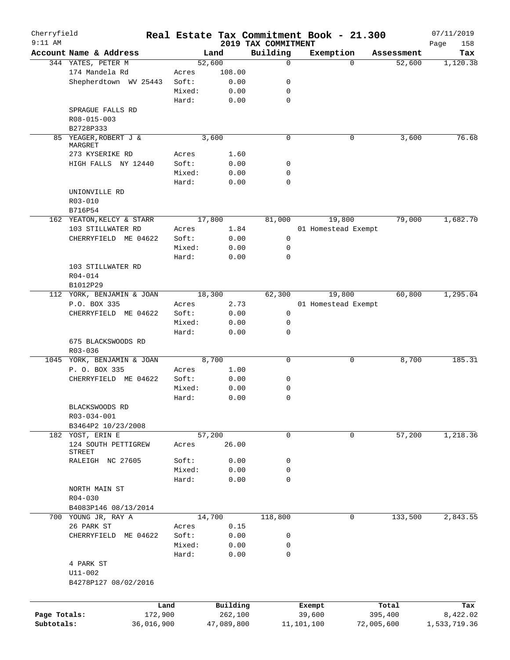| Cherryfield  |                            |            |        |            | Real Estate Tax Commitment Book - 21.300 |            |                     |            | 07/11/2019         |
|--------------|----------------------------|------------|--------|------------|------------------------------------------|------------|---------------------|------------|--------------------|
| $9:11$ AM    | Account Name & Address     |            |        | Land       | 2019 TAX COMMITMENT<br>Building          |            | Exemption           | Assessment | 158<br>Page<br>Tax |
|              | 344 YATES, PETER M         |            |        | 52,600     | 0                                        |            | $\Omega$            | 52,600     | 1,120.38           |
|              | 174 Mandela Rd             |            | Acres  | 108.00     |                                          |            |                     |            |                    |
|              | Shepherdtown WV 25443      |            | Soft:  | 0.00       | 0                                        |            |                     |            |                    |
|              |                            |            | Mixed: | 0.00       | 0                                        |            |                     |            |                    |
|              |                            |            | Hard:  | 0.00       | 0                                        |            |                     |            |                    |
|              | SPRAGUE FALLS RD           |            |        |            |                                          |            |                     |            |                    |
|              | R08-015-003                |            |        |            |                                          |            |                     |            |                    |
|              | B2728P333                  |            |        |            |                                          |            |                     |            |                    |
|              | 85 YEAGER, ROBERT J &      |            |        | 3,600      | 0                                        |            | 0                   | 3,600      | 76.68              |
|              | MARGRET                    |            |        |            |                                          |            |                     |            |                    |
|              | 273 KYSERIKE RD            |            | Acres  | 1.60       |                                          |            |                     |            |                    |
|              | HIGH FALLS NY 12440        |            | Soft:  | 0.00       | 0                                        |            |                     |            |                    |
|              |                            |            | Mixed: | 0.00       | 0                                        |            |                     |            |                    |
|              |                            |            | Hard:  | 0.00       | 0                                        |            |                     |            |                    |
|              | UNIONVILLE RD              |            |        |            |                                          |            |                     |            |                    |
|              | R03-010                    |            |        |            |                                          |            |                     |            |                    |
|              | B716P54                    |            |        |            |                                          |            |                     |            |                    |
|              | 162 YEATON, KELCY & STARR  |            |        | 17,800     | 81,000                                   |            | 19,800              | 79,000     | 1,682.70           |
|              | 103 STILLWATER RD          |            | Acres  | 1.84       |                                          |            | 01 Homestead Exempt |            |                    |
|              | CHERRYFIELD ME 04622       |            | Soft:  | 0.00       | 0                                        |            |                     |            |                    |
|              |                            |            | Mixed: | 0.00       | 0                                        |            |                     |            |                    |
|              |                            |            | Hard:  | 0.00       | $\mathbf 0$                              |            |                     |            |                    |
|              | 103 STILLWATER RD          |            |        |            |                                          |            |                     |            |                    |
|              | $R04 - 014$                |            |        |            |                                          |            |                     |            |                    |
|              | B1012P29                   |            |        |            |                                          |            |                     |            |                    |
|              | 112 YORK, BENJAMIN & JOAN  |            |        | 18,300     | 62,300                                   |            | 19,800              | 60,800     | 1,295.04           |
|              | P.O. BOX 335               |            |        | 2.73       |                                          |            |                     |            |                    |
|              |                            |            | Acres  |            |                                          |            | 01 Homestead Exempt |            |                    |
|              | CHERRYFIELD ME 04622       |            | Soft:  | 0.00       | 0                                        |            |                     |            |                    |
|              |                            |            | Mixed: | 0.00       | 0                                        |            |                     |            |                    |
|              |                            |            | Hard:  | 0.00       | 0                                        |            |                     |            |                    |
|              | 675 BLACKSWOODS RD         |            |        |            |                                          |            |                     |            |                    |
|              | R03-036                    |            |        |            |                                          |            |                     |            |                    |
|              | 1045 YORK, BENJAMIN & JOAN |            |        | 8,700      | 0                                        |            | 0                   | 8,700      | 185.31             |
|              | P. O. BOX 335              |            | Acres  | 1.00       |                                          |            |                     |            |                    |
|              | CHERRYFIELD ME 04622       |            | Soft:  | 0.00       | 0                                        |            |                     |            |                    |
|              |                            |            | Mixed: | 0.00       | 0                                        |            |                     |            |                    |
|              |                            |            | Hard:  | 0.00       | 0                                        |            |                     |            |                    |
|              | BLACKSWOODS RD             |            |        |            |                                          |            |                     |            |                    |
|              | R03-034-001                |            |        |            |                                          |            |                     |            |                    |
|              | B3464P2 10/23/2008         |            |        |            |                                          |            |                     |            |                    |
|              | 182 YOST, ERIN E           |            |        | 57,200     | 0                                        |            | 0                   | 57,200     | 1,218.36           |
|              | 124 SOUTH PETTIGREW        |            | Acres  | 26.00      |                                          |            |                     |            |                    |
|              | STREET                     |            | Soft:  |            |                                          |            |                     |            |                    |
|              | RALEIGH NC 27605           |            |        | 0.00       | 0                                        |            |                     |            |                    |
|              |                            |            | Mixed: | 0.00       | 0                                        |            |                     |            |                    |
|              |                            |            | Hard:  | 0.00       | 0                                        |            |                     |            |                    |
|              | NORTH MAIN ST              |            |        |            |                                          |            |                     |            |                    |
|              | $R04 - 030$                |            |        |            |                                          |            |                     |            |                    |
|              | B4083P146 08/13/2014       |            |        |            |                                          |            |                     |            |                    |
|              | 700 YOUNG JR, RAY A        |            |        | 14,700     | 118,800                                  |            | 0                   | 133,500    | 2,843.55           |
|              | 26 PARK ST                 |            | Acres  | 0.15       |                                          |            |                     |            |                    |
|              | CHERRYFIELD ME 04622       |            | Soft:  | 0.00       | 0                                        |            |                     |            |                    |
|              |                            |            | Mixed: | 0.00       | 0                                        |            |                     |            |                    |
|              |                            |            | Hard:  | 0.00       | 0                                        |            |                     |            |                    |
|              | 4 PARK ST                  |            |        |            |                                          |            |                     |            |                    |
|              | $U11 - 002$                |            |        |            |                                          |            |                     |            |                    |
|              | B4278P127 08/02/2016       |            |        |            |                                          |            |                     |            |                    |
|              |                            |            |        |            |                                          |            |                     |            |                    |
|              |                            | Land       |        | Building   |                                          | Exempt     |                     | Total      | Tax                |
| Page Totals: |                            | 172,900    |        | 262,100    |                                          | 39,600     |                     | 395,400    | 8,422.02           |
| Subtotals:   |                            | 36,016,900 |        | 47,089,800 |                                          | 11,101,100 |                     | 72,005,600 | 1,533,719.36       |
|              |                            |            |        |            |                                          |            |                     |            |                    |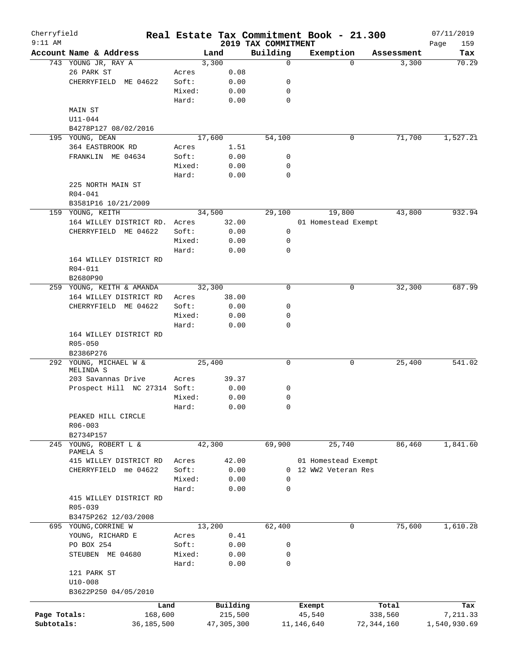| Cherryfield<br>$9:11$ AM |                              |        |            | 2019 TAX COMMITMENT | Real Estate Tax Commitment Book - 21.300 |                   | 07/11/2019<br>159 |
|--------------------------|------------------------------|--------|------------|---------------------|------------------------------------------|-------------------|-------------------|
|                          | Account Name & Address       |        | Land       | Building            | Exemption                                | Assessment        | Page<br>Tax       |
|                          | 743 YOUNG JR, RAY A          |        | 3,300      | 0                   |                                          | 3,300<br>$\Omega$ | 70.29             |
|                          | 26 PARK ST                   | Acres  | 0.08       |                     |                                          |                   |                   |
|                          | CHERRYFIELD ME 04622         | Soft:  | 0.00       | 0                   |                                          |                   |                   |
|                          |                              | Mixed: | 0.00       | 0                   |                                          |                   |                   |
|                          |                              | Hard:  | 0.00       | 0                   |                                          |                   |                   |
|                          | MAIN ST                      |        |            |                     |                                          |                   |                   |
|                          | $U11 - 044$                  |        |            |                     |                                          |                   |                   |
|                          | B4278P127 08/02/2016         |        |            |                     |                                          |                   |                   |
|                          | 195 YOUNG, DEAN              |        | 17,600     | 54,100              |                                          | 71,700<br>0       | 1,527.21          |
|                          | 364 EASTBROOK RD             | Acres  | 1.51       |                     |                                          |                   |                   |
|                          | FRANKLIN ME 04634            | Soft:  | 0.00       | 0                   |                                          |                   |                   |
|                          |                              | Mixed: | 0.00       | 0                   |                                          |                   |                   |
|                          |                              | Hard:  | 0.00       | $\mathbf 0$         |                                          |                   |                   |
|                          | 225 NORTH MAIN ST            |        |            |                     |                                          |                   |                   |
|                          |                              |        |            |                     |                                          |                   |                   |
|                          | R04-041                      |        |            |                     |                                          |                   |                   |
|                          | B3581P16 10/21/2009          |        |            |                     |                                          |                   |                   |
|                          | 159 YOUNG, KEITH             |        | 34,500     | 29,100              | 19,800                                   | 43,800            | 932.94            |
|                          | 164 WILLEY DISTRICT RD.      | Acres  | 32.00      |                     | 01 Homestead Exempt                      |                   |                   |
|                          | CHERRYFIELD ME 04622         | Soft:  | 0.00       | 0                   |                                          |                   |                   |
|                          |                              | Mixed: | 0.00       | 0                   |                                          |                   |                   |
|                          |                              | Hard:  | 0.00       | 0                   |                                          |                   |                   |
|                          | 164 WILLEY DISTRICT RD       |        |            |                     |                                          |                   |                   |
|                          | R04-011                      |        |            |                     |                                          |                   |                   |
|                          | B2680P90                     |        |            |                     |                                          |                   |                   |
|                          | 259 YOUNG, KEITH & AMANDA    |        | 32,300     | 0                   |                                          | 32,300<br>0       | 687.99            |
|                          | 164 WILLEY DISTRICT RD       | Acres  | 38.00      |                     |                                          |                   |                   |
|                          | CHERRYFIELD ME 04622         | Soft:  | 0.00       | 0                   |                                          |                   |                   |
|                          |                              | Mixed: | 0.00       | 0                   |                                          |                   |                   |
|                          |                              | Hard:  | 0.00       | 0                   |                                          |                   |                   |
|                          | 164 WILLEY DISTRICT RD       |        |            |                     |                                          |                   |                   |
|                          | $R05 - 050$                  |        |            |                     |                                          |                   |                   |
|                          | B2386P276                    |        |            |                     |                                          |                   |                   |
|                          | 292 YOUNG, MICHAEL W &       |        | 25,400     | 0                   |                                          | 0<br>25,400       | 541.02            |
|                          | MELINDA S                    |        |            |                     |                                          |                   |                   |
|                          | 203 Savannas Drive           | Acres  | 39.37      |                     |                                          |                   |                   |
|                          | Prospect Hill NC 27314 Soft: |        | 0.00       | 0                   |                                          |                   |                   |
|                          |                              | Mixed: | 0.00       | 0                   |                                          |                   |                   |
|                          |                              | Hard:  | 0.00       | 0                   |                                          |                   |                   |
|                          | PEAKED HILL CIRCLE           |        |            |                     |                                          |                   |                   |
|                          | $R06 - 003$                  |        |            |                     |                                          |                   |                   |
|                          | B2734P157                    |        |            |                     |                                          |                   |                   |
| 245                      | YOUNG, ROBERT L &            |        | 42,300     | 69,900              | 25,740                                   | 86,460            | 1,841.60          |
|                          | PAMELA S                     |        |            |                     |                                          |                   |                   |
|                          | 415 WILLEY DISTRICT RD       | Acres  | 42.00      |                     | 01 Homestead Exempt                      |                   |                   |
|                          | CHERRYFIELD me 04622         | Soft:  | 0.00       | $\Omega$            | 12 WW2 Veteran Res                       |                   |                   |
|                          |                              | Mixed: | 0.00       | 0                   |                                          |                   |                   |
|                          |                              | Hard:  | 0.00       | $\mathbf 0$         |                                          |                   |                   |
|                          | 415 WILLEY DISTRICT RD       |        |            |                     |                                          |                   |                   |
|                          | R05-039                      |        |            |                     |                                          |                   |                   |
|                          | B3475P262 12/03/2008         |        |            |                     |                                          |                   |                   |
|                          | 695 YOUNG, CORRINE W         |        | 13,200     | 62,400              |                                          | 75,600<br>0       | 1,610.28          |
|                          | YOUNG, RICHARD E             | Acres  | 0.41       |                     |                                          |                   |                   |
|                          | PO BOX 254                   | Soft:  | 0.00       | 0                   |                                          |                   |                   |
|                          | STEUBEN ME 04680             | Mixed: | 0.00       | 0                   |                                          |                   |                   |
|                          |                              | Hard:  | 0.00       | 0                   |                                          |                   |                   |
|                          | 121 PARK ST                  |        |            |                     |                                          |                   |                   |
|                          | $U10 - 008$                  |        |            |                     |                                          |                   |                   |
|                          | B3622P250 04/05/2010         |        |            |                     |                                          |                   |                   |
|                          |                              |        |            |                     |                                          |                   |                   |
|                          |                              | Land   | Building   |                     | Exempt                                   | Total             | Tax               |
| Page Totals:             | 168,600                      |        | 215,500    |                     | 45,540                                   | 338,560           | 7,211.33          |
| Subtotals:               | 36,185,500                   |        | 47,305,300 |                     | 11,146,640                               | 72,344,160        | 1,540,930.69      |